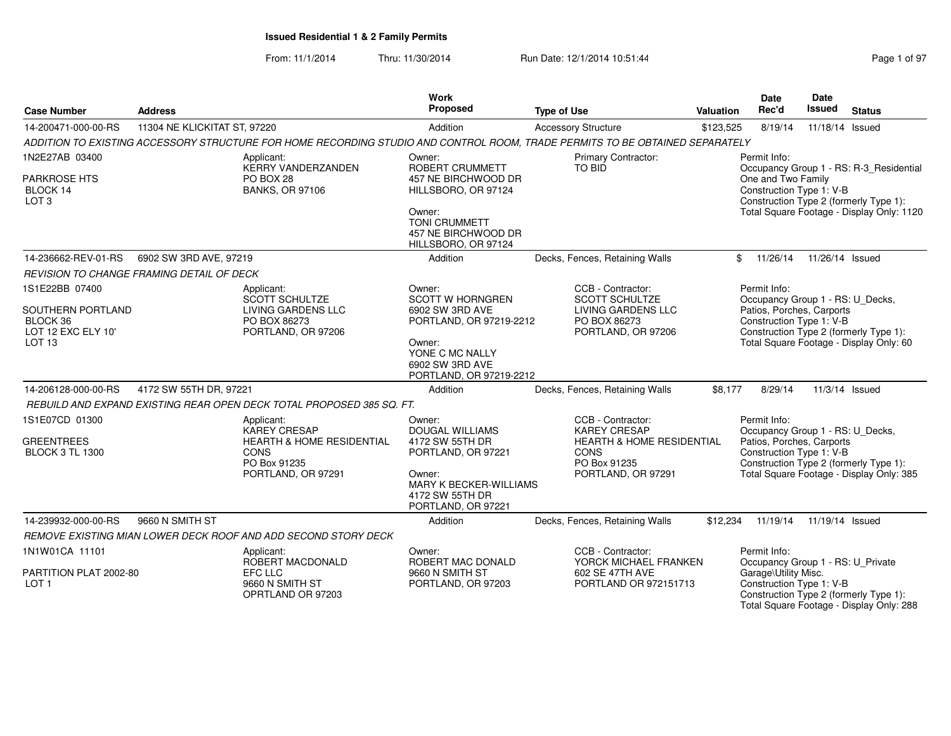From: 11/1/2014Thru: 11/30/2014 Run Date: 12/1/2014 10:51:44 Rege 1 of 97

| <b>Case Number</b>                                  | <b>Address</b>               |                                                                       | <b>Work</b><br>Proposed                                                          | <b>Type of Use</b>                                                                                                           | Valuation | <b>Date</b><br>Rec'd                                  | Date<br><b>Issued</b> | <b>Status</b>                                                                      |
|-----------------------------------------------------|------------------------------|-----------------------------------------------------------------------|----------------------------------------------------------------------------------|------------------------------------------------------------------------------------------------------------------------------|-----------|-------------------------------------------------------|-----------------------|------------------------------------------------------------------------------------|
| 14-200471-000-00-RS                                 | 11304 NE KLICKITAT ST, 97220 |                                                                       | Addition                                                                         | <b>Accessory Structure</b>                                                                                                   | \$123,525 | 8/19/14                                               | 11/18/14 Issued       |                                                                                    |
|                                                     |                              |                                                                       |                                                                                  | ADDITION TO EXISTING ACCESSORY STRUCTURE FOR HOME RECORDING STUDIO AND CONTROL ROOM. TRADE PERMITS TO BE OBTAINED SEPARATELY |           |                                                       |                       |                                                                                    |
| 1N2E27AB 03400                                      |                              | Applicant:<br><b>KERRY VANDERZANDEN</b>                               | Owner:<br>ROBERT CRUMMETT                                                        | <b>Primary Contractor:</b><br>TO BID                                                                                         |           | Permit Info:                                          |                       | Occupancy Group 1 - RS: R-3_Residential                                            |
| <b>PARKROSE HTS</b><br>BLOCK 14<br>LOT <sub>3</sub> |                              | PO BOX 28<br><b>BANKS, OR 97106</b>                                   | 457 NE BIRCHWOOD DR<br>HILLSBORO, OR 97124                                       |                                                                                                                              |           | One and Two Family<br>Construction Type 1: V-B        |                       | Construction Type 2 (formerly Type 1):                                             |
|                                                     |                              |                                                                       | Owner:<br><b>TONI CRUMMETT</b><br>457 NE BIRCHWOOD DR<br>HILLSBORO, OR 97124     |                                                                                                                              |           |                                                       |                       | Total Square Footage - Display Only: 1120                                          |
| 14-236662-REV-01-RS                                 | 6902 SW 3RD AVE, 97219       |                                                                       | Addition                                                                         | Decks, Fences, Retaining Walls                                                                                               |           | 11/26/14<br>\$                                        | 11/26/14 Issued       |                                                                                    |
| REVISION TO CHANGE FRAMING DETAIL OF DECK           |                              |                                                                       |                                                                                  |                                                                                                                              |           |                                                       |                       |                                                                                    |
| 1S1E22BB 07400                                      |                              | Applicant:<br><b>SCOTT SCHULTZE</b>                                   | Owner:<br><b>SCOTT W HORNGREN</b>                                                | CCB - Contractor:<br>SCOTT SCHULTZE                                                                                          |           | Permit Info:<br>Occupancy Group 1 - RS: U_Decks,      |                       |                                                                                    |
| SOUTHERN PORTLAND<br>BLOCK 36<br>LOT 12 EXC ELY 10' |                              | LIVING GARDENS LLC<br>PO BOX 86273<br>PORTLAND, OR 97206              | 6902 SW 3RD AVE<br>PORTLAND, OR 97219-2212                                       | LIVING GARDENS LLC<br>PO BOX 86273<br>PORTLAND, OR 97206                                                                     |           | Patios, Porches, Carports<br>Construction Type 1: V-B |                       | Construction Type 2 (formerly Type 1):                                             |
| LOT <sub>13</sub>                                   |                              |                                                                       | Owner:<br>YONE C MC NALLY<br>6902 SW 3RD AVE<br>PORTLAND, OR 97219-2212          |                                                                                                                              |           |                                                       |                       | Total Square Footage - Display Only: 60                                            |
| 14-206128-000-00-RS                                 | 4172 SW 55TH DR, 97221       |                                                                       | Addition                                                                         | Decks, Fences, Retaining Walls                                                                                               | \$8,177   | 8/29/14                                               |                       | 11/3/14 Issued                                                                     |
|                                                     |                              | REBUILD AND EXPAND EXISTING REAR OPEN DECK TOTAL PROPOSED 385 SQ. FT. |                                                                                  |                                                                                                                              |           |                                                       |                       |                                                                                    |
| 1S1E07CD 01300                                      |                              | Applicant:<br><b>KAREY CRESAP</b>                                     | Owner:<br><b>DOUGAL WILLIAMS</b>                                                 | CCB - Contractor:<br><b>KAREY CRESAP</b>                                                                                     |           | Permit Info:<br>Occupancy Group 1 - RS: U_Decks,      |                       |                                                                                    |
| <b>GREENTREES</b><br><b>BLOCK 3 TL 1300</b>         |                              | <b>HEARTH &amp; HOME RESIDENTIAL</b><br><b>CONS</b><br>PO Box 91235   | 4172 SW 55TH DR<br>PORTLAND, OR 97221                                            | <b>HEARTH &amp; HOME RESIDENTIAL</b><br><b>CONS</b><br>PO Box 91235                                                          |           | Patios, Porches, Carports<br>Construction Type 1: V-B |                       | Construction Type 2 (formerly Type 1):                                             |
|                                                     |                              | PORTLAND, OR 97291                                                    | Owner:<br><b>MARY K BECKER-WILLIAMS</b><br>4172 SW 55TH DR<br>PORTLAND, OR 97221 | PORTLAND, OR 97291                                                                                                           |           |                                                       |                       | Total Square Footage - Display Only: 385                                           |
| 14-239932-000-00-RS                                 | 9660 N SMITH ST              |                                                                       | Addition                                                                         | Decks, Fences, Retaining Walls                                                                                               | \$12,234  | 11/19/14                                              | 11/19/14 Issued       |                                                                                    |
|                                                     |                              | REMOVE EXISTING MIAN LOWER DECK ROOF AND ADD SECOND STORY DECK        |                                                                                  |                                                                                                                              |           |                                                       |                       |                                                                                    |
| 1N1W01CA 11101                                      |                              | Applicant:<br>ROBERT MACDONALD                                        | Owner:<br>ROBERT MAC DONALD                                                      | CCB - Contractor:<br>YORCK MICHAEL FRANKEN                                                                                   |           | Permit Info:<br>Occupancy Group 1 - RS: U_Private     |                       |                                                                                    |
| PARTITION PLAT 2002-80<br>LOT <sub>1</sub>          |                              | EFC LLC<br>9660 N SMITH ST<br>OPRTLAND OR 97203                       | 9660 N SMITH ST<br>PORTLAND, OR 97203                                            | 602 SE 47TH AVE<br>PORTLAND OR 972151713                                                                                     |           | Garage\Utility Misc.<br>Construction Type 1: V-B      |                       | Construction Type 2 (formerly Type 1):<br>Total Square Footage - Display Only: 288 |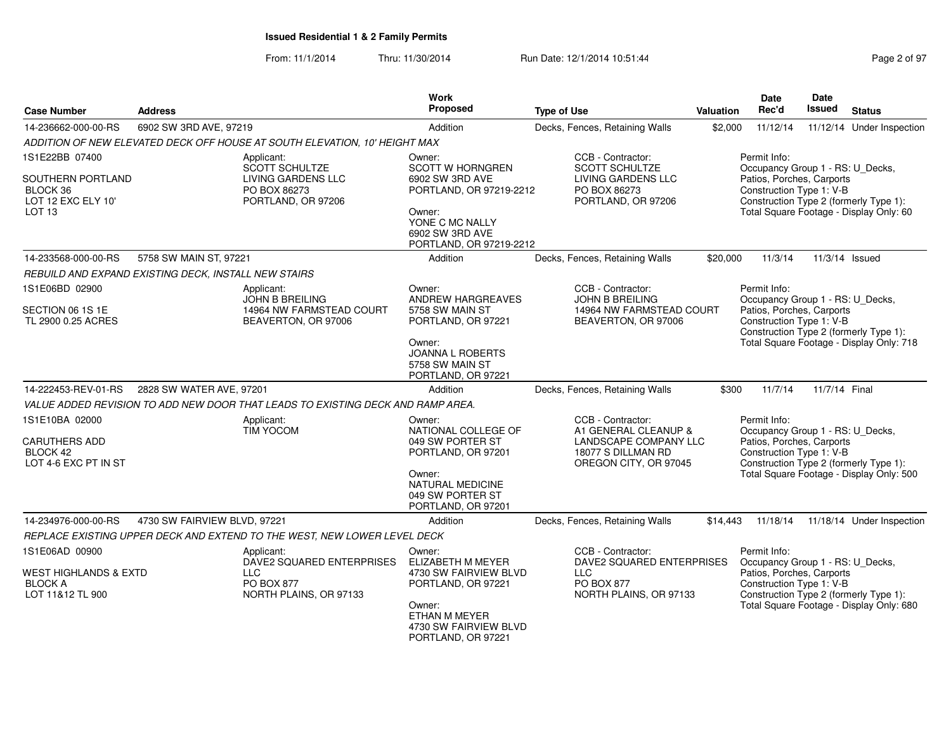From: 11/1/2014Thru: 11/30/2014 Run Date: 12/1/2014 10:51:44 Rege 2 of 97

| <b>Case Number</b>                                                                         | <b>Address</b>               |                                                                                          | Work<br>Proposed                                                                                                                                           | <b>Type of Use</b>                                                                                                | Valuation | <b>Date</b><br>Rec'd                                                                                                                                | <b>Date</b><br><b>Issued</b> | <b>Status</b>                            |
|--------------------------------------------------------------------------------------------|------------------------------|------------------------------------------------------------------------------------------|------------------------------------------------------------------------------------------------------------------------------------------------------------|-------------------------------------------------------------------------------------------------------------------|-----------|-----------------------------------------------------------------------------------------------------------------------------------------------------|------------------------------|------------------------------------------|
| 14-236662-000-00-RS                                                                        | 6902 SW 3RD AVE, 97219       |                                                                                          | Addition                                                                                                                                                   | Decks, Fences, Retaining Walls                                                                                    | \$2,000   | 11/12/14                                                                                                                                            |                              | 11/12/14 Under Inspection                |
|                                                                                            |                              | ADDITION OF NEW ELEVATED DECK OFF HOUSE AT SOUTH ELEVATION, 10' HEIGHT MAX               |                                                                                                                                                            |                                                                                                                   |           |                                                                                                                                                     |                              |                                          |
| 1S1E22BB 07400<br>SOUTHERN PORTLAND<br>BLOCK 36<br>LOT 12 EXC ELY 10'<br>LOT <sub>13</sub> |                              | Applicant:<br>SCOTT SCHULTZE<br>LIVING GARDENS LLC<br>PO BOX 86273<br>PORTLAND, OR 97206 | Owner:<br><b>SCOTT W HORNGREN</b><br>6902 SW 3RD AVE<br>PORTLAND, OR 97219-2212<br>Owner:<br>YONE C MC NALLY<br>6902 SW 3RD AVE<br>PORTLAND, OR 97219-2212 | CCB - Contractor:<br><b>SCOTT SCHULTZE</b><br>LIVING GARDENS LLC<br>PO BOX 86273<br>PORTLAND, OR 97206            |           | Permit Info:<br>Occupancy Group 1 - RS: U_Decks,<br>Patios, Porches, Carports<br>Construction Type 1: V-B<br>Construction Type 2 (formerly Type 1): |                              | Total Square Footage - Display Only: 60  |
| 14-233568-000-00-RS                                                                        | 5758 SW MAIN ST, 97221       |                                                                                          | Addition                                                                                                                                                   | Decks, Fences, Retaining Walls                                                                                    | \$20,000  | 11/3/14                                                                                                                                             |                              | 11/3/14 Issued                           |
| REBUILD AND EXPAND EXISTING DECK, INSTALL NEW STAIRS                                       |                              |                                                                                          |                                                                                                                                                            |                                                                                                                   |           |                                                                                                                                                     |                              |                                          |
| 1S1E06BD 02900<br>SECTION 06 1S 1E<br>TL 2900 0.25 ACRES                                   |                              | Applicant:<br><b>JOHN B BREILING</b><br>14964 NW FARMSTEAD COURT<br>BEAVERTON, OR 97006  | Owner:<br>ANDREW HARGREAVES<br>5758 SW MAIN ST<br>PORTLAND, OR 97221<br>Owner:<br><b>JOANNA L ROBERTS</b><br>5758 SW MAIN ST<br>PORTLAND, OR 97221         | CCB - Contractor:<br><b>JOHN B BREILING</b><br>14964 NW FARMSTEAD COURT<br>BEAVERTON, OR 97006                    |           | Permit Info:<br>Occupancy Group 1 - RS: U_Decks,<br>Patios, Porches, Carports<br>Construction Type 1: V-B<br>Construction Type 2 (formerly Type 1): |                              | Total Square Footage - Display Only: 718 |
| 14-222453-REV-01-RS                                                                        | 2828 SW WATER AVE, 97201     |                                                                                          | Addition                                                                                                                                                   | Decks, Fences, Retaining Walls                                                                                    | \$300     | 11/7/14                                                                                                                                             | 11/7/14 Final                |                                          |
|                                                                                            |                              | VALUE ADDED REVISION TO ADD NEW DOOR THAT LEADS TO EXISTING DECK AND RAMP AREA.          |                                                                                                                                                            |                                                                                                                   |           |                                                                                                                                                     |                              |                                          |
| 1S1E10BA 02000<br>CARUTHERS ADD<br>BLOCK 42<br>LOT 4-6 EXC PT IN ST                        |                              | Applicant:<br><b>TIM YOCOM</b>                                                           | Owner:<br>NATIONAL COLLEGE OF<br>049 SW PORTER ST<br>PORTLAND, OR 97201<br>Owner:<br>NATURAL MEDICINE<br>049 SW PORTER ST<br>PORTLAND, OR 97201            | CCB - Contractor:<br>A1 GENERAL CLEANUP &<br>LANDSCAPE COMPANY LLC<br>18077 S DILLMAN RD<br>OREGON CITY, OR 97045 |           | Permit Info:<br>Occupancy Group 1 - RS: U_Decks,<br>Patios, Porches, Carports<br>Construction Type 1: V-B<br>Construction Type 2 (formerly Type 1): |                              | Total Square Footage - Display Only: 500 |
| 14-234976-000-00-RS                                                                        | 4730 SW FAIRVIEW BLVD, 97221 |                                                                                          | Addition                                                                                                                                                   | Decks, Fences, Retaining Walls                                                                                    | \$14,443  | 11/18/14                                                                                                                                            |                              | 11/18/14 Under Inspection                |
|                                                                                            |                              | REPLACE EXISTING UPPER DECK AND EXTEND TO THE WEST, NEW LOWER LEVEL DECK                 |                                                                                                                                                            |                                                                                                                   |           |                                                                                                                                                     |                              |                                          |
| 1S1E06AD 00900<br>WEST HIGHLANDS & EXTD<br><b>BLOCK A</b><br>LOT 11&12 TL 900              |                              | Applicant:<br>DAVE2 SQUARED ENTERPRISES<br>LLC.<br>PO BOX 877<br>NORTH PLAINS, OR 97133  | Owner:<br>ELIZABETH M MEYER<br>4730 SW FAIRVIEW BLVD<br>PORTLAND, OR 97221<br>Owner:<br>ETHAN M MEYER<br>4730 SW FAIRVIEW BLVD<br>PORTLAND, OR 97221       | CCB - Contractor:<br>DAVE2 SQUARED ENTERPRISES<br>LLC<br>PO BOX 877<br>NORTH PLAINS, OR 97133                     |           | Permit Info:<br>Occupancy Group 1 - RS: U_Decks,<br>Patios, Porches, Carports<br>Construction Type 1: V-B<br>Construction Type 2 (formerly Type 1): |                              | Total Square Footage - Display Only: 680 |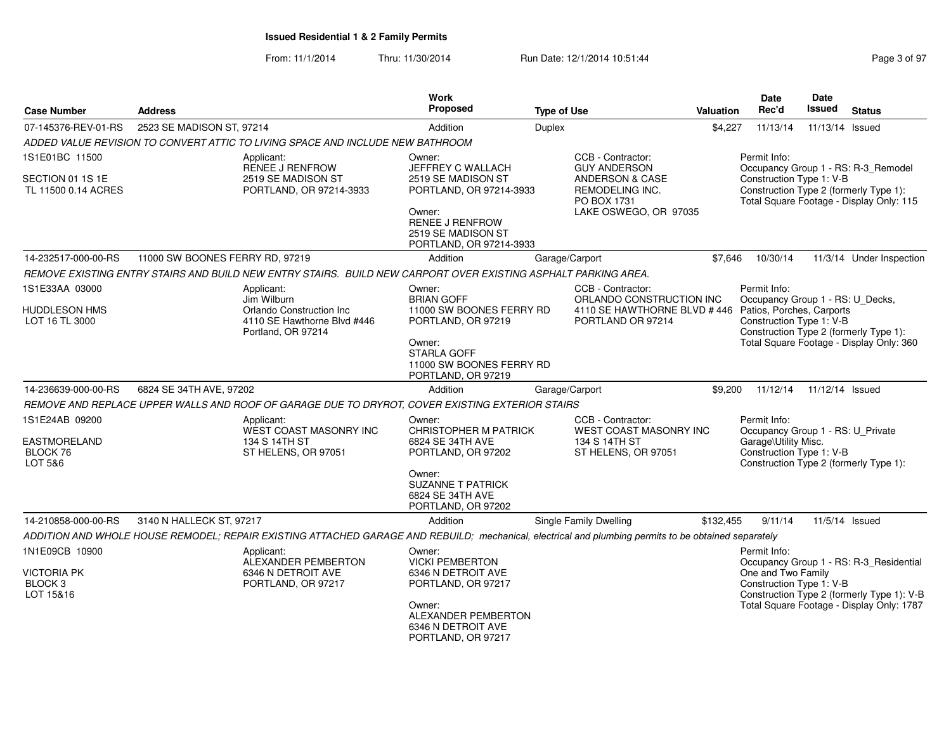From: 11/1/2014Thru: 11/30/2014 Run Date: 12/1/2014 10:51:44 Rege 3 of 97

| <b>Case Number</b>                                    | <b>Address</b>                                                                                                                                       | <b>Work</b><br>Proposed                                                                          | <b>Type of Use</b>                                                                                     | <b>Valuation</b> | <b>Date</b><br>Rec'd                                                                                  | <b>Date</b><br>Issued | <b>Status</b>                                                                      |
|-------------------------------------------------------|------------------------------------------------------------------------------------------------------------------------------------------------------|--------------------------------------------------------------------------------------------------|--------------------------------------------------------------------------------------------------------|------------------|-------------------------------------------------------------------------------------------------------|-----------------------|------------------------------------------------------------------------------------|
| 07-145376-REV-01-RS                                   | 2523 SE MADISON ST, 97214                                                                                                                            | Addition                                                                                         | Duplex                                                                                                 | \$4,227          | 11/13/14                                                                                              | 11/13/14 Issued       |                                                                                    |
|                                                       | ADDED VALUE REVISION TO CONVERT ATTIC TO LIVING SPACE AND INCLUDE NEW BATHROOM                                                                       |                                                                                                  |                                                                                                        |                  |                                                                                                       |                       |                                                                                    |
| 1S1E01BC 11500                                        | Applicant:<br>RENEE J RENFROW                                                                                                                        | Owner:<br>JEFFREY C WALLACH                                                                      | CCB - Contractor:<br><b>GUY ANDERSON</b>                                                               |                  | Permit Info:                                                                                          |                       | Occupancy Group 1 - RS: R-3_Remodel                                                |
| SECTION 01 1S 1E<br>TL 11500 0.14 ACRES               | 2519 SE MADISON ST<br>PORTLAND, OR 97214-3933                                                                                                        | 2519 SE MADISON ST<br>PORTLAND, OR 97214-3933<br>Owner:<br>RENEE J RENFROW<br>2519 SE MADISON ST | <b>ANDERSON &amp; CASE</b><br>REMODELING INC.<br>PO BOX 1731<br>LAKE OSWEGO, OR 97035                  |                  | Construction Type 1: V-B                                                                              |                       | Construction Type 2 (formerly Type 1):<br>Total Square Footage - Display Only: 115 |
| 14-232517-000-00-RS                                   | 11000 SW BOONES FERRY RD, 97219                                                                                                                      | PORTLAND, OR 97214-3933<br>Addition                                                              | Garage/Carport                                                                                         | \$7.646          | 10/30/14                                                                                              |                       | 11/3/14 Under Inspection                                                           |
|                                                       | REMOVE EXISTING ENTRY STAIRS AND BUILD NEW ENTRY STAIRS. BUILD NEW CARPORT OVER EXISTING ASPHALT PARKING AREA.                                       |                                                                                                  |                                                                                                        |                  |                                                                                                       |                       |                                                                                    |
| 1S1E33AA 03000                                        | Applicant:                                                                                                                                           | Owner:                                                                                           | CCB - Contractor:                                                                                      |                  | Permit Info:                                                                                          |                       |                                                                                    |
| <b>HUDDLESON HMS</b><br>LOT 16 TL 3000                | Jim Wilburn<br>Orlando Construction Inc.<br>4110 SE Hawthorne Blvd #446<br>Portland, OR 97214                                                        | <b>BRIAN GOFF</b><br>11000 SW BOONES FERRY RD<br>PORTLAND, OR 97219<br>Owner:                    | ORLANDO CONSTRUCTION INC<br>4110 SE HAWTHORNE BLVD #446 Patios, Porches, Carports<br>PORTLAND OR 97214 |                  | Occupancy Group 1 - RS: U_Decks,<br>Construction Type 1: V-B                                          |                       | Construction Type 2 (formerly Type 1):<br>Total Square Footage - Display Only: 360 |
|                                                       |                                                                                                                                                      | <b>STARLA GOFF</b><br>11000 SW BOONES FERRY RD<br>PORTLAND, OR 97219                             |                                                                                                        |                  |                                                                                                       |                       |                                                                                    |
| 14-236639-000-00-RS                                   | 6824 SE 34TH AVE, 97202                                                                                                                              | Addition                                                                                         | Garage/Carport                                                                                         | \$9,200          | 11/12/14                                                                                              | 11/12/14 Issued       |                                                                                    |
|                                                       | REMOVE AND REPLACE UPPER WALLS AND ROOF OF GARAGE DUE TO DRYROT, COVER EXISTING EXTERIOR STAIRS                                                      |                                                                                                  |                                                                                                        |                  |                                                                                                       |                       |                                                                                    |
| 1S1E24AB 09200<br><b>EASTMORELAND</b><br>BLOCK 76     | Applicant:<br>WEST COAST MASONRY INC<br>134 S 14TH ST<br>ST HELENS, OR 97051                                                                         | Owner:<br><b>CHRISTOPHER M PATRICK</b><br>6824 SE 34TH AVE<br>PORTLAND, OR 97202                 | CCB - Contractor:<br>WEST COAST MASONRY INC<br>134 S 14TH ST<br>ST HELENS, OR 97051                    |                  | Permit Info:<br>Occupancy Group 1 - RS: U_Private<br>Garage\Utility Misc.<br>Construction Type 1: V-B |                       |                                                                                    |
| LOT 5&6                                               |                                                                                                                                                      | Owner:<br><b>SUZANNE T PATRICK</b><br>6824 SE 34TH AVE<br>PORTLAND, OR 97202                     |                                                                                                        |                  | Construction Type 2 (formerly Type 1):                                                                |                       |                                                                                    |
| 14-210858-000-00-RS                                   | 3140 N HALLECK ST, 97217                                                                                                                             | Addition                                                                                         | <b>Single Family Dwelling</b>                                                                          | \$132,455        | 9/11/14                                                                                               | 11/5/14 Issued        |                                                                                    |
|                                                       | ADDITION AND WHOLE HOUSE REMODEL; REPAIR EXISTING ATTACHED GARAGE AND REBUILD; mechanical, electrical and plumbing permits to be obtained separately |                                                                                                  |                                                                                                        |                  |                                                                                                       |                       |                                                                                    |
| 1N1E09CB 10900                                        | Applicant:<br>ALEXANDER PEMBERTON                                                                                                                    | Owner:<br><b>VICKI PEMBERTON</b>                                                                 |                                                                                                        |                  | Permit Info:                                                                                          |                       | Occupancy Group 1 - RS: R-3_Residential                                            |
| <b>VICTORIA PK</b><br>BLOCK <sub>3</sub><br>LOT 15&16 | 6346 N DETROIT AVE<br>PORTLAND, OR 97217                                                                                                             | 6346 N DETROIT AVE<br>PORTLAND, OR 97217                                                         |                                                                                                        |                  | One and Two Family<br>Construction Type 1: V-B                                                        |                       | Construction Type 2 (formerly Type 1): V-B                                         |
|                                                       |                                                                                                                                                      | Owner:<br>ALEXANDER PEMBERTON<br>6346 N DETROIT AVE<br>PORTLAND, OR 97217                        |                                                                                                        |                  |                                                                                                       |                       | Total Square Footage - Display Only: 1787                                          |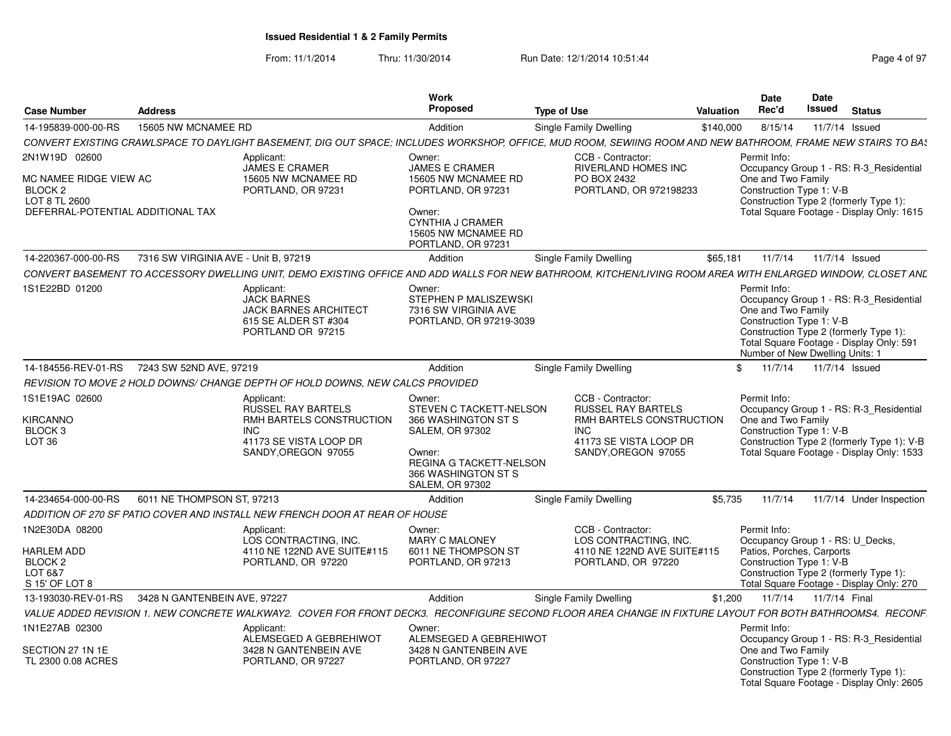From: 11/1/2014Thru: 11/30/2014 Run Date: 12/1/2014 10:51:44 Rege 4 of 97

| <b>Address</b><br><b>Case Number</b>                                                                                                                         |                                                                                                                                    | <b>Work</b><br>Proposed                                                                                                                                                  | <b>Type of Use</b>                                                                                                                              | Date<br>Rec'd<br>Valuation |                                                                                                                                                                                                                    | Date<br>Issued<br><b>Status</b>                                                                                                    |
|--------------------------------------------------------------------------------------------------------------------------------------------------------------|------------------------------------------------------------------------------------------------------------------------------------|--------------------------------------------------------------------------------------------------------------------------------------------------------------------------|-------------------------------------------------------------------------------------------------------------------------------------------------|----------------------------|--------------------------------------------------------------------------------------------------------------------------------------------------------------------------------------------------------------------|------------------------------------------------------------------------------------------------------------------------------------|
| 15605 NW MCNAMEE RD<br>14-195839-000-00-RS                                                                                                                   |                                                                                                                                    | Addition                                                                                                                                                                 | Single Family Dwelling                                                                                                                          | \$140,000                  | 8/15/14                                                                                                                                                                                                            | 11/7/14 Issued                                                                                                                     |
| CONVERT EXISTING CRAWLSPACE TO DAYLIGHT BASEMENT. DIG OUT SPACE: INCLUDES WORKSHOP, OFFICE. MUD ROOM, SEWIING ROOM AND NEW BATHROOM, FRAME NEW STAIRS TO BAS |                                                                                                                                    |                                                                                                                                                                          |                                                                                                                                                 |                            |                                                                                                                                                                                                                    |                                                                                                                                    |
| 2N1W19D 02600                                                                                                                                                | Applicant:                                                                                                                         | Owner:                                                                                                                                                                   | CCB - Contractor:                                                                                                                               | Permit Info:               |                                                                                                                                                                                                                    |                                                                                                                                    |
| MC NAMEE RIDGE VIEW AC<br><b>BLOCK2</b><br>LOT 8 TL 2600<br>DEFERRAL-POTENTIAL ADDITIONAL TAX                                                                | JAMES E CRAMER<br>15605 NW MCNAMEE RD<br>PORTLAND, OR 97231                                                                        | <b>JAMES E CRAMER</b><br>15605 NW MCNAMEE RD<br>PORTLAND, OR 97231<br>Owner:                                                                                             | <b>RIVERLAND HOMES INC</b><br>PO BOX 2432<br>PORTLAND, OR 972198233                                                                             |                            | One and Two Family<br>Construction Type 1: V-B                                                                                                                                                                     | Occupancy Group 1 - RS: R-3_Residential<br>Construction Type 2 (formerly Type 1):<br>Total Square Footage - Display Only: 1615     |
|                                                                                                                                                              |                                                                                                                                    | <b>CYNTHIA J CRAMER</b><br>15605 NW MCNAMEE RD<br>PORTLAND, OR 97231                                                                                                     |                                                                                                                                                 |                            |                                                                                                                                                                                                                    |                                                                                                                                    |
| 7316 SW VIRGINIA AVE - Unit B, 97219<br>14-220367-000-00-RS                                                                                                  |                                                                                                                                    | Addition                                                                                                                                                                 | Single Family Dwelling                                                                                                                          | \$65,181                   | 11/7/14                                                                                                                                                                                                            | 11/7/14 Issued                                                                                                                     |
| CONVERT BASEMENT TO ACCESSORY DWELLING UNIT. DEMO EXISTING OFFICE AND ADD WALLS FOR NEW BATHROOM. KITCHEN/LIVING ROOM AREA WITH ENLARGED WINDOW. CLOSET ANL  |                                                                                                                                    |                                                                                                                                                                          |                                                                                                                                                 |                            |                                                                                                                                                                                                                    |                                                                                                                                    |
| 1S1E22BD 01200                                                                                                                                               | Applicant:<br><b>JACK BARNES</b><br><b>JACK BARNES ARCHITECT</b><br>615 SE ALDER ST #304<br>PORTLAND OR 97215                      | Owner:<br>STEPHEN P MALISZEWSKI<br>7316 SW VIRGINIA AVE<br>PORTLAND, OR 97219-3039                                                                                       |                                                                                                                                                 | Permit Info:               | Occupancy Group 1 - RS: R-3_Residential<br>One and Two Family<br>Construction Type 1: V-B<br>Construction Type 2 (formerly Type 1):<br>Total Square Footage - Display Only: 591<br>Number of New Dwelling Units: 1 |                                                                                                                                    |
|                                                                                                                                                              |                                                                                                                                    | Addition                                                                                                                                                                 | Single Family Dwelling                                                                                                                          | \$11/7/14                  |                                                                                                                                                                                                                    | 11/7/14 Issued                                                                                                                     |
| REVISION TO MOVE 2 HOLD DOWNS/ CHANGE DEPTH OF HOLD DOWNS, NEW CALCS PROVIDED                                                                                |                                                                                                                                    |                                                                                                                                                                          |                                                                                                                                                 |                            |                                                                                                                                                                                                                    |                                                                                                                                    |
| 1S1E19AC 02600<br>KIRCANNO<br>BLOCK 3<br><b>LOT 36</b>                                                                                                       | Applicant:<br><b>RUSSEL RAY BARTELS</b><br>RMH BARTELS CONSTRUCTION<br><b>INC</b><br>41173 SE VISTA LOOP DR<br>SANDY, OREGON 97055 | Owner:<br>STEVEN C TACKETT-NELSON<br>366 WASHINGTON ST S<br><b>SALEM, OR 97302</b><br>Owner:<br>REGINA G TACKETT-NELSON<br>366 WASHINGTON ST S<br><b>SALEM, OR 97302</b> | CCB - Contractor:<br><b>RUSSEL RAY BARTELS</b><br><b>RMH BARTELS CONSTRUCTION</b><br><b>INC</b><br>41173 SE VISTA LOOP DR<br>SANDY.OREGON 97055 | Permit Info:               | One and Two Family<br>Construction Type 1: V-B                                                                                                                                                                     | Occupancy Group 1 - RS: R-3 Residential<br>Construction Type 2 (formerly Type 1): V-B<br>Total Square Footage - Display Only: 1533 |
| 6011 NE THOMPSON ST, 97213<br>14-234654-000-00-RS                                                                                                            |                                                                                                                                    | Addition                                                                                                                                                                 | Single Family Dwelling                                                                                                                          |                            |                                                                                                                                                                                                                    | \$5,735  11/7/14  11/7/14  Under Inspection                                                                                        |
| ADDITION OF 270 SF PATIO COVER AND INSTALL NEW FRENCH DOOR AT REAR OF HOUSE                                                                                  |                                                                                                                                    |                                                                                                                                                                          |                                                                                                                                                 |                            |                                                                                                                                                                                                                    |                                                                                                                                    |
| 1N2E30DA 08200<br><b>HARLEM ADD</b><br><b>BLOCK 2</b><br>LOT 6&7<br>S 15' OF LOT 8                                                                           | Applicant:<br>LOS CONTRACTING, INC.<br>4110 NE 122ND AVE SUITE#115<br>PORTLAND, OR 97220                                           | Owner:<br><b>MARY C MALONEY</b><br>6011 NE THOMPSON ST<br>PORTLAND, OR 97213                                                                                             | CCB - Contractor:<br>LOS CONTRACTING, INC.<br>4110 NE 122ND AVE SUITE#115<br>PORTLAND, OR 97220                                                 | Permit Info:               | Patios, Porches, Carports<br>Construction Type 1: V-B                                                                                                                                                              | Occupancy Group 1 - RS: U_Decks,<br>Construction Type 2 (formerly Type 1):<br>Total Square Footage - Display Only: 270             |
| 13-193030-REV-01-RS 3428 N GANTENBEIN AVE, 97227                                                                                                             |                                                                                                                                    | Addition                                                                                                                                                                 | Single Family Dwelling                                                                                                                          | \$1,200                    | 11/7/14                                                                                                                                                                                                            | 11/7/14 Final                                                                                                                      |
| VALUE ADDED REVISION 1. NEW CONCRETE WALKWAY2. COVER FOR FRONT DECK3. RECONFIGURE SECOND FLOOR AREA CHANGE IN FIXTURE LAYOUT FOR BOTH BATHROOMS4. RECONF.    |                                                                                                                                    |                                                                                                                                                                          |                                                                                                                                                 |                            |                                                                                                                                                                                                                    |                                                                                                                                    |
| 1N1E27AB 02300                                                                                                                                               | Applicant:                                                                                                                         | Owner:                                                                                                                                                                   |                                                                                                                                                 | Permit Info:               |                                                                                                                                                                                                                    |                                                                                                                                    |
| SECTION 27 1N 1E<br>TL 2300 0.08 ACRES                                                                                                                       | ALEMSEGED A GEBREHIWOT<br>3428 N GANTENBEIN AVE<br>PORTLAND, OR 97227                                                              | ALEMSEGED A GEBREHIWOT<br>3428 N GANTENBEIN AVE<br>PORTLAND, OR 97227                                                                                                    |                                                                                                                                                 |                            | One and Two Family<br>Construction Type 1: V-B                                                                                                                                                                     | Occupancy Group 1 - RS: R-3_Residential<br>Construction Type 2 (formerly Type 1):<br>Total Square Footage - Display Only: 2605     |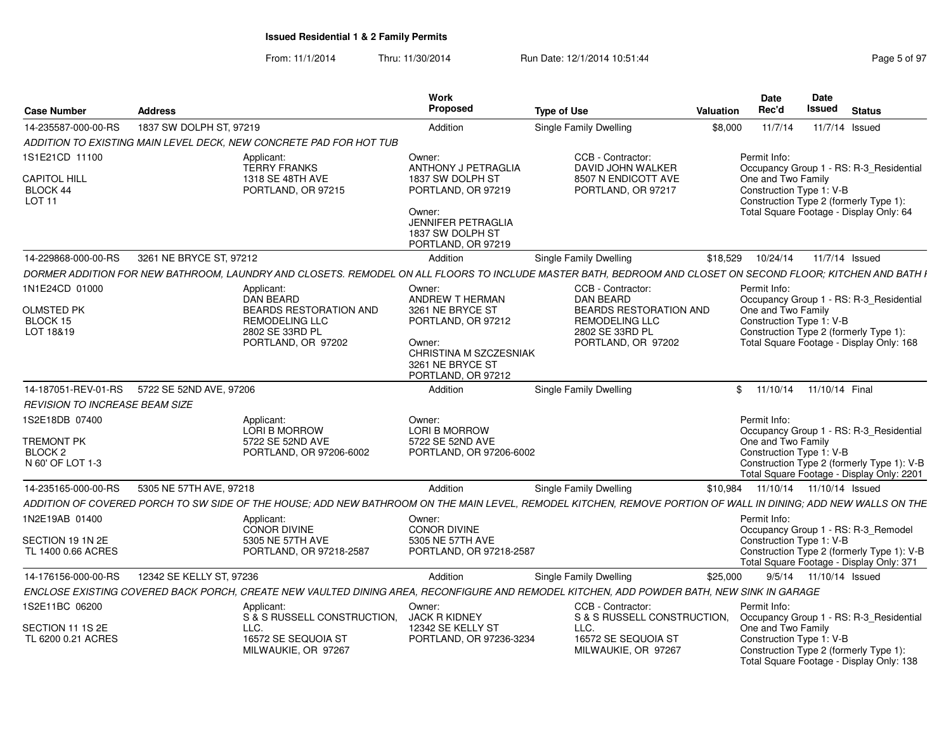From: 11/1/2014Thru: 11/30/2014 Run Date: 12/1/2014 10:51:44

| Page 5 of 97 |  |  |
|--------------|--|--|
|              |  |  |

| <b>Case Number</b>                                                            | <b>Address</b>                              |                                                                                                                                                                | <b>Work</b><br>Proposed                                                                                                 | <b>Type of Use</b>                                                                | Valuation | Date<br>Rec'd                                                                                                                        | <b>Date</b><br><b>Issued</b> | <b>Status</b>  |                                                                                                                                    |
|-------------------------------------------------------------------------------|---------------------------------------------|----------------------------------------------------------------------------------------------------------------------------------------------------------------|-------------------------------------------------------------------------------------------------------------------------|-----------------------------------------------------------------------------------|-----------|--------------------------------------------------------------------------------------------------------------------------------------|------------------------------|----------------|------------------------------------------------------------------------------------------------------------------------------------|
| 14-235587-000-00-RS                                                           | 1837 SW DOLPH ST, 97219                     |                                                                                                                                                                | Addition                                                                                                                | <b>Single Family Dwelling</b>                                                     | \$8.000   | 11/7/14                                                                                                                              |                              | 11/7/14 Issued |                                                                                                                                    |
|                                                                               |                                             | ADDITION TO EXISTING MAIN LEVEL DECK, NEW CONCRETE PAD FOR HOT TUB                                                                                             |                                                                                                                         |                                                                                   |           |                                                                                                                                      |                              |                |                                                                                                                                    |
| 1S1E21CD 11100                                                                |                                             | Applicant:<br><b>TERRY FRANKS</b>                                                                                                                              | Owner:<br><b>ANTHONY J PETRAGLIA</b>                                                                                    | CCB - Contractor:<br>DAVID JOHN WALKER                                            |           | Permit Info:                                                                                                                         |                              |                | Occupancy Group 1 - RS: R-3_Residential                                                                                            |
| <b>CAPITOL HILL</b><br>BLOCK 44<br>LOT 11                                     |                                             | 1318 SE 48TH AVE<br>PORTLAND, OR 97215                                                                                                                         | 1837 SW DOLPH ST<br>PORTLAND, OR 97219<br>Owner:<br><b>JENNIFER PETRAGLIA</b><br>1837 SW DOLPH ST<br>PORTLAND, OR 97219 | 8507 N ENDICOTT AVE<br>PORTLAND, OR 97217                                         |           | One and Two Family<br>Construction Type 1: V-B<br>Construction Type 2 (formerly Type 1):<br>Total Square Footage - Display Only: 64  |                              |                |                                                                                                                                    |
| 14-229868-000-00-RS                                                           | 3261 NE BRYCE ST, 97212                     |                                                                                                                                                                | Addition                                                                                                                | <b>Single Family Dwelling</b>                                                     | \$18,529  | 10/24/14                                                                                                                             |                              | 11/7/14 Issued |                                                                                                                                    |
|                                                                               |                                             | DORMER ADDITION FOR NEW BATHROOM, LAUNDRY AND CLOSETS. REMODEL ON ALL FLOORS TO INCLUDE MASTER BATH, BEDROOM AND CLOSET ON SECOND FLOOR; KITCHEN AND BATH I    |                                                                                                                         |                                                                                   |           |                                                                                                                                      |                              |                |                                                                                                                                    |
| 1N1E24CD 01000                                                                |                                             | Applicant:<br>DAN BEARD                                                                                                                                        | Owner:<br>ANDREW T HERMAN                                                                                               | CCB - Contractor:<br><b>DAN BEARD</b>                                             |           | Permit Info:                                                                                                                         |                              |                | Occupancy Group 1 - RS: R-3_Residential                                                                                            |
| <b>OLMSTED PK</b><br>BLOCK 15<br>LOT 18&19                                    |                                             | BEARDS RESTORATION AND<br><b>REMODELING LLC</b><br>2802 SE 33RD PL<br>PORTLAND, OR 97202                                                                       | 3261 NE BRYCE ST<br>PORTLAND, OR 97212<br>Owner:<br>CHRISTINA M SZCZESNIAK                                              | BEARDS RESTORATION AND<br>REMODELING LLC<br>2802 SE 33RD PL<br>PORTLAND, OR 97202 |           | One and Two Family<br>Construction Type 1: V-B<br>Construction Type 2 (formerly Type 1):<br>Total Square Footage - Display Only: 168 |                              |                |                                                                                                                                    |
|                                                                               | 14-187051-REV-01-RS 5722 SE 52ND AVE, 97206 |                                                                                                                                                                | 3261 NE BRYCE ST<br>PORTLAND, OR 97212<br>Addition                                                                      | Single Family Dwelling                                                            |           | \$ 11/10/14 11/10/14 Final                                                                                                           |                              |                |                                                                                                                                    |
|                                                                               |                                             |                                                                                                                                                                |                                                                                                                         |                                                                                   |           |                                                                                                                                      |                              |                |                                                                                                                                    |
| <b>REVISION TO INCREASE BEAM SIZE</b>                                         |                                             |                                                                                                                                                                |                                                                                                                         |                                                                                   |           |                                                                                                                                      |                              |                |                                                                                                                                    |
| 1S2E18DB 07400<br><b>TREMONT PK</b><br>BLOCK <sub>2</sub><br>N 60' OF LOT 1-3 |                                             | Applicant:<br>LORI B MORROW<br>5722 SE 52ND AVE<br>PORTLAND, OR 97206-6002                                                                                     | Owner:<br>LORI B MORROW<br>5722 SE 52ND AVE<br>PORTLAND, OR 97206-6002                                                  |                                                                                   |           | Permit Info:<br>One and Two Family<br>Construction Type 1: V-B                                                                       |                              |                | Occupancy Group 1 - RS: R-3_Residential<br>Construction Type 2 (formerly Type 1): V-B<br>Total Square Footage - Display Only: 2201 |
| 14-235165-000-00-RS                                                           | 5305 NE 57TH AVE, 97218                     |                                                                                                                                                                | Addition                                                                                                                | <b>Single Family Dwelling</b>                                                     | \$10,984  | 11/10/14  11/10/14  Issued                                                                                                           |                              |                |                                                                                                                                    |
|                                                                               |                                             | ADDITION OF COVERED PORCH TO SW SIDE OF THE HOUSE; ADD NEW BATHROOM ON THE MAIN LEVEL, REMODEL KITCHEN, REMOVE PORTION OF WALL IN DINING; ADD NEW WALLS ON THE |                                                                                                                         |                                                                                   |           |                                                                                                                                      |                              |                |                                                                                                                                    |
| 1N2E19AB 01400                                                                |                                             | Applicant:<br><b>CONOR DIVINE</b>                                                                                                                              | Owner:<br>CONOR DIVINE                                                                                                  |                                                                                   |           | Permit Info:<br>Occupancy Group 1 - RS: R-3_Remodel                                                                                  |                              |                |                                                                                                                                    |
| SECTION 19 1N 2E<br>TL 1400 0.66 ACRES                                        |                                             | 5305 NE 57TH AVE<br>PORTLAND, OR 97218-2587                                                                                                                    | 5305 NE 57TH AVE<br>PORTLAND, OR 97218-2587                                                                             |                                                                                   |           | Construction Type 1: V-B<br>Total Square Footage - Display Only: 371                                                                 |                              |                | Construction Type 2 (formerly Type 1): V-B                                                                                         |
| 14-176156-000-00-RS                                                           | 12342 SE KELLY ST, 97236                    |                                                                                                                                                                | Addition                                                                                                                | Single Family Dwelling                                                            | \$25,000  |                                                                                                                                      | 9/5/14  11/10/14  Issued     |                |                                                                                                                                    |
|                                                                               |                                             | ENCLOSE EXISTING COVERED BACK PORCH, CREATE NEW VAULTED DINING AREA, RECONFIGURE AND REMODEL KITCHEN, ADD POWDER BATH, NEW SINK IN GARAGE                      |                                                                                                                         |                                                                                   |           |                                                                                                                                      |                              |                |                                                                                                                                    |
| 1S2E11BC 06200                                                                |                                             | Applicant<br>S & S RUSSELL CONSTRUCTION.                                                                                                                       | Owner:<br><b>JACK R KIDNEY</b>                                                                                          | CCB - Contractor:<br>S & S RUSSELL CONSTRUCTION,                                  |           | Permit Info:                                                                                                                         |                              |                | Occupancy Group 1 - RS: R-3 Residential                                                                                            |
| SECTION 11 1S 2E<br>TL 6200 0.21 ACRES                                        |                                             | LLC.<br>16572 SE SEQUOIA ST<br>MILWAUKIE, OR 97267                                                                                                             | 12342 SE KELLY ST<br>PORTLAND, OR 97236-3234                                                                            | LLC.<br>16572 SE SEQUOIA ST<br>MILWAUKIE, OR 97267                                |           | One and Two Family<br>Construction Type 1: V-B<br>Construction Type 2 (formerly Type 1):<br>Total Square Footage - Display Only: 138 |                              |                |                                                                                                                                    |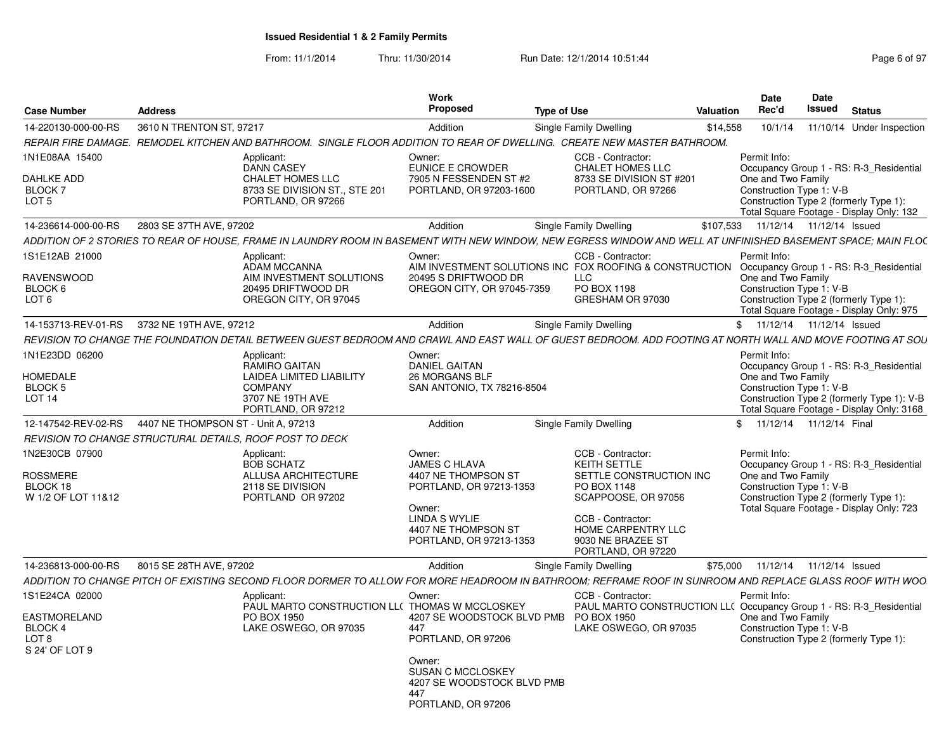From: 11/1/2014Thru: 11/30/2014 Run Date: 12/1/2014 10:51:44 Research 2010 Rage 6 of 97

| <b>Case Number</b>                          | <b>Address</b>                                            |                                                                                                                                                               | Work<br>Proposed                                  | <b>Type of Use</b>                                                                                                   | Date<br>Rec'd<br>Valuation            | Date<br>Issued<br><b>Status</b>                                                    |
|---------------------------------------------|-----------------------------------------------------------|---------------------------------------------------------------------------------------------------------------------------------------------------------------|---------------------------------------------------|----------------------------------------------------------------------------------------------------------------------|---------------------------------------|------------------------------------------------------------------------------------|
| 14-220130-000-00-RS                         | 3610 N TRENTON ST, 97217                                  |                                                                                                                                                               | Addition                                          | <b>Single Family Dwelling</b>                                                                                        |                                       | \$14,558  10/1/14  11/10/14  Under Inspection                                      |
|                                             |                                                           | REPAIR FIRE DAMAGE. REMODEL KITCHEN AND BATHROOM. SINGLE FLOOR ADDITION TO REAR OF DWELLING. CREATE NEW MASTER BATHROOM.                                      |                                                   |                                                                                                                      |                                       |                                                                                    |
| 1N1E08AA 15400                              |                                                           | Applicant:                                                                                                                                                    | Owner:                                            | CCB - Contractor:                                                                                                    | Permit Info:                          |                                                                                    |
|                                             |                                                           | <b>DANN CASEY</b>                                                                                                                                             | EUNICE E CROWDER                                  | <b>CHALET HOMES LLC</b>                                                                                              |                                       | Occupancy Group 1 - RS: R-3 Residential                                            |
| <b>DAHLKE ADD</b><br>BLOCK 7                |                                                           | <b>CHALET HOMES LLC</b><br>8733 SE DIVISION ST., STE 201                                                                                                      | 7905 N FESSENDEN ST #2<br>PORTLAND, OR 97203-1600 | 8733 SE DIVISION ST #201<br>PORTLAND, OR 97266                                                                       | One and Two Family                    | Construction Type 1: V-B                                                           |
| LOT 5                                       |                                                           | PORTLAND, OR 97266                                                                                                                                            |                                                   |                                                                                                                      |                                       | Construction Type 2 (formerly Type 1):                                             |
|                                             |                                                           |                                                                                                                                                               |                                                   |                                                                                                                      |                                       | Total Square Footage - Display Only: 132                                           |
|                                             | 14-236614-000-00-RS 2803 SE 37TH AVE, 97202               |                                                                                                                                                               | Addition                                          | <b>Single Family Dwelling</b>                                                                                        | \$107,533  11/12/14  11/12/14  Issued |                                                                                    |
|                                             |                                                           | ADDITION OF 2 STORIES TO REAR OF HOUSE, FRAME IN LAUNDRY ROOM IN BASEMENT WITH NEW WINDOW, NEW EGRESS WINDOW AND WELL AT UNFINISHED BASEMENT SPACE; MAIN FLOC |                                                   |                                                                                                                      |                                       |                                                                                    |
| 1S1E12AB 21000                              |                                                           | Applicant:<br>ADAM MCCANNA                                                                                                                                    | Owner:                                            | CCB - Contractor:<br>AIM INVESTMENT SOLUTIONS INC FOX ROOFING & CONSTRUCTION Occupancy Group 1 - RS: R-3_Residential | Permit Info:                          |                                                                                    |
| <b>RAVENSWOOD</b>                           |                                                           | AIM INVESTMENT SOLUTIONS                                                                                                                                      | 20495 S DRIFTWOOD DR                              |                                                                                                                      | One and Two Family                    |                                                                                    |
| BLOCK 6                                     |                                                           | 20495 DRIFTWOOD DR                                                                                                                                            | OREGON CITY, OR 97045-7359                        | PO BOX 1198                                                                                                          |                                       | Construction Type 1: V-B                                                           |
| LOT 6                                       |                                                           | OREGON CITY, OR 97045                                                                                                                                         |                                                   | GRESHAM OR 97030                                                                                                     |                                       | Construction Type 2 (formerly Type 1):<br>Total Square Footage - Display Only: 975 |
|                                             | 14-153713-REV-01-RS 3732 NE 19TH AVE, 97212               |                                                                                                                                                               | Addition                                          | <b>Single Family Dwelling</b>                                                                                        |                                       | \$ 11/12/14 11/12/14 Issued                                                        |
|                                             |                                                           | REVISION TO CHANGE THE FOUNDATION DETAIL BETWEEN GUEST BEDROOM AND CRAWL AND EAST WALL OF GUEST BEDROOM. ADD FOOTING AT NORTH WALL AND MOVE FOOTING AT SOU    |                                                   |                                                                                                                      |                                       |                                                                                    |
| 1N1E23DD 06200                              |                                                           | Applicant:                                                                                                                                                    | Owner:                                            |                                                                                                                      | Permit Info:                          |                                                                                    |
|                                             |                                                           | RAMIRO GAITAN                                                                                                                                                 | <b>DANIEL GAITAN</b>                              |                                                                                                                      |                                       | Occupancy Group 1 - RS: R-3 Residential                                            |
| <b>HOMEDALE</b><br>BLOCK 5                  |                                                           | LAIDEA LIMITED LIABILITY<br>COMPANY                                                                                                                           | 26 MORGANS BLF<br>SAN ANTONIO, TX 78216-8504      |                                                                                                                      | One and Two Family                    | Construction Type 1: V-B                                                           |
| LOT 14                                      |                                                           | 3707 NE 19TH AVE                                                                                                                                              |                                                   |                                                                                                                      |                                       | Construction Type 2 (formerly Type 1): V-B                                         |
|                                             |                                                           | PORTLAND, OR 97212                                                                                                                                            |                                                   |                                                                                                                      |                                       | Total Square Footage - Display Only: 3168                                          |
|                                             | 12-147542-REV-02-RS   4407 NE THOMPSON ST - Unit A, 97213 |                                                                                                                                                               | Addition                                          | Single Family Dwelling                                                                                               |                                       | \$ 11/12/14 11/12/14 Final                                                         |
|                                             |                                                           | REVISION TO CHANGE STRUCTURAL DETAILS, ROOF POST TO DECK                                                                                                      |                                                   |                                                                                                                      |                                       |                                                                                    |
| 1N2E30CB 07900                              |                                                           | Applicant:                                                                                                                                                    | Owner:                                            | CCB - Contractor:                                                                                                    | Permit Info:                          |                                                                                    |
| <b>ROSSMERE</b>                             |                                                           | <b>BOB SCHATZ</b><br><b>ALLUSA ARCHITECTURE</b>                                                                                                               | JAMES C HLAVA<br>4407 NE THOMPSON ST              | KEITH SETTLE<br>SETTLE CONSTRUCTION INC                                                                              | One and Two Family                    | Occupancy Group 1 - RS: R-3_Residential                                            |
| BLOCK 18                                    |                                                           | 2118 SE DIVISION                                                                                                                                              | PORTLAND, OR 97213-1353                           | PO BOX 1148                                                                                                          |                                       | Construction Type 1: V-B                                                           |
| W 1/2 OF LOT 11&12                          |                                                           | PORTLAND OR 97202                                                                                                                                             |                                                   | SCAPPOOSE, OR 97056                                                                                                  |                                       | Construction Type 2 (formerly Type 1):                                             |
|                                             |                                                           |                                                                                                                                                               | Owner:<br>LINDA S WYLIE                           | CCB - Contractor:                                                                                                    |                                       | Total Square Footage - Display Only: 723                                           |
|                                             |                                                           |                                                                                                                                                               | 4407 NE THOMPSON ST                               | HOME CARPENTRY LLC                                                                                                   |                                       |                                                                                    |
|                                             |                                                           |                                                                                                                                                               | PORTLAND, OR 97213-1353                           | 9030 NE BRAZEE ST<br>PORTLAND, OR 97220                                                                              |                                       |                                                                                    |
| 14-236813-000-00-RS 8015 SE 28TH AVE, 97202 |                                                           |                                                                                                                                                               | Addition                                          | Single Family Dwelling                                                                                               |                                       | \$75,000  11/12/14  11/12/14  Issued                                               |
|                                             |                                                           | ADDITION TO CHANGE PITCH OF EXISTING SECOND FLOOR DORMER TO ALLOW FOR MORE HEADROOM IN BATHROOM; REFRAME ROOF IN SUNROOM AND REPLACE GLASS ROOF WITH WOO      |                                                   |                                                                                                                      |                                       |                                                                                    |
| 1S1E24CA 02000                              |                                                           | Applicant:                                                                                                                                                    | Owner:                                            | CCB - Contractor:                                                                                                    | Permit Info:                          |                                                                                    |
|                                             |                                                           | PAUL MARTO CONSTRUCTION LL( THOMAS W MCCLOSKEY                                                                                                                |                                                   |                                                                                                                      |                                       | PAUL MARTO CONSTRUCTION LL(Occupancy Group 1 - RS: R-3 Residential                 |
| <b>EASTMORELAND</b>                         |                                                           | PO BOX 1950                                                                                                                                                   | 4207 SE WOODSTOCK BLVD PMB PO BOX 1950<br>447     |                                                                                                                      | One and Two Family                    |                                                                                    |
| BLOCK 4<br>LOT 8                            |                                                           | LAKE OSWEGO, OR 97035                                                                                                                                         | PORTLAND, OR 97206                                | LAKE OSWEGO, OR 97035                                                                                                |                                       | Construction Type 1: V-B<br>Construction Type 2 (formerly Type 1):                 |
| S 24' OF LOT 9                              |                                                           |                                                                                                                                                               |                                                   |                                                                                                                      |                                       |                                                                                    |
|                                             |                                                           |                                                                                                                                                               | Owner:<br>SUSAN C MCCLOSKEY                       |                                                                                                                      |                                       |                                                                                    |
|                                             |                                                           |                                                                                                                                                               | 4207 SE WOODSTOCK BLVD PMB                        |                                                                                                                      |                                       |                                                                                    |
|                                             |                                                           |                                                                                                                                                               | AA7                                               |                                                                                                                      |                                       |                                                                                    |
|                                             |                                                           |                                                                                                                                                               | PORTLAND, OR 97206                                |                                                                                                                      |                                       |                                                                                    |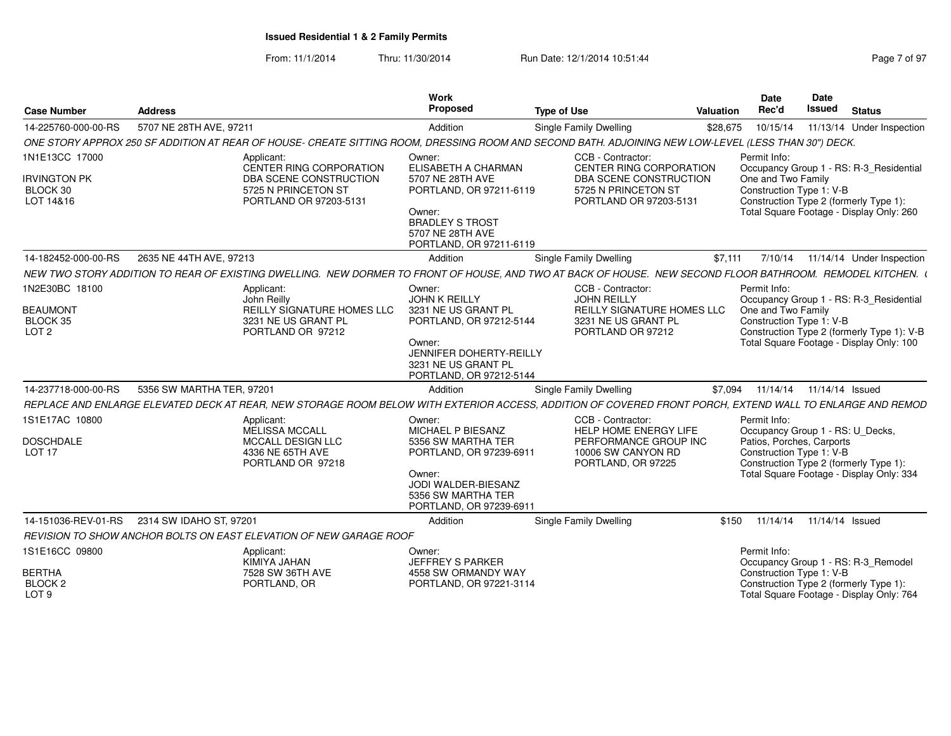From: 11/1/2014Thru: 11/30/2014 Run Date: 12/1/2014 10:51:44 Research 2010 Rage 7 of 97

| <b>Case Number</b>                                                        | <b>Address</b>                              |                                                                                                                                                           | Work<br>Proposed                                                                                                                                                        | <b>Type of Use</b>                                                                                                       | Valuation | <b>Date</b><br>Rec'd                                                                                                                                                                                | <b>Date</b><br><b>Issued</b> | <b>Status</b> |                           |
|---------------------------------------------------------------------------|---------------------------------------------|-----------------------------------------------------------------------------------------------------------------------------------------------------------|-------------------------------------------------------------------------------------------------------------------------------------------------------------------------|--------------------------------------------------------------------------------------------------------------------------|-----------|-----------------------------------------------------------------------------------------------------------------------------------------------------------------------------------------------------|------------------------------|---------------|---------------------------|
| 14-225760-000-00-RS                                                       | 5707 NE 28TH AVE, 97211                     |                                                                                                                                                           | Addition                                                                                                                                                                | <b>Single Family Dwelling</b>                                                                                            | \$28,675  | 10/15/14                                                                                                                                                                                            |                              |               | 11/13/14 Under Inspection |
|                                                                           |                                             | ONE STORY APPROX 250 SF ADDITION AT REAR OF HOUSE- CREATE SITTING ROOM, DRESSING ROOM AND SECOND BATH. ADJOINING NEW LOW-LEVEL (LESS THAN 30") DECK.      |                                                                                                                                                                         |                                                                                                                          |           |                                                                                                                                                                                                     |                              |               |                           |
| 1N1E13CC 17000<br><b>IRVINGTON PK</b><br>BLOCK 30<br>LOT 14&16            |                                             | Applicant:<br>CENTER RING CORPORATION<br>DBA SCENE CONSTRUCTION<br>5725 N PRINCETON ST<br>PORTLAND OR 97203-5131                                          | Owner:<br>ELISABETH A CHARMAN<br>5707 NE 28TH AVE<br>PORTLAND, OR 97211-6119<br>Owner:<br><b>BRADLEY S TROST</b><br>5707 NE 28TH AVE<br>PORTLAND, OR 97211-6119         | CCB - Contractor:<br>CENTER RING CORPORATION<br>DBA SCENE CONSTRUCTION<br>5725 N PRINCETON ST<br>PORTLAND OR 97203-5131  |           | Permit Info:<br>Occupancy Group 1 - RS: R-3_Residential<br>One and Two Family<br>Construction Type 1: V-B<br>Construction Type 2 (formerly Type 1):<br>Total Square Footage - Display Only: 260     |                              |               |                           |
| 14-182452-000-00-RS                                                       | 2635 NE 44TH AVE, 97213                     |                                                                                                                                                           | Addition                                                                                                                                                                | Single Family Dwelling                                                                                                   | \$7,111   | 7/10/14                                                                                                                                                                                             |                              |               | 11/14/14 Under Inspection |
|                                                                           |                                             | NEW TWO STORY ADDITION TO REAR OF EXISTING DWELLING. NEW DORMER TO FRONT OF HOUSE. AND TWO AT BACK OF HOUSE. NEW SECOND FLOOR BATHROOM. REMODEL KITCHEN.  |                                                                                                                                                                         |                                                                                                                          |           |                                                                                                                                                                                                     |                              |               |                           |
| 1N2E30BC 18100<br><b>BEAUMONT</b><br>BLOCK 35<br>LOT <sub>2</sub>         |                                             | Applicant:<br>John Reilly<br>REILLY SIGNATURE HOMES LLC<br>3231 NE US GRANT PL<br>PORTLAND OR 97212                                                       | Owner:<br><b>JOHN K REILLY</b><br>3231 NE US GRANT PL<br>PORTLAND, OR 97212-5144<br>Owner:<br>JENNIFER DOHERTY-REILLY<br>3231 NE US GRANT PL<br>PORTLAND, OR 97212-5144 | CCB - Contractor:<br><b>JOHN REILLY</b><br><b>REILLY SIGNATURE HOMES LLC</b><br>3231 NE US GRANT PL<br>PORTLAND OR 97212 |           | Permit Info:<br>Occupancy Group 1 - RS: R-3 Residential<br>One and Two Family<br>Construction Type 1: V-B<br>Construction Type 2 (formerly Type 1): V-B<br>Total Square Footage - Display Only: 100 |                              |               |                           |
| 14-237718-000-00-RS                                                       | 5356 SW MARTHA TER. 97201                   |                                                                                                                                                           | Addition                                                                                                                                                                | Single Family Dwelling                                                                                                   | \$7.094   |                                                                                                                                                                                                     | 11/14/14  11/14/14  Issued   |               |                           |
|                                                                           |                                             | REPLACE AND ENLARGE ELEVATED DECK AT REAR, NEW STORAGE ROOM BELOW WITH EXTERIOR ACCESS, ADDITION OF COVERED FRONT PORCH, EXTEND WALL TO ENLARGE AND REMOD |                                                                                                                                                                         |                                                                                                                          |           |                                                                                                                                                                                                     |                              |               |                           |
| 1S1E17AC 10800<br><b>DOSCHDALE</b><br>LOT <sub>17</sub>                   |                                             | Applicant:<br>MELISSA MCCALL<br>MCCALL DESIGN LLC<br>4336 NE 65TH AVE<br>PORTLAND OR 97218                                                                | Owner:<br>MICHAEL P BIESANZ<br>5356 SW MARTHA TER<br>PORTLAND, OR 97239-6911<br>Owner:<br>JODI WALDER-BIESANZ<br>5356 SW MARTHA TER<br>PORTLAND, OR 97239-6911          | <b>CCB - Contractor:</b><br>HELP HOME ENERGY LIFE<br>PERFORMANCE GROUP INC<br>10006 SW CANYON RD<br>PORTLAND, OR 97225   |           | Permit Info:<br>Occupancy Group 1 - RS: U_Decks,<br>Patios, Porches, Carports<br>Construction Type 1: V-B<br>Construction Type 2 (formerly Type 1):<br>Total Square Footage - Display Only: 334     |                              |               |                           |
|                                                                           | 14-151036-REV-01-RS 2314 SW IDAHO ST, 97201 |                                                                                                                                                           | Addition                                                                                                                                                                | Single Family Dwelling                                                                                                   | \$150     |                                                                                                                                                                                                     | 11/14/14  11/14/14  Issued   |               |                           |
|                                                                           |                                             | REVISION TO SHOW ANCHOR BOLTS ON EAST ELEVATION OF NEW GARAGE ROOF                                                                                        |                                                                                                                                                                         |                                                                                                                          |           |                                                                                                                                                                                                     |                              |               |                           |
| 1S1E16CC 09800<br><b>BERTHA</b><br>BLOCK <sub>2</sub><br>LOT <sub>9</sub> |                                             | Applicant:<br>KIMIYA JAHAN<br>7528 SW 36TH AVE<br>PORTLAND, OR                                                                                            | Owner:<br>JEFFREY S PARKER<br>4558 SW ORMANDY WAY<br>PORTLAND, OR 97221-3114                                                                                            |                                                                                                                          |           | Permit Info:<br>Occupancy Group 1 - RS: R-3 Remodel<br>Construction Type 1: V-B<br>Construction Type 2 (formerly Type 1):<br>Total Square Footage - Display Only: 764                               |                              |               |                           |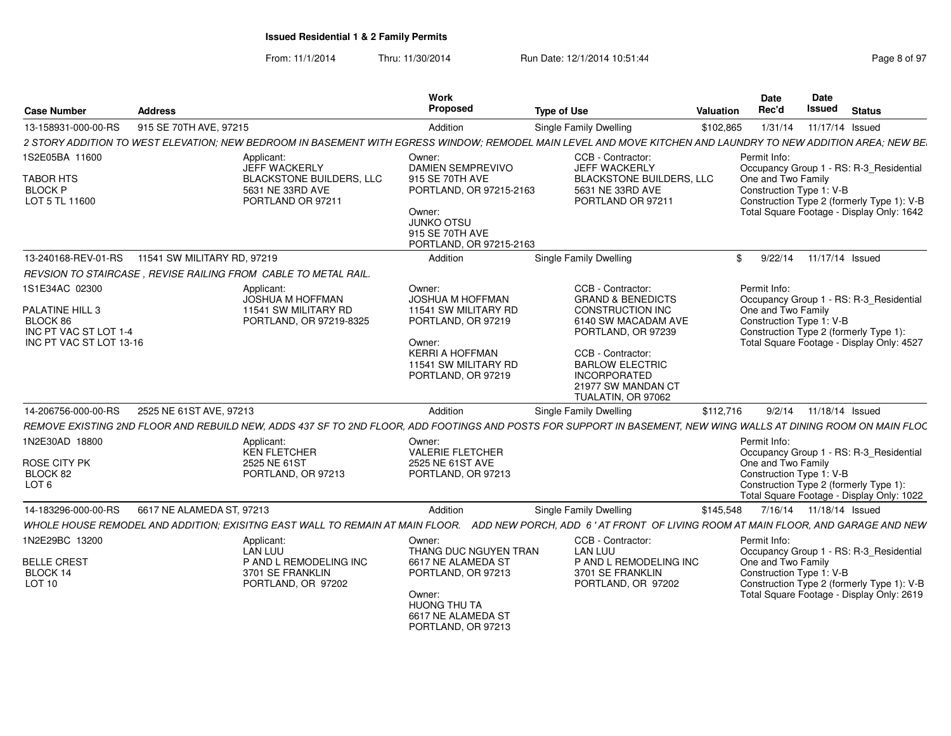From: 11/1/2014Thru: 11/30/2014 Run Date: 12/1/2014 10:51:44 Research 2010 Rage 8 of 97

| Case Number                                                                                       | <b>Address</b>                                                                                                                                                  | Work<br>Proposed                                                                                                                                                  | <b>Type of Use</b>                                                                                                                                                                                                            | Date<br>Rec'd<br>Valuation                                     | <b>Date</b><br>Issued<br><b>Status</b>                                                                                             |
|---------------------------------------------------------------------------------------------------|-----------------------------------------------------------------------------------------------------------------------------------------------------------------|-------------------------------------------------------------------------------------------------------------------------------------------------------------------|-------------------------------------------------------------------------------------------------------------------------------------------------------------------------------------------------------------------------------|----------------------------------------------------------------|------------------------------------------------------------------------------------------------------------------------------------|
| 13-158931-000-00-RS                                                                               | 915 SE 70TH AVE, 97215                                                                                                                                          | Addition                                                                                                                                                          | <b>Single Family Dwelling</b>                                                                                                                                                                                                 | \$102,865                                                      | 1/31/14  11/17/14  Issued                                                                                                          |
|                                                                                                   | 2 STORY ADDITION TO WEST ELEVATION; NEW BEDROOM IN BASEMENT WITH EGRESS WINDOW; REMODEL MAIN LEVEL AND MOVE KITCHEN AND LAUNDRY TO NEW ADDITION AREA; NEW BE    |                                                                                                                                                                   |                                                                                                                                                                                                                               |                                                                |                                                                                                                                    |
| 1S2E05BA 11600<br>TABOR HTS<br><b>BLOCK P</b><br>LOT 5 TL 11600                                   | Applicant:<br>JEFF WACKERLY<br><b>BLACKSTONE BUILDERS, LLC</b><br>5631 NE 33RD AVE<br>PORTLAND OR 97211                                                         | Owner:<br><b>DAMIEN SEMPREVIVO</b><br>915 SE 70TH AVE<br>PORTLAND, OR 97215-2163<br>Owner:<br><b>JUNKO OTSU</b><br>915 SE 70TH AVE<br>PORTLAND, OR 97215-2163     | CCB - Contractor:<br>JEFF WACKERLY<br><b>BLACKSTONE BUILDERS, LLC</b><br>5631 NE 33RD AVE<br>PORTLAND OR 97211                                                                                                                | Permit Info:<br>One and Two Family<br>Construction Type 1: V-B | Occupancy Group 1 - RS: R-3_Residential<br>Construction Type 2 (formerly Type 1): V-B<br>Total Square Footage - Display Only: 1642 |
| 13-240168-REV-01-RS                                                                               | 11541 SW MILITARY RD, 97219                                                                                                                                     | Addition                                                                                                                                                          | <b>Single Family Dwelling</b>                                                                                                                                                                                                 | 9/22/14                                                        | 11/17/14 Issued                                                                                                                    |
|                                                                                                   | REVSION TO STAIRCASE . REVISE RAILING FROM CABLE TO METAL RAIL.                                                                                                 |                                                                                                                                                                   |                                                                                                                                                                                                                               |                                                                |                                                                                                                                    |
| 1S1E34AC 02300<br>PALATINE HILL 3<br>BLOCK 86<br>INC PT VAC ST LOT 1-4<br>INC PT VAC ST LOT 13-16 | Applicant:<br>JOSHUA M HOFFMAN<br>11541 SW MILITARY RD<br>PORTLAND, OR 97219-8325                                                                               | Owner:<br><b>JOSHUA M HOFFMAN</b><br>11541 SW MILITARY RD<br>PORTLAND, OR 97219<br>Owner:<br><b>KERRI A HOFFMAN</b><br>11541 SW MILITARY RD<br>PORTLAND, OR 97219 | CCB - Contractor:<br><b>GRAND &amp; BENEDICTS</b><br>CONSTRUCTION INC<br>6140 SW MACADAM AVE<br>PORTLAND, OR 97239<br>CCB - Contractor:<br><b>BARLOW ELECTRIC</b><br>INCORPORATED<br>21977 SW MANDAN CT<br>TUALATIN, OR 97062 | Permit Info:<br>One and Two Family<br>Construction Type 1: V-B | Occupancy Group 1 - RS: R-3_Residential<br>Construction Type 2 (formerly Type 1):<br>Total Square Footage - Display Only: 4527     |
| 14-206756-000-00-RS                                                                               | 2525 NE 61ST AVE, 97213                                                                                                                                         | Addition                                                                                                                                                          | Single Family Dwelling                                                                                                                                                                                                        | 9/2/14<br>\$112,716                                            | 11/18/14 Issued                                                                                                                    |
|                                                                                                   | REMOVE EXISTING 2ND FLOOR AND REBUILD NEW, ADDS 437 SF TO 2ND FLOOR, ADD FOOTINGS AND POSTS FOR SUPPORT IN BASEMENT, NEW WING WALLS AT DINING ROOM ON MAIN FLOC |                                                                                                                                                                   |                                                                                                                                                                                                                               |                                                                |                                                                                                                                    |
| 1N2E30AD 18800<br>ROSE CITY PK<br>BLOCK 82<br>LOT <sub>6</sub>                                    | Applicant:<br>KEN FLETCHER<br>2525 NE 61ST<br>PORTLAND, OR 97213                                                                                                | Owner:<br><b>VALERIE FLETCHER</b><br>2525 NE 61ST AVE<br>PORTLAND, OR 97213                                                                                       |                                                                                                                                                                                                                               | Permit Info:<br>One and Two Family<br>Construction Type 1: V-B | Occupancy Group 1 - RS: R-3_Residential<br>Construction Type 2 (formerly Type 1):<br>Total Square Footage - Display Only: 1022     |
| 14-183296-000-00-RS                                                                               | 6617 NE ALAMEDA ST. 97213                                                                                                                                       | Addition                                                                                                                                                          | Single Family Dwelling                                                                                                                                                                                                        | \$145,548                                                      | 7/16/14  11/18/14  Issued                                                                                                          |
|                                                                                                   | WHOLE HOUSE REMODEL AND ADDITION: EXISITNG EAST WALL TO REMAIN AT MAIN FLOOR.                                                                                   |                                                                                                                                                                   | ADD NEW PORCH. ADD 6' AT FRONT OF LIVING ROOM AT MAIN FLOOR. AND GARAGE AND NEW                                                                                                                                               |                                                                |                                                                                                                                    |
| 1N2E29BC 13200<br><b>BELLE CREST</b><br>BLOCK 14<br><b>LOT 10</b>                                 | Applicant:<br>LAN LUU<br>P AND L REMODELING INC<br>3701 SE FRANKLIN<br>PORTLAND, OR 97202                                                                       | Owner:<br>THANG DUC NGUYEN TRAN<br>6617 NE ALAMEDA ST<br>PORTLAND, OR 97213<br>Owner:<br><b>HUONG THU TA</b><br>6617 NE ALAMEDA ST<br>PORTLAND, OR 97213          | CCB - Contractor:<br><b>LAN LUU</b><br>P AND L REMODELING INC<br>3701 SE FRANKLIN<br>PORTLAND, OR 97202                                                                                                                       | Permit Info:<br>One and Two Family<br>Construction Type 1: V-B | Occupancy Group 1 - RS: R-3_Residential<br>Construction Type 2 (formerly Type 1): V-B<br>Total Square Footage - Display Only: 2619 |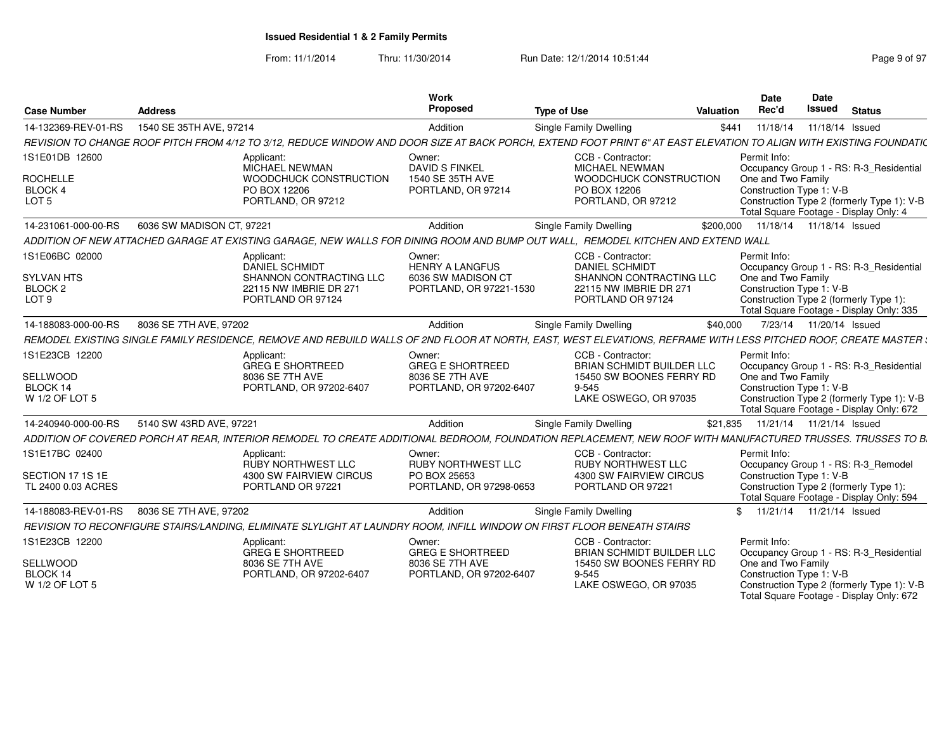From: 11/1/2014Thru: 11/30/2014 Run Date: 12/1/2014 10:51:44 Research 2010 Rage 9 of 97

| <b>Case Number</b>                                       | <b>Address</b>                                                                                                                                                      | Work<br>Proposed                                                                | <b>Type of Use</b>                                                                                               | Valuation | Date<br>Rec'd                                                                                                                                                                                       | Date<br>Issued            | <b>Status</b> |  |
|----------------------------------------------------------|---------------------------------------------------------------------------------------------------------------------------------------------------------------------|---------------------------------------------------------------------------------|------------------------------------------------------------------------------------------------------------------|-----------|-----------------------------------------------------------------------------------------------------------------------------------------------------------------------------------------------------|---------------------------|---------------|--|
| 14-132369-REV-01-RS                                      | 1540 SE 35TH AVE, 97214                                                                                                                                             | Addition                                                                        | <b>Single Family Dwelling</b>                                                                                    | \$441     | 11/18/14                                                                                                                                                                                            | 11/18/14 Issued           |               |  |
|                                                          | REVISION TO CHANGE ROOF PITCH FROM 4/12 TO 3/12. REDUCE WINDOW AND DOOR SIZE AT BACK PORCH. EXTEND FOOT PRINT 6" AT EAST ELEVATION TO ALIGN WITH EXISTING FOUNDATIC |                                                                                 |                                                                                                                  |           |                                                                                                                                                                                                     |                           |               |  |
| 1S1E01DB 12600<br><b>ROCHELLE</b>                        | Applicant:<br>MICHAEL NEWMAN<br>WOODCHUCK CONSTRUCTION                                                                                                              | Owner:<br><b>DAVID S FINKEL</b><br>1540 SE 35TH AVE                             | CCB - Contractor:<br><b>MICHAEL NEWMAN</b><br>WOODCHUCK CONSTRUCTION                                             |           | Permit Info:<br>Occupancy Group 1 - RS: R-3_Residential<br>One and Two Family                                                                                                                       |                           |               |  |
| BLOCK 4                                                  | PO BOX 12206                                                                                                                                                        | PORTLAND, OR 97214                                                              | PO BOX 12206                                                                                                     |           | Construction Type 1: V-B                                                                                                                                                                            |                           |               |  |
| LOT <sub>5</sub>                                         | PORTLAND, OR 97212                                                                                                                                                  |                                                                                 | PORTLAND, OR 97212                                                                                               |           | Construction Type 2 (formerly Type 1): V-B<br>Total Square Footage - Display Only: 4                                                                                                                |                           |               |  |
| 14-231061-000-00-RS                                      | 6036 SW MADISON CT, 97221                                                                                                                                           | Addition                                                                        | Single Family Dwelling                                                                                           |           | \$200,000  11/18/14  11/18/14  Issued                                                                                                                                                               |                           |               |  |
|                                                          | ADDITION OF NEW ATTACHED GARAGE AT EXISTING GARAGE. NEW WALLS FOR DINING ROOM AND BUMP OUT WALL. REMODEL KITCHEN AND EXTEND WALL                                    |                                                                                 |                                                                                                                  |           |                                                                                                                                                                                                     |                           |               |  |
| 1S1E06BC 02000                                           | Applicant:<br><b>DANIEL SCHMIDT</b>                                                                                                                                 | Owner:<br><b>HENRY A LANGFUS</b>                                                | CCB - Contractor:<br><b>DANIEL SCHMIDT</b>                                                                       |           | Permit Info:<br>Occupancy Group 1 - RS: R-3 Residential                                                                                                                                             |                           |               |  |
| <b>SYLVAN HTS</b><br>BLOCK 2                             | SHANNON CONTRACTING LLC<br>22115 NW IMBRIE DR 271                                                                                                                   | 6036 SW MADISON CT<br>PORTLAND, OR 97221-1530                                   | SHANNON CONTRACTING LLC<br>22115 NW IMBRIE DR 271                                                                |           | One and Two Family<br>Construction Type 1: V-B                                                                                                                                                      |                           |               |  |
| LOT <sub>9</sub>                                         | PORTLAND OR 97124                                                                                                                                                   |                                                                                 | PORTLAND OR 97124                                                                                                |           | Construction Type 2 (formerly Type 1):<br>Total Square Footage - Display Only: 335                                                                                                                  |                           |               |  |
| 14-188083-000-00-RS                                      | 8036 SE 7TH AVE, 97202                                                                                                                                              | Addition                                                                        | <b>Single Family Dwelling</b>                                                                                    | \$40,000  |                                                                                                                                                                                                     | 7/23/14  11/20/14  Issued |               |  |
|                                                          | REMODEL EXISTING SINGLE FAMILY RESIDENCE, REMOVE AND REBUILD WALLS OF 2ND FLOOR AT NORTH, EAST, WEST ELEVATIONS, REFRAME WITH LESS PITCHED ROOF, CREATE MASTER (    |                                                                                 |                                                                                                                  |           |                                                                                                                                                                                                     |                           |               |  |
| 1S1E23CB 12200<br>SELLWOOD<br>BLOCK 14<br>W 1/2 OF LOT 5 | Applicant:<br><b>GREG E SHORTREED</b><br>8036 SE 7TH AVE<br>PORTLAND, OR 97202-6407                                                                                 | Owner:<br><b>GREG E SHORTREED</b><br>8036 SE 7TH AVE<br>PORTLAND, OR 97202-6407 | CCB - Contractor:<br>BRIAN SCHMIDT BUILDER LLC<br>15450 SW BOONES FERRY RD<br>$9 - 545$<br>LAKE OSWEGO, OR 97035 |           | Permit Info:<br>Occupancy Group 1 - RS: R-3_Residential<br>One and Two Family<br>Construction Type 1: V-B<br>Construction Type 2 (formerly Type 1): V-B<br>Total Square Footage - Display Only: 672 |                           |               |  |
| 14-240940-000-00-RS                                      | 5140 SW 43RD AVE, 97221                                                                                                                                             | Addition                                                                        | Single Family Dwelling                                                                                           | \$21,835  | 11/21/14  11/21/14  Issued                                                                                                                                                                          |                           |               |  |
|                                                          | ADDITION OF COVERED PORCH AT REAR, INTERIOR REMODEL TO CREATE ADDITIONAL BEDROOM, FOUNDATION REPLACEMENT, NEW ROOF WITH MANUFACTURED TRUSSES. TRUSSES TO B.         |                                                                                 |                                                                                                                  |           |                                                                                                                                                                                                     |                           |               |  |
| 1S1E17BC 02400                                           | Applicant:<br><b>RUBY NORTHWEST LLC</b>                                                                                                                             | Owner:<br><b>RUBY NORTHWEST LLC</b>                                             | CCB - Contractor:<br><b>RUBY NORTHWEST LLC</b>                                                                   |           | Permit Info:<br>Occupancy Group 1 - RS: R-3 Remodel                                                                                                                                                 |                           |               |  |
| SECTION 17 1S 1E<br>TL 2400 0.03 ACRES                   | 4300 SW FAIRVIEW CIRCUS<br>PORTLAND OR 97221                                                                                                                        | PO BOX 25653<br>PORTLAND, OR 97298-0653                                         | 4300 SW FAIRVIEW CIRCUS<br>PORTLAND OR 97221                                                                     |           | Construction Type 1: V-B<br>Construction Type 2 (formerly Type 1):<br>Total Square Footage - Display Only: 594                                                                                      |                           |               |  |
| 14-188083-REV-01-RS                                      | 8036 SE 7TH AVE, 97202                                                                                                                                              | Addition                                                                        | Single Family Dwelling                                                                                           |           | \$ 11/21/14 11/21/14 Issued                                                                                                                                                                         |                           |               |  |
|                                                          | REVISION TO RECONFIGURE STAIRS/LANDING. ELIMINATE SLYLIGHT AT LAUNDRY ROOM. INFILL WINDOW ON FIRST FLOOR BENEATH STAIRS                                             |                                                                                 |                                                                                                                  |           |                                                                                                                                                                                                     |                           |               |  |
| 1S1E23CB 12200                                           | Applicant:<br><b>GREG E SHORTREED</b>                                                                                                                               | Owner:<br><b>GREG E SHORTREED</b>                                               | CCB - Contractor:<br>BRIAN SCHMIDT BUILDER LLC                                                                   |           | Permit Info:<br>Occupancy Group 1 - RS: R-3 Residential                                                                                                                                             |                           |               |  |
| SELLWOOD                                                 | 8036 SE 7TH AVE                                                                                                                                                     | 8036 SE 7TH AVE                                                                 | 15450 SW BOONES FERRY RD                                                                                         |           | One and Two Family                                                                                                                                                                                  |                           |               |  |
| BLOCK 14<br>W 1/2 OF LOT 5                               | PORTLAND, OR 97202-6407                                                                                                                                             | PORTLAND, OR 97202-6407                                                         | $9 - 545$<br>LAKE OSWEGO, OR 97035                                                                               |           | Construction Type 1: V-B<br>Construction Type 2 (formerly Type 1): V-B<br>Total Square Footage - Display Only: 672                                                                                  |                           |               |  |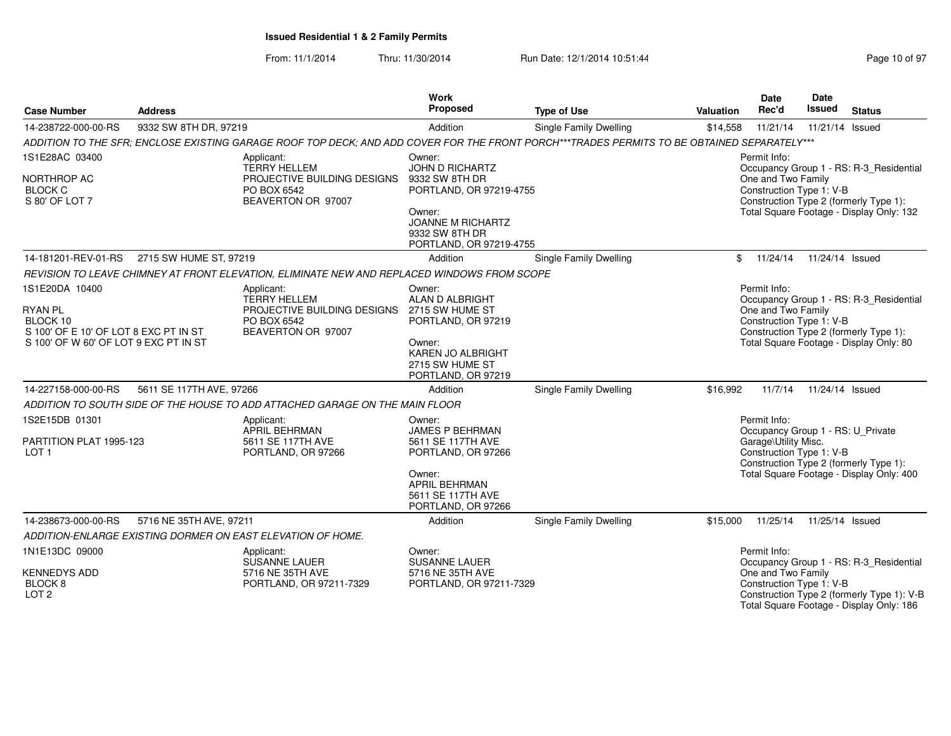|                                                               |                          |                                                                                                                                             | <b>Work</b>                                                                 |                               |           | Date                                             | <b>Date</b>     |                                                                                        |
|---------------------------------------------------------------|--------------------------|---------------------------------------------------------------------------------------------------------------------------------------------|-----------------------------------------------------------------------------|-------------------------------|-----------|--------------------------------------------------|-----------------|----------------------------------------------------------------------------------------|
| <b>Case Number</b>                                            | <b>Address</b>           |                                                                                                                                             | Proposed                                                                    | <b>Type of Use</b>            | Valuation | Rec'd                                            | <b>Issued</b>   | <b>Status</b>                                                                          |
| 14-238722-000-00-RS                                           | 9332 SW 8TH DR, 97219    |                                                                                                                                             | Addition                                                                    | Single Family Dwelling        | \$14,558  | 11/21/14                                         | 11/21/14 Issued |                                                                                        |
|                                                               |                          | ADDITION TO THE SFR; ENCLOSE EXISTING GARAGE ROOF TOP DECK; AND ADD COVER FOR THE FRONT PORCH***TRADES PERMITS TO BE OBTAINED SEPARATELY*** |                                                                             |                               |           |                                                  |                 |                                                                                        |
| 1S1E28AC 03400                                                |                          | Applicant:<br><b>TERRY HELLEM</b>                                                                                                           | Owner:<br><b>JOHN D RICHARTZ</b>                                            |                               |           | Permit Info:                                     |                 | Occupancy Group 1 - RS: R-3_Residential                                                |
| NORTHROP AC<br><b>BLOCK C</b><br>S 80' OF LOT 7               |                          | PROJECTIVE BUILDING DESIGNS<br>PO BOX 6542<br>BEAVERTON OR 97007                                                                            | 9332 SW 8TH DR<br>PORTLAND, OR 97219-4755<br>Owner:                         |                               |           | One and Two Family<br>Construction Type 1: V-B   |                 | Construction Type 2 (formerly Type 1):<br>Total Square Footage - Display Only: 132     |
|                                                               |                          |                                                                                                                                             | <b>JOANNE M RICHARTZ</b><br>9332 SW 8TH DR<br>PORTLAND, OR 97219-4755       |                               |           |                                                  |                 |                                                                                        |
| 14-181201-REV-01-RS                                           | 2715 SW HUME ST, 97219   |                                                                                                                                             | Addition                                                                    | Single Family Dwelling        |           | \$11/24/14                                       | 11/24/14 Issued |                                                                                        |
|                                                               |                          | REVISION TO LEAVE CHIMNEY AT FRONT ELEVATION, ELIMINATE NEW AND REPLACED WINDOWS FROM SCOPE                                                 |                                                                             |                               |           |                                                  |                 |                                                                                        |
| 1S1E20DA 10400                                                |                          | Applicant:<br><b>TERRY HELLEM</b>                                                                                                           | Owner:<br>ALAN D ALBRIGHT                                                   |                               |           | Permit Info:                                     |                 | Occupancy Group 1 - RS: R-3_Residential                                                |
| RYAN PL                                                       |                          | PROJECTIVE BUILDING DESIGNS                                                                                                                 | 2715 SW HUME ST                                                             |                               |           | One and Two Family                               |                 |                                                                                        |
| BLOCK 10<br>S 100' OF E 10' OF LOT 8 EXC PT IN ST             |                          | PO BOX 6542<br>BEAVERTON OR 97007                                                                                                           | PORTLAND, OR 97219                                                          |                               |           | Construction Type 1: V-B                         |                 | Construction Type 2 (formerly Type 1):                                                 |
| S 100' OF W 60' OF LOT 9 EXC PT IN ST                         |                          |                                                                                                                                             | Owner:<br><b>KAREN JO ALBRIGHT</b><br>2715 SW HUME ST<br>PORTLAND, OR 97219 |                               |           |                                                  |                 | Total Square Footage - Display Only: 80                                                |
| 14-227158-000-00-RS                                           | 5611 SE 117TH AVE, 97266 |                                                                                                                                             | Addition                                                                    | <b>Single Family Dwelling</b> | \$16,992  | 11/7/14                                          | 11/24/14 Issued |                                                                                        |
|                                                               |                          | ADDITION TO SOUTH SIDE OF THE HOUSE TO ADD ATTACHED GARAGE ON THE MAIN FLOOR                                                                |                                                                             |                               |           |                                                  |                 |                                                                                        |
| 1S2E15DB 01301                                                |                          | Applicant:<br><b>APRIL BEHRMAN</b>                                                                                                          | Owner:<br>JAMES P BEHRMAN                                                   |                               |           | Permit Info:                                     |                 | Occupancy Group 1 - RS: U_Private                                                      |
| PARTITION PLAT 1995-123<br>LOT <sub>1</sub>                   |                          | 5611 SE 117TH AVE<br>PORTLAND, OR 97266                                                                                                     | 5611 SE 117TH AVE<br>PORTLAND, OR 97266                                     |                               |           | Garage\Utility Misc.<br>Construction Type 1: V-B |                 | Construction Type 2 (formerly Type 1):                                                 |
|                                                               |                          |                                                                                                                                             | Owner:<br>APRIL BEHRMAN<br>5611 SE 117TH AVE<br>PORTLAND, OR 97266          |                               |           |                                                  |                 | Total Square Footage - Display Only: 400                                               |
| 14-238673-000-00-RS                                           | 5716 NE 35TH AVE, 97211  |                                                                                                                                             | Addition                                                                    | <b>Single Family Dwelling</b> | \$15,000  | 11/25/14                                         | 11/25/14 Issued |                                                                                        |
|                                                               |                          | ADDITION-ENLARGE EXISTING DORMER ON EAST ELEVATION OF HOME.                                                                                 |                                                                             |                               |           |                                                  |                 |                                                                                        |
| 1N1E13DC 09000                                                |                          | Applicant:<br><b>SUSANNE LAUER</b>                                                                                                          | Owner:<br>SUSANNE LAUER                                                     |                               |           | Permit Info:                                     |                 | Occupancy Group 1 - RS: R-3_Residential                                                |
| <b>KENNEDYS ADD</b><br>BLOCK <sub>8</sub><br>LOT <sub>2</sub> |                          | 5716 NE 35TH AVE<br>PORTLAND, OR 97211-7329                                                                                                 | 5716 NE 35TH AVE<br>PORTLAND, OR 97211-7329                                 |                               |           | One and Two Family<br>Construction Type 1: V-B   |                 | Construction Type 2 (formerly Type 1): V-B<br>Total Square Footage - Display Only: 186 |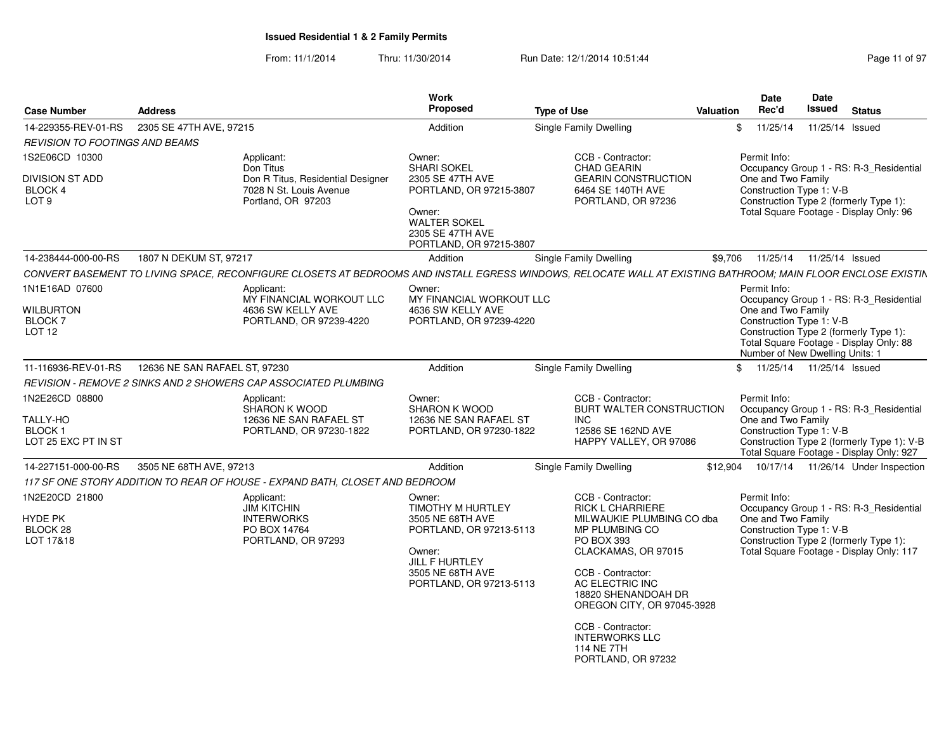| <b>Case Number</b>                                    | <b>Address</b>                                                                                                                                               | Work<br>Proposed                                                                                                       | <b>Type of Use</b>                                                                          | <b>Date</b><br>Rec'd<br>Valuation              | <b>Date</b><br>Issued<br><b>Status</b>                                                                                       |
|-------------------------------------------------------|--------------------------------------------------------------------------------------------------------------------------------------------------------------|------------------------------------------------------------------------------------------------------------------------|---------------------------------------------------------------------------------------------|------------------------------------------------|------------------------------------------------------------------------------------------------------------------------------|
|                                                       | 14-229355-REV-01-RS 2305 SE 47TH AVE, 97215                                                                                                                  | Addition                                                                                                               | Single Family Dwelling                                                                      |                                                | \$ 11/25/14 11/25/14 Issued                                                                                                  |
| <b>REVISION TO FOOTINGS AND BEAMS</b>                 |                                                                                                                                                              |                                                                                                                        |                                                                                             |                                                |                                                                                                                              |
| 1S2E06CD 10300                                        | Applicant:                                                                                                                                                   | Owner:                                                                                                                 | CCB - Contractor:                                                                           | Permit Info:                                   |                                                                                                                              |
| <b>DIVISION ST ADD</b><br>BLOCK 4<br>LOT <sub>9</sub> | Don Titus<br>Don R Titus, Residential Designer<br>7028 N St. Louis Avenue<br>Portland, OR 97203                                                              | <b>SHARI SOKEL</b><br>2305 SE 47TH AVE<br>PORTLAND, OR 97215-3807<br>Owner:<br><b>WALTER SOKEL</b><br>2305 SE 47TH AVE | <b>CHAD GEARIN</b><br><b>GEARIN CONSTRUCTION</b><br>6464 SE 140TH AVE<br>PORTLAND, OR 97236 | One and Two Family<br>Construction Type 1: V-B | Occupancy Group 1 - RS: R-3_Residential<br>Construction Type 2 (formerly Type 1):<br>Total Square Footage - Display Only: 96 |
|                                                       |                                                                                                                                                              | PORTLAND, OR 97215-3807                                                                                                |                                                                                             |                                                |                                                                                                                              |
| 14-238444-000-00-RS                                   | 1807 N DEKUM ST, 97217                                                                                                                                       | Addition                                                                                                               | Single Family Dwelling                                                                      | \$9,706  11/25/14  11/25/14  Issued            |                                                                                                                              |
|                                                       | CONVERT BASEMENT TO LIVING SPACE, RECONFIGURE CLOSETS AT BEDROOMS AND INSTALL EGRESS WINDOWS, RELOCATE WALL AT EXISTING BATHROOM; MAIN FLOOR ENCLOSE EXISTIN |                                                                                                                        |                                                                                             |                                                |                                                                                                                              |
| 1N1E16AD 07600                                        | Applicant:<br>MY FINANCIAL WORKOUT LLC                                                                                                                       | Owner:<br>MY FINANCIAL WORKOUT LLC                                                                                     |                                                                                             | Permit Info:                                   |                                                                                                                              |
| <b>WILBURTON</b>                                      | 4636 SW KELLY AVE                                                                                                                                            | 4636 SW KELLY AVE                                                                                                      |                                                                                             | One and Two Family                             | Occupancy Group 1 - RS: R-3_Residential                                                                                      |
| <b>BLOCK7</b>                                         | PORTLAND, OR 97239-4220                                                                                                                                      | PORTLAND, OR 97239-4220                                                                                                |                                                                                             | Construction Type 1: V-B                       |                                                                                                                              |
| LOT 12                                                |                                                                                                                                                              |                                                                                                                        |                                                                                             |                                                | Construction Type 2 (formerly Type 1):<br>Total Square Footage - Display Only: 88<br>Number of New Dwelling Units: 1         |
| 11-116936-REV-01-RS                                   | 12636 NE SAN RAFAEL ST, 97230                                                                                                                                | Addition                                                                                                               | Single Family Dwelling                                                                      |                                                | \$ 11/25/14 11/25/14 Issued                                                                                                  |
|                                                       | REVISION - REMOVE 2 SINKS AND 2 SHOWERS CAP ASSOCIATED PLUMBING                                                                                              |                                                                                                                        |                                                                                             |                                                |                                                                                                                              |
| 1N2E26CD 08800                                        | Applicant:                                                                                                                                                   | Owner:                                                                                                                 | CCB - Contractor:                                                                           | Permit Info:                                   |                                                                                                                              |
| TALLY-HO                                              | <b>SHARON K WOOD</b>                                                                                                                                         | <b>SHARON K WOOD</b><br>12636 NE SAN RAFAEL ST                                                                         | BURT WALTER CONSTRUCTION<br><b>INC</b>                                                      | One and Two Family                             | Occupancy Group 1 - RS: R-3_Residential                                                                                      |
| <b>BLOCK1</b>                                         | 12636 NE SAN RAFAEL ST<br>PORTLAND, OR 97230-1822                                                                                                            | PORTLAND, OR 97230-1822                                                                                                | 12586 SE 162ND AVE                                                                          | Construction Type 1: V-B                       |                                                                                                                              |
| LOT 25 EXC PT IN ST                                   |                                                                                                                                                              |                                                                                                                        | HAPPY VALLEY, OR 97086                                                                      |                                                | Construction Type 2 (formerly Type 1): V-B                                                                                   |
|                                                       |                                                                                                                                                              |                                                                                                                        |                                                                                             |                                                | Total Square Footage - Display Only: 927                                                                                     |
|                                                       | 14-227151-000-00-RS 3505 NE 68TH AVE, 97213                                                                                                                  | Addition                                                                                                               | Single Family Dwelling                                                                      |                                                | \$12,904  10/17/14  11/26/14  Under Inspection                                                                               |
|                                                       | 117 SF ONE STORY ADDITION TO REAR OF HOUSE - EXPAND BATH, CLOSET AND BEDROOM                                                                                 |                                                                                                                        |                                                                                             |                                                |                                                                                                                              |
| 1N2E20CD 21800                                        | Applicant:<br><b>JIM KITCHIN</b>                                                                                                                             | Owner:<br><b>TIMOTHY M HURTLEY</b>                                                                                     | CCB - Contractor:<br><b>RICK L CHARRIERE</b>                                                | Permit Info:                                   | Occupancy Group 1 - RS: R-3_Residential                                                                                      |
| HYDE PK                                               | <b>INTERWORKS</b>                                                                                                                                            | 3505 NE 68TH AVE                                                                                                       | MILWAUKIE PLUMBING CO dba                                                                   | One and Two Family                             |                                                                                                                              |
| BLOCK 28                                              | PO BOX 14764                                                                                                                                                 | PORTLAND, OR 97213-5113                                                                                                | MP PLUMBING CO                                                                              | Construction Type 1: V-B                       |                                                                                                                              |
| LOT 17&18                                             | PORTLAND, OR 97293                                                                                                                                           | Owner:                                                                                                                 | PO BOX 393<br>CLACKAMAS, OR 97015                                                           |                                                | Construction Type 2 (formerly Type 1):<br>Total Square Footage - Display Only: 117                                           |
|                                                       |                                                                                                                                                              | JILL F HURTLEY                                                                                                         |                                                                                             |                                                |                                                                                                                              |
|                                                       |                                                                                                                                                              | 3505 NE 68TH AVE<br>PORTLAND, OR 97213-5113                                                                            | CCB - Contractor:<br>AC ELECTRIC INC                                                        |                                                |                                                                                                                              |
|                                                       |                                                                                                                                                              |                                                                                                                        | 18820 SHENANDOAH DR                                                                         |                                                |                                                                                                                              |
|                                                       |                                                                                                                                                              |                                                                                                                        | OREGON CITY, OR 97045-3928                                                                  |                                                |                                                                                                                              |
|                                                       |                                                                                                                                                              |                                                                                                                        | CCB - Contractor:                                                                           |                                                |                                                                                                                              |
|                                                       |                                                                                                                                                              |                                                                                                                        | <b>INTERWORKS LLC</b>                                                                       |                                                |                                                                                                                              |
|                                                       |                                                                                                                                                              |                                                                                                                        | 114 NE 7TH                                                                                  |                                                |                                                                                                                              |
|                                                       |                                                                                                                                                              |                                                                                                                        | PORTLAND, OR 97232                                                                          |                                                |                                                                                                                              |
|                                                       |                                                                                                                                                              |                                                                                                                        |                                                                                             |                                                |                                                                                                                              |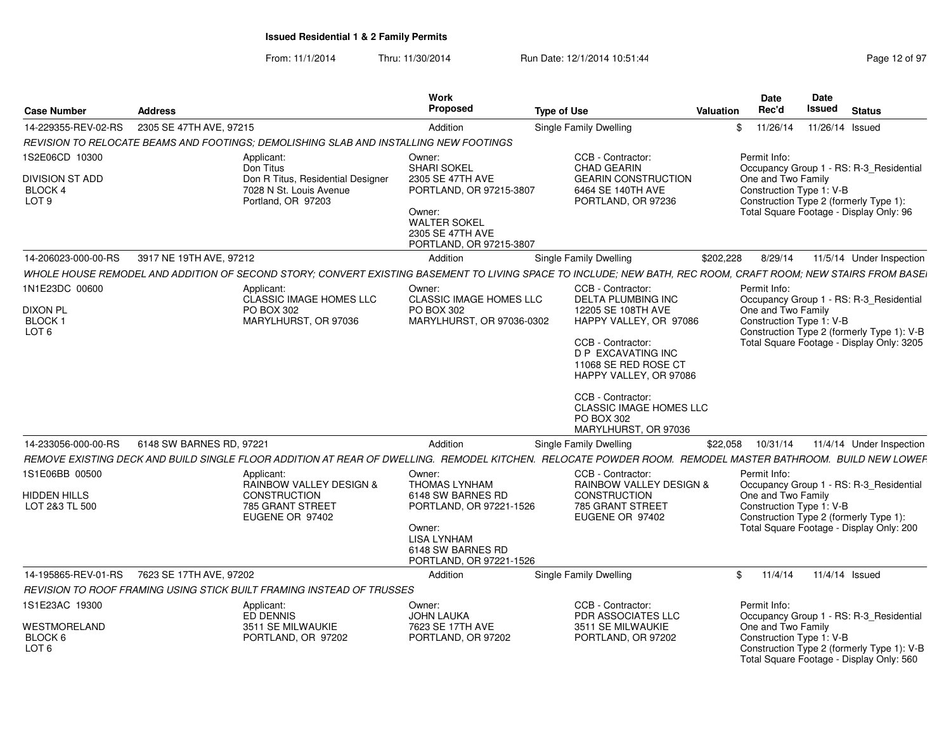| <b>Case Number</b>                                               | <b>Address</b>                                                                                                                                               | Work<br>Proposed                                                                                                                                  | <b>Type of Use</b>                                                                                                                                                       | Valuation | Date<br>Rec'd                      | <b>Date</b><br>Issued<br><b>Status</b>                                                                                                                         |
|------------------------------------------------------------------|--------------------------------------------------------------------------------------------------------------------------------------------------------------|---------------------------------------------------------------------------------------------------------------------------------------------------|--------------------------------------------------------------------------------------------------------------------------------------------------------------------------|-----------|------------------------------------|----------------------------------------------------------------------------------------------------------------------------------------------------------------|
| 14-229355-REV-02-RS                                              | 2305 SE 47TH AVE, 97215                                                                                                                                      | Addition                                                                                                                                          | <b>Single Family Dwelling</b>                                                                                                                                            |           | \$11/26/14                         | 11/26/14 Issued                                                                                                                                                |
|                                                                  | REVISION TO RELOCATE BEAMS AND FOOTINGS; DEMOLISHING SLAB AND INSTALLING NEW FOOTINGS                                                                        |                                                                                                                                                   |                                                                                                                                                                          |           |                                    |                                                                                                                                                                |
| 1S2E06CD 10300                                                   | Applicant:                                                                                                                                                   | Owner:                                                                                                                                            | CCB - Contractor:                                                                                                                                                        |           | Permit Info:                       |                                                                                                                                                                |
| DIVISION ST ADD<br>BLOCK 4<br>LOT <sub>9</sub>                   | Don Titus<br>Don R Titus, Residential Designer<br>7028 N St. Louis Avenue<br>Portland, OR 97203                                                              | <b>SHARI SOKEL</b><br>2305 SE 47TH AVE<br>PORTLAND, OR 97215-3807<br>Owner:<br><b>WALTER SOKEL</b><br>2305 SE 47TH AVE<br>PORTLAND, OR 97215-3807 | <b>CHAD GEARIN</b><br><b>GEARIN CONSTRUCTION</b><br>6464 SE 140TH AVE<br>PORTLAND, OR 97236                                                                              |           | One and Two Family                 | Occupancy Group 1 - RS: R-3_Residential<br>Construction Type 1: V-B<br>Construction Type 2 (formerly Type 1):<br>Total Square Footage - Display Only: 96       |
| 14-206023-000-00-RS                                              | 3917 NE 19TH AVE, 97212                                                                                                                                      | Addition                                                                                                                                          | <b>Single Family Dwelling</b>                                                                                                                                            | \$202,228 | 8/29/14                            | 11/5/14 Under Inspection                                                                                                                                       |
|                                                                  | WHOLE HOUSE REMODEL AND ADDITION OF SECOND STORY: CONVERT EXISTING BASEMENT TO LIVING SPACE TO INCLUDE; NEW BATH, REC ROOM, CRAFT ROOM; NEW STAIRS FROM BASE |                                                                                                                                                   |                                                                                                                                                                          |           |                                    |                                                                                                                                                                |
|                                                                  |                                                                                                                                                              |                                                                                                                                                   |                                                                                                                                                                          |           |                                    |                                                                                                                                                                |
| 1N1E23DC 00600<br><b>DIXON PL</b><br>BLOCK ·<br>LOT <sub>6</sub> | Applicant:<br>CLASSIC IMAGE HOMES LLC<br>PO BOX 302<br>MARYLHURST, OR 97036                                                                                  | Owner:<br><b>CLASSIC IMAGE HOMES LLC</b><br>PO BOX 302<br>MARYLHURST, OR 97036-0302                                                               | CCB - Contractor:<br><b>DELTA PLUMBING INC</b><br>12205 SE 108TH AVE<br>HAPPY VALLEY, OR 97086<br>CCB - Contractor:                                                      |           | Permit Info:<br>One and Two Family | Occupancy Group 1 - RS: R-3_Residential<br>Construction Type 1: V-B<br>Construction Type 2 (formerly Type 1): V-B<br>Total Square Footage - Display Only: 3205 |
|                                                                  |                                                                                                                                                              |                                                                                                                                                   | <b>D P EXCAVATING INC</b><br>11068 SE RED ROSE CT<br>HAPPY VALLEY, OR 97086<br>CCB - Contractor:<br><b>CLASSIC IMAGE HOMES LLC</b><br>PO BOX 302<br>MARYLHURST, OR 97036 |           |                                    |                                                                                                                                                                |
| 14-233056-000-00-RS                                              | 6148 SW BARNES RD, 97221                                                                                                                                     | Addition                                                                                                                                          | <b>Single Family Dwelling</b>                                                                                                                                            | \$22,058  | 10/31/14                           | 11/4/14 Under Inspection                                                                                                                                       |
|                                                                  | REMOVE EXISTING DECK AND BUILD SINGLE FLOOR ADDITION AT REAR OF DWELLING. REMODEL KITCHEN. RELOCATE POWDER ROOM. REMODEL MASTER BATHROOM. BUILD NEW LOWEF    |                                                                                                                                                   |                                                                                                                                                                          |           |                                    |                                                                                                                                                                |
| 1S1E06BB 00500                                                   | Applicant:                                                                                                                                                   | Owner:                                                                                                                                            | CCB - Contractor:                                                                                                                                                        |           | Permit Info:                       |                                                                                                                                                                |
| <b>HIDDEN HILLS</b>                                              | RAINBOW VALLEY DESIGN &<br><b>CONSTRUCTION</b>                                                                                                               | THOMAS LYNHAM<br>6148 SW BARNES RD                                                                                                                | RAINBOW VALLEY DESIGN &<br><b>CONSTRUCTION</b>                                                                                                                           |           | One and Two Family                 | Occupancy Group 1 - RS: R-3_Residential                                                                                                                        |
| LOT 2&3 TL 500                                                   | 785 GRANT STREET<br>EUGENE OR 97402                                                                                                                          | PORTLAND, OR 97221-1526                                                                                                                           | 785 GRANT STREET<br>EUGENE OR 97402                                                                                                                                      |           |                                    | Construction Type 1: V-B<br>Construction Type 2 (formerly Type 1):                                                                                             |
|                                                                  |                                                                                                                                                              | Owner:<br><b>LISA LYNHAM</b><br>6148 SW BARNES RD<br>PORTLAND, OR 97221-1526                                                                      |                                                                                                                                                                          |           |                                    | Total Square Footage - Display Only: 200                                                                                                                       |
|                                                                  | 14-195865-REV-01-RS 7623 SE 17TH AVE, 97202                                                                                                                  | Addition                                                                                                                                          | <b>Single Family Dwelling</b>                                                                                                                                            |           | \$11/4/14                          | 11/4/14 Issued                                                                                                                                                 |
|                                                                  | REVISION TO ROOF FRAMING USING STICK BUILT FRAMING INSTEAD OF TRUSSES                                                                                        |                                                                                                                                                   |                                                                                                                                                                          |           |                                    |                                                                                                                                                                |
| 1S1E23AC 19300                                                   | Applicant:<br>ED DENNIS                                                                                                                                      | Owner:<br><b>JOHN LAUKA</b>                                                                                                                       | CCB - Contractor:<br>PDR ASSOCIATES LLC                                                                                                                                  |           | Permit Info:                       | Occupancy Group 1 - RS: R-3_Residential                                                                                                                        |
| WESTMORELAND<br>BLOCK 6                                          | 3511 SE MILWAUKIE                                                                                                                                            | 7623 SE 17TH AVE                                                                                                                                  | 3511 SE MILWAUKIE                                                                                                                                                        |           | One and Two Family                 |                                                                                                                                                                |
| LOT <sub>6</sub>                                                 | PORTLAND, OR 97202                                                                                                                                           | PORTLAND, OR 97202                                                                                                                                | PORTLAND, OR 97202                                                                                                                                                       |           |                                    | Construction Type 1: V-B<br>Construction Type 2 (formerly Type 1): V-B<br>Total Square Footage - Display Only: 560                                             |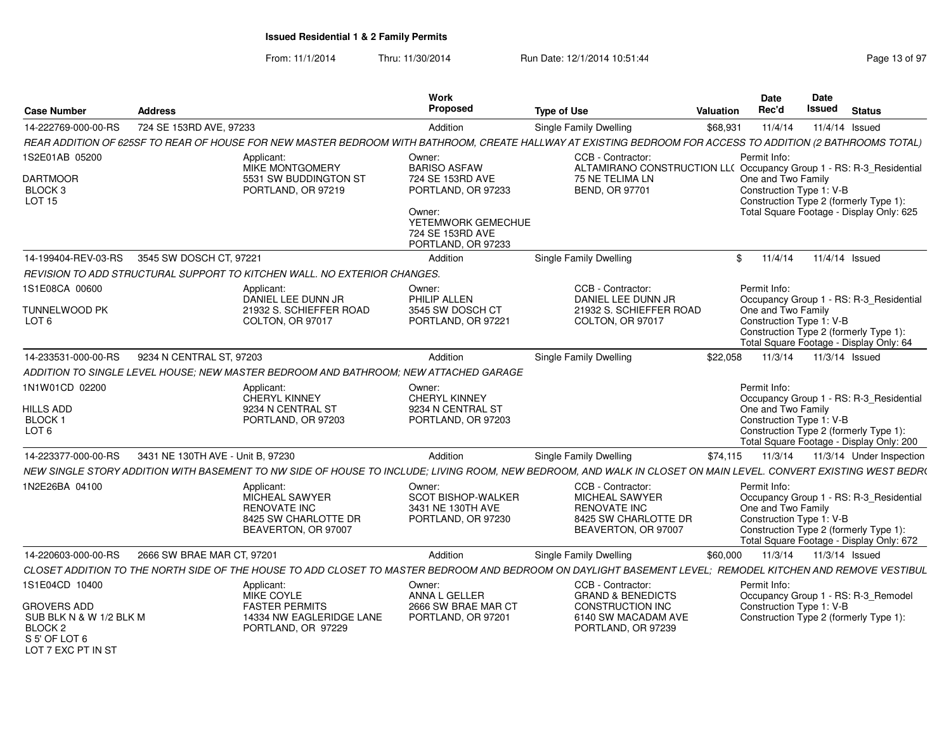| Case Number                           | Address                                     |                                                                                      | Work<br><b>Proposed</b>                   | <b>Type of Use</b>                                                                                                                                              | Valuation        | <b>Date</b><br>Rec'd                           | Date<br>Issued<br>Status                                             |
|---------------------------------------|---------------------------------------------|--------------------------------------------------------------------------------------|-------------------------------------------|-----------------------------------------------------------------------------------------------------------------------------------------------------------------|------------------|------------------------------------------------|----------------------------------------------------------------------|
| 14-222769-000-00-RS                   | 724 SE 153RD AVE, 97233                     |                                                                                      | Addition                                  | Single Family Dwelling                                                                                                                                          | \$68,931         |                                                | 11/4/14   11/4/14   Issued                                           |
|                                       |                                             |                                                                                      |                                           | REAR ADDITION OF 625SF TO REAR OF HOUSE FOR NEW MASTER BEDROOM WITH BATHROOM, CREATE HALLWAY AT EXISTING BEDROOM FOR ACCESS TO ADDITION (2 BATHROOMS TOTAL)     |                  |                                                |                                                                      |
| 1S2E01AB 05200                        |                                             | Applicant:                                                                           | Owner:                                    | CCB - Contractor:                                                                                                                                               |                  | Permit Info:                                   |                                                                      |
|                                       |                                             | MIKE MONTGOMERY                                                                      | <b>BARISO ASFAW</b>                       | ALTAMIRANO CONSTRUCTION LL( Occupancy Group 1 - RS: R-3_Residential                                                                                             |                  |                                                |                                                                      |
| <b>DARTMOOR</b><br>BLOCK <sub>3</sub> |                                             | 5531 SW BUDDINGTON ST<br>PORTLAND, OR 97219                                          | 724 SE 153RD AVE<br>PORTLAND, OR 97233    | 75 NE TELIMA LN<br>BEND, OR 97701                                                                                                                               |                  | One and Two Family<br>Construction Type 1: V-B |                                                                      |
| <b>LOT 15</b>                         |                                             |                                                                                      |                                           |                                                                                                                                                                 |                  |                                                | Construction Type 2 (formerly Type 1):                               |
|                                       |                                             |                                                                                      | Owner:<br>YETEMWORK GEMECHUE              |                                                                                                                                                                 |                  |                                                | Total Square Footage - Display Only: 625                             |
|                                       |                                             |                                                                                      | 724 SE 153RD AVE                          |                                                                                                                                                                 |                  |                                                |                                                                      |
|                                       |                                             |                                                                                      | PORTLAND, OR 97233                        |                                                                                                                                                                 |                  |                                                |                                                                      |
|                                       | 14-199404-REV-03-RS 3545 SW DOSCH CT, 97221 |                                                                                      | Addition                                  | <b>Single Family Dwelling</b>                                                                                                                                   |                  | \$11/4/14                                      | 11/4/14 Issued                                                       |
|                                       |                                             | REVISION TO ADD STRUCTURAL SUPPORT TO KITCHEN WALL. NO EXTERIOR CHANGES.             |                                           |                                                                                                                                                                 |                  |                                                |                                                                      |
| 1S1E08CA 00600                        |                                             | Applicant:<br>DANIEL LEE DUNN JR                                                     | Owner:<br>PHILIP ALLEN                    | CCB - Contractor:<br>DANIEL LEE DUNN JR                                                                                                                         |                  | Permit Info:                                   | Occupancy Group 1 - RS: R-3 Residential                              |
| TUNNELWOOD PK                         |                                             | 21932 S. SCHIEFFER ROAD                                                              | 3545 SW DOSCH CT                          | 21932 S. SCHIEFFER ROAD                                                                                                                                         |                  | One and Two Family                             |                                                                      |
| LOT 6                                 |                                             | COLTON, OR 97017                                                                     | PORTLAND, OR 97221                        | COLTON, OR 97017                                                                                                                                                |                  | Construction Type 1: V-B                       | Construction Type 2 (formerly Type 1):                               |
|                                       |                                             |                                                                                      |                                           |                                                                                                                                                                 |                  |                                                | Total Square Footage - Display Only: 64                              |
| 14-233531-000-00-RS                   | 9234 N CENTRAL ST, 97203                    |                                                                                      | Addition                                  | <b>Single Family Dwelling</b>                                                                                                                                   | \$22.058         | 11/3/14                                        | 11/3/14 Issued                                                       |
|                                       |                                             | ADDITION TO SINGLE LEVEL HOUSE; NEW MASTER BEDROOM AND BATHROOM; NEW ATTACHED GARAGE |                                           |                                                                                                                                                                 |                  |                                                |                                                                      |
| 1N1W01CD 02200                        |                                             | Applicant:                                                                           | Owner:                                    |                                                                                                                                                                 |                  | Permit Info:                                   |                                                                      |
| HILLS ADD                             |                                             | CHERYL KINNEY<br>9234 N CENTRAL ST                                                   | <b>CHERYL KINNEY</b><br>9234 N CENTRAL ST |                                                                                                                                                                 |                  | One and Two Family                             | Occupancy Group 1 - RS: R-3 Residential                              |
| BLOCK 1                               |                                             | PORTLAND, OR 97203                                                                   | PORTLAND, OR 97203                        |                                                                                                                                                                 |                  | Construction Type 1: V-B                       |                                                                      |
| LOT 6                                 |                                             |                                                                                      |                                           |                                                                                                                                                                 |                  |                                                | Construction Type 2 (formerly Type 1):                               |
| 14-223377-000-00-RS                   | 3431 NE 130TH AVE - Unit B. 97230           |                                                                                      | Addition                                  | <b>Single Family Dwelling</b>                                                                                                                                   | \$74.115 11/3/14 |                                                | Total Square Footage - Display Only: 200<br>11/3/14 Under Inspection |
|                                       |                                             |                                                                                      |                                           | NEW SINGLE STORY ADDITION WITH BASEMENT TO NW SIDE OF HOUSE TO INCLUDE; LIVING ROOM, NEW BEDROOM, AND WALK IN CLOSET ON MAIN LEVEL. CONVERT EXISTING WEST BEDR( |                  |                                                |                                                                      |
| 1N2E26BA 04100                        |                                             | Applicant:                                                                           | Owner:                                    | CCB - Contractor:                                                                                                                                               |                  | Permit Info:                                   |                                                                      |
|                                       |                                             | MICHEAL SAWYER                                                                       | <b>SCOT BISHOP-WALKER</b>                 | MICHEAL SAWYER                                                                                                                                                  |                  |                                                | Occupancy Group 1 - RS: R-3 Residential                              |
|                                       |                                             | <b>RENOVATE INC</b><br>8425 SW CHARLOTTE DR                                          | 3431 NE 130TH AVE<br>PORTLAND, OR 97230   | RENOVATE INC<br>8425 SW CHARLOTTE DR                                                                                                                            |                  | One and Two Family<br>Construction Type 1: V-B |                                                                      |
|                                       |                                             | BEAVERTON, OR 97007                                                                  |                                           | BEAVERTON, OR 97007                                                                                                                                             |                  |                                                | Construction Type 2 (formerly Type 1):                               |
|                                       |                                             |                                                                                      |                                           |                                                                                                                                                                 |                  |                                                | Total Square Footage - Display Only: 672                             |
| 14-220603-000-00-RS                   | 2666 SW BRAE MAR CT, 97201                  |                                                                                      | Addition                                  | <b>Single Family Dwelling</b>                                                                                                                                   |                  |                                                | \$60,000  11/3/14  11/3/14  Issued                                   |
|                                       |                                             |                                                                                      |                                           | CLOSET ADDITION TO THE NORTH SIDE OF THE HOUSE TO ADD CLOSET TO MASTER BEDROOM AND BEDROOM ON DAYLIGHT BASEMENT LEVEL; REMODEL KITCHEN AND REMOVE VESTIBUL      |                  |                                                |                                                                      |
| 1S1E04CD 10400                        |                                             | Applicant:<br>MIKE COYLE                                                             | Owner:<br>ANNA L GELLER                   | CCB - Contractor:<br><b>GRAND &amp; BENEDICTS</b>                                                                                                               |                  | Permit Info:                                   | Occupancy Group 1 - RS: R-3 Remodel                                  |
| <b>GROVERS ADD</b>                    |                                             | <b>FASTER PERMITS</b>                                                                | 2666 SW BRAE MAR CT                       | <b>CONSTRUCTION INC</b>                                                                                                                                         |                  | Construction Type 1: V-B                       |                                                                      |
| SUB BLK N & W 1/2 BLK M<br>BLOCK 2    |                                             | 14334 NW EAGLERIDGE LANE<br>PORTLAND, OR 97229                                       | PORTLAND, OR 97201                        | 6140 SW MACADAM AVE<br>PORTLAND, OR 97239                                                                                                                       |                  |                                                | Construction Type 2 (formerly Type 1):                               |
| S 5' OF LOT 6                         |                                             |                                                                                      |                                           |                                                                                                                                                                 |                  |                                                |                                                                      |
| LOT 7 EXC PT IN ST                    |                                             |                                                                                      |                                           |                                                                                                                                                                 |                  |                                                |                                                                      |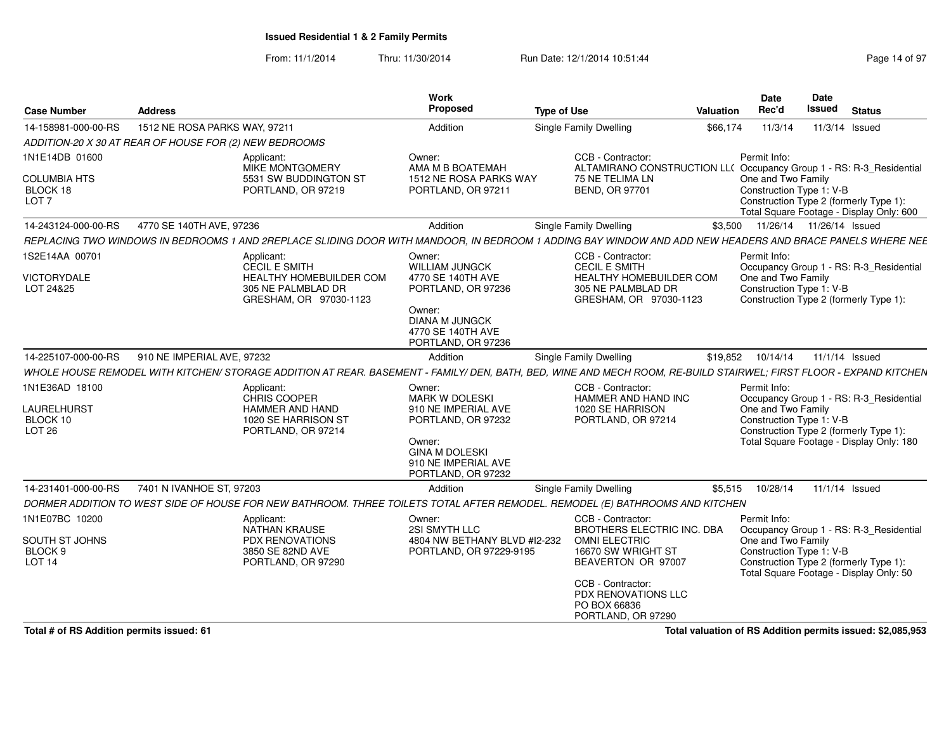From: 11/1/2014Thru: 11/30/2014 Run Date: 12/1/2014 10:51:44 Run Date: 12/1/2014 10:51:44

| <b>Case Number</b>                                                      | <b>Address</b>                                         |                                                                                                                      | <b>Work</b><br>Proposed                                                                                                                                      | <b>Type of Use</b>                                                                                                                                                 | <b>Valuation</b> | <b>Date</b><br>Rec'd                                           | Date<br>Issued             | <b>Status</b>                                                                                                                 |
|-------------------------------------------------------------------------|--------------------------------------------------------|----------------------------------------------------------------------------------------------------------------------|--------------------------------------------------------------------------------------------------------------------------------------------------------------|--------------------------------------------------------------------------------------------------------------------------------------------------------------------|------------------|----------------------------------------------------------------|----------------------------|-------------------------------------------------------------------------------------------------------------------------------|
| 14-158981-000-00-RS                                                     | 1512 NE ROSA PARKS WAY, 97211                          |                                                                                                                      | Addition                                                                                                                                                     | Single Family Dwelling                                                                                                                                             | \$66.174         | 11/3/14                                                        | 11/3/14 Issued             |                                                                                                                               |
|                                                                         | ADDITION-20 X 30 AT REAR OF HOUSE FOR (2) NEW BEDROOMS |                                                                                                                      |                                                                                                                                                              |                                                                                                                                                                    |                  |                                                                |                            |                                                                                                                               |
| 1N1E14DB 01600<br><b>COLUMBIA HTS</b><br>BLOCK 18<br>LOT <sub>7</sub>   |                                                        | Applicant:<br>MIKE MONTGOMERY<br>5531 SW BUDDINGTON ST<br>PORTLAND, OR 97219                                         | Owner:<br>AMA M B BOATEMAH<br>1512 NE ROSA PARKS WAY<br>PORTLAND, OR 97211                                                                                   | CCB - Contractor:<br>ALTAMIRANO CONSTRUCTION LL( Occupancy Group 1 - RS: R-3_Residential<br>75 NE TELIMA LN<br><b>BEND, OR 97701</b>                               |                  | Permit Info:<br>One and Two Family<br>Construction Type 1: V-B |                            | Construction Type 2 (formerly Type 1):<br>Total Square Footage - Display Only: 600                                            |
| 14-243124-000-00-RS                                                     | 4770 SE 140TH AVE, 97236                               |                                                                                                                      | Addition                                                                                                                                                     | Single Family Dwelling                                                                                                                                             | \$3,500          |                                                                | 11/26/14  11/26/14  Issued |                                                                                                                               |
|                                                                         |                                                        |                                                                                                                      |                                                                                                                                                              | REPLACING TWO WINDOWS IN BEDROOMS 1 AND 2REPLACE SLIDING DOOR WITH MANDOOR. IN BEDROOM 1 ADDING BAY WINDOW AND ADD NEW HEADERS AND BRACE PANELS WHERE NEE          |                  |                                                                |                            |                                                                                                                               |
| 1S2E14AA 00701<br><b>VICTORYDALE</b><br>LOT 24&25                       |                                                        | Applicant:<br><b>CECIL E SMITH</b><br><b>HEALTHY HOMEBUILDER COM</b><br>305 NE PALMBLAD DR<br>GRESHAM, OR 97030-1123 | Owner:<br><b>WILLIAM JUNGCK</b><br>4770 SE 140TH AVE<br>PORTLAND, OR 97236<br>Owner:<br><b>DIANA M JUNGCK</b><br>4770 SE 140TH AVE<br>PORTLAND, OR 97236     | CCB - Contractor:<br><b>CECIL E SMITH</b><br><b>HEALTHY HOMEBUILDER COM</b><br>305 NE PALMBLAD DR<br>GRESHAM, OR 97030-1123                                        |                  | Permit Info:<br>One and Two Family<br>Construction Type 1: V-B |                            | Occupancy Group 1 - RS: R-3 Residential<br>Construction Type 2 (formerly Type 1):                                             |
| 14-225107-000-00-RS                                                     | 910 NE IMPERIAL AVE, 97232                             |                                                                                                                      | Addition                                                                                                                                                     | <b>Single Family Dwelling</b>                                                                                                                                      | \$19,852         | 10/14/14                                                       | 11/1/14 Issued             |                                                                                                                               |
|                                                                         |                                                        |                                                                                                                      |                                                                                                                                                              | WHOLE HOUSE REMODEL WITH KITCHEN/ STORAGE ADDITION AT REAR. BASEMENT - FAMILY/ DEN. BATH. BED. WINE AND MECH ROOM. RE-BUILD STAIRWEL: FIRST FLOOR - EXPAND KITCHEN |                  |                                                                |                            |                                                                                                                               |
| 1N1E36AD 18100<br><b>LAURELHURST</b><br>BLOCK 10<br><b>LOT 26</b>       |                                                        | Applicant:<br>CHRIS COOPER<br><b>HAMMER AND HAND</b><br>1020 SE HARRISON ST<br>PORTLAND, OR 97214                    | Owner:<br><b>MARK W DOLESKI</b><br>910 NE IMPERIAL AVE<br>PORTLAND, OR 97232<br>Owner:<br><b>GINA M DOLESKI</b><br>910 NE IMPERIAL AVE<br>PORTLAND, OR 97232 | CCB - Contractor:<br>HAMMER AND HAND INC<br>1020 SE HARRISON<br>PORTLAND, OR 97214                                                                                 |                  | Permit Info:<br>One and Two Family<br>Construction Type 1: V-B |                            | Occupancy Group 1 - RS: R-3_Residential<br>Construction Type 2 (formerly Type 1):<br>Total Square Footage - Display Only: 180 |
| 14-231401-000-00-RS                                                     | 7401 N IVANHOE ST, 97203                               |                                                                                                                      | Addition                                                                                                                                                     | <b>Single Family Dwelling</b>                                                                                                                                      | \$5,515          | 10/28/14                                                       | 11/1/14 Issued             |                                                                                                                               |
|                                                                         |                                                        |                                                                                                                      |                                                                                                                                                              | DORMER ADDITION TO WEST SIDE OF HOUSE FOR NEW BATHROOM. THREE TOILETS TOTAL AFTER REMODEL. REMODEL (E) BATHROOMS AND KITCHEN                                       |                  |                                                                |                            |                                                                                                                               |
| 1N1E07BC 10200<br>SOUTH ST JOHNS<br>BLOCK <sub>9</sub><br><b>LOT 14</b> |                                                        | Applicant:<br><b>NATHAN KRAUSE</b><br>PDX RENOVATIONS<br>3850 SE 82ND AVE<br>PORTLAND, OR 97290                      | Owner:<br>2SI SMYTH LLC<br>4804 NW BETHANY BLVD #I2-232<br>PORTLAND, OR 97229-9195                                                                           | CCB - Contractor:<br>BROTHERS ELECTRIC INC. DBA<br><b>OMNI ELECTRIC</b><br>16670 SW WRIGHT ST<br>BEAVERTON OR 97007<br>CCB - Contractor:                           |                  | Permit Info:<br>One and Two Family<br>Construction Type 1: V-B |                            | Occupancy Group 1 - RS: R-3 Residential<br>Construction Type 2 (formerly Type 1):<br>Total Square Footage - Display Only: 50  |
|                                                                         |                                                        |                                                                                                                      |                                                                                                                                                              | PDX RENOVATIONS LLC<br>PO BOX 66836<br>PORTLAND, OR 97290                                                                                                          |                  |                                                                |                            |                                                                                                                               |

**Total # of RS Addition permits issued: 61**

**Total valuation of RS Addition permits issued: \$2,085,953**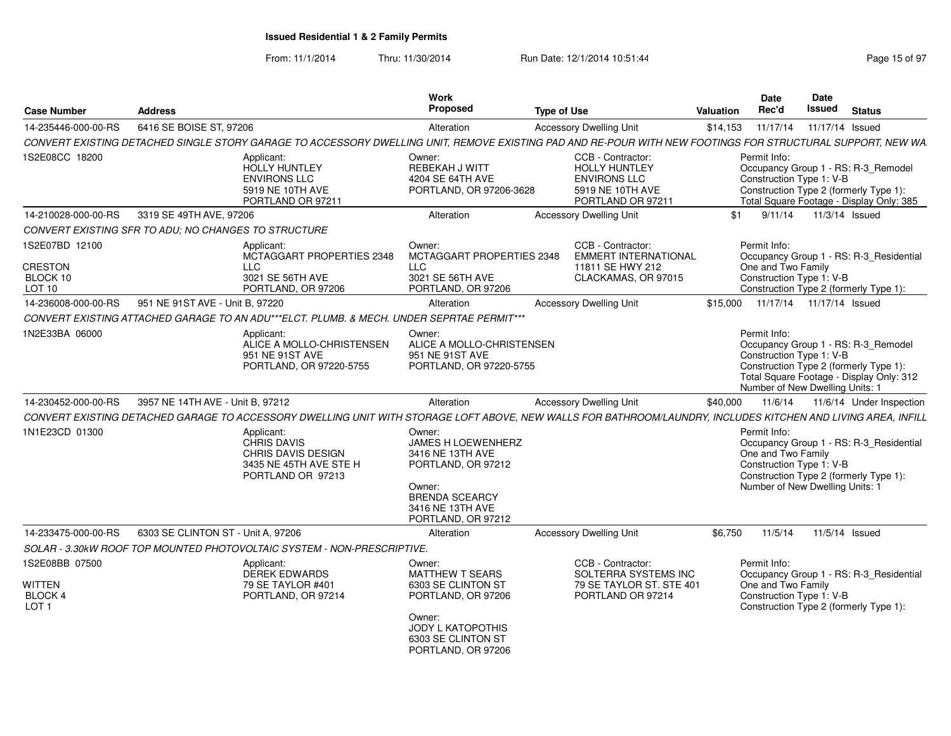| <b>Case Number</b>                                             | <b>Address</b>                                       |                                                                                                       | Work<br><b>Proposed</b>                                                                                                                                        | <b>Type of Use</b>                                                                                                                                            | Valuation | Date<br>Rec'd                                                                                     | <b>Date</b><br><b>Issued</b> | <b>Status</b>                                                                                                             |
|----------------------------------------------------------------|------------------------------------------------------|-------------------------------------------------------------------------------------------------------|----------------------------------------------------------------------------------------------------------------------------------------------------------------|---------------------------------------------------------------------------------------------------------------------------------------------------------------|-----------|---------------------------------------------------------------------------------------------------|------------------------------|---------------------------------------------------------------------------------------------------------------------------|
| 14-235446-000-00-RS                                            | 6416 SE BOISE ST, 97206                              |                                                                                                       | Alteration                                                                                                                                                     | <b>Accessory Dwelling Unit</b>                                                                                                                                | \$14,153  | 11/17/14                                                                                          | 11/17/14 Issued              |                                                                                                                           |
|                                                                |                                                      |                                                                                                       |                                                                                                                                                                | CONVERT EXISTING DETACHED SINGLE STORY GARAGE TO ACCESSORY DWELLING UNIT, REMOVE EXISTING PAD AND RE-POUR WITH NEW FOOTINGS FOR STRUCTURAL SUPPORT, NEW WA    |           |                                                                                                   |                              |                                                                                                                           |
| 1S2E08CC 18200                                                 |                                                      | Applicant:<br>HOLLY HUNTLEY<br><b>ENVIRONS LLC</b><br>5919 NE 10TH AVE<br>PORTLAND OR 97211           | Owner:<br>REBEKAH J WITT<br>4204 SE 64TH AVE<br>PORTLAND, OR 97206-3628                                                                                        | CCB - Contractor:<br><b>HOLLY HUNTLEY</b><br><b>ENVIRONS LLC</b><br>5919 NE 10TH AVE<br>PORTLAND OR 97211                                                     |           | Permit Info:<br>Construction Type 1: V-B                                                          |                              | Occupancy Group 1 - RS: R-3 Remodel<br>Construction Type 2 (formerly Type 1):<br>Total Square Footage - Display Only: 385 |
| 14-210028-000-00-RS                                            | 3319 SE 49TH AVE, 97206                              |                                                                                                       | Alteration                                                                                                                                                     | <b>Accessory Dwelling Unit</b>                                                                                                                                | \$1       | 9/11/14                                                                                           | 11/3/14 Issued               |                                                                                                                           |
|                                                                | CONVERT EXISTING SFR TO ADU: NO CHANGES TO STRUCTURE |                                                                                                       |                                                                                                                                                                |                                                                                                                                                               |           |                                                                                                   |                              |                                                                                                                           |
| 1S2E07BD 12100<br><b>CRESTON</b><br>BLOCK 10<br><b>LOT 10</b>  |                                                      | Applicant:<br>MCTAGGART PROPERTIES 2348<br><b>LLC</b><br>3021 SE 56TH AVE<br>PORTLAND, OR 97206       | Owner:<br>MCTAGGART PROPERTIES 2348<br>LLC<br>3021 SE 56TH AVE<br>PORTLAND, OR 97206                                                                           | CCB - Contractor:<br><b>EMMERT INTERNATIONAL</b><br>11811 SE HWY 212<br>CLACKAMAS, OR 97015                                                                   |           | Permit Info:<br>One and Two Family<br>Construction Type 1: V-B                                    |                              | Occupancy Group 1 - RS: R-3 Residential<br>Construction Type 2 (formerly Type 1):                                         |
| 14-236008-000-00-RS                                            | 951 NE 91ST AVE - Unit B, 97220                      |                                                                                                       | Alteration                                                                                                                                                     | <b>Accessory Dwelling Unit</b>                                                                                                                                | \$15,000  | 11/17/14  11/17/14  Issued                                                                        |                              |                                                                                                                           |
|                                                                |                                                      | CONVERT EXISTING ATTACHED GARAGE TO AN ADU***ELCT. PLUMB. & MECH. UNDER SEPRTAE PERMIT***             |                                                                                                                                                                |                                                                                                                                                               |           |                                                                                                   |                              |                                                                                                                           |
| 1N2E33BA 06000                                                 |                                                      | Applicant:<br>ALICE A MOLLO-CHRISTENSEN<br>951 NE 91ST AVE<br>PORTLAND, OR 97220-5755                 | Owner:<br>ALICE A MOLLO-CHRISTENSEN<br>951 NE 91ST AVE<br>PORTLAND, OR 97220-5755                                                                              |                                                                                                                                                               |           | Permit Info:<br>Construction Type 1: V-B<br>Number of New Dwelling Units: 1                       |                              | Occupancy Group 1 - RS: R-3 Remodel<br>Construction Type 2 (formerly Type 1):<br>Total Square Footage - Display Only: 312 |
| 14-230452-000-00-RS                                            | 3957 NE 14TH AVE - Unit B. 97212                     |                                                                                                       | Alteration                                                                                                                                                     | <b>Accessory Dwelling Unit</b>                                                                                                                                | \$40,000  | 11/6/14                                                                                           |                              | 11/6/14 Under Inspection                                                                                                  |
|                                                                |                                                      |                                                                                                       |                                                                                                                                                                | CONVERT EXISTING DETACHED GARAGE TO ACCESSORY DWELLING UNIT WITH STORAGE LOFT ABOVE, NEW WALLS FOR BATHROOM/LAUNDRY, INCLUDES KITCHEN AND LIVING AREA, INFILL |           |                                                                                                   |                              |                                                                                                                           |
| 1N1E23CD 01300                                                 |                                                      | Applicant:<br><b>CHRIS DAVIS</b><br>CHRIS DAVIS DESIGN<br>3435 NE 45TH AVE STE H<br>PORTLAND OR 97213 | Owner:<br>JAMES H LOEWENHERZ<br>3416 NE 13TH AVE<br>PORTLAND, OR 97212<br>Owner:<br><b>BRENDA SCEARCY</b><br>3416 NE 13TH AVE<br>PORTLAND, OR 97212            |                                                                                                                                                               |           | Permit Info:<br>One and Two Family<br>Construction Type 1: V-B<br>Number of New Dwelling Units: 1 |                              | Occupancy Group 1 - RS: R-3_Residential<br>Construction Type 2 (formerly Type 1):                                         |
| 14-233475-000-00-RS                                            | 6303 SE CLINTON ST - Unit A, 97206                   |                                                                                                       | Alteration                                                                                                                                                     | <b>Accessory Dwelling Unit</b>                                                                                                                                | \$6,750   | 11/5/14                                                                                           | 11/5/14 Issued               |                                                                                                                           |
|                                                                |                                                      | SOLAR - 3.30kW ROOF TOP MOUNTED PHOTOVOLTAIC SYSTEM - NON-PRESCRIPTIVE.                               |                                                                                                                                                                |                                                                                                                                                               |           |                                                                                                   |                              |                                                                                                                           |
| 1S2E08BB 07500<br><b>WITTEN</b><br>BLOCK 4<br>LOT <sub>1</sub> |                                                      | Applicant:<br><b>DEREK EDWARDS</b><br>79 SE TAYLOR #401<br>PORTLAND, OR 97214                         | Owner:<br><b>MATTHEW T SEARS</b><br>6303 SE CLINTON ST<br>PORTLAND, OR 97206<br>Owner:<br><b>JODY L KATOPOTHIS</b><br>6303 SE CLINTON ST<br>PORTLAND, OR 97206 | CCB - Contractor:<br>SOLTERRA SYSTEMS INC<br>79 SE TAYLOR ST. STE 401<br>PORTLAND OR 97214                                                                    |           | Permit Info:<br>One and Two Family<br>Construction Type 1: V-B                                    |                              | Occupancy Group 1 - RS: R-3 Residential<br>Construction Type 2 (formerly Type 1):                                         |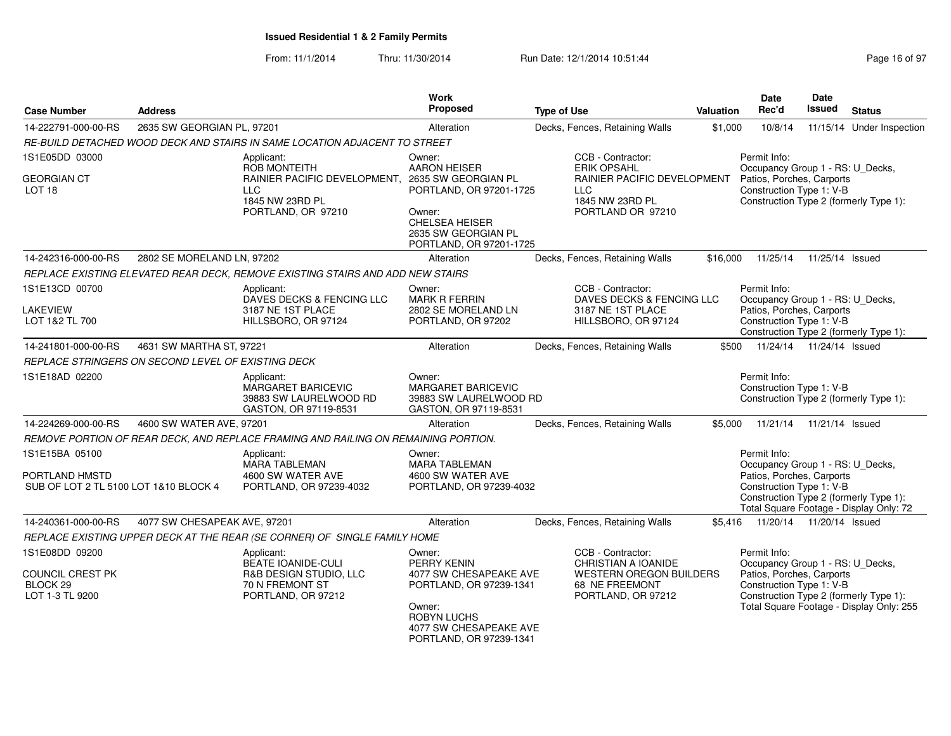| <b>Case Number</b>                              | <b>Address</b>                                     |                                                                                                         | <b>Work</b><br>Proposed                                                           | <b>Type of Use</b>                                                                         | <b>Valuation</b> | <b>Date</b><br>Rec'd                                                                                                                                | Date<br><b>Issued</b> | <b>Status</b>                            |
|-------------------------------------------------|----------------------------------------------------|---------------------------------------------------------------------------------------------------------|-----------------------------------------------------------------------------------|--------------------------------------------------------------------------------------------|------------------|-----------------------------------------------------------------------------------------------------------------------------------------------------|-----------------------|------------------------------------------|
| 14-222791-000-00-RS                             | 2635 SW GEORGIAN PL, 97201                         |                                                                                                         | Alteration                                                                        | Decks, Fences, Retaining Walls                                                             | \$1,000          | 10/8/14                                                                                                                                             |                       | 11/15/14 Under Inspection                |
|                                                 |                                                    | RE-BUILD DETACHED WOOD DECK AND STAIRS IN SAME LOCATION ADJACENT TO STREET                              |                                                                                   |                                                                                            |                  |                                                                                                                                                     |                       |                                          |
| 1S1E05DD 03000                                  |                                                    | Applicant:<br><b>ROB MONTEITH</b>                                                                       | Owner:<br><b>AARON HEISER</b>                                                     | CCB - Contractor:<br><b>ERIK OPSAHL</b>                                                    |                  | Permit Info:<br>Occupancy Group 1 - RS: U_Decks,                                                                                                    |                       |                                          |
| <b>GEORGIAN CT</b><br>LOT <sub>18</sub>         |                                                    | RAINIER PACIFIC DEVELOPMENT, 2635 SW GEORGIAN PL<br><b>LLC</b><br>1845 NW 23RD PL<br>PORTLAND, OR 97210 | PORTLAND, OR 97201-1725<br>Owner:<br><b>CHELSEA HEISER</b><br>2635 SW GEORGIAN PL | <b>RAINIER PACIFIC DEVELOPMENT</b><br><b>LLC</b><br>1845 NW 23RD PL<br>PORTLAND OR 97210   |                  | Patios, Porches, Carports<br>Construction Type 1: V-B<br>Construction Type 2 (formerly Type 1):                                                     |                       |                                          |
|                                                 |                                                    |                                                                                                         | PORTLAND, OR 97201-1725                                                           |                                                                                            |                  |                                                                                                                                                     |                       |                                          |
| 14-242316-000-00-RS                             | 2802 SE MORELAND LN, 97202                         |                                                                                                         | Alteration                                                                        | Decks, Fences, Retaining Walls                                                             | \$16,000         | 11/25/14                                                                                                                                            | 11/25/14 Issued       |                                          |
|                                                 |                                                    | REPLACE EXISTING ELEVATED REAR DECK, REMOVE EXISTING STAIRS AND ADD NEW STAIRS                          |                                                                                   |                                                                                            |                  |                                                                                                                                                     |                       |                                          |
| 1S1E13CD 00700<br>LAKEVIEW<br>LOT 1&2 TL 700    |                                                    | Applicant:<br>DAVES DECKS & FENCING LLC<br>3187 NE 1ST PLACE<br>HILLSBORO, OR 97124                     | Owner:<br><b>MARK R FERRIN</b><br>2802 SE MORELAND LN<br>PORTLAND, OR 97202       | CCB - Contractor:<br>DAVES DECKS & FENCING LLC<br>3187 NE 1ST PLACE<br>HILLSBORO, OR 97124 |                  | Permit Info:<br>Occupancy Group 1 - RS: U_Decks,<br>Patios, Porches, Carports<br>Construction Type 1: V-B<br>Construction Type 2 (formerly Type 1): |                       |                                          |
| 14-241801-000-00-RS                             | 4631 SW MARTHA ST, 97221                           |                                                                                                         | Alteration                                                                        | Decks, Fences, Retaining Walls                                                             | \$500            | 11/24/14  11/24/14  Issued                                                                                                                          |                       |                                          |
|                                                 | REPLACE STRINGERS ON SECOND LEVEL OF EXISTING DECK |                                                                                                         |                                                                                   |                                                                                            |                  |                                                                                                                                                     |                       |                                          |
| 1S1E18AD 02200                                  |                                                    | Applicant:<br>MARGARET BARICEVIC<br>39883 SW LAURELWOOD RD<br>GASTON, OR 97119-8531                     | Owner:<br>MARGARET BARICEVIC<br>39883 SW LAURELWOOD RD<br>GASTON, OR 97119-8531   |                                                                                            |                  | Permit Info:<br>Construction Type 1: V-B<br>Construction Type 2 (formerly Type 1):                                                                  |                       |                                          |
| 14-224269-000-00-RS                             | 4600 SW WATER AVE, 97201                           |                                                                                                         | Alteration                                                                        | Decks, Fences, Retaining Walls                                                             | \$5,000          | 11/21/14  11/21/14  Issued                                                                                                                          |                       |                                          |
|                                                 |                                                    | REMOVE PORTION OF REAR DECK, AND REPLACE FRAMING AND RAILING ON REMAINING PORTION.                      |                                                                                   |                                                                                            |                  |                                                                                                                                                     |                       |                                          |
| 1S1E15BA 05100                                  |                                                    | Applicant:                                                                                              | Owner:                                                                            |                                                                                            |                  | Permit Info:                                                                                                                                        |                       |                                          |
| PORTLAND HMSTD                                  |                                                    | <b>MARA TABLEMAN</b><br>4600 SW WATER AVE                                                               | MARA TABLEMAN<br>4600 SW WATER AVE                                                |                                                                                            |                  | Occupancy Group 1 - RS: U_Decks,<br>Patios, Porches, Carports                                                                                       |                       |                                          |
| SUB OF LOT 2 TL 5100 LOT 1&10 BLOCK 4           |                                                    | PORTLAND, OR 97239-4032                                                                                 | PORTLAND, OR 97239-4032                                                           |                                                                                            |                  | Construction Type 1: V-B<br>Construction Type 2 (formerly Type 1):                                                                                  |                       | Total Square Footage - Display Only: 72  |
| 14-240361-000-00-RS                             | 4077 SW CHESAPEAK AVE, 97201                       |                                                                                                         | Alteration                                                                        | Decks, Fences, Retaining Walls                                                             | \$5,416          | 11/20/14  11/20/14  Issued                                                                                                                          |                       |                                          |
|                                                 |                                                    | REPLACE EXISTING UPPER DECK AT THE REAR (SE CORNER) OF SINGLE FAMILY HOME                               |                                                                                   |                                                                                            |                  |                                                                                                                                                     |                       |                                          |
| 1S1E08DD 09200                                  |                                                    | Applicant:<br>BEATE IOANIDE-CULI                                                                        | Owner:<br>PERRY KENIN                                                             | CCB - Contractor:<br>CHRISTIAN A IOANIDE                                                   |                  | Permit Info:<br>Occupancy Group 1 - RS: U_Decks,                                                                                                    |                       |                                          |
| COUNCIL CREST PK<br>BLOCK 29<br>LOT 1-3 TL 9200 |                                                    | R&B DESIGN STUDIO, LLC<br>70 N FREMONT ST<br>PORTLAND, OR 97212                                         | 4077 SW CHESAPEAKE AVE<br>PORTLAND, OR 97239-1341<br>Owner:                       | <b>WESTERN OREGON BUILDERS</b><br>68 NE FREEMONT<br>PORTLAND, OR 97212                     |                  | Patios, Porches, Carports<br>Construction Type 1: V-B<br>Construction Type 2 (formerly Type 1):                                                     |                       | Total Square Footage - Display Only: 255 |
|                                                 |                                                    |                                                                                                         | <b>ROBYN LUCHS</b><br>4077 SW CHESAPEAKE AVE<br>PORTLAND, OR 97239-1341           |                                                                                            |                  |                                                                                                                                                     |                       |                                          |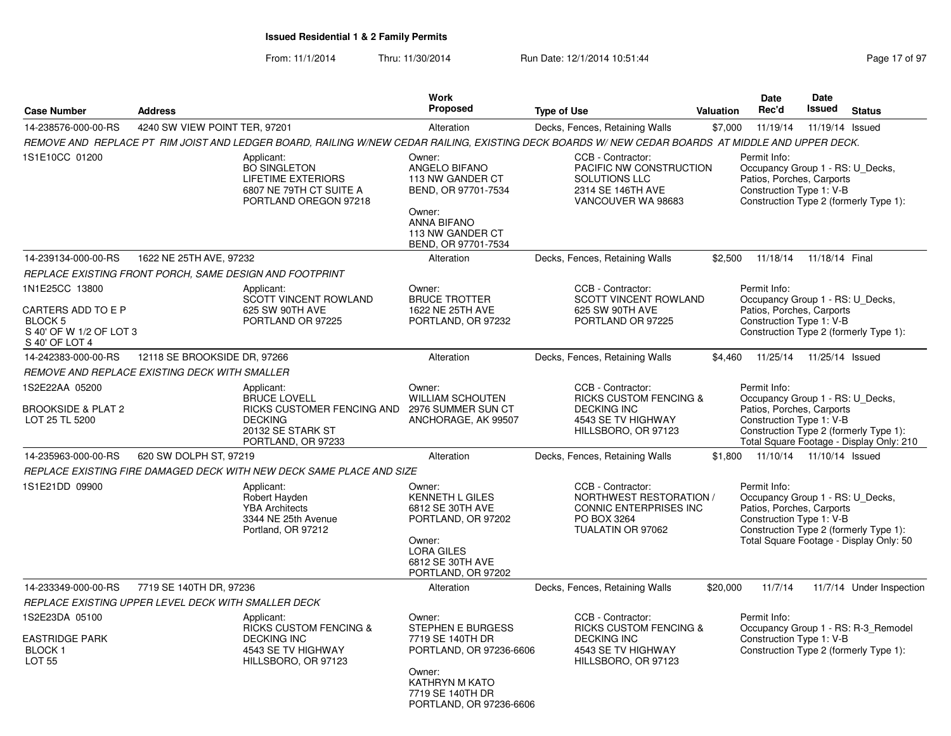|                                                                                              |                               |                                                                                                                                                                                                                                                                        | Work<br><b>Proposed</b>                                                                                                                               |                                                                                                                           |           | <b>Date</b>                                                                                               | Date<br><b>Issued</b> |                                                                                    |
|----------------------------------------------------------------------------------------------|-------------------------------|------------------------------------------------------------------------------------------------------------------------------------------------------------------------------------------------------------------------------------------------------------------------|-------------------------------------------------------------------------------------------------------------------------------------------------------|---------------------------------------------------------------------------------------------------------------------------|-----------|-----------------------------------------------------------------------------------------------------------|-----------------------|------------------------------------------------------------------------------------|
| <b>Case Number</b>                                                                           | <b>Address</b>                |                                                                                                                                                                                                                                                                        |                                                                                                                                                       | <b>Type of Use</b>                                                                                                        | Valuation | Rec'd                                                                                                     |                       | <b>Status</b>                                                                      |
| 14-238576-000-00-RS                                                                          | 4240 SW VIEW POINT TER, 97201 |                                                                                                                                                                                                                                                                        | Alteration                                                                                                                                            | Decks, Fences, Retaining Walls                                                                                            | \$7,000   | 11/19/14                                                                                                  | 11/19/14 Issued       |                                                                                    |
| 1S1E10CC 01200                                                                               |                               | REMOVE AND REPLACE PT RIM JOIST AND LEDGER BOARD, RAILING W/NEW CEDAR RAILING, EXISTING DECK BOARDS W/NEW CEDAR BOARDS AT MIDDLE AND UPPER DECK.<br>Applicant:<br><b>BO SINGLETON</b><br><b>LIFETIME EXTERIORS</b><br>6807 NE 79TH CT SUITE A<br>PORTLAND OREGON 97218 | Owner:<br>ANGELO BIFANO<br>113 NW GANDER CT<br>BEND, OR 97701-7534<br>Owner:<br><b>ANNA BIFANO</b><br>113 NW GANDER CT<br>BEND, OR 97701-7534         | CCB - Contractor:<br>PACIFIC NW CONSTRUCTION<br>SOLUTIONS LLC<br>2314 SE 146TH AVE<br>VANCOUVER WA 98683                  |           | Permit Info:<br>Occupancy Group 1 - RS: U_Decks,<br>Patios, Porches, Carports<br>Construction Type 1: V-B |                       | Construction Type 2 (formerly Type 1):                                             |
| 14-239134-000-00-RS                                                                          | 1622 NE 25TH AVE, 97232       |                                                                                                                                                                                                                                                                        | Alteration                                                                                                                                            | Decks, Fences, Retaining Walls                                                                                            | \$2,500   | 11/18/14                                                                                                  | 11/18/14 Final        |                                                                                    |
| REPLACE EXISTING FRONT PORCH, SAME DESIGN AND FOOTPRINT                                      |                               |                                                                                                                                                                                                                                                                        |                                                                                                                                                       |                                                                                                                           |           |                                                                                                           |                       |                                                                                    |
| 1N1E25CC 13800<br>CARTERS ADD TO E P<br>BLOCK 5<br>S 40' OF W 1/2 OF LOT 3<br>S 40' OF LOT 4 |                               | Applicant:<br><b>SCOTT VINCENT ROWLAND</b><br>625 SW 90TH AVE<br>PORTLAND OR 97225                                                                                                                                                                                     | Owner:<br><b>BRUCE TROTTER</b><br>1622 NE 25TH AVE<br>PORTLAND, OR 97232                                                                              | CCB - Contractor:<br><b>SCOTT VINCENT ROWLAND</b><br>625 SW 90TH AVE<br>PORTLAND OR 97225                                 |           | Permit Info:<br>Occupancy Group 1 - RS: U_Decks,<br>Patios, Porches, Carports<br>Construction Type 1: V-B |                       | Construction Type 2 (formerly Type 1):                                             |
| 14-242383-000-00-RS                                                                          | 12118 SE BROOKSIDE DR, 97266  |                                                                                                                                                                                                                                                                        | Alteration                                                                                                                                            | Decks, Fences, Retaining Walls                                                                                            | \$4,460   | 11/25/14                                                                                                  | 11/25/14 Issued       |                                                                                    |
| REMOVE AND REPLACE EXISTING DECK WITH SMALLER                                                |                               |                                                                                                                                                                                                                                                                        |                                                                                                                                                       |                                                                                                                           |           |                                                                                                           |                       |                                                                                    |
| 1S2E22AA 05200<br><b>BROOKSIDE &amp; PLAT 2</b><br>LOT 25 TL 5200                            |                               | Applicant:<br><b>BRUCE LOVELL</b><br>RICKS CUSTOMER FENCING AND<br><b>DECKING</b><br>20132 SE STARK ST<br>PORTLAND, OR 97233                                                                                                                                           | Owner:<br><b>WILLIAM SCHOUTEN</b><br>2976 SUMMER SUN CT<br>ANCHORAGE, AK 99507                                                                        | CCB - Contractor:<br>RICKS CUSTOM FENCING &<br><b>DECKING INC</b><br>4543 SE TV HIGHWAY<br>HILLSBORO, OR 97123            |           | Permit Info:<br>Occupancy Group 1 - RS: U_Decks,<br>Patios, Porches, Carports<br>Construction Type 1: V-B |                       | Construction Type 2 (formerly Type 1):<br>Total Square Footage - Display Only: 210 |
| 14-235963-000-00-RS                                                                          | 620 SW DOLPH ST, 97219        |                                                                                                                                                                                                                                                                        | Alteration                                                                                                                                            | Decks, Fences, Retaining Walls                                                                                            | \$1.800   | 11/10/14  11/10/14  Issued                                                                                |                       |                                                                                    |
|                                                                                              |                               | REPLACE EXISTING FIRE DAMAGED DECK WITH NEW DECK SAME PLACE AND SIZE                                                                                                                                                                                                   |                                                                                                                                                       |                                                                                                                           |           |                                                                                                           |                       |                                                                                    |
| 1S1E21DD 09900                                                                               |                               | Applicant:<br>Robert Hayden<br><b>YBA Architects</b><br>3344 NE 25th Avenue<br>Portland, OR 97212                                                                                                                                                                      | Owner:<br><b>KENNETH L GILES</b><br>6812 SE 30TH AVE<br>PORTLAND, OR 97202<br>Owner:<br><b>LORA GILES</b><br>6812 SE 30TH AVE<br>PORTLAND, OR 97202   | CCB - Contractor:<br>NORTHWEST RESTORATION /<br><b>CONNIC ENTERPRISES INC</b><br>PO BOX 3264<br>TUALATIN OR 97062         |           | Permit Info:<br>Occupancy Group 1 - RS: U_Decks,<br>Patios, Porches, Carports<br>Construction Type 1: V-B |                       | Construction Type 2 (formerly Type 1):<br>Total Square Footage - Display Only: 50  |
| 14-233349-000-00-RS                                                                          | 7719 SE 140TH DR, 97236       |                                                                                                                                                                                                                                                                        | Alteration                                                                                                                                            | Decks, Fences, Retaining Walls                                                                                            | \$20,000  | 11/7/14                                                                                                   |                       | 11/7/14 Under Inspection                                                           |
| REPLACE EXISTING UPPER LEVEL DECK WITH SMALLER DECK                                          |                               |                                                                                                                                                                                                                                                                        |                                                                                                                                                       |                                                                                                                           |           |                                                                                                           |                       |                                                                                    |
| 1S2E23DA 05100<br><b>EASTRIDGE PARK</b><br>BLOCK 1<br><b>LOT 55</b>                          |                               | Applicant:<br><b>RICKS CUSTOM FENCING &amp;</b><br><b>DECKING INC</b><br>4543 SE TV HIGHWAY<br>HILLSBORO, OR 97123                                                                                                                                                     | Owner:<br>STEPHEN E BURGESS<br>7719 SE 140TH DR<br>PORTLAND, OR 97236-6606<br>Owner:<br>KATHRYN M KATO<br>7719 SE 140TH DR<br>PORTLAND, OR 97236-6606 | CCB - Contractor:<br><b>RICKS CUSTOM FENCING &amp;</b><br><b>DECKING INC</b><br>4543 SE TV HIGHWAY<br>HILLSBORO, OR 97123 |           | Permit Info:<br>Construction Type 1: V-B                                                                  |                       | Occupancy Group 1 - RS: R-3_Remodel<br>Construction Type 2 (formerly Type 1):      |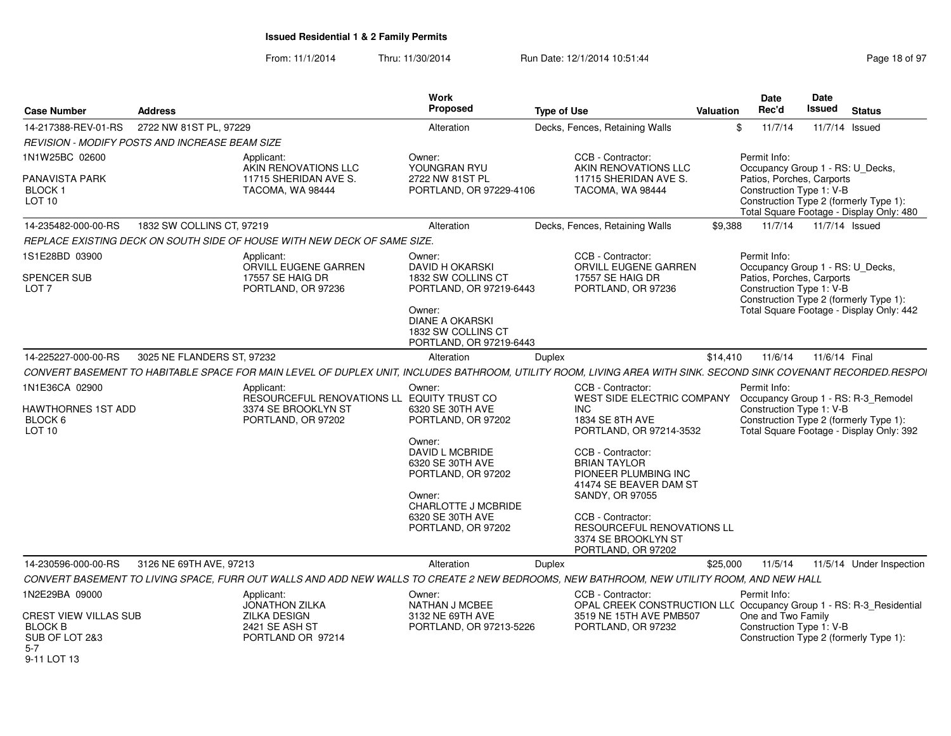| <b>Case Number</b>                                                                                           | <b>Address</b>                                                                                                                                                  | <b>Work</b><br><b>Proposed</b>                                                                                                                                                                     | <b>Type of Use</b>                                                                                                                                                                                                                                                                                                           | Valuation | <b>Date</b><br>Rec'd                                                                                      | <b>Date</b><br><b>Issued</b> | <b>Status</b>                                                                                                             |
|--------------------------------------------------------------------------------------------------------------|-----------------------------------------------------------------------------------------------------------------------------------------------------------------|----------------------------------------------------------------------------------------------------------------------------------------------------------------------------------------------------|------------------------------------------------------------------------------------------------------------------------------------------------------------------------------------------------------------------------------------------------------------------------------------------------------------------------------|-----------|-----------------------------------------------------------------------------------------------------------|------------------------------|---------------------------------------------------------------------------------------------------------------------------|
| 14-217388-REV-01-RS                                                                                          | 2722 NW 81ST PL, 97229                                                                                                                                          | Alteration                                                                                                                                                                                         | Decks, Fences, Retaining Walls                                                                                                                                                                                                                                                                                               | \$        | 11/7/14                                                                                                   |                              | 11/7/14 Issued                                                                                                            |
|                                                                                                              | <b>REVISION - MODIFY POSTS AND INCREASE BEAM SIZE</b>                                                                                                           |                                                                                                                                                                                                    |                                                                                                                                                                                                                                                                                                                              |           |                                                                                                           |                              |                                                                                                                           |
| 1N1W25BC 02600<br><b>PANAVISTA PARK</b><br><b>BLOCK1</b><br>LOT 10                                           | Applicant:<br>AKIN RENOVATIONS LLC<br>11715 SHERIDAN AVE S.<br>TACOMA, WA 98444                                                                                 | Owner:<br>YOUNGRAN RYU<br>2722 NW 81ST PL<br>PORTLAND, OR 97229-4106                                                                                                                               | CCB - Contractor:<br>AKIN RENOVATIONS LLC<br>11715 SHERIDAN AVE S.<br>TACOMA. WA 98444                                                                                                                                                                                                                                       |           | Permit Info:<br>Occupancy Group 1 - RS: U Decks,<br>Patios, Porches, Carports<br>Construction Type 1: V-B |                              | Construction Type 2 (formerly Type 1):<br>Total Square Footage - Display Only: 480                                        |
| 14-235482-000-00-RS                                                                                          | 1832 SW COLLINS CT, 97219                                                                                                                                       | Alteration                                                                                                                                                                                         | Decks, Fences, Retaining Walls                                                                                                                                                                                                                                                                                               | \$9.388   | 11/7/14                                                                                                   |                              | 11/7/14 Issued                                                                                                            |
|                                                                                                              | REPLACE EXISTING DECK ON SOUTH SIDE OF HOUSE WITH NEW DECK OF SAME SIZE.                                                                                        |                                                                                                                                                                                                    |                                                                                                                                                                                                                                                                                                                              |           |                                                                                                           |                              |                                                                                                                           |
| 1S1E28BD 03900<br><b>SPENCER SUB</b><br>LOT <sub>7</sub>                                                     | Applicant:<br>ORVILL EUGENE GARREN<br>17557 SE HAIG DR<br>PORTLAND, OR 97236                                                                                    | Owner:<br><b>DAVID H OKARSKI</b><br>1832 SW COLLINS CT<br>PORTLAND, OR 97219-6443<br>Owner:<br><b>DIANE A OKARSKI</b><br>1832 SW COLLINS CT<br>PORTLAND, OR 97219-6443                             | CCB - Contractor:<br>ORVILL EUGENE GARREN<br>17557 SE HAIG DR<br>PORTLAND, OR 97236                                                                                                                                                                                                                                          |           | Permit Info:<br>Occupancy Group 1 - RS: U_Decks,<br>Patios, Porches, Carports<br>Construction Type 1: V-B |                              | Construction Type 2 (formerly Type 1):<br>Total Square Footage - Display Only: 442                                        |
| 14-225227-000-00-RS                                                                                          | 3025 NE FLANDERS ST, 97232                                                                                                                                      | Alteration                                                                                                                                                                                         | <b>Duplex</b>                                                                                                                                                                                                                                                                                                                | \$14,410  | 11/6/14                                                                                                   | 11/6/14 Final                |                                                                                                                           |
|                                                                                                              | CONVERT BASEMENT TO HABITABLE SPACE FOR MAIN LEVEL OF DUPLEX UNIT, INCLUDES BATHROOM, UTILITY ROOM, LIVING AREA WITH SINK. SECOND SINK COVENANT RECORDED.RESPOI |                                                                                                                                                                                                    |                                                                                                                                                                                                                                                                                                                              |           |                                                                                                           |                              |                                                                                                                           |
| 1N1E36CA 02900<br>HAWTHORNES 1ST ADD<br>BLOCK 6<br>LOT 10                                                    | Applicant:<br>RESOURCEFUL RENOVATIONS LL EQUITY TRUST CO<br>3374 SE BROOKLYN ST<br>PORTLAND, OR 97202                                                           | Owner:<br>6320 SE 30TH AVE<br>PORTLAND, OR 97202<br>Owner:<br>DAVID L MCBRIDE<br>6320 SE 30TH AVE<br>PORTLAND, OR 97202<br>Owner:<br>CHARLOTTE J MCBRIDE<br>6320 SE 30TH AVE<br>PORTLAND, OR 97202 | CCB - Contractor:<br>WEST SIDE ELECTRIC COMPANY<br><b>INC</b><br>1834 SE 8TH AVE<br>PORTLAND, OR 97214-3532<br>CCB - Contractor:<br><b>BRIAN TAYLOR</b><br>PIONEER PLUMBING INC<br>41474 SE BEAVER DAM ST<br>SANDY, OR 97055<br>CCB - Contractor:<br>RESOURCEFUL RENOVATIONS LL<br>3374 SE BROOKLYN ST<br>PORTLAND, OR 97202 |           | Permit Info:<br>Construction Type 1: V-B                                                                  |                              | Occupancy Group 1 - RS: R-3_Remodel<br>Construction Type 2 (formerly Type 1):<br>Total Square Footage - Display Only: 392 |
| 14-230596-000-00-RS                                                                                          | 3126 NE 69TH AVE, 97213                                                                                                                                         | Alteration                                                                                                                                                                                         | Duplex                                                                                                                                                                                                                                                                                                                       | \$25,000  | 11/5/14                                                                                                   |                              | 11/5/14 Under Inspection                                                                                                  |
|                                                                                                              | CONVERT BASEMENT TO LIVING SPACE, FURR OUT WALLS AND ADD NEW WALLS TO CREATE 2 NEW BEDROOMS, NEW BATHROOM, NEW UTILITY ROOM, AND NEW HALL                       |                                                                                                                                                                                                    |                                                                                                                                                                                                                                                                                                                              |           |                                                                                                           |                              |                                                                                                                           |
| 1N2E29BA 09000<br><b>CREST VIEW VILLAS SUB</b><br><b>BLOCK B</b><br>SUB OF LOT 2&3<br>$5 - 7$<br>9-11 LOT 13 | Applicant:<br><b>JONATHON ZILKA</b><br><b>ZILKA DESIGN</b><br>2421 SE ASH ST<br>PORTLAND OR 97214                                                               | Owner:<br><b>NATHAN J MCBEE</b><br>3132 NE 69TH AVE<br>PORTLAND, OR 97213-5226                                                                                                                     | CCB - Contractor:<br>OPAL CREEK CONSTRUCTION LLC Occupancy Group 1 - RS: R-3_Residential<br>3519 NE 15TH AVE PMB507<br>PORTLAND, OR 97232                                                                                                                                                                                    |           | Permit Info:<br>One and Two Family<br>Construction Type 1: V-B                                            |                              | Construction Type 2 (formerly Type 1):                                                                                    |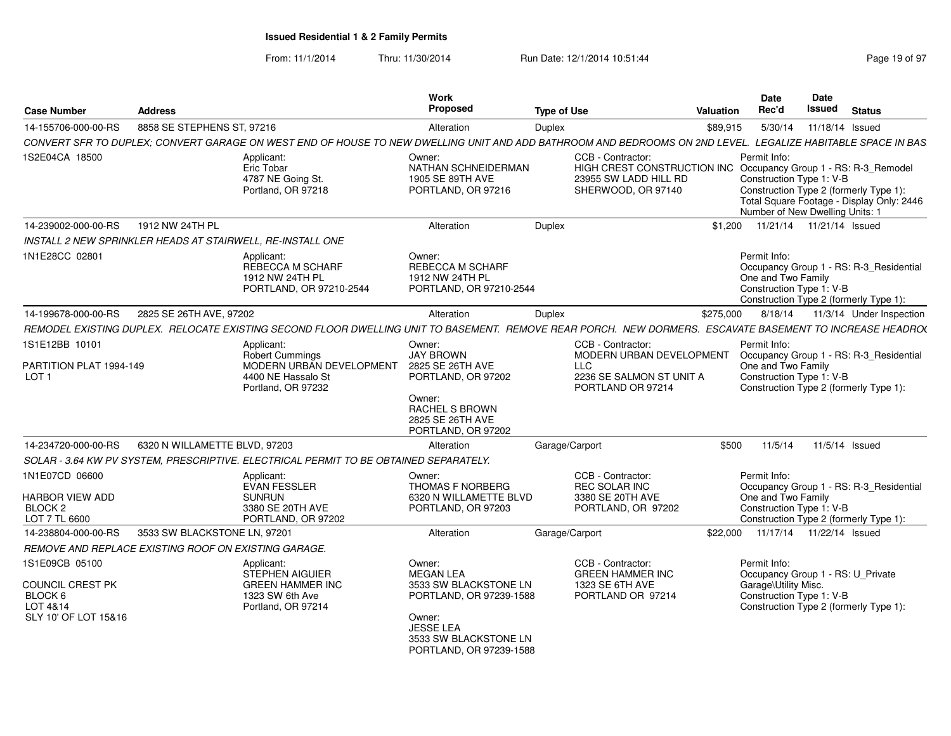| <b>Case Number</b>                                                                       | <b>Address</b>                |                                                                                                                                                             | Work<br>Proposed                                                                                                                                                 | <b>Type of Use</b> |                                                                                                                                     | Valuation | <b>Date</b><br>Rec'd                                                        | Date<br>Issued  | <b>Status</b>                                                                       |
|------------------------------------------------------------------------------------------|-------------------------------|-------------------------------------------------------------------------------------------------------------------------------------------------------------|------------------------------------------------------------------------------------------------------------------------------------------------------------------|--------------------|-------------------------------------------------------------------------------------------------------------------------------------|-----------|-----------------------------------------------------------------------------|-----------------|-------------------------------------------------------------------------------------|
| 14-155706-000-00-RS                                                                      | 8858 SE STEPHENS ST. 97216    |                                                                                                                                                             | Alteration                                                                                                                                                       | Duplex             |                                                                                                                                     | \$89,915  | 5/30/14                                                                     | 11/18/14 Issued |                                                                                     |
|                                                                                          |                               | CONVERT SFR TO DUPLEX; CONVERT GARAGE ON WEST END OF HOUSE TO NEW DWELLING UNIT AND ADD BATHROOM AND BEDROOMS ON 2ND LEVEL. LEGALIZE HABITABLE SPACE IN BAS |                                                                                                                                                                  |                    |                                                                                                                                     |           |                                                                             |                 |                                                                                     |
| 1S2E04CA 18500                                                                           |                               | Applicant:<br>Eric Tobar<br>4787 NE Going St.<br>Portland, OR 97218                                                                                         | Owner:<br>NATHAN SCHNEIDERMAN<br>1905 SE 89TH AVE<br>PORTLAND, OR 97216                                                                                          |                    | CCB - Contractor:<br>HIGH CREST CONSTRUCTION INC Occupancy Group 1 - RS: R-3_Remodel<br>23955 SW LADD HILL RD<br>SHERWOOD, OR 97140 |           | Permit Info:<br>Construction Type 1: V-B<br>Number of New Dwelling Units: 1 |                 | Construction Type 2 (formerly Type 1):<br>Total Square Footage - Display Only: 2446 |
| 14-239002-000-00-RS                                                                      | 1912 NW 24TH PL               |                                                                                                                                                             | Alteration                                                                                                                                                       | Duplex             |                                                                                                                                     | \$1,200   | 11/21/14  11/21/14  Issued                                                  |                 |                                                                                     |
| INSTALL 2 NEW SPRINKLER HEADS AT STAIRWELL, RE-INSTALL ONE                               |                               |                                                                                                                                                             |                                                                                                                                                                  |                    |                                                                                                                                     |           |                                                                             |                 |                                                                                     |
| 1N1E28CC 02801                                                                           |                               | Applicant:<br>REBECCA M SCHARF<br>1912 NW 24TH PL<br>PORTLAND, OR 97210-2544                                                                                | Owner:<br><b>REBECCA M SCHARF</b><br>1912 NW 24TH PL<br>PORTLAND, OR 97210-2544                                                                                  |                    |                                                                                                                                     |           | Permit Info:<br>One and Two Family<br>Construction Type 1: V-B              |                 | Occupancy Group 1 - RS: R-3_Residential<br>Construction Type 2 (formerly Type 1):   |
| 14-199678-000-00-RS                                                                      | 2825 SE 26TH AVE, 97202       |                                                                                                                                                             | Alteration                                                                                                                                                       | <b>Duplex</b>      |                                                                                                                                     | \$275,000 | 8/18/14                                                                     |                 | 11/3/14 Under Inspection                                                            |
|                                                                                          |                               | REMODEL EXISTING DUPLEX. RELOCATE EXISTING SECOND FLOOR DWELLING UNIT TO BASEMENT. REMOVE REAR PORCH. NEW DORMERS. ESCAVATE BASEMENT TO INCREASE HEADRO(    |                                                                                                                                                                  |                    |                                                                                                                                     |           |                                                                             |                 |                                                                                     |
| 1S1E12BB 10101                                                                           |                               | Applicant:<br><b>Robert Cummings</b>                                                                                                                        | Owner:<br><b>JAY BROWN</b>                                                                                                                                       |                    | CCB - Contractor:<br>MODERN URBAN DEVELOPMENT                                                                                       |           | Permit Info:                                                                |                 | Occupancy Group 1 - RS: R-3_Residential                                             |
| PARTITION PLAT 1994-149<br>LOT <sub>1</sub>                                              |                               | MODERN URBAN DEVELOPMENT<br>4400 NE Hassalo St<br>Portland, OR 97232                                                                                        | 2825 SE 26TH AVE<br>PORTLAND, OR 97202<br>Owner:<br>RACHEL S BROWN<br>2825 SE 26TH AVE<br>PORTLAND, OR 97202                                                     |                    | <b>LLC</b><br>2236 SE SALMON ST UNIT A<br>PORTLAND OR 97214                                                                         |           | One and Two Family<br>Construction Type 1: V-B                              |                 | Construction Type 2 (formerly Type 1):                                              |
| 14-234720-000-00-RS                                                                      | 6320 N WILLAMETTE BLVD, 97203 |                                                                                                                                                             | Alteration                                                                                                                                                       |                    | Garage/Carport                                                                                                                      | \$500     | 11/5/14                                                                     |                 | 11/5/14 Issued                                                                      |
|                                                                                          |                               | SOLAR - 3.64 KW PV SYSTEM, PRESCRIPTIVE. ELECTRICAL PERMIT TO BE OBTAINED SEPARATELY.                                                                       |                                                                                                                                                                  |                    |                                                                                                                                     |           |                                                                             |                 |                                                                                     |
| 1N1E07CD 06600<br>HARBOR VIEW ADD<br>BLOCK <sub>2</sub><br>LOT 7 TL 6600                 |                               | Applicant:<br><b>EVAN FESSLER</b><br><b>SUNRUN</b><br>3380 SE 20TH AVE<br>PORTLAND, OR 97202                                                                | Owner:<br><b>THOMAS F NORBERG</b><br>6320 N WILLAMETTE BLVD<br>PORTLAND, OR 97203                                                                                |                    | CCB - Contractor:<br><b>REC SOLAR INC</b><br>3380 SE 20TH AVE<br>PORTLAND, OR 97202                                                 |           | Permit Info:<br>One and Two Family<br>Construction Type 1: V-B              |                 | Occupancy Group 1 - RS: R-3 Residential<br>Construction Type 2 (formerly Type 1):   |
| 14-238804-000-00-RS                                                                      | 3533 SW BLACKSTONE LN. 97201  |                                                                                                                                                             | Alteration                                                                                                                                                       |                    | Garage/Carport                                                                                                                      | \$22,000  | 11/17/14  11/22/14  Issued                                                  |                 |                                                                                     |
| REMOVE AND REPLACE EXISTING ROOF ON EXISTING GARAGE.                                     |                               |                                                                                                                                                             |                                                                                                                                                                  |                    |                                                                                                                                     |           |                                                                             |                 |                                                                                     |
| 1S1E09CB 05100<br><b>COUNCIL CREST PK</b><br>BLOCK 6<br>LOT 4&14<br>SLY 10' OF LOT 15&16 |                               | Applicant:<br>STEPHEN AIGUIER<br><b>GREEN HAMMER INC</b><br>1323 SW 6th Ave<br>Portland, OR 97214                                                           | Owner:<br><b>MEGAN LEA</b><br>3533 SW BLACKSTONE LN<br>PORTLAND, OR 97239-1588<br>Owner:<br><b>JESSE LEA</b><br>3533 SW BLACKSTONE LN<br>PORTLAND, OR 97239-1588 |                    | CCB - Contractor:<br><b>GREEN HAMMER INC</b><br>1323 SE 6TH AVE<br>PORTLAND OR 97214                                                |           | Permit Info:<br>Garage\Utility Misc.<br>Construction Type 1: V-B            |                 | Occupancy Group 1 - RS: U Private<br>Construction Type 2 (formerly Type 1):         |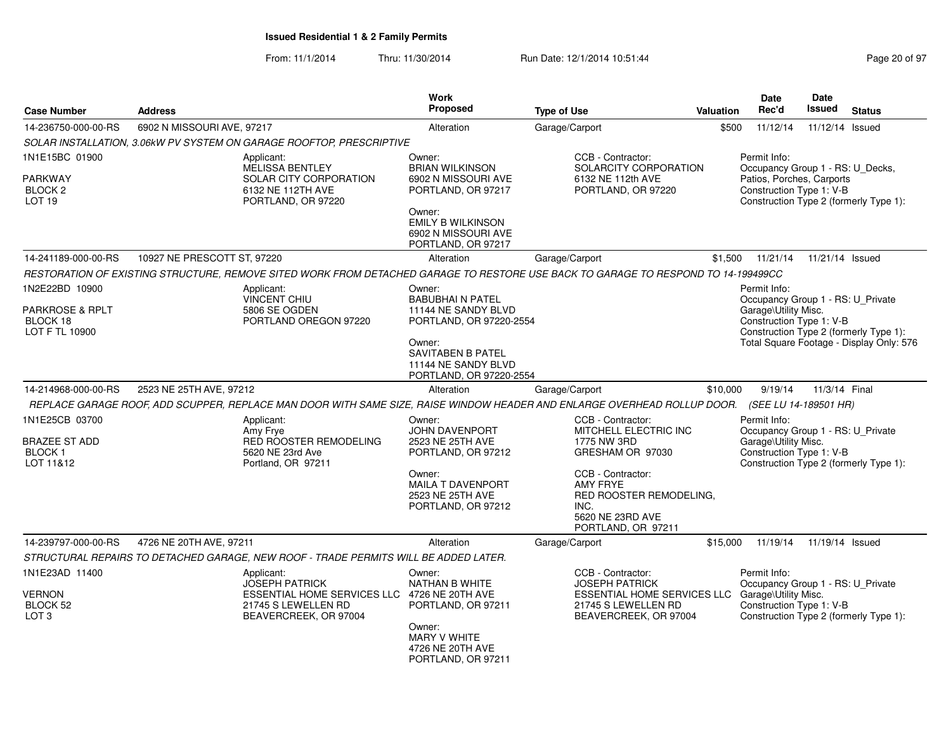| <b>Case Number</b>                                              | <b>Address</b>              |                                                                                                                                                | Work<br><b>Proposed</b>                                                                                                                                                     | <b>Type of Use</b> |                                                                                                                                                                                             | <b>Valuation</b> | Date<br>Rec'd                                                                                             | <b>Date</b><br>Issued | <b>Status</b>                                                                      |
|-----------------------------------------------------------------|-----------------------------|------------------------------------------------------------------------------------------------------------------------------------------------|-----------------------------------------------------------------------------------------------------------------------------------------------------------------------------|--------------------|---------------------------------------------------------------------------------------------------------------------------------------------------------------------------------------------|------------------|-----------------------------------------------------------------------------------------------------------|-----------------------|------------------------------------------------------------------------------------|
| 14-236750-000-00-RS                                             | 6902 N MISSOURI AVE, 97217  |                                                                                                                                                | Alteration                                                                                                                                                                  | Garage/Carport     |                                                                                                                                                                                             | \$500            | 11/12/14                                                                                                  | 11/12/14 Issued       |                                                                                    |
|                                                                 |                             | SOLAR INSTALLATION, 3.06kW PV SYSTEM ON GARAGE ROOFTOP, PRESCRIPTIVE                                                                           |                                                                                                                                                                             |                    |                                                                                                                                                                                             |                  |                                                                                                           |                       |                                                                                    |
| 1N1E15BC 01900<br>PARKWAY<br>BLOCK 2<br>LOT <sub>19</sub>       |                             | Applicant:<br><b>MELISSA BENTLEY</b><br>SOLAR CITY CORPORATION<br>6132 NE 112TH AVE<br>PORTLAND, OR 97220                                      | Owner:<br><b>BRIAN WILKINSON</b><br>6902 N MISSOURI AVE<br>PORTLAND, OR 97217<br>Owner:<br><b>EMILY B WILKINSON</b><br>6902 N MISSOURI AVE<br>PORTLAND, OR 97217            |                    | CCB - Contractor:<br>SOLARCITY CORPORATION<br>6132 NE 112th AVE<br>PORTLAND, OR 97220                                                                                                       |                  | Permit Info:<br>Occupancy Group 1 - RS: U_Decks,<br>Patios, Porches, Carports<br>Construction Type 1: V-B |                       | Construction Type 2 (formerly Type 1):                                             |
| 14-241189-000-00-RS                                             | 10927 NE PRESCOTT ST, 97220 |                                                                                                                                                | Alteration                                                                                                                                                                  | Garage/Carport     |                                                                                                                                                                                             | \$1,500          | 11/21/14                                                                                                  | 11/21/14 Issued       |                                                                                    |
|                                                                 |                             | RESTORATION OF EXISTING STRUCTURE, REMOVE SITED WORK FROM DETACHED GARAGE TO RESTORE USE BACK TO GARAGE TO RESPOND TO 14-199499CC              |                                                                                                                                                                             |                    |                                                                                                                                                                                             |                  |                                                                                                           |                       |                                                                                    |
| 1N2E22BD 10900<br>PARKROSE & RPLT<br>BLOCK 18<br>LOT F TL 10900 |                             | Applicant:<br><b>VINCENT CHIU</b><br>5806 SE OGDEN<br>PORTLAND OREGON 97220                                                                    | Owner:<br><b>BABUBHAI N PATEL</b><br>11144 NE SANDY BLVD<br>PORTLAND, OR 97220-2554<br>Owner:<br><b>SAVITABEN B PATEL</b><br>11144 NE SANDY BLVD<br>PORTLAND, OR 97220-2554 |                    |                                                                                                                                                                                             |                  | Permit Info:<br>Occupancy Group 1 - RS: U_Private<br>Garage\Utility Misc.<br>Construction Type 1: V-B     |                       | Construction Type 2 (formerly Type 1):<br>Total Square Footage - Display Only: 576 |
| 14-214968-000-00-RS                                             | 2523 NE 25TH AVE, 97212     |                                                                                                                                                | Alteration                                                                                                                                                                  | Garage/Carport     |                                                                                                                                                                                             | \$10,000         | 9/19/14                                                                                                   | 11/3/14 Final         |                                                                                    |
|                                                                 |                             | REPLACE GARAGE ROOF, ADD SCUPPER, REPLACE MAN DOOR WITH SAME SIZE, RAISE WINDOW HEADER AND ENLARGE OVERHEAD ROLLUP DOOR. (SEE LU 14-189501 HR) |                                                                                                                                                                             |                    |                                                                                                                                                                                             |                  |                                                                                                           |                       |                                                                                    |
| 1N1E25CB 03700<br>BRAZEE ST ADD<br><b>BLOCK1</b><br>LOT 11&12   |                             | Applicant:<br>Amy Frye<br><b>RED ROOSTER REMODELING</b><br>5620 NE 23rd Ave<br>Portland, OR 97211                                              | Owner:<br>JOHN DAVENPORT<br>2523 NE 25TH AVE<br>PORTLAND, OR 97212<br>Owner:<br><b>MAILA T DAVENPORT</b><br>2523 NE 25TH AVE<br>PORTLAND, OR 97212                          |                    | CCB - Contractor:<br>MITCHELL ELECTRIC INC<br>1775 NW 3RD<br>GRESHAM OR 97030<br>CCB - Contractor:<br>AMY FRYE<br>RED ROOSTER REMODELING,<br>INC.<br>5620 NE 23RD AVE<br>PORTLAND, OR 97211 |                  | Permit Info:<br>Occupancy Group 1 - RS: U Private<br>Garage\Utility Misc.<br>Construction Type 1: V-B     |                       | Construction Type 2 (formerly Type 1):                                             |
| 14-239797-000-00-RS                                             | 4726 NE 20TH AVE, 97211     |                                                                                                                                                | Alteration                                                                                                                                                                  | Garage/Carport     |                                                                                                                                                                                             | \$15,000         | 11/19/14                                                                                                  | 11/19/14 Issued       |                                                                                    |
|                                                                 |                             | STRUCTURAL REPAIRS TO DETACHED GARAGE, NEW ROOF - TRADE PERMITS WILL BE ADDED LATER.                                                           |                                                                                                                                                                             |                    |                                                                                                                                                                                             |                  |                                                                                                           |                       |                                                                                    |
| 1N1E23AD 11400<br><b>VERNON</b><br>BLOCK 52<br>LOT <sub>3</sub> |                             | Applicant:<br><b>JOSEPH PATRICK</b><br>ESSENTIAL HOME SERVICES LLC 4726 NE 20TH AVE<br>21745 S LEWELLEN RD<br>BEAVERCREEK, OR 97004            | Owner:<br><b>NATHAN B WHITE</b><br>PORTLAND, OR 97211<br>Owner:<br><b>MARY V WHITE</b><br>4726 NE 20TH AVE<br>PORTLAND, OR 97211                                            |                    | CCB - Contractor:<br><b>JOSEPH PATRICK</b><br><b>ESSENTIAL HOME SERVICES LLC</b><br>21745 S LEWELLEN RD<br>BEAVERCREEK, OR 97004                                                            |                  | Permit Info:<br>Occupancy Group 1 - RS: U_Private<br>Garage\Utility Misc.<br>Construction Type 1: V-B     |                       | Construction Type 2 (formerly Type 1):                                             |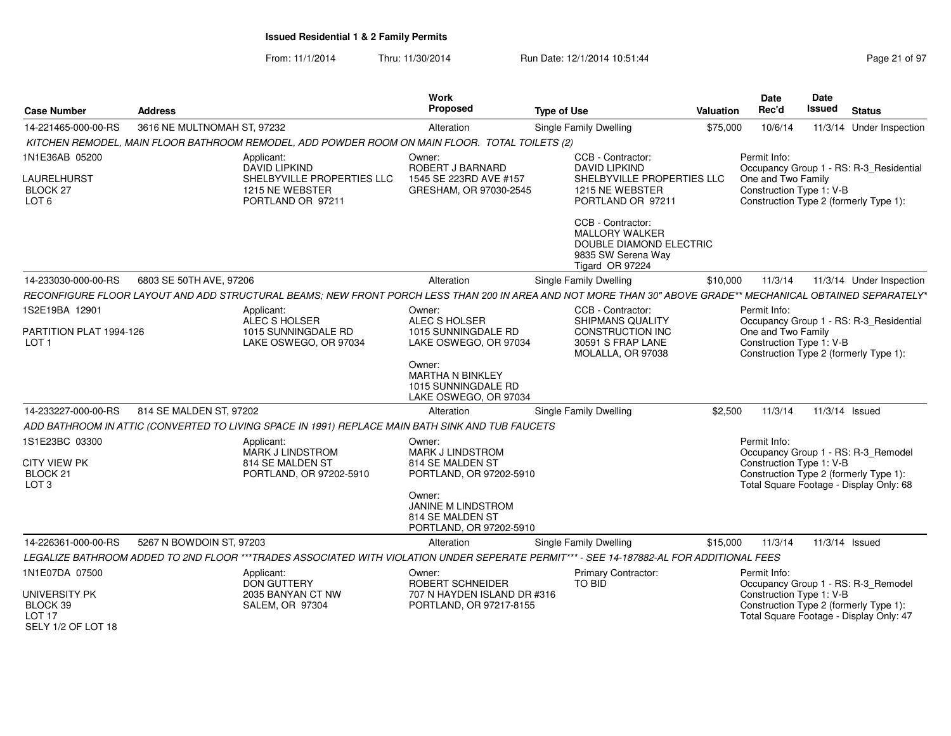| <b>Case Number</b>                                                   | <b>Address</b>              |                                                                                                                                                              | <b>Work</b><br>Proposed                                                            | <b>Type of Use</b>                                                                                             | Valuation | <b>Date</b><br>Rec'd                           | Date<br><b>Issued</b> | <b>Status</b>                                                                     |
|----------------------------------------------------------------------|-----------------------------|--------------------------------------------------------------------------------------------------------------------------------------------------------------|------------------------------------------------------------------------------------|----------------------------------------------------------------------------------------------------------------|-----------|------------------------------------------------|-----------------------|-----------------------------------------------------------------------------------|
| 14-221465-000-00-RS                                                  | 3616 NE MULTNOMAH ST, 97232 |                                                                                                                                                              | Alteration                                                                         | <b>Single Family Dwelling</b>                                                                                  | \$75,000  | 10/6/14                                        |                       | 11/3/14 Under Inspection                                                          |
|                                                                      |                             | KITCHEN REMODEL, MAIN FLOOR BATHROOM REMODEL, ADD POWDER ROOM ON MAIN FLOOR. TOTAL TOILETS (2)                                                               |                                                                                    |                                                                                                                |           |                                                |                       |                                                                                   |
| 1N1E36AB 05200                                                       |                             | Applicant:<br><b>DAVID LIPKIND</b>                                                                                                                           | Owner:<br>ROBERT J BARNARD                                                         | CCB - Contractor:<br><b>DAVID LIPKIND</b>                                                                      |           | Permit Info:                                   |                       | Occupancy Group 1 - RS: R-3_Residential                                           |
| LAURELHURST<br><b>BLOCK 27</b><br>LOT <sub>6</sub>                   |                             | SHELBYVILLE PROPERTIES LLC<br>1215 NE WEBSTER<br>PORTLAND OR 97211                                                                                           | 1545 SE 223RD AVE #157<br>GRESHAM, OR 97030-2545                                   | SHELBYVILLE PROPERTIES LLC<br>1215 NE WEBSTER<br>PORTLAND OR 97211                                             |           | One and Two Family<br>Construction Type 1: V-B |                       | Construction Type 2 (formerly Type 1):                                            |
|                                                                      |                             |                                                                                                                                                              |                                                                                    | CCB - Contractor:<br><b>MALLORY WALKER</b><br>DOUBLE DIAMOND ELECTRIC<br>9835 SW Serena Way<br>Tigard OR 97224 |           |                                                |                       |                                                                                   |
| 14-233030-000-00-RS                                                  | 6803 SE 50TH AVE, 97206     |                                                                                                                                                              | Alteration                                                                         | Single Family Dwelling                                                                                         | \$10,000  | 11/3/14                                        |                       | 11/3/14 Under Inspection                                                          |
|                                                                      |                             | RECONFIGURE FLOOR LAYOUT AND ADD STRUCTURAL BEAMS; NEW FRONT PORCH LESS THAN 200 IN AREA AND NOT MORE THAN 30" ABOVE GRADE** MECHANICAL OBTAINED SEPARATELY* |                                                                                    |                                                                                                                |           |                                                |                       |                                                                                   |
| 1S2E19BA 12901                                                       |                             | Applicant:                                                                                                                                                   | Owner:                                                                             | CCB - Contractor:                                                                                              |           | Permit Info:                                   |                       |                                                                                   |
| PARTITION PLAT 1994-126                                              |                             | ALEC S HOLSER<br>1015 SUNNINGDALE RD                                                                                                                         | ALEC S HOLSER<br>1015 SUNNINGDALE RD                                               | <b>SHIPMANS QUALITY</b><br><b>CONSTRUCTION INC</b>                                                             |           | One and Two Family                             |                       | Occupancy Group 1 - RS: R-3_Residential                                           |
| LOT <sub>1</sub>                                                     |                             | LAKE OSWEGO, OR 97034                                                                                                                                        | LAKE OSWEGO, OR 97034                                                              | 30591 S FRAP LANE<br>MOLALLA, OR 97038                                                                         |           | Construction Type 1: V-B                       |                       | Construction Type 2 (formerly Type 1):                                            |
|                                                                      |                             |                                                                                                                                                              | Owner:<br><b>MARTHA N BINKLEY</b><br>1015 SUNNINGDALE RD<br>LAKE OSWEGO, OR 97034  |                                                                                                                |           |                                                |                       |                                                                                   |
| 14-233227-000-00-RS                                                  | 814 SE MALDEN ST, 97202     |                                                                                                                                                              | Alteration                                                                         | Single Family Dwelling                                                                                         | \$2,500   | 11/3/14                                        |                       | 11/3/14 Issued                                                                    |
|                                                                      |                             | ADD BATHROOM IN ATTIC (CONVERTED TO LIVING SPACE IN 1991) REPLACE MAIN BATH SINK AND TUB FAUCETS                                                             |                                                                                    |                                                                                                                |           |                                                |                       |                                                                                   |
| 1S1E23BC 03300                                                       |                             | Applicant:<br><b>MARK J LINDSTROM</b>                                                                                                                        | Owner:<br><b>MARK J LINDSTROM</b>                                                  |                                                                                                                |           | Permit Info:                                   |                       | Occupancy Group 1 - RS: R-3_Remodel                                               |
| <b>CITY VIEW PK</b><br>BLOCK 21<br>LOT <sub>3</sub>                  |                             | 814 SE MALDEN ST<br>PORTLAND, OR 97202-5910                                                                                                                  | 814 SE MALDEN ST<br>PORTLAND, OR 97202-5910                                        |                                                                                                                |           | Construction Type 1: V-B                       |                       | Construction Type 2 (formerly Type 1):<br>Total Square Footage - Display Only: 68 |
|                                                                      |                             |                                                                                                                                                              | Owner:<br><b>JANINE M LINDSTROM</b><br>814 SE MALDEN ST<br>PORTLAND, OR 97202-5910 |                                                                                                                |           |                                                |                       |                                                                                   |
| 14-226361-000-00-RS                                                  | 5267 N BOWDOIN ST, 97203    |                                                                                                                                                              | Alteration                                                                         | Single Family Dwelling                                                                                         | \$15,000  | 11/3/14                                        |                       | 11/3/14 Issued                                                                    |
|                                                                      |                             | LEGALIZE BATHROOM ADDED TO 2ND FLOOR ***TRADES ASSOCIATED WITH VIOLATION UNDER SEPERATE PERMIT*** - SEE 14-187882-AL FOR ADDITIONAL FEES                     |                                                                                    |                                                                                                                |           |                                                |                       |                                                                                   |
| 1N1E07DA 07500                                                       |                             | Applicant:<br><b>DON GUTTERY</b>                                                                                                                             | Owner:<br>ROBERT SCHNEIDER                                                         | Primary Contractor:<br>TO BID                                                                                  |           | Permit Info:                                   |                       | Occupancy Group 1 - RS: R-3_Remodel                                               |
| UNIVERSITY PK<br>BLOCK 39<br>LOT <sub>17</sub><br>SELY 1/2 OF LOT 18 |                             | 2035 BANYAN CT NW<br>SALEM, OR 97304                                                                                                                         | 707 N HAYDEN ISLAND DR #316<br>PORTLAND, OR 97217-8155                             |                                                                                                                |           | Construction Type 1: V-B                       |                       | Construction Type 2 (formerly Type 1):<br>Total Square Footage - Display Only: 47 |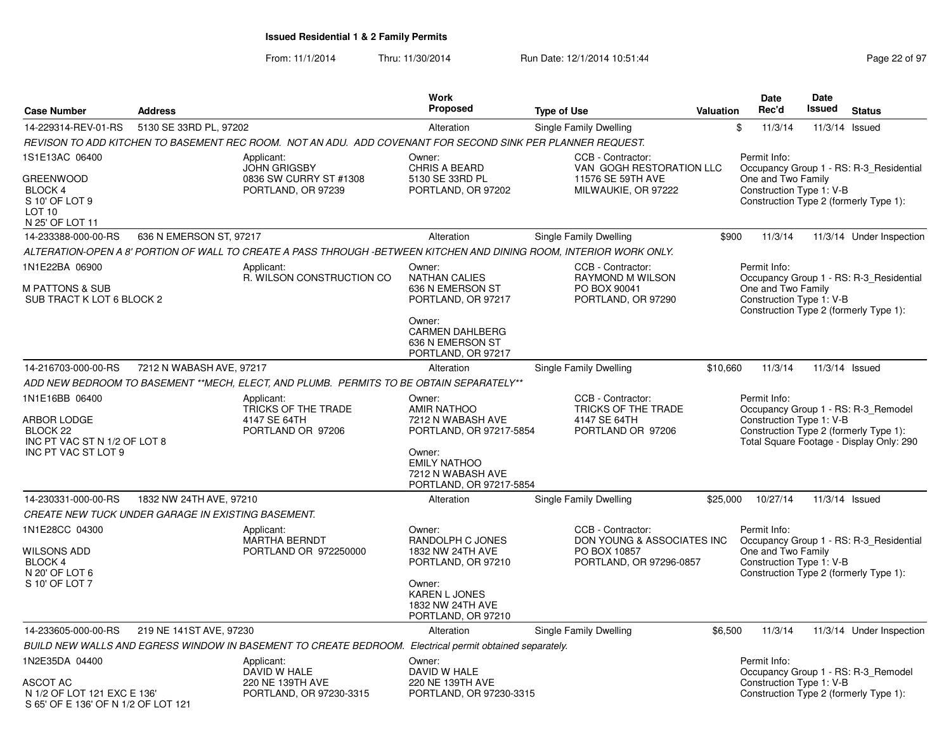|                                                                                                             |                          |                                                                                                                     | Work                                                                                                                                                          |                                                                                            |                  | Date                                                                                                     | Date   |                                                                                                                           |
|-------------------------------------------------------------------------------------------------------------|--------------------------|---------------------------------------------------------------------------------------------------------------------|---------------------------------------------------------------------------------------------------------------------------------------------------------------|--------------------------------------------------------------------------------------------|------------------|----------------------------------------------------------------------------------------------------------|--------|---------------------------------------------------------------------------------------------------------------------------|
| <b>Case Number</b>                                                                                          | <b>Address</b>           |                                                                                                                     | <b>Proposed</b>                                                                                                                                               | <b>Type of Use</b>                                                                         | <b>Valuation</b> | Rec'd                                                                                                    | Issued | <b>Status</b>                                                                                                             |
| 14-229314-REV-01-RS                                                                                         | 5130 SE 33RD PL, 97202   |                                                                                                                     | Alteration                                                                                                                                                    | Single Family Dwelling                                                                     |                  | \$<br>11/3/14                                                                                            |        | 11/3/14 Issued                                                                                                            |
|                                                                                                             |                          | REVISON TO ADD KITCHEN TO BASEMENT REC ROOM. NOT AN ADU. ADD COVENANT FOR SECOND SINK PER PLANNER REQUEST.          |                                                                                                                                                               |                                                                                            |                  |                                                                                                          |        |                                                                                                                           |
| 1S1E13AC 06400<br><b>GREENWOOD</b><br>BLOCK 4<br>S 10' OF LOT 9<br>LOT <sub>10</sub><br>N 25' OF LOT 11     |                          | Applicant:<br><b>JOHN GRIGSBY</b><br>0836 SW CURRY ST #1308<br>PORTLAND, OR 97239                                   | Owner:<br>CHRIS A BEARD<br>5130 SE 33RD PL<br>PORTLAND, OR 97202                                                                                              | CCB - Contractor:<br>VAN GOGH RESTORATION LLC<br>11576 SE 59TH AVE<br>MILWAUKIE, OR 97222  |                  | Permit Info:<br>One and Two Family<br>Construction Type 1: V-B<br>Construction Type 2 (formerly Type 1): |        | Occupancy Group 1 - RS: R-3 Residential                                                                                   |
| 14-233388-000-00-RS                                                                                         | 636 N EMERSON ST, 97217  |                                                                                                                     | Alteration                                                                                                                                                    | Single Family Dwelling                                                                     | \$900            | 11/3/14                                                                                                  |        | 11/3/14 Under Inspection                                                                                                  |
|                                                                                                             |                          | ALTERATION-OPEN A 8' PORTION OF WALL TO CREATE A PASS THROUGH -BETWEEN KITCHEN AND DINING ROOM, INTERIOR WORK ONLY. |                                                                                                                                                               |                                                                                            |                  |                                                                                                          |        |                                                                                                                           |
| 1N1E22BA 06900<br>M PATTONS & SUB<br>SUB TRACT K LOT 6 BLOCK 2                                              |                          | Applicant:<br>R. WILSON CONSTRUCTION CO                                                                             | Owner:<br><b>NATHAN CALIES</b><br>636 N EMERSON ST<br>PORTLAND, OR 97217<br>Owner:<br><b>CARMEN DAHLBERG</b><br>636 N EMERSON ST<br>PORTLAND, OR 97217        | CCB - Contractor:<br>RAYMOND M WILSON<br>PO BOX 90041<br>PORTLAND, OR 97290                |                  | Permit Info:<br>One and Two Family<br>Construction Type 1: V-B                                           |        | Occupancy Group 1 - RS: R-3_Residential<br>Construction Type 2 (formerly Type 1):                                         |
| 14-216703-000-00-RS                                                                                         | 7212 N WABASH AVE, 97217 |                                                                                                                     | Alteration                                                                                                                                                    | Single Family Dwelling                                                                     | \$10,660         | 11/3/14                                                                                                  |        | 11/3/14 Issued                                                                                                            |
|                                                                                                             |                          | ADD NEW BEDROOM TO BASEMENT **MECH, ELECT, AND PLUMB. PERMITS TO BE OBTAIN SEPARATELY**                             |                                                                                                                                                               |                                                                                            |                  |                                                                                                          |        |                                                                                                                           |
| 1N1E16BB 06400<br>ARBOR LODGE<br>BLOCK <sub>22</sub><br>INC PT VAC ST N 1/2 OF LOT 8<br>INC PT VAC ST LOT 9 |                          | Applicant:<br>TRICKS OF THE TRADE<br>4147 SE 64TH<br>PORTLAND OR 97206                                              | Owner:<br><b>AMIR NATHOO</b><br>7212 N WABASH AVE<br>PORTLAND, OR 97217-5854<br>Owner:<br><b>EMILY NATHOO</b><br>7212 N WABASH AVE<br>PORTLAND, OR 97217-5854 | CCB - Contractor:<br>TRICKS OF THE TRADE<br>4147 SE 64TH<br>PORTLAND OR 97206              |                  | Permit Info:<br>Construction Type 1: V-B                                                                 |        | Occupancy Group 1 - RS: R-3 Remodel<br>Construction Type 2 (formerly Type 1):<br>Total Square Footage - Display Only: 290 |
| 14-230331-000-00-RS                                                                                         | 1832 NW 24TH AVE, 97210  |                                                                                                                     | Alteration                                                                                                                                                    | Single Family Dwelling                                                                     | \$25,000         | 10/27/14                                                                                                 |        | 11/3/14 Issued                                                                                                            |
| CREATE NEW TUCK UNDER GARAGE IN EXISTING BASEMENT.                                                          |                          |                                                                                                                     |                                                                                                                                                               |                                                                                            |                  |                                                                                                          |        |                                                                                                                           |
| 1N1E28CC 04300<br>WILSONS ADD<br><b>BLOCK 4</b><br>N 20' OF LOT 6<br>S 10' OF LOT 7                         |                          | Applicant:<br><b>MARTHA BERNDT</b><br>PORTLAND OR 972250000                                                         | Owner:<br>RANDOLPH C JONES<br>1832 NW 24TH AVE<br>PORTLAND, OR 97210<br>Owner:<br><b>KAREN L JONES</b><br>1832 NW 24TH AVE<br>PORTLAND, OR 97210              | CCB - Contractor:<br>DON YOUNG & ASSOCIATES INC<br>PO BOX 10857<br>PORTLAND, OR 97296-0857 |                  | Permit Info:<br>One and Two Family<br>Construction Type 1: V-B<br>Construction Type 2 (formerly Type 1): |        | Occupancy Group 1 - RS: R-3_Residential                                                                                   |
| 14-233605-000-00-RS                                                                                         | 219 NE 141ST AVE, 97230  |                                                                                                                     | Alteration                                                                                                                                                    | Single Family Dwelling                                                                     | \$6,500          | 11/3/14                                                                                                  |        | 11/3/14 Under Inspection                                                                                                  |
|                                                                                                             |                          | BUILD NEW WALLS AND EGRESS WINDOW IN BASEMENT TO CREATE BEDROOM. Electrical permit obtained separately.             |                                                                                                                                                               |                                                                                            |                  |                                                                                                          |        |                                                                                                                           |
| 1N2E35DA 04400<br>ASCOT AC<br>N 1/2 OF LOT 121 EXC E 136'<br>S 65' OF E 136' OF N 1/2 OF LOT 121            |                          | Applicant:<br>DAVID W HALE<br>220 NE 139TH AVE<br>PORTLAND, OR 97230-3315                                           | Owner:<br>DAVID W HALE<br>220 NE 139TH AVE<br>PORTLAND, OR 97230-3315                                                                                         |                                                                                            |                  | Permit Info:<br>Construction Type 1: V-B<br>Construction Type 2 (formerly Type 1):                       |        | Occupancy Group 1 - RS: R-3 Remodel                                                                                       |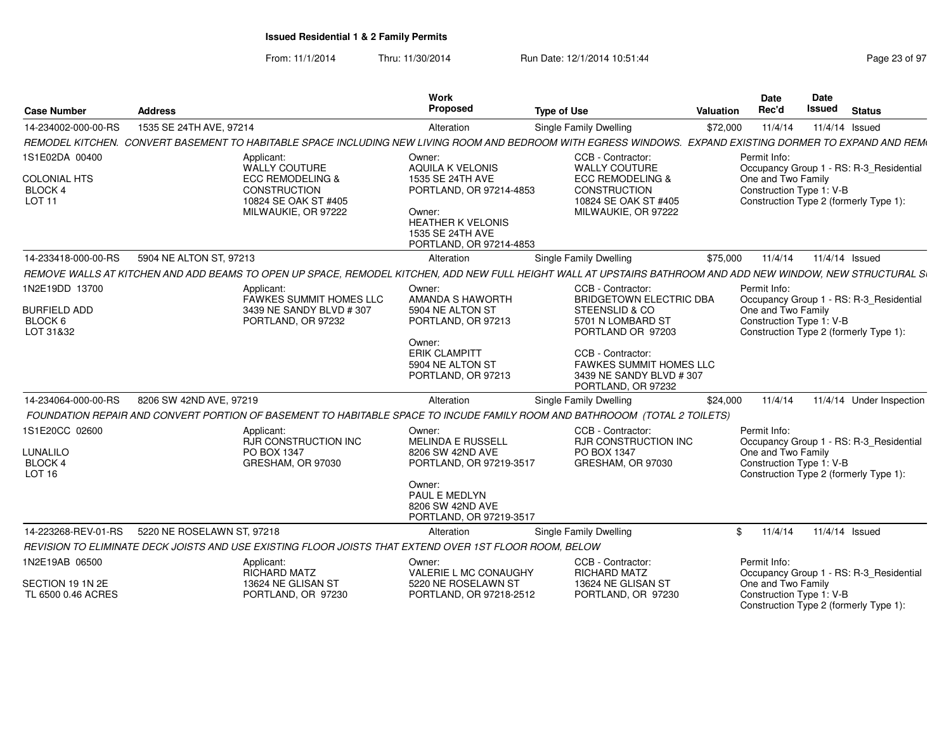| <b>Case Number</b>                                                       | <b>Address</b>                                                                                                                                              | <b>Work</b><br>Proposed                                                                                                                                               | <b>Type of Use</b>                                                                                                                                                                                               | <b>Valuation</b> | <b>Date</b><br>Rec'd                                           | Date<br>Issued | <b>Status</b>                                                                     |
|--------------------------------------------------------------------------|-------------------------------------------------------------------------------------------------------------------------------------------------------------|-----------------------------------------------------------------------------------------------------------------------------------------------------------------------|------------------------------------------------------------------------------------------------------------------------------------------------------------------------------------------------------------------|------------------|----------------------------------------------------------------|----------------|-----------------------------------------------------------------------------------|
| 14-234002-000-00-RS                                                      | 1535 SE 24TH AVE, 97214                                                                                                                                     | Alteration                                                                                                                                                            | Single Family Dwelling                                                                                                                                                                                           | \$72,000         | 11/4/14                                                        |                | 11/4/14 Issued                                                                    |
|                                                                          | REMODEL KITCHEN. CONVERT BASEMENT TO HABITABLE SPACE INCLUDING NEW LIVING ROOM AND BEDROOM WITH EGRESS WINDOWS. EXPAND EXISTING DORMER TO EXPAND AND REM    |                                                                                                                                                                       |                                                                                                                                                                                                                  |                  |                                                                |                |                                                                                   |
| 1S1E02DA 00400<br><b>COLONIAL HTS</b><br><b>BLOCK 4</b><br><b>LOT 11</b> | Applicant:<br><b>WALLY COUTURE</b><br>ECC REMODELING &<br><b>CONSTRUCTION</b><br>10824 SE OAK ST #405<br>MILWAUKIE, OR 97222                                | Owner:<br><b>AQUILA K VELONIS</b><br>1535 SE 24TH AVE<br>PORTLAND, OR 97214-4853<br>Owner:<br><b>HEATHER K VELONIS</b><br>1535 SE 24TH AVE<br>PORTLAND, OR 97214-4853 | CCB - Contractor:<br><b>WALLY COUTURE</b><br><b>ECC REMODELING &amp;</b><br><b>CONSTRUCTION</b><br>10824 SE OAK ST #405<br>MILWAUKIE, OR 97222                                                                   |                  | Permit Info:<br>One and Two Family<br>Construction Type 1: V-B |                | Occupancy Group 1 - RS: R-3_Residential<br>Construction Type 2 (formerly Type 1): |
| 14-233418-000-00-RS                                                      | 5904 NE ALTON ST, 97213                                                                                                                                     | Alteration                                                                                                                                                            | <b>Single Family Dwelling</b>                                                                                                                                                                                    | \$75,000         | 11/4/14                                                        |                | 11/4/14 Issued                                                                    |
|                                                                          | REMOVE WALLS AT KITCHEN AND ADD BEAMS TO OPEN UP SPACE, REMODEL KITCHEN, ADD NEW FULL HEIGHT WALL AT UPSTAIRS BATHROOM AND ADD NEW WINDOW, NEW STRUCTURAL S |                                                                                                                                                                       |                                                                                                                                                                                                                  |                  |                                                                |                |                                                                                   |
| 1N2E19DD 13700<br><b>BURFIELD ADD</b><br>BLOCK 6<br>LOT 31&32            | Applicant:<br>FAWKES SUMMIT HOMES LLC<br>3439 NE SANDY BLVD #307<br>PORTLAND, OR 97232                                                                      | Owner:<br>AMANDA S HAWORTH<br>5904 NE ALTON ST<br>PORTLAND, OR 97213<br>Owner:<br><b>ERIK CLAMPITT</b><br>5904 NE ALTON ST<br>PORTLAND, OR 97213                      | CCB - Contractor:<br><b>BRIDGETOWN ELECTRIC DBA</b><br>STEENSLID & CO<br>5701 N LOMBARD ST<br>PORTLAND OR 97203<br>CCB - Contractor:<br>FAWKES SUMMIT HOMES LLC<br>3439 NE SANDY BLVD #307<br>PORTLAND, OR 97232 |                  | Permit Info:<br>One and Two Family<br>Construction Type 1: V-B |                | Occupancy Group 1 - RS: R-3_Residential<br>Construction Type 2 (formerly Type 1): |
| 14-234064-000-00-RS                                                      | 8206 SW 42ND AVE, 97219                                                                                                                                     | Alteration                                                                                                                                                            | Single Family Dwelling                                                                                                                                                                                           | \$24,000         | 11/4/14                                                        |                | 11/4/14 Under Inspection                                                          |
|                                                                          | FOUNDATION REPAIR AND CONVERT PORTION OF BASEMENT TO HABITABLE SPACE TO INCUDE FAMILY ROOM AND BATHROOOM (TOTAL 2 TOILETS)                                  |                                                                                                                                                                       |                                                                                                                                                                                                                  |                  |                                                                |                |                                                                                   |
| 1S1E20CC 02600<br>LUNALILO<br><b>BLOCK 4</b><br><b>LOT 16</b>            | Applicant:<br><b>RJR CONSTRUCTION INC</b><br>PO BOX 1347<br>GRESHAM, OR 97030                                                                               | Owner:<br><b>MELINDA E RUSSELL</b><br>8206 SW 42ND AVE<br>PORTLAND, OR 97219-3517<br>Owner:<br>PAUL E MEDLYN<br>8206 SW 42ND AVE<br>PORTLAND, OR 97219-3517           | CCB - Contractor:<br>RJR CONSTRUCTION INC<br>PO BOX 1347<br>GRESHAM, OR 97030                                                                                                                                    |                  | Permit Info:<br>One and Two Family<br>Construction Type 1: V-B |                | Occupancy Group 1 - RS: R-3_Residential<br>Construction Type 2 (formerly Type 1): |
| 14-223268-REV-01-RS                                                      | 5220 NE ROSELAWN ST, 97218                                                                                                                                  | Alteration                                                                                                                                                            | Single Family Dwelling                                                                                                                                                                                           | \$               | 11/4/14                                                        |                | 11/4/14 Issued                                                                    |
|                                                                          | REVISION TO ELIMINATE DECK JOISTS AND USE EXISTING FLOOR JOISTS THAT EXTEND OVER 1ST FLOOR ROOM, BELOW                                                      |                                                                                                                                                                       |                                                                                                                                                                                                                  |                  |                                                                |                |                                                                                   |
| 1N2E19AB 06500<br>SECTION 19 1N 2E                                       | Applicant:<br><b>RICHARD MATZ</b><br>13624 NE GLISAN ST                                                                                                     | Owner:<br>VALERIE L MC CONAUGHY<br>5220 NE ROSELAWN ST                                                                                                                | CCB - Contractor:<br><b>RICHARD MATZ</b><br>13624 NE GLISAN ST                                                                                                                                                   |                  | Permit Info:<br>One and Two Family                             |                | Occupancy Group 1 - RS: R-3_Residential                                           |
| TL 6500 0.46 ACRES                                                       | PORTLAND, OR 97230                                                                                                                                          | PORTLAND, OR 97218-2512                                                                                                                                               | PORTLAND, OR 97230                                                                                                                                                                                               |                  | Construction Type 1: V-B                                       |                | Construction Type 2 (formerly Type 1):                                            |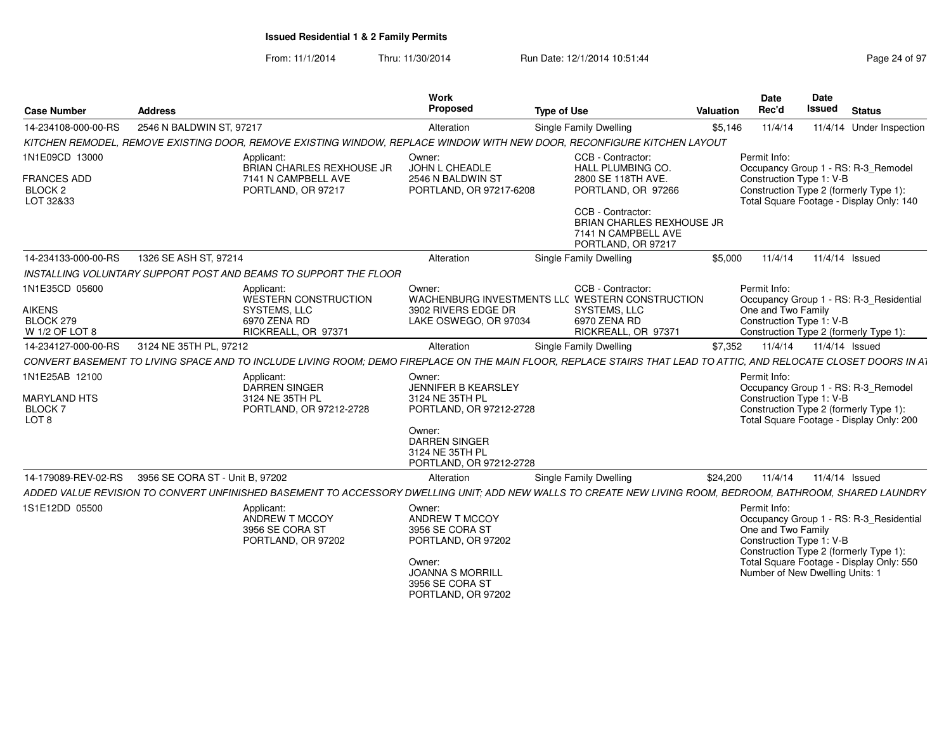| <b>Case Number</b>                                                         | <b>Address</b>                                                                                                                                                    | <b>Work</b><br>Proposed                                                                                                                         | <b>Type of Use</b>                                                                                                                                                                       | Valuation | Date<br>Rec'd                                                                                     | Date<br><b>Issued</b> | <b>Status</b>                                                                                                                 |
|----------------------------------------------------------------------------|-------------------------------------------------------------------------------------------------------------------------------------------------------------------|-------------------------------------------------------------------------------------------------------------------------------------------------|------------------------------------------------------------------------------------------------------------------------------------------------------------------------------------------|-----------|---------------------------------------------------------------------------------------------------|-----------------------|-------------------------------------------------------------------------------------------------------------------------------|
| 14-234108-000-00-RS                                                        | 2546 N BALDWIN ST, 97217                                                                                                                                          | Alteration                                                                                                                                      | Single Family Dwelling                                                                                                                                                                   | \$5,146   | 11/4/14                                                                                           |                       | 11/4/14 Under Inspection                                                                                                      |
|                                                                            | KITCHEN REMODEL, REMOVE EXISTING DOOR, REMOVE EXISTING WINDOW, REPLACE WINDOW WITH NEW DOOR, RECONFIGURE KITCHEN LAYOUT                                           |                                                                                                                                                 |                                                                                                                                                                                          |           |                                                                                                   |                       |                                                                                                                               |
| 1N1E09CD 13000<br>FRANCES ADD<br>BLOCK <sub>2</sub><br>LOT 32&33           | Applicant:<br><b>BRIAN CHARLES REXHOUSE JR</b><br>7141 N CAMPBELL AVE<br>PORTLAND, OR 97217                                                                       | Owner:<br>JOHN L CHEADLE<br>2546 N BALDWIN ST<br>PORTLAND, OR 97217-6208                                                                        | CCB - Contractor:<br><b>HALL PLUMBING CO.</b><br>2800 SE 118TH AVE.<br>PORTLAND, OR 97266<br>CCB - Contractor:<br>BRIAN CHARLES REXHOUSE JR<br>7141 N CAMPBELL AVE<br>PORTLAND, OR 97217 |           | Permit Info:<br>Construction Type 1: V-B                                                          |                       | Occupancy Group 1 - RS: R-3_Remodel<br>Construction Type 2 (formerly Type 1):<br>Total Square Footage - Display Only: 140     |
| 14-234133-000-00-RS                                                        | 1326 SE ASH ST, 97214                                                                                                                                             | Alteration                                                                                                                                      | Single Family Dwelling                                                                                                                                                                   | \$5,000   | 11/4/14                                                                                           |                       | 11/4/14 Issued                                                                                                                |
|                                                                            | INSTALLING VOLUNTARY SUPPORT POST AND BEAMS TO SUPPORT THE FLOOR                                                                                                  |                                                                                                                                                 |                                                                                                                                                                                          |           |                                                                                                   |                       |                                                                                                                               |
| 1N1E35CD 05600<br><b>AIKENS</b><br>BLOCK 279<br>W 1/2 OF LOT 8             | Applicant:<br>WESTERN CONSTRUCTION<br><b>SYSTEMS, LLC</b><br>6970 ZENA RD<br>RICKREALL, OR 97371                                                                  | Owner:<br>3902 RIVERS EDGE DR<br>LAKE OSWEGO, OR 97034                                                                                          | CCB - Contractor:<br>WACHENBURG INVESTMENTS LLC WESTERN CONSTRUCTION<br>SYSTEMS, LLC<br>6970 ZENA RD<br>RICKREALL, OR 97371                                                              |           | Permit Info:<br>One and Two Family<br>Construction Type 1: V-B                                    |                       | Occupancy Group 1 - RS: R-3 Residential<br>Construction Type 2 (formerly Type 1):                                             |
| 14-234127-000-00-RS                                                        | 3124 NE 35TH PL, 97212                                                                                                                                            | Alteration                                                                                                                                      | Single Family Dwelling                                                                                                                                                                   | \$7,352   | 11/4/14                                                                                           | 11/4/14 Issued        |                                                                                                                               |
|                                                                            | CONVERT BASEMENT TO LIVING SPACE AND TO INCLUDE LIVING ROOM: DEMO FIREPLACE ON THE MAIN FLOOR. REPLACE STAIRS THAT LEAD TO ATTIC. AND RELOCATE CLOSET DOORS IN AT |                                                                                                                                                 |                                                                                                                                                                                          |           |                                                                                                   |                       |                                                                                                                               |
| 1N1E25AB 12100<br><b>MARYLAND HTS</b><br><b>BLOCK7</b><br>LOT <sub>8</sub> | Applicant:<br>DARREN SINGER<br>3124 NE 35TH PL<br>PORTLAND, OR 97212-2728                                                                                         | Owner:<br>JENNIFER B KEARSLEY<br>3124 NE 35TH PL<br>PORTLAND, OR 97212-2728<br>Owner:<br><b>DARREN SINGER</b>                                   |                                                                                                                                                                                          |           | Permit Info:<br>Construction Type 1: V-B                                                          |                       | Occupancy Group 1 - RS: R-3 Remodel<br>Construction Type 2 (formerly Type 1):<br>Total Square Footage - Display Only: 200     |
|                                                                            |                                                                                                                                                                   | 3124 NE 35TH PL<br>PORTLAND, OR 97212-2728                                                                                                      |                                                                                                                                                                                          |           |                                                                                                   |                       |                                                                                                                               |
| 14-179089-REV-02-RS                                                        | 3956 SE CORA ST - Unit B, 97202                                                                                                                                   | Alteration                                                                                                                                      | <b>Single Family Dwelling</b>                                                                                                                                                            | \$24,200  | 11/4/14                                                                                           |                       | 11/4/14 Issued                                                                                                                |
|                                                                            | ADDED VALUE REVISION TO CONVERT UNFINISHED BASEMENT TO ACCESSORY DWELLING UNIT; ADD NEW WALLS TO CREATE NEW LIVING ROOM, BEDROOM, BATHROOM, SHARED LAUNDRY        |                                                                                                                                                 |                                                                                                                                                                                          |           |                                                                                                   |                       |                                                                                                                               |
| 1S1E12DD 05500                                                             | Applicant:<br>ANDREW T MCCOY<br>3956 SE CORA ST<br>PORTLAND, OR 97202                                                                                             | Owner:<br>ANDREW T MCCOY<br>3956 SE CORA ST<br>PORTLAND, OR 97202<br>Owner:<br><b>JOANNA S MORRILL</b><br>3956 SE CORA ST<br>PORTLAND, OR 97202 |                                                                                                                                                                                          |           | Permit Info:<br>One and Two Family<br>Construction Type 1: V-B<br>Number of New Dwelling Units: 1 |                       | Occupancy Group 1 - RS: R-3 Residential<br>Construction Type 2 (formerly Type 1):<br>Total Square Footage - Display Only: 550 |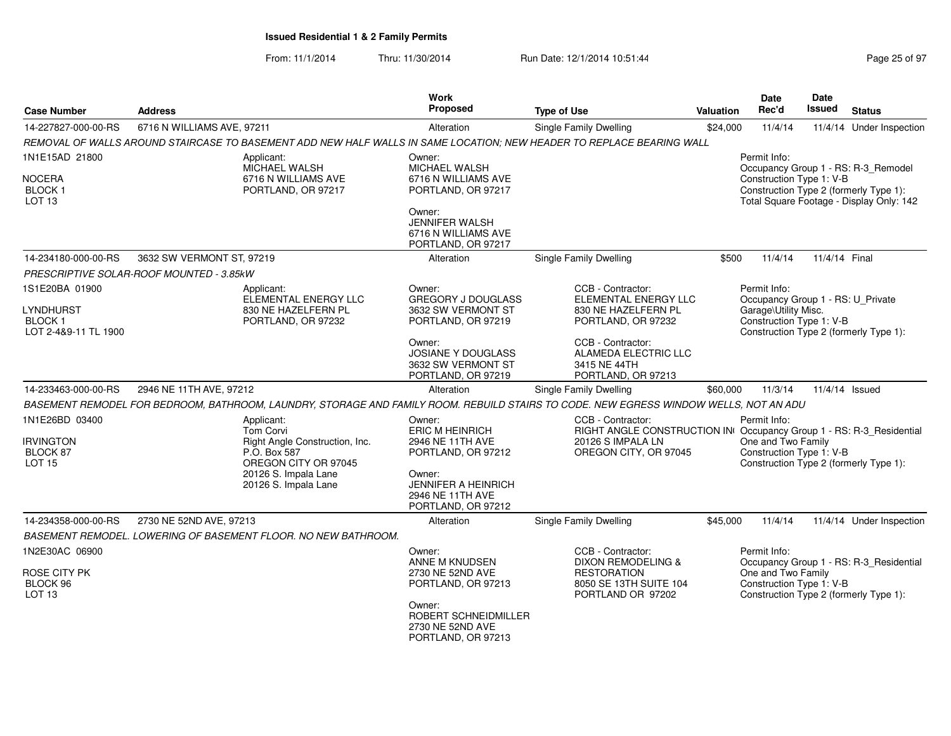| <b>Case Number</b>                                                   | <b>Address</b>                                                                                                                                           | <b>Work</b><br>Proposed                                                                                                                                      | <b>Type of Use</b>                                                                                                                                                        | <b>Valuation</b> | <b>Date</b><br>Rec'd                                                                                                                            | <b>Date</b><br><b>Issued</b> | <b>Status</b>                                                                                                             |
|----------------------------------------------------------------------|----------------------------------------------------------------------------------------------------------------------------------------------------------|--------------------------------------------------------------------------------------------------------------------------------------------------------------|---------------------------------------------------------------------------------------------------------------------------------------------------------------------------|------------------|-------------------------------------------------------------------------------------------------------------------------------------------------|------------------------------|---------------------------------------------------------------------------------------------------------------------------|
| 14-227827-000-00-RS                                                  | 6716 N WILLIAMS AVE, 97211                                                                                                                               | Alteration                                                                                                                                                   | Single Family Dwelling                                                                                                                                                    | \$24,000         | 11/4/14                                                                                                                                         |                              | 11/4/14 Under Inspection                                                                                                  |
|                                                                      | REMOVAL OF WALLS AROUND STAIRCASE TO BASEMENT ADD NEW HALF WALLS IN SAME LOCATION; NEW HEADER TO REPLACE BEARING WALL                                    |                                                                                                                                                              |                                                                                                                                                                           |                  |                                                                                                                                                 |                              |                                                                                                                           |
| 1N1E15AD 21800<br>NOCERA<br><b>BLOCK1</b><br>LOT <sub>13</sub>       | Applicant:<br><b>MICHAEL WALSH</b><br>6716 N WILLIAMS AVE<br>PORTLAND, OR 97217                                                                          | Owner:<br><b>MICHAEL WALSH</b><br>6716 N WILLIAMS AVE<br>PORTLAND, OR 97217<br>Owner:<br><b>JENNIFER WALSH</b><br>6716 N WILLIAMS AVE<br>PORTLAND, OR 97217  |                                                                                                                                                                           |                  | Permit Info:<br>Construction Type 1: V-B                                                                                                        |                              | Occupancy Group 1 - RS: R-3_Remodel<br>Construction Type 2 (formerly Type 1):<br>Total Square Footage - Display Only: 142 |
| 14-234180-000-00-RS                                                  | 3632 SW VERMONT ST, 97219                                                                                                                                | Alteration                                                                                                                                                   | Single Family Dwelling                                                                                                                                                    | \$500            | 11/4/14                                                                                                                                         | 11/4/14 Final                |                                                                                                                           |
|                                                                      | PRESCRIPTIVE SOLAR-ROOF MOUNTED - 3.85kW                                                                                                                 |                                                                                                                                                              |                                                                                                                                                                           |                  |                                                                                                                                                 |                              |                                                                                                                           |
| 1S1E20BA 01900<br>LYNDHURST<br><b>BLOCK1</b><br>LOT 2-4&9-11 TL 1900 | Applicant:<br>ELEMENTAL ENERGY LLC<br>830 NE HAZELFERN PL<br>PORTLAND, OR 97232                                                                          | Owner:<br><b>GREGORY J DOUGLASS</b><br>3632 SW VERMONT ST<br>PORTLAND, OR 97219<br>Owner:<br><b>JOSIANE Y DOUGLASS</b><br>3632 SW VERMONT ST                 | CCB - Contractor:<br>ELEMENTAL ENERGY LLC<br>830 NE HAZELFERN PL<br>PORTLAND, OR 97232<br>CCB - Contractor:<br>ALAMEDA ELECTRIC LLC<br>3415 NE 44TH<br>PORTLAND, OR 97213 |                  | Permit Info:<br>Occupancy Group 1 - RS: U_Private<br>Garage\Utility Misc.<br>Construction Type 1: V-B<br>Construction Type 2 (formerly Type 1): |                              |                                                                                                                           |
| 14-233463-000-00-RS                                                  | 2946 NE 11TH AVE, 97212                                                                                                                                  | PORTLAND, OR 97219<br>Alteration                                                                                                                             | Single Family Dwelling                                                                                                                                                    | \$60,000         | 11/3/14                                                                                                                                         |                              | 11/4/14 Issued                                                                                                            |
|                                                                      | BASEMENT REMODEL FOR BEDROOM, BATHROOM, LAUNDRY, STORAGE AND FAMILY ROOM. REBUILD STAIRS TO CODE. NEW EGRESS WINDOW WELLS, NOT AN ADU                    |                                                                                                                                                              |                                                                                                                                                                           |                  |                                                                                                                                                 |                              |                                                                                                                           |
| 1N1E26BD 03400<br><b>IRVINGTON</b><br>BLOCK 87<br><b>LOT 15</b>      | Applicant:<br><b>Tom Corvi</b><br>Right Angle Construction, Inc.<br>P.O. Box 587<br>OREGON CITY OR 97045<br>20126 S. Impala Lane<br>20126 S. Impala Lane | Owner:<br><b>ERIC M HEINRICH</b><br>2946 NE 11TH AVE<br>PORTLAND, OR 97212<br>Owner:<br><b>JENNIFER A HEINRICH</b><br>2946 NE 11TH AVE<br>PORTLAND, OR 97212 | CCB - Contractor:<br>RIGHT ANGLE CONSTRUCTION IN Occupancy Group 1 - RS: R-3_Residential<br>20126 S IMPALA LN<br>OREGON CITY, OR 97045                                    |                  | Permit Info:<br>One and Two Family<br>Construction Type 1: V-B                                                                                  |                              | Construction Type 2 (formerly Type 1):                                                                                    |
| 14-234358-000-00-RS                                                  | 2730 NE 52ND AVE, 97213                                                                                                                                  | Alteration                                                                                                                                                   | Single Family Dwelling                                                                                                                                                    | \$45,000         | 11/4/14                                                                                                                                         |                              | 11/4/14 Under Inspection                                                                                                  |
|                                                                      | BASEMENT REMODEL. LOWERING OF BASEMENT FLOOR. NO NEW BATHROOM.                                                                                           |                                                                                                                                                              |                                                                                                                                                                           |                  |                                                                                                                                                 |                              |                                                                                                                           |
| 1N2E30AC 06900<br>ROSE CITY PK<br>BLOCK 96<br>LOT <sub>13</sub>      |                                                                                                                                                          | Owner:<br>ANNE M KNUDSEN<br>2730 NE 52ND AVE<br>PORTLAND, OR 97213<br>Owner:<br>ROBERT SCHNEIDMILLER<br>2730 NE 52ND AVE<br>PORTLAND, OR 97213               | CCB - Contractor:<br><b>DIXON REMODELING &amp;</b><br><b>RESTORATION</b><br>8050 SE 13TH SUITE 104<br>PORTLAND OR 97202                                                   |                  | Permit Info:<br>One and Two Family<br>Construction Type 1: V-B                                                                                  |                              | Occupancy Group 1 - RS: R-3_Residential<br>Construction Type 2 (formerly Type 1):                                         |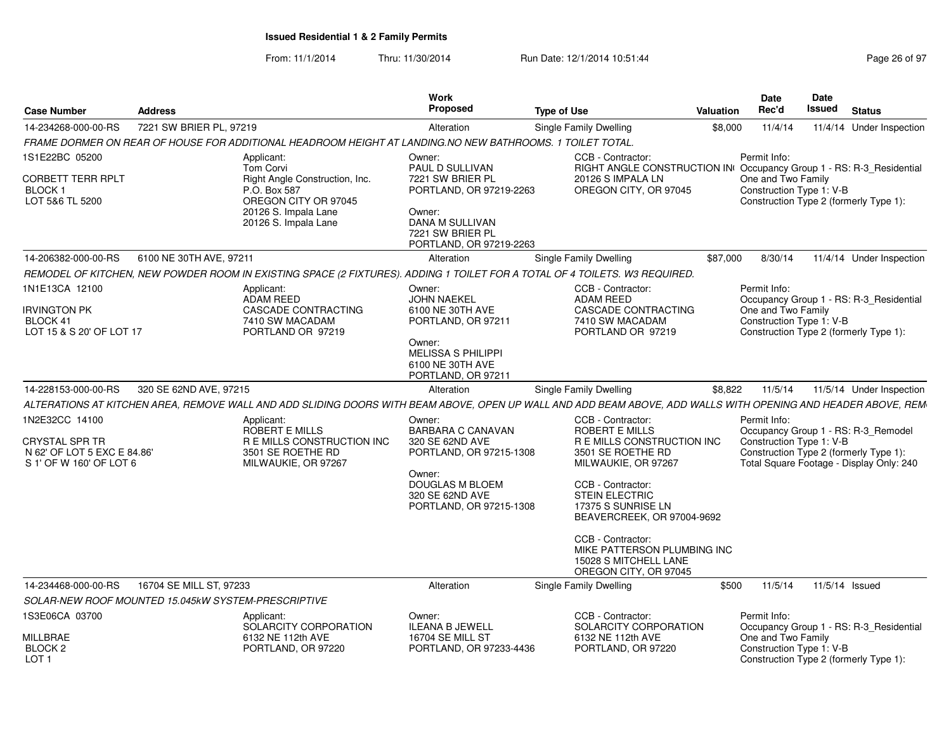| <b>Case Number</b>                                                                         | <b>Address</b>          |                                                                                                                                                               | <b>Work</b><br><b>Proposed</b>                                                                                                                                     | <b>Type of Use</b>                                                                                                                                                                                              | Valuation | <b>Date</b><br>Rec'd                                           | Date<br>Issued | <b>Status</b>                                                                                                             |
|--------------------------------------------------------------------------------------------|-------------------------|---------------------------------------------------------------------------------------------------------------------------------------------------------------|--------------------------------------------------------------------------------------------------------------------------------------------------------------------|-----------------------------------------------------------------------------------------------------------------------------------------------------------------------------------------------------------------|-----------|----------------------------------------------------------------|----------------|---------------------------------------------------------------------------------------------------------------------------|
| 14-234268-000-00-RS                                                                        | 7221 SW BRIER PL, 97219 |                                                                                                                                                               | Alteration                                                                                                                                                         | <b>Single Family Dwelling</b>                                                                                                                                                                                   | \$8,000   | 11/4/14                                                        |                | 11/4/14 Under Inspection                                                                                                  |
|                                                                                            |                         | FRAME DORMER ON REAR OF HOUSE FOR ADDITIONAL HEADROOM HEIGHT AT LANDING.NO NEW BATHROOMS. 1 TOILET TOTAL.                                                     |                                                                                                                                                                    |                                                                                                                                                                                                                 |           |                                                                |                |                                                                                                                           |
| 1S1E22BC 05200<br>CORBETT TERR RPLT<br>BLOCK 1<br>LOT 5&6 TL 5200                          |                         | Applicant:<br><b>Tom Corvi</b><br>Right Angle Construction, Inc.<br>P.O. Box 587<br>OREGON CITY OR 97045<br>20126 S. Impala Lane<br>20126 S. Impala Lane      | Owner:<br>PAUL D SULLIVAN<br>7221 SW BRIER PL<br>PORTLAND, OR 97219-2263<br>Owner:<br><b>DANA M SULLIVAN</b><br>7221 SW BRIER PL<br>PORTLAND, OR 97219-2263        | CCB - Contractor:<br>RIGHT ANGLE CONSTRUCTION IN Occupancy Group 1 - RS: R-3_Residential<br>20126 S IMPALA LN<br>OREGON CITY, OR 97045                                                                          |           | Permit Info:<br>One and Two Family<br>Construction Type 1: V-B |                | Construction Type 2 (formerly Type 1):                                                                                    |
| 14-206382-000-00-RS                                                                        | 6100 NE 30TH AVE, 97211 |                                                                                                                                                               | Alteration                                                                                                                                                         | Single Family Dwelling                                                                                                                                                                                          | \$87,000  | 8/30/14                                                        |                | 11/4/14 Under Inspection                                                                                                  |
|                                                                                            |                         | REMODEL OF KITCHEN, NEW POWDER ROOM IN EXISTING SPACE (2 FIXTURES). ADDING 1 TOILET FOR A TOTAL OF 4 TOILETS. W3 REQUIRED.                                    |                                                                                                                                                                    |                                                                                                                                                                                                                 |           |                                                                |                |                                                                                                                           |
| 1N1E13CA 12100<br>Irvington PK<br>BLOCK 41<br>LOT 15 & S 20' OF LOT 17                     |                         | Applicant:<br>ADAM REED<br>CASCADE CONTRACTING<br>7410 SW MACADAM<br>PORTLAND OR 97219                                                                        | Owner:<br>JOHN NAEKEL<br>6100 NE 30TH AVE<br>PORTLAND, OR 97211                                                                                                    | CCB - Contractor:<br><b>ADAM REED</b><br>CASCADE CONTRACTING<br>7410 SW MACADAM<br>PORTLAND OR 97219                                                                                                            |           | Permit Info:<br>One and Two Family<br>Construction Type 1: V-B |                | Occupancy Group 1 - RS: R-3 Residential<br>Construction Type 2 (formerly Type 1):                                         |
|                                                                                            |                         |                                                                                                                                                               | Owner:<br><b>MELISSA S PHILIPPI</b><br>6100 NE 30TH AVE<br>PORTLAND, OR 97211                                                                                      |                                                                                                                                                                                                                 |           |                                                                |                |                                                                                                                           |
| 14-228153-000-00-RS                                                                        | 320 SE 62ND AVE, 97215  |                                                                                                                                                               | Alteration                                                                                                                                                         | Single Family Dwelling                                                                                                                                                                                          | \$8,822   | 11/5/14                                                        |                | 11/5/14 Under Inspection                                                                                                  |
|                                                                                            |                         | ALTERATIONS AT KITCHEN AREA, REMOVE WALL AND ADD SLIDING DOORS WITH BEAM ABOVE, OPEN UP WALL AND ADD BEAM ABOVE, ADD WALLS WITH OPENING AND HEADER ABOVE, REM |                                                                                                                                                                    |                                                                                                                                                                                                                 |           |                                                                |                |                                                                                                                           |
| 1N2E32CC 14100<br>CRYSTAL SPR TR<br>N 62' OF LOT 5 EXC E 84.86'<br>S 1' OF W 160' OF LOT 6 |                         | Applicant:<br>ROBERT E MILLS<br>R E MILLS CONSTRUCTION INC<br>3501 SE ROETHE RD<br>MILWAUKIE, OR 97267                                                        | Owner:<br><b>BARBARA C CANAVAN</b><br>320 SE 62ND AVE<br>PORTLAND, OR 97215-1308<br>Owner:<br><b>DOUGLAS M BLOEM</b><br>320 SE 62ND AVE<br>PORTLAND, OR 97215-1308 | CCB - Contractor:<br>ROBERT E MILLS<br>R E MILLS CONSTRUCTION INC<br>3501 SE ROETHE RD<br>MILWAUKIE, OR 97267<br>CCB - Contractor:<br><b>STEIN ELECTRIC</b><br>17375 S SUNRISE LN<br>BEAVERCREEK, OR 97004-9692 |           | Permit Info:<br>Construction Type 1: V-B                       |                | Occupancy Group 1 - RS: R-3_Remodel<br>Construction Type 2 (formerly Type 1):<br>Total Square Footage - Display Only: 240 |
|                                                                                            |                         |                                                                                                                                                               |                                                                                                                                                                    | CCB - Contractor:<br>MIKE PATTERSON PLUMBING INC<br>15028 S MITCHELL LANE<br>OREGON CITY, OR 97045                                                                                                              |           |                                                                |                |                                                                                                                           |
| 14-234468-000-00-RS                                                                        | 16704 SE MILL ST, 97233 |                                                                                                                                                               | Alteration                                                                                                                                                         | Single Family Dwelling                                                                                                                                                                                          | \$500     | 11/5/14                                                        | 11/5/14 Issued |                                                                                                                           |
| SOLAR-NEW ROOF MOUNTED 15.045kW SYSTEM-PRESCRIPTIVE                                        |                         |                                                                                                                                                               |                                                                                                                                                                    |                                                                                                                                                                                                                 |           |                                                                |                |                                                                                                                           |
| 1S3E06CA 03700                                                                             |                         | Applicant:<br>SOLARCITY CORPORATION                                                                                                                           | Owner:<br>ILEANA B JEWELL                                                                                                                                          | CCB - Contractor:<br>SOLARCITY CORPORATION                                                                                                                                                                      |           | Permit Info:                                                   |                | Occupancy Group 1 - RS: R-3_Residential                                                                                   |
| MILLBRAE<br>BLOCK 2<br>LOT 1                                                               |                         | 6132 NE 112th AVE<br>PORTLAND, OR 97220                                                                                                                       | 16704 SE MILL ST<br>PORTLAND, OR 97233-4436                                                                                                                        | 6132 NE 112th AVE<br>PORTLAND, OR 97220                                                                                                                                                                         |           | One and Two Family<br>Construction Type 1: V-B                 |                | Construction Type 2 (formerly Type 1):                                                                                    |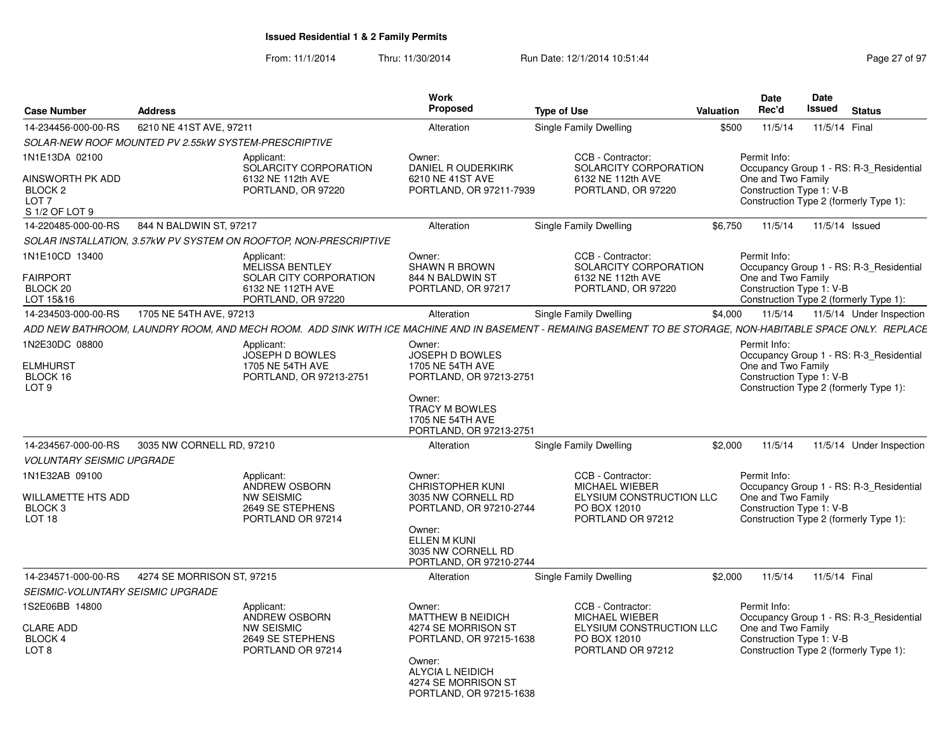| <b>Case Number</b>                                                           | <b>Address</b>                                                    |                                                                       | Work<br>Proposed                                                                               | <b>Type of Use</b>                                                                                                                                             | Valuation | Date<br>Rec'd                                                  | <b>Date</b><br><b>Issued</b> | <b>Status</b>                                                                     |
|------------------------------------------------------------------------------|-------------------------------------------------------------------|-----------------------------------------------------------------------|------------------------------------------------------------------------------------------------|----------------------------------------------------------------------------------------------------------------------------------------------------------------|-----------|----------------------------------------------------------------|------------------------------|-----------------------------------------------------------------------------------|
| 14-234456-000-00-RS                                                          | 6210 NE 41ST AVE, 97211                                           |                                                                       | Alteration                                                                                     | Single Family Dwelling                                                                                                                                         | \$500     | 11/5/14                                                        | 11/5/14 Final                |                                                                                   |
|                                                                              | SOLAR-NEW ROOF MOUNTED PV 2.55kW SYSTEM-PRESCRIPTIVE              |                                                                       |                                                                                                |                                                                                                                                                                |           |                                                                |                              |                                                                                   |
| 1N1E13DA 02100                                                               | Applicant:                                                        | SOLARCITY CORPORATION                                                 | Owner:<br><b>DANIEL R OUDERKIRK</b>                                                            | CCB - Contractor:<br>SOLARCITY CORPORATION                                                                                                                     |           | Permit Info:                                                   |                              | Occupancy Group 1 - RS: R-3 Residential                                           |
| AINSWORTH PK ADD<br>BLOCK <sub>2</sub><br>LOT <sub>7</sub><br>S 1/2 OF LOT 9 |                                                                   | 6132 NE 112th AVE<br>PORTLAND, OR 97220                               | 6210 NE 41ST AVE<br>PORTLAND, OR 97211-7939                                                    | 6132 NE 112th AVE<br>PORTLAND, OR 97220                                                                                                                        |           | One and Two Family<br>Construction Type 1: V-B                 |                              | Construction Type 2 (formerly Type 1):                                            |
| 14-220485-000-00-RS                                                          | 844 N BALDWIN ST, 97217                                           |                                                                       | Alteration                                                                                     | Single Family Dwelling                                                                                                                                         | \$6,750   | 11/5/14                                                        | 11/5/14 Issued               |                                                                                   |
|                                                                              | SOLAR INSTALLATION, 3.57kW PV SYSTEM ON ROOFTOP, NON-PRESCRIPTIVE |                                                                       |                                                                                                |                                                                                                                                                                |           |                                                                |                              |                                                                                   |
| 1N1E10CD 13400<br><b>FAIRPORT</b>                                            | Applicant:                                                        | <b>MELISSA BENTLEY</b><br>SOLAR CITY CORPORATION                      | Owner:<br><b>SHAWN R BROWN</b><br>844 N BALDWIN ST                                             | CCB - Contractor:<br>SOLARCITY CORPORATION<br>6132 NE 112th AVE                                                                                                |           | Permit Info:<br>One and Two Family                             |                              | Occupancy Group 1 - RS: R-3 Residential                                           |
| BLOCK 20<br>LOT 15&16                                                        |                                                                   | 6132 NE 112TH AVE<br>PORTLAND, OR 97220                               | PORTLAND, OR 97217                                                                             | PORTLAND, OR 97220                                                                                                                                             |           | Construction Type 1: V-B                                       |                              | Construction Type 2 (formerly Type 1):                                            |
| 14-234503-000-00-RS                                                          | 1705 NE 54TH AVE, 97213                                           |                                                                       | Alteration                                                                                     | Single Family Dwelling                                                                                                                                         | \$4,000   | 11/5/14                                                        |                              | 11/5/14 Under Inspection                                                          |
|                                                                              |                                                                   |                                                                       |                                                                                                | ADD NEW BATHROOM, LAUNDRY ROOM, AND MECH ROOM.  ADD SINK WITH ICE MACHINE AND IN BASEMENT - REMAING BASEMENT TO BE STORAGE, NON-HABITABLE SPACE ONLY.  REPLACE |           |                                                                |                              |                                                                                   |
| 1N2E30DC 08800                                                               | Applicant:                                                        |                                                                       | Owner:                                                                                         |                                                                                                                                                                |           | Permit Info:                                                   |                              |                                                                                   |
| <b>ELMHURST</b><br>BLOCK 16                                                  |                                                                   | <b>JOSEPH D BOWLES</b><br>1705 NE 54TH AVE<br>PORTLAND, OR 97213-2751 | JOSEPH D BOWLES<br>1705 NE 54TH AVE<br>PORTLAND, OR 97213-2751                                 |                                                                                                                                                                |           | One and Two Family<br>Construction Type 1: V-B                 |                              | Occupancy Group 1 - RS: R-3 Residential                                           |
| LOT <sub>9</sub>                                                             |                                                                   |                                                                       | Owner:<br><b>TRACY M BOWLES</b><br>1705 NE 54TH AVE<br>PORTLAND, OR 97213-2751                 |                                                                                                                                                                |           |                                                                |                              | Construction Type 2 (formerly Type 1):                                            |
| 14-234567-000-00-RS                                                          | 3035 NW CORNELL RD, 97210                                         |                                                                       | Alteration                                                                                     | Single Family Dwelling                                                                                                                                         | \$2,000   | 11/5/14                                                        |                              | 11/5/14 Under Inspection                                                          |
| <b>VOLUNTARY SEISMIC UPGRADE</b>                                             |                                                                   |                                                                       |                                                                                                |                                                                                                                                                                |           |                                                                |                              |                                                                                   |
| 1N1E32AB 09100<br>WILLAMETTE HTS ADD<br>BLOCK <sub>3</sub>                   | Applicant:<br><b>NW SEISMIC</b>                                   | <b>ANDREW OSBORN</b><br>2649 SE STEPHENS                              | Owner:<br><b>CHRISTOPHER KUNI</b><br>3035 NW CORNELL RD<br>PORTLAND, OR 97210-2744             | CCB - Contractor:<br><b>MICHAEL WIEBER</b><br>ELYSIUM CONSTRUCTION LLC<br>PO BOX 12010                                                                         |           | Permit Info:<br>One and Two Family<br>Construction Type 1: V-B |                              | Occupancy Group 1 - RS: R-3 Residential                                           |
| LOT <sub>18</sub>                                                            |                                                                   | PORTLAND OR 97214                                                     | Owner:<br><b>ELLEN M KUNI</b><br>3035 NW CORNELL RD<br>PORTLAND, OR 97210-2744                 | PORTLAND OR 97212                                                                                                                                              |           |                                                                |                              | Construction Type 2 (formerly Type 1):                                            |
| 14-234571-000-00-RS                                                          | 4274 SE MORRISON ST, 97215                                        |                                                                       | Alteration                                                                                     | Single Family Dwelling                                                                                                                                         | \$2.000   | 11/5/14                                                        | 11/5/14 Final                |                                                                                   |
| SEISMIC-VOLUNTARY SEISMIC UPGRADE                                            |                                                                   |                                                                       |                                                                                                |                                                                                                                                                                |           |                                                                |                              |                                                                                   |
| 1S2E06BB 14800<br><b>CLARE ADD</b><br>BLOCK 4<br>LOT 8                       | Applicant:<br><b>NW SEISMIC</b>                                   | <b>ANDREW OSBORN</b><br>2649 SE STEPHENS<br>PORTLAND OR 97214         | Owner:<br><b>MATTHEW B NEIDICH</b><br>4274 SE MORRISON ST<br>PORTLAND, OR 97215-1638<br>Owner: | CCB - Contractor:<br>MICHAEL WIEBER<br>ELYSIUM CONSTRUCTION LLC<br>PO BOX 12010<br>PORTLAND OR 97212                                                           |           | Permit Info:<br>One and Two Family<br>Construction Type 1: V-B |                              | Occupancy Group 1 - RS: R-3 Residential<br>Construction Type 2 (formerly Type 1): |
|                                                                              |                                                                   |                                                                       | ALYCIA L NEIDICH<br>4274 SE MORRISON ST<br>PORTLAND, OR 97215-1638                             |                                                                                                                                                                |           |                                                                |                              |                                                                                   |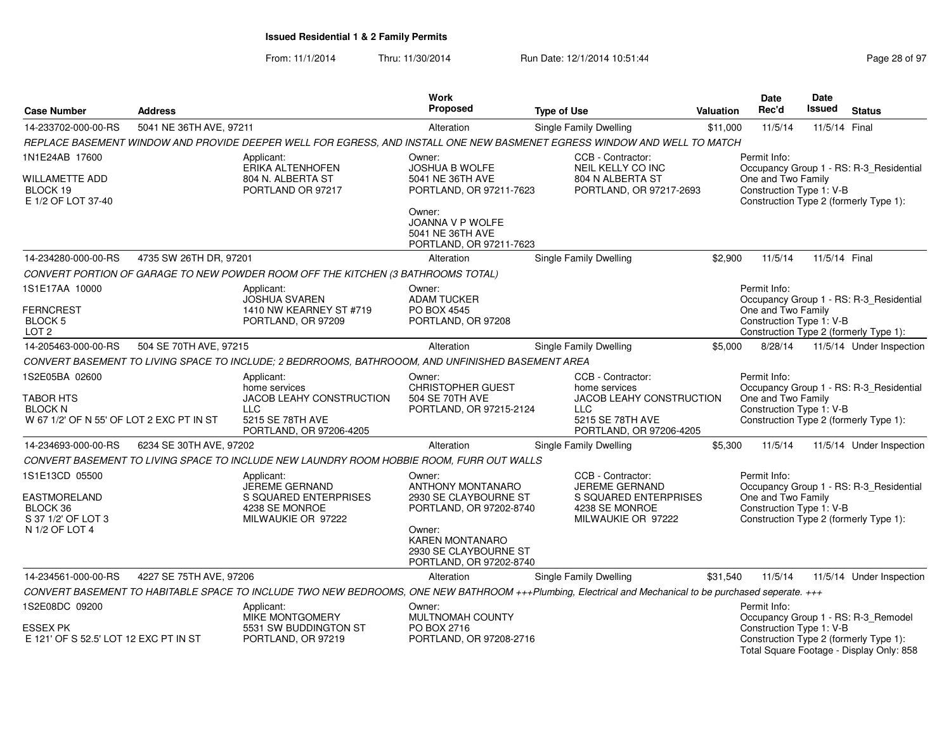|                                                                                           |                                      |                                                                                                                                                        | <b>Work</b>                                                                                                                                                                    |                                                                                                                             |                                                     | <b>Date</b>                                                    | <b>Date</b>   |                                                                                    |  |  |  |
|-------------------------------------------------------------------------------------------|--------------------------------------|--------------------------------------------------------------------------------------------------------------------------------------------------------|--------------------------------------------------------------------------------------------------------------------------------------------------------------------------------|-----------------------------------------------------------------------------------------------------------------------------|-----------------------------------------------------|----------------------------------------------------------------|---------------|------------------------------------------------------------------------------------|--|--|--|
| <b>Case Number</b>                                                                        | <b>Address</b>                       |                                                                                                                                                        | <b>Proposed</b>                                                                                                                                                                | <b>Type of Use</b>                                                                                                          | Valuation                                           | Rec'd                                                          | Issued        | <b>Status</b>                                                                      |  |  |  |
| 14-233702-000-00-RS                                                                       | 5041 NE 36TH AVE, 97211              |                                                                                                                                                        | Alteration                                                                                                                                                                     | Single Family Dwelling                                                                                                      | \$11,000                                            | 11/5/14                                                        | 11/5/14 Final |                                                                                    |  |  |  |
|                                                                                           |                                      | REPLACE BASEMENT WINDOW AND PROVIDE DEEPER WELL FOR EGRESS, AND INSTALL ONE NEW BASMENET EGRESS WINDOW AND WELL TO MATCH                               |                                                                                                                                                                                |                                                                                                                             |                                                     |                                                                |               |                                                                                    |  |  |  |
| 1N1E24AB 17600                                                                            |                                      | Applicant:                                                                                                                                             | Owner:                                                                                                                                                                         | CCB - Contractor:                                                                                                           |                                                     | Permit Info:                                                   |               |                                                                                    |  |  |  |
| <b>WILLAMETTE ADD</b><br>BLOCK 19<br>E 1/2 OF LOT 37-40                                   |                                      | ERIKA ALTENHOFEN<br>804 N. ALBERTA ST<br>PORTLAND OR 97217                                                                                             | <b>JOSHUA B WOLFE</b><br>5041 NE 36TH AVE<br>PORTLAND, OR 97211-7623<br>Owner:                                                                                                 | NEIL KELLY CO INC<br>804 N ALBERTA ST<br>PORTLAND, OR 97217-2693                                                            |                                                     | One and Two Family<br>Construction Type 1: V-B                 |               | Occupancy Group 1 - RS: R-3_Residential<br>Construction Type 2 (formerly Type 1):  |  |  |  |
|                                                                                           |                                      |                                                                                                                                                        | JOANNA V P WOLFE<br>5041 NE 36TH AVE<br>PORTLAND, OR 97211-7623                                                                                                                |                                                                                                                             |                                                     |                                                                |               |                                                                                    |  |  |  |
| 14-234280-000-00-RS                                                                       | 4735 SW 26TH DR, 97201               |                                                                                                                                                        | Alteration                                                                                                                                                                     | <b>Single Family Dwelling</b>                                                                                               | \$2,900                                             | 11/5/14                                                        | 11/5/14 Final |                                                                                    |  |  |  |
|                                                                                           |                                      | CONVERT PORTION OF GARAGE TO NEW POWDER ROOM OFF THE KITCHEN (3 BATHROOMS TOTAL)                                                                       |                                                                                                                                                                                |                                                                                                                             |                                                     |                                                                |               |                                                                                    |  |  |  |
| 1S1E17AA 10000<br><b>FERNCREST</b><br><b>BLOCK 5</b><br>LOT <sub>2</sub>                  |                                      | Applicant:<br><b>JOSHUA SVAREN</b><br>1410 NW KEARNEY ST #719<br>PORTLAND, OR 97209                                                                    | Owner:<br><b>ADAM TUCKER</b><br>PO BOX 4545<br>PORTLAND, OR 97208                                                                                                              |                                                                                                                             |                                                     | Permit Info:<br>One and Two Family<br>Construction Type 1: V-B |               | Occupancy Group 1 - RS: R-3 Residential<br>Construction Type 2 (formerly Type 1):  |  |  |  |
| 14-205463-000-00-RS                                                                       | 504 SE 70TH AVE, 97215               |                                                                                                                                                        | Alteration                                                                                                                                                                     | <b>Single Family Dwelling</b>                                                                                               | \$5,000                                             | 8/28/14                                                        |               | 11/5/14 Under Inspection                                                           |  |  |  |
|                                                                                           |                                      | CONVERT BASEMENT TO LIVING SPACE TO INCLUDE; 2 BEDRROOMS, BATHROOOM, AND UNFINISHED BASEMENT AREA                                                      |                                                                                                                                                                                |                                                                                                                             |                                                     |                                                                |               |                                                                                    |  |  |  |
| 1S2E05BA 02600<br>TABOR HTS<br><b>BLOCK N</b><br>W 67 1/2' OF N 55' OF LOT 2 EXC PT IN ST |                                      | Applicant:<br>home services<br>JACOB LEAHY CONSTRUCTION<br><b>LLC</b><br>5215 SE 78TH AVE<br>PORTLAND, OR 97206-4205                                   | Owner:<br><b>CHRISTOPHER GUEST</b><br>504 SE 70TH AVE<br>PORTLAND, OR 97215-2124                                                                                               | CCB - Contractor:<br>home services<br><b>JACOB LEAHY CONSTRUCTION</b><br>LLC<br>5215 SE 78TH AVE<br>PORTLAND, OR 97206-4205 |                                                     | Permit Info:<br>One and Two Family<br>Construction Type 1: V-B |               | Occupancy Group 1 - RS: R-3_Residential<br>Construction Type 2 (formerly Type 1):  |  |  |  |
| 14-234693-000-00-RS                                                                       | 6234 SE 30TH AVE, 97202              |                                                                                                                                                        | Alteration                                                                                                                                                                     | Single Family Dwelling                                                                                                      | \$5,300                                             | 11/5/14                                                        |               | 11/5/14 Under Inspection                                                           |  |  |  |
|                                                                                           |                                      | CONVERT BASEMENT TO LIVING SPACE TO INCLUDE NEW LAUNDRY ROOM HOBBIE ROOM, FURR OUT WALLS                                                               |                                                                                                                                                                                |                                                                                                                             |                                                     |                                                                |               |                                                                                    |  |  |  |
| 1S1E13CD 05500<br><b>EASTMORELAND</b><br>BLOCK 36<br>S 37 1/2' OF LOT 3<br>N 1/2 OF LOT 4 |                                      | Applicant:<br>JEREME GERNAND<br>S SQUARED ENTERPRISES<br>4238 SE MONROE<br>MILWAUKIE OR 97222                                                          | Owner:<br><b>ANTHONY MONTANARO</b><br>2930 SE CLAYBOURNE ST<br>PORTLAND, OR 97202-8740<br>Owner:<br><b>KAREN MONTANARO</b><br>2930 SE CLAYBOURNE ST<br>PORTLAND, OR 97202-8740 | CCB - Contractor:<br><b>JEREME GERNAND</b><br>S SQUARED ENTERPRISES<br>4238 SE MONROE<br>MILWAUKIE OR 97222                 |                                                     | Permit Info:<br>One and Two Family<br>Construction Type 1: V-B |               | Occupancy Group 1 - RS: R-3_Residential<br>Construction Type 2 (formerly Type 1):  |  |  |  |
| 14-234561-000-00-RS                                                                       | 4227 SE 75TH AVE, 97206              |                                                                                                                                                        | Alteration                                                                                                                                                                     | <b>Single Family Dwelling</b>                                                                                               | \$31,540                                            | 11/5/14                                                        |               | 11/5/14 Under Inspection                                                           |  |  |  |
|                                                                                           |                                      | CONVERT BASEMENT TO HABITABLE SPACE TO INCLUDE TWO NEW BEDROOMS, ONE NEW BATHROOM +++Plumbing, Electrical and Mechanical to be purchased seperate. +++ |                                                                                                                                                                                |                                                                                                                             |                                                     |                                                                |               |                                                                                    |  |  |  |
| 1S2E08DC 09200                                                                            | Applicant:<br><b>MIKE MONTGOMERY</b> |                                                                                                                                                        | Owner:<br><b>MULTNOMAH COUNTY</b>                                                                                                                                              |                                                                                                                             | Permit Info:<br>Occupancy Group 1 - RS: R-3_Remodel |                                                                |               |                                                                                    |  |  |  |
| ESSEX PK<br>E 121' OF S 52.5' LOT 12 EXC PT IN ST                                         |                                      | 5531 SW BUDDINGTON ST<br>PORTLAND, OR 97219                                                                                                            | PO BOX 2716<br>PORTLAND, OR 97208-2716                                                                                                                                         |                                                                                                                             |                                                     | Construction Type 1: V-B                                       |               | Construction Type 2 (formerly Type 1):<br>Total Square Footage - Display Only: 858 |  |  |  |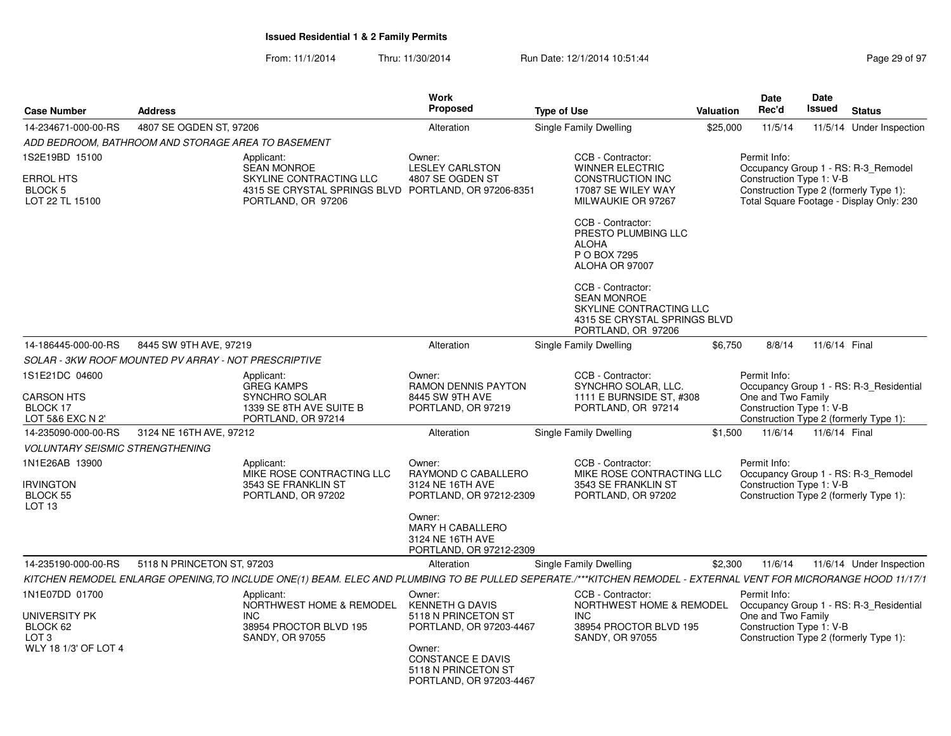|                                                                                         |                            |                                                                                                                                                                  | <b>Work</b>                                                                                                                                      |                    |                                                                                                                          |                  | Date                                                                                                     | Date          |                                                                                 |
|-----------------------------------------------------------------------------------------|----------------------------|------------------------------------------------------------------------------------------------------------------------------------------------------------------|--------------------------------------------------------------------------------------------------------------------------------------------------|--------------------|--------------------------------------------------------------------------------------------------------------------------|------------------|----------------------------------------------------------------------------------------------------------|---------------|---------------------------------------------------------------------------------|
| <b>Case Number</b>                                                                      | <b>Address</b>             |                                                                                                                                                                  | <b>Proposed</b>                                                                                                                                  | <b>Type of Use</b> |                                                                                                                          | <b>Valuation</b> | Rec'd                                                                                                    | Issued        | <b>Status</b>                                                                   |
| 14-234671-000-00-RS                                                                     | 4807 SE OGDEN ST, 97206    |                                                                                                                                                                  | Alteration                                                                                                                                       |                    | Single Family Dwelling                                                                                                   | \$25,000         | 11/5/14                                                                                                  |               | 11/5/14 Under Inspection                                                        |
| ADD BEDROOM, BATHROOM AND STORAGE AREA TO BASEMENT                                      |                            |                                                                                                                                                                  |                                                                                                                                                  |                    |                                                                                                                          |                  |                                                                                                          |               |                                                                                 |
| 1S2E19BD 15100<br><b>ERROL HTS</b><br>BLOCK 5<br>LOT 22 TL 15100                        |                            | Applicant:<br><b>SEAN MONROE</b><br>SKYLINE CONTRACTING LLC<br>4315 SE CRYSTAL SPRINGS BLVD PORTLAND, OR 97206-8351<br>PORTLAND, OR 97206                        | Owner:<br><b>LESLEY CARLSTON</b><br>4807 SE OGDEN ST                                                                                             |                    | CCB - Contractor:<br><b>WINNER ELECTRIC</b><br>CONSTRUCTION INC<br>17087 SE WILEY WAY<br>MILWAUKIE OR 97267              |                  | Permit Info:<br>Construction Type 1: V-B<br>Construction Type 2 (formerly Type 1):                       |               | Occupancy Group 1 - RS: R-3_Remodel<br>Total Square Footage - Display Only: 230 |
|                                                                                         |                            |                                                                                                                                                                  |                                                                                                                                                  |                    | CCB - Contractor:<br>PRESTO PLUMBING LLC<br><b>ALOHA</b><br>P O BOX 7295<br>ALOHA OR 97007                               |                  |                                                                                                          |               |                                                                                 |
|                                                                                         |                            |                                                                                                                                                                  |                                                                                                                                                  |                    | CCB - Contractor:<br><b>SEAN MONROE</b><br>SKYLINE CONTRACTING LLC<br>4315 SE CRYSTAL SPRINGS BLVD<br>PORTLAND, OR 97206 |                  |                                                                                                          |               |                                                                                 |
| 14-186445-000-00-RS                                                                     | 8445 SW 9TH AVE, 97219     |                                                                                                                                                                  | Alteration                                                                                                                                       |                    | Single Family Dwelling                                                                                                   | \$6,750          | 8/8/14                                                                                                   | 11/6/14 Final |                                                                                 |
| SOLAR - 3KW ROOF MOUNTED PV ARRAY - NOT PRESCRIPTIVE                                    |                            |                                                                                                                                                                  |                                                                                                                                                  |                    |                                                                                                                          |                  |                                                                                                          |               |                                                                                 |
| 1S1E21DC 04600<br><b>CARSON HTS</b><br>BLOCK 17<br>LOT 5&6 EXC N 2'                     |                            | Applicant:<br><b>GREG KAMPS</b><br>SYNCHRO SOLAR<br>1339 SE 8TH AVE SUITE B<br>PORTLAND, OR 97214                                                                | Owner:<br><b>RAMON DENNIS PAYTON</b><br>8445 SW 9TH AVE<br>PORTLAND, OR 97219                                                                    |                    | CCB - Contractor:<br>SYNCHRO SOLAR, LLC.<br>1111 E BURNSIDE ST, #308<br>PORTLAND, OR 97214                               |                  | Permit Info:<br>One and Two Family<br>Construction Type 1: V-B<br>Construction Type 2 (formerly Type 1): |               | Occupancy Group 1 - RS: R-3_Residential                                         |
| 14-235090-000-00-RS                                                                     | 3124 NE 16TH AVE, 97212    |                                                                                                                                                                  | Alteration                                                                                                                                       |                    | Single Family Dwelling                                                                                                   | \$1,500          | 11/6/14                                                                                                  | 11/6/14 Final |                                                                                 |
| <b>VOLUNTARY SEISMIC STRENGTHENING</b>                                                  |                            |                                                                                                                                                                  |                                                                                                                                                  |                    |                                                                                                                          |                  |                                                                                                          |               |                                                                                 |
| 1N1E26AB 13900<br><b>IRVINGTON</b><br><b>BLOCK 55</b><br>LOT <sub>13</sub>              |                            | Applicant:<br>MIKE ROSE CONTRACTING LLC<br>3543 SE FRANKLIN ST<br>PORTLAND, OR 97202                                                                             | Owner:<br>RAYMOND C CABALLERO<br>3124 NE 16TH AVE<br>PORTLAND, OR 97212-2309<br>Owner:                                                           |                    | CCB - Contractor:<br>MIKE ROSE CONTRACTING LLC<br>3543 SE FRANKLIN ST<br>PORTLAND, OR 97202                              |                  | Permit Info:<br>Construction Type 1: V-B<br>Construction Type 2 (formerly Type 1):                       |               | Occupancy Group 1 - RS: R-3_Remodel                                             |
|                                                                                         |                            |                                                                                                                                                                  | <b>MARY H CABALLERO</b><br>3124 NE 16TH AVE<br>PORTLAND, OR 97212-2309                                                                           |                    |                                                                                                                          |                  |                                                                                                          |               |                                                                                 |
| 14-235190-000-00-RS                                                                     | 5118 N PRINCETON ST, 97203 |                                                                                                                                                                  | Alteration                                                                                                                                       |                    | Single Family Dwelling                                                                                                   | \$2,300          | 11/6/14                                                                                                  |               | 11/6/14 Under Inspection                                                        |
|                                                                                         |                            | KITCHEN REMODEL ENLARGE OPENING, TO INCLUDE ONE(1) BEAM. ELEC AND PLUMBING TO BE PULLED SEPERATE./***KITCHEN REMODEL - EXTERNAL VENT FOR MICRORANGE HOOD 11/17/1 |                                                                                                                                                  |                    |                                                                                                                          |                  |                                                                                                          |               |                                                                                 |
| 1N1E07DD 01700<br>UNIVERSITY PK<br>BLOCK 62<br>LOT <sub>3</sub><br>WLY 18 1/3' OF LOT 4 |                            | Applicant:<br>NORTHWEST HOME & REMODEL KENNETH G DAVIS<br><b>INC</b><br>38954 PROCTOR BLVD 195<br><b>SANDY, OR 97055</b>                                         | Owner:<br>5118 N PRINCETON ST<br>PORTLAND, OR 97203-4467<br>Owner:<br><b>CONSTANCE E DAVIS</b><br>5118 N PRINCETON ST<br>PORTLAND, OR 97203-4467 |                    | CCB - Contractor:<br>NORTHWEST HOME & REMODEL<br><b>INC</b><br>38954 PROCTOR BLVD 195<br>SANDY, OR 97055                 |                  | Permit Info:<br>One and Two Family<br>Construction Type 1: V-B<br>Construction Type 2 (formerly Type 1): |               | Occupancy Group 1 - RS: R-3_Residential                                         |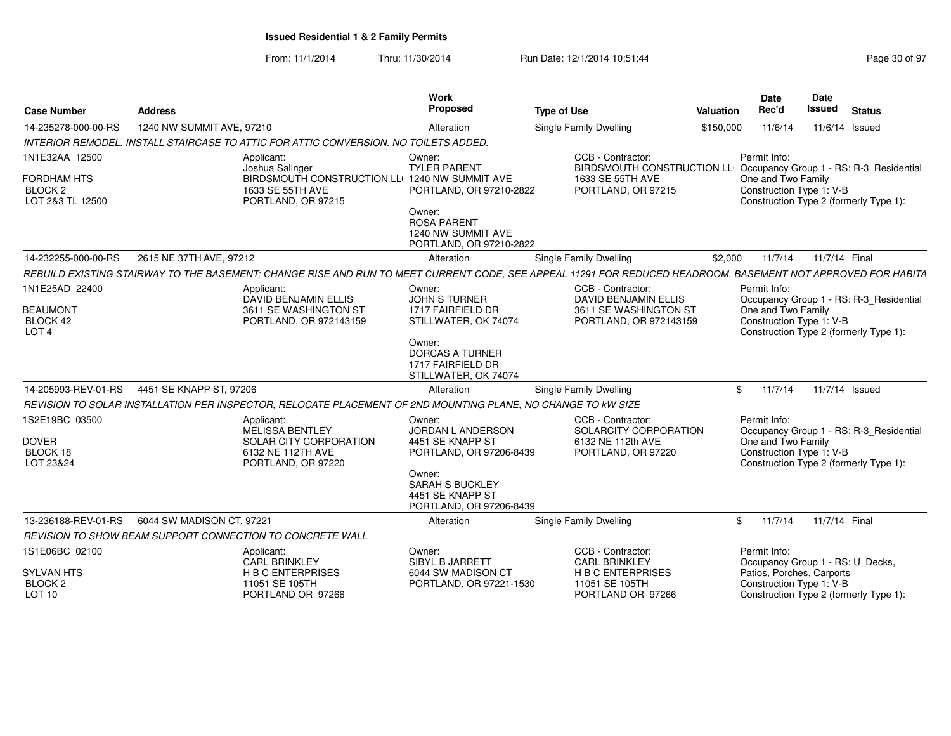| <b>Case Number</b>                                       | <b>Address</b>            |                                                                                                                                                              | <b>Work</b><br>Proposed                                                         | <b>Type of Use</b>                                                                                   | Valuation | Date<br>Rec'd                                                  | Date<br>Issued | <b>Status</b>                           |
|----------------------------------------------------------|---------------------------|--------------------------------------------------------------------------------------------------------------------------------------------------------------|---------------------------------------------------------------------------------|------------------------------------------------------------------------------------------------------|-----------|----------------------------------------------------------------|----------------|-----------------------------------------|
| 14-235278-000-00-RS                                      | 1240 NW SUMMIT AVE, 97210 |                                                                                                                                                              | Alteration                                                                      | <b>Single Family Dwelling</b>                                                                        | \$150,000 | 11/6/14                                                        |                | 11/6/14 Issued                          |
|                                                          |                           | INTERIOR REMODEL. INSTALL STAIRCASE TO ATTIC FOR ATTIC CONVERSION. NO TOILETS ADDED.                                                                         |                                                                                 |                                                                                                      |           |                                                                |                |                                         |
| 1N1E32AA 12500                                           |                           | Applicant:<br>Joshua Salinger                                                                                                                                | Owner:<br><b>TYLER PARENT</b>                                                   | CCB - Contractor:<br>BIRDSMOUTH CONSTRUCTION LL <sup>1</sup> Occupancy Group 1 - RS: R-3_Residential |           | Permit Info:                                                   |                |                                         |
| <b>FORDHAM HTS</b><br><b>BLOCK 2</b><br>LOT 2&3 TL 12500 |                           | BIRDSMOUTH CONSTRUCTION LLE 1240 NW SUMMIT AVE<br>1633 SE 55TH AVE<br>PORTLAND, OR 97215                                                                     | PORTLAND, OR 97210-2822                                                         | 1633 SE 55TH AVE<br>PORTLAND, OR 97215                                                               |           | One and Two Family<br>Construction Type 1: V-B                 |                | Construction Type 2 (formerly Type 1):  |
|                                                          |                           |                                                                                                                                                              | Owner:<br><b>ROSA PARENT</b><br>1240 NW SUMMIT AVE<br>PORTLAND, OR 97210-2822   |                                                                                                      |           |                                                                |                |                                         |
| 14-232255-000-00-RS                                      | 2615 NE 37TH AVE, 97212   |                                                                                                                                                              | Alteration                                                                      | <b>Single Family Dwelling</b>                                                                        | \$2,000   | 11/7/14                                                        | 11/7/14 Final  |                                         |
|                                                          |                           | REBUILD EXISTING STAIRWAY TO THE BASEMENT; CHANGE RISE AND RUN TO MEET CURRENT CODE, SEE APPEAL 11291 FOR REDUCED HEADROOM. BASEMENT NOT APPROVED FOR HABITA |                                                                                 |                                                                                                      |           |                                                                |                |                                         |
| 1N1E25AD 22400                                           |                           | Applicant:<br>DAVID BENJAMIN ELLIS                                                                                                                           | Owner:<br><b>JOHN S TURNER</b>                                                  | CCB - Contractor:<br><b>DAVID BENJAMIN ELLIS</b>                                                     |           | Permit Info:                                                   |                | Occupancy Group 1 - RS: R-3_Residential |
| <b>BEAUMONT</b><br>BLOCK 42<br>LOT <sub>4</sub>          |                           | 3611 SE WASHINGTON ST<br>PORTLAND, OR 972143159                                                                                                              | 1717 FAIRFIELD DR<br>STILLWATER, OK 74074                                       | 3611 SE WASHINGTON ST<br>PORTLAND, OR 972143159                                                      |           | One and Two Family<br>Construction Type 1: V-B                 |                | Construction Type 2 (formerly Type 1):  |
|                                                          |                           |                                                                                                                                                              | Owner:<br><b>DORCAS A TURNER</b><br>1717 FAIRFIELD DR<br>STILLWATER, OK 74074   |                                                                                                      |           |                                                                |                |                                         |
| 14-205993-REV-01-RS                                      | 4451 SE KNAPP ST, 97206   |                                                                                                                                                              | Alteration                                                                      | Single Family Dwelling                                                                               | \$        | 11/7/14                                                        |                | 11/7/14 Issued                          |
|                                                          |                           | REVISION TO SOLAR INSTALLATION PER INSPECTOR, RELOCATE PLACEMENT OF 2ND MOUNTING PLANE, NO CHANGE TO KW SIZE                                                 |                                                                                 |                                                                                                      |           |                                                                |                |                                         |
| 1S2E19BC 03500<br><b>DOVER</b><br>BLOCK 18               |                           | Applicant:<br><b>MELISSA BENTLEY</b><br>SOLAR CITY CORPORATION<br>6132 NE 112TH AVE                                                                          | Owner:<br>JORDAN L ANDERSON<br>4451 SE KNAPP ST<br>PORTLAND, OR 97206-8439      | CCB - Contractor:<br>SOLARCITY CORPORATION<br>6132 NE 112th AVE<br>PORTLAND, OR 97220                |           | Permit Info:<br>One and Two Family<br>Construction Type 1: V-B |                | Occupancy Group 1 - RS: R-3_Residential |
| LOT 23&24                                                |                           | PORTLAND, OR 97220                                                                                                                                           | Owner:<br><b>SARAH S BUCKLEY</b><br>4451 SE KNAPP ST<br>PORTLAND, OR 97206-8439 |                                                                                                      |           |                                                                |                | Construction Type 2 (formerly Type 1):  |
| 13-236188-REV-01-RS                                      | 6044 SW MADISON CT, 97221 |                                                                                                                                                              | Alteration                                                                      | Single Family Dwelling                                                                               | \$        | 11/7/14                                                        | 11/7/14 Final  |                                         |
|                                                          |                           | REVISION TO SHOW BEAM SUPPORT CONNECTION TO CONCRETE WALL                                                                                                    |                                                                                 |                                                                                                      |           |                                                                |                |                                         |
| 1S1E06BC 02100                                           |                           | Applicant:<br><b>CARL BRINKLEY</b>                                                                                                                           | Owner:<br>SIBYL B JARRETT                                                       | CCB - Contractor:<br><b>CARL BRINKLEY</b>                                                            |           | Permit Info:<br>Occupancy Group 1 - RS: U_Decks,               |                |                                         |
| <b>SYLVAN HTS</b><br><b>BLOCK 2</b><br>LOT 10            |                           | <b>H B C ENTERPRISES</b><br>11051 SE 105TH<br>PORTLAND OR 97266                                                                                              | 6044 SW MADISON CT<br>PORTLAND, OR 97221-1530                                   | <b>H B C ENTERPRISES</b><br>11051 SE 105TH<br>PORTLAND OR 97266                                      |           | Patios, Porches, Carports<br>Construction Type 1: V-B          |                | Construction Type 2 (formerly Type 1):  |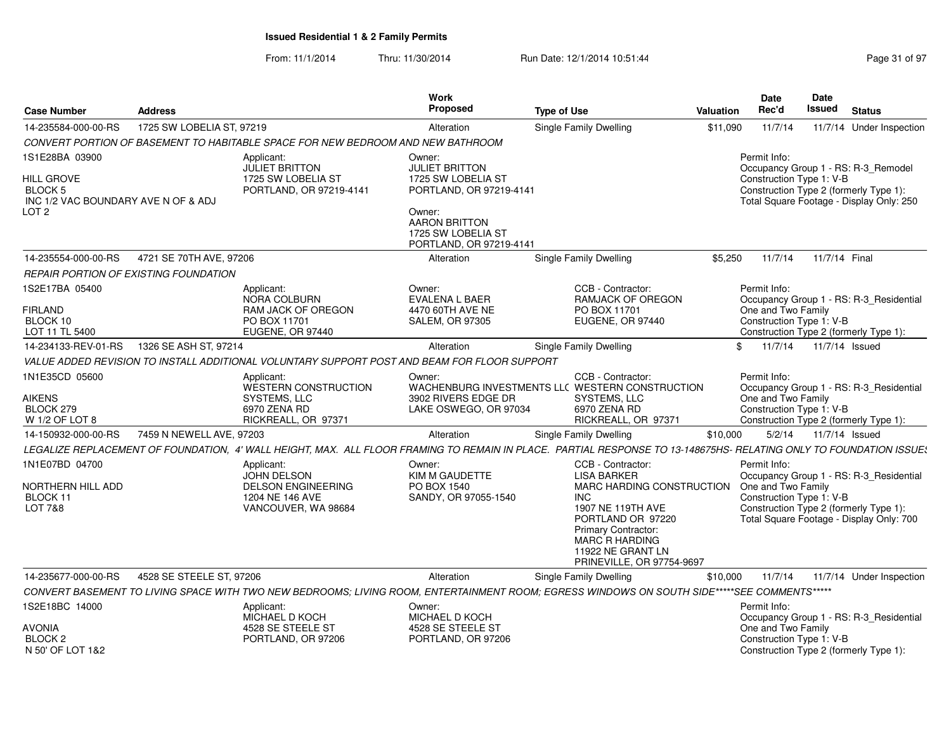| <b>Case Number</b>                                                                      | <b>Address</b>            |                                                                                                  | Work<br><b>Proposed</b>                                                                                                           | <b>Type of Use</b>                                                                                                                                                                                                             | <b>Valuation</b> | Date<br>Rec'd                                                  | Date<br>Issued<br><b>Status</b>                                                                                               |
|-----------------------------------------------------------------------------------------|---------------------------|--------------------------------------------------------------------------------------------------|-----------------------------------------------------------------------------------------------------------------------------------|--------------------------------------------------------------------------------------------------------------------------------------------------------------------------------------------------------------------------------|------------------|----------------------------------------------------------------|-------------------------------------------------------------------------------------------------------------------------------|
| 14-235584-000-00-RS                                                                     | 1725 SW LOBELIA ST, 97219 |                                                                                                  | Alteration                                                                                                                        | <b>Single Family Dwelling</b>                                                                                                                                                                                                  | \$11,090         | 11/7/14                                                        | 11/7/14 Under Inspection                                                                                                      |
|                                                                                         |                           | CONVERT PORTION OF BASEMENT TO HABITABLE SPACE FOR NEW BEDROOM AND NEW BATHROOM                  |                                                                                                                                   |                                                                                                                                                                                                                                |                  |                                                                |                                                                                                                               |
| IS1E28BA 03900<br>HILL GROVE<br>BLOCK 5<br>INC 1/2 VAC BOUNDARY AVE N OF & ADJ<br>LOT 2 |                           | Applicant:<br>JULIET BRITTON<br>1725 SW LOBELIA ST<br>PORTLAND, OR 97219-4141                    | Owner:<br><b>JULIET BRITTON</b><br>1725 SW LOBELIA ST<br>PORTLAND, OR 97219-4141<br>Owner:<br>AARON BRITTON<br>1725 SW LOBELIA ST |                                                                                                                                                                                                                                |                  | Permit Info:<br>Construction Type 1: V-B                       | Occupancy Group 1 - RS: R-3_Remodel<br>Construction Type 2 (formerly Type 1):<br>Total Square Footage - Display Only: 250     |
| 14-235554-000-00-RS                                                                     | 4721 SE 70TH AVE, 97206   |                                                                                                  | PORTLAND, OR 97219-4141<br>Alteration                                                                                             | <b>Single Family Dwelling</b>                                                                                                                                                                                                  | \$5,250          | 11/7/14                                                        | 11/7/14 Final                                                                                                                 |
| REPAIR PORTION OF EXISTING FOUNDATION                                                   |                           |                                                                                                  |                                                                                                                                   |                                                                                                                                                                                                                                |                  |                                                                |                                                                                                                               |
| 1S2E17BA 05400<br>FIRLAND<br>BLOCK 10<br>LOT 11 TL 5400                                 |                           | Applicant:<br>NORA COLBURN<br>RAM JACK OF OREGON<br>PO BOX 11701<br>EUGENE, OR 97440             | Owner:<br>EVALENA L BAER<br>4470 60TH AVE NE<br><b>SALEM, OR 97305</b>                                                            | CCB - Contractor:<br><b>RAMJACK OF OREGON</b><br>PO BOX 11701<br>EUGENE, OR 97440                                                                                                                                              |                  | Permit Info:<br>One and Two Family<br>Construction Type 1: V-B | Occupancy Group 1 - RS: R-3_Residential<br>Construction Type 2 (formerly Type 1):                                             |
| 14-234133-REV-01-RS                                                                     | 1326 SE ASH ST, 97214     |                                                                                                  | Alteration                                                                                                                        | Single Family Dwelling                                                                                                                                                                                                         | \$               | 11/7/14                                                        | 11/7/14 Issued                                                                                                                |
|                                                                                         |                           | VALUE ADDED REVISION TO INSTALL ADDITIONAL VOLUNTARY SUPPORT POST AND BEAM FOR FLOOR SUPPORT     |                                                                                                                                   |                                                                                                                                                                                                                                |                  |                                                                |                                                                                                                               |
| 1N1E35CD 05600<br>AIKENS<br>BLOCK 279<br>W 1/2 OF LOT 8                                 |                           | Applicant:<br>WESTERN CONSTRUCTION<br>SYSTEMS, LLC<br>6970 ZENA RD<br>RICKREALL, OR 97371        | Owner:<br>3902 RIVERS EDGE DR<br>LAKE OSWEGO, OR 97034                                                                            | CCB - Contractor:<br>WACHENBURG INVESTMENTS LLC WESTERN CONSTRUCTION<br>SYSTEMS, LLC<br>6970 ZENA RD<br>RICKREALL, OR 97371                                                                                                    |                  | Permit Info:<br>One and Two Family<br>Construction Type 1: V-B | Occupancy Group 1 - RS: R-3 Residential<br>Construction Type 2 (formerly Type 1):                                             |
| 14-150932-000-00-RS                                                                     | 7459 N NEWELL AVE, 97203  |                                                                                                  | Alteration                                                                                                                        | Single Family Dwelling                                                                                                                                                                                                         | \$10,000         | 5/2/14                                                         | 11/7/14 Issued                                                                                                                |
|                                                                                         |                           |                                                                                                  |                                                                                                                                   | LEGALIZE REPLACEMENT OF FOUNDATION. 4' WALL HEIGHT. MAX. ALL FLOOR FRAMING TO REMAIN IN PLACE.  PARTIAL RESPONSE TO 13-148675HS- RELATING ONLY TO FOUNDATION ISSUE:                                                            |                  |                                                                |                                                                                                                               |
| 1N1E07BD 04700<br>NORTHERN HILL ADD<br>BLOCK 11<br><b>LOT 7&amp;8</b>                   |                           | Applicant:<br>JOHN DELSON<br><b>DELSON ENGINEERING</b><br>1204 NE 146 AVE<br>VANCOUVER, WA 98684 | Owner:<br>KIM M GAUDETTE<br>PO BOX 1540<br>SANDY, OR 97055-1540                                                                   | CCB - Contractor:<br><b>LISA BARKER</b><br>MARC HARDING CONSTRUCTION<br>INC<br>1907 NE 119TH AVE<br>PORTLAND OR 97220<br><b>Primary Contractor:</b><br><b>MARC R HARDING</b><br>11922 NE GRANT LN<br>PRINEVILLE, OR 97754-9697 |                  | Permit Info:<br>One and Two Family<br>Construction Type 1: V-B | Occupancy Group 1 - RS: R-3 Residential<br>Construction Type 2 (formerly Type 1):<br>Total Square Footage - Display Only: 700 |
| 14-235677-000-00-RS                                                                     | 4528 SE STEELE ST, 97206  |                                                                                                  | Alteration                                                                                                                        | <b>Single Family Dwelling</b>                                                                                                                                                                                                  | \$10,000         | 11/7/14                                                        | 11/7/14 Under Inspection                                                                                                      |
|                                                                                         |                           |                                                                                                  |                                                                                                                                   | CONVERT BASEMENT TO LIVING SPACE WITH TWO NEW BEDROOMS; LIVING ROOM, ENTERTAINMENT ROOM; EGRESS WINDOWS ON SOUTH SIDE*****SEE COMMENTS*****                                                                                    |                  |                                                                |                                                                                                                               |
| 1S2E18BC 14000<br>AVONIA                                                                |                           | Applicant:<br>MICHAEL D KOCH<br>4528 SE STEELE ST                                                | Owner:<br>MICHAEL D KOCH<br>4528 SE STEELE ST                                                                                     |                                                                                                                                                                                                                                |                  | Permit Info:<br>One and Two Family                             | Occupancy Group 1 - RS: R-3_Residential                                                                                       |
| BLOCK 2<br>N 50' OF LOT 1&2                                                             |                           | PORTLAND, OR 97206                                                                               | PORTLAND, OR 97206                                                                                                                |                                                                                                                                                                                                                                |                  | Construction Type 1: V-B                                       | Construction Type 2 (formerly Type 1):                                                                                        |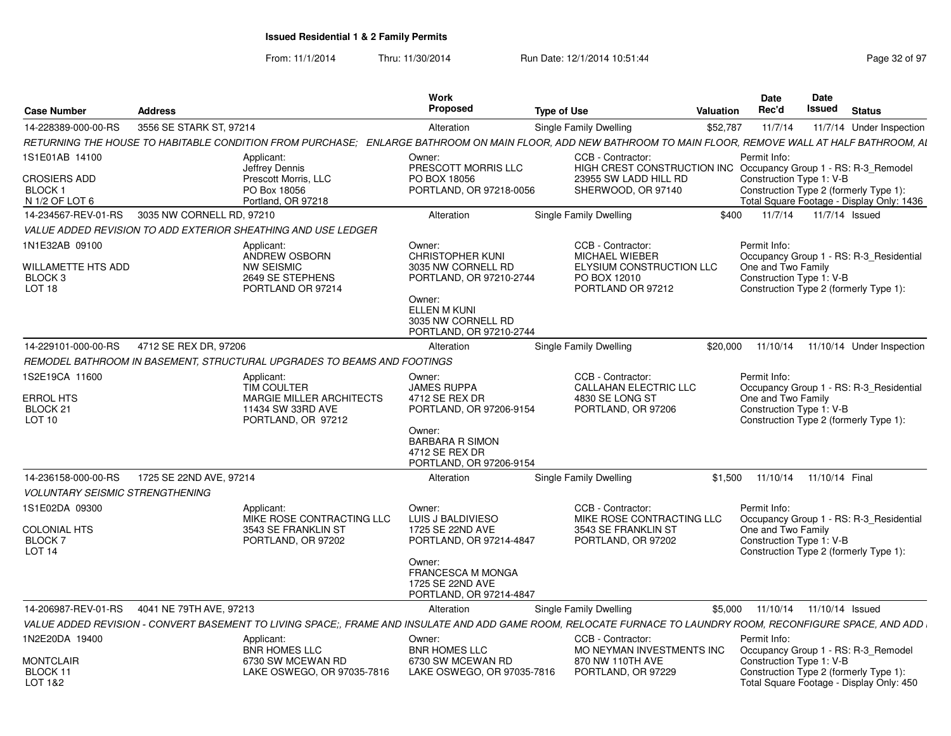| Valuation<br><b>Address</b><br>14-228389-000-00-RS<br>3556 SE STARK ST, 97214<br>\$52,787 11/7/14<br>Alteration<br>Single Family Dwelling<br>11/7/14 Under Inspection<br>RETURNING THE HOUSE TO HABITABLE CONDITION FROM PURCHASE; ENLARGE BATHROOM ON MAIN FLOOR, ADD NEW BATHROOM TO MAIN FLOOR, REMOVE WALL AT HALF BATHROOM, A<br>CCB - Contractor:<br>Permit Info:<br>Applicant:<br>Owner:<br>PRESCOTT MORRIS LLC<br>Jeffrey Dennis<br>HIGH CREST CONSTRUCTION INC Occupancy Group 1 - RS: R-3_Remodel<br>CROSIERS ADD<br>Prescott Morris, LLC<br>PO BOX 18056<br>23955 SW LADD HILL RD<br>Construction Type 1: V-B<br>PO Box 18056<br>PORTLAND, OR 97218-0056<br>SHERWOOD, OR 97140<br>Construction Type 2 (formerly Type 1):<br>Portland, OR 97218<br>Total Square Footage - Display Only: 1436<br>14-234567-REV-01-RS 3035 NW CORNELL RD, 97210<br>Single Family Dwelling<br>\$400 11/7/14 11/7/14 Issued<br>Alteration<br>VALUE ADDED REVISION TO ADD EXTERIOR SHEATHING AND USE LEDGER<br>CCB - Contractor:<br>Permit Info:<br>Owner:<br>Applicant:<br>CHRISTOPHER KUNI<br><b>ANDREW OSBORN</b><br><b>MICHAEL WIEBER</b><br>Occupancy Group 1 - RS: R-3_Residential<br>WILLAMETTE HTS ADD<br>NW SEISMIC<br>3035 NW CORNELL RD<br>ELYSIUM CONSTRUCTION LLC<br>One and Two Family<br>2649 SE STEPHENS<br>PORTLAND, OR 97210-2744<br>PO BOX 12010<br>Construction Type 1: V-B<br>PORTLAND OR 97214<br>PORTLAND OR 97212<br>Construction Type 2 (formerly Type 1):<br>Owner:<br>ELLEN M KUNI<br>3035 NW CORNELL RD<br>PORTLAND, OR 97210-2744<br>14-229101-000-00-RS 4712 SE REX DR, 97206<br>\$20,000 11/10/14 11/10/14 Under Inspection<br>Alteration<br>Single Family Dwelling<br>REMODEL BATHROOM IN BASEMENT. STRUCTURAL UPGRADES TO BEAMS AND FOOTINGS<br>1S2E19CA 11600<br>CCB - Contractor:<br>Permit Info:<br>Applicant:<br>Owner:<br>TIM COULTER<br><b>JAMES RUPPA</b><br><b>CALLAHAN ELECTRIC LLC</b><br>Occupancy Group 1 - RS: R-3_Residential<br>4712 SE REX DR<br><b>MARGIE MILLER ARCHITECTS</b><br>4830 SE LONG ST<br>One and Two Family<br>BLOCK 21<br>11434 SW 33RD AVE<br>PORTLAND, OR 97206-9154<br>PORTLAND, OR 97206<br>Construction Type 1: V-B<br>PORTLAND, OR 97212<br>Construction Type 2 (formerly Type 1):<br>Owner:<br><b>BARBARA R SIMON</b><br>4712 SE REX DR<br>PORTLAND, OR 97206-9154<br>Alteration<br>Single Family Dwelling<br>\$1,500 11/10/14 11/10/14 Final<br><b>VOLUNTARY SEISMIC STRENGTHENING</b><br>1S1E02DA 09300<br>CCB - Contractor:<br>Applicant:<br>Permit Info:<br>Owner:<br>MIKE ROSE CONTRACTING LLC<br>LUIS J BALDIVIESO<br>MIKE ROSE CONTRACTING LLC<br>Occupancy Group 1 - RS: R-3_Residential<br>3543 SE FRANKLIN ST<br>1725 SE 22ND AVE<br>3543 SE FRANKLIN ST<br>One and Two Family<br>BLOCK 7<br>PORTLAND, OR 97202<br>PORTLAND, OR 97214-4847<br>PORTLAND, OR 97202<br>Construction Type 1: V-B<br>Construction Type 2 (formerly Type 1):<br>Owner:<br>FRANCESCA M MONGA<br>1725 SE 22ND AVE<br>PORTLAND, OR 97214-4847<br>14-206987-REV-01-RS 4041 NE 79TH AVE, 97213<br>Single Family Dwelling<br>\$5,000  11/10/14  11/10/14  Issued<br>Alteration<br>VALUE ADDED REVISION - CONVERT BASEMENT TO LIVING SPACE;, FRAME AND INSULATE AND ADD GAME ROOM, RELOCATE FURNACE TO LAUNDRY ROOM, RECONFIGURE SPACE, AND ADD<br>1N2E20DA 19400<br>CCB - Contractor:<br>Applicant:<br>Permit Info:<br>Owner:<br><b>BNR HOMES LLC</b><br><b>BNR HOMES LLC</b><br>MO NEYMAN INVESTMENTS INC  Occupancy Group 1 - RS: R-3_Remodel<br>6730 SW MCEWAN RD<br>6730 SW MCEWAN RD<br>870 NW 110TH AVE<br>Construction Type 1: V-B<br>BLOCK 11<br>LAKE OSWEGO, OR 97035-7816<br>PORTLAND, OR 97229<br>LAKE OSWEGO, OR 97035-7816<br>Construction Type 2 (formerly Type 1):<br>Total Square Footage - Display Only: 450 |                                     |  | Work<br>Proposed | Type of Use | <b>Date</b><br>Rec'd | <b>Date</b><br>Issued<br>Status |
|-------------------------------------------------------------------------------------------------------------------------------------------------------------------------------------------------------------------------------------------------------------------------------------------------------------------------------------------------------------------------------------------------------------------------------------------------------------------------------------------------------------------------------------------------------------------------------------------------------------------------------------------------------------------------------------------------------------------------------------------------------------------------------------------------------------------------------------------------------------------------------------------------------------------------------------------------------------------------------------------------------------------------------------------------------------------------------------------------------------------------------------------------------------------------------------------------------------------------------------------------------------------------------------------------------------------------------------------------------------------------------------------------------------------------------------------------------------------------------------------------------------------------------------------------------------------------------------------------------------------------------------------------------------------------------------------------------------------------------------------------------------------------------------------------------------------------------------------------------------------------------------------------------------------------------------------------------------------------------------------------------------------------------------------------------------------------------------------------------------------------------------------------------------------------------------------------------------------------------------------------------------------------------------------------------------------------------------------------------------------------------------------------------------------------------------------------------------------------------------------------------------------------------------------------------------------------------------------------------------------------------------------------------------------------------------------------------------------------------------------------------------------------------------------------------------------------------------------------------------------------------------------------------------------------------------------------------------------------------------------------------------------------------------------------------------------------------------------------------------------------------------------------------------------------------------------------------------------------------------------------------------------------------------------------------------------------------------------------------------------------------------------------------------------------------------------------------------------------------------------------------------------------------------------------------------------------------------------------------------------------------------------------------------------------------------------------------------------------------------------------------------------------|-------------------------------------|--|------------------|-------------|----------------------|---------------------------------|
|                                                                                                                                                                                                                                                                                                                                                                                                                                                                                                                                                                                                                                                                                                                                                                                                                                                                                                                                                                                                                                                                                                                                                                                                                                                                                                                                                                                                                                                                                                                                                                                                                                                                                                                                                                                                                                                                                                                                                                                                                                                                                                                                                                                                                                                                                                                                                                                                                                                                                                                                                                                                                                                                                                                                                                                                                                                                                                                                                                                                                                                                                                                                                                                                                                                                                                                                                                                                                                                                                                                                                                                                                                                                                                                                                                         | Case Number                         |  |                  |             |                      |                                 |
|                                                                                                                                                                                                                                                                                                                                                                                                                                                                                                                                                                                                                                                                                                                                                                                                                                                                                                                                                                                                                                                                                                                                                                                                                                                                                                                                                                                                                                                                                                                                                                                                                                                                                                                                                                                                                                                                                                                                                                                                                                                                                                                                                                                                                                                                                                                                                                                                                                                                                                                                                                                                                                                                                                                                                                                                                                                                                                                                                                                                                                                                                                                                                                                                                                                                                                                                                                                                                                                                                                                                                                                                                                                                                                                                                                         |                                     |  |                  |             |                      |                                 |
|                                                                                                                                                                                                                                                                                                                                                                                                                                                                                                                                                                                                                                                                                                                                                                                                                                                                                                                                                                                                                                                                                                                                                                                                                                                                                                                                                                                                                                                                                                                                                                                                                                                                                                                                                                                                                                                                                                                                                                                                                                                                                                                                                                                                                                                                                                                                                                                                                                                                                                                                                                                                                                                                                                                                                                                                                                                                                                                                                                                                                                                                                                                                                                                                                                                                                                                                                                                                                                                                                                                                                                                                                                                                                                                                                                         | 1S1E01AB 14100                      |  |                  |             |                      |                                 |
|                                                                                                                                                                                                                                                                                                                                                                                                                                                                                                                                                                                                                                                                                                                                                                                                                                                                                                                                                                                                                                                                                                                                                                                                                                                                                                                                                                                                                                                                                                                                                                                                                                                                                                                                                                                                                                                                                                                                                                                                                                                                                                                                                                                                                                                                                                                                                                                                                                                                                                                                                                                                                                                                                                                                                                                                                                                                                                                                                                                                                                                                                                                                                                                                                                                                                                                                                                                                                                                                                                                                                                                                                                                                                                                                                                         |                                     |  |                  |             |                      |                                 |
|                                                                                                                                                                                                                                                                                                                                                                                                                                                                                                                                                                                                                                                                                                                                                                                                                                                                                                                                                                                                                                                                                                                                                                                                                                                                                                                                                                                                                                                                                                                                                                                                                                                                                                                                                                                                                                                                                                                                                                                                                                                                                                                                                                                                                                                                                                                                                                                                                                                                                                                                                                                                                                                                                                                                                                                                                                                                                                                                                                                                                                                                                                                                                                                                                                                                                                                                                                                                                                                                                                                                                                                                                                                                                                                                                                         | BLOCK 1                             |  |                  |             |                      |                                 |
|                                                                                                                                                                                                                                                                                                                                                                                                                                                                                                                                                                                                                                                                                                                                                                                                                                                                                                                                                                                                                                                                                                                                                                                                                                                                                                                                                                                                                                                                                                                                                                                                                                                                                                                                                                                                                                                                                                                                                                                                                                                                                                                                                                                                                                                                                                                                                                                                                                                                                                                                                                                                                                                                                                                                                                                                                                                                                                                                                                                                                                                                                                                                                                                                                                                                                                                                                                                                                                                                                                                                                                                                                                                                                                                                                                         | N 1/2 OF LOT 6                      |  |                  |             |                      |                                 |
|                                                                                                                                                                                                                                                                                                                                                                                                                                                                                                                                                                                                                                                                                                                                                                                                                                                                                                                                                                                                                                                                                                                                                                                                                                                                                                                                                                                                                                                                                                                                                                                                                                                                                                                                                                                                                                                                                                                                                                                                                                                                                                                                                                                                                                                                                                                                                                                                                                                                                                                                                                                                                                                                                                                                                                                                                                                                                                                                                                                                                                                                                                                                                                                                                                                                                                                                                                                                                                                                                                                                                                                                                                                                                                                                                                         |                                     |  |                  |             |                      |                                 |
|                                                                                                                                                                                                                                                                                                                                                                                                                                                                                                                                                                                                                                                                                                                                                                                                                                                                                                                                                                                                                                                                                                                                                                                                                                                                                                                                                                                                                                                                                                                                                                                                                                                                                                                                                                                                                                                                                                                                                                                                                                                                                                                                                                                                                                                                                                                                                                                                                                                                                                                                                                                                                                                                                                                                                                                                                                                                                                                                                                                                                                                                                                                                                                                                                                                                                                                                                                                                                                                                                                                                                                                                                                                                                                                                                                         |                                     |  |                  |             |                      |                                 |
|                                                                                                                                                                                                                                                                                                                                                                                                                                                                                                                                                                                                                                                                                                                                                                                                                                                                                                                                                                                                                                                                                                                                                                                                                                                                                                                                                                                                                                                                                                                                                                                                                                                                                                                                                                                                                                                                                                                                                                                                                                                                                                                                                                                                                                                                                                                                                                                                                                                                                                                                                                                                                                                                                                                                                                                                                                                                                                                                                                                                                                                                                                                                                                                                                                                                                                                                                                                                                                                                                                                                                                                                                                                                                                                                                                         | 1N1E32AB 09100                      |  |                  |             |                      |                                 |
|                                                                                                                                                                                                                                                                                                                                                                                                                                                                                                                                                                                                                                                                                                                                                                                                                                                                                                                                                                                                                                                                                                                                                                                                                                                                                                                                                                                                                                                                                                                                                                                                                                                                                                                                                                                                                                                                                                                                                                                                                                                                                                                                                                                                                                                                                                                                                                                                                                                                                                                                                                                                                                                                                                                                                                                                                                                                                                                                                                                                                                                                                                                                                                                                                                                                                                                                                                                                                                                                                                                                                                                                                                                                                                                                                                         | BLOCK <sub>3</sub><br><b>LOT 18</b> |  |                  |             |                      |                                 |
|                                                                                                                                                                                                                                                                                                                                                                                                                                                                                                                                                                                                                                                                                                                                                                                                                                                                                                                                                                                                                                                                                                                                                                                                                                                                                                                                                                                                                                                                                                                                                                                                                                                                                                                                                                                                                                                                                                                                                                                                                                                                                                                                                                                                                                                                                                                                                                                                                                                                                                                                                                                                                                                                                                                                                                                                                                                                                                                                                                                                                                                                                                                                                                                                                                                                                                                                                                                                                                                                                                                                                                                                                                                                                                                                                                         |                                     |  |                  |             |                      |                                 |
|                                                                                                                                                                                                                                                                                                                                                                                                                                                                                                                                                                                                                                                                                                                                                                                                                                                                                                                                                                                                                                                                                                                                                                                                                                                                                                                                                                                                                                                                                                                                                                                                                                                                                                                                                                                                                                                                                                                                                                                                                                                                                                                                                                                                                                                                                                                                                                                                                                                                                                                                                                                                                                                                                                                                                                                                                                                                                                                                                                                                                                                                                                                                                                                                                                                                                                                                                                                                                                                                                                                                                                                                                                                                                                                                                                         |                                     |  |                  |             |                      |                                 |
|                                                                                                                                                                                                                                                                                                                                                                                                                                                                                                                                                                                                                                                                                                                                                                                                                                                                                                                                                                                                                                                                                                                                                                                                                                                                                                                                                                                                                                                                                                                                                                                                                                                                                                                                                                                                                                                                                                                                                                                                                                                                                                                                                                                                                                                                                                                                                                                                                                                                                                                                                                                                                                                                                                                                                                                                                                                                                                                                                                                                                                                                                                                                                                                                                                                                                                                                                                                                                                                                                                                                                                                                                                                                                                                                                                         |                                     |  |                  |             |                      |                                 |
|                                                                                                                                                                                                                                                                                                                                                                                                                                                                                                                                                                                                                                                                                                                                                                                                                                                                                                                                                                                                                                                                                                                                                                                                                                                                                                                                                                                                                                                                                                                                                                                                                                                                                                                                                                                                                                                                                                                                                                                                                                                                                                                                                                                                                                                                                                                                                                                                                                                                                                                                                                                                                                                                                                                                                                                                                                                                                                                                                                                                                                                                                                                                                                                                                                                                                                                                                                                                                                                                                                                                                                                                                                                                                                                                                                         |                                     |  |                  |             |                      |                                 |
|                                                                                                                                                                                                                                                                                                                                                                                                                                                                                                                                                                                                                                                                                                                                                                                                                                                                                                                                                                                                                                                                                                                                                                                                                                                                                                                                                                                                                                                                                                                                                                                                                                                                                                                                                                                                                                                                                                                                                                                                                                                                                                                                                                                                                                                                                                                                                                                                                                                                                                                                                                                                                                                                                                                                                                                                                                                                                                                                                                                                                                                                                                                                                                                                                                                                                                                                                                                                                                                                                                                                                                                                                                                                                                                                                                         |                                     |  |                  |             |                      |                                 |
|                                                                                                                                                                                                                                                                                                                                                                                                                                                                                                                                                                                                                                                                                                                                                                                                                                                                                                                                                                                                                                                                                                                                                                                                                                                                                                                                                                                                                                                                                                                                                                                                                                                                                                                                                                                                                                                                                                                                                                                                                                                                                                                                                                                                                                                                                                                                                                                                                                                                                                                                                                                                                                                                                                                                                                                                                                                                                                                                                                                                                                                                                                                                                                                                                                                                                                                                                                                                                                                                                                                                                                                                                                                                                                                                                                         | <b>ERROL HTS</b>                    |  |                  |             |                      |                                 |
|                                                                                                                                                                                                                                                                                                                                                                                                                                                                                                                                                                                                                                                                                                                                                                                                                                                                                                                                                                                                                                                                                                                                                                                                                                                                                                                                                                                                                                                                                                                                                                                                                                                                                                                                                                                                                                                                                                                                                                                                                                                                                                                                                                                                                                                                                                                                                                                                                                                                                                                                                                                                                                                                                                                                                                                                                                                                                                                                                                                                                                                                                                                                                                                                                                                                                                                                                                                                                                                                                                                                                                                                                                                                                                                                                                         | <b>LOT 10</b>                       |  |                  |             |                      |                                 |
|                                                                                                                                                                                                                                                                                                                                                                                                                                                                                                                                                                                                                                                                                                                                                                                                                                                                                                                                                                                                                                                                                                                                                                                                                                                                                                                                                                                                                                                                                                                                                                                                                                                                                                                                                                                                                                                                                                                                                                                                                                                                                                                                                                                                                                                                                                                                                                                                                                                                                                                                                                                                                                                                                                                                                                                                                                                                                                                                                                                                                                                                                                                                                                                                                                                                                                                                                                                                                                                                                                                                                                                                                                                                                                                                                                         |                                     |  |                  |             |                      |                                 |
|                                                                                                                                                                                                                                                                                                                                                                                                                                                                                                                                                                                                                                                                                                                                                                                                                                                                                                                                                                                                                                                                                                                                                                                                                                                                                                                                                                                                                                                                                                                                                                                                                                                                                                                                                                                                                                                                                                                                                                                                                                                                                                                                                                                                                                                                                                                                                                                                                                                                                                                                                                                                                                                                                                                                                                                                                                                                                                                                                                                                                                                                                                                                                                                                                                                                                                                                                                                                                                                                                                                                                                                                                                                                                                                                                                         |                                     |  |                  |             |                      |                                 |
|                                                                                                                                                                                                                                                                                                                                                                                                                                                                                                                                                                                                                                                                                                                                                                                                                                                                                                                                                                                                                                                                                                                                                                                                                                                                                                                                                                                                                                                                                                                                                                                                                                                                                                                                                                                                                                                                                                                                                                                                                                                                                                                                                                                                                                                                                                                                                                                                                                                                                                                                                                                                                                                                                                                                                                                                                                                                                                                                                                                                                                                                                                                                                                                                                                                                                                                                                                                                                                                                                                                                                                                                                                                                                                                                                                         |                                     |  |                  |             |                      |                                 |
|                                                                                                                                                                                                                                                                                                                                                                                                                                                                                                                                                                                                                                                                                                                                                                                                                                                                                                                                                                                                                                                                                                                                                                                                                                                                                                                                                                                                                                                                                                                                                                                                                                                                                                                                                                                                                                                                                                                                                                                                                                                                                                                                                                                                                                                                                                                                                                                                                                                                                                                                                                                                                                                                                                                                                                                                                                                                                                                                                                                                                                                                                                                                                                                                                                                                                                                                                                                                                                                                                                                                                                                                                                                                                                                                                                         |                                     |  |                  |             |                      |                                 |
|                                                                                                                                                                                                                                                                                                                                                                                                                                                                                                                                                                                                                                                                                                                                                                                                                                                                                                                                                                                                                                                                                                                                                                                                                                                                                                                                                                                                                                                                                                                                                                                                                                                                                                                                                                                                                                                                                                                                                                                                                                                                                                                                                                                                                                                                                                                                                                                                                                                                                                                                                                                                                                                                                                                                                                                                                                                                                                                                                                                                                                                                                                                                                                                                                                                                                                                                                                                                                                                                                                                                                                                                                                                                                                                                                                         |                                     |  |                  |             |                      |                                 |
|                                                                                                                                                                                                                                                                                                                                                                                                                                                                                                                                                                                                                                                                                                                                                                                                                                                                                                                                                                                                                                                                                                                                                                                                                                                                                                                                                                                                                                                                                                                                                                                                                                                                                                                                                                                                                                                                                                                                                                                                                                                                                                                                                                                                                                                                                                                                                                                                                                                                                                                                                                                                                                                                                                                                                                                                                                                                                                                                                                                                                                                                                                                                                                                                                                                                                                                                                                                                                                                                                                                                                                                                                                                                                                                                                                         |                                     |  |                  |             |                      |                                 |
|                                                                                                                                                                                                                                                                                                                                                                                                                                                                                                                                                                                                                                                                                                                                                                                                                                                                                                                                                                                                                                                                                                                                                                                                                                                                                                                                                                                                                                                                                                                                                                                                                                                                                                                                                                                                                                                                                                                                                                                                                                                                                                                                                                                                                                                                                                                                                                                                                                                                                                                                                                                                                                                                                                                                                                                                                                                                                                                                                                                                                                                                                                                                                                                                                                                                                                                                                                                                                                                                                                                                                                                                                                                                                                                                                                         | <b>COLONIAL HTS</b>                 |  |                  |             |                      |                                 |
|                                                                                                                                                                                                                                                                                                                                                                                                                                                                                                                                                                                                                                                                                                                                                                                                                                                                                                                                                                                                                                                                                                                                                                                                                                                                                                                                                                                                                                                                                                                                                                                                                                                                                                                                                                                                                                                                                                                                                                                                                                                                                                                                                                                                                                                                                                                                                                                                                                                                                                                                                                                                                                                                                                                                                                                                                                                                                                                                                                                                                                                                                                                                                                                                                                                                                                                                                                                                                                                                                                                                                                                                                                                                                                                                                                         | <b>LOT 14</b>                       |  |                  |             |                      |                                 |
|                                                                                                                                                                                                                                                                                                                                                                                                                                                                                                                                                                                                                                                                                                                                                                                                                                                                                                                                                                                                                                                                                                                                                                                                                                                                                                                                                                                                                                                                                                                                                                                                                                                                                                                                                                                                                                                                                                                                                                                                                                                                                                                                                                                                                                                                                                                                                                                                                                                                                                                                                                                                                                                                                                                                                                                                                                                                                                                                                                                                                                                                                                                                                                                                                                                                                                                                                                                                                                                                                                                                                                                                                                                                                                                                                                         |                                     |  |                  |             |                      |                                 |
|                                                                                                                                                                                                                                                                                                                                                                                                                                                                                                                                                                                                                                                                                                                                                                                                                                                                                                                                                                                                                                                                                                                                                                                                                                                                                                                                                                                                                                                                                                                                                                                                                                                                                                                                                                                                                                                                                                                                                                                                                                                                                                                                                                                                                                                                                                                                                                                                                                                                                                                                                                                                                                                                                                                                                                                                                                                                                                                                                                                                                                                                                                                                                                                                                                                                                                                                                                                                                                                                                                                                                                                                                                                                                                                                                                         |                                     |  |                  |             |                      |                                 |
|                                                                                                                                                                                                                                                                                                                                                                                                                                                                                                                                                                                                                                                                                                                                                                                                                                                                                                                                                                                                                                                                                                                                                                                                                                                                                                                                                                                                                                                                                                                                                                                                                                                                                                                                                                                                                                                                                                                                                                                                                                                                                                                                                                                                                                                                                                                                                                                                                                                                                                                                                                                                                                                                                                                                                                                                                                                                                                                                                                                                                                                                                                                                                                                                                                                                                                                                                                                                                                                                                                                                                                                                                                                                                                                                                                         |                                     |  |                  |             |                      |                                 |
|                                                                                                                                                                                                                                                                                                                                                                                                                                                                                                                                                                                                                                                                                                                                                                                                                                                                                                                                                                                                                                                                                                                                                                                                                                                                                                                                                                                                                                                                                                                                                                                                                                                                                                                                                                                                                                                                                                                                                                                                                                                                                                                                                                                                                                                                                                                                                                                                                                                                                                                                                                                                                                                                                                                                                                                                                                                                                                                                                                                                                                                                                                                                                                                                                                                                                                                                                                                                                                                                                                                                                                                                                                                                                                                                                                         |                                     |  |                  |             |                      |                                 |
|                                                                                                                                                                                                                                                                                                                                                                                                                                                                                                                                                                                                                                                                                                                                                                                                                                                                                                                                                                                                                                                                                                                                                                                                                                                                                                                                                                                                                                                                                                                                                                                                                                                                                                                                                                                                                                                                                                                                                                                                                                                                                                                                                                                                                                                                                                                                                                                                                                                                                                                                                                                                                                                                                                                                                                                                                                                                                                                                                                                                                                                                                                                                                                                                                                                                                                                                                                                                                                                                                                                                                                                                                                                                                                                                                                         |                                     |  |                  |             |                      |                                 |
|                                                                                                                                                                                                                                                                                                                                                                                                                                                                                                                                                                                                                                                                                                                                                                                                                                                                                                                                                                                                                                                                                                                                                                                                                                                                                                                                                                                                                                                                                                                                                                                                                                                                                                                                                                                                                                                                                                                                                                                                                                                                                                                                                                                                                                                                                                                                                                                                                                                                                                                                                                                                                                                                                                                                                                                                                                                                                                                                                                                                                                                                                                                                                                                                                                                                                                                                                                                                                                                                                                                                                                                                                                                                                                                                                                         |                                     |  |                  |             |                      |                                 |
|                                                                                                                                                                                                                                                                                                                                                                                                                                                                                                                                                                                                                                                                                                                                                                                                                                                                                                                                                                                                                                                                                                                                                                                                                                                                                                                                                                                                                                                                                                                                                                                                                                                                                                                                                                                                                                                                                                                                                                                                                                                                                                                                                                                                                                                                                                                                                                                                                                                                                                                                                                                                                                                                                                                                                                                                                                                                                                                                                                                                                                                                                                                                                                                                                                                                                                                                                                                                                                                                                                                                                                                                                                                                                                                                                                         | <b>MONTCLAIR</b>                    |  |                  |             |                      |                                 |
|                                                                                                                                                                                                                                                                                                                                                                                                                                                                                                                                                                                                                                                                                                                                                                                                                                                                                                                                                                                                                                                                                                                                                                                                                                                                                                                                                                                                                                                                                                                                                                                                                                                                                                                                                                                                                                                                                                                                                                                                                                                                                                                                                                                                                                                                                                                                                                                                                                                                                                                                                                                                                                                                                                                                                                                                                                                                                                                                                                                                                                                                                                                                                                                                                                                                                                                                                                                                                                                                                                                                                                                                                                                                                                                                                                         | LOT 1&2                             |  |                  |             |                      |                                 |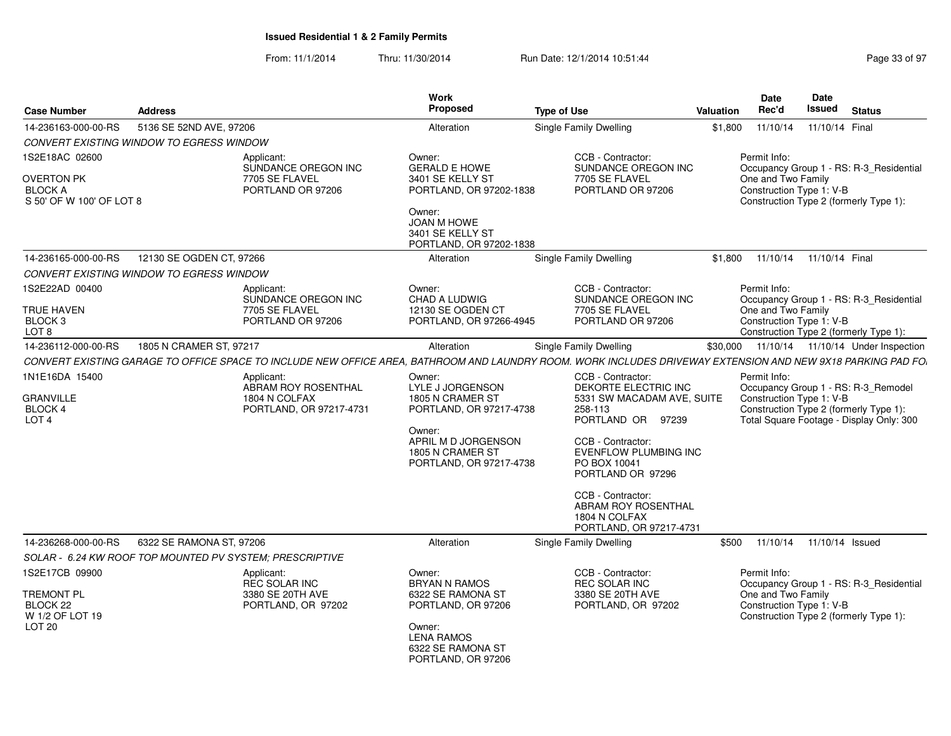|                                                                                         |                          |                                                                                                                                                              | <b>Work</b>                                                                                                                                               |                    |                                                                                                                                                                                                                                                         |           | <b>Date</b>                                                    | Date            |                                                                                                                           |
|-----------------------------------------------------------------------------------------|--------------------------|--------------------------------------------------------------------------------------------------------------------------------------------------------------|-----------------------------------------------------------------------------------------------------------------------------------------------------------|--------------------|---------------------------------------------------------------------------------------------------------------------------------------------------------------------------------------------------------------------------------------------------------|-----------|----------------------------------------------------------------|-----------------|---------------------------------------------------------------------------------------------------------------------------|
| <b>Case Number</b>                                                                      | <b>Address</b>           |                                                                                                                                                              | <b>Proposed</b>                                                                                                                                           | <b>Type of Use</b> |                                                                                                                                                                                                                                                         | Valuation | Rec'd                                                          | <b>Issued</b>   | <b>Status</b>                                                                                                             |
| 14-236163-000-00-RS                                                                     | 5136 SE 52ND AVE, 97206  |                                                                                                                                                              | Alteration                                                                                                                                                |                    | <b>Single Family Dwelling</b>                                                                                                                                                                                                                           | \$1,800   | 11/10/14                                                       | 11/10/14 Final  |                                                                                                                           |
| CONVERT EXISTING WINDOW TO EGRESS WINDOW                                                |                          |                                                                                                                                                              |                                                                                                                                                           |                    |                                                                                                                                                                                                                                                         |           |                                                                |                 |                                                                                                                           |
| 1S2E18AC 02600<br>OVERTON PK<br><b>BLOCK A</b><br>S 50' OF W 100' OF LOT 8              |                          | Applicant:<br>SUNDANCE OREGON INC<br>7705 SE FLAVEL<br>PORTLAND OR 97206                                                                                     | Owner:<br><b>GERALD E HOWE</b><br>3401 SE KELLY ST<br>PORTLAND, OR 97202-1838<br>Owner:<br>JOAN M HOWE<br>3401 SE KELLY ST<br>PORTLAND, OR 97202-1838     |                    | CCB - Contractor:<br>SUNDANCE OREGON INC<br>7705 SE FLAVEL<br>PORTLAND OR 97206                                                                                                                                                                         |           | Permit Info:<br>One and Two Family<br>Construction Type 1: V-B |                 | Occupancy Group 1 - RS: R-3_Residential<br>Construction Type 2 (formerly Type 1):                                         |
| 14-236165-000-00-RS                                                                     | 12130 SE OGDEN CT, 97266 |                                                                                                                                                              | Alteration                                                                                                                                                |                    | <b>Single Family Dwelling</b>                                                                                                                                                                                                                           | \$1,800   | 11/10/14  11/10/14  Final                                      |                 |                                                                                                                           |
| CONVERT EXISTING WINDOW TO EGRESS WINDOW                                                |                          |                                                                                                                                                              |                                                                                                                                                           |                    |                                                                                                                                                                                                                                                         |           |                                                                |                 |                                                                                                                           |
| 1S2E22AD 00400<br>TRUE HAVEN<br>BLOCK <sub>3</sub><br>LOT <sub>8</sub>                  |                          | Applicant:<br>SUNDANCE OREGON INC<br>7705 SE FLAVEL<br>PORTLAND OR 97206                                                                                     | Owner:<br><b>CHAD A LUDWIG</b><br>12130 SE OGDEN CT<br>PORTLAND, OR 97266-4945                                                                            |                    | CCB - Contractor:<br>SUNDANCE OREGON INC<br>7705 SE FLAVEL<br>PORTLAND OR 97206                                                                                                                                                                         |           | Permit Info:<br>One and Two Family<br>Construction Type 1: V-B |                 | Occupancy Group 1 - RS: R-3_Residential<br>Construction Type 2 (formerly Type 1):                                         |
| 14-236112-000-00-RS                                                                     | 1805 N CRAMER ST, 97217  |                                                                                                                                                              | Alteration                                                                                                                                                |                    | Single Family Dwelling                                                                                                                                                                                                                                  |           |                                                                |                 | \$30,000  11/10/14  11/10/14  Under Inspection                                                                            |
|                                                                                         |                          | CONVERT EXISTING GARAGE TO OFFICE SPACE TO INCLUDE NEW OFFICE AREA, BATHROOM AND LAUNDRY ROOM. WORK INCLUDES DRIVEWAY EXTENSION AND NEW 9X18 PARKING PAD FO. |                                                                                                                                                           |                    |                                                                                                                                                                                                                                                         |           |                                                                |                 |                                                                                                                           |
| 1N1E16DA 15400<br><b>GRANVILLE</b><br>BLOCK 4<br>LOT <sub>4</sub>                       |                          | Applicant:<br>ABRAM ROY ROSENTHAL<br>1804 N COLFAX<br>PORTLAND, OR 97217-4731                                                                                | Owner:<br>LYLE J JORGENSON<br>1805 N CRAMER ST<br>PORTLAND, OR 97217-4738<br>Owner:<br>APRIL M D JORGENSON<br>1805 N CRAMER ST<br>PORTLAND, OR 97217-4738 |                    | CCB - Contractor:<br>DEKORTE ELECTRIC INC<br>5331 SW MACADAM AVE, SUITE<br>258-113<br>PORTLAND OR 97239<br>CCB - Contractor:<br>EVENFLOW PLUMBING INC<br>PO BOX 10041<br>PORTLAND OR 97296<br>CCB - Contractor:<br>ABRAM ROY ROSENTHAL<br>1804 N COLFAX |           | Permit Info:<br>Construction Type 1: V-B                       |                 | Occupancy Group 1 - RS: R-3_Remodel<br>Construction Type 2 (formerly Type 1):<br>Total Square Footage - Display Only: 300 |
|                                                                                         |                          |                                                                                                                                                              |                                                                                                                                                           |                    | PORTLAND, OR 97217-4731                                                                                                                                                                                                                                 |           |                                                                |                 |                                                                                                                           |
| 14-236268-000-00-RS                                                                     | 6322 SE RAMONA ST, 97206 |                                                                                                                                                              | Alteration                                                                                                                                                |                    | Single Family Dwelling                                                                                                                                                                                                                                  | \$500     | 11/10/14                                                       | 11/10/14 Issued |                                                                                                                           |
| SOLAR - 6.24 KW ROOF TOP MOUNTED PV SYSTEM; PRESCRIPTIVE                                |                          |                                                                                                                                                              |                                                                                                                                                           |                    |                                                                                                                                                                                                                                                         |           |                                                                |                 |                                                                                                                           |
| 1S2E17CB 09900<br><b>TREMONT PL</b><br>BLOCK 22<br>W 1/2 OF LOT 19<br>LOT <sub>20</sub> |                          | Applicant:<br><b>REC SOLAR INC</b><br>3380 SE 20TH AVE<br>PORTLAND, OR 97202                                                                                 | Owner:<br><b>BRYAN N RAMOS</b><br>6322 SE RAMONA ST<br>PORTLAND, OR 97206<br>Owner:<br><b>LENA RAMOS</b><br>6322 SE RAMONA ST<br>PORTLAND, OR 97206       |                    | CCB - Contractor:<br>REC SOLAR INC<br>3380 SE 20TH AVE<br>PORTLAND, OR 97202                                                                                                                                                                            |           | Permit Info:<br>One and Two Family<br>Construction Type 1: V-B |                 | Occupancy Group 1 - RS: R-3_Residential<br>Construction Type 2 (formerly Type 1):                                         |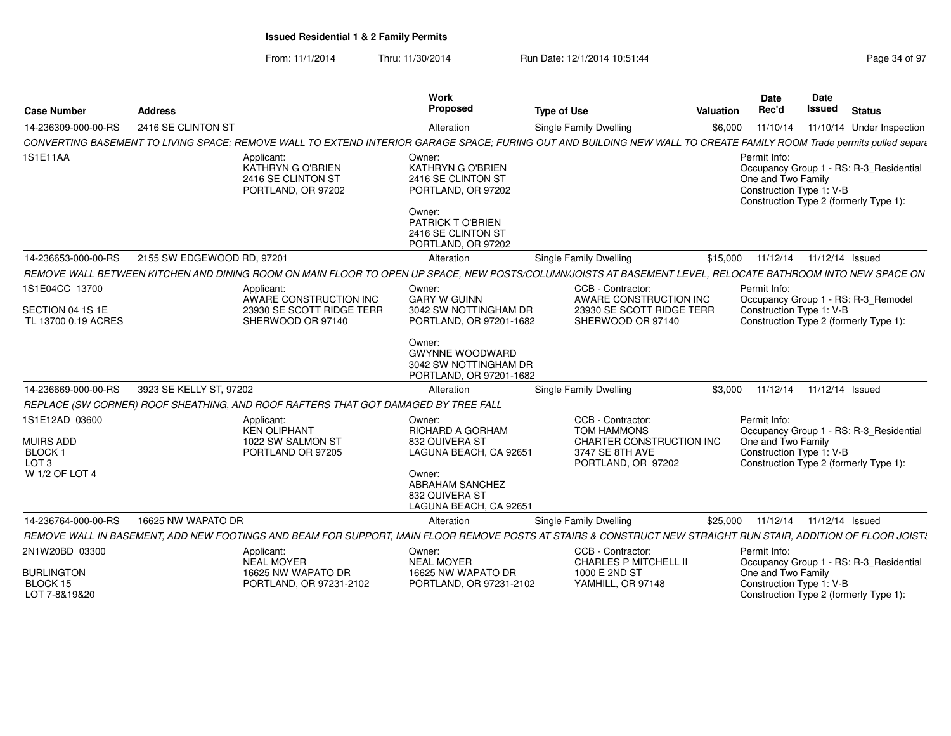| <b>Case Number</b>                                                                        | <b>Address</b>             |                                                                                    | <b>Work</b><br>Proposed                                                                                                                                       | <b>Type of Use</b>                                                                                                                                                   | Valuation | <b>Date</b><br>Rec'd                                           | <b>Date</b><br><b>Issued</b> | <b>Status</b>                                                                     |
|-------------------------------------------------------------------------------------------|----------------------------|------------------------------------------------------------------------------------|---------------------------------------------------------------------------------------------------------------------------------------------------------------|----------------------------------------------------------------------------------------------------------------------------------------------------------------------|-----------|----------------------------------------------------------------|------------------------------|-----------------------------------------------------------------------------------|
| 14-236309-000-00-RS                                                                       | 2416 SE CLINTON ST         |                                                                                    | Alteration                                                                                                                                                    | <b>Single Family Dwelling</b>                                                                                                                                        | \$6,000   | 11/10/14                                                       |                              | 11/10/14 Under Inspection                                                         |
|                                                                                           |                            |                                                                                    |                                                                                                                                                               | CONVERTING BASEMENT TO LIVING SPACE; REMOVE WALL TO EXTEND INTERIOR GARAGE SPACE; FURING OUT AND BUILDING NEW WALL TO CREATE FAMILY ROOM Trade permits pulled separa |           |                                                                |                              |                                                                                   |
| 1S1E11AA                                                                                  |                            | Applicant:<br>KATHRYN G O'BRIEN<br>2416 SE CLINTON ST<br>PORTLAND, OR 97202        | Owner:<br>KATHRYN G O'BRIEN<br>2416 SE CLINTON ST<br>PORTLAND, OR 97202<br>Owner:<br>PATRICK TO'BRIEN<br>2416 SE CLINTON ST<br>PORTLAND, OR 97202             |                                                                                                                                                                      |           | Permit Info:<br>One and Two Family<br>Construction Type 1: V-B |                              | Occupancy Group 1 - RS: R-3_Residential<br>Construction Type 2 (formerly Type 1): |
| 14-236653-000-00-RS                                                                       | 2155 SW EDGEWOOD RD, 97201 |                                                                                    | Alteration                                                                                                                                                    | <b>Single Family Dwelling</b>                                                                                                                                        | \$15,000  | 11/12/14                                                       | 11/12/14 Issued              |                                                                                   |
|                                                                                           |                            |                                                                                    |                                                                                                                                                               | REMOVE WALL BETWEEN KITCHEN AND DINING ROOM ON MAIN FLOOR TO OPEN UP SPACE, NEW POSTS/COLUMN/JOISTS AT BASEMENT LEVEL, RELOCATE BATHROOM INTO NEW SPACE ON           |           |                                                                |                              |                                                                                   |
| 1S1E04CC 13700                                                                            |                            | Applicant:<br>AWARE CONSTRUCTION INC                                               | Owner:<br><b>GARY W GUINN</b>                                                                                                                                 | CCB - Contractor:<br>AWARE CONSTRUCTION INC                                                                                                                          |           | Permit Info:                                                   |                              | Occupancy Group 1 - RS: R-3_Remodel                                               |
| SECTION 04 1S 1E<br>TL 13700 0.19 ACRES                                                   |                            | 23930 SE SCOTT RIDGE TERR<br>SHERWOOD OR 97140                                     | 3042 SW NOTTINGHAM DR<br>PORTLAND, OR 97201-1682                                                                                                              | 23930 SE SCOTT RIDGE TERR<br>SHERWOOD OR 97140                                                                                                                       |           | Construction Type 1: V-B                                       |                              | Construction Type 2 (formerly Type 1):                                            |
|                                                                                           |                            |                                                                                    | Owner:<br><b>GWYNNE WOODWARD</b><br>3042 SW NOTTINGHAM DR<br>PORTLAND, OR 97201-1682                                                                          |                                                                                                                                                                      |           |                                                                |                              |                                                                                   |
| 14-236669-000-00-RS                                                                       | 3923 SE KELLY ST, 97202    |                                                                                    | Alteration                                                                                                                                                    | <b>Single Family Dwelling</b>                                                                                                                                        | \$3,000   | 11/12/14                                                       | 11/12/14 Issued              |                                                                                   |
|                                                                                           |                            | REPLACE (SW CORNER) ROOF SHEATHING, AND ROOF RAFTERS THAT GOT DAMAGED BY TREE FALL |                                                                                                                                                               |                                                                                                                                                                      |           |                                                                |                              |                                                                                   |
| 1S1E12AD 03600<br><b>MUIRS ADD</b><br><b>BLOCK1</b><br>LOT <sub>3</sub><br>W 1/2 OF LOT 4 |                            | Applicant:<br><b>KEN OLIPHANT</b><br>1022 SW SALMON ST<br>PORTLAND OR 97205        | Owner:<br><b>RICHARD A GORHAM</b><br>832 QUIVERA ST<br>LAGUNA BEACH, CA 92651<br>Owner:<br><b>ABRAHAM SANCHEZ</b><br>832 QUIVERA ST<br>LAGUNA BEACH, CA 92651 | CCB - Contractor:<br><b>TOM HAMMONS</b><br>CHARTER CONSTRUCTION INC<br>3747 SE 8TH AVE<br>PORTLAND, OR 97202                                                         |           | Permit Info:<br>One and Two Family<br>Construction Type 1: V-B |                              | Occupancy Group 1 - RS: R-3 Residential<br>Construction Type 2 (formerly Type 1): |
| 14-236764-000-00-RS                                                                       | 16625 NW WAPATO DR         |                                                                                    | Alteration                                                                                                                                                    | Single Family Dwelling                                                                                                                                               | \$25,000  |                                                                | 11/12/14  11/12/14  Issued   |                                                                                   |
|                                                                                           |                            |                                                                                    |                                                                                                                                                               | REMOVE WALL IN BASEMENT, ADD NEW FOOTINGS AND BEAM FOR SUPPORT, MAIN FLOOR REMOVE POSTS AT STAIRS & CONSTRUCT NEW STRAIGHT RUN STAIR, ADDITION OF FLOOR JOIST:       |           |                                                                |                              |                                                                                   |
| 2N1W20BD 03300                                                                            |                            | Applicant:<br><b>NEAL MOYER</b>                                                    | Owner:<br><b>NEAL MOYER</b>                                                                                                                                   | CCB - Contractor:<br><b>CHARLES P MITCHELL II</b>                                                                                                                    |           | Permit Info:                                                   |                              | Occupancy Group 1 - RS: R-3_Residential                                           |
| <b>BURLINGTON</b><br>BLOCK 15<br>LOT 7-8&19&20                                            |                            | 16625 NW WAPATO DR<br>PORTLAND, OR 97231-2102                                      | 16625 NW WAPATO DR<br>PORTLAND, OR 97231-2102                                                                                                                 | 1000 E 2ND ST<br>YAMHILL, OR 97148                                                                                                                                   |           | One and Two Family<br>Construction Type 1: V-B                 |                              | Construction Type 2 (formerly Type 1):                                            |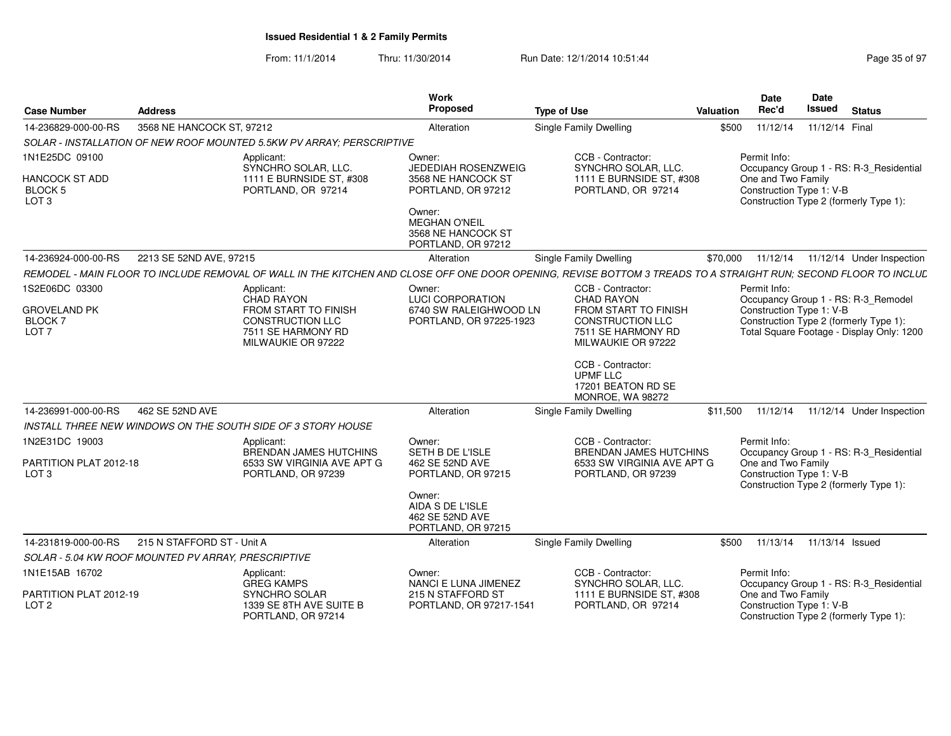| <b>Case Number</b>                                            | <b>Address</b>                                                                                                                                                  | <b>Work</b><br>Proposed                                                    | <b>Type of Use</b>                                                                          | <b>Valuation</b> | <b>Date</b><br>Rec'd                           | <b>Date</b><br>Issued      | <b>Status</b>                                                                       |
|---------------------------------------------------------------|-----------------------------------------------------------------------------------------------------------------------------------------------------------------|----------------------------------------------------------------------------|---------------------------------------------------------------------------------------------|------------------|------------------------------------------------|----------------------------|-------------------------------------------------------------------------------------|
| 14-236829-000-00-RS                                           | 3568 NE HANCOCK ST, 97212                                                                                                                                       | Alteration                                                                 | Single Family Dwelling                                                                      | \$500            | 11/12/14                                       | 11/12/14 Final             |                                                                                     |
|                                                               | SOLAR - INSTALLATION OF NEW ROOF MOUNTED 5.5KW PV ARRAY: PERSCRIPTIVE                                                                                           |                                                                            |                                                                                             |                  |                                                |                            |                                                                                     |
| 1N1E25DC 09100<br>HANCOCK ST ADD                              | Applicant:<br>SYNCHRO SOLAR, LLC.<br>1111 E BURNSIDE ST. #308                                                                                                   | Owner:<br>JEDEDIAH ROSENZWEIG<br>3568 NE HANCOCK ST                        | CCB - Contractor:<br>SYNCHRO SOLAR, LLC.<br>1111 E BURNSIDE ST. #308                        |                  | Permit Info:<br>One and Two Family             |                            | Occupancy Group 1 - RS: R-3 Residential                                             |
| <b>BLOCK 5</b><br>LOT <sub>3</sub>                            | PORTLAND, OR 97214                                                                                                                                              | PORTLAND, OR 97212<br>Owner:<br><b>MEGHAN O'NEIL</b><br>3568 NE HANCOCK ST | PORTLAND, OR 97214                                                                          |                  | Construction Type 1: V-B                       |                            | Construction Type 2 (formerly Type 1):                                              |
|                                                               |                                                                                                                                                                 | PORTLAND, OR 97212                                                         |                                                                                             |                  |                                                |                            |                                                                                     |
| 14-236924-000-00-RS                                           | 2213 SE 52ND AVE, 97215                                                                                                                                         | Alteration                                                                 | Single Family Dwelling                                                                      | \$70,000         |                                                |                            | 11/12/14  11/12/14  Under Inspection                                                |
|                                                               | REMODEL - MAIN FLOOR TO INCLUDE REMOVAL OF WALL IN THE KITCHEN AND CLOSE OFF ONE DOOR OPENING. REVISE BOTTOM 3 TREADS TO A STRAIGHT RUN: SECOND FLOOR TO INCLUL |                                                                            |                                                                                             |                  |                                                |                            |                                                                                     |
| 1S2E06DC 03300                                                | Applicant:<br>CHAD RAYON                                                                                                                                        | Owner:<br><b>LUCI CORPORATION</b>                                          | CCB - Contractor:<br>CHAD RAYON                                                             |                  | Permit Info:                                   |                            | Occupancy Group 1 - RS: R-3_Remodel                                                 |
| <b>GROVELAND PK</b><br>BLOCK <sub>7</sub><br>LOT <sub>7</sub> | <b>FROM START TO FINISH</b><br><b>CONSTRUCTION LLC</b><br>7511 SE HARMONY RD<br>MILWAUKIE OR 97222                                                              | 6740 SW RALEIGHWOOD LN<br>PORTLAND, OR 97225-1923                          | <b>FROM START TO FINISH</b><br>CONSTRUCTION LLC<br>7511 SE HARMONY RD<br>MILWAUKIE OR 97222 |                  | Construction Type 1: V-B                       |                            | Construction Type 2 (formerly Type 1):<br>Total Square Footage - Display Only: 1200 |
|                                                               |                                                                                                                                                                 |                                                                            | CCB - Contractor:<br><b>UPMF LLC</b><br>17201 BEATON RD SE<br>MONROE, WA 98272              |                  |                                                |                            |                                                                                     |
| 14-236991-000-00-RS                                           | 462 SE 52ND AVE                                                                                                                                                 | Alteration                                                                 | Single Family Dwelling                                                                      | \$11,500         |                                                |                            | 11/12/14  11/12/14  Under Inspection                                                |
|                                                               | INSTALL THREE NEW WINDOWS ON THE SOUTH SIDE OF 3 STORY HOUSE                                                                                                    |                                                                            |                                                                                             |                  |                                                |                            |                                                                                     |
| 1N2E31DC 19003                                                | Applicant:<br><b>BRENDAN JAMES HUTCHINS</b>                                                                                                                     | Owner:<br>SETH B DE L'ISLE                                                 | CCB - Contractor:<br><b>BRENDAN JAMES HUTCHINS</b>                                          |                  | Permit Info:                                   |                            | Occupancy Group 1 - RS: R-3 Residential                                             |
| PARTITION PLAT 2012-18<br>LOT <sub>3</sub>                    | 6533 SW VIRGINIA AVE APT G<br>PORTLAND, OR 97239                                                                                                                | 462 SE 52ND AVE<br>PORTLAND, OR 97215<br>Owner:                            | 6533 SW VIRGINIA AVE APT G<br>PORTLAND, OR 97239                                            |                  | One and Two Family<br>Construction Type 1: V-B |                            | Construction Type 2 (formerly Type 1):                                              |
|                                                               |                                                                                                                                                                 | AIDA S DE L'ISLE<br>462 SE 52ND AVE<br>PORTLAND, OR 97215                  |                                                                                             |                  |                                                |                            |                                                                                     |
| 14-231819-000-00-RS                                           | 215 N STAFFORD ST - Unit A                                                                                                                                      | Alteration                                                                 | <b>Single Family Dwelling</b>                                                               | \$500            |                                                | 11/13/14  11/13/14  Issued |                                                                                     |
|                                                               | SOLAR - 5.04 KW ROOF MOUNTED PV ARRAY, PRESCRIPTIVE                                                                                                             |                                                                            |                                                                                             |                  |                                                |                            |                                                                                     |
| 1N1E15AB 16702                                                | Applicant:<br><b>GREG KAMPS</b>                                                                                                                                 | Owner:<br>NANCI E LUNA JIMENEZ                                             | CCB - Contractor:<br>SYNCHRO SOLAR, LLC.                                                    |                  | Permit Info:                                   |                            | Occupancy Group 1 - RS: R-3_Residential                                             |
| PARTITION PLAT 2012-19<br>LOT <sub>2</sub>                    | SYNCHRO SOLAR<br>1339 SE 8TH AVE SUITE B<br>PORTLAND, OR 97214                                                                                                  | 215 N STAFFORD ST<br>PORTLAND, OR 97217-1541                               | 1111 E BURNSIDE ST. #308<br>PORTLAND, OR 97214                                              |                  | One and Two Family<br>Construction Type 1: V-B |                            | Construction Type 2 (formerly Type 1):                                              |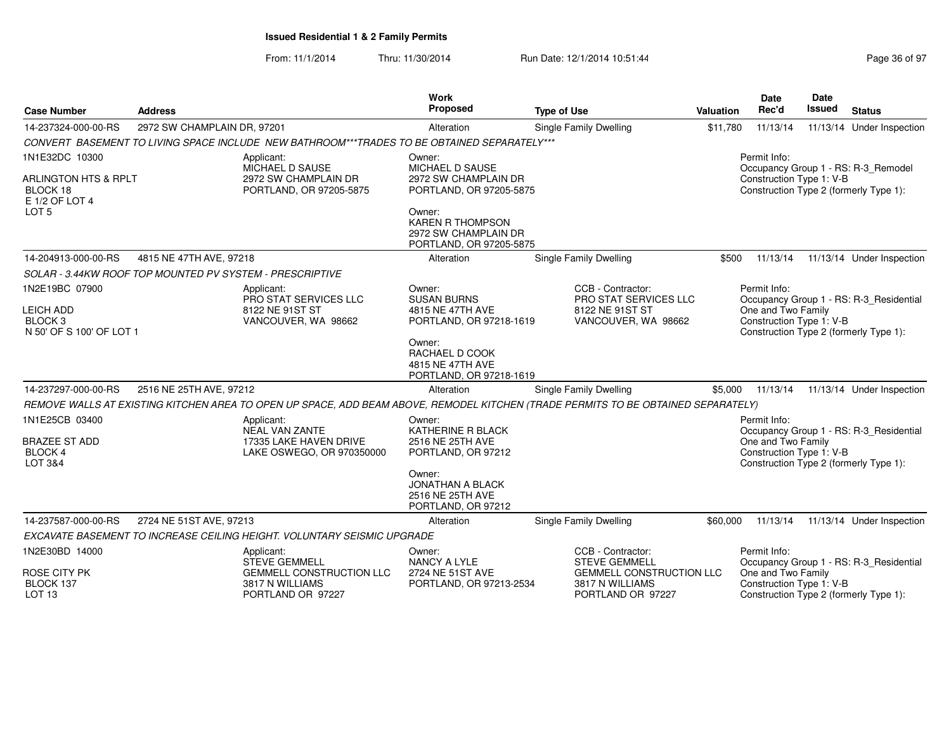| <b>Case Number</b>                                                                | <b>Address</b>                                  |                                                                                                                                   | <b>Work</b><br><b>Proposed</b>                                                       | <b>Type of Use</b>                                                      | <b>Valuation</b> | <b>Date</b><br>Rec'd                                                                     | <b>Date</b><br>Issued                                                                    | <b>Status</b>                       |
|-----------------------------------------------------------------------------------|-------------------------------------------------|-----------------------------------------------------------------------------------------------------------------------------------|--------------------------------------------------------------------------------------|-------------------------------------------------------------------------|------------------|------------------------------------------------------------------------------------------|------------------------------------------------------------------------------------------|-------------------------------------|
| 14-237324-000-00-RS                                                               | 2972 SW CHAMPLAIN DR. 97201                     |                                                                                                                                   | Alteration                                                                           | Single Family Dwelling                                                  | \$11.780         | 11/13/14                                                                                 |                                                                                          | 11/13/14 Under Inspection           |
|                                                                                   |                                                 | CONVERT BASEMENT TO LIVING SPACE INCLUDE NEW BATHROOM***TRADES TO BE OBTAINED SEPARATELY***                                       |                                                                                      |                                                                         |                  |                                                                                          |                                                                                          |                                     |
| 1N1E32DC 10300                                                                    |                                                 | Applicant:<br>MICHAEL D SAUSE                                                                                                     | Owner:<br>MICHAEL D SAUSE                                                            |                                                                         |                  | Permit Info:                                                                             |                                                                                          | Occupancy Group 1 - RS: R-3_Remodel |
| <b>ARLINGTON HTS &amp; RPLT</b><br>BLOCK 18<br>E 1/2 OF LOT 4<br>LOT <sub>5</sub> | 2972 SW CHAMPLAIN DR<br>PORTLAND, OR 97205-5875 |                                                                                                                                   | 2972 SW CHAMPLAIN DR<br>PORTLAND, OR 97205-5875                                      |                                                                         |                  | Construction Type 1: V-B<br>Construction Type 2 (formerly Type 1):                       |                                                                                          |                                     |
|                                                                                   |                                                 |                                                                                                                                   | Owner:<br><b>KAREN R THOMPSON</b><br>2972 SW CHAMPLAIN DR<br>PORTLAND, OR 97205-5875 |                                                                         |                  |                                                                                          |                                                                                          |                                     |
| 14-204913-000-00-RS                                                               | 4815 NE 47TH AVE, 97218                         |                                                                                                                                   | Alteration                                                                           | Single Family Dwelling                                                  | \$500            | 11/13/14                                                                                 |                                                                                          | 11/13/14 Under Inspection           |
|                                                                                   |                                                 | SOLAR - 3.44KW ROOF TOP MOUNTED PV SYSTEM - PRESCRIPTIVE                                                                          |                                                                                      |                                                                         |                  |                                                                                          |                                                                                          |                                     |
| 1N2E19BC 07900                                                                    |                                                 | Applicant:<br>PRO STAT SERVICES LLC                                                                                               | Owner:<br><b>SUSAN BURNS</b>                                                         | CCB - Contractor:<br><b>PRO STAT SERVICES LLC</b>                       |                  | Permit Info:<br>Occupancy Group 1 - RS: R-3_Residential                                  |                                                                                          |                                     |
| <b>LEICH ADD</b><br>BLOCK <sub>3</sub><br>N 50' OF S 100' OF LOT 1                |                                                 | 8122 NE 91ST ST<br>VANCOUVER, WA 98662                                                                                            | 4815 NE 47TH AVE<br>PORTLAND, OR 97218-1619                                          | 8122 NE 91ST ST<br>VANCOUVER, WA 98662                                  |                  | One and Two Family<br>Construction Type 1: V-B<br>Construction Type 2 (formerly Type 1): |                                                                                          |                                     |
|                                                                                   |                                                 |                                                                                                                                   | Owner:<br>RACHAEL D COOK<br>4815 NE 47TH AVE<br>PORTLAND, OR 97218-1619              |                                                                         |                  |                                                                                          |                                                                                          |                                     |
| 14-237297-000-00-RS<br>2516 NE 25TH AVE, 97212                                    |                                                 | Alteration                                                                                                                        | Single Family Dwelling                                                               | \$5,000                                                                 | 11/13/14         |                                                                                          | 11/13/14 Under Inspection                                                                |                                     |
|                                                                                   |                                                 | REMOVE WALLS AT EXISTING KITCHEN AREA TO OPEN UP SPACE, ADD BEAM ABOVE, REMODEL KITCHEN (TRADE PERMITS TO BE OBTAINED SEPARATELY) |                                                                                      |                                                                         |                  |                                                                                          |                                                                                          |                                     |
| 1N1E25CB 03400                                                                    |                                                 | Applicant:<br><b>NEAL VAN ZANTE</b><br>17335 LAKE HAVEN DRIVE<br>LAKE OSWEGO, OR 970350000                                        | Owner:<br>KATHERINE R BLACK                                                          |                                                                         |                  | Permit Info:<br>Occupancy Group 1 - RS: R-3 Residential                                  |                                                                                          |                                     |
| <b>BRAZEE ST ADD</b><br>BLOCK 4<br>LOT 3&4                                        |                                                 |                                                                                                                                   | 2516 NE 25TH AVE<br>PORTLAND, OR 97212                                               |                                                                         |                  |                                                                                          | One and Two Family<br>Construction Type 1: V-B<br>Construction Type 2 (formerly Type 1): |                                     |
|                                                                                   |                                                 |                                                                                                                                   | Owner:<br><b>JONATHAN A BLACK</b><br>2516 NE 25TH AVE<br>PORTLAND, OR 97212          |                                                                         |                  |                                                                                          |                                                                                          |                                     |
| 14-237587-000-00-RS                                                               | 2724 NE 51ST AVE, 97213                         |                                                                                                                                   | Alteration                                                                           | Single Family Dwelling                                                  | \$60,000         | 11/13/14                                                                                 |                                                                                          | 11/13/14 Under Inspection           |
|                                                                                   |                                                 | EXCAVATE BASEMENT TO INCREASE CEILING HEIGHT. VOLUNTARY SEISMIC UPGRADE                                                           |                                                                                      |                                                                         |                  |                                                                                          |                                                                                          |                                     |
| 1N2E30BD 14000                                                                    |                                                 | Applicant:<br><b>STEVE GEMMELL</b>                                                                                                | Owner:<br><b>NANCY A LYLE</b>                                                        | CCB - Contractor:<br><b>STEVE GEMMELL</b>                               |                  | Permit Info:<br>Occupancy Group 1 - RS: R-3_Residential                                  |                                                                                          |                                     |
| <b>ROSE CITY PK</b><br>BLOCK 137<br>LOT <sub>13</sub>                             |                                                 | <b>GEMMELL CONSTRUCTION LLC</b><br>3817 N WILLIAMS<br>PORTLAND OR 97227                                                           | 2724 NE 51ST AVE<br>PORTLAND, OR 97213-2534                                          | <b>GEMMELL CONSTRUCTION LLC</b><br>3817 N WILLIAMS<br>PORTLAND OR 97227 |                  | One and Two Family<br>Construction Type 1: V-B<br>Construction Type 2 (formerly Type 1): |                                                                                          |                                     |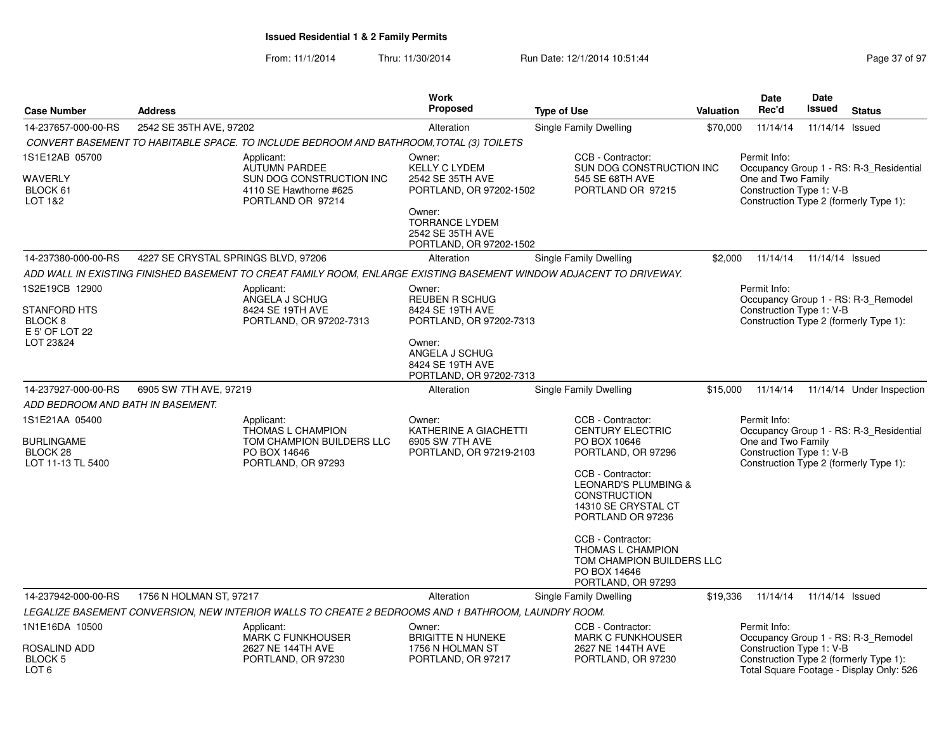| <b>Case Number</b>                                                       | <b>Address</b>                      |                                                                                                                     | <b>Work</b><br>Proposed                                                                                                                                         | <b>Type of Use</b>                                                                                                                                                                                                                                                                                                                | <b>Valuation</b> | Date<br>Rec'd                                                  | Date<br>Issued  | <b>Status</b>                                                                                                             |
|--------------------------------------------------------------------------|-------------------------------------|---------------------------------------------------------------------------------------------------------------------|-----------------------------------------------------------------------------------------------------------------------------------------------------------------|-----------------------------------------------------------------------------------------------------------------------------------------------------------------------------------------------------------------------------------------------------------------------------------------------------------------------------------|------------------|----------------------------------------------------------------|-----------------|---------------------------------------------------------------------------------------------------------------------------|
| 14-237657-000-00-RS                                                      | 2542 SE 35TH AVE, 97202             |                                                                                                                     | Alteration                                                                                                                                                      | Single Family Dwelling                                                                                                                                                                                                                                                                                                            | \$70,000         | 11/14/14                                                       | 11/14/14        | Issued                                                                                                                    |
|                                                                          |                                     | CONVERT BASEMENT TO HABITABLE SPACE. TO INCLUDE BEDROOM AND BATHROOM, TOTAL (3) TOILETS                             |                                                                                                                                                                 |                                                                                                                                                                                                                                                                                                                                   |                  |                                                                |                 |                                                                                                                           |
| 1S1E12AB 05700<br>WAVERLY<br>BLOCK 61<br>LOT 1&2                         |                                     | Applicant:<br>AUTUMN PARDEE<br>SUN DOG CONSTRUCTION INC<br>4110 SE Hawthorne #625<br>PORTLAND OR 97214              | Owner:<br><b>KELLY C LYDEM</b><br>2542 SE 35TH AVE<br>PORTLAND, OR 97202-1502<br>Owner:<br><b>TORRANCE LYDEM</b><br>2542 SE 35TH AVE<br>PORTLAND, OR 97202-1502 | CCB - Contractor:<br>SUN DOG CONSTRUCTION INC<br>545 SE 68TH AVE<br>PORTLAND OR 97215                                                                                                                                                                                                                                             |                  | Permit Info:<br>One and Two Family<br>Construction Type 1: V-B |                 | Occupancy Group 1 - RS: R-3 Residential<br>Construction Type 2 (formerly Type 1):                                         |
| 14-237380-000-00-RS                                                      | 4227 SE CRYSTAL SPRINGS BLVD, 97206 |                                                                                                                     | Alteration                                                                                                                                                      | Single Family Dwelling                                                                                                                                                                                                                                                                                                            | \$2,000          | 11/14/14                                                       | 11/14/14 Issued |                                                                                                                           |
|                                                                          |                                     | ADD WALL IN EXISTING FINISHED BASEMENT TO CREAT FAMILY ROOM. ENLARGE EXISTING BASEMENT WINDOW ADJACENT TO DRIVEWAY. |                                                                                                                                                                 |                                                                                                                                                                                                                                                                                                                                   |                  |                                                                |                 |                                                                                                                           |
| 1S2E19CB 12900<br>STANFORD HTS<br>BLOCK 8<br>E 5' OF LOT 22<br>LOT 23&24 |                                     | Applicant:<br>ANGELA J SCHUG<br>8424 SE 19TH AVE<br>PORTLAND, OR 97202-7313                                         | Owner:<br><b>REUBEN R SCHUG</b><br>8424 SE 19TH AVE<br>PORTLAND, OR 97202-7313<br>Owner:<br>ANGELA J SCHUG<br>8424 SE 19TH AVE<br>PORTLAND, OR 97202-7313       |                                                                                                                                                                                                                                                                                                                                   |                  | Permit Info:<br>Construction Type 1: V-B                       |                 | Occupancy Group 1 - RS: R-3_Remodel<br>Construction Type 2 (formerly Type 1):                                             |
| 14-237927-000-00-RS                                                      | 6905 SW 7TH AVE, 97219              |                                                                                                                     | Alteration                                                                                                                                                      | Single Family Dwelling                                                                                                                                                                                                                                                                                                            | \$15,000         | 11/14/14                                                       |                 | 11/14/14 Under Inspection                                                                                                 |
| ADD BEDROOM AND BATH IN BASEMENT.                                        |                                     |                                                                                                                     |                                                                                                                                                                 |                                                                                                                                                                                                                                                                                                                                   |                  |                                                                |                 |                                                                                                                           |
| 1S1E21AA 05400<br><b>BURLINGAME</b><br>BLOCK 28<br>LOT 11-13 TL 5400     |                                     | Applicant:<br>THOMAS L CHAMPION<br>TOM CHAMPION BUILDERS LLC<br>PO BOX 14646<br>PORTLAND, OR 97293                  | Owner:<br>KATHERINE A GIACHETTI<br>6905 SW 7TH AVE<br>PORTLAND, OR 97219-2103                                                                                   | CCB - Contractor:<br><b>CENTURY ELECTRIC</b><br>PO BOX 10646<br>PORTLAND, OR 97296<br>CCB - Contractor:<br><b>LEONARD'S PLUMBING &amp;</b><br><b>CONSTRUCTION</b><br>14310 SE CRYSTAL CT<br>PORTLAND OR 97236<br>CCB - Contractor:<br><b>THOMAS L CHAMPION</b><br>TOM CHAMPION BUILDERS LLC<br>PO BOX 14646<br>PORTLAND, OR 97293 |                  | Permit Info:<br>One and Two Family<br>Construction Type 1: V-B |                 | Occupancy Group 1 - RS: R-3 Residential<br>Construction Type 2 (formerly Type 1):                                         |
| 14-237942-000-00-RS                                                      | 1756 N HOLMAN ST, 97217             |                                                                                                                     | Alteration                                                                                                                                                      | Single Family Dwelling                                                                                                                                                                                                                                                                                                            | \$19,336         | 11/14/14                                                       | 11/14/14 Issued |                                                                                                                           |
|                                                                          |                                     | LEGALIZE BASEMENT CONVERSION, NEW INTERIOR WALLS TO CREATE 2 BEDROOMS AND 1 BATHROOM, LAUNDRY ROOM.                 |                                                                                                                                                                 |                                                                                                                                                                                                                                                                                                                                   |                  |                                                                |                 |                                                                                                                           |
| 1N1E16DA 10500<br>ROSALIND ADD<br>BLOCK <sub>5</sub><br>LOT 6            |                                     | Applicant:<br><b>MARK C FUNKHOUSER</b><br>2627 NE 144TH AVE<br>PORTLAND, OR 97230                                   | Owner:<br><b>BRIGITTE N HUNEKE</b><br>1756 N HOLMAN ST<br>PORTLAND, OR 97217                                                                                    | CCB - Contractor:<br><b>MARK C FUNKHOUSER</b><br>2627 NE 144TH AVE<br>PORTLAND, OR 97230                                                                                                                                                                                                                                          |                  | Permit Info:<br>Construction Type 1: V-B                       |                 | Occupancy Group 1 - RS: R-3_Remodel<br>Construction Type 2 (formerly Type 1):<br>Total Square Footage - Display Only: 526 |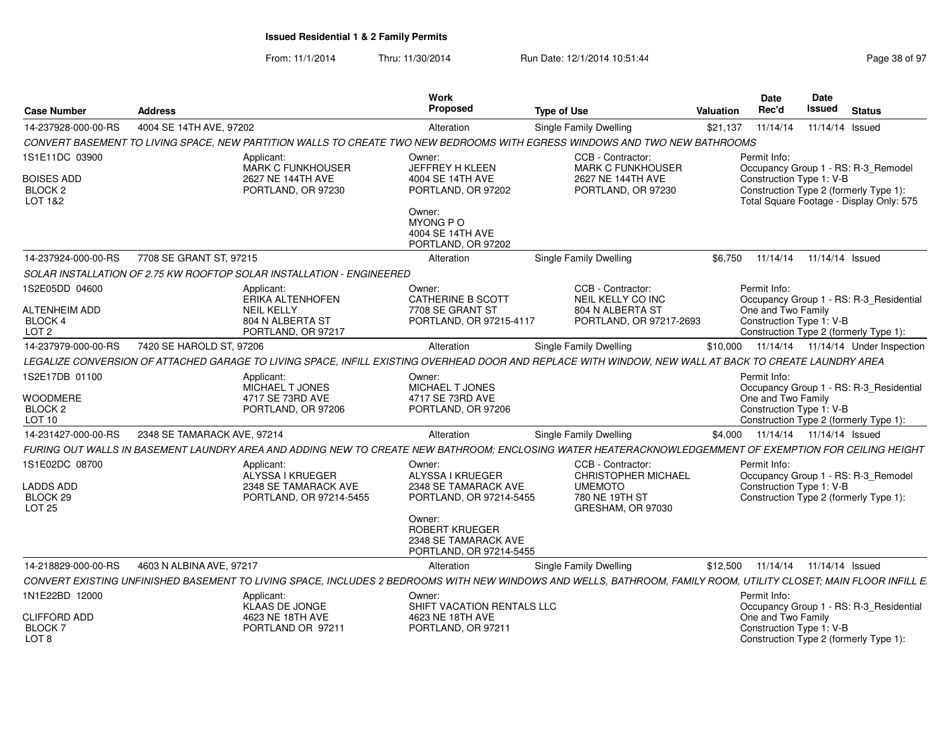| <b>Case Number</b>                                             | <b>Address</b>                                                                                       | Work<br><b>Proposed</b>                                                                                                                                           | <b>Type of Use</b>                                                                                       | Valuation | Date<br>Rec'd                                                  | Date<br>Issued             | <b>Status</b>                                                                      |
|----------------------------------------------------------------|------------------------------------------------------------------------------------------------------|-------------------------------------------------------------------------------------------------------------------------------------------------------------------|----------------------------------------------------------------------------------------------------------|-----------|----------------------------------------------------------------|----------------------------|------------------------------------------------------------------------------------|
| 14-237928-000-00-RS                                            | 4004 SE 14TH AVE, 97202                                                                              | Alteration                                                                                                                                                        | Single Family Dwelling                                                                                   | \$21,137  | 11/14/14                                                       | 11/14/14 Issued            |                                                                                    |
|                                                                |                                                                                                      | CONVERT BASEMENT TO LIVING SPACE, NEW PARTITION WALLS TO CREATE TWO NEW BEDROOMS WITH EGRESS WINDOWS AND TWO NEW BATHROOMS                                        |                                                                                                          |           |                                                                |                            |                                                                                    |
| 1S1E11DC 03900                                                 | Applicant:<br>MARK C FUNKHOUSER                                                                      | Owner:<br>JEFFREY H KLEEN                                                                                                                                         | CCB - Contractor:<br><b>MARK C FUNKHOUSER</b>                                                            |           | Permit Info:                                                   |                            | Occupancy Group 1 - RS: R-3_Remodel                                                |
| <b>BOISES ADD</b><br>BLOCK <sub>2</sub><br>LOT 1&2             | 2627 NE 144TH AVE<br>PORTLAND, OR 97230                                                              | 4004 SE 14TH AVE<br>PORTLAND, OR 97202<br>Owner:                                                                                                                  | 2627 NE 144TH AVE<br>PORTLAND, OR 97230                                                                  |           | Construction Type 1: V-B                                       |                            | Construction Type 2 (formerly Type 1):<br>Total Square Footage - Display Only: 575 |
|                                                                |                                                                                                      | <b>MYONG P O</b><br>4004 SE 14TH AVE<br>PORTLAND, OR 97202                                                                                                        |                                                                                                          |           |                                                                |                            |                                                                                    |
| 14-237924-000-00-RS                                            | 7708 SE GRANT ST, 97215                                                                              | Alteration                                                                                                                                                        | Single Family Dwelling                                                                                   | \$6.750   | 11/14/14                                                       | 11/14/14 Issued            |                                                                                    |
|                                                                | SOLAR INSTALLATION OF 2.75 KW ROOFTOP SOLAR INSTALLATION - ENGINEERED                                |                                                                                                                                                                   |                                                                                                          |           |                                                                |                            |                                                                                    |
| 1S2E05DD 04600<br>ALTENHEIM ADD<br>BLOCK 4<br>LOT <sub>2</sub> | Applicant:<br><b>ERIKA ALTENHOFEN</b><br><b>NEIL KELLY</b><br>804 N ALBERTA ST<br>PORTLAND, OR 97217 | Owner:<br>CATHERINE B SCOTT<br>7708 SE GRANT ST<br>PORTLAND, OR 97215-4117                                                                                        | CCB - Contractor:<br><b>NEIL KELLY CO INC</b><br>804 N ALBERTA ST<br>PORTLAND, OR 97217-2693             |           | Permit Info:<br>One and Two Family<br>Construction Type 1: V-B |                            | Occupancy Group 1 - RS: R-3 Residential<br>Construction Type 2 (formerly Type 1):  |
| 14-237979-000-00-RS                                            | 7420 SE HAROLD ST, 97206                                                                             | Alteration                                                                                                                                                        | Single Family Dwelling                                                                                   | \$10,000  |                                                                |                            | 11/14/14  11/14/14  Under Inspection                                               |
|                                                                |                                                                                                      | LEGALIZE CONVERSION OF ATTACHED GARAGE TO LIVING SPACE, INFILL EXISTING OVERHEAD DOOR AND REPLACE WITH WINDOW, NEW WALL AT BACK TO CREATE LAUNDRY AREA            |                                                                                                          |           |                                                                |                            |                                                                                    |
| 1S2E17DB 01100                                                 | Applicant:<br>MICHAEL T JONES                                                                        | Owner:<br>MICHAEL T JONES                                                                                                                                         |                                                                                                          |           | Permit Info:                                                   |                            | Occupancy Group 1 - RS: R-3_Residential                                            |
| <b>WOODMERE</b><br>BLOCK <sub>2</sub><br>LOT 10                | 4717 SE 73RD AVE<br>PORTLAND, OR 97206                                                               | 4717 SE 73RD AVE<br>PORTLAND, OR 97206                                                                                                                            |                                                                                                          |           | One and Two Family<br>Construction Type 1: V-B                 |                            | Construction Type 2 (formerly Type 1):                                             |
| 14-231427-000-00-RS                                            | 2348 SE TAMARACK AVE, 97214                                                                          | Alteration                                                                                                                                                        | Single Family Dwelling                                                                                   | \$4.000   |                                                                | 11/14/14  11/14/14  Issued |                                                                                    |
|                                                                |                                                                                                      | FURING OUT WALLS IN BASEMENT LAUNDRY AREA AND ADDING NEW TO CREATE NEW BATHROOM; ENCLOSING WATER HEATERACKNOWLEDGEMMENT OF EXEMPTION FOR CEILING HEIGHT           |                                                                                                          |           |                                                                |                            |                                                                                    |
| 1S1E02DC 08700<br>LADDS ADD<br>BLOCK 29<br>LOT 25              | Applicant:<br>ALYSSA I KRUEGER<br>2348 SE TAMARACK AVE<br>PORTLAND, OR 97214-5455                    | Owner:<br>ALYSSA I KRUEGER<br>2348 SE TAMARACK AVE<br>PORTLAND, OR 97214-5455                                                                                     | CCB - Contractor:<br><b>CHRISTOPHER MICHAEL</b><br><b>UMEMOTO</b><br>780 NE 19TH ST<br>GRESHAM, OR 97030 |           | Permit Info:<br>Construction Type 1: V-B                       |                            | Occupancy Group 1 - RS: R-3_Remodel<br>Construction Type 2 (formerly Type 1):      |
|                                                                |                                                                                                      | Owner:<br><b>ROBERT KRUEGER</b><br>2348 SE TAMARACK AVE<br>PORTLAND, OR 97214-5455                                                                                |                                                                                                          |           |                                                                |                            |                                                                                    |
| 14-218829-000-00-RS                                            | 4603 N ALBINA AVE, 97217                                                                             | Alteration                                                                                                                                                        | Single Family Dwelling                                                                                   | \$12,500  |                                                                | 11/14/14  11/14/14  Issued |                                                                                    |
|                                                                |                                                                                                      | CONVERT EXISTING UNFINISHED BASEMENT TO LIVING SPACE. INCLUDES 2 BEDROOMS WITH NEW WINDOWS AND WELLS. BATHROOM. FAMILY ROOM. UTILITY CLOSET: MAIN FLOOR INFILL E. |                                                                                                          |           |                                                                |                            |                                                                                    |
| 1N1E22BD 12000                                                 | Applicant:<br><b>KLAAS DE JONGE</b>                                                                  | Owner:<br>SHIFT VACATION RENTALS LLC                                                                                                                              |                                                                                                          |           | Permit Info:                                                   |                            | Occupancy Group 1 - RS: R-3 Residential                                            |
| <b>CLIFFORD ADD</b><br><b>BLOCK7</b><br>LOT <sub>8</sub>       | 4623 NE 18TH AVE<br>PORTLAND OR 97211                                                                | 4623 NE 18TH AVE<br>PORTLAND, OR 97211                                                                                                                            |                                                                                                          |           | One and Two Family<br>Construction Type 1: V-B                 |                            | Construction Type 2 (formerly Type 1):                                             |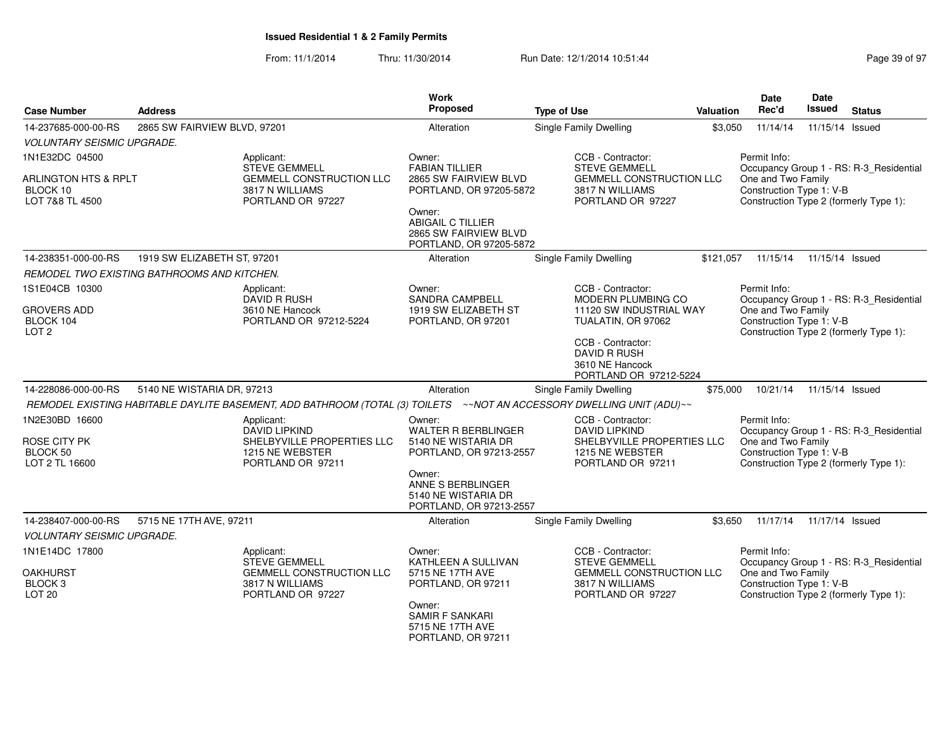| <b>Case Number</b>                                             | <b>Address</b>                                                   |                                                                                                                      | Work<br>Proposed                                                                       | <b>Type of Use</b>                                                             | Valuation | Date<br>Rec'd                                                                            | <b>Date</b><br>Issued | <b>Status</b>                           |
|----------------------------------------------------------------|------------------------------------------------------------------|----------------------------------------------------------------------------------------------------------------------|----------------------------------------------------------------------------------------|--------------------------------------------------------------------------------|-----------|------------------------------------------------------------------------------------------|-----------------------|-----------------------------------------|
| 14-237685-000-00-RS                                            | 2865 SW FAIRVIEW BLVD, 97201                                     |                                                                                                                      | Alteration                                                                             | <b>Single Family Dwelling</b>                                                  | \$3,050   | 11/14/14                                                                                 | 11/15/14 Issued       |                                         |
| <b>VOLUNTARY SEISMIC UPGRADE.</b>                              |                                                                  |                                                                                                                      |                                                                                        |                                                                                |           |                                                                                          |                       |                                         |
| 1N1E32DC 04500                                                 |                                                                  | Applicant:<br><b>STEVE GEMMELL</b>                                                                                   | Owner:<br><b>FABIAN TILLIER</b>                                                        | CCB - Contractor:<br><b>STEVE GEMMELL</b>                                      |           | Permit Info:                                                                             |                       | Occupancy Group 1 - RS: R-3 Residential |
| <b>ARLINGTON HTS &amp; RPLT</b><br>BLOCK 10<br>LOT 7&8 TL 4500 |                                                                  | <b>GEMMELL CONSTRUCTION LLC</b><br>3817 N WILLIAMS<br>PORTLAND OR 97227                                              | 2865 SW FAIRVIEW BLVD<br>PORTLAND, OR 97205-5872                                       | <b>GEMMELL CONSTRUCTION LLC</b><br>3817 N WILLIAMS<br>PORTLAND OR 97227        |           | One and Two Family<br>Construction Type 1: V-B                                           |                       | Construction Type 2 (formerly Type 1):  |
|                                                                |                                                                  |                                                                                                                      | Owner:<br><b>ABIGAIL C TILLIER</b><br>2865 SW FAIRVIEW BLVD<br>PORTLAND, OR 97205-5872 |                                                                                |           |                                                                                          |                       |                                         |
| 14-238351-000-00-RS                                            | 1919 SW ELIZABETH ST, 97201                                      |                                                                                                                      | Alteration                                                                             | <b>Single Family Dwelling</b>                                                  | \$121,057 | 11/15/14                                                                                 | 11/15/14 Issued       |                                         |
|                                                                | REMODEL TWO EXISTING BATHROOMS AND KITCHEN.                      |                                                                                                                      |                                                                                        |                                                                                |           |                                                                                          |                       |                                         |
| 1S1E04CB 10300                                                 |                                                                  | Applicant:<br>DAVID R RUSH                                                                                           | Owner:<br><b>SANDRA CAMPBELL</b>                                                       | CCB - Contractor:<br><b>MODERN PLUMBING CO</b>                                 |           | Permit Info:                                                                             |                       | Occupancy Group 1 - RS: R-3_Residential |
| <b>GROVERS ADD</b><br>BLOCK 104                                |                                                                  | 3610 NE Hancock<br>PORTLAND OR 97212-5224                                                                            | 1919 SW ELIZABETH ST<br>PORTLAND, OR 97201                                             | 11120 SW INDUSTRIAL WAY<br>TUALATIN, OR 97062                                  |           | One and Two Family<br>Construction Type 1: V-B                                           |                       |                                         |
| LOT <sub>2</sub>                                               |                                                                  |                                                                                                                      |                                                                                        | CCB - Contractor:<br>DAVID R RUSH<br>3610 NE Hancock<br>PORTLAND OR 97212-5224 |           |                                                                                          |                       | Construction Type 2 (formerly Type 1):  |
| 14-228086-000-00-RS                                            | 5140 NE WISTARIA DR, 97213                                       |                                                                                                                      | Alteration                                                                             | <b>Single Family Dwelling</b>                                                  | \$75,000  | 10/21/14                                                                                 | 11/15/14 Issued       |                                         |
|                                                                |                                                                  | REMODEL EXISTING HABITABLE DAYLITE BASEMENT, ADD BATHROOM (TOTAL (3) TOILETS ~NOT AN ACCESSORY DWELLING UNIT (ADU)~~ |                                                                                        |                                                                                |           |                                                                                          |                       |                                         |
| 1N2E30BD 16600                                                 |                                                                  | Applicant:<br><b>DAVID LIPKIND</b>                                                                                   | Owner:<br><b>WALTER R BERBLINGER</b>                                                   | CCB - Contractor:<br><b>DAVID LIPKIND</b>                                      |           | Permit Info:                                                                             |                       | Occupancy Group 1 - RS: R-3_Residential |
| ROSE CITY PK<br>BLOCK 50<br>LOT 2 TL 16600                     |                                                                  | SHELBYVILLE PROPERTIES LLC<br>1215 NE WEBSTER<br>PORTLAND OR 97211                                                   | 5140 NE WISTARIA DR<br>PORTLAND, OR 97213-2557                                         | SHELBYVILLE PROPERTIES LLC<br>1215 NE WEBSTER<br>PORTLAND OR 97211             |           | One and Two Family<br>Construction Type 1: V-B                                           |                       | Construction Type 2 (formerly Type 1):  |
|                                                                |                                                                  |                                                                                                                      | Owner:<br>ANNE S BERBLINGER<br>5140 NE WISTARIA DR<br>PORTLAND, OR 97213-2557          |                                                                                |           |                                                                                          |                       |                                         |
| 14-238407-000-00-RS                                            | 5715 NE 17TH AVE, 97211                                          |                                                                                                                      | Alteration                                                                             | Single Family Dwelling                                                         | \$3,650   | 11/17/14                                                                                 | 11/17/14 Issued       |                                         |
| <b>VOLUNTARY SEISMIC UPGRADE.</b>                              |                                                                  |                                                                                                                      |                                                                                        |                                                                                |           |                                                                                          |                       |                                         |
| 1N1E14DC 17800                                                 |                                                                  | Applicant:<br><b>STEVE GEMMELL</b>                                                                                   | Owner:<br>KATHLEEN A SULLIVAN                                                          | CCB - Contractor:<br><b>STEVE GEMMELL</b>                                      |           | Permit Info:                                                                             |                       | Occupancy Group 1 - RS: R-3_Residential |
| <b>OAKHURST</b><br>BLOCK <sub>3</sub><br><b>LOT 20</b>         | GEMMELL CONSTRUCTION LLC<br>3817 N WILLIAMS<br>PORTLAND OR 97227 |                                                                                                                      | 5715 NE 17TH AVE<br>PORTLAND, OR 97211                                                 | GEMMELL CONSTRUCTION LLC<br>3817 N WILLIAMS<br>PORTLAND OR 97227               |           | One and Two Family<br>Construction Type 1: V-B<br>Construction Type 2 (formerly Type 1): |                       |                                         |
|                                                                |                                                                  |                                                                                                                      | Owner:<br><b>SAMIR F SANKARI</b><br>5715 NE 17TH AVE<br>PORTLAND, OR 97211             |                                                                                |           |                                                                                          |                       |                                         |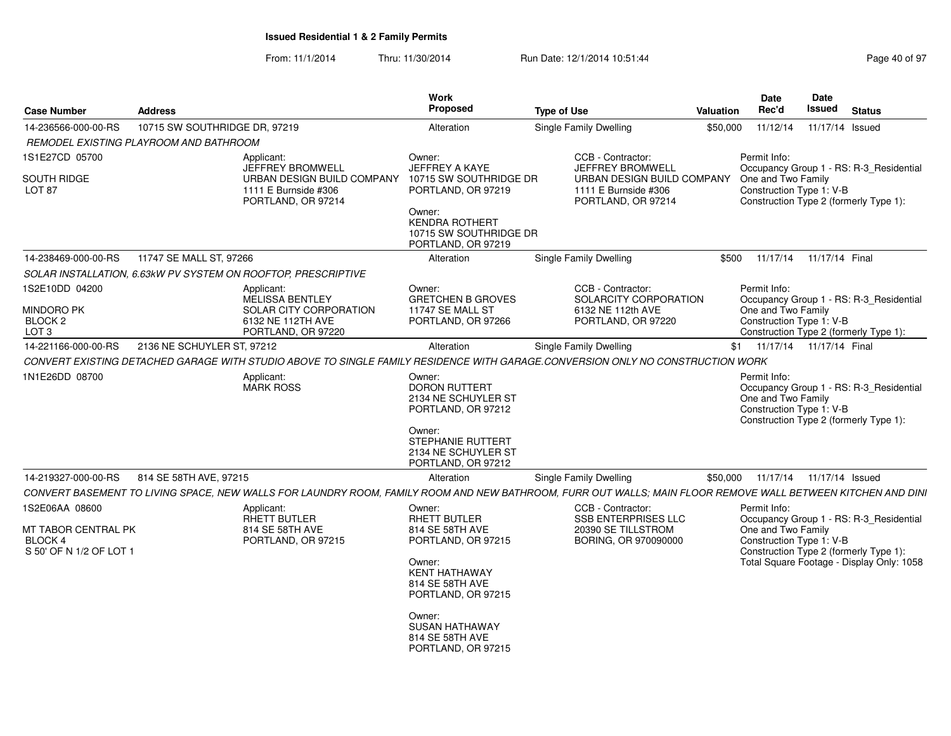| <b>Case Number</b>                                                     | <b>Address</b>                                                |                                                                                                                                                             | Work<br>Proposed                                                                                                                      | <b>Type of Use</b>                                                                                                       | Valuation | <b>Date</b><br>Rec'd                                           | Date<br><b>Issued</b>      | <b>Status</b>                                                                       |
|------------------------------------------------------------------------|---------------------------------------------------------------|-------------------------------------------------------------------------------------------------------------------------------------------------------------|---------------------------------------------------------------------------------------------------------------------------------------|--------------------------------------------------------------------------------------------------------------------------|-----------|----------------------------------------------------------------|----------------------------|-------------------------------------------------------------------------------------|
| 14-236566-000-00-RS                                                    | 10715 SW SOUTHRIDGE DR, 97219                                 |                                                                                                                                                             | Alteration                                                                                                                            | <b>Single Family Dwelling</b>                                                                                            | \$50,000  | 11/12/14                                                       | 11/17/14 Issued            |                                                                                     |
|                                                                        | REMODEL EXISTING PLAYROOM AND BATHROOM                        |                                                                                                                                                             |                                                                                                                                       |                                                                                                                          |           |                                                                |                            |                                                                                     |
| 1S1E27CD 05700<br><b>SOUTH RIDGE</b><br><b>LOT 87</b>                  |                                                               | Applicant:<br>JEFFREY BROMWELL<br>URBAN DESIGN BUILD COMPANY<br>1111 E Burnside #306<br>PORTLAND, OR 97214                                                  | Owner:<br>JEFFREY A KAYE<br>10715 SW SOUTHRIDGE DR<br>PORTLAND, OR 97219<br>Owner:<br><b>KENDRA ROTHERT</b><br>10715 SW SOUTHRIDGE DR | CCB - Contractor:<br>JEFFREY BROMWELL<br><b>URBAN DESIGN BUILD COMPANY</b><br>1111 E Burnside #306<br>PORTLAND, OR 97214 |           | Permit Info:<br>One and Two Family<br>Construction Type 1: V-B |                            | Occupancy Group 1 - RS: R-3_Residential<br>Construction Type 2 (formerly Type 1):   |
| 14-238469-000-00-RS                                                    | 11747 SE MALL ST, 97266                                       |                                                                                                                                                             | PORTLAND, OR 97219<br>Alteration                                                                                                      | <b>Single Family Dwelling</b>                                                                                            |           | \$500 11/17/14 11/17/14 Final                                  |                            |                                                                                     |
|                                                                        | SOLAR INSTALLATION, 6.63kW PV SYSTEM ON ROOFTOP, PRESCRIPTIVE |                                                                                                                                                             |                                                                                                                                       |                                                                                                                          |           |                                                                |                            |                                                                                     |
|                                                                        |                                                               |                                                                                                                                                             |                                                                                                                                       |                                                                                                                          |           |                                                                |                            |                                                                                     |
| 1S2E10DD 04200<br>MINDORO PK<br>BLOCK <sub>2</sub><br>LOT <sub>3</sub> |                                                               | Applicant:<br>MELISSA BENTLEY<br>SOLAR CITY CORPORATION<br>6132 NE 112TH AVE<br>PORTLAND, OR 97220                                                          | Owner:<br><b>GRETCHEN B GROVES</b><br>11747 SE MALL ST<br>PORTLAND, OR 97266                                                          | CCB - Contractor:<br>SOLARCITY CORPORATION<br>6132 NE 112th AVE<br>PORTLAND, OR 97220                                    |           | Permit Info:<br>One and Two Family<br>Construction Type 1: V-B |                            | Occupancy Group 1 - RS: R-3_Residential<br>Construction Type 2 (formerly Type 1):   |
| 14-221166-000-00-RS                                                    | 2136 NE SCHUYLER ST, 97212                                    |                                                                                                                                                             | Alteration                                                                                                                            | Single Family Dwelling                                                                                                   |           | \$1 11/17/14 11/17/14 Final                                    |                            |                                                                                     |
|                                                                        |                                                               | CONVERT EXISTING DETACHED GARAGE WITH STUDIO ABOVE TO SINGLE FAMILY RESIDENCE WITH GARAGE.CONVERSION ONLY NO CONSTRUCTION WORK                              |                                                                                                                                       |                                                                                                                          |           |                                                                |                            |                                                                                     |
| 1N1E26DD 08700                                                         |                                                               | Applicant:                                                                                                                                                  | Owner:                                                                                                                                |                                                                                                                          |           | Permit Info:                                                   |                            |                                                                                     |
|                                                                        |                                                               | <b>MARK ROSS</b>                                                                                                                                            | <b>DORON RUTTERT</b><br>2134 NE SCHUYLER ST<br>PORTLAND, OR 97212<br>Owner:                                                           |                                                                                                                          |           | One and Two Family<br>Construction Type 1: V-B                 |                            | Occupancy Group 1 - RS: R-3 Residential<br>Construction Type 2 (formerly Type 1):   |
|                                                                        |                                                               |                                                                                                                                                             | STEPHANIE RUTTERT<br>2134 NE SCHUYLER ST<br>PORTLAND, OR 97212                                                                        |                                                                                                                          |           |                                                                |                            |                                                                                     |
| 14-219327-000-00-RS                                                    | 814 SE 58TH AVE, 97215                                        |                                                                                                                                                             | Alteration                                                                                                                            | <b>Single Family Dwelling</b>                                                                                            | \$50.000  |                                                                | 11/17/14  11/17/14  Issued |                                                                                     |
|                                                                        |                                                               | CONVERT BASEMENT TO LIVING SPACE, NEW WALLS FOR LAUNDRY ROOM, FAMILY ROOM AND NEW BATHROOM, FURR OUT WALLS; MAIN FLOOR REMOVE WALL BETWEEN KITCHEN AND DINI |                                                                                                                                       |                                                                                                                          |           |                                                                |                            |                                                                                     |
| 1S2E06AA 08600                                                         |                                                               | Applicant:<br><b>RHETT BUTLER</b>                                                                                                                           | Owner:<br><b>RHETT BUTLER</b>                                                                                                         | CCB - Contractor:<br><b>SSB ENTERPRISES LLC</b>                                                                          |           | Permit Info:                                                   |                            | Occupancy Group 1 - RS: R-3_Residential                                             |
| <b>MT TABOR CENTRAL PK</b><br><b>BLOCK4</b><br>S 50' OF N 1/2 OF LOT   |                                                               | 814 SE 58TH AVE<br>PORTLAND, OR 97215                                                                                                                       | 814 SE 58TH AVE<br>PORTLAND, OR 97215<br>Owner:<br><b>KENT HATHAWAY</b><br>814 SE 58TH AVE<br>PORTLAND, OR 97215                      | 20390 SE TILLSTROM<br>BORING, OR 970090000                                                                               |           | One and Two Family<br>Construction Type 1: V-B                 |                            | Construction Type 2 (formerly Type 1):<br>Total Square Footage - Display Only: 1058 |
|                                                                        |                                                               |                                                                                                                                                             | Owner:<br><b>SUSAN HATHAWAY</b><br>814 SE 58TH AVE<br>PORTLAND, OR 97215                                                              |                                                                                                                          |           |                                                                |                            |                                                                                     |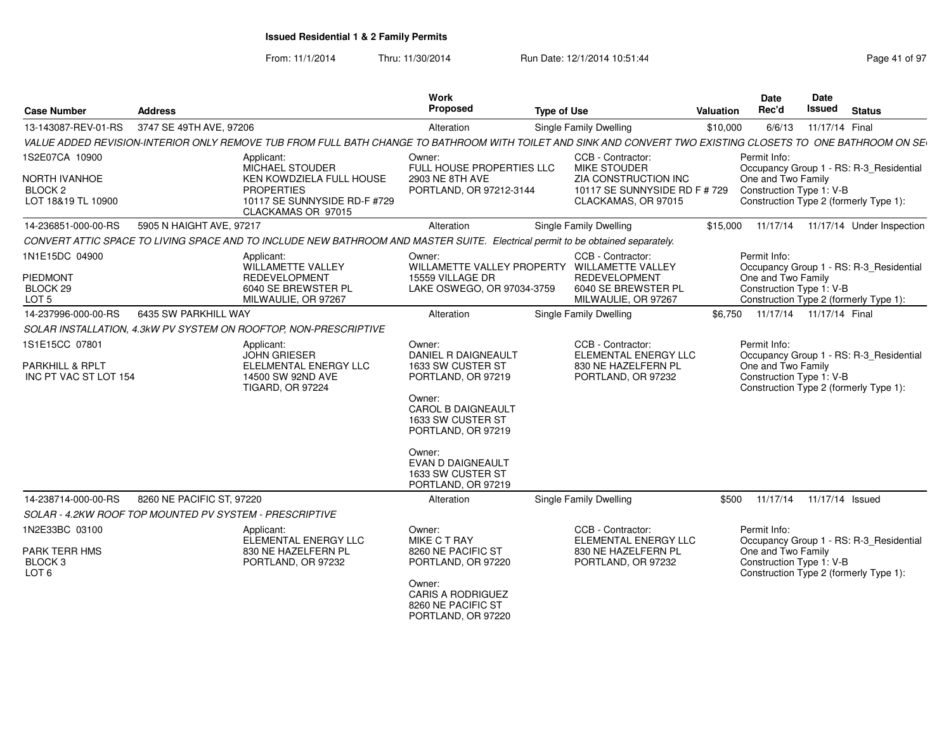| <b>Case Number</b>                                                               | <b>Address</b>            |                                                                                                                                                             | <b>Work</b><br>Proposed                                                                                                                                                                                                                     | <b>Type of Use</b>                                                                                                       | Valuation                                                                                                    | Date<br>Rec'd | Date<br>Issued                                                                                           | <b>Status</b>   |                                         |  |  |  |  |
|----------------------------------------------------------------------------------|---------------------------|-------------------------------------------------------------------------------------------------------------------------------------------------------------|---------------------------------------------------------------------------------------------------------------------------------------------------------------------------------------------------------------------------------------------|--------------------------------------------------------------------------------------------------------------------------|--------------------------------------------------------------------------------------------------------------|---------------|----------------------------------------------------------------------------------------------------------|-----------------|-----------------------------------------|--|--|--|--|
| 13-143087-REV-01-RS                                                              | 3747 SE 49TH AVE, 97206   |                                                                                                                                                             | Alteration                                                                                                                                                                                                                                  | <b>Single Family Dwelling</b><br>11/17/14 Final<br>6/6/13<br>\$10,000                                                    |                                                                                                              |               |                                                                                                          |                 |                                         |  |  |  |  |
|                                                                                  |                           | VALUE ADDED REVISION-INTERIOR ONLY REMOVE TUB FROM FULL BATH CHANGE TO BATHROOM WITH TOILET AND SINK AND CONVERT TWO EXISTING CLOSETS TO ONE BATHROOM ON SE |                                                                                                                                                                                                                                             |                                                                                                                          |                                                                                                              |               |                                                                                                          |                 |                                         |  |  |  |  |
| 1S2E07CA 10900<br>NORTH IVANHOE<br>BLOCK <sub>2</sub><br>LOT 18&19 TL 10900      |                           | Applicant:<br><b>MICHAEL STOUDER</b><br>KEN KOWDZIELA FULL HOUSE<br><b>PROPERTIES</b><br>10117 SE SUNNYSIDE RD-F #729<br>CLACKAMAS OR 97015                 | Owner:<br>FULL HOUSE PROPERTIES LLC<br>2903 NE 8TH AVE<br>PORTLAND, OR 97212-3144                                                                                                                                                           | CCB - Contractor:<br><b>MIKE STOUDER</b><br>ZIA CONSTRUCTION INC<br>10117 SE SUNNYSIDE RD F # 729<br>CLACKAMAS, OR 97015 |                                                                                                              |               | Permit Info:<br>One and Two Family<br>Construction Type 1: V-B<br>Construction Type 2 (formerly Type 1): |                 | Occupancy Group 1 - RS: R-3_Residential |  |  |  |  |
| 14-236851-000-00-RS                                                              | 5905 N HAIGHT AVE, 97217  |                                                                                                                                                             | Alteration                                                                                                                                                                                                                                  |                                                                                                                          | <b>Single Family Dwelling</b>                                                                                | \$15,000      | 11/17/14                                                                                                 |                 | 11/17/14 Under Inspection               |  |  |  |  |
|                                                                                  |                           | CONVERT ATTIC SPACE TO LIVING SPACE AND TO INCLUDE NEW BATHROOM AND MASTER SUITE. Electrical permit to be obtained separately.                              |                                                                                                                                                                                                                                             |                                                                                                                          |                                                                                                              |               |                                                                                                          |                 |                                         |  |  |  |  |
| 1N1E15DC 04900<br>PIEDMONT<br>BLOCK <sub>29</sub><br>LOT 5                       |                           | Applicant:<br>WILLAMETTE VALLEY<br><b>REDEVELOPMENT</b><br>6040 SE BREWSTER PL<br>MILWAULIE, OR 97267                                                       | Owner:<br>WILLAMETTE VALLEY PROPERTY<br>15559 VILLAGE DR<br>LAKE OSWEGO, OR 97034-3759                                                                                                                                                      |                                                                                                                          | CCB - Contractor:<br>WILLAMETTE VALLEY<br><b>REDEVELOPMENT</b><br>6040 SE BREWSTER PL<br>MILWAULIE, OR 97267 |               | Permit Info:<br>One and Two Family<br>Construction Type 1: V-B<br>Construction Type 2 (formerly Type 1): |                 | Occupancy Group 1 - RS: R-3_Residential |  |  |  |  |
| 14-237996-000-00-RS                                                              | 6435 SW PARKHILL WAY      |                                                                                                                                                             | Alteration                                                                                                                                                                                                                                  |                                                                                                                          | <b>Single Family Dwelling</b>                                                                                | \$6,750       | 11/17/14 11/17/14 Final                                                                                  |                 |                                         |  |  |  |  |
|                                                                                  |                           | SOLAR INSTALLATION, 4.3kW PV SYSTEM ON ROOFTOP, NON-PRESCRIPTIVE                                                                                            |                                                                                                                                                                                                                                             |                                                                                                                          |                                                                                                              |               |                                                                                                          |                 |                                         |  |  |  |  |
| 1S1E15CC 07801<br><b>PARKHILL &amp; RPLT</b><br>INC PT VAC ST LOT 154            |                           | Applicant:<br><b>JOHN GRIESER</b><br>ELELMENTAL ENERGY LLC<br>14500 SW 92ND AVE<br><b>TIGARD, OR 97224</b>                                                  | Owner:<br>DANIEL R DAIGNEAULT<br>1633 SW CUSTER ST<br>PORTLAND, OR 97219<br>Owner:<br><b>CAROL B DAIGNEAULT</b><br>1633 SW CUSTER ST<br>PORTLAND, OR 97219<br>Owner:<br><b>EVAN D DAIGNEAULT</b><br>1633 SW CUSTER ST<br>PORTLAND, OR 97219 |                                                                                                                          | CCB - Contractor:<br>ELEMENTAL ENERGY LLC<br>830 NE HAZELFERN PL<br>PORTLAND, OR 97232                       |               | Permit Info:<br>One and Two Family<br>Construction Type 1: V-B<br>Construction Type 2 (formerly Type 1): |                 | Occupancy Group 1 - RS: R-3 Residential |  |  |  |  |
| 14-238714-000-00-RS                                                              | 8260 NE PACIFIC ST, 97220 |                                                                                                                                                             | Alteration                                                                                                                                                                                                                                  |                                                                                                                          | <b>Single Family Dwelling</b>                                                                                | \$500         | 11/17/14                                                                                                 | 11/17/14 Issued |                                         |  |  |  |  |
| SOLAR - 4.2KW ROOF TOP MOUNTED PV SYSTEM - PRESCRIPTIVE                          |                           |                                                                                                                                                             |                                                                                                                                                                                                                                             |                                                                                                                          |                                                                                                              |               |                                                                                                          |                 |                                         |  |  |  |  |
| 1N2E33BC 03100<br><b>PARK TERR HMS</b><br>BLOCK <sub>3</sub><br>LOT <sub>6</sub> |                           | Applicant:<br>ELEMENTAL ENERGY LLC<br>830 NE HAZELFERN PL<br>PORTLAND, OR 97232                                                                             | Owner:<br>MIKE C T RAY<br>8260 NE PACIFIC ST<br>PORTLAND, OR 97220<br>Owner:<br><b>CARIS A RODRIGUEZ</b><br>8260 NE PACIFIC ST<br>PORTLAND, OR 97220                                                                                        |                                                                                                                          | CCB - Contractor:<br>ELEMENTAL ENERGY LLC<br>830 NE HAZELFERN PL<br>PORTLAND, OR 97232                       |               | Permit Info:<br>One and Two Family<br>Construction Type 1: V-B<br>Construction Type 2 (formerly Type 1): |                 | Occupancy Group 1 - RS: R-3_Residential |  |  |  |  |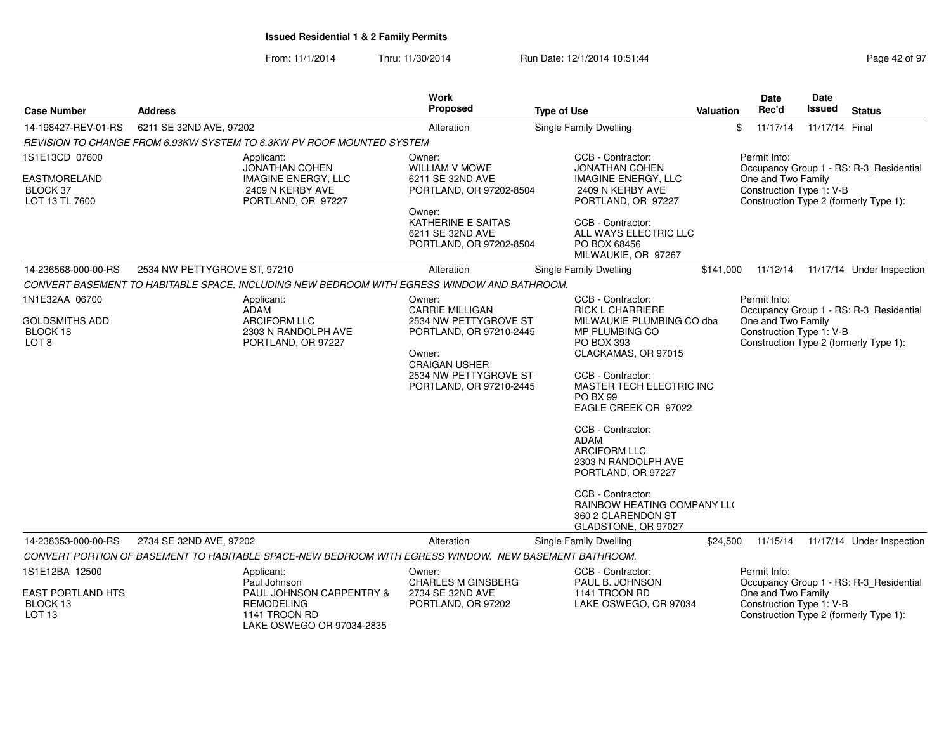| <b>Case Number</b>                                        | <b>Address</b>                                                                                        | <b>Work</b><br><b>Proposed</b>                                                                                                         | <b>Type of Use</b>                                                                                                                                                                                                                                                                                                                                                                           | <b>Valuation</b> | <b>Date</b><br>Rec'd                           | Date<br>Issued | <b>Status</b>                           |
|-----------------------------------------------------------|-------------------------------------------------------------------------------------------------------|----------------------------------------------------------------------------------------------------------------------------------------|----------------------------------------------------------------------------------------------------------------------------------------------------------------------------------------------------------------------------------------------------------------------------------------------------------------------------------------------------------------------------------------------|------------------|------------------------------------------------|----------------|-----------------------------------------|
| 14-198427-REV-01-RS                                       | 6211 SE 32ND AVE, 97202                                                                               | Alteration                                                                                                                             | Single Family Dwelling                                                                                                                                                                                                                                                                                                                                                                       |                  | \$<br>11/17/14                                 | 11/17/14 Final |                                         |
|                                                           | REVISION TO CHANGE FROM 6.93KW SYSTEM TO 6.3KW PV ROOF MOUNTED SYSTEM                                 |                                                                                                                                        |                                                                                                                                                                                                                                                                                                                                                                                              |                  |                                                |                |                                         |
| 1S1E13CD 07600                                            | Applicant:<br><b>JONATHAN COHEN</b>                                                                   | Owner:<br><b>WILLIAM V MOWE</b>                                                                                                        | CCB - Contractor:<br><b>JONATHAN COHEN</b>                                                                                                                                                                                                                                                                                                                                                   |                  | Permit Info:                                   |                | Occupancy Group 1 - RS: R-3_Residential |
| <b>EASTMORELAND</b><br><b>BLOCK 37</b><br>LOT 13 TL 7600  | <b>IMAGINE ENERGY, LLC</b><br>2409 N KERBY AVE<br>PORTLAND, OR 97227                                  | 6211 SE 32ND AVE<br>PORTLAND, OR 97202-8504                                                                                            | <b>IMAGINE ENERGY, LLC</b><br>2409 N KERBY AVE<br>PORTLAND, OR 97227                                                                                                                                                                                                                                                                                                                         |                  | One and Two Family<br>Construction Type 1: V-B |                | Construction Type 2 (formerly Type 1):  |
|                                                           |                                                                                                       | Owner:<br>KATHERINE E SAITAS<br>6211 SE 32ND AVE<br>PORTLAND, OR 97202-8504                                                            | CCB - Contractor:<br>ALL WAYS ELECTRIC LLC<br>PO BOX 68456<br>MILWAUKIE, OR 97267                                                                                                                                                                                                                                                                                                            |                  |                                                |                |                                         |
| 14-236568-000-00-RS                                       | 2534 NW PETTYGROVE ST, 97210                                                                          | Alteration                                                                                                                             | Single Family Dwelling                                                                                                                                                                                                                                                                                                                                                                       | \$141,000        | 11/12/14                                       |                | 11/17/14 Under Inspection               |
|                                                           | CONVERT BASEMENT TO HABITABLE SPACE, INCLUDING NEW BEDROOM WITH EGRESS WINDOW AND BATHROOM.           |                                                                                                                                        |                                                                                                                                                                                                                                                                                                                                                                                              |                  |                                                |                |                                         |
| 1N1E32AA 06700                                            | Applicant:<br><b>ADAM</b>                                                                             | Owner:<br><b>CARRIE MILLIGAN</b>                                                                                                       | CCB - Contractor:<br><b>RICK L CHARRIERE</b>                                                                                                                                                                                                                                                                                                                                                 |                  | Permit Info:                                   |                | Occupancy Group 1 - RS: R-3_Residential |
| <b>GOLDSMITHS ADD</b><br>BLOCK 18<br>LOT <sub>8</sub>     | <b>ARCIFORM LLC</b><br>2303 N RANDOLPH AVE<br>PORTLAND, OR 97227                                      | 2534 NW PETTYGROVE ST<br>PORTLAND, OR 97210-2445<br>Owner:<br><b>CRAIGAN USHER</b><br>2534 NW PETTYGROVE ST<br>PORTLAND, OR 97210-2445 | MILWAUKIE PLUMBING CO dba<br>MP PLUMBING CO<br>PO BOX 393<br>CLACKAMAS, OR 97015<br>CCB - Contractor:<br>MASTER TECH ELECTRIC INC<br><b>PO BX 99</b><br>EAGLE CREEK OR 97022<br>CCB - Contractor:<br><b>ADAM</b><br><b>ARCIFORM LLC</b><br>2303 N RANDOLPH AVE<br>PORTLAND, OR 97227<br>CCB - Contractor:<br><b>RAINBOW HEATING COMPANY LLO</b><br>360 2 CLARENDON ST<br>GLADSTONE, OR 97027 |                  | One and Two Family<br>Construction Type 1: V-B |                | Construction Type 2 (formerly Type 1):  |
| 14-238353-000-00-RS                                       | 2734 SE 32ND AVE, 97202                                                                               | Alteration                                                                                                                             | Single Family Dwelling                                                                                                                                                                                                                                                                                                                                                                       | \$24,500         | 11/15/14                                       |                | 11/17/14 Under Inspection               |
|                                                           | CONVERT PORTION OF BASEMENT TO HABITABLE SPACE-NEW BEDROOM WITH EGRESS WINDOW. NEW BASEMENT BATHROOM. |                                                                                                                                        |                                                                                                                                                                                                                                                                                                                                                                                              |                  |                                                |                |                                         |
| 1S1E12BA 12500                                            | Applicant:<br>Paul Johnson                                                                            | Owner:<br><b>CHARLES M GINSBERG</b>                                                                                                    | CCB - Contractor:<br>PAUL B. JOHNSON                                                                                                                                                                                                                                                                                                                                                         |                  | Permit Info:                                   |                | Occupancy Group 1 - RS: R-3_Residential |
| <b>EAST PORTLAND HTS</b><br>BLOCK 13<br>LOT <sub>13</sub> | PAUL JOHNSON CARPENTRY &<br><b>REMODELING</b><br>1141 TROON RD<br>LAKE OSWEGO OR 97034-2835           | 2734 SE 32ND AVE<br>PORTLAND, OR 97202                                                                                                 | 1141 TROON RD<br>LAKE OSWEGO, OR 97034                                                                                                                                                                                                                                                                                                                                                       |                  | One and Two Family<br>Construction Type 1: V-B |                | Construction Type 2 (formerly Type 1):  |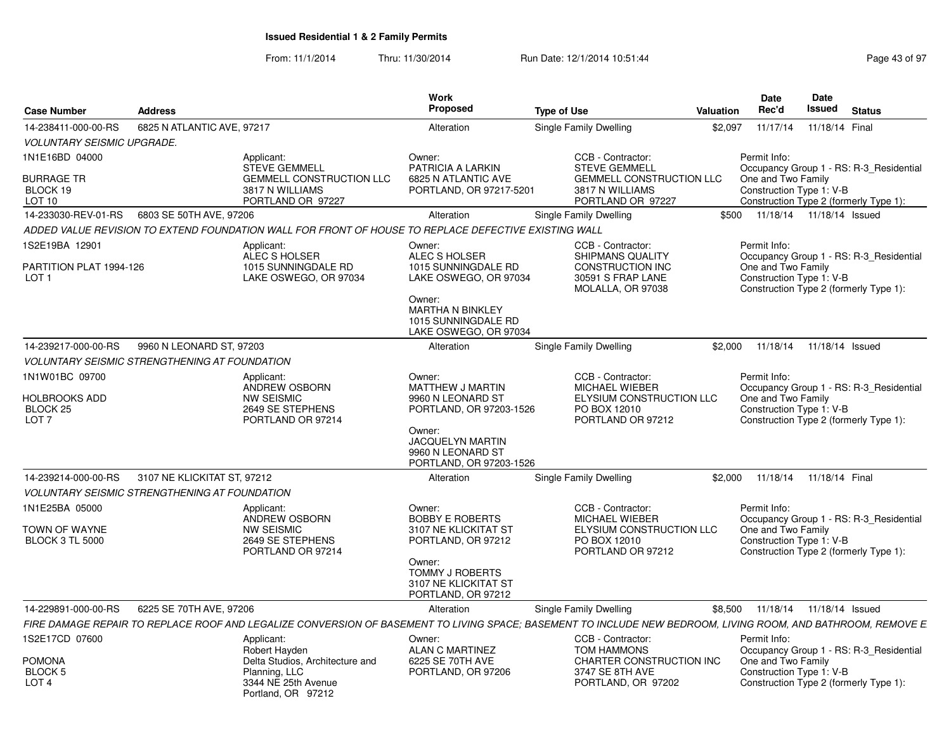| <b>Case Number</b>                                                          | <b>Address</b>              |                                                                                                                                                              | <b>Work</b><br>Proposed                                                                                                                                      | <b>Type of Use</b>                                                                                                  | Valuation | Date<br>Rec'd                                                  | Date<br><b>Issued</b> | <b>Status</b>                                                                     |
|-----------------------------------------------------------------------------|-----------------------------|--------------------------------------------------------------------------------------------------------------------------------------------------------------|--------------------------------------------------------------------------------------------------------------------------------------------------------------|---------------------------------------------------------------------------------------------------------------------|-----------|----------------------------------------------------------------|-----------------------|-----------------------------------------------------------------------------------|
| 14-238411-000-00-RS                                                         | 6825 N ATLANTIC AVE, 97217  |                                                                                                                                                              | Alteration                                                                                                                                                   | Single Family Dwelling                                                                                              | \$2,097   | 11/17/14                                                       | 11/18/14 Final        |                                                                                   |
| <b>VOLUNTARY SEISMIC UPGRADE.</b>                                           |                             |                                                                                                                                                              |                                                                                                                                                              |                                                                                                                     |           |                                                                |                       |                                                                                   |
| 1N1E16BD 04000                                                              |                             | Applicant:<br><b>STEVE GEMMELL</b>                                                                                                                           | Owner:<br>PATRICIA A LARKIN                                                                                                                                  | CCB - Contractor:<br><b>STEVE GEMMELL</b>                                                                           |           | Permit Info:                                                   |                       | Occupancy Group 1 - RS: R-3 Residential                                           |
| <b>BURRAGE TR</b><br>BLOCK 19<br>LOT 10                                     |                             | <b>GEMMELL CONSTRUCTION LLC</b><br>3817 N WILLIAMS<br>PORTLAND OR 97227                                                                                      | 6825 N ATLANTIC AVE<br>PORTLAND, OR 97217-5201                                                                                                               | <b>GEMMELL CONSTRUCTION LLC</b><br>3817 N WILLIAMS<br>PORTLAND OR 97227                                             |           | One and Two Family<br>Construction Type 1: V-B                 |                       | Construction Type 2 (formerly Type 1):                                            |
| 14-233030-REV-01-RS                                                         | 6803 SE 50TH AVE, 97206     |                                                                                                                                                              | Alteration                                                                                                                                                   | Single Family Dwelling                                                                                              | \$500     | 11/18/14  11/18/14  Issued                                     |                       |                                                                                   |
|                                                                             |                             | ADDED VALUE REVISION TO EXTEND FOUNDATION WALL FOR FRONT OF HOUSE TO REPLACE DEFECTIVE EXISTING WALL                                                         |                                                                                                                                                              |                                                                                                                     |           |                                                                |                       |                                                                                   |
| IS2E19BA 12901<br>PARTITION PLAT 1994-126<br>LOT <sub>1</sub>               |                             | Applicant:<br>ALEC S HOLSER<br>1015 SUNNINGDALE RD<br>LAKE OSWEGO, OR 97034                                                                                  | Owner:<br>ALEC S HOLSER<br>1015 SUNNINGDALE RD<br>LAKE OSWEGO, OR 97034<br>Owner:<br><b>MARTHA N BINKLEY</b><br>1015 SUNNINGDALE RD<br>LAKE OSWEGO, OR 97034 | CCB - Contractor:<br><b>SHIPMANS QUALITY</b><br>CONSTRUCTION INC<br>30591 S FRAP LANE<br>MOLALLA, OR 97038          |           | Permit Info:<br>One and Two Family<br>Construction Type 1: V-B |                       | Occupancy Group 1 - RS: R-3_Residential<br>Construction Type 2 (formerly Type 1): |
| 14-239217-000-00-RS                                                         | 9960 N LEONARD ST, 97203    |                                                                                                                                                              | Alteration                                                                                                                                                   | <b>Single Family Dwelling</b>                                                                                       | \$2,000   | 11/18/14                                                       | 11/18/14 Issued       |                                                                                   |
| <b>VOLUNTARY SEISMIC STRENGTHENING AT FOUNDATION</b>                        |                             |                                                                                                                                                              |                                                                                                                                                              |                                                                                                                     |           |                                                                |                       |                                                                                   |
| 1N1W01BC 09700<br>HOLBROOKS ADD<br>BLOCK 25<br>LOT <sub>7</sub>             |                             | Applicant:<br><b>ANDREW OSBORN</b><br><b>NW SEISMIC</b><br>2649 SE STEPHENS<br>PORTLAND OR 97214                                                             | Owner:<br>MATTHEW J MARTIN<br>9960 N LEONARD ST<br>PORTLAND, OR 97203-1526<br>Owner:<br>JACQUELYN MARTIN                                                     | CCB - Contractor:<br><b>MICHAEL WIEBER</b><br>ELYSIUM CONSTRUCTION LLC<br>PO BOX 12010<br>PORTLAND OR 97212         |           | Permit Info:<br>One and Two Family<br>Construction Type 1: V-B |                       | Occupancy Group 1 - RS: R-3_Residential<br>Construction Type 2 (formerly Type 1): |
|                                                                             |                             |                                                                                                                                                              | 9960 N LEONARD ST<br>PORTLAND, OR 97203-1526                                                                                                                 |                                                                                                                     |           |                                                                |                       |                                                                                   |
| 14-239214-000-00-RS<br><b>VOLUNTARY SEISMIC STRENGTHENING AT FOUNDATION</b> | 3107 NE KLICKITAT ST, 97212 |                                                                                                                                                              | Alteration                                                                                                                                                   | Single Family Dwelling                                                                                              | \$2,000   | 11/18/14                                                       | 11/18/14 Final        |                                                                                   |
| 1N1E25BA 05000                                                              |                             | Applicant:<br>ANDREW OSBORN                                                                                                                                  | Owner:<br><b>BOBBY E ROBERTS</b>                                                                                                                             | CCB - Contractor:<br>MICHAEL WIEBER                                                                                 |           | Permit Info:                                                   |                       | Occupancy Group 1 - RS: R-3_Residential                                           |
| TOWN OF WAYNE<br><b>BLOCK 3 TL 5000</b>                                     |                             | <b>NW SEISMIC</b><br>2649 SE STEPHENS<br>PORTLAND OR 97214                                                                                                   | 3107 NE KLICKITAT ST<br>PORTLAND, OR 97212<br>Owner:<br><b>TOMMY J ROBERTS</b><br>3107 NE KLICKITAT ST<br>PORTLAND, OR 97212                                 | ELYSIUM CONSTRUCTION LLC<br>PO BOX 12010<br>PORTLAND OR 97212                                                       |           | One and Two Family<br>Construction Type 1: V-B                 |                       | Construction Type 2 (formerly Type 1):                                            |
| 14-229891-000-00-RS                                                         | 6225 SE 70TH AVE, 97206     |                                                                                                                                                              | Alteration                                                                                                                                                   | Single Family Dwelling                                                                                              | \$8.500   | 11/18/14  11/18/14  Issued                                     |                       |                                                                                   |
|                                                                             |                             | FIRE DAMAGE REPAIR TO REPLACE ROOF AND LEGALIZE CONVERSION OF BASEMENT TO LIVING SPACE; BASEMENT TO INCLUDE NEW BEDROOM, LIVING ROOM, AND BATHROOM, REMOVE E |                                                                                                                                                              |                                                                                                                     |           |                                                                |                       |                                                                                   |
| 1S2E17CD 07600<br>POMONA<br><b>BLOCK 5</b><br>LOT <sub>4</sub>              |                             | Applicant:<br>Robert Hayden<br>Delta Studios, Architecture and<br>Planning, LLC<br>3344 NE 25th Avenue<br>Portland, OR 97212                                 | Owner:<br>ALAN C MARTINEZ<br>6225 SE 70TH AVE<br>PORTLAND, OR 97206                                                                                          | CCB - Contractor:<br><b>TOM HAMMONS</b><br><b>CHARTER CONSTRUCTION INC</b><br>3747 SE 8TH AVE<br>PORTLAND, OR 97202 |           | Permit Info:<br>One and Two Family<br>Construction Type 1: V-B |                       | Occupancy Group 1 - RS: R-3_Residential<br>Construction Type 2 (formerly Type 1): |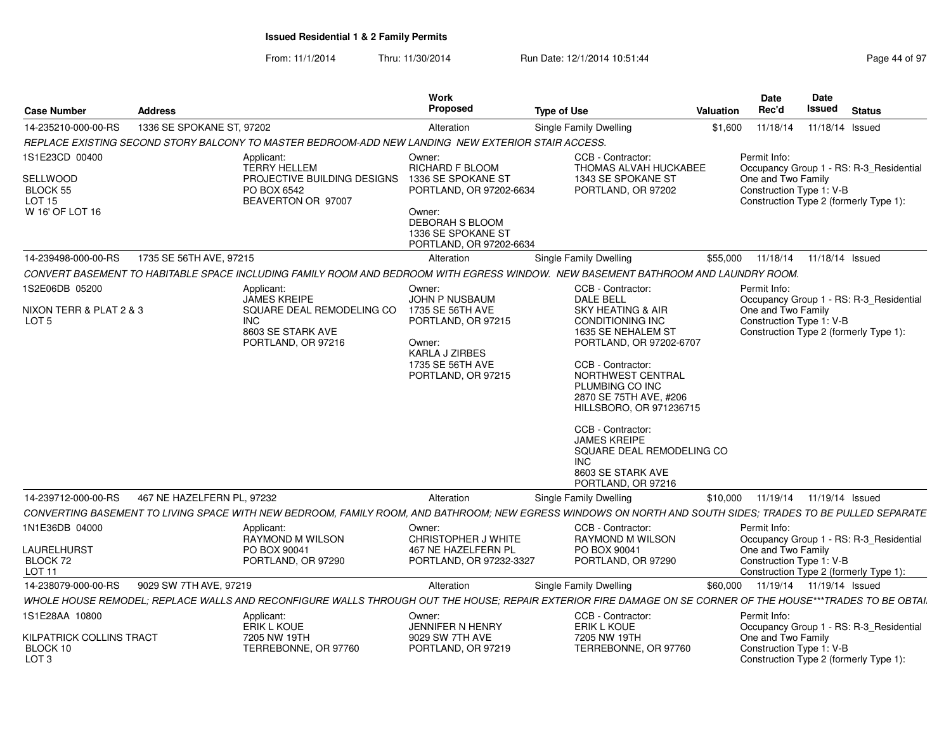| <b>Case Number</b>                                         | <b>Address</b>             |                                                                                                    | Work<br><b>Proposed</b>                                                                                                     | <b>Type of Use</b>                                                                                                                                                                                                                                                                                                                         | Valuation | Date<br>Rec'd                                                  | Date<br>Issued  | <b>Status</b>                                                                     |
|------------------------------------------------------------|----------------------------|----------------------------------------------------------------------------------------------------|-----------------------------------------------------------------------------------------------------------------------------|--------------------------------------------------------------------------------------------------------------------------------------------------------------------------------------------------------------------------------------------------------------------------------------------------------------------------------------------|-----------|----------------------------------------------------------------|-----------------|-----------------------------------------------------------------------------------|
| 14-235210-000-00-RS                                        | 1336 SE SPOKANE ST, 97202  |                                                                                                    | Alteration                                                                                                                  | Single Family Dwelling                                                                                                                                                                                                                                                                                                                     | \$1,600   | 11/18/14                                                       | 11/18/14 Issued |                                                                                   |
|                                                            |                            | REPLACE EXISTING SECOND STORY BALCONY TO MASTER BEDROOM-ADD NEW LANDING NEW EXTERIOR STAIR ACCESS. |                                                                                                                             |                                                                                                                                                                                                                                                                                                                                            |           |                                                                |                 |                                                                                   |
| 1S1E23CD 00400                                             |                            | Applicant:<br><b>TERRY HELLEM</b>                                                                  | Owner:<br>RICHARD F BLOOM                                                                                                   | CCB - Contractor:<br>THOMAS ALVAH HUCKABEE                                                                                                                                                                                                                                                                                                 |           | Permit Info:                                                   |                 | Occupancy Group 1 - RS: R-3_Residential                                           |
| SELLWOOD<br>BLOCK 55<br><b>LOT 15</b><br>W 16' OF LOT 16   |                            | PROJECTIVE BUILDING DESIGNS<br>PO BOX 6542<br>BEAVERTON OR 97007                                   | 1336 SE SPOKANE ST<br>PORTLAND, OR 97202-6634<br>Owner:<br>DEBORAH S BLOOM<br>1336 SE SPOKANE ST<br>PORTLAND, OR 97202-6634 | 1343 SE SPOKANE ST<br>PORTLAND, OR 97202                                                                                                                                                                                                                                                                                                   |           | One and Two Family<br>Construction Type 1: V-B                 |                 | Construction Type 2 (formerly Type 1):                                            |
| 14-239498-000-00-RS                                        | 1735 SE 56TH AVE, 97215    |                                                                                                    | Alteration                                                                                                                  | Single Family Dwelling                                                                                                                                                                                                                                                                                                                     | \$55,000  | 11/18/14                                                       | 11/18/14 Issued |                                                                                   |
|                                                            |                            |                                                                                                    |                                                                                                                             | CONVERT BASEMENT TO HABITABLE SPACE INCLUDING FAMILY ROOM AND BEDROOM WITH EGRESS WINDOW. NEW BASEMENT BATHROOM AND LAUNDRY ROOM.                                                                                                                                                                                                          |           |                                                                |                 |                                                                                   |
| 1S2E06DB 05200                                             |                            | Applicant:<br><b>JAMES KREIPE</b>                                                                  | Owner:<br>JOHN P NUSBAUM                                                                                                    | CCB - Contractor:<br><b>DALE BELL</b>                                                                                                                                                                                                                                                                                                      |           | Permit Info:                                                   |                 | Occupancy Group 1 - RS: R-3_Residential                                           |
| NIXON TERR & PLAT 2 & 3<br>LOT 5                           |                            | SQUARE DEAL REMODELING CO<br>INC.<br>8603 SE STARK AVE<br>PORTLAND, OR 97216                       | 1735 SE 56TH AVE<br>PORTLAND, OR 97215<br>Owner:<br>KARLA J ZIRBES<br>1735 SE 56TH AVE<br>PORTLAND, OR 97215                | SKY HEATING & AIR<br>CONDITIONING INC<br>1635 SE NEHALEM ST<br>PORTLAND, OR 97202-6707<br>CCB - Contractor:<br>NORTHWEST CENTRAL<br>PLUMBING CO INC<br>2870 SE 75TH AVE, #206<br>HILLSBORO, OR 971236715<br>CCB - Contractor:<br><b>JAMES KREIPE</b><br>SQUARE DEAL REMODELING CO<br><b>INC</b><br>8603 SE STARK AVE<br>PORTLAND, OR 97216 |           | One and Two Family<br>Construction Type 1: V-B                 |                 | Construction Type 2 (formerly Type 1):                                            |
| 14-239712-000-00-RS                                        | 467 NE HAZELFERN PL, 97232 |                                                                                                    | Alteration                                                                                                                  | Single Family Dwelling                                                                                                                                                                                                                                                                                                                     | \$10,000  | 11/19/14                                                       | 11/19/14 Issued |                                                                                   |
|                                                            |                            |                                                                                                    |                                                                                                                             | CONVERTING BASEMENT TO LIVING SPACE WITH NEW BEDROOM, FAMILY ROOM, AND BATHROOM; NEW EGRESS WINDOWS ON NORTH AND SOUTH SIDES; TRADES TO BE PULLED SEPARATE                                                                                                                                                                                 |           |                                                                |                 |                                                                                   |
| 1N1E36DB 04000<br>_AURELHURST<br>BLOCK 72<br><b>LOT 11</b> |                            | Applicant:<br>RAYMOND M WILSON<br>PO BOX 90041<br>PORTLAND, OR 97290                               | Owner:<br>CHRISTOPHER J WHITE<br>467 NE HAZELFERN PL<br>PORTLAND, OR 97232-3327                                             | CCB - Contractor:<br>RAYMOND M WILSON<br>PO BOX 90041<br>PORTLAND, OR 97290                                                                                                                                                                                                                                                                |           | Permit Info:<br>One and Two Family<br>Construction Type 1: V-B |                 | Occupancy Group 1 - RS: R-3_Residential<br>Construction Type 2 (formerly Type 1): |
| 14-238079-000-00-RS                                        | 9029 SW 7TH AVE, 97219     |                                                                                                    | Alteration                                                                                                                  | Single Family Dwelling                                                                                                                                                                                                                                                                                                                     | \$60,000  | 11/19/14  11/19/14  Issued                                     |                 |                                                                                   |
|                                                            |                            |                                                                                                    |                                                                                                                             | WHOLE HOUSE REMODEL: REPLACE WALLS AND RECONFIGURE WALLS THROUGH OUT THE HOUSE: REPAIR EXTERIOR FIRE DAMAGE ON SE CORNER OF THE HOUSE***TRADES TO BE OBTAI.                                                                                                                                                                                |           |                                                                |                 |                                                                                   |
| 1S1E28AA 10800<br>KILPATRICK COLLINS TRACT<br>BLOCK 10     |                            | Applicant:<br><b>ERIK L KOUE</b><br>7205 NW 19TH<br>TERREBONNE, OR 97760                           | Owner:<br><b>JENNIFER N HENRY</b><br>9029 SW 7TH AVE<br>PORTLAND, OR 97219                                                  | CCB - Contractor:<br><b>ERIK L KOUE</b><br>7205 NW 19TH<br>TERREBONNE, OR 97760                                                                                                                                                                                                                                                            |           | Permit Info:<br>One and Two Family<br>Construction Type 1: V-B |                 | Occupancy Group 1 - RS: R-3_Residential                                           |
| LOT 3                                                      |                            |                                                                                                    |                                                                                                                             |                                                                                                                                                                                                                                                                                                                                            |           |                                                                |                 | Construction Type 2 (formerly Type 1):                                            |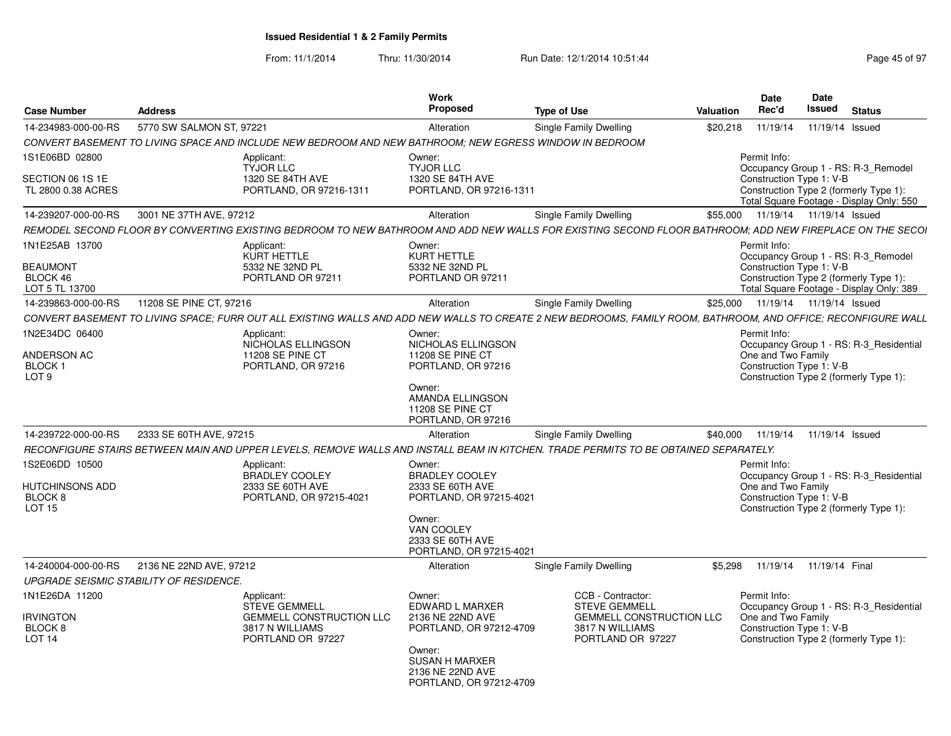From: 11/1/2014

| <b>Case Number</b>                                              | <b>Address</b>                          |                                                                                                                                                               | Work<br><b>Proposed</b>                                                                                               | <b>Type of Use</b>                                                                                                   | Valuation | <b>Date</b><br>Rec'd                                                                                                                                                  | Date<br>Issued  | <b>Status</b> |  |
|-----------------------------------------------------------------|-----------------------------------------|---------------------------------------------------------------------------------------------------------------------------------------------------------------|-----------------------------------------------------------------------------------------------------------------------|----------------------------------------------------------------------------------------------------------------------|-----------|-----------------------------------------------------------------------------------------------------------------------------------------------------------------------|-----------------|---------------|--|
| 14-234983-000-00-RS                                             | 5770 SW SALMON ST, 97221                |                                                                                                                                                               | Alteration                                                                                                            | Single Family Dwelling                                                                                               | \$20,218  | 11/19/14                                                                                                                                                              | 11/19/14 Issued |               |  |
|                                                                 |                                         | CONVERT BASEMENT TO LIVING SPACE AND INCLUDE NEW BEDROOM AND NEW BATHROOM: NEW EGRESS WINDOW IN BEDROOM                                                       |                                                                                                                       |                                                                                                                      |           |                                                                                                                                                                       |                 |               |  |
| 1S1E06BD 02800<br>SECTION 06 1S 1E                              |                                         | Applicant:<br><b>TYJOR LLC</b><br>1320 SE 84TH AVE                                                                                                            | Owner:<br><b>TYJOR LLC</b><br>1320 SE 84TH AVE                                                                        |                                                                                                                      |           | Permit Info:<br>Occupancy Group 1 - RS: R-3_Remodel<br>Construction Type 1: V-B                                                                                       |                 |               |  |
| TL 2800 0.38 ACRES                                              |                                         | PORTLAND, OR 97216-1311                                                                                                                                       | PORTLAND, OR 97216-1311                                                                                               |                                                                                                                      |           | Construction Type 2 (formerly Type 1):<br>Total Square Footage - Display Only: 550                                                                                    |                 |               |  |
| 14-239207-000-00-RS                                             | 3001 NE 37TH AVE, 97212                 |                                                                                                                                                               | Alteration                                                                                                            | Single Family Dwelling                                                                                               | \$55,000  | 11/19/14  11/19/14  Issued                                                                                                                                            |                 |               |  |
|                                                                 |                                         | REMODEL SECOND FLOOR BY CONVERTING EXISTING BEDROOM TO NEW BATHROOM AND ADD NEW WALLS FOR EXISTING SECOND FLOOR BATHROOM: ADD NEW FIREPLACE ON THE SECOI      |                                                                                                                       |                                                                                                                      |           |                                                                                                                                                                       |                 |               |  |
| 1N1E25AB 13700<br><b>BEAUMONT</b><br>BLOCK 46<br>LOT 5 TL 13700 |                                         | Applicant<br>KURT HETTLE<br>5332 NE 32ND PL<br>PORTLAND OR 97211                                                                                              | Owner:<br><b>KURT HETTLE</b><br>5332 NE 32ND PL<br>PORTLAND OR 97211                                                  |                                                                                                                      |           | Permit Info:<br>Occupancy Group 1 - RS: R-3 Remodel<br>Construction Type 1: V-B<br>Construction Type 2 (formerly Type 1):<br>Total Square Footage - Display Only: 389 |                 |               |  |
| 14-239863-000-00-RS                                             | 11208 SE PINE CT, 97216                 |                                                                                                                                                               | Alteration                                                                                                            | <b>Single Family Dwelling</b>                                                                                        | \$25,000  | 11/19/14  11/19/14  Issued                                                                                                                                            |                 |               |  |
|                                                                 |                                         | CONVERT BASEMENT TO LIVING SPACE; FURR OUT ALL EXISTING WALLS AND ADD NEW WALLS TO CREATE 2 NEW BEDROOMS, FAMILY ROOM, BATHROOM, AND OFFICE; RECONFIGURE WALL |                                                                                                                       |                                                                                                                      |           |                                                                                                                                                                       |                 |               |  |
| 1N2E34DC 06400                                                  |                                         | Applicant:                                                                                                                                                    | Owner:                                                                                                                |                                                                                                                      |           | Permit Info:                                                                                                                                                          |                 |               |  |
| ANDERSON AC<br>BLOCK <sub>1</sub><br>LOT <sub>9</sub>           |                                         | NICHOLAS ELLINGSON<br>11208 SE PINE CT<br>PORTLAND, OR 97216                                                                                                  | NICHOLAS ELLINGSON<br><b>11208 SE PINE CT</b><br>PORTLAND, OR 97216<br>Owner:<br>AMANDA ELLINGSON<br>11208 SE PINE CT |                                                                                                                      |           | Occupancy Group 1 - RS: R-3_Residential<br>One and Two Family<br>Construction Type 1: V-B<br>Construction Type 2 (formerly Type 1):                                   |                 |               |  |
|                                                                 |                                         |                                                                                                                                                               | PORTLAND, OR 97216                                                                                                    |                                                                                                                      |           |                                                                                                                                                                       |                 |               |  |
| 14-239722-000-00-RS                                             | 2333 SE 60TH AVE, 97215                 | RECONFIGURE STAIRS BETWEEN MAIN AND UPPER LEVELS. REMOVE WALLS AND INSTALL BEAM IN KITCHEN. TRADE PERMITS TO BE OBTAINED SEPARATELY.                          | Alteration                                                                                                            | Single Family Dwelling                                                                                               | \$40,000  | 11/19/14  11/19/14  Issued                                                                                                                                            |                 |               |  |
| 1S2E06DD 10500                                                  |                                         | Applicant:                                                                                                                                                    | Owner:                                                                                                                |                                                                                                                      |           | Permit Info:                                                                                                                                                          |                 |               |  |
| HUTCHINSONS ADD<br>BLOCK <sub>8</sub><br><b>LOT 15</b>          |                                         | <b>BRADLEY COOLEY</b><br>2333 SE 60TH AVE<br>PORTLAND, OR 97215-4021                                                                                          | <b>BRADLEY COOLEY</b><br>2333 SE 60TH AVE<br>PORTLAND, OR 97215-4021<br>Owner:<br>VAN COOLEY<br>2333 SE 60TH AVE      |                                                                                                                      |           | Occupancy Group 1 - RS: R-3 Residential<br>One and Two Family<br>Construction Type 1: V-B<br>Construction Type 2 (formerly Type 1):                                   |                 |               |  |
|                                                                 |                                         |                                                                                                                                                               | PORTLAND, OR 97215-4021                                                                                               |                                                                                                                      |           |                                                                                                                                                                       |                 |               |  |
| 14-240004-000-00-RS                                             | 2136 NE 22ND AVE, 97212                 |                                                                                                                                                               | Alteration                                                                                                            | Single Family Dwelling                                                                                               | \$5.298   | 11/19/14 11/19/14 Final                                                                                                                                               |                 |               |  |
|                                                                 | UPGRADE SEISMIC STABILITY OF RESIDENCE. |                                                                                                                                                               |                                                                                                                       |                                                                                                                      |           |                                                                                                                                                                       |                 |               |  |
| 1N1E26DA 11200<br><b>IRVINGTON</b><br>BLOCK 8<br><b>LOT 14</b>  |                                         | Applicant:<br><b>STEVE GEMMELL</b><br><b>GEMMELL CONSTRUCTION LLC</b><br>3817 N WILLIAMS<br>PORTLAND OR 97227                                                 | Owner:<br>EDWARD L MARXER<br>2136 NE 22ND AVE<br>PORTLAND, OR 97212-4709<br>Owner:                                    | CCB - Contractor:<br><b>STEVE GEMMELL</b><br><b>GEMMELL CONSTRUCTION LLC</b><br>3817 N WILLIAMS<br>PORTLAND OR 97227 |           | Permit Info:<br>Occupancy Group 1 - RS: R-3_Residential<br>One and Two Family<br>Construction Type 1: V-B<br>Construction Type 2 (formerly Type 1):                   |                 |               |  |
|                                                                 |                                         |                                                                                                                                                               | <b>SUSAN H MARXER</b><br>2136 NE 22ND AVE<br>PORTLAND, OR 97212-4709                                                  |                                                                                                                      |           |                                                                                                                                                                       |                 |               |  |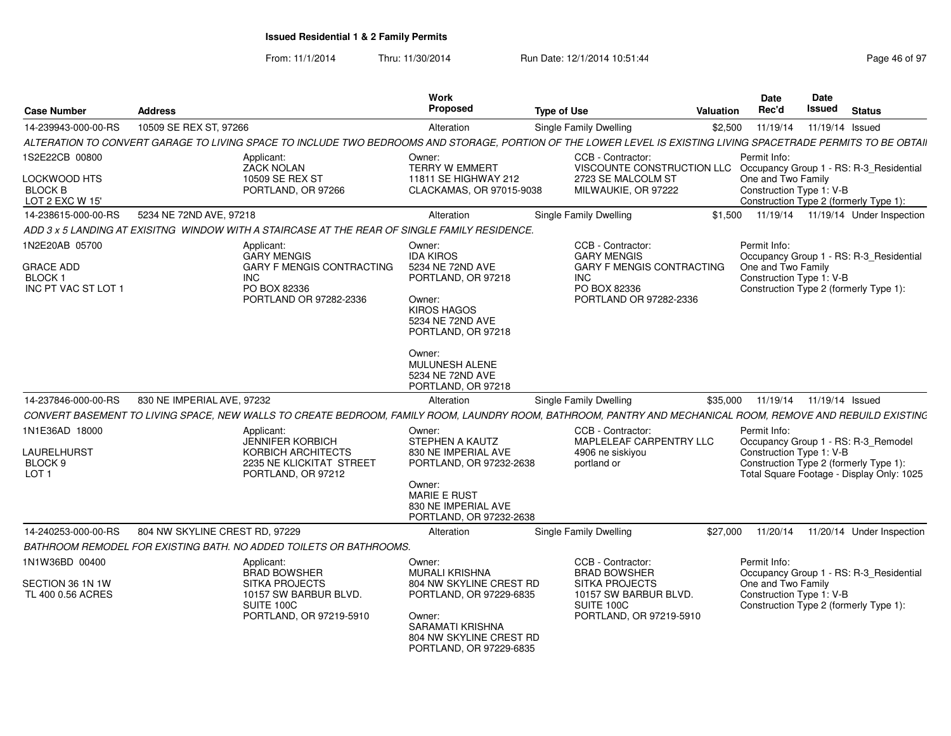| <b>Case Number</b>                                                         | <b>Address</b>                 |                                                                                                                                                                 | <b>Work</b><br><b>Proposed</b>                                                                                                                                 | <b>Type of Use</b>                                                                                                                  | <b>Valuation</b> | <b>Date</b><br>Rec'd                                           | <b>Date</b><br><b>Issued</b> | <b>Status</b>                                                                                                              |
|----------------------------------------------------------------------------|--------------------------------|-----------------------------------------------------------------------------------------------------------------------------------------------------------------|----------------------------------------------------------------------------------------------------------------------------------------------------------------|-------------------------------------------------------------------------------------------------------------------------------------|------------------|----------------------------------------------------------------|------------------------------|----------------------------------------------------------------------------------------------------------------------------|
| 14-239943-000-00-RS                                                        | 10509 SE REX ST, 97266         |                                                                                                                                                                 | Alteration                                                                                                                                                     | Single Family Dwelling                                                                                                              | \$2,500          | 11/19/14                                                       | 11/19/14 Issued              |                                                                                                                            |
|                                                                            |                                | ALTERATION TO CONVERT GARAGE TO LIVING SPACE TO INCLUDE TWO BEDROOMS AND STORAGE, PORTION OF THE LOWER LEVEL IS EXISTING LIVING SPACETRADE PERMITS TO BE OBTAII |                                                                                                                                                                |                                                                                                                                     |                  |                                                                |                              |                                                                                                                            |
| 1S2E22CB 00800                                                             |                                | Applicant:<br><b>ZACK NOLAN</b>                                                                                                                                 | Owner:<br><b>TERRY W EMMERT</b>                                                                                                                                | CCB - Contractor:<br>VISCOUNTE CONSTRUCTION LLC                                                                                     |                  | Permit Info:                                                   |                              | Occupancy Group 1 - RS: R-3_Residential                                                                                    |
| LOCKWOOD HTS<br><b>BLOCK B</b><br>LOT 2 EXC W 15                           |                                | 10509 SE REX ST<br>PORTLAND, OR 97266                                                                                                                           | 11811 SE HIGHWAY 212<br>CLACKAMAS, OR 97015-9038                                                                                                               | 2723 SE MALCOLM ST<br>MILWAUKIE, OR 97222                                                                                           |                  | One and Two Family<br>Construction Type 1: V-B                 |                              | Construction Type 2 (formerly Type 1):                                                                                     |
| 14-238615-000-00-RS                                                        | 5234 NE 72ND AVE, 97218        |                                                                                                                                                                 | Alteration                                                                                                                                                     | Single Family Dwelling                                                                                                              | \$1,500          |                                                                |                              | 11/19/14  11/19/14  Under Inspection                                                                                       |
|                                                                            |                                | ADD 3 x 5 LANDING AT EXISITNG  WINDOW WITH A STAIRCASE AT THE REAR OF SINGLE FAMILY RESIDENCE.                                                                  |                                                                                                                                                                |                                                                                                                                     |                  |                                                                |                              |                                                                                                                            |
| 1N2E20AB 05700<br><b>GRACE ADD</b><br><b>BLOCK1</b><br>INC PT VAC ST LOT 1 |                                | Applicant:<br><b>GARY MENGIS</b><br><b>GARY F MENGIS CONTRACTING</b><br><b>INC</b><br>PO BOX 82336<br>PORTLAND OR 97282-2336                                    | Owner:<br><b>IDA KIROS</b><br>5234 NE 72ND AVE<br>PORTLAND, OR 97218<br>Owner:<br><b>KIROS HAGOS</b><br>5234 NE 72ND AVE<br>PORTLAND, OR 97218                 | CCB - Contractor:<br><b>GARY MENGIS</b><br><b>GARY F MENGIS CONTRACTING</b><br><b>INC</b><br>PO BOX 82336<br>PORTLAND OR 97282-2336 |                  | Permit Info:<br>One and Two Family<br>Construction Type 1: V-B |                              | Occupancy Group 1 - RS: R-3_Residential<br>Construction Type 2 (formerly Type 1):                                          |
|                                                                            |                                |                                                                                                                                                                 | Owner:<br><b>MULUNESH ALENE</b><br>5234 NE 72ND AVE<br>PORTLAND, OR 97218                                                                                      |                                                                                                                                     |                  |                                                                |                              |                                                                                                                            |
| 14-237846-000-00-RS                                                        | 830 NE IMPERIAL AVE, 97232     |                                                                                                                                                                 | Alteration                                                                                                                                                     | Single Family Dwelling                                                                                                              | \$35,000         |                                                                | 11/19/14  11/19/14  Issued   |                                                                                                                            |
|                                                                            |                                | CONVERT BASEMENT TO LIVING SPACE, NEW WALLS TO CREATE BEDROOM, FAMILY ROOM, LAUNDRY ROOM, BATHROOM, PANTRY AND MECHANICAL ROOM, REMOVE AND REBUILD EXISTING     |                                                                                                                                                                |                                                                                                                                     |                  |                                                                |                              |                                                                                                                            |
| 1N1E36AD 18000<br>LAURELHURST<br>BLOCK 9<br>LOT <sub>1</sub>               |                                | Applicant:<br><b>JENNIFER KORBICH</b><br>KORBICH ARCHITECTS<br>2235 NE KLICKITAT STREET<br>PORTLAND, OR 97212                                                   | Owner:<br>STEPHEN A KAUTZ<br>830 NE IMPERIAL AVE<br>PORTLAND, OR 97232-2638<br>Owner:<br><b>MARIE E RUST</b><br>830 NE IMPERIAL AVE<br>PORTLAND, OR 97232-2638 | CCB - Contractor:<br>MAPLELEAF CARPENTRY LLC<br>4906 ne siskiyou<br>portland or                                                     |                  | Permit Info:<br>Construction Type 1: V-B                       |                              | Occupancy Group 1 - RS: R-3_Remodel<br>Construction Type 2 (formerly Type 1):<br>Total Square Footage - Display Only: 1025 |
| 14-240253-000-00-RS                                                        | 804 NW SKYLINE CREST RD, 97229 |                                                                                                                                                                 | Alteration                                                                                                                                                     | Single Family Dwelling                                                                                                              | \$27,000         | 11/20/14                                                       |                              | 11/20/14 Under Inspection                                                                                                  |
|                                                                            |                                | BATHROOM REMODEL FOR EXISTING BATH. NO ADDED TOILETS OR BATHROOMS.                                                                                              |                                                                                                                                                                |                                                                                                                                     |                  |                                                                |                              |                                                                                                                            |
| 1N1W36BD 00400<br>SECTION 36 1N 1W<br>TL 400 0.56 ACRES                    |                                | Applicant:<br><b>BRAD BOWSHER</b><br><b>SITKA PROJECTS</b><br>10157 SW BARBUR BLVD.<br>SUITE 100C<br>PORTLAND, OR 97219-5910                                    | Owner:<br><b>MURALI KRISHNA</b><br>804 NW SKYLINE CREST RD<br>PORTLAND, OR 97229-6835<br>Owner:                                                                | CCB - Contractor:<br><b>BRAD BOWSHER</b><br><b>SITKA PROJECTS</b><br>10157 SW BARBUR BLVD.<br>SUITE 100C<br>PORTLAND, OR 97219-5910 |                  | Permit Info:<br>One and Two Family<br>Construction Type 1: V-B |                              | Occupancy Group 1 - RS: R-3 Residential<br>Construction Type 2 (formerly Type 1):                                          |
|                                                                            |                                |                                                                                                                                                                 | SARAMATI KRISHNA<br>804 NW SKYLINE CREST RD<br>PORTLAND, OR 97229-6835                                                                                         |                                                                                                                                     |                  |                                                                |                              |                                                                                                                            |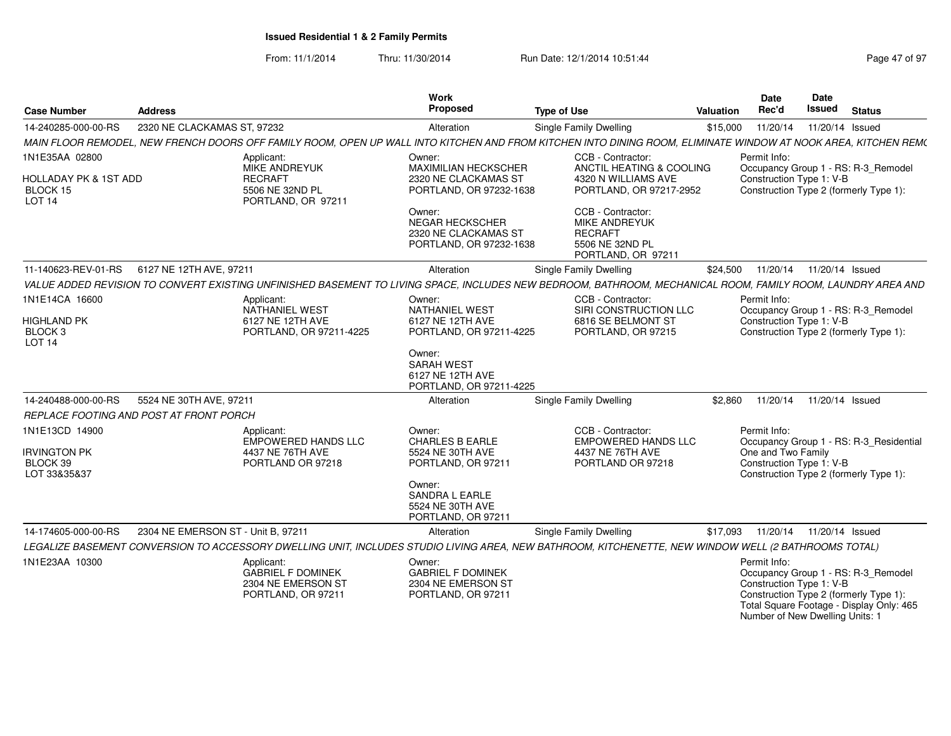| <b>Case Number</b>                                                                  | <b>Address</b>                     |                                                                                               | Work<br>Proposed                                                                            | <b>Type of Use</b>                                                                                                                                             | <b>Valuation</b> | <b>Date</b><br>Rec'd                                                        | Date<br>Issued  | <b>Status</b>                                                                                                             |
|-------------------------------------------------------------------------------------|------------------------------------|-----------------------------------------------------------------------------------------------|---------------------------------------------------------------------------------------------|----------------------------------------------------------------------------------------------------------------------------------------------------------------|------------------|-----------------------------------------------------------------------------|-----------------|---------------------------------------------------------------------------------------------------------------------------|
| 14-240285-000-00-RS                                                                 | 2320 NE CLACKAMAS ST, 97232        |                                                                                               | Alteration                                                                                  | Single Family Dwelling                                                                                                                                         | \$15,000         | 11/20/14                                                                    | 11/20/14 Issued |                                                                                                                           |
|                                                                                     |                                    |                                                                                               |                                                                                             | MAIN FLOOR REMODEL, NEW FRENCH DOORS OFF FAMILY ROOM, OPEN UP WALL INTO KITCHEN AND FROM KITCHEN INTO DINING ROOM, ELIMINATE WINDOW AT NOOK AREA, KITCHEN REM( |                  |                                                                             |                 |                                                                                                                           |
| 1N1E35AA 02800<br><b>HOLLADAY PK &amp; 1ST ADD</b><br>BLOCK 15<br>LOT <sub>14</sub> |                                    | Applicant:<br><b>MIKE ANDREYUK</b><br><b>RECRAFT</b><br>5506 NE 32ND PL<br>PORTLAND, OR 97211 | Owner:<br>MAXIMILIAN HECKSCHER<br>2320 NE CLACKAMAS ST<br>PORTLAND, OR 97232-1638<br>Owner: | CCB - Contractor:<br>ANCTIL HEATING & COOLING<br>4320 N WILLIAMS AVE<br>PORTLAND, OR 97217-2952<br>CCB - Contractor:                                           |                  | Permit Info:<br>Construction Type 1: V-B                                    |                 | Occupancy Group 1 - RS: R-3_Remodel<br>Construction Type 2 (formerly Type 1):                                             |
|                                                                                     |                                    |                                                                                               | <b>NEGAR HECKSCHER</b><br>2320 NE CLACKAMAS ST<br>PORTLAND, OR 97232-1638                   | MIKE ANDREYUK<br><b>RECRAFT</b><br>5506 NE 32ND PL<br>PORTLAND, OR 97211                                                                                       |                  |                                                                             |                 |                                                                                                                           |
| 11-140623-REV-01-RS                                                                 | 6127 NE 12TH AVE, 97211            |                                                                                               | Alteration                                                                                  | Single Family Dwelling                                                                                                                                         | \$24,500         | 11/20/14                                                                    | 11/20/14 Issued |                                                                                                                           |
|                                                                                     |                                    |                                                                                               |                                                                                             | VALUE ADDED REVISION TO CONVERT EXISTING UNFINISHED BASEMENT TO LIVING SPACE, INCLUDES NEW BEDROOM, BATHROOM, MECHANICAL ROOM, FAMILY ROOM, LAUNDRY AREA AND   |                  |                                                                             |                 |                                                                                                                           |
| 1N1E14CA 16600                                                                      |                                    | Applicant:<br><b>NATHANIEL WEST</b>                                                           | Owner:<br><b>NATHANIEL WEST</b>                                                             | CCB - Contractor:<br>SIRI CONSTRUCTION LLC                                                                                                                     |                  | Permit Info:                                                                |                 | Occupancy Group 1 - RS: R-3_Remodel                                                                                       |
| HIGHLAND PK<br>BLOCK <sub>3</sub><br><b>LOT 14</b>                                  |                                    | 6127 NE 12TH AVE<br>PORTLAND, OR 97211-4225                                                   | 6127 NE 12TH AVE<br>PORTLAND, OR 97211-4225                                                 | 6816 SE BELMONT ST<br>PORTLAND, OR 97215                                                                                                                       |                  | Construction Type 1: V-B                                                    |                 | Construction Type 2 (formerly Type 1):                                                                                    |
|                                                                                     |                                    |                                                                                               | Owner:<br><b>SARAH WEST</b><br>6127 NE 12TH AVE<br>PORTLAND, OR 97211-4225                  |                                                                                                                                                                |                  |                                                                             |                 |                                                                                                                           |
| 14-240488-000-00-RS                                                                 | 5524 NE 30TH AVE, 97211            |                                                                                               | Alteration                                                                                  | Single Family Dwelling                                                                                                                                         | \$2.860          | 11/20/14                                                                    | 11/20/14 Issued |                                                                                                                           |
| REPLACE FOOTING AND POST AT FRONT PORCH                                             |                                    |                                                                                               |                                                                                             |                                                                                                                                                                |                  |                                                                             |                 |                                                                                                                           |
| 1N1E13CD 14900                                                                      |                                    | Applicant:<br><b>EMPOWERED HANDS LLC</b>                                                      | Owner:<br><b>CHARLES B EARLE</b>                                                            | CCB - Contractor:<br><b>EMPOWERED HANDS LLC</b>                                                                                                                |                  | Permit Info:                                                                |                 | Occupancy Group 1 - RS: R-3 Residential                                                                                   |
| <b>IRVINGTON PK</b><br>BLOCK 39<br>LOT 33&35&37                                     |                                    | 4437 NE 76TH AVE<br>PORTLAND OR 97218                                                         | 5524 NE 30TH AVE<br>PORTLAND, OR 97211                                                      | 4437 NE 76TH AVE<br>PORTLAND OR 97218                                                                                                                          |                  | One and Two Family<br>Construction Type 1: V-B                              |                 | Construction Type 2 (formerly Type 1):                                                                                    |
|                                                                                     |                                    |                                                                                               | Owner:<br><b>SANDRA L EARLE</b><br>5524 NE 30TH AVE<br>PORTLAND, OR 97211                   |                                                                                                                                                                |                  |                                                                             |                 |                                                                                                                           |
| 14-174605-000-00-RS                                                                 | 2304 NE EMERSON ST - Unit B. 97211 |                                                                                               | Alteration                                                                                  | Single Family Dwelling                                                                                                                                         | \$17.093         | 11/20/14                                                                    | 11/20/14 Issued |                                                                                                                           |
|                                                                                     |                                    |                                                                                               |                                                                                             | LEGALIZE BASEMENT CONVERSION TO ACCESSORY DWELLING UNIT, INCLUDES STUDIO LIVING AREA, NEW BATHROOM, KITCHENETTE, NEW WINDOW WELL (2 BATHROOMS TOTAL)           |                  |                                                                             |                 |                                                                                                                           |
| 1N1E23AA 10300                                                                      |                                    | Applicant:<br><b>GABRIEL F DOMINEK</b><br>2304 NE EMERSON ST<br>PORTLAND, OR 97211            | Owner:<br><b>GABRIEL F DOMINEK</b><br>2304 NE EMERSON ST<br>PORTLAND, OR 97211              |                                                                                                                                                                |                  | Permit Info:<br>Construction Type 1: V-B<br>Number of New Dwelling Units: 1 |                 | Occupancy Group 1 - RS: R-3_Remodel<br>Construction Type 2 (formerly Type 1):<br>Total Square Footage - Display Only: 465 |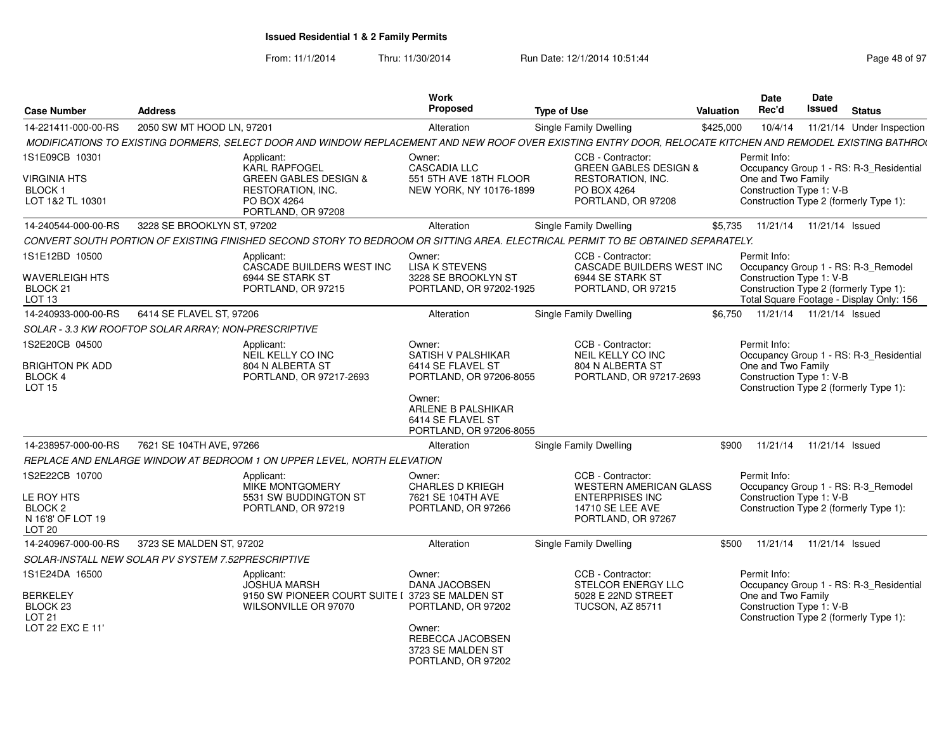| <b>Case Number</b>                                                                           | <b>Address</b>                                       |                                                                                                                                                            | <b>Work</b><br><b>Proposed</b>                                                                                                | <b>Type of Use</b>                                                                                                     | Valuation | <b>Date</b><br>Rec'd                                                                                     | Date<br>Issued  | <b>Status</b>                            |
|----------------------------------------------------------------------------------------------|------------------------------------------------------|------------------------------------------------------------------------------------------------------------------------------------------------------------|-------------------------------------------------------------------------------------------------------------------------------|------------------------------------------------------------------------------------------------------------------------|-----------|----------------------------------------------------------------------------------------------------------|-----------------|------------------------------------------|
| 14-221411-000-00-RS                                                                          | 2050 SW MT HOOD LN, 97201                            |                                                                                                                                                            | Alteration                                                                                                                    | Single Family Dwelling                                                                                                 | \$425,000 | 10/4/14                                                                                                  |                 | 11/21/14 Under Inspection                |
|                                                                                              |                                                      | MODIFICATIONS TO EXISTING DORMERS, SELECT DOOR AND WINDOW REPLACEMENT AND NEW ROOF OVER EXISTING ENTRY DOOR, RELOCATE KITCHEN AND REMODEL EXISTING BATHRO( |                                                                                                                               |                                                                                                                        |           |                                                                                                          |                 |                                          |
| 1S1E09CB 10301                                                                               |                                                      | Applicant:<br><b>KARL RAPFOGEL</b>                                                                                                                         | Owner:<br><b>CASCADIA LLC</b>                                                                                                 | CCB - Contractor:<br><b>GREEN GABLES DESIGN &amp;</b>                                                                  |           | Permit Info:                                                                                             |                 | Occupancy Group 1 - RS: R-3_Residential  |
| VIRGINIA HTS<br>BLOCK 1<br>LOT 1&2 TL 10301                                                  |                                                      | <b>GREEN GABLES DESIGN &amp;</b><br>RESTORATION, INC.<br>PO BOX 4264<br>PORTLAND, OR 97208                                                                 | 551 5TH AVE 18TH FLOOR<br>NEW YORK, NY 10176-1899                                                                             | RESTORATION, INC.<br>PO BOX 4264<br>PORTLAND, OR 97208                                                                 |           | One and Two Family<br>Construction Type 1: V-B<br>Construction Type 2 (formerly Type 1):                 |                 |                                          |
| 14-240544-000-00-RS                                                                          | 3228 SE BROOKLYN ST, 97202                           |                                                                                                                                                            | Alteration                                                                                                                    | Single Family Dwelling                                                                                                 | \$5,735   | 11/21/14                                                                                                 | 11/21/14 Issued |                                          |
|                                                                                              |                                                      | CONVERT SOUTH PORTION OF EXISTING FINISHED SECOND STORY TO BEDROOM OR SITTING AREA. ELECTRICAL PERMIT TO BE OBTAINED SEPARATELY.                           |                                                                                                                               |                                                                                                                        |           |                                                                                                          |                 |                                          |
| 1S1E12BD 10500                                                                               |                                                      | Applicant:<br>CASCADE BUILDERS WEST INC                                                                                                                    | Owner:<br><b>LISA K STEVENS</b>                                                                                               | CCB - Contractor:<br>CASCADE BUILDERS WEST INC                                                                         |           | Permit Info:                                                                                             |                 | Occupancy Group 1 - RS: R-3_Remodel      |
| <b>WAVERLEIGH HTS</b><br>BLOCK <sub>21</sub><br>LOT 13                                       |                                                      | 6944 SE STARK ST<br>PORTLAND, OR 97215                                                                                                                     | 3228 SE BROOKLYN ST<br>PORTLAND, OR 97202-1925                                                                                | 6944 SE STARK ST<br>PORTLAND, OR 97215                                                                                 |           | Construction Type 1: V-B<br>Construction Type 2 (formerly Type 1):                                       |                 | Total Square Footage - Display Only: 156 |
| 14-240933-000-00-RS                                                                          | 6414 SE FLAVEL ST, 97206                             |                                                                                                                                                            | Alteration                                                                                                                    | Single Family Dwelling                                                                                                 | \$6.750   | 11/21/14  11/21/14  Issued                                                                               |                 |                                          |
|                                                                                              | SOLAR - 3.3 KW ROOFTOP SOLAR ARRAY: NON-PRESCRIPTIVE |                                                                                                                                                            |                                                                                                                               |                                                                                                                        |           |                                                                                                          |                 |                                          |
| 1S2E20CB 04500<br>BRIGHTON PK ADD<br><b>BLOCK 4</b><br><b>LOT 15</b>                         |                                                      | Applicant:<br>NEIL KELLY CO INC<br>804 N ALBERTA ST<br>PORTLAND, OR 97217-2693                                                                             | Owner:<br>SATISH V PALSHIKAR<br>6414 SE FLAVEL ST<br>PORTLAND, OR 97206-8055<br>Owner:                                        | CCB - Contractor:<br>NEIL KELLY CO INC<br>804 N ALBERTA ST<br>PORTLAND, OR 97217-2693                                  |           | Permit Info:<br>One and Two Family<br>Construction Type 1: V-B<br>Construction Type 2 (formerly Type 1): |                 | Occupancy Group 1 - RS: R-3_Residential  |
|                                                                                              |                                                      |                                                                                                                                                            | ARLENE B PALSHIKAR<br>6414 SE FLAVEL ST<br>PORTLAND, OR 97206-8055                                                            |                                                                                                                        |           |                                                                                                          |                 |                                          |
| 14-238957-000-00-RS                                                                          | 7621 SE 104TH AVE, 97266                             |                                                                                                                                                            | Alteration                                                                                                                    | Single Family Dwelling                                                                                                 | \$900     | 11/21/14                                                                                                 | 11/21/14 Issued |                                          |
|                                                                                              |                                                      | REPLACE AND ENLARGE WINDOW AT BEDROOM 1 ON UPPER LEVEL, NORTH ELEVATION                                                                                    |                                                                                                                               |                                                                                                                        |           |                                                                                                          |                 |                                          |
| 1S2E22CB 10700<br>LE ROY HTS<br>BLOCK <sub>2</sub><br>N 16'8' OF LOT 19<br>LOT <sub>20</sub> |                                                      | Applicant:<br>MIKE MONTGOMERY<br>5531 SW BUDDINGTON ST<br>PORTLAND, OR 97219                                                                               | Owner:<br><b>CHARLES D KRIEGH</b><br>7621 SE 104TH AVE<br>PORTLAND, OR 97266                                                  | CCB - Contractor:<br><b>WESTERN AMERICAN GLASS</b><br><b>ENTERPRISES INC</b><br>14710 SE LEE AVE<br>PORTLAND, OR 97267 |           | Permit Info:<br>Construction Type 1: V-B<br>Construction Type 2 (formerly Type 1):                       |                 | Occupancy Group 1 - RS: R-3_Remodel      |
| 14-240967-000-00-RS                                                                          | 3723 SE MALDEN ST, 97202                             |                                                                                                                                                            | Alteration                                                                                                                    | Single Family Dwelling                                                                                                 | \$500     | 11/21/14                                                                                                 | 11/21/14 Issued |                                          |
|                                                                                              | SOLAR-INSTALL NEW SOLAR PV SYSTEM 7.52PRESCRIPTIVE   |                                                                                                                                                            |                                                                                                                               |                                                                                                                        |           |                                                                                                          |                 |                                          |
| 1S1E24DA 16500<br>BERKELEY<br>BLOCK <sub>23</sub><br><b>LOT 21</b><br>LOT 22 EXC E 11'       |                                                      | Applicant:<br><b>JOSHUA MARSH</b><br>9150 SW PIONEER COURT SUITE I 3723 SE MALDEN ST<br>WILSONVILLE OR 97070                                               | Owner:<br><b>DANA JACOBSEN</b><br>PORTLAND, OR 97202<br>Owner:<br>REBECCA JACOBSEN<br>3723 SE MALDEN ST<br>PORTLAND, OR 97202 | CCB - Contractor:<br>STELCOR ENERGY LLC<br>5028 E 22ND STREET<br><b>TUCSON, AZ 85711</b>                               |           | Permit Info:<br>One and Two Family<br>Construction Type 1: V-B<br>Construction Type 2 (formerly Type 1): |                 | Occupancy Group 1 - RS: R-3_Residential  |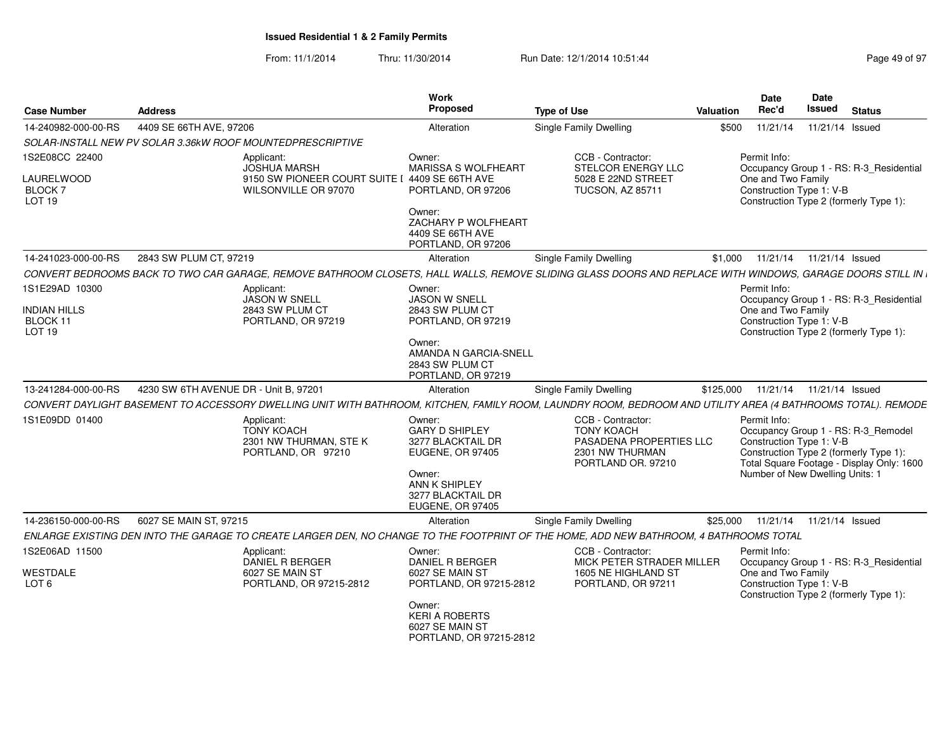| <b>Case Number</b>                               | Address                                                                                                                                                      | Work<br>Proposed                                                                                                                                    | <b>Type of Use</b>                                                                                         | Valuation | <b>Date</b><br>Rec'd                                                        |                            | <b>Date</b><br><b>Issued</b> | <b>Status</b>                                                                                                              |
|--------------------------------------------------|--------------------------------------------------------------------------------------------------------------------------------------------------------------|-----------------------------------------------------------------------------------------------------------------------------------------------------|------------------------------------------------------------------------------------------------------------|-----------|-----------------------------------------------------------------------------|----------------------------|------------------------------|----------------------------------------------------------------------------------------------------------------------------|
| 14-240982-000-00-RS                              | 4409 SE 66TH AVE, 97206                                                                                                                                      | Alteration                                                                                                                                          | Single Family Dwelling                                                                                     | \$500     | 11/21/14                                                                    |                            |                              | 11/21/14 Issued                                                                                                            |
|                                                  | SOLAR-INSTALL NEW PV SOLAR 3.36kW ROOF MOUNTEDPRESCRIPTIVE                                                                                                   |                                                                                                                                                     |                                                                                                            |           |                                                                             |                            |                              |                                                                                                                            |
| 1S2E08CC 22400                                   | Applicant:<br><b>JOSHUA MARSH</b>                                                                                                                            | Owner:<br><b>MARISSA S WOLFHEART</b>                                                                                                                | CCB - Contractor:<br>STELCOR ENERGY LLC                                                                    |           | Permit Info:                                                                |                            |                              | Occupancy Group 1 - RS: R-3_Residential                                                                                    |
| LAURELWOOD<br><b>BLOCK7</b><br><b>LOT 19</b>     | 9150 SW PIONEER COURT SUITE I 4409 SE 66TH AVE<br>WILSONVILLE OR 97070                                                                                       | PORTLAND, OR 97206<br>Owner:                                                                                                                        | 5028 E 22ND STREET<br><b>TUCSON, AZ 85711</b>                                                              |           | One and Two Family<br>Construction Type 1: V-B                              |                            |                              | Construction Type 2 (formerly Type 1):                                                                                     |
|                                                  |                                                                                                                                                              | ZACHARY P WOLFHEART<br>4409 SE 66TH AVE<br>PORTLAND, OR 97206                                                                                       |                                                                                                            |           |                                                                             |                            |                              |                                                                                                                            |
| 14-241023-000-00-RS                              | 2843 SW PLUM CT, 97219                                                                                                                                       | Alteration                                                                                                                                          | Single Family Dwelling                                                                                     | \$1,000   |                                                                             | 11/21/14  11/21/14  Issued |                              |                                                                                                                            |
|                                                  | CONVERT BEDROOMS BACK TO TWO CAR GARAGE. REMOVE BATHROOM CLOSETS. HALL WALLS. REMOVE SLIDING GLASS DOORS AND REPLACE WITH WINDOWS. GARAGE DOORS STILL IN     |                                                                                                                                                     |                                                                                                            |           |                                                                             |                            |                              |                                                                                                                            |
| 1S1E29AD 10300                                   | Applicant:<br>JASON W SNELL                                                                                                                                  | Owner:<br><b>JASON W SNELL</b>                                                                                                                      |                                                                                                            |           | Permit Info:                                                                |                            |                              | Occupancy Group 1 - RS: R-3_Residential                                                                                    |
| <b>INDIAN HILLS</b><br>BLOCK 11<br><b>LOT 19</b> | 2843 SW PLUM CT<br>PORTLAND, OR 97219                                                                                                                        | 2843 SW PLUM CT<br>PORTLAND, OR 97219                                                                                                               |                                                                                                            |           | One and Two Family<br>Construction Type 1: V-B                              |                            |                              | Construction Type 2 (formerly Type 1):                                                                                     |
|                                                  |                                                                                                                                                              | Owner:<br><b>AMANDA N GARCIA-SNELL</b><br>2843 SW PLUM CT<br>PORTLAND, OR 97219                                                                     |                                                                                                            |           |                                                                             |                            |                              |                                                                                                                            |
| 13-241284-000-00-RS                              | 4230 SW 6TH AVENUE DR - Unit B, 97201                                                                                                                        | Alteration                                                                                                                                          | <b>Single Family Dwelling</b>                                                                              | \$125,000 |                                                                             | 11/21/14  11/21/14  Issued |                              |                                                                                                                            |
|                                                  | CONVERT DAYLIGHT BASEMENT TO ACCESSORY DWELLING UNIT WITH BATHROOM, KITCHEN, FAMILY ROOM, LAUNDRY ROOM, BEDROOM AND UTILITY AREA (4 BATHROOMS TOTAL). REMODE |                                                                                                                                                     |                                                                                                            |           |                                                                             |                            |                              |                                                                                                                            |
| 1S1E09DD 01400                                   | Applicant:<br><b>TONY KOACH</b><br>2301 NW THURMAN, STE K<br>PORTLAND, OR 97210                                                                              | Owner:<br><b>GARY D SHIPLEY</b><br>3277 BLACKTAIL DR<br>EUGENE, OR 97405<br>Owner:<br>ANN K SHIPLEY<br>3277 BLACKTAIL DR<br><b>EUGENE, OR 97405</b> | CCB - Contractor:<br><b>TONY KOACH</b><br>PASADENA PROPERTIES LLC<br>2301 NW THURMAN<br>PORTLAND OR, 97210 |           | Permit Info:<br>Construction Type 1: V-B<br>Number of New Dwelling Units: 1 |                            |                              | Occupancy Group 1 - RS: R-3_Remodel<br>Construction Type 2 (formerly Type 1):<br>Total Square Footage - Display Only: 1600 |
| 14-236150-000-00-RS                              | 6027 SE MAIN ST, 97215                                                                                                                                       | Alteration                                                                                                                                          | Single Family Dwelling                                                                                     | \$25,000  | 11/21/14                                                                    |                            |                              | 11/21/14 Issued                                                                                                            |
|                                                  | ENLARGE EXISTING DEN INTO THE GARAGE TO CREATE LARGER DEN, NO CHANGE TO THE FOOTPRINT OF THE HOME, ADD NEW BATHROOM, 4 BATHROOMS TOTAL                       |                                                                                                                                                     |                                                                                                            |           |                                                                             |                            |                              |                                                                                                                            |
| 1S2E06AD 11500                                   | Applicant:<br>DANIEL R BERGER                                                                                                                                | Owner:<br>DANIEL R BERGER                                                                                                                           | CCB - Contractor:<br>MICK PETER STRADER MILLER                                                             |           | Permit Info:                                                                |                            |                              | Occupancy Group 1 - RS: R-3_Residential                                                                                    |
| WESTDALE<br>LOT <sub>6</sub>                     | 6027 SE MAIN ST<br>PORTLAND, OR 97215-2812                                                                                                                   | 6027 SE MAIN ST<br>PORTLAND, OR 97215-2812                                                                                                          | 1605 NE HIGHLAND ST<br>PORTLAND, OR 97211                                                                  |           | One and Two Family<br>Construction Type 1: V-B                              |                            |                              | Construction Type 2 (formerly Type 1):                                                                                     |
|                                                  |                                                                                                                                                              | Owner:<br><b>KERI A ROBERTS</b><br>6027 SE MAIN ST<br>PORTLAND, OR 97215-2812                                                                       |                                                                                                            |           |                                                                             |                            |                              |                                                                                                                            |
|                                                  |                                                                                                                                                              |                                                                                                                                                     |                                                                                                            |           |                                                                             |                            |                              |                                                                                                                            |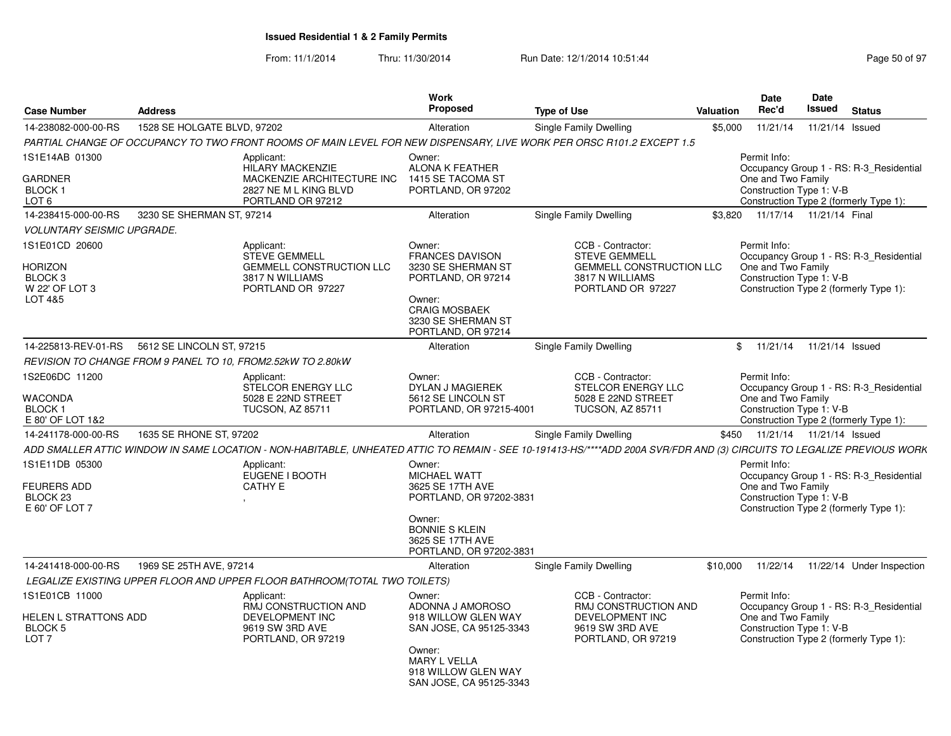From: 11/1/2014

| <b>Case Number</b>                                                 | <b>Address</b>              |                                                                                                                                                                        | <b>Work</b><br>Proposed                                                                                                                                    | <b>Type of Use</b>                                                                                                   | Valuation | <b>Date</b><br>Rec'd                                           | <b>Date</b><br><b>Issued</b> | <b>Status</b>                                                                     |
|--------------------------------------------------------------------|-----------------------------|------------------------------------------------------------------------------------------------------------------------------------------------------------------------|------------------------------------------------------------------------------------------------------------------------------------------------------------|----------------------------------------------------------------------------------------------------------------------|-----------|----------------------------------------------------------------|------------------------------|-----------------------------------------------------------------------------------|
| 14-238082-000-00-RS                                                | 1528 SE HOLGATE BLVD, 97202 |                                                                                                                                                                        | Alteration                                                                                                                                                 | <b>Single Family Dwelling</b>                                                                                        | \$5,000   | 11/21/14                                                       | 11/21/14 Issued              |                                                                                   |
|                                                                    |                             | PARTIAL CHANGE OF OCCUPANCY TO TWO FRONT ROOMS OF MAIN LEVEL FOR NEW DISPENSARY, LIVE WORK PER ORSC R101.2 EXCEPT 1.5                                                  |                                                                                                                                                            |                                                                                                                      |           |                                                                |                              |                                                                                   |
| 1S1E14AB 01300                                                     |                             | Applicant:<br><b>HILARY MACKENZIE</b><br>MACKENZIE ARCHITECTURE INC                                                                                                    | Owner:<br>ALONA K FEATHER<br>1415 SE TACOMA ST                                                                                                             |                                                                                                                      |           | Permit Info:<br>One and Two Family                             |                              | Occupancy Group 1 - RS: R-3 Residential                                           |
| GARDNER<br><b>BLOCK1</b><br>LOT <sub>6</sub>                       |                             | 2827 NE M L KING BLVD<br>PORTLAND OR 97212                                                                                                                             | PORTLAND, OR 97202                                                                                                                                         |                                                                                                                      |           | Construction Type 1: V-B                                       |                              | Construction Type 2 (formerly Type 1):                                            |
| 14-238415-000-00-RS                                                | 3230 SE SHERMAN ST, 97214   |                                                                                                                                                                        | Alteration                                                                                                                                                 | Single Family Dwelling                                                                                               | \$3.820   | 11/17/14  11/21/14  Final                                      |                              |                                                                                   |
| <b>VOLUNTARY SEISMIC UPGRADE.</b>                                  |                             |                                                                                                                                                                        |                                                                                                                                                            |                                                                                                                      |           |                                                                |                              |                                                                                   |
| 1S1E01CD 20600<br>HORIZON<br>BLOCK 3<br>W 22' OF LOT 3<br>LOT 4&5  |                             | Applicant:<br><b>STEVE GEMMELL</b><br><b>GEMMELL CONSTRUCTION LLC</b><br>3817 N WILLIAMS<br>PORTLAND OR 97227                                                          | Owner:<br><b>FRANCES DAVISON</b><br>3230 SE SHERMAN ST<br>PORTLAND, OR 97214<br>Owner:<br><b>CRAIG MOSBAEK</b><br>3230 SE SHERMAN ST<br>PORTLAND, OR 97214 | CCB - Contractor:<br><b>STEVE GEMMELL</b><br><b>GEMMELL CONSTRUCTION LLC</b><br>3817 N WILLIAMS<br>PORTLAND OR 97227 |           | Permit Info:<br>One and Two Family<br>Construction Type 1: V-B |                              | Occupancy Group 1 - RS: R-3 Residential<br>Construction Type 2 (formerly Type 1): |
| 14-225813-REV-01-RS                                                | 5612 SE LINCOLN ST, 97215   |                                                                                                                                                                        | Alteration                                                                                                                                                 | Single Family Dwelling                                                                                               |           | \$11/21/14                                                     | 11/21/14 Issued              |                                                                                   |
|                                                                    |                             | REVISION TO CHANGE FROM 9 PANEL TO 10, FROM2.52kW TO 2.80kW                                                                                                            |                                                                                                                                                            |                                                                                                                      |           |                                                                |                              |                                                                                   |
| 1S2E06DC 11200                                                     |                             | Applicant:                                                                                                                                                             | Owner:                                                                                                                                                     | CCB - Contractor:                                                                                                    |           | Permit Info:                                                   |                              |                                                                                   |
| WACONDA<br><b>BLOCK1</b><br>E 80' OF LOT 1&2                       |                             | STELCOR ENERGY LLC<br>5028 E 22ND STREET<br><b>TUCSON, AZ 85711</b>                                                                                                    | <b>DYLAN J MAGIEREK</b><br>5612 SE LINCOLN ST<br>PORTLAND, OR 97215-4001                                                                                   | <b>STELCOR ENERGY LLC</b><br>5028 E 22ND STREET<br><b>TUCSON, AZ 85711</b>                                           |           | One and Two Family<br>Construction Type 1: V-B                 |                              | Occupancy Group 1 - RS: R-3_Residential<br>Construction Type 2 (formerly Type 1): |
| 14-241178-000-00-RS                                                | 1635 SE RHONE ST, 97202     |                                                                                                                                                                        | Alteration                                                                                                                                                 | <b>Single Family Dwelling</b>                                                                                        | \$450     | 11/21/14  11/21/14  Issued                                     |                              |                                                                                   |
|                                                                    |                             | ADD SMALLER ATTIC WINDOW IN SAME LOCATION - NON-HABITABLE, UNHEATED ATTIC TO REMAIN - SEE 10-191413-HS/****ADD 200A SVR/FDR AND (3) CIRCUITS TO LEGALIZE PREVIOUS WORK |                                                                                                                                                            |                                                                                                                      |           |                                                                |                              |                                                                                   |
| 1S1E11DB 05300<br><b>FEURERS ADD</b><br>BLOCK 23<br>E 60' OF LOT 7 |                             | Applicant:<br>EUGENE I BOOTH<br><b>CATHY E</b>                                                                                                                         | Owner:<br><b>MICHAEL WATT</b><br>3625 SE 17TH AVE<br>PORTLAND, OR 97202-3831                                                                               |                                                                                                                      |           | Permit Info:<br>One and Two Family<br>Construction Type 1: V-B |                              | Occupancy Group 1 - RS: R-3_Residential<br>Construction Type 2 (formerly Type 1): |
|                                                                    |                             |                                                                                                                                                                        | Owner:<br><b>BONNIE S KLEIN</b><br>3625 SE 17TH AVE<br>PORTLAND, OR 97202-3831                                                                             |                                                                                                                      |           |                                                                |                              |                                                                                   |
| 14-241418-000-00-RS                                                | 1969 SE 25TH AVE, 97214     |                                                                                                                                                                        | Alteration                                                                                                                                                 | Single Family Dwelling                                                                                               | \$10,000  | 11/22/14                                                       |                              | 11/22/14 Under Inspection                                                         |
|                                                                    |                             | LEGALIZE EXISTING UPPER FLOOR AND UPPER FLOOR BATHROOM(TOTAL TWO TOILETS)                                                                                              |                                                                                                                                                            |                                                                                                                      |           |                                                                |                              |                                                                                   |
| 1S1E01CB 11000                                                     |                             | Applicant:<br>RMJ CONSTRUCTION AND                                                                                                                                     | Owner:<br>ADONNA J AMOROSO                                                                                                                                 | CCB - Contractor:<br>RMJ CONSTRUCTION AND                                                                            |           | Permit Info:                                                   |                              | Occupancy Group 1 - RS: R-3 Residential                                           |
| HELEN L STRATTONS ADD<br>BLOCK 5<br>LOT <sub>7</sub>               |                             | DEVELOPMENT INC<br>9619 SW 3RD AVE<br>PORTLAND, OR 97219                                                                                                               | 918 WILLOW GLEN WAY<br>SAN JOSE, CA 95125-3343<br>Owner:                                                                                                   | DEVELOPMENT INC<br>9619 SW 3RD AVE<br>PORTLAND, OR 97219                                                             |           | One and Two Family<br>Construction Type 1: V-B                 |                              | Construction Type 2 (formerly Type 1):                                            |
|                                                                    |                             |                                                                                                                                                                        | <b>MARY L VELLA</b><br>918 WILLOW GLEN WAY<br>SAN JOSE, CA 95125-3343                                                                                      |                                                                                                                      |           |                                                                |                              |                                                                                   |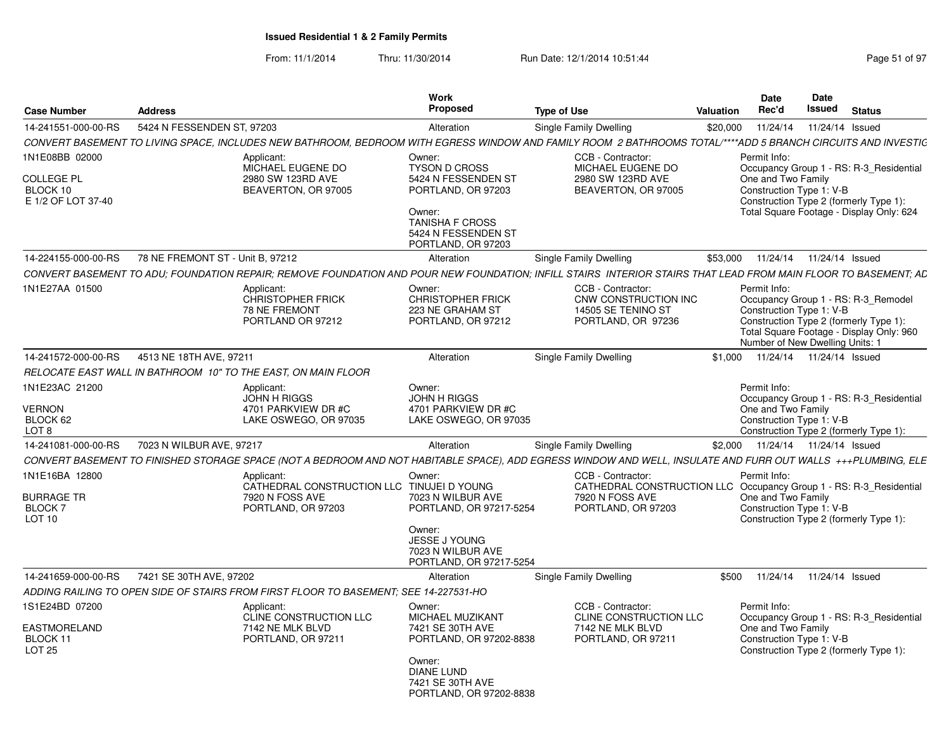|                                                                       | <b>Address</b>                   |                                                                                                                                                                | Work<br><b>Proposed</b>                                                                                                                     | <b>Type of Use</b>                                                                                                               | Valuation | Date<br>Rec'd                                                               | Date<br>Issued | <b>Status</b>                                                                                                                 |
|-----------------------------------------------------------------------|----------------------------------|----------------------------------------------------------------------------------------------------------------------------------------------------------------|---------------------------------------------------------------------------------------------------------------------------------------------|----------------------------------------------------------------------------------------------------------------------------------|-----------|-----------------------------------------------------------------------------|----------------|-------------------------------------------------------------------------------------------------------------------------------|
| <b>Case Number</b><br>14-241551-000-00-RS                             | 5424 N FESSENDEN ST. 97203       |                                                                                                                                                                | Alteration                                                                                                                                  |                                                                                                                                  |           | 11/24/14                                                                    |                | 11/24/14 Issued                                                                                                               |
|                                                                       |                                  | CONVERT BASEMENT TO LIVING SPACE. INCLUDES NEW BATHROOM. BEDROOM WITH EGRESS WINDOW AND FAMILY ROOM 2 BATHROOMS TOTAL/****ADD 5 BRANCH CIRCUITS AND INVESTIC   |                                                                                                                                             | Single Family Dwelling                                                                                                           | \$20,000  |                                                                             |                |                                                                                                                               |
| 1N1E08BB 02000                                                        |                                  | Applicant:                                                                                                                                                     | Owner:                                                                                                                                      | CCB - Contractor:                                                                                                                |           | Permit Info:                                                                |                |                                                                                                                               |
| COLLEGE PL<br>BLOCK 10<br>E 1/2 OF LOT 37-40                          |                                  | MICHAEL EUGENE DO<br>2980 SW 123RD AVE<br>BEAVERTON, OR 97005                                                                                                  | TYSON D CROSS<br>5424 N FESSENDEN ST<br>PORTLAND, OR 97203<br>Owner:<br><b>TANISHA F CROSS</b><br>5424 N FESSENDEN ST<br>PORTLAND, OR 97203 | MICHAEL EUGENE DO<br>2980 SW 123RD AVE<br>BEAVERTON, OR 97005                                                                    |           | One and Two Family<br>Construction Type 1: V-B                              |                | Occupancy Group 1 - RS: R-3_Residential<br>Construction Type 2 (formerly Type 1):<br>Total Square Footage - Display Only: 624 |
| 14-224155-000-00-RS                                                   | 78 NE FREMONT ST - Unit B. 97212 |                                                                                                                                                                | Alteration                                                                                                                                  | Single Family Dwelling                                                                                                           | \$53,000  |                                                                             |                | 11/24/14  11/24/14  Issued                                                                                                    |
|                                                                       |                                  | CONVERT BASEMENT TO ADU: FOUNDATION REPAIR: REMOVE FOUNDATION AND POUR NEW FOUNDATION: INFILL STAIRS INTERIOR STAIRS THAT LEAD FROM MAIN FLOOR TO BASEMENT: AD |                                                                                                                                             |                                                                                                                                  |           |                                                                             |                |                                                                                                                               |
| 1N1E27AA 01500                                                        |                                  | Applicant:<br>CHRISTOPHER FRICK<br>78 NE FREMONT<br>PORTLAND OR 97212                                                                                          | Owner:<br><b>CHRISTOPHER FRICK</b><br>223 NE GRAHAM ST<br>PORTLAND, OR 97212                                                                | CCB - Contractor:<br>CNW CONSTRUCTION INC<br>14505 SE TENINO ST<br>PORTLAND, OR 97236                                            |           | Permit Info:<br>Construction Type 1: V-B<br>Number of New Dwelling Units: 1 |                | Occupancy Group 1 - RS: R-3_Remodel<br>Construction Type 2 (formerly Type 1):<br>Total Square Footage - Display Only: 960     |
| 14-241572-000-00-RS                                                   | 4513 NE 18TH AVE, 97211          |                                                                                                                                                                | Alteration                                                                                                                                  | Single Family Dwelling                                                                                                           | \$1.000   |                                                                             |                | 11/24/14  11/24/14  Issued                                                                                                    |
|                                                                       |                                  | RELOCATE EAST WALL IN BATHROOM 10" TO THE EAST. ON MAIN FLOOR                                                                                                  |                                                                                                                                             |                                                                                                                                  |           |                                                                             |                |                                                                                                                               |
| 1N1E23AC 21200<br>VERNON<br>BLOCK 62<br>LOT <sub>8</sub>              |                                  | Applicant:<br>JOHN H RIGGS<br>4701 PARKVIEW DR #C<br>LAKE OSWEGO, OR 97035                                                                                     | Owner:<br><b>JOHN H RIGGS</b><br>4701 PARKVIEW DR #C<br>LAKE OSWEGO, OR 97035                                                               |                                                                                                                                  |           | Permit Info:<br>One and Two Family<br>Construction Type 1: V-B              |                | Occupancy Group 1 - RS: R-3 Residential<br>Construction Type 2 (formerly Type 1):                                             |
| 14-241081-000-00-RS                                                   | 7023 N WILBUR AVE, 97217         |                                                                                                                                                                | Alteration                                                                                                                                  | Single Family Dwelling                                                                                                           |           | \$2,000 11/24/14 11/24/14 Issued                                            |                |                                                                                                                               |
|                                                                       |                                  | CONVERT BASEMENT TO FINISHED STORAGE SPACE (NOT A BEDROOM AND NOT HABITABLE SPACE). ADD EGRESS WINDOW AND WELL, INSULATE AND FURR OUT WALLS +++PLUMBING, ELE   |                                                                                                                                             |                                                                                                                                  |           |                                                                             |                |                                                                                                                               |
| 1N1E16BA 12800<br><b>BURRAGE TR</b><br><b>BLOCK7</b><br><b>LOT 10</b> |                                  | Applicant<br>CATHEDRAL CONSTRUCTION LLC TINUJEI D YOUNG<br>7920 N FOSS AVE<br>PORTLAND, OR 97203                                                               | Owner:<br>7023 N WILBUR AVE<br>PORTLAND, OR 97217-5254<br>Owner:<br>JESSE J YOUNG                                                           | CCB - Contractor:<br>CATHEDRAL CONSTRUCTION LLC Occupancy Group 1 - RS: R-3_Residential<br>7920 N FOSS AVE<br>PORTLAND, OR 97203 |           | Permit Info:<br>One and Two Family<br>Construction Type 1: V-B              |                | Construction Type 2 (formerly Type 1):                                                                                        |
|                                                                       |                                  |                                                                                                                                                                | 7023 N WILBUR AVE<br>PORTLAND, OR 97217-5254                                                                                                |                                                                                                                                  |           |                                                                             |                |                                                                                                                               |
| 14-241659-000-00-RS                                                   | 7421 SE 30TH AVE, 97202          |                                                                                                                                                                | Alteration                                                                                                                                  | Single Family Dwelling                                                                                                           | \$500     |                                                                             |                | 11/24/14  11/24/14  Issued                                                                                                    |
|                                                                       |                                  | ADDING RAILING TO OPEN SIDE OF STAIRS FROM FIRST FLOOR TO BASEMENT: SEE 14-227531-HO                                                                           |                                                                                                                                             |                                                                                                                                  |           |                                                                             |                |                                                                                                                               |
| 1S1E24BD 07200<br>EASTMORELAND<br>BLOCK 11<br>LOT <sub>25</sub>       |                                  | Applicant:<br>CLINE CONSTRUCTION LLC<br>7142 NE MLK BLVD<br>PORTLAND, OR 97211                                                                                 | Owner:<br>MICHAEL MUZIKANT<br>7421 SE 30TH AVE<br>PORTLAND, OR 97202-8838                                                                   | CCB - Contractor:<br>CLINE CONSTRUCTION LLC<br>7142 NE MLK BLVD<br>PORTLAND, OR 97211                                            |           | Permit Info:<br>One and Two Family<br>Construction Type 1: V-B              |                | Occupancy Group 1 - RS: R-3 Residential<br>Construction Type 2 (formerly Type 1):                                             |
|                                                                       |                                  |                                                                                                                                                                | Owner:<br><b>DIANE LUND</b><br>7421 SE 30TH AVE<br>PORTLAND, OR 97202-8838                                                                  |                                                                                                                                  |           |                                                                             |                |                                                                                                                               |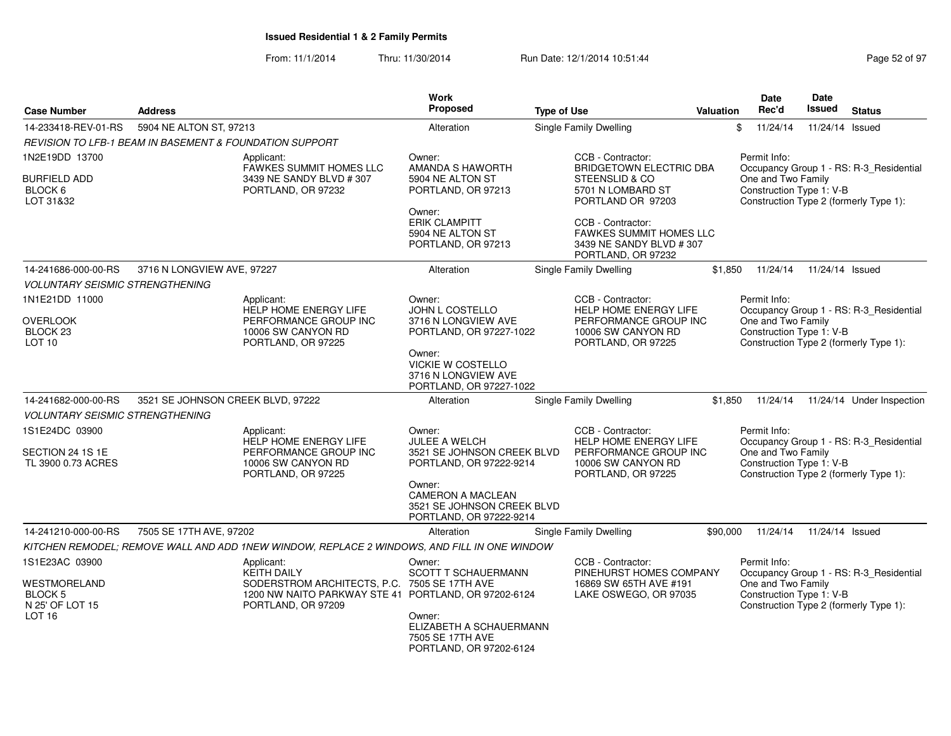| <b>Case Number</b>                                      | <b>Address</b>                                                                              |                                                                                  | <b>Work</b><br><b>Proposed</b>                                                       | <b>Type of Use</b>                                                                            | Valuation | Date<br>Rec'd                                                                            | Date<br>Issued  | <b>Status</b>                           |
|---------------------------------------------------------|---------------------------------------------------------------------------------------------|----------------------------------------------------------------------------------|--------------------------------------------------------------------------------------|-----------------------------------------------------------------------------------------------|-----------|------------------------------------------------------------------------------------------|-----------------|-----------------------------------------|
| 14-233418-REV-01-RS                                     | 5904 NE ALTON ST, 97213                                                                     |                                                                                  | Alteration                                                                           | <b>Single Family Dwelling</b>                                                                 |           | \$<br>11/24/14                                                                           | 11/24/14 Issued |                                         |
|                                                         | <b>REVISION TO LFB-1 BEAM IN BASEMENT &amp; FOUNDATION SUPPORT</b>                          |                                                                                  |                                                                                      |                                                                                               |           |                                                                                          |                 |                                         |
| 1N2E19DD 13700                                          | Applicant:                                                                                  |                                                                                  | Owner:                                                                               | CCB - Contractor:                                                                             |           | Permit Info:                                                                             |                 |                                         |
| <b>BURFIELD ADD</b><br>BLOCK 6<br>LOT 31&32             |                                                                                             | <b>FAWKES SUMMIT HOMES LLC</b><br>3439 NE SANDY BLVD # 307<br>PORTLAND, OR 97232 | AMANDA S HAWORTH<br>5904 NE ALTON ST<br>PORTLAND, OR 97213                           | <b>BRIDGETOWN ELECTRIC DBA</b><br>STEENSLID & CO<br>5701 N LOMBARD ST<br>PORTLAND OR 97203    |           | One and Two Family<br>Construction Type 1: V-B<br>Construction Type 2 (formerly Type 1): |                 | Occupancy Group 1 - RS: R-3 Residential |
|                                                         |                                                                                             |                                                                                  | Owner:<br><b>ERIK CLAMPITT</b><br>5904 NE ALTON ST<br>PORTLAND, OR 97213             | CCB - Contractor:<br>FAWKES SUMMIT HOMES LLC<br>3439 NE SANDY BLVD #307<br>PORTLAND, OR 97232 |           |                                                                                          |                 |                                         |
| 14-241686-000-00-RS                                     | 3716 N LONGVIEW AVE, 97227                                                                  |                                                                                  | Alteration                                                                           | <b>Single Family Dwelling</b>                                                                 | \$1,850   | 11/24/14                                                                                 | 11/24/14 Issued |                                         |
| <b>VOLUNTARY SEISMIC STRENGTHENING</b>                  |                                                                                             |                                                                                  |                                                                                      |                                                                                               |           |                                                                                          |                 |                                         |
| 1N1E21DD 11000                                          | Applicant:                                                                                  | HELP HOME ENERGY LIFE                                                            | Owner:<br>JOHN L COSTELLO                                                            | CCB - Contractor:<br>HELP HOME ENERGY LIFE                                                    |           | Permit Info:                                                                             |                 | Occupancy Group 1 - RS: R-3_Residential |
| <b>OVERLOOK</b><br>BLOCK <sub>23</sub><br><b>LOT 10</b> |                                                                                             | PERFORMANCE GROUP INC<br>10006 SW CANYON RD<br>PORTLAND, OR 97225                | 3716 N LONGVIEW AVE<br>PORTLAND, OR 97227-1022                                       | PERFORMANCE GROUP INC<br>10006 SW CANYON RD<br>PORTLAND, OR 97225                             |           | One and Two Family<br>Construction Type 1: V-B<br>Construction Type 2 (formerly Type 1): |                 |                                         |
|                                                         |                                                                                             |                                                                                  | Owner:<br>VICKIE W COSTELLO<br>3716 N LONGVIEW AVE<br>PORTLAND, OR 97227-1022        |                                                                                               |           |                                                                                          |                 |                                         |
| 14-241682-000-00-RS                                     | 3521 SE JOHNSON CREEK BLVD, 97222                                                           |                                                                                  | Alteration                                                                           | Single Family Dwelling                                                                        | \$1,850   | 11/24/14                                                                                 |                 | 11/24/14 Under Inspection               |
| <b>VOLUNTARY SEISMIC STRENGTHENING</b>                  |                                                                                             |                                                                                  |                                                                                      |                                                                                               |           |                                                                                          |                 |                                         |
| 1S1E24DC 03900                                          | Applicant:                                                                                  | HELP HOME ENERGY LIFE                                                            | Owner:<br><b>JULEE A WELCH</b>                                                       | CCB - Contractor:<br>HELP HOME ENERGY LIFE                                                    |           | Permit Info:                                                                             |                 | Occupancy Group 1 - RS: R-3_Residential |
| SECTION 24 1S 1E<br>TL 3900 0.73 ACRES                  |                                                                                             | PERFORMANCE GROUP INC<br>10006 SW CANYON RD<br>PORTLAND, OR 97225                | 3521 SE JOHNSON CREEK BLVD<br>PORTLAND, OR 97222-9214                                | PERFORMANCE GROUP INC<br>10006 SW CANYON RD<br>PORTLAND, OR 97225                             |           | One and Two Family<br>Construction Type 1: V-B<br>Construction Type 2 (formerly Type 1): |                 |                                         |
|                                                         |                                                                                             |                                                                                  | Owner:<br>CAMERON A MACLEAN<br>3521 SE JOHNSON CREEK BLVD<br>PORTLAND, OR 97222-9214 |                                                                                               |           |                                                                                          |                 |                                         |
| 14-241210-000-00-RS                                     | 7505 SE 17TH AVE, 97202                                                                     |                                                                                  | Alteration                                                                           | Single Family Dwelling                                                                        | \$90,000  | 11/24/14                                                                                 | 11/24/14 Issued |                                         |
|                                                         | KITCHEN REMODEL; REMOVE WALL AND ADD 1NEW WINDOW, REPLACE 2 WINDOWS, AND FILL IN ONE WINDOW |                                                                                  |                                                                                      |                                                                                               |           |                                                                                          |                 |                                         |
| 1S1E23AC 03900                                          | Applicant:<br><b>KEITH DAILY</b>                                                            |                                                                                  | Owner:<br>SCOTT T SCHAUERMANN                                                        | CCB - Contractor:<br>PINEHURST HOMES COMPANY                                                  |           | Permit Info:                                                                             |                 | Occupancy Group 1 - RS: R-3_Residential |
| WESTMORELAND<br><b>BLOCK 5</b><br>N 25' OF LOT 15       |                                                                                             | SODERSTROM ARCHITECTS, P.C. 7505 SE 17TH AVE<br>PORTLAND, OR 97209               | 1200 NW NAITO PARKWAY STE 41 PORTLAND, OR 97202-6124                                 | 16869 SW 65TH AVE #191<br>LAKE OSWEGO, OR 97035                                               |           | One and Two Family<br>Construction Type 1: V-B<br>Construction Type 2 (formerly Type 1): |                 |                                         |
| LOT <sub>16</sub>                                       |                                                                                             |                                                                                  | Owner:<br>ELIZABETH A SCHAUERMANN<br>7505 SE 17TH AVE<br>PORTLAND, OR 97202-6124     |                                                                                               |           |                                                                                          |                 |                                         |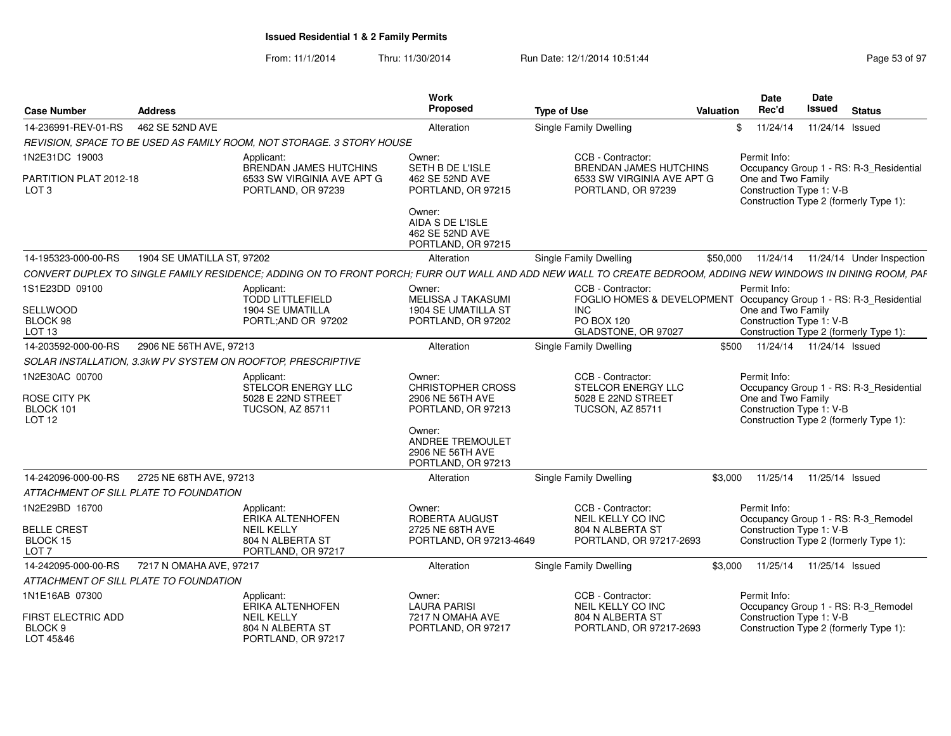From: 11/1/2014Thru: 11/30/2014 **Run Date: 12/1/2014 10:51:44 Page 53 of Page 53 of 97 of 97 of 97 of 97 of 97 of 97 of 97 of 97 of 97 of 97 of 97 of 97 of 97 of 97 of 97 of 97 of 97 of 97 of 97 of 97 of 97 of 97 of 97 of 97 of 97 of 9** 

| Page 53 of 97 |  |  |  |  |  |
|---------------|--|--|--|--|--|
|---------------|--|--|--|--|--|

| <b>Case Number</b>                                 | <b>Address</b>             |                                                                       | Work<br>Proposed                                                     | <b>Type of Use</b>                                                                                                                                            | Valuation | Date<br>Rec'd                                  | Date<br><b>Issued</b>      | <b>Status</b>                                                                     |
|----------------------------------------------------|----------------------------|-----------------------------------------------------------------------|----------------------------------------------------------------------|---------------------------------------------------------------------------------------------------------------------------------------------------------------|-----------|------------------------------------------------|----------------------------|-----------------------------------------------------------------------------------|
| 14-236991-REV-01-RS                                | 462 SE 52ND AVE            |                                                                       | Alteration                                                           | <b>Single Family Dwelling</b>                                                                                                                                 |           | 11/24/14<br>\$                                 | 11/24/14 Issued            |                                                                                   |
|                                                    |                            | REVISION, SPACE TO BE USED AS FAMILY ROOM, NOT STORAGE. 3 STORY HOUSE |                                                                      |                                                                                                                                                               |           |                                                |                            |                                                                                   |
| 1N2E31DC 19003                                     |                            | Applicant:<br>BRENDAN JAMES HUTCHINS                                  | Owner:<br>SETH B DE L'ISLE                                           | CCB - Contractor:<br><b>BRENDAN JAMES HUTCHINS</b>                                                                                                            |           | Permit Info:                                   |                            |                                                                                   |
| PARTITION PLAT 2012-18<br>LOT <sub>3</sub>         |                            | 6533 SW VIRGINIA AVE APT G<br>PORTLAND, OR 97239                      | 462 SE 52ND AVE<br>PORTLAND, OR 97215                                | 6533 SW VIRGINIA AVE APT G<br>PORTLAND, OR 97239                                                                                                              |           | One and Two Family<br>Construction Type 1: V-B |                            | Occupancy Group 1 - RS: R-3_Residential<br>Construction Type 2 (formerly Type 1): |
|                                                    |                            |                                                                       | Owner:<br>AIDA S DE L'ISLE<br>462 SE 52ND AVE<br>PORTLAND, OR 97215  |                                                                                                                                                               |           |                                                |                            |                                                                                   |
| 14-195323-000-00-RS                                | 1904 SE UMATILLA ST. 97202 |                                                                       | Alteration                                                           | Single Family Dwelling                                                                                                                                        | \$50,000  | 11/24/14                                       |                            | 11/24/14 Under Inspection                                                         |
|                                                    |                            |                                                                       |                                                                      | CONVERT DUPLEX TO SINGLE FAMILY RESIDENCE; ADDING ON TO FRONT PORCH; FURR OUT WALL AND ADD NEW WALL TO CREATE BEDROOM, ADDING NEW WINDOWS IN DINING ROOM, PAF |           |                                                |                            |                                                                                   |
| 1S1E23DD 09100                                     |                            | Applicant:<br><b>TODD LITTLEFIELD</b>                                 | Owner:<br><b>MELISSA J TAKASUMI</b>                                  | CCB - Contractor:<br>FOGLIO HOMES & DEVELOPMENT                                                                                                               |           | Permit Info:                                   |                            | Occupancy Group 1 - RS: R-3_Residential                                           |
| SELLWOOD<br>BLOCK 98<br>LOT <sub>13</sub>          |                            | 1904 SE UMATILLA<br>PORTL;AND OR 97202                                | 1904 SE UMATILLA ST<br>PORTLAND, OR 97202                            | <b>INC</b><br>PO BOX 120<br>GLADSTONE, OR 97027                                                                                                               |           | One and Two Family<br>Construction Type 1: V-B |                            | Construction Type 2 (formerly Type 1):                                            |
| 14-203592-000-00-RS                                | 2906 NE 56TH AVE, 97213    |                                                                       | Alteration                                                           | Single Family Dwelling                                                                                                                                        | \$500     |                                                | 11/24/14  11/24/14  Issued |                                                                                   |
|                                                    |                            | SOLAR INSTALLATION, 3.3kW PV SYSTEM ON ROOFTOP, PRESCRIPTIVE          |                                                                      |                                                                                                                                                               |           |                                                |                            |                                                                                   |
| 1N2E30AC 00700                                     |                            | Applicant:<br>STELCOR ENERGY LLC                                      | Owner:<br>CHRISTOPHER CROSS                                          | CCB - Contractor:<br>STELCOR ENERGY LLC                                                                                                                       |           | Permit Info:                                   |                            | Occupancy Group 1 - RS: R-3 Residential                                           |
| ROSE CITY PK<br>BLOCK 101<br>LOT <sub>12</sub>     |                            | 5028 E 22ND STREET<br><b>TUCSON, AZ 85711</b>                         | 2906 NE 56TH AVE<br>PORTLAND, OR 97213                               | 5028 E 22ND STREET<br><b>TUCSON, AZ 85711</b>                                                                                                                 |           | One and Two Family<br>Construction Type 1: V-B |                            | Construction Type 2 (formerly Type 1):                                            |
|                                                    |                            |                                                                       | Owner:<br>ANDREE TREMOULET<br>2906 NE 56TH AVE<br>PORTLAND, OR 97213 |                                                                                                                                                               |           |                                                |                            |                                                                                   |
| 14-242096-000-00-RS                                | 2725 NE 68TH AVE, 97213    |                                                                       | Alteration                                                           | Single Family Dwelling                                                                                                                                        | \$3.000   | 11/25/14                                       | 11/25/14 Issued            |                                                                                   |
| ATTACHMENT OF SILL PLATE TO FOUNDATION             |                            |                                                                       |                                                                      |                                                                                                                                                               |           |                                                |                            |                                                                                   |
| 1N2E29BD 16700                                     |                            | Applicant:<br>ERIKA ALTENHOFEN                                        | Owner:<br><b>ROBERTA AUGUST</b>                                      | CCB - Contractor:<br>NEIL KELLY CO INC                                                                                                                        |           | Permit Info:                                   |                            | Occupancy Group 1 - RS: R-3_Remodel                                               |
| <b>BELLE CREST</b><br>BLOCK 15<br>LOT <sub>7</sub> |                            | <b>NEIL KELLY</b><br>804 N ALBERTA ST<br>PORTLAND, OR 97217           | 2725 NE 68TH AVE<br>PORTLAND, OR 97213-4649                          | 804 N ALBERTA ST<br>PORTLAND, OR 97217-2693                                                                                                                   |           | Construction Type 1: V-B                       |                            | Construction Type 2 (formerly Type 1):                                            |
| 14-242095-000-00-RS                                | 7217 N OMAHA AVE, 97217    |                                                                       | Alteration                                                           | <b>Single Family Dwelling</b>                                                                                                                                 | \$3,000   | 11/25/14                                       | 11/25/14 Issued            |                                                                                   |
| ATTACHMENT OF SILL PLATE TO FOUNDATION             |                            |                                                                       |                                                                      |                                                                                                                                                               |           |                                                |                            |                                                                                   |
| 1N1E16AB 07300                                     |                            | Applicant:<br>ERIKA ALTENHOFEN                                        | Owner:<br><b>LAURA PARISI</b>                                        | CCB - Contractor:<br>NEIL KELLY CO INC                                                                                                                        |           | Permit Info:                                   |                            | Occupancy Group 1 - RS: R-3_Remodel                                               |
| <b>FIRST ELECTRIC ADD</b><br>BLOCK 9<br>LOT 45&46  |                            | <b>NEIL KELLY</b><br>804 N ALBERTA ST<br>PORTLAND, OR 97217           | 7217 N OMAHA AVE<br>PORTLAND, OR 97217                               | 804 N ALBERTA ST<br>PORTLAND, OR 97217-2693                                                                                                                   |           | Construction Type 1: V-B                       |                            | Construction Type 2 (formerly Type 1):                                            |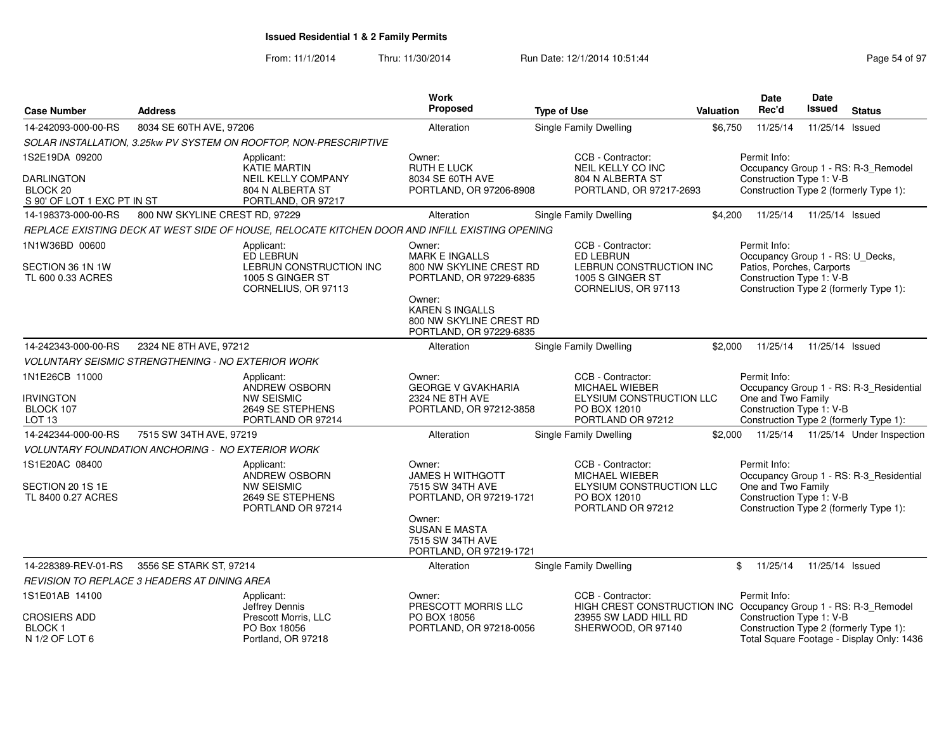From: 11/1/2014

| <b>Case Number</b>                                                   | <b>Address</b>                                             |                                                                                                      | Work<br>Proposed                                                                       | <b>Type of Use</b>                                                                                          | <b>Valuation</b> | <b>Date</b><br>Rec'd                                                                                                                                | Date<br>Issued  | <b>Status</b>                                                                     |
|----------------------------------------------------------------------|------------------------------------------------------------|------------------------------------------------------------------------------------------------------|----------------------------------------------------------------------------------------|-------------------------------------------------------------------------------------------------------------|------------------|-----------------------------------------------------------------------------------------------------------------------------------------------------|-----------------|-----------------------------------------------------------------------------------|
| 14-242093-000-00-RS                                                  | 8034 SE 60TH AVE, 97206                                    |                                                                                                      | Alteration                                                                             | Single Family Dwelling                                                                                      | \$6,750          | 11/25/14                                                                                                                                            | 11/25/14 Issued |                                                                                   |
|                                                                      |                                                            | SOLAR INSTALLATION, 3.25kw PV SYSTEM ON ROOFTOP, NON-PRESCRIPTIVE                                    |                                                                                        |                                                                                                             |                  |                                                                                                                                                     |                 |                                                                                   |
| 1S2E19DA 09200                                                       |                                                            | Applicant:<br><b>KATIE MARTIN</b>                                                                    | Owner:<br><b>RUTH E LUCK</b>                                                           | CCB - Contractor:<br>NEIL KELLY CO INC                                                                      |                  | Permit Info:                                                                                                                                        |                 | Occupancy Group 1 - RS: R-3 Remodel                                               |
| <b>DARLINGTON</b><br>BLOCK 20<br>S 90' OF LOT 1 EXC PT IN ST         |                                                            | <b>NEIL KELLY COMPANY</b><br>804 N ALBERTA ST<br>PORTLAND, OR 97217                                  | 8034 SE 60TH AVE<br>PORTLAND, OR 97206-8908                                            | 804 N ALBERTA ST<br>PORTLAND, OR 97217-2693                                                                 |                  | Construction Type 1: V-B<br>Construction Type 2 (formerly Type 1):                                                                                  |                 |                                                                                   |
| 14-198373-000-00-RS                                                  | 800 NW SKYLINE CREST RD, 97229                             |                                                                                                      | Alteration                                                                             | Single Family Dwelling                                                                                      | \$4,200          | 11/25/14                                                                                                                                            | 11/25/14 Issued |                                                                                   |
|                                                                      |                                                            | REPLACE EXISTING DECK AT WEST SIDE OF HOUSE, RELOCATE KITCHEN DOOR AND INFILL EXISTING OPENING       |                                                                                        |                                                                                                             |                  |                                                                                                                                                     |                 |                                                                                   |
| 1N1W36BD 00600<br>SECTION 36 1N 1W<br>TL 600 0.33 ACRES              |                                                            | Applicant:<br><b>ED LEBRUN</b><br>LEBRUN CONSTRUCTION INC<br>1005 S GINGER ST<br>CORNELIUS, OR 97113 | Owner:<br><b>MARK E INGALLS</b><br>800 NW SKYLINE CREST RD<br>PORTLAND, OR 97229-6835  | CCB - Contractor:<br>ED LEBRUN<br>LEBRUN CONSTRUCTION INC<br>1005 S GINGER ST<br>CORNELIUS, OR 97113        |                  | Permit Info:<br>Occupancy Group 1 - RS: U_Decks,<br>Patios, Porches, Carports<br>Construction Type 1: V-B<br>Construction Type 2 (formerly Type 1): |                 |                                                                                   |
|                                                                      |                                                            |                                                                                                      | Owner:<br><b>KAREN S INGALLS</b><br>800 NW SKYLINE CREST RD<br>PORTLAND, OR 97229-6835 |                                                                                                             |                  |                                                                                                                                                     |                 |                                                                                   |
| 14-242343-000-00-RS                                                  | 2324 NE 8TH AVE, 97212                                     |                                                                                                      | Alteration                                                                             | Single Family Dwelling                                                                                      | \$2,000          | 11/25/14                                                                                                                                            | 11/25/14 Issued |                                                                                   |
|                                                                      | <b>VOLUNTARY SEISMIC STRENGTHENING - NO EXTERIOR WORK</b>  |                                                                                                      |                                                                                        |                                                                                                             |                  |                                                                                                                                                     |                 |                                                                                   |
| 1N1E26CB 11000<br><b>IRVINGTON</b><br>BLOCK 107<br>LOT <sub>13</sub> |                                                            | Applicant:<br>ANDREW OSBORN<br><b>NW SEISMIC</b><br>2649 SE STEPHENS<br>PORTLAND OR 97214            | Owner:<br><b>GEORGE V GVAKHARIA</b><br>2324 NE 8TH AVE<br>PORTLAND, OR 97212-3858      | CCB - Contractor:<br>MICHAEL WIEBER<br>ELYSIUM CONSTRUCTION LLC<br>PO BOX 12010<br>PORTLAND OR 97212        |                  | Permit Info:<br>One and Two Family<br>Construction Type 1: V-B                                                                                      |                 | Occupancy Group 1 - RS: R-3_Residential<br>Construction Type 2 (formerly Type 1): |
| 14-242344-000-00-RS                                                  | 7515 SW 34TH AVE, 97219                                    |                                                                                                      | Alteration                                                                             | Single Family Dwelling                                                                                      | \$2,000          |                                                                                                                                                     |                 | 11/25/14  11/25/14  Under Inspection                                              |
|                                                                      | <b>VOLUNTARY FOUNDATION ANCHORING - NO EXTERIOR WORK</b>   |                                                                                                      |                                                                                        |                                                                                                             |                  |                                                                                                                                                     |                 |                                                                                   |
| 1S1E20AC 08400<br>SECTION 20 1S 1E<br>TL 8400 0.27 ACRES             |                                                            | Applicant:<br>ANDREW OSBORN<br><b>NW SEISMIC</b><br>2649 SE STEPHENS<br>PORTLAND OR 97214            | Owner:<br><b>JAMES H WITHGOTT</b><br>7515 SW 34TH AVE<br>PORTLAND, OR 97219-1721       | CCB - Contractor:<br><b>MICHAEL WIEBER</b><br>ELYSIUM CONSTRUCTION LLC<br>PO BOX 12010<br>PORTLAND OR 97212 |                  | Permit Info:<br>One and Two Family<br>Construction Type 1: V-B                                                                                      |                 | Occupancy Group 1 - RS: R-3 Residential<br>Construction Type 2 (formerly Type 1): |
|                                                                      |                                                            |                                                                                                      | Owner:<br><b>SUSAN E MASTA</b><br>7515 SW 34TH AVE<br>PORTLAND, OR 97219-1721          |                                                                                                             |                  |                                                                                                                                                     |                 |                                                                                   |
| 14-228389-REV-01-RS                                                  | 3556 SE STARK ST, 97214                                    |                                                                                                      | Alteration                                                                             | Single Family Dwelling                                                                                      |                  | \$<br>11/25/14                                                                                                                                      | 11/25/14 Issued |                                                                                   |
|                                                                      | REVISION TO REPLACE 3 HEADERS AT DINING AREA               |                                                                                                      |                                                                                        |                                                                                                             |                  |                                                                                                                                                     |                 |                                                                                   |
| 1S1E01AB 14100                                                       |                                                            | Applicant:<br>Jeffrey Dennis                                                                         | Owner:<br>PRESCOTT MORRIS LLC                                                          | CCB - Contractor:<br>HIGH CREST CONSTRUCTION INC Occupancy Group 1 - RS: R-3_Remodel                        |                  | Permit Info:                                                                                                                                        |                 |                                                                                   |
| <b>CROSIERS ADD</b><br>BLOCK 1<br>N 1/2 OF LOT 6                     | Prescott Morris, LLC<br>PO Box 18056<br>Portland, OR 97218 |                                                                                                      | PO BOX 18056<br>PORTLAND, OR 97218-0056                                                | 23955 SW LADD HILL RD<br>SHERWOOD, OR 97140                                                                 |                  | Construction Type 1: V-B<br>Construction Type 2 (formerly Type 1):                                                                                  |                 | Total Square Footage - Display Only: 1436                                         |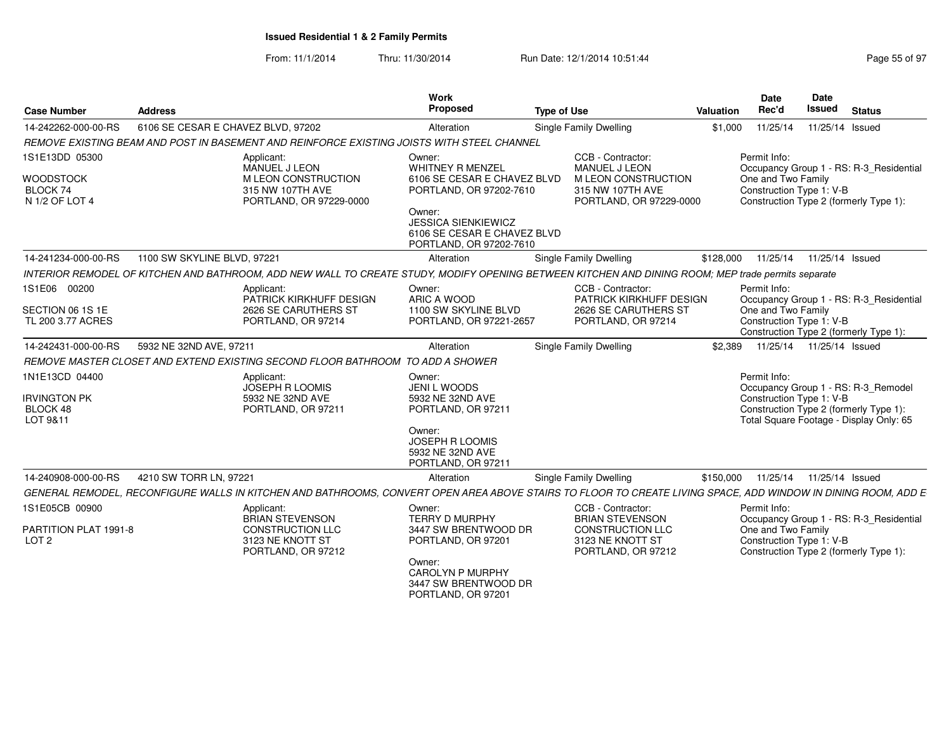| <b>Case Number</b>                                               | <b>Address</b>                                                                                                                                                | Work<br>Proposed                                                                                                                                                                       | <b>Type of Use</b>                                                                                               | Valuation | Date<br>Rec'd                                                  | Date<br><b>Issued</b> | <b>Status</b>                                                                                                            |
|------------------------------------------------------------------|---------------------------------------------------------------------------------------------------------------------------------------------------------------|----------------------------------------------------------------------------------------------------------------------------------------------------------------------------------------|------------------------------------------------------------------------------------------------------------------|-----------|----------------------------------------------------------------|-----------------------|--------------------------------------------------------------------------------------------------------------------------|
| 14-242262-000-00-RS                                              | 6106 SE CESAR E CHAVEZ BLVD, 97202                                                                                                                            | Alteration                                                                                                                                                                             | <b>Single Family Dwelling</b>                                                                                    | \$1,000   | 11/25/14                                                       |                       | 11/25/14 Issued                                                                                                          |
|                                                                  | REMOVE EXISTING BEAM AND POST IN BASEMENT AND REINFORCE EXISTING JOISTS WITH STEEL CHANNEL                                                                    |                                                                                                                                                                                        |                                                                                                                  |           |                                                                |                       |                                                                                                                          |
| 1S1E13DD 05300<br><b>WOODSTOCK</b><br>BLOCK 74<br>N 1/2 OF LOT 4 | Applicant:<br><b>MANUEL J LEON</b><br>M LEON CONSTRUCTION<br>315 NW 107TH AVE<br>PORTLAND, OR 97229-0000                                                      | Owner:<br>WHITNEY R MENZEL<br>6106 SE CESAR E CHAVEZ BLVD<br>PORTLAND, OR 97202-7610<br>Owner:<br><b>JESSICA SIENKIEWICZ</b><br>6106 SE CESAR E CHAVEZ BLVD<br>PORTLAND, OR 97202-7610 | CCB - Contractor:<br><b>MANUEL J LEON</b><br>M LEON CONSTRUCTION<br>315 NW 107TH AVE<br>PORTLAND, OR 97229-0000  |           | Permit Info:<br>One and Two Family<br>Construction Type 1: V-B |                       | Occupancy Group 1 - RS: R-3 Residential<br>Construction Type 2 (formerly Type 1):                                        |
| 14-241234-000-00-RS                                              | 1100 SW SKYLINE BLVD, 97221                                                                                                                                   | Alteration                                                                                                                                                                             | <b>Single Family Dwelling</b>                                                                                    | \$128,000 | 11/25/14  11/25/14  Issued                                     |                       |                                                                                                                          |
|                                                                  | INTERIOR REMODEL OF KITCHEN AND BATHROOM, ADD NEW WALL TO CREATE STUDY, MODIFY OPENING BETWEEN KITCHEN AND DINING ROOM; MEP trade permits separate            |                                                                                                                                                                                        |                                                                                                                  |           |                                                                |                       |                                                                                                                          |
| 1S1E06 00200<br>SECTION 06 1S 1E<br>TL 200 3.77 ACRES            | Applicant:<br>PATRICK KIRKHUFF DESIGN<br>2626 SE CARUTHERS ST<br>PORTLAND, OR 97214                                                                           | Owner:<br>ARIC A WOOD<br>1100 SW SKYLINE BLVD<br>PORTLAND, OR 97221-2657                                                                                                               | CCB - Contractor:<br>PATRICK KIRKHUFF DESIGN<br>2626 SE CARUTHERS ST<br>PORTLAND, OR 97214                       |           | Permit Info:<br>One and Two Family<br>Construction Type 1: V-B |                       | Occupancy Group 1 - RS: R-3 Residential<br>Construction Type 2 (formerly Type 1):                                        |
| 14-242431-000-00-RS                                              | 5932 NE 32ND AVE, 97211                                                                                                                                       | Alteration                                                                                                                                                                             | Single Family Dwelling                                                                                           | \$2.389   | 11/25/14  11/25/14  Issued                                     |                       |                                                                                                                          |
|                                                                  | REMOVE MASTER CLOSET AND EXTEND EXISTING SECOND FLOOR BATHROOM TO ADD A SHOWER                                                                                |                                                                                                                                                                                        |                                                                                                                  |           |                                                                |                       |                                                                                                                          |
| 1N1E13CD 04400<br><b>IRVINGTON PK</b><br>BLOCK 48<br>LOT 9&11    | Applicant:<br><b>JOSEPH R LOOMIS</b><br>5932 NE 32ND AVE<br>PORTLAND, OR 97211                                                                                | Owner:<br><b>JENI L WOODS</b><br>5932 NE 32ND AVE<br>PORTLAND, OR 97211<br>Owner:<br>JOSEPH R LOOMIS<br>5932 NE 32ND AVE<br>PORTLAND, OR 97211                                         |                                                                                                                  |           | Permit Info:<br>Construction Type 1: V-B                       |                       | Occupancy Group 1 - RS: R-3 Remodel<br>Construction Type 2 (formerly Type 1):<br>Total Square Footage - Display Only: 65 |
| 14-240908-000-00-RS                                              | 4210 SW TORR LN, 97221                                                                                                                                        | Alteration                                                                                                                                                                             | Single Family Dwelling                                                                                           | \$150,000 | 11/25/14  11/25/14  Issued                                     |                       |                                                                                                                          |
|                                                                  | GENERAL REMODEL, RECONFIGURE WALLS IN KITCHEN AND BATHROOMS, CONVERT OPEN AREA ABOVE STAIRS TO FLOOR TO CREATE LIVING SPACE, ADD WINDOW IN DINING ROOM, ADD E |                                                                                                                                                                                        |                                                                                                                  |           |                                                                |                       |                                                                                                                          |
| 1S1E05CB 00900<br>PARTITION PLAT 1991-8<br>LOT <sub>2</sub>      | Applicant:<br><b>BRIAN STEVENSON</b><br><b>CONSTRUCTION LLC</b><br>3123 NE KNOTT ST<br>PORTLAND, OR 97212                                                     | Owner:<br><b>TERRY D MURPHY</b><br>3447 SW BRENTWOOD DR<br>PORTLAND, OR 97201<br>Owner:<br><b>CAROLYN P MURPHY</b><br>3447 SW BRENTWOOD DR<br>PORTLAND, OR 97201                       | CCB - Contractor:<br><b>BRIAN STEVENSON</b><br><b>CONSTRUCTION LLC</b><br>3123 NE KNOTT ST<br>PORTLAND, OR 97212 |           | Permit Info:<br>One and Two Family<br>Construction Type 1: V-B |                       | Occupancy Group 1 - RS: R-3_Residential<br>Construction Type 2 (formerly Type 1):                                        |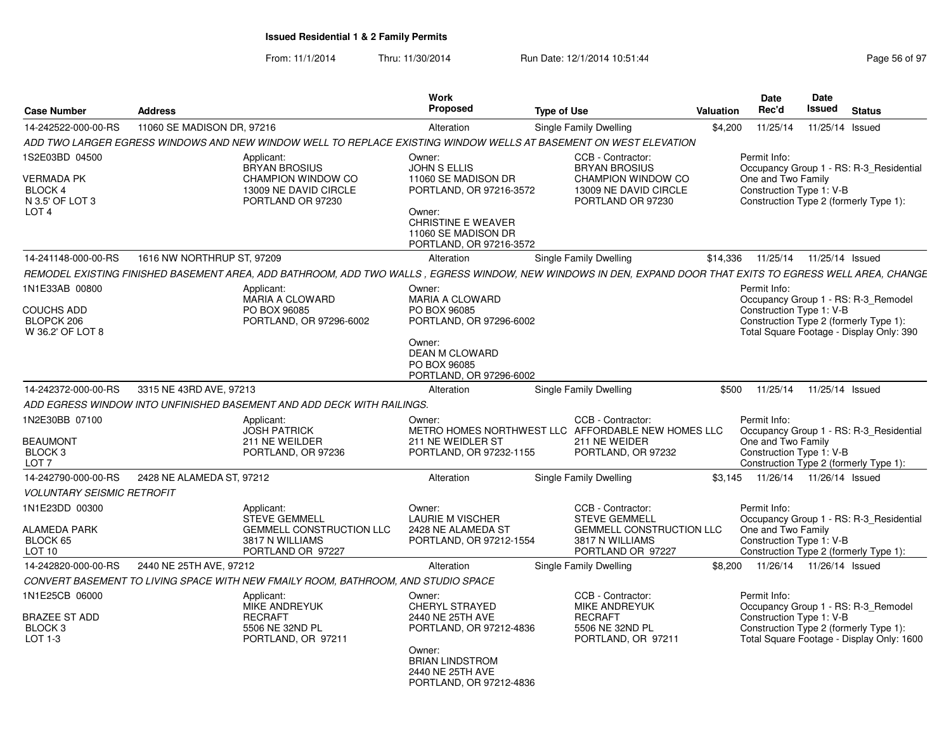| <b>Case Number</b>                                                                    | <b>Address</b>             |                                                                                                               | <b>Work</b><br>Proposed                                                                                                                                                  | <b>Type of Use</b>                                                                                                                                           | <b>Valuation</b> | <b>Date</b><br>Rec'd                                           | Date<br>Issued             | <b>Status</b>                                                                                                              |
|---------------------------------------------------------------------------------------|----------------------------|---------------------------------------------------------------------------------------------------------------|--------------------------------------------------------------------------------------------------------------------------------------------------------------------------|--------------------------------------------------------------------------------------------------------------------------------------------------------------|------------------|----------------------------------------------------------------|----------------------------|----------------------------------------------------------------------------------------------------------------------------|
| 14-242522-000-00-RS                                                                   | 11060 SE MADISON DR, 97216 |                                                                                                               | Alteration                                                                                                                                                               | Single Family Dwelling                                                                                                                                       | \$4,200          | 11/25/14                                                       | 11/25/14 Issued            |                                                                                                                            |
|                                                                                       |                            |                                                                                                               |                                                                                                                                                                          | ADD TWO LARGER EGRESS WINDOWS AND NEW WINDOW WELL TO REPLACE EXISTING WINDOW WELLS AT BASEMENT ON WEST ELEVATION                                             |                  |                                                                |                            |                                                                                                                            |
| 1S2E03BD 04500<br>VERMADA PK<br><b>BLOCK 4</b><br>N 3.5' OF LOT 3<br>LOT <sub>4</sub> |                            | Applicant:<br><b>BRYAN BROSIUS</b><br><b>CHAMPION WINDOW CO</b><br>13009 NE DAVID CIRCLE<br>PORTLAND OR 97230 | Owner:<br><b>JOHN S ELLIS</b><br>11060 SE MADISON DR<br>PORTLAND, OR 97216-3572<br>Owner:<br><b>CHRISTINE E WEAVER</b><br>11060 SE MADISON DR<br>PORTLAND, OR 97216-3572 | CCB - Contractor:<br><b>BRYAN BROSIUS</b><br><b>CHAMPION WINDOW CO</b><br>13009 NE DAVID CIRCLE<br>PORTLAND OR 97230                                         |                  | Permit Info:<br>One and Two Family<br>Construction Type 1: V-B |                            | Occupancy Group 1 - RS: R-3_Residential<br>Construction Type 2 (formerly Type 1):                                          |
| 14-241148-000-00-RS                                                                   | 1616 NW NORTHRUP ST, 97209 |                                                                                                               | Alteration                                                                                                                                                               | Single Family Dwelling                                                                                                                                       | \$14,336         | 11/25/14                                                       | 11/25/14 Issued            |                                                                                                                            |
|                                                                                       |                            |                                                                                                               |                                                                                                                                                                          | REMODEL EXISTING FINISHED BASEMENT AREA, ADD BATHROOM, ADD TWO WALLS , EGRESS WINDOW, NEW WINDOWS IN DEN, EXPAND DOOR THAT EXITS TO EGRESS WELL AREA, CHANGE |                  |                                                                |                            |                                                                                                                            |
| 1N1E33AB 00800<br><b>COUCHS ADD</b><br>BLOPCK 206<br>W 36.2' OF LOT 8                 |                            | Applicant:<br>MARIA A CLOWARD<br>PO BOX 96085<br>PORTLAND, OR 97296-6002                                      | Owner:<br><b>MARIA A CLOWARD</b><br>PO BOX 96085<br>PORTLAND, OR 97296-6002<br>Owner:<br>DEAN M CLOWARD<br>PO BOX 96085<br>PORTLAND, OR 97296-6002                       |                                                                                                                                                              |                  | Permit Info:<br>Construction Type 1: V-B                       |                            | Occupancy Group 1 - RS: R-3_Remodel<br>Construction Type 2 (formerly Type 1):<br>Total Square Footage - Display Only: 390  |
| 14-242372-000-00-RS                                                                   | 3315 NE 43RD AVE, 97213    |                                                                                                               | Alteration                                                                                                                                                               | Single Family Dwelling                                                                                                                                       | \$500            | 11/25/14                                                       | 11/25/14 Issued            |                                                                                                                            |
|                                                                                       |                            | ADD EGRESS WINDOW INTO UNFINISHED BASEMENT AND ADD DECK WITH RAILINGS.                                        |                                                                                                                                                                          |                                                                                                                                                              |                  |                                                                |                            |                                                                                                                            |
| 1N2E30BB 07100<br><b>BEAUMONT</b><br>BLOCK <sub>3</sub><br>LOT 7                      |                            | Applicant:<br><b>JOSH PATRICK</b><br>211 NE WEILDER<br>PORTLAND, OR 97236                                     | Owner:<br>211 NE WEIDLER ST<br>PORTLAND, OR 97232-1155                                                                                                                   | CCB - Contractor:<br>METRO HOMES NORTHWEST LLC AFFORDABLE NEW HOMES LLC<br>211 NE WEIDER<br>PORTLAND, OR 97232                                               |                  | Permit Info:<br>One and Two Family<br>Construction Type 1: V-B |                            | Occupancy Group 1 - RS: R-3 Residential<br>Construction Type 2 (formerly Type 1):                                          |
| 14-242790-000-00-RS                                                                   | 2428 NE ALAMEDA ST, 97212  |                                                                                                               | Alteration                                                                                                                                                               | Single Family Dwelling                                                                                                                                       | \$3.145          |                                                                | 11/26/14  11/26/14  Issued |                                                                                                                            |
| <b>VOLUNTARY SEISMIC RETROFIT</b>                                                     |                            |                                                                                                               |                                                                                                                                                                          |                                                                                                                                                              |                  |                                                                |                            |                                                                                                                            |
| 1N1E23DD 00300<br>ALAMEDA PARK<br>BLOCK 65<br>LOT 10                                  |                            | Applicant:<br><b>STEVE GEMMELL</b><br><b>GEMMELL CONSTRUCTION LLC</b><br>3817 N WILLIAMS<br>PORTLAND OR 97227 | Owner:<br><b>LAURIE M VISCHER</b><br>2428 NE ALAMEDA ST<br>PORTLAND, OR 97212-1554                                                                                       | CCB - Contractor:<br><b>STEVE GEMMELL</b><br>GEMMELL CONSTRUCTION LLC<br>3817 N WILLIAMS<br>PORTLAND OR 97227                                                |                  | Permit Info:<br>One and Two Family<br>Construction Type 1: V-B |                            | Occupancy Group 1 - RS: R-3 Residential<br>Construction Type 2 (formerly Type 1):                                          |
| 14-242820-000-00-RS                                                                   | 2440 NE 25TH AVE, 97212    |                                                                                                               | Alteration                                                                                                                                                               | Single Family Dwelling                                                                                                                                       | \$8,200          |                                                                | 11/26/14  11/26/14  Issued |                                                                                                                            |
|                                                                                       |                            | CONVERT BASEMENT TO LIVING SPACE WITH NEW FMAILY ROOM. BATHROOM. AND STUDIO SPACE                             |                                                                                                                                                                          |                                                                                                                                                              |                  |                                                                |                            |                                                                                                                            |
| 1N1E25CB 06000<br><b>BRAZEE ST ADD</b><br>BLOCK <sub>3</sub><br>$LOT 1-3$             |                            | Applicant:<br><b>MIKE ANDREYUK</b><br><b>RECRAFT</b><br>5506 NE 32ND PL<br>PORTLAND, OR 97211                 | Owner:<br><b>CHERYL STRAYED</b><br>2440 NE 25TH AVE<br>PORTLAND, OR 97212-4836<br>Owner:<br><b>BRIAN LINDSTROM</b><br>2440 NE 25TH AVE<br>PORTLAND, OR 97212-4836        | CCB - Contractor:<br><b>MIKE ANDREYUK</b><br><b>RECRAFT</b><br>5506 NE 32ND PL<br>PORTLAND, OR 97211                                                         |                  | Permit Info:<br>Construction Type 1: V-B                       |                            | Occupancy Group 1 - RS: R-3_Remodel<br>Construction Type 2 (formerly Type 1):<br>Total Square Footage - Display Only: 1600 |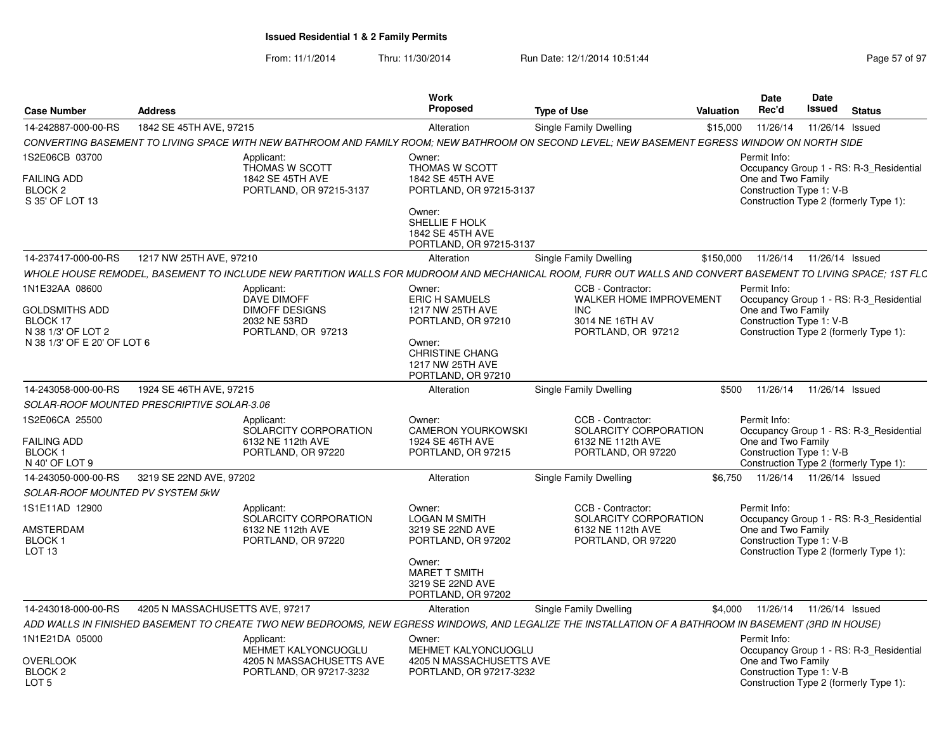| <b>Case Number</b>                                                                                       | <b>Address</b>                  |                                                                                          | <b>Work</b><br>Proposed                                                                                                                                 | <b>Type of Use</b>                                                                                                                                         | Date<br>Rec'd<br>Valuation         | Date<br>Issued<br><b>Status</b>                                                                               |
|----------------------------------------------------------------------------------------------------------|---------------------------------|------------------------------------------------------------------------------------------|---------------------------------------------------------------------------------------------------------------------------------------------------------|------------------------------------------------------------------------------------------------------------------------------------------------------------|------------------------------------|---------------------------------------------------------------------------------------------------------------|
| 14-242887-000-00-RS                                                                                      | 1842 SE 45TH AVE, 97215         |                                                                                          | Alteration                                                                                                                                              | Single Family Dwelling                                                                                                                                     | \$15,000                           | 11/26/14  11/26/14  Issued                                                                                    |
|                                                                                                          |                                 |                                                                                          |                                                                                                                                                         | CONVERTING BASEMENT TO LIVING SPACE WITH NEW BATHROOM AND FAMILY ROOM; NEW BATHROOM ON SECOND LEVEL; NEW BASEMENT EGRESS WINDOW ON NORTH SIDE              |                                    |                                                                                                               |
| 1S2E06CB 03700<br><b>FAILING ADD</b><br>BLOCK <sub>2</sub><br>S 35' OF LOT 13                            |                                 | Applicant:<br>THOMAS W SCOTT<br>1842 SE 45TH AVE<br>PORTLAND, OR 97215-3137              | Owner:<br>THOMAS W SCOTT<br>1842 SE 45TH AVE<br>PORTLAND, OR 97215-3137<br>Owner:<br>SHELLIE F HOLK<br>1842 SE 45TH AVE<br>PORTLAND, OR 97215-3137      |                                                                                                                                                            | Permit Info:<br>One and Two Family | Occupancy Group 1 - RS: R-3_Residential<br>Construction Type 1: V-B<br>Construction Type 2 (formerly Type 1): |
| 14-237417-000-00-RS                                                                                      | 1217 NW 25TH AVE, 97210         |                                                                                          | Alteration                                                                                                                                              | Single Family Dwelling                                                                                                                                     | \$150,000                          | 11/26/14  11/26/14  Issued                                                                                    |
|                                                                                                          |                                 |                                                                                          |                                                                                                                                                         | WHOLE HOUSE REMODEL. BASEMENT TO INCLUDE NEW PARTITION WALLS FOR MUDROOM AND MECHANICAL ROOM. FURR OUT WALLS AND CONVERT BASEMENT TO LIVING SPACE: 1ST FLC |                                    |                                                                                                               |
| 1N1E32AA 08600<br><b>GOLDSMITHS ADD</b><br>BLOCK 17<br>N 38 1/3' OF LOT 2<br>N 38 1/3' OF E 20' OF LOT 6 |                                 | Applicant:<br>DAVE DIMOFF<br><b>DIMOFF DESIGNS</b><br>2032 NE 53RD<br>PORTLAND, OR 97213 | Owner:<br><b>ERIC H SAMUELS</b><br>1217 NW 25TH AVE<br>PORTLAND, OR 97210<br>Owner:<br><b>CHRISTINE CHANG</b><br>1217 NW 25TH AVE<br>PORTLAND, OR 97210 | CCB - Contractor:<br><b>WALKER HOME IMPROVEMENT</b><br><b>INC</b><br>3014 NE 16TH AV<br>PORTLAND, OR 97212                                                 | Permit Info:<br>One and Two Family | Occupancy Group 1 - RS: R-3_Residential<br>Construction Type 1: V-B<br>Construction Type 2 (formerly Type 1): |
| 14-243058-000-00-RS                                                                                      | 1924 SE 46TH AVE, 97215         |                                                                                          | Alteration                                                                                                                                              | Single Family Dwelling                                                                                                                                     |                                    | \$500 11/26/14 11/26/14 Issued                                                                                |
| SOLAR-ROOF MOUNTED PRESCRIPTIVE SOLAR-3.06                                                               |                                 |                                                                                          |                                                                                                                                                         |                                                                                                                                                            |                                    |                                                                                                               |
| 1S2E06CA 25500<br><b>FAILING ADD</b><br>BLOCK 1<br>N 40' OF LOT 9                                        |                                 | Applicant:<br>SOLARCITY CORPORATION<br>6132 NE 112th AVE<br>PORTLAND, OR 97220           | Owner:<br><b>CAMERON YOURKOWSKI</b><br>1924 SE 46TH AVE<br>PORTLAND, OR 97215                                                                           | CCB - Contractor:<br>SOLARCITY CORPORATION<br>6132 NE 112th AVE<br>PORTLAND, OR 97220                                                                      | Permit Info:<br>One and Two Family | Occupancy Group 1 - RS: R-3_Residential<br>Construction Type 1: V-B<br>Construction Type 2 (formerly Type 1): |
| 14-243050-000-00-RS 3219 SE 22ND AVE, 97202<br><b>SOLAR-ROOF MOUNTED PV SYSTEM 5kW</b>                   |                                 |                                                                                          | Alteration                                                                                                                                              | Single Family Dwelling                                                                                                                                     |                                    | \$6,750  11/26/14  11/26/14  Issued                                                                           |
| 1S1E11AD 12900<br>AMSTERDAM<br>BLOCK 1<br>LOT <sub>13</sub>                                              |                                 | Applicant:<br>SOLARCITY CORPORATION<br>6132 NE 112th AVE<br>PORTLAND, OR 97220           | Owner:<br><b>LOGAN M SMITH</b><br>3219 SE 22ND AVE<br>PORTLAND, OR 97202<br>Owner:<br>MARET T SMITH<br>3219 SE 22ND AVE<br>PORTLAND, OR 97202           | CCB - Contractor:<br>SOLARCITY CORPORATION<br>6132 NE 112th AVE<br>PORTLAND, OR 97220                                                                      | Permit Info:<br>One and Two Family | Occupancy Group 1 - RS: R-3_Residential<br>Construction Type 1: V-B<br>Construction Type 2 (formerly Type 1): |
| 14-243018-000-00-RS                                                                                      | 4205 N MASSACHUSETTS AVE, 97217 |                                                                                          | Alteration                                                                                                                                              | Single Family Dwelling                                                                                                                                     |                                    | \$4,000  11/26/14  11/26/14  Issued                                                                           |
|                                                                                                          |                                 |                                                                                          |                                                                                                                                                         | ADD WALLS IN FINISHED BASEMENT TO CREATE TWO NEW BEDROOMS, NEW EGRESS WINDOWS, AND LEGALIZE THE INSTALLATION OF A BATHROOM IN BASEMENT (3RD IN HOUSE)      |                                    |                                                                                                               |
|                                                                                                          |                                 |                                                                                          |                                                                                                                                                         |                                                                                                                                                            | Permit Info:                       |                                                                                                               |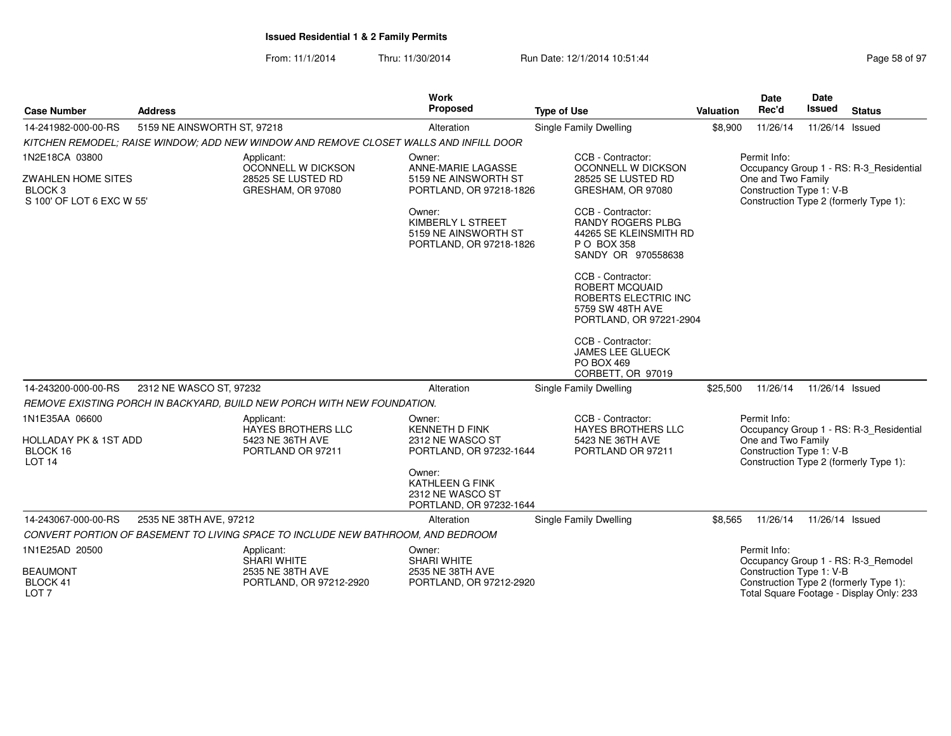From: 11/1/2014Thru: 11/30/2014 **Run Date: 12/1/2014 10:51:44 Page 58 of 97 of 97 of 97 of 97 of 97 of 97 of 97 of 97 of 97 of 97 of 97 of 97 of 97 of 97 of 97 of 97 of 97 of 97 of 97 of 97 of 97 of 97 of 97 of 97 of 97 of 97 of 97 of** 

|                                                                                         |                             |                                                                                       | <b>Work</b>                                                                                                                                                       |                                                                                                                                                                                                                                                                                                                                                                         |           | Date                                                           | <b>Date</b>     |                                                                                    |
|-----------------------------------------------------------------------------------------|-----------------------------|---------------------------------------------------------------------------------------|-------------------------------------------------------------------------------------------------------------------------------------------------------------------|-------------------------------------------------------------------------------------------------------------------------------------------------------------------------------------------------------------------------------------------------------------------------------------------------------------------------------------------------------------------------|-----------|----------------------------------------------------------------|-----------------|------------------------------------------------------------------------------------|
| <b>Case Number</b>                                                                      | <b>Address</b>              |                                                                                       | <b>Proposed</b>                                                                                                                                                   | <b>Type of Use</b>                                                                                                                                                                                                                                                                                                                                                      | Valuation | Rec'd                                                          | <b>Issued</b>   | <b>Status</b>                                                                      |
| 14-241982-000-00-RS                                                                     | 5159 NE AINSWORTH ST, 97218 |                                                                                       | Alteration                                                                                                                                                        | Single Family Dwelling                                                                                                                                                                                                                                                                                                                                                  | \$8,900   | 11/26/14                                                       | 11/26/14 Issued |                                                                                    |
|                                                                                         |                             | KITCHEN REMODEL; RAISE WINDOW; ADD NEW WINDOW AND REMOVE CLOSET WALLS AND INFILL DOOR |                                                                                                                                                                   |                                                                                                                                                                                                                                                                                                                                                                         |           |                                                                |                 |                                                                                    |
| 1N2E18CA 03800<br>ZWAHLEN HOME SITES<br>BLOCK <sub>3</sub><br>S 100' OF LOT 6 EXC W 55' |                             | Applicant:<br>OCONNELL W DICKSON<br>28525 SE LUSTED RD<br>GRESHAM, OR 97080           | Owner:<br>ANNE-MARIE LAGASSE<br>5159 NE AINSWORTH ST<br>PORTLAND, OR 97218-1826<br>Owner:<br>KIMBERLY L STREET<br>5159 NE AINSWORTH ST<br>PORTLAND, OR 97218-1826 | CCB - Contractor:<br>OCONNELL W DICKSON<br>28525 SE LUSTED RD<br>GRESHAM, OR 97080<br>CCB - Contractor:<br><b>RANDY ROGERS PLBG</b><br>44265 SE KLEINSMITH RD<br>P O BOX 358<br>SANDY OR 970558638<br>CCB - Contractor:<br><b>ROBERT MCQUAID</b><br>ROBERTS ELECTRIC INC<br>5759 SW 48TH AVE<br>PORTLAND, OR 97221-2904<br>CCB - Contractor:<br><b>JAMES LEE GLUECK</b> |           | Permit Info:<br>One and Two Family<br>Construction Type 1: V-B |                 | Occupancy Group 1 - RS: R-3_Residential<br>Construction Type 2 (formerly Type 1):  |
|                                                                                         |                             |                                                                                       |                                                                                                                                                                   | PO BOX 469<br>CORBETT, OR 97019                                                                                                                                                                                                                                                                                                                                         |           |                                                                |                 |                                                                                    |
| 14-243200-000-00-RS                                                                     | 2312 NE WASCO ST, 97232     |                                                                                       | Alteration                                                                                                                                                        | Single Family Dwelling                                                                                                                                                                                                                                                                                                                                                  | \$25.500  | 11/26/14                                                       | 11/26/14 Issued |                                                                                    |
|                                                                                         |                             | REMOVE EXISTING PORCH IN BACKYARD, BUILD NEW PORCH WITH NEW FOUNDATION.               |                                                                                                                                                                   |                                                                                                                                                                                                                                                                                                                                                                         |           |                                                                |                 |                                                                                    |
| 1N1E35AA 06600<br><b>HOLLADAY PK &amp; 1ST ADD</b><br>BLOCK 16<br><b>LOT 14</b>         |                             | Applicant:<br><b>HAYES BROTHERS LLC</b><br>5423 NE 36TH AVE<br>PORTLAND OR 97211      | Owner:<br><b>KENNETH D FINK</b><br>2312 NE WASCO ST<br>PORTLAND, OR 97232-1644<br>Owner:<br>KATHLEEN G FINK<br>2312 NE WASCO ST                                   | CCB - Contractor:<br><b>HAYES BROTHERS LLC</b><br>5423 NE 36TH AVE<br>PORTLAND OR 97211                                                                                                                                                                                                                                                                                 |           | Permit Info:<br>One and Two Family<br>Construction Type 1: V-B |                 | Occupancy Group 1 - RS: R-3_Residential<br>Construction Type 2 (formerly Type 1):  |
|                                                                                         |                             |                                                                                       | PORTLAND, OR 97232-1644                                                                                                                                           |                                                                                                                                                                                                                                                                                                                                                                         |           |                                                                |                 |                                                                                    |
| 14-243067-000-00-RS                                                                     | 2535 NE 38TH AVE, 97212     |                                                                                       | Alteration                                                                                                                                                        | <b>Single Family Dwelling</b>                                                                                                                                                                                                                                                                                                                                           | \$8,565   | 11/26/14                                                       | 11/26/14 Issued |                                                                                    |
|                                                                                         |                             | CONVERT PORTION OF BASEMENT TO LIVING SPACE TO INCLUDE NEW BATHROOM, AND BEDROOM      |                                                                                                                                                                   |                                                                                                                                                                                                                                                                                                                                                                         |           |                                                                |                 |                                                                                    |
| 1N1E25AD 20500                                                                          |                             | Applicant:<br><b>SHARI WHITE</b>                                                      | Owner:<br><b>SHARI WHITE</b>                                                                                                                                      |                                                                                                                                                                                                                                                                                                                                                                         |           | Permit Info:                                                   |                 | Occupancy Group 1 - RS: R-3_Remodel                                                |
| <b>BEAUMONT</b><br>BLOCK 41<br>LOT <sub>7</sub>                                         |                             | 2535 NE 38TH AVE<br>PORTLAND, OR 97212-2920                                           | 2535 NE 38TH AVE<br>PORTLAND, OR 97212-2920                                                                                                                       |                                                                                                                                                                                                                                                                                                                                                                         |           | Construction Type 1: V-B                                       |                 | Construction Type 2 (formerly Type 1):<br>Total Square Footage - Display Only: 233 |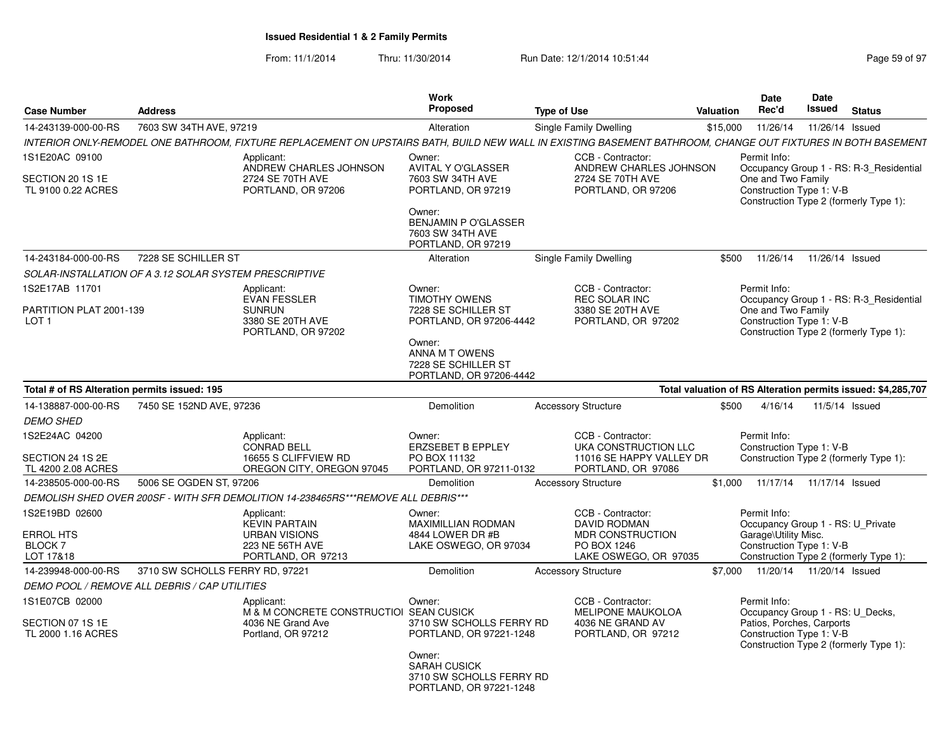| <b>Case Number</b>                                            | <b>Address</b>                                         |                                                                                                     | Work<br><b>Proposed</b>                                                                                                                                        | <b>Type of Use</b>                                                                                                                                           | <b>Valuation</b> | Date<br>Rec'd                                                         | <b>Date</b><br>Issued      | <b>Status</b>                                                                     |
|---------------------------------------------------------------|--------------------------------------------------------|-----------------------------------------------------------------------------------------------------|----------------------------------------------------------------------------------------------------------------------------------------------------------------|--------------------------------------------------------------------------------------------------------------------------------------------------------------|------------------|-----------------------------------------------------------------------|----------------------------|-----------------------------------------------------------------------------------|
| 14-243139-000-00-RS                                           | 7603 SW 34TH AVE, 97219                                |                                                                                                     | Alteration                                                                                                                                                     | Single Family Dwelling                                                                                                                                       | \$15,000         | 11/26/14                                                              | 11/26/14 Issued            |                                                                                   |
|                                                               |                                                        |                                                                                                     |                                                                                                                                                                | INTERIOR ONLY-REMODEL ONE BATHROOM. FIXTURE REPLACEMENT ON UPSTAIRS BATH. BUILD NEW WALL IN EXISTING BASEMENT BATHROOM. CHANGE OUT FIXTURES IN BOTH BASEMENT |                  |                                                                       |                            |                                                                                   |
| 1S1E20AC 09100<br>SECTION 20 1S 1E<br>TL 9100 0.22 ACRES      |                                                        | Applicant:<br>ANDREW CHARLES JOHNSON<br>2724 SE 70TH AVE<br>PORTLAND, OR 97206                      | Owner:<br><b>AVITAL Y O'GLASSER</b><br>7603 SW 34TH AVE<br>PORTLAND, OR 97219<br>Owner:<br><b>BENJAMIN P O'GLASSER</b>                                         | CCB - Contractor:<br>ANDREW CHARLES JOHNSON<br>2724 SE 70TH AVE<br>PORTLAND, OR 97206                                                                        |                  | Permit Info:<br>One and Two Family<br>Construction Type 1: V-B        |                            | Occupancy Group 1 - RS: R-3_Residential<br>Construction Type 2 (formerly Type 1): |
|                                                               |                                                        |                                                                                                     | 7603 SW 34TH AVE<br>PORTLAND, OR 97219                                                                                                                         |                                                                                                                                                              |                  |                                                                       |                            |                                                                                   |
| 14-243184-000-00-RS                                           | 7228 SE SCHILLER ST                                    |                                                                                                     | Alteration                                                                                                                                                     | Single Family Dwelling                                                                                                                                       | \$500            | 11/26/14                                                              | 11/26/14 Issued            |                                                                                   |
|                                                               | SOLAR-INSTALLATION OF A 3.12 SOLAR SYSTEM PRESCRIPTIVE |                                                                                                     |                                                                                                                                                                |                                                                                                                                                              |                  |                                                                       |                            |                                                                                   |
| 1S2E17AB 11701<br>PARTITION PLAT 2001-139<br>LOT <sub>1</sub> |                                                        | Applicant:<br><b>EVAN FESSLER</b><br><b>SUNRUN</b><br>3380 SE 20TH AVE<br>PORTLAND, OR 97202        | Owner:<br><b>TIMOTHY OWENS</b><br>7228 SE SCHILLER ST<br>PORTLAND, OR 97206-4442<br>Owner:<br>ANNA M T OWENS<br>7228 SE SCHILLER ST<br>PORTLAND, OR 97206-4442 | CCB - Contractor:<br><b>REC SOLAR INC</b><br>3380 SE 20TH AVE<br>PORTLAND, OR 97202                                                                          |                  | Permit Info:<br>One and Two Family<br>Construction Type 1: V-B        |                            | Occupancy Group 1 - RS: R-3 Residential<br>Construction Type 2 (formerly Type 1): |
| Total # of RS Alteration permits issued: 195                  |                                                        |                                                                                                     |                                                                                                                                                                |                                                                                                                                                              |                  |                                                                       |                            | Total valuation of RS Alteration permits issued: \$4,285,707                      |
| 14-138887-000-00-RS                                           | 7450 SE 152ND AVE, 97236                               |                                                                                                     | <b>Demolition</b>                                                                                                                                              | <b>Accessory Structure</b>                                                                                                                                   | \$500            | 4/16/14                                                               |                            | 11/5/14 Issued                                                                    |
| <b>DEMO SHED</b>                                              |                                                        |                                                                                                     |                                                                                                                                                                |                                                                                                                                                              |                  |                                                                       |                            |                                                                                   |
| IS2E24AC 04200<br>SECTION 24 1S 2E<br>TL 4200 2.08 ACRES      |                                                        | Applicant:<br><b>CONRAD BELL</b><br>16655 S CLIFFVIEW RD<br>OREGON CITY, OREGON 97045               | Owner:<br><b>ERZSEBET B EPPLEY</b><br>PO BOX 11132<br>PORTLAND, OR 97211-0132                                                                                  | CCB - Contractor:<br>UKA CONSTRUCTION LLC<br>11016 SE HAPPY VALLEY DR<br>PORTLAND, OR 97086                                                                  |                  | Permit Info:<br>Construction Type 1: V-B                              |                            | Construction Type 2 (formerly Type 1):                                            |
| 14-238505-000-00-RS                                           | 5006 SE OGDEN ST, 97206                                |                                                                                                     | Demolition                                                                                                                                                     | <b>Accessory Structure</b>                                                                                                                                   | \$1.000          |                                                                       | 11/17/14  11/17/14  Issued |                                                                                   |
|                                                               |                                                        | DEMOLISH SHED OVER 200SF - WITH SFR DEMOLITION 14-238465RS***REMOVE ALL DEBRIS***                   |                                                                                                                                                                |                                                                                                                                                              |                  |                                                                       |                            |                                                                                   |
| IS2E19BD 02600<br>ERROL HTS<br><b>BLOCK7</b><br>LOT 17&18     |                                                        | Applicant:<br><b>KEVIN PARTAIN</b><br><b>URBAN VISIONS</b><br>223 NE 56TH AVE<br>PORTLAND, OR 97213 | Owner:<br><b>MAXIMILLIAN RODMAN</b><br>4844 LOWER DR #B<br>LAKE OSWEGO, OR 97034                                                                               | CCB - Contractor:<br><b>DAVID RODMAN</b><br>MDR CONSTRUCTION<br>PO BOX 1246<br>LAKE OSWEGO, OR 97035                                                         |                  | Permit Info:<br>Garage\Utility Misc.<br>Construction Type 1: V-B      |                            | Occupancy Group 1 - RS: U Private<br>Construction Type 2 (formerly Type 1):       |
| 14-239948-000-00-RS                                           | 3710 SW SCHOLLS FERRY RD, 97221                        |                                                                                                     | Demolition                                                                                                                                                     | <b>Accessory Structure</b>                                                                                                                                   | \$7.000          |                                                                       | 11/20/14  11/20/14  Issued |                                                                                   |
|                                                               | DEMO POOL / REMOVE ALL DEBRIS / CAP UTILITIES          |                                                                                                     |                                                                                                                                                                |                                                                                                                                                              |                  |                                                                       |                            |                                                                                   |
| 1S1E07CB 02000<br>SECTION 07 1S 1E<br>TL 2000 1.16 ACRES      |                                                        | Applicant:<br>M & M CONCRETE CONSTRUCTIOI SEAN CUSICK<br>4036 NE Grand Ave<br>Portland, OR 97212    | Owner:<br>3710 SW SCHOLLS FERRY RD<br>PORTLAND, OR 97221-1248<br>Owner:                                                                                        | CCB - Contractor:<br><b>MELIPONE MAUKOLOA</b><br>4036 NE GRAND AV<br>PORTLAND, OR 97212                                                                      |                  | Permit Info:<br>Patios, Porches, Carports<br>Construction Type 1: V-B |                            | Occupancy Group 1 - RS: U Decks,<br>Construction Type 2 (formerly Type 1):        |
|                                                               |                                                        |                                                                                                     | SARAH CUSICK<br>3710 SW SCHOLLS FERRY RD<br>PORTLAND, OR 97221-1248                                                                                            |                                                                                                                                                              |                  |                                                                       |                            |                                                                                   |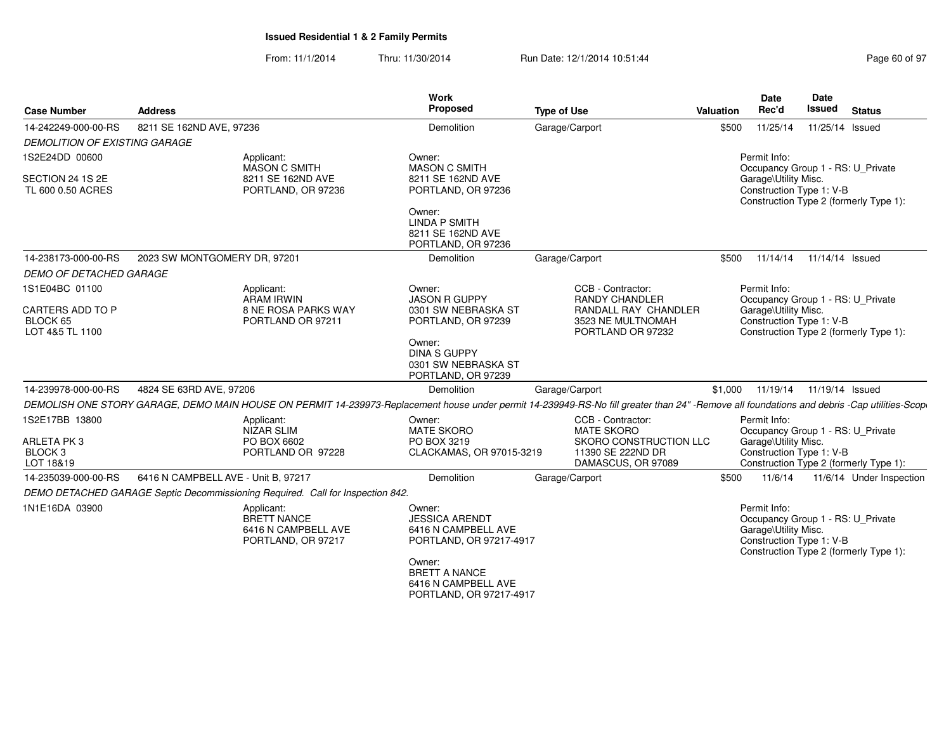| <b>Case Number</b>                                      | <b>Address</b>                                                                                                                                                                             | Work<br><b>Proposed</b>                                                                                                                    | <b>Type of Use</b>                                             | Valuation | <b>Date</b><br>Rec'd                                             | Date<br><b>Issued</b> | <b>Status</b>                                                               |
|---------------------------------------------------------|--------------------------------------------------------------------------------------------------------------------------------------------------------------------------------------------|--------------------------------------------------------------------------------------------------------------------------------------------|----------------------------------------------------------------|-----------|------------------------------------------------------------------|-----------------------|-----------------------------------------------------------------------------|
| 14-242249-000-00-RS                                     | 8211 SE 162ND AVE, 97236                                                                                                                                                                   | Demolition                                                                                                                                 | Garage/Carport                                                 | \$500     | 11/25/14                                                         |                       | 11/25/14 Issued                                                             |
| <b>DEMOLITION OF EXISTING GARAGE</b>                    |                                                                                                                                                                                            |                                                                                                                                            |                                                                |           |                                                                  |                       |                                                                             |
| 1S2E24DD 00600<br>SECTION 24 1S 2E<br>TL 600 0.50 ACRES | Applicant:<br><b>MASON C SMITH</b><br>8211 SE 162ND AVE<br>PORTLAND, OR 97236                                                                                                              | Owner:<br><b>MASON C SMITH</b><br>8211 SE 162ND AVE<br>PORTLAND, OR 97236                                                                  |                                                                |           | Permit Info:<br>Garage\Utility Misc.<br>Construction Type 1: V-B |                       | Occupancy Group 1 - RS: U Private<br>Construction Type 2 (formerly Type 1): |
|                                                         |                                                                                                                                                                                            | Owner:<br><b>LINDA P SMITH</b><br>8211 SE 162ND AVE<br>PORTLAND, OR 97236                                                                  |                                                                |           |                                                                  |                       |                                                                             |
| 14-238173-000-00-RS                                     | 2023 SW MONTGOMERY DR, 97201                                                                                                                                                               | Demolition                                                                                                                                 | Garage/Carport                                                 | \$500     | 11/14/14                                                         | 11/14/14 Issued       |                                                                             |
| <b>DEMO OF DETACHED GARAGE</b>                          |                                                                                                                                                                                            |                                                                                                                                            |                                                                |           |                                                                  |                       |                                                                             |
| 1S1E04BC 01100                                          | Applicant:<br>ARAM IRWIN                                                                                                                                                                   | Owner:<br><b>JASON R GUPPY</b>                                                                                                             | CCB - Contractor:<br><b>RANDY CHANDLER</b>                     |           | Permit Info:                                                     |                       | Occupancy Group 1 - RS: U_Private                                           |
| CARTERS ADD TO P<br>BLOCK 65<br>LOT 4&5 TL 1100         | 8 NE ROSA PARKS WAY<br>PORTLAND OR 97211                                                                                                                                                   | 0301 SW NEBRASKA ST<br>PORTLAND, OR 97239                                                                                                  | RANDALL RAY CHANDLER<br>3523 NE MULTNOMAH<br>PORTLAND OR 97232 |           | Garage\Utility Misc.<br>Construction Type 1: V-B                 |                       | Construction Type 2 (formerly Type 1):                                      |
|                                                         |                                                                                                                                                                                            | Owner:<br><b>DINA S GUPPY</b><br>0301 SW NEBRASKA ST<br>PORTLAND, OR 97239                                                                 |                                                                |           |                                                                  |                       |                                                                             |
| 14-239978-000-00-RS                                     | 4824 SE 63RD AVE, 97206                                                                                                                                                                    | Demolition                                                                                                                                 | Garage/Carport                                                 | \$1,000   | 11/19/14                                                         | 11/19/14 Issued       |                                                                             |
|                                                         | DEMOLISH ONE STORY GARAGE, DEMO MAIN HOUSE ON PERMIT 14-239973-Replacement house under permit 14-239949-RS-No fill greater than 24" -Remove all foundations and debris -Cap utilities-Scop |                                                                                                                                            |                                                                |           |                                                                  |                       |                                                                             |
| 1S2E17BB 13800<br>ARLETA PK3                            | Applicant:<br>NIZAR SLIM<br>PO BOX 6602                                                                                                                                                    | Owner:<br>MATE SKORO<br>PO BOX 3219                                                                                                        | CCB - Contractor:<br>MATE SKORO<br>SKORO CONSTRUCTION LLC      |           | Permit Info:<br>Garage\Utility Misc.                             |                       | Occupancy Group 1 - RS: U_Private                                           |
| BLOCK <sub>3</sub><br>LOT 18&19                         | PORTLAND OR 97228                                                                                                                                                                          | CLACKAMAS, OR 97015-3219                                                                                                                   | 11390 SE 222ND DR<br>DAMASCUS, OR 97089                        |           | Construction Type 1: V-B                                         |                       | Construction Type 2 (formerly Type 1):                                      |
| 14-235039-000-00-RS                                     | 6416 N CAMPBELL AVE - Unit B, 97217                                                                                                                                                        | Demolition                                                                                                                                 | Garage/Carport                                                 | \$500     | 11/6/14                                                          |                       | 11/6/14 Under Inspection                                                    |
|                                                         | DEMO DETACHED GARAGE Septic Decommissioning Required. Call for Inspection 842.                                                                                                             |                                                                                                                                            |                                                                |           |                                                                  |                       |                                                                             |
| 1N1E16DA 03900                                          | Applicant:<br>BRETT NANCE<br>6416 N CAMPBELL AVE<br>PORTLAND, OR 97217                                                                                                                     | Owner:<br><b>JESSICA ARENDT</b><br>6416 N CAMPBELL AVE<br>PORTLAND, OR 97217-4917<br>Owner:<br><b>BRETT A NANCE</b><br>6416 N CAMPBELL AVE |                                                                |           | Permit Info:<br>Garage\Utility Misc.<br>Construction Type 1: V-B |                       | Occupancy Group 1 - RS: U_Private<br>Construction Type 2 (formerly Type 1): |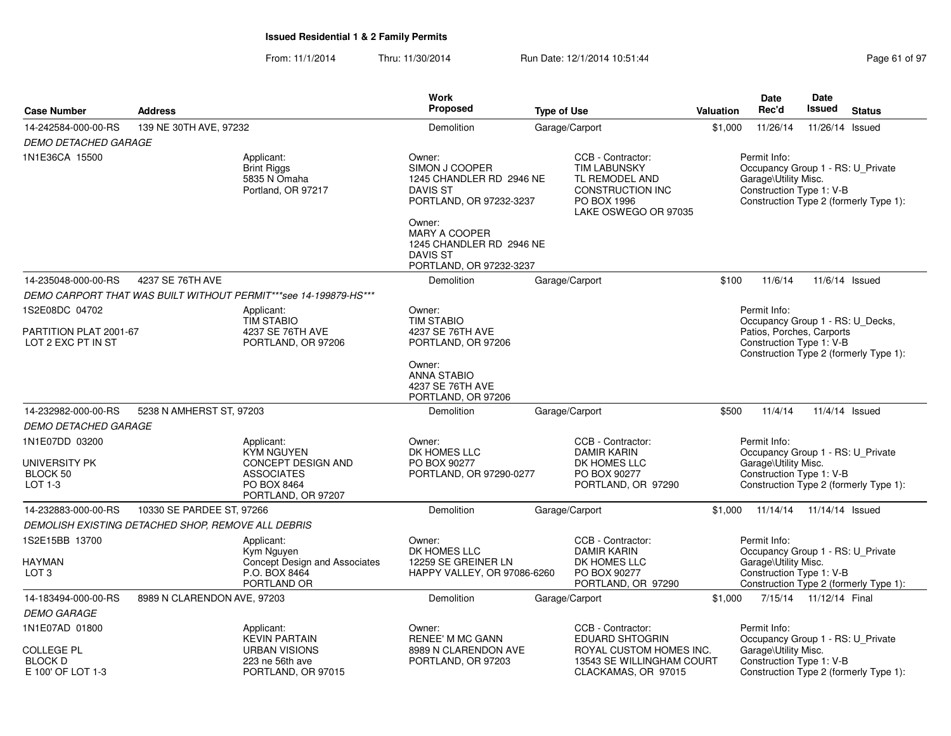| <b>Case Number</b>                                       | <b>Address</b>                                     |                                                                  | <b>Work</b><br>Proposed                                                                                  | <b>Type of Use</b> |                                                                                  | <b>Valuation</b> | <b>Date</b><br>Rec'd                                  | <b>Date</b><br>Issued    | <b>Status</b>                          |
|----------------------------------------------------------|----------------------------------------------------|------------------------------------------------------------------|----------------------------------------------------------------------------------------------------------|--------------------|----------------------------------------------------------------------------------|------------------|-------------------------------------------------------|--------------------------|----------------------------------------|
|                                                          | 139 NE 30TH AVE, 97232                             |                                                                  | Demolition                                                                                               |                    | Garage/Carport                                                                   | \$1,000          | 11/26/14                                              |                          | 11/26/14 Issued                        |
| 14-242584-000-00-RS                                      |                                                    |                                                                  |                                                                                                          |                    |                                                                                  |                  |                                                       |                          |                                        |
| <b>DEMO DETACHED GARAGE</b><br>1N1E36CA 15500            |                                                    | Applicant:<br><b>Brint Riggs</b>                                 | Owner:<br>SIMON J COOPER                                                                                 |                    | CCB - Contractor:<br><b>TIM LABUNSKY</b>                                         |                  | Permit Info:<br>Occupancy Group 1 - RS: U_Private     |                          |                                        |
|                                                          |                                                    | 5835 N Omaha<br>Portland, OR 97217                               | 1245 CHANDLER RD 2946 NE<br><b>DAVIS ST</b><br>PORTLAND, OR 97232-3237                                   |                    | TL REMODEL AND<br><b>CONSTRUCTION INC</b><br>PO BOX 1996<br>LAKE OSWEGO OR 97035 |                  | Garage\Utility Misc.<br>Construction Type 1: V-B      |                          | Construction Type 2 (formerly Type 1): |
|                                                          |                                                    |                                                                  | Owner:<br><b>MARY A COOPER</b><br>1245 CHANDLER RD 2946 NE<br><b>DAVIS ST</b><br>PORTLAND, OR 97232-3237 |                    |                                                                                  |                  |                                                       |                          |                                        |
| 14-235048-000-00-RS                                      | 4237 SE 76TH AVE                                   |                                                                  | Demolition                                                                                               |                    | Garage/Carport                                                                   | \$100            | 11/6/14                                               |                          | 11/6/14 Issued                         |
|                                                          |                                                    | DEMO CARPORT THAT WAS BUILT WITHOUT PERMIT***see 14-199879-HS*** |                                                                                                          |                    |                                                                                  |                  |                                                       |                          |                                        |
| 1S2E08DC 04702                                           |                                                    | Applicant:<br><b>TIM STABIO</b>                                  | Owner:<br><b>TIM STABIO</b>                                                                              |                    |                                                                                  |                  | Permit Info:<br>Occupancy Group 1 - RS: U_Decks,      |                          |                                        |
| PARTITION PLAT 2001-67<br>LOT 2 EXC PT IN ST             |                                                    | 4237 SE 76TH AVE<br>PORTLAND, OR 97206                           | 4237 SE 76TH AVE<br>PORTLAND, OR 97206                                                                   |                    |                                                                                  |                  | Patios, Porches, Carports<br>Construction Type 1: V-B |                          | Construction Type 2 (formerly Type 1): |
|                                                          |                                                    |                                                                  | Owner:<br><b>ANNA STABIO</b><br>4237 SE 76TH AVE<br>PORTLAND, OR 97206                                   |                    |                                                                                  |                  |                                                       |                          |                                        |
| 14-232982-000-00-RS                                      | 5238 N AMHERST ST, 97203                           |                                                                  | Demolition                                                                                               |                    | Garage/Carport                                                                   | \$500            | 11/4/14                                               |                          | 11/4/14 Issued                         |
| <b>DEMO DETACHED GARAGE</b>                              |                                                    |                                                                  |                                                                                                          |                    |                                                                                  |                  |                                                       |                          |                                        |
| 1N1E07DD 03200                                           |                                                    | Applicant:<br><b>KYM NGUYEN</b>                                  | Owner:<br>DK HOMES LLC                                                                                   |                    | CCB - Contractor:<br><b>DAMIR KARIN</b>                                          |                  | Permit Info:<br>Occupancy Group 1 - RS: U_Private     |                          |                                        |
| <b>UNIVERSITY PK</b>                                     |                                                    | CONCEPT DESIGN AND                                               | PO BOX 90277                                                                                             |                    | DK HOMES LLC                                                                     |                  | Garage\Utility Misc.                                  |                          |                                        |
| BLOCK 50<br>LOT 1-3                                      |                                                    | <b>ASSOCIATES</b><br>PO BOX 8464<br>PORTLAND, OR 97207           | PORTLAND, OR 97290-0277                                                                                  |                    | PO BOX 90277<br>PORTLAND, OR 97290                                               |                  | Construction Type 1: V-B                              |                          | Construction Type 2 (formerly Type 1): |
| 14-232883-000-00-RS                                      | 10330 SE PARDEE ST, 97266                          |                                                                  | Demolition                                                                                               |                    | Garage/Carport                                                                   |                  | \$1,000  11/14/14  11/14/14  Issued                   |                          |                                        |
|                                                          | DEMOLISH EXISTING DETACHED SHOP, REMOVE ALL DEBRIS |                                                                  |                                                                                                          |                    |                                                                                  |                  |                                                       |                          |                                        |
| 1S2E15BB 13700                                           |                                                    | Applicant:<br>Kym Nguyen                                         | Owner:<br>DK HOMES LLC                                                                                   |                    | CCB - Contractor:<br><b>DAMIR KARIN</b>                                          |                  | Permit Info:<br>Occupancy Group 1 - RS: U_Private     |                          |                                        |
| <b>HAYMAN</b><br>LOT <sub>3</sub>                        |                                                    | Concept Design and Associates<br>P.O. BOX 8464<br>PORTLAND OR    | 12259 SE GREINER LN<br>HAPPY VALLEY, OR 97086-6260                                                       |                    | DK HOMES LLC<br>PO BOX 90277<br>PORTLAND, OR 97290                               |                  | Garage\Utility Misc.<br>Construction Type 1: V-B      |                          | Construction Type 2 (formerly Type 1): |
| 14-183494-000-00-RS                                      | 8989 N CLARENDON AVE, 97203                        |                                                                  | Demolition                                                                                               |                    | Garage/Carport                                                                   | \$1,000          |                                                       | 7/15/14  11/12/14  Final |                                        |
| <b>DEMO GARAGE</b>                                       |                                                    |                                                                  |                                                                                                          |                    |                                                                                  |                  |                                                       |                          |                                        |
| 1N1E07AD 01800                                           |                                                    | Applicant:<br><b>KEVIN PARTAIN</b>                               | Owner:<br><b>RENEE' M MC GANN</b>                                                                        |                    | CCB - Contractor:<br><b>EDUARD SHTOGRIN</b>                                      |                  | Permit Info:<br>Occupancy Group 1 - RS: U_Private     |                          |                                        |
| <b>COLLEGE PL</b><br><b>BLOCK D</b><br>E 100' OF LOT 1-3 |                                                    | <b>URBAN VISIONS</b><br>223 ne 56th ave<br>PORTLAND, OR 97015    | 8989 N CLARENDON AVE<br>PORTLAND, OR 97203                                                               |                    | ROYAL CUSTOM HOMES INC.<br>13543 SE WILLINGHAM COURT<br>CLACKAMAS, OR 97015      |                  | Garage\Utility Misc.<br>Construction Type 1: V-B      |                          | Construction Type 2 (formerly Type 1): |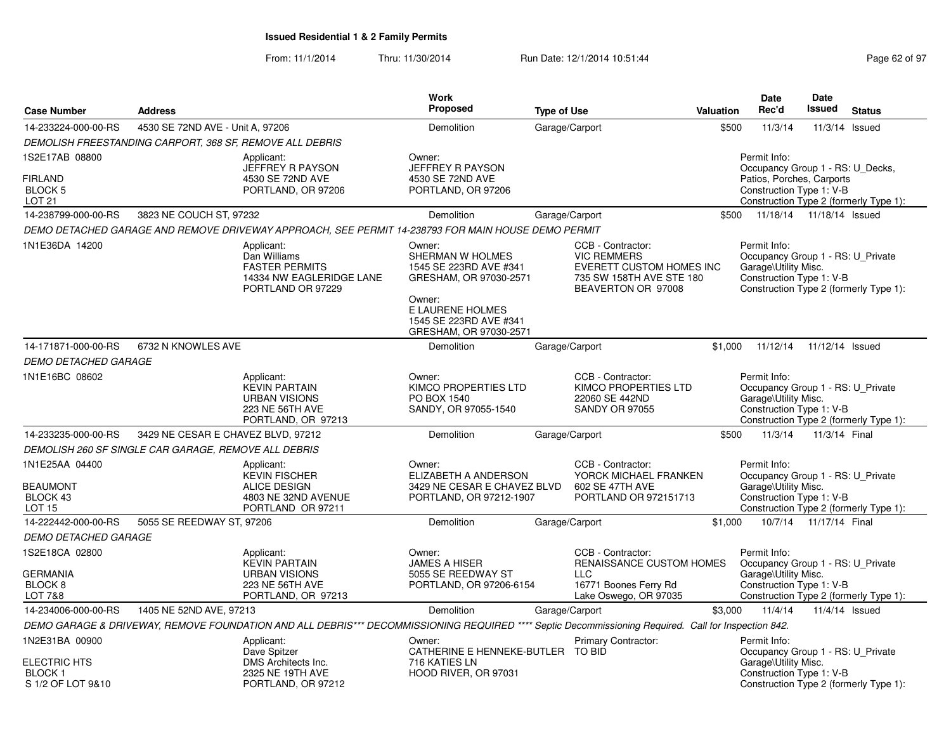|                                                                    |                                                          |                                                                                                                                                     | Work<br><b>Proposed</b>                                                                                                                                          |                    |                                                                                                                       |           | <b>Date</b><br>Rec'd                                                                                                                                | <b>Date</b><br><b>Issued</b> |                                        |  |
|--------------------------------------------------------------------|----------------------------------------------------------|-----------------------------------------------------------------------------------------------------------------------------------------------------|------------------------------------------------------------------------------------------------------------------------------------------------------------------|--------------------|-----------------------------------------------------------------------------------------------------------------------|-----------|-----------------------------------------------------------------------------------------------------------------------------------------------------|------------------------------|----------------------------------------|--|
| <b>Case Number</b>                                                 | <b>Address</b>                                           |                                                                                                                                                     |                                                                                                                                                                  | <b>Type of Use</b> |                                                                                                                       | Valuation |                                                                                                                                                     |                              | <b>Status</b>                          |  |
| 14-233224-000-00-RS                                                | 4530 SE 72ND AVE - Unit A, 97206                         |                                                                                                                                                     | Demolition                                                                                                                                                       |                    | Garage/Carport                                                                                                        | \$500     | 11/3/14                                                                                                                                             |                              | 11/3/14 Issued                         |  |
|                                                                    | DEMOLISH FREESTANDING CARPORT, 368 SF, REMOVE ALL DEBRIS |                                                                                                                                                     |                                                                                                                                                                  |                    |                                                                                                                       |           |                                                                                                                                                     |                              |                                        |  |
| 1S2E17AB 08800<br><b>FIRLAND</b><br><b>BLOCK 5</b><br>LOT 21       |                                                          | Applicant:<br>JEFFREY R PAYSON<br>4530 SE 72ND AVE<br>PORTLAND, OR 97206                                                                            | Owner:<br><b>JEFFREY R PAYSON</b><br>4530 SE 72ND AVE<br>PORTLAND, OR 97206                                                                                      |                    |                                                                                                                       |           | Permit Info:<br>Occupancy Group 1 - RS: U_Decks,<br>Patios, Porches, Carports<br>Construction Type 1: V-B<br>Construction Type 2 (formerly Type 1): |                              |                                        |  |
| 14-238799-000-00-RS                                                | 3823 NE COUCH ST, 97232                                  |                                                                                                                                                     | Demolition                                                                                                                                                       | Garage/Carport     |                                                                                                                       | \$500     | 11/18/14  11/18/14  Issued                                                                                                                          |                              |                                        |  |
|                                                                    |                                                          | DEMO DETACHED GARAGE AND REMOVE DRIVEWAY APPROACH, SEE PERMIT 14-238793 FOR MAIN HOUSE DEMO PERMIT                                                  |                                                                                                                                                                  |                    |                                                                                                                       |           |                                                                                                                                                     |                              |                                        |  |
| 1N1E36DA 14200                                                     |                                                          | Applicant:<br>Dan Williams<br><b>FASTER PERMITS</b><br>14334 NW EAGLERIDGE LANE<br>PORTLAND OR 97229                                                | Owner:<br>SHERMAN W HOLMES<br>1545 SE 223RD AVE #341<br>GRESHAM, OR 97030-2571<br>Owner:<br>E LAURENE HOLMES<br>1545 SE 223RD AVE #341<br>GRESHAM, OR 97030-2571 |                    | CCB - Contractor:<br><b>VIC REMMERS</b><br>EVERETT CUSTOM HOMES INC<br>735 SW 158TH AVE STE 180<br>BEAVERTON OR 97008 |           | Permit Info:<br>Occupancy Group 1 - RS: U Private<br>Garage\Utility Misc.<br>Construction Type 1: V-B                                               |                              | Construction Type 2 (formerly Type 1): |  |
| 14-171871-000-00-RS                                                | 6732 N KNOWLES AVE                                       |                                                                                                                                                     | Demolition                                                                                                                                                       |                    | Garage/Carport                                                                                                        | \$1,000   | 11/12/14                                                                                                                                            | 11/12/14 Issued              |                                        |  |
| <b>DEMO DETACHED GARAGE</b>                                        |                                                          |                                                                                                                                                     |                                                                                                                                                                  |                    |                                                                                                                       |           |                                                                                                                                                     |                              |                                        |  |
| 1N1E16BC 08602                                                     |                                                          | Applicant:<br><b>KEVIN PARTAIN</b><br><b>URBAN VISIONS</b><br><b>223 NE 56TH AVE</b><br>PORTLAND, OR 97213                                          | Owner:<br><b>KIMCO PROPERTIES LTD</b><br>PO BOX 1540<br>SANDY, OR 97055-1540                                                                                     |                    | CCB - Contractor:<br>KIMCO PROPERTIES LTD<br>22060 SE 442ND<br><b>SANDY OR 97055</b>                                  |           | Permit Info:<br>Occupancy Group 1 - RS: U Private<br>Garage\Utility Misc.<br>Construction Type 1: V-B                                               |                              | Construction Type 2 (formerly Type 1): |  |
| 14-233235-000-00-RS                                                | 3429 NE CESAR E CHAVEZ BLVD, 97212                       |                                                                                                                                                     | Demolition                                                                                                                                                       | Garage/Carport     |                                                                                                                       | \$500     | 11/3/14                                                                                                                                             | 11/3/14 Final                |                                        |  |
|                                                                    | DEMOLISH 260 SF SINGLE CAR GARAGE, REMOVE ALL DEBRIS     |                                                                                                                                                     |                                                                                                                                                                  |                    |                                                                                                                       |           |                                                                                                                                                     |                              |                                        |  |
| 1N1E25AA 04400<br><b>BEAUMONT</b><br>BLOCK 43<br>LOT <sub>15</sub> |                                                          | Applicant:<br><b>KEVIN FISCHER</b><br><b>ALICE DESIGN</b><br>4803 NE 32ND AVENUE<br>PORTLAND OR 97211                                               | Owner:<br>ELIZABETH A ANDERSON<br>3429 NE CESAR E CHAVEZ BLVD<br>PORTLAND, OR 97212-1907                                                                         |                    | CCB - Contractor:<br>YORCK MICHAEL FRANKEN<br>602 SE 47TH AVE<br>PORTLAND OR 972151713                                |           | Permit Info:<br>Occupancy Group 1 - RS: U_Private<br>Garage\Utility Misc.<br>Construction Type 1: V-B                                               |                              | Construction Type 2 (formerly Type 1): |  |
| 14-222442-000-00-RS                                                | 5055 SE REEDWAY ST, 97206                                |                                                                                                                                                     | Demolition                                                                                                                                                       |                    | Garage/Carport                                                                                                        | \$1,000   |                                                                                                                                                     | 10/7/14  11/17/14  Final     |                                        |  |
| <b>DEMO DETACHED GARAGE</b>                                        |                                                          |                                                                                                                                                     |                                                                                                                                                                  |                    |                                                                                                                       |           |                                                                                                                                                     |                              |                                        |  |
| 1S2E18CA 02800<br><b>GERMANIA</b><br>BLOCK <sub>8</sub><br>LOT 7&8 |                                                          | Applicant:<br><b>KEVIN PARTAIN</b><br><b>URBAN VISIONS</b><br><b>223 NE 56TH AVE</b><br>PORTLAND, OR 97213                                          | Owner:<br><b>JAMES A HISER</b><br>5055 SE REEDWAY ST<br>PORTLAND, OR 97206-6154                                                                                  |                    | CCB - Contractor:<br><b>RENAISSANCE CUSTOM HOMES</b><br><b>LLC</b><br>16771 Boones Ferry Rd<br>Lake Oswego, OR 97035  |           | Permit Info:<br>Occupancy Group 1 - RS: U_Private<br>Garage\Utility Misc.<br>Construction Type 1: V-B                                               |                              | Construction Type 2 (formerly Type 1): |  |
| 14-234006-000-00-RS                                                | 1405 NE 52ND AVE, 97213                                  |                                                                                                                                                     | Demolition                                                                                                                                                       |                    | Garage/Carport                                                                                                        | \$3,000   | 11/4/14                                                                                                                                             |                              | 11/4/14 Issued                         |  |
|                                                                    |                                                          | DEMO GARAGE & DRIVEWAY, REMOVE FOUNDATION AND ALL DEBRIS*** DECOMMISSIONING REQUIRED **** Septic Decommissioning Required. Call for Inspection 842. |                                                                                                                                                                  |                    |                                                                                                                       |           |                                                                                                                                                     |                              |                                        |  |
| 1N2E31BA 00900<br><b>ELECTRIC HTS</b><br><b>BLOCK1</b>             |                                                          | Applicant:<br>Dave Spitzer<br>DMS Architects Inc.<br>2325 NE 19TH AVE                                                                               | Owner:<br>CATHERINE E HENNEKE-BUTLER TO BID<br>716 KATIES LN<br>HOOD RIVER, OR 97031                                                                             |                    | Primary Contractor:                                                                                                   |           | Permit Info:<br>Occupancy Group 1 - RS: U_Private<br>Garage\Utility Misc.<br>Construction Type 1: V-B                                               |                              |                                        |  |
| S 1/2 OF LOT 9&10                                                  |                                                          | PORTLAND, OR 97212                                                                                                                                  |                                                                                                                                                                  |                    |                                                                                                                       |           |                                                                                                                                                     |                              | Construction Type 2 (formerly Type 1): |  |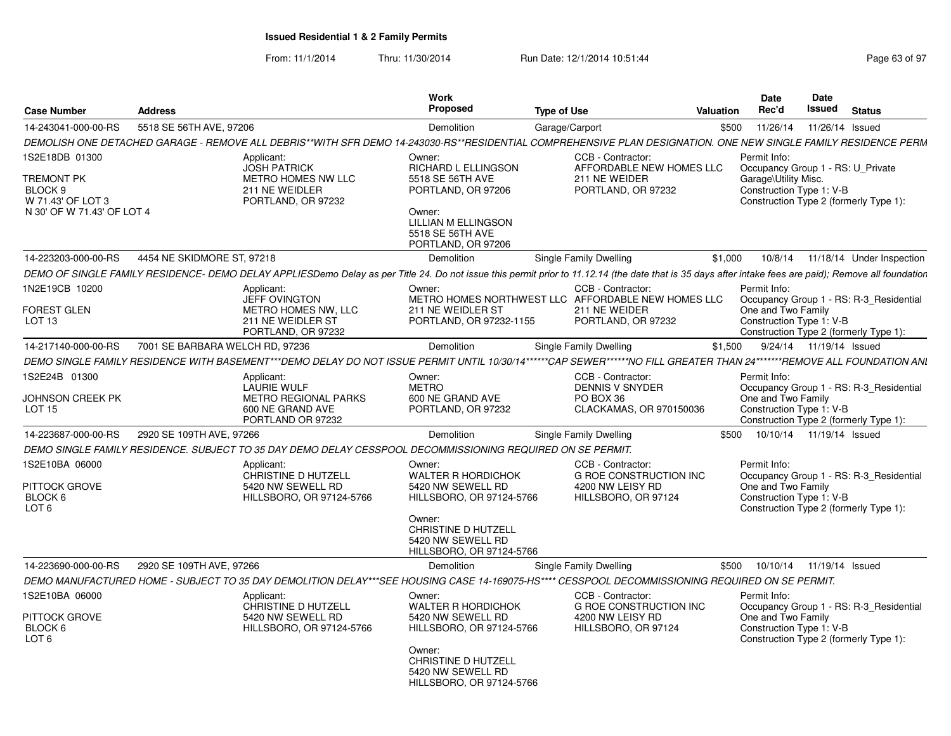| <b>Case Number</b>                                      | <b>Address</b>                  |                                                                                                                                                                                                        | <b>Work</b><br><b>Proposed</b>                                                 | <b>Type of Use</b> |                                                                                           | Valuation | <b>Date</b><br>Rec'd                              | Date<br>Issued            | <b>Status</b>                                                                     |
|---------------------------------------------------------|---------------------------------|--------------------------------------------------------------------------------------------------------------------------------------------------------------------------------------------------------|--------------------------------------------------------------------------------|--------------------|-------------------------------------------------------------------------------------------|-----------|---------------------------------------------------|---------------------------|-----------------------------------------------------------------------------------|
| 14-243041-000-00-RS                                     | 5518 SE 56TH AVE, 97206         |                                                                                                                                                                                                        | Demolition                                                                     | Garage/Carport     |                                                                                           | \$500     | 11/26/14                                          | 11/26/14 Issued           |                                                                                   |
|                                                         |                                 | DEMOLISH ONE DETACHED GARAGE - REMOVE ALL DEBRIS**WITH SFR DEMO 14-243030-RS**RESIDENTIAL COMPREHENSIVE PLAN DESIGNATION. ONE NEW SINGLE FAMILY RESIDENCE PERM                                         |                                                                                |                    |                                                                                           |           |                                                   |                           |                                                                                   |
| IS2E18DB 01300                                          |                                 | Applicant:<br><b>JOSH PATRICK</b>                                                                                                                                                                      | Owner:<br>RICHARD L ELLINGSON                                                  |                    | CCB - Contractor:<br>AFFORDABLE NEW HOMES LLC                                             |           | Permit Info:<br>Occupancy Group 1 - RS: U Private |                           |                                                                                   |
| TREMONT PK<br>BLOCK <sub>9</sub><br>W 71.43' OF LOT 3   |                                 | METRO HOMES NW LLC<br>211 NE WEIDLER<br>PORTLAND, OR 97232                                                                                                                                             | 5518 SE 56TH AVE<br>PORTLAND, OR 97206                                         |                    | 211 NE WEIDER<br>PORTLAND, OR 97232                                                       |           | Garage\Utility Misc.<br>Construction Type 1: V-B  |                           | Construction Type 2 (formerly Type 1):                                            |
| N 30' OF W 71.43' OF LOT 4                              |                                 |                                                                                                                                                                                                        | Owner:<br>LILLIAN M ELLINGSON<br>5518 SE 56TH AVE<br>PORTLAND, OR 97206        |                    |                                                                                           |           |                                                   |                           |                                                                                   |
| 14-223203-000-00-RS                                     | 4454 NE SKIDMORE ST, 97218      |                                                                                                                                                                                                        | Demolition                                                                     |                    | Single Family Dwelling                                                                    | \$1,000   | 10/8/14                                           |                           | 11/18/14 Under Inspection                                                         |
|                                                         |                                 | DEMO OF SINGLE FAMILY RESIDENCE- DEMO DELAY APPLIESDemo Delay as per Title 24. Do not issue this permit prior to 11.12.14 (the date that is 35 days after intake fees are paid); Remove all foundation |                                                                                |                    |                                                                                           |           |                                                   |                           |                                                                                   |
| 1N2E19CB 10200                                          |                                 | Applicant:                                                                                                                                                                                             | Owner:                                                                         |                    | CCB - Contractor:                                                                         |           | Permit Info:                                      |                           |                                                                                   |
| <b>FOREST GLEN</b><br>LOT 13                            |                                 | <b>JEFF OVINGTON</b><br>METRO HOMES NW, LLC<br>211 NE WEIDLER ST<br>PORTLAND, OR 97232                                                                                                                 | 211 NE WEIDLER ST<br>PORTLAND, OR 97232-1155                                   |                    | METRO HOMES NORTHWEST LLC AFFORDABLE NEW HOMES LLC<br>211 NE WEIDER<br>PORTLAND, OR 97232 |           | One and Two Family<br>Construction Type 1: V-B    |                           | Occupancy Group 1 - RS: R-3_Residential<br>Construction Type 2 (formerly Type 1): |
| 14-217140-000-00-RS                                     | 7001 SE BARBARA WELCH RD. 97236 |                                                                                                                                                                                                        | Demolition                                                                     |                    | Single Family Dwelling                                                                    | \$1,500   |                                                   | 9/24/14  11/19/14  Issued |                                                                                   |
|                                                         |                                 | DEMO SINGLE FAMILY RESIDENCE WITH BASEMENT***DEMO DELAY DO NOT ISSUE PERMIT UNTIL 10/30/14******CAP SEWER******NO FILL GREATER THAN 24"******REMOVE ALL FOUNDATION ANI                                 |                                                                                |                    |                                                                                           |           |                                                   |                           |                                                                                   |
| 1S2E24B 01300                                           |                                 | Applicant:<br><b>LAURIE WULF</b>                                                                                                                                                                       | Owner:<br><b>METRO</b>                                                         |                    | CCB - Contractor:<br><b>DENNIS V SNYDER</b>                                               |           | Permit Info:                                      |                           | Occupancy Group 1 - RS: R-3 Residential                                           |
| JOHNSON CREEK PK<br><b>LOT 15</b>                       |                                 | <b>METRO REGIONAL PARKS</b><br>600 NE GRAND AVE<br>PORTLAND OR 97232                                                                                                                                   | 600 NE GRAND AVE<br>PORTLAND, OR 97232                                         |                    | PO BOX 36<br>CLACKAMAS, OR 970150036                                                      |           | One and Two Family<br>Construction Type 1: V-B    |                           | Construction Type 2 (formerly Type 1):                                            |
| 14-223687-000-00-RS                                     | 2920 SE 109TH AVE, 97266        |                                                                                                                                                                                                        | Demolition                                                                     |                    | Single Family Dwelling                                                                    | \$500     | 10/10/14  11/19/14  Issued                        |                           |                                                                                   |
|                                                         |                                 | DEMO SINGLE FAMILY RESIDENCE. SUBJECT TO 35 DAY DEMO DELAY CESSPOOL DECOMMISSIONING REQUIRED ON SE PERMIT.                                                                                             |                                                                                |                    |                                                                                           |           |                                                   |                           |                                                                                   |
| 1S2E10BA 06000                                          |                                 | Applicant:                                                                                                                                                                                             | Owner:                                                                         |                    | CCB - Contractor:                                                                         |           | Permit Info:                                      |                           |                                                                                   |
| PITTOCK GROVE                                           |                                 | CHRISTINE D HUTZELL<br>5420 NW SEWELL RD                                                                                                                                                               | WALTER R HORDICHOK<br>5420 NW SEWELL RD                                        |                    | <b>G ROE CONSTRUCTION INC</b><br>4200 NW LEISY RD                                         |           | One and Two Family                                |                           | Occupancy Group 1 - RS: R-3 Residential                                           |
| BLOCK <sub>6</sub><br>LOT <sub>6</sub>                  |                                 | HILLSBORO, OR 97124-5766                                                                                                                                                                               | HILLSBORO, OR 97124-5766                                                       |                    | HILLSBORO, OR 97124                                                                       |           | Construction Type 1: V-B                          |                           | Construction Type 2 (formerly Type 1):                                            |
|                                                         |                                 |                                                                                                                                                                                                        | Owner:<br>CHRISTINE D HUTZELL<br>5420 NW SEWELL RD<br>HILLSBORO, OR 97124-5766 |                    |                                                                                           |           |                                                   |                           |                                                                                   |
| 14-223690-000-00-RS                                     | 2920 SE 109TH AVE, 97266        |                                                                                                                                                                                                        | Demolition                                                                     |                    | Single Family Dwelling                                                                    | \$500     | 10/10/14                                          | 11/19/14 Issued           |                                                                                   |
|                                                         |                                 | DEMO MANUFACTURED HOME - SUBJECT TO 35 DAY DEMOLITION DELAY***SEE HOUSING CASE 14-169075-HS**** CESSPOOL DECOMMISSIONING REQUIRED ON SE PERMIT.                                                        |                                                                                |                    |                                                                                           |           |                                                   |                           |                                                                                   |
| 1S2E10BA 06000                                          |                                 | Applicant:<br>CHRISTINE D HUTZELL                                                                                                                                                                      | Owner:<br><b>WALTER R HORDICHOK</b>                                            |                    | CCB - Contractor:<br><b>G ROE CONSTRUCTION INC</b>                                        |           | Permit Info:                                      |                           | Occupancy Group 1 - RS: R-3_Residential                                           |
| PITTOCK GROVE<br>BLOCK <sub>6</sub><br>LOT <sub>6</sub> |                                 | 5420 NW SEWELL RD<br>HILLSBORO, OR 97124-5766                                                                                                                                                          | 5420 NW SEWELL RD<br>HILLSBORO, OR 97124-5766                                  |                    | 4200 NW LEISY RD<br>HILLSBORO, OR 97124                                                   |           | One and Two Family<br>Construction Type 1: V-B    |                           | Construction Type 2 (formerly Type 1):                                            |
|                                                         |                                 |                                                                                                                                                                                                        | Owner:<br>CHRISTINE D HUTZELL<br>5420 NW SEWELL RD<br>HILLSBORO, OR 97124-5766 |                    |                                                                                           |           |                                                   |                           |                                                                                   |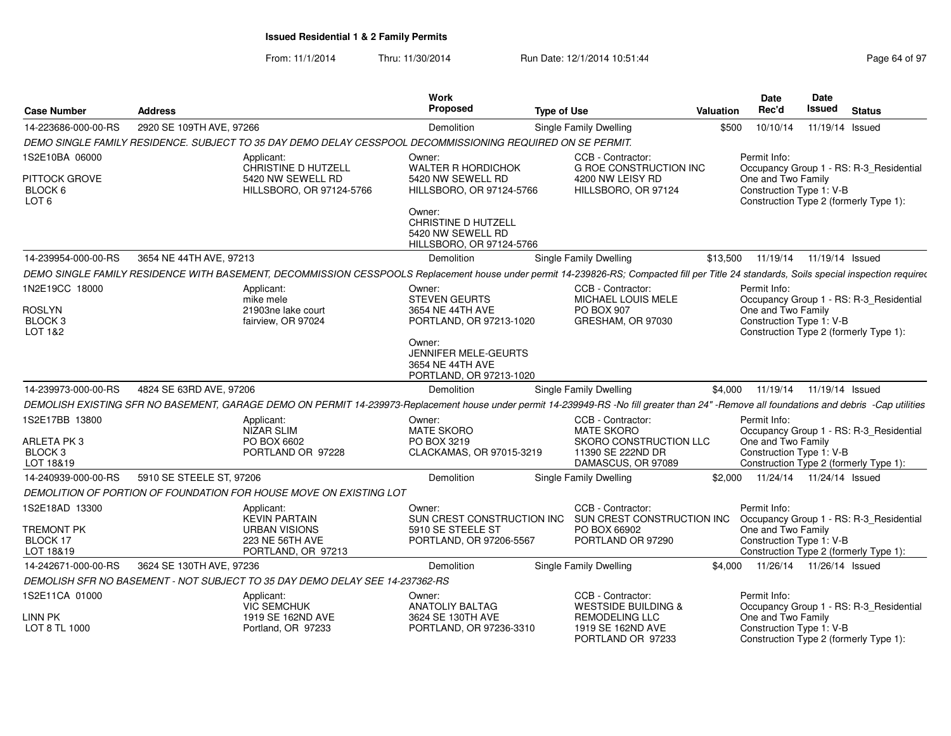| <b>Case Number</b>                                | <b>Address</b>                                                                                                                                                                             |                                                               | Work<br><b>Proposed</b>                                                               | <b>Type of Use</b> |                                                                   | Valuation | <b>Date</b><br>Rec'd                           | Date<br><b>Issued</b> | <b>Status</b>                           |
|---------------------------------------------------|--------------------------------------------------------------------------------------------------------------------------------------------------------------------------------------------|---------------------------------------------------------------|---------------------------------------------------------------------------------------|--------------------|-------------------------------------------------------------------|-----------|------------------------------------------------|-----------------------|-----------------------------------------|
| 14-223686-000-00-RS                               | 2920 SE 109TH AVE, 97266                                                                                                                                                                   |                                                               | Demolition                                                                            |                    | Single Family Dwelling                                            | \$500     | 10/10/14                                       | 11/19/14 Issued       |                                         |
|                                                   | DEMO SINGLE FAMILY RESIDENCE. SUBJECT TO 35 DAY DEMO DELAY CESSPOOL DECOMMISSIONING REQUIRED ON SE PERMIT.                                                                                 |                                                               |                                                                                       |                    |                                                                   |           |                                                |                       |                                         |
| 1S2E10BA 06000                                    | Applicant:                                                                                                                                                                                 | CHRISTINE D HUTZELL                                           | Owner:<br><b>WALTER R HORDICHOK</b>                                                   |                    | CCB - Contractor:<br><b>G ROE CONSTRUCTION INC</b>                |           | Permit Info:                                   |                       | Occupancy Group 1 - RS: R-3_Residential |
| <b>PITTOCK GROVE</b><br>BLOCK 6<br>LOT 6          |                                                                                                                                                                                            | 5420 NW SEWELL RD<br>HILLSBORO, OR 97124-5766                 | 5420 NW SEWELL RD<br>HILLSBORO, OR 97124-5766                                         |                    | 4200 NW LEISY RD<br>HILLSBORO, OR 97124                           |           | One and Two Family<br>Construction Type 1: V-B |                       | Construction Type 2 (formerly Type 1):  |
|                                                   |                                                                                                                                                                                            |                                                               | Owner:<br><b>CHRISTINE D HUTZELL</b><br>5420 NW SEWELL RD<br>HILLSBORO, OR 97124-5766 |                    |                                                                   |           |                                                |                       |                                         |
| 14-239954-000-00-RS                               | 3654 NE 44TH AVE, 97213                                                                                                                                                                    |                                                               | Demolition                                                                            |                    | Single Family Dwelling                                            | \$13,500  | 11/19/14  11/19/14  Issued                     |                       |                                         |
|                                                   | DEMO SINGLE FAMILY RESIDENCE WITH BASEMENT, DECOMMISSION CESSPOOLS Replacement house under permit 14-239826-RS; Compacted fill per Title 24 standards, Soils special inspection required   |                                                               |                                                                                       |                    |                                                                   |           |                                                |                       |                                         |
| 1N2E19CC 18000<br><b>ROSLYN</b>                   | Applicant:<br>mike mele                                                                                                                                                                    | 21903ne lake court                                            | Owner:<br><b>STEVEN GEURTS</b><br>3654 NE 44TH AVE                                    |                    | CCB - Contractor:<br>MICHAEL LOUIS MELE<br><b>PO BOX 907</b>      |           | Permit Info:<br>One and Two Family             |                       | Occupancy Group 1 - RS: R-3_Residential |
| BLOCK <sub>3</sub><br>LOT 1&2                     |                                                                                                                                                                                            | fairview, OR 97024                                            | PORTLAND, OR 97213-1020<br>Owner:                                                     |                    | GRESHAM, OR 97030                                                 |           | Construction Type 1: V-B                       |                       | Construction Type 2 (formerly Type 1):  |
|                                                   |                                                                                                                                                                                            |                                                               | JENNIFER MELE-GEURTS<br>3654 NE 44TH AVE<br>PORTLAND, OR 97213-1020                   |                    |                                                                   |           |                                                |                       |                                         |
| 14-239973-000-00-RS                               | 4824 SE 63RD AVE, 97206                                                                                                                                                                    |                                                               | Demolition                                                                            |                    | Single Family Dwelling                                            | \$4.000   | 11/19/14  11/19/14  Issued                     |                       |                                         |
|                                                   | DEMOLISH EXISTING SFR NO BASEMENT, GARAGE DEMO ON PERMIT 14-239973-Replacement house under permit 14-239949-RS -No fill greater than 24" -Remove all foundations and debris -Cap utilities |                                                               |                                                                                       |                    |                                                                   |           |                                                |                       |                                         |
| 1S2E17BB 13800                                    | Applicant:<br>NIZAR SLIM                                                                                                                                                                   |                                                               | Owner:<br><b>MATE SKORO</b>                                                           |                    | CCB - Contractor:<br><b>MATE SKORO</b>                            |           | Permit Info:                                   |                       | Occupancy Group 1 - RS: R-3_Residential |
| ARLETA PK 3<br>BLOCK <sub>3</sub><br>LOT 18&19    | PO BOX 6602                                                                                                                                                                                | PORTLAND OR 97228                                             | PO BOX 3219<br>CLACKAMAS, OR 97015-3219                                               |                    | SKORO CONSTRUCTION LLC<br>11390 SE 222ND DR<br>DAMASCUS, OR 97089 |           | One and Two Family<br>Construction Type 1: V-B |                       | Construction Type 2 (formerly Type 1):  |
| 14-240939-000-00-RS                               | 5910 SE STEELE ST, 97206                                                                                                                                                                   |                                                               | Demolition                                                                            |                    | Single Family Dwelling                                            | \$2.000   | 11/24/14  11/24/14  Issued                     |                       |                                         |
|                                                   | DEMOLITION OF PORTION OF FOUNDATION FOR HOUSE MOVE ON EXISTING LOT                                                                                                                         |                                                               |                                                                                       |                    |                                                                   |           |                                                |                       |                                         |
| 1S2E18AD 13300                                    | Applicant:                                                                                                                                                                                 | <b>KEVIN PARTAIN</b>                                          | Owner:<br>SUN CREST CONSTRUCTION INC                                                  |                    | CCB - Contractor:<br>SUN CREST CONSTRUCTION INC                   |           | Permit Info:                                   |                       | Occupancy Group 1 - RS: R-3_Residential |
| <b>TREMONT PK</b><br><b>BLOCK 17</b><br>LOT 18&19 |                                                                                                                                                                                            | <b>URBAN VISIONS</b><br>223 NE 56TH AVE<br>PORTLAND, OR 97213 | 5910 SE STEELE ST<br>PORTLAND, OR 97206-5567                                          |                    | PO BOX 66902<br>PORTLAND OR 97290                                 |           | One and Two Family<br>Construction Type 1: V-B |                       | Construction Type 2 (formerly Type 1):  |
| 14-242671-000-00-RS                               | 3624 SE 130TH AVE, 97236                                                                                                                                                                   |                                                               | Demolition                                                                            |                    | Single Family Dwelling                                            | \$4,000   | 11/26/14  11/26/14  Issued                     |                       |                                         |
|                                                   | DEMOLISH SFR NO BASEMENT - NOT SUBJECT TO 35 DAY DEMO DELAY SEE 14-237362-RS                                                                                                               |                                                               |                                                                                       |                    |                                                                   |           |                                                |                       |                                         |
| 1S2E11CA 01000                                    | Applicant:                                                                                                                                                                                 |                                                               | Owner:                                                                                |                    | CCB - Contractor:                                                 |           | Permit Info:                                   |                       |                                         |
| LINN PK                                           | <b>VIC SEMCHUK</b>                                                                                                                                                                         | 1919 SE 162ND AVE                                             | <b>ANATOLIY BALTAG</b><br>3624 SE 130TH AVE                                           |                    | <b>WESTSIDE BUILDING &amp;</b><br><b>REMODELING LLC</b>           |           | One and Two Family                             |                       | Occupancy Group 1 - RS: R-3 Residential |
| LOT 8 TL 1000                                     |                                                                                                                                                                                            | Portland, OR 97233                                            | PORTLAND, OR 97236-3310                                                               |                    | 1919 SE 162ND AVE<br>PORTLAND OR 97233                            |           | Construction Type 1: V-B                       |                       | Construction Type 2 (formerly Type 1):  |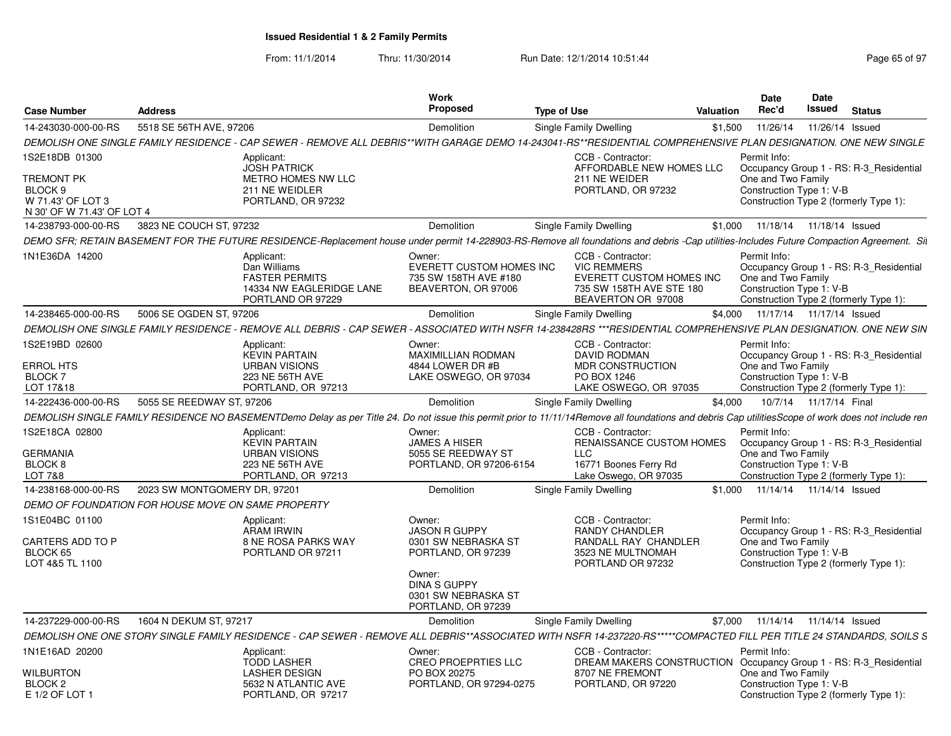| <b>Case Number</b>                                           | <b>Address</b>                                     |                                                                                                                                                                                                     | <b>Work</b><br>Proposed                                                            | <b>Type of Use</b> |                                                                                                                              | Valuation | Date<br>Rec'd                                                  | Date<br>Issued         | <b>Status</b>                                                                     |  |
|--------------------------------------------------------------|----------------------------------------------------|-----------------------------------------------------------------------------------------------------------------------------------------------------------------------------------------------------|------------------------------------------------------------------------------------|--------------------|------------------------------------------------------------------------------------------------------------------------------|-----------|----------------------------------------------------------------|------------------------|-----------------------------------------------------------------------------------|--|
| 14-243030-000-00-RS                                          | 5518 SE 56TH AVE, 97206                            |                                                                                                                                                                                                     | Demolition                                                                         |                    | Single Family Dwelling                                                                                                       | \$1,500   | 11/26/14                                                       |                        | 11/26/14 Issued                                                                   |  |
|                                                              |                                                    | DEMOLISH ONE SINGLE FAMILY RESIDENCE - CAP SEWER - REMOVE ALL DEBRIS**WITH GARAGE DEMO 14-243041-RS**RESIDENTIAL COMPREHENSIVE PLAN DESIGNATION. ONE NEW SINGLE                                     |                                                                                    |                    |                                                                                                                              |           |                                                                |                        |                                                                                   |  |
| 1S2E18DB 01300<br>TREMONT PK<br>BLOCK 9<br>W 71.43' OF LOT 3 |                                                    | Applicant:<br><b>JOSH PATRICK</b><br>METRO HOMES NW LLC<br>211 NE WEIDLER<br>PORTLAND, OR 97232                                                                                                     |                                                                                    |                    | CCB - Contractor:<br>AFFORDABLE NEW HOMES LLC<br>211 NE WEIDER<br>PORTLAND, OR 97232                                         |           | Permit Info:<br>One and Two Family<br>Construction Type 1: V-B |                        | Occupancy Group 1 - RS: R-3_Residential<br>Construction Type 2 (formerly Type 1): |  |
| N 30' OF W 71.43' OF LOT 4                                   |                                                    |                                                                                                                                                                                                     |                                                                                    |                    |                                                                                                                              |           |                                                                |                        |                                                                                   |  |
| 14-238793-000-00-RS                                          | 3823 NE COUCH ST, 97232                            |                                                                                                                                                                                                     | Demolition                                                                         |                    | Single Family Dwelling                                                                                                       | \$1,000   | 11/18/14  11/18/14  Issued                                     |                        |                                                                                   |  |
|                                                              |                                                    | DEMO SFR; RETAIN BASEMENT FOR THE FUTURE RESIDENCE-Replacement house under permit 14-228903-RS-Remove all foundations and debris -Cap utilities-Includes Future Compaction Agreement. Sit           |                                                                                    |                    |                                                                                                                              |           |                                                                |                        |                                                                                   |  |
| 1N1E36DA 14200                                               |                                                    | Applicant:<br>Dan Williams<br><b>FASTER PERMITS</b><br>14334 NW EAGLERIDGE LANE<br>PORTLAND OR 97229                                                                                                | Owner:<br>EVERETT CUSTOM HOMES INC<br>735 SW 158TH AVE #180<br>BEAVERTON, OR 97006 |                    | CCB - Contractor:<br><b>VIC REMMERS</b><br><b>EVERETT CUSTOM HOMES INC</b><br>735 SW 158TH AVE STE 180<br>BEAVERTON OR 97008 |           | Permit Info:<br>One and Two Family<br>Construction Type 1: V-B |                        | Occupancy Group 1 - RS: R-3 Residential<br>Construction Type 2 (formerly Type 1): |  |
| 14-238465-000-00-RS                                          | 5006 SE OGDEN ST, 97206                            |                                                                                                                                                                                                     | Demolition                                                                         |                    | Single Family Dwelling                                                                                                       |           | \$4,000 11/17/14 11/17/14 Issued                               |                        |                                                                                   |  |
|                                                              |                                                    | DEMOLISH ONE SINGLE FAMILY RESIDENCE - REMOVE ALL DEBRIS - CAP SEWER - ASSOCIATED WITH NSFR 14-238428RS ***RESIDENTIAL COMPREHENSIVE PLAN DESIGNATION. ONE NEW SIN                                  |                                                                                    |                    |                                                                                                                              |           |                                                                |                        |                                                                                   |  |
| 1S2E19BD 02600                                               |                                                    | Applicant:<br><b>KEVIN PARTAIN</b>                                                                                                                                                                  | Owner:<br><b>MAXIMILLIAN RODMAN</b>                                                |                    | CCB - Contractor:<br><b>DAVID RODMAN</b>                                                                                     |           | Permit Info:                                                   |                        | Occupancy Group 1 - RS: R-3 Residential                                           |  |
| <b>ERROL HTS</b><br><b>BLOCK7</b><br>LOT 17&18               |                                                    | <b>URBAN VISIONS</b><br><b>223 NE 56TH AVE</b><br>PORTLAND, OR 97213                                                                                                                                | 4844 LOWER DR #B<br>LAKE OSWEGO, OR 97034                                          |                    | <b>MDR CONSTRUCTION</b><br>PO BOX 1246<br>LAKE OSWEGO, OR 97035                                                              |           | One and Two Family<br>Construction Type 1: V-B                 |                        | Construction Type 2 (formerly Type 1):                                            |  |
| 14-222436-000-00-RS                                          | 5055 SE REEDWAY ST, 97206                          |                                                                                                                                                                                                     | <b>Demolition</b>                                                                  |                    | Single Family Dwelling                                                                                                       | \$4.000   |                                                                | 10/7/14 11/17/14 Final |                                                                                   |  |
|                                                              |                                                    | DEMOLISH SINGLE FAMILY RESIDENCE NO BASEMENTDemo Delay as per Title 24. Do not issue this permit prior to 11/11/14Remove all foundations and debris Cap utilitiesScope of work does not include ren |                                                                                    |                    |                                                                                                                              |           |                                                                |                        |                                                                                   |  |
| 1S2E18CA 02800<br><b>GERMANIA</b><br>BLOCK 8                 |                                                    | Applicant:<br><b>KEVIN PARTAIN</b><br><b>URBAN VISIONS</b><br>223 NE 56TH AVE                                                                                                                       | Owner:<br><b>JAMES A HISER</b><br>5055 SE REEDWAY ST<br>PORTLAND, OR 97206-6154    |                    | CCB - Contractor:<br>RENAISSANCE CUSTOM HOMES<br><b>LLC</b><br>16771 Boones Ferry Rd                                         |           | Permit Info:<br>One and Two Family<br>Construction Type 1: V-B |                        | Occupancy Group 1 - RS: R-3 Residential                                           |  |
| <b>LOT 7&amp;8</b>                                           |                                                    | PORTLAND, OR 97213                                                                                                                                                                                  |                                                                                    |                    | Lake Oswego, OR 97035                                                                                                        |           |                                                                |                        | Construction Type 2 (formerly Type 1):                                            |  |
| 14-238168-000-00-RS                                          | 2023 SW MONTGOMERY DR. 97201                       |                                                                                                                                                                                                     | <b>Demolition</b>                                                                  |                    | Single Family Dwelling                                                                                                       |           | \$1,000 11/14/14 11/14/14 Issued                               |                        |                                                                                   |  |
| 1S1E04BC 01100<br>CARTERS ADD TO P<br>BLOCK 65               | DEMO OF FOUNDATION FOR HOUSE MOVE ON SAME PROPERTY | Applicant:<br><b>ARAM IRWIN</b><br><b>8 NE ROSA PARKS WAY</b><br>PORTLAND OR 97211                                                                                                                  | Owner:<br><b>JASON R GUPPY</b><br>0301 SW NEBRASKA ST<br>PORTLAND, OR 97239        |                    | CCB - Contractor:<br><b>RANDY CHANDLER</b><br>RANDALL RAY CHANDLER<br>3523 NE MULTNOMAH                                      |           | Permit Info:<br>One and Two Family<br>Construction Type 1: V-B |                        | Occupancy Group 1 - RS: R-3 Residential                                           |  |
| LOT 4&5 TL 1100                                              |                                                    |                                                                                                                                                                                                     | Owner:<br><b>DINA S GUPPY</b><br>0301 SW NEBRASKA ST<br>PORTLAND, OR 97239         |                    | PORTLAND OR 97232                                                                                                            |           |                                                                |                        | Construction Type 2 (formerly Type 1):                                            |  |
| 14-237229-000-00-RS                                          | 1604 N DEKUM ST, 97217                             |                                                                                                                                                                                                     | Demolition                                                                         |                    | Single Family Dwelling                                                                                                       |           | \$7,000 11/14/14 11/14/14 Issued                               |                        |                                                                                   |  |
|                                                              |                                                    | DEMOLISH ONE ONE STORY SINGLE FAMILY RESIDENCE - CAP SEWER - REMOVE ALL DEBRIS**ASSOCIATED WITH NSFR 14-237220-RS*****COMPACTED FILL PER TITLE 24 STANDARDS, SOILS S                                |                                                                                    |                    |                                                                                                                              |           |                                                                |                        |                                                                                   |  |
| 1N1E16AD 20200                                               |                                                    | Applicant:<br><b>TODD LASHER</b>                                                                                                                                                                    | Owner:<br><b>CREO PROEPRTIES LLC</b>                                               |                    | CCB - Contractor:<br>DREAM MAKERS CONSTRUCTION                                                                               |           | Permit Info:                                                   |                        | Occupancy Group 1 - RS: R-3 Residential                                           |  |
| WILBURTON<br>BLOCK <sub>2</sub><br>E 1/2 OF LOT 1            |                                                    | <b>LASHER DESIGN</b><br>5632 N ATLANTIC AVE<br>PORTLAND, OR 97217                                                                                                                                   | PO BOX 20275<br>PORTLAND, OR 97294-0275                                            |                    | 8707 NE FREMONT<br>PORTLAND, OR 97220                                                                                        |           | One and Two Family<br>Construction Type 1: V-B                 |                        | Construction Type 2 (formerly Type 1):                                            |  |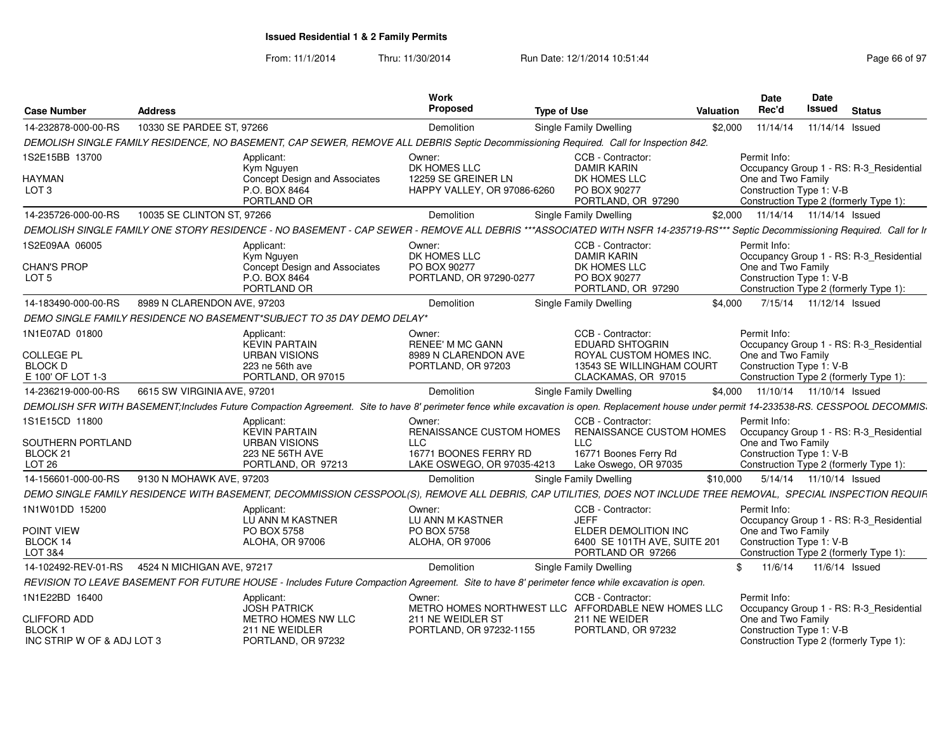| <b>Case Number</b>         | <b>Address</b>                                                                                                                                                                            |                               | Work<br>Proposed                                             | <b>Type of Use</b>            |                                                   | Valuation | <b>Date</b><br>Rec'd                                               | Date<br>Issued            | <b>Status</b> |  |
|----------------------------|-------------------------------------------------------------------------------------------------------------------------------------------------------------------------------------------|-------------------------------|--------------------------------------------------------------|-------------------------------|---------------------------------------------------|-----------|--------------------------------------------------------------------|---------------------------|---------------|--|
| 14-232878-000-00-RS        | 10330 SE PARDEE ST, 97266                                                                                                                                                                 |                               | Demolition                                                   | Single Family Dwelling        |                                                   | \$2,000   | 11/14/14                                                           | 11/14/14 Issued           |               |  |
|                            | DEMOLISH SINGLE FAMILY RESIDENCE, NO BASEMENT, CAP SEWER, REMOVE ALL DEBRIS Septic Decommissioning Required. Call for Inspection 842.                                                     |                               |                                                              |                               |                                                   |           |                                                                    |                           |               |  |
| 1S2E15BB 13700             | Applicant:<br>Kym Nguyen                                                                                                                                                                  |                               | Owner:<br>DK HOMES LLC                                       |                               | CCB - Contractor:<br><b>DAMIR KARIN</b>           |           | Permit Info:<br>Occupancy Group 1 - RS: R-3_Residential            |                           |               |  |
| HAYMAN                     |                                                                                                                                                                                           | Concept Design and Associates | 12259 SE GREINER LN                                          |                               | DK HOMES LLC                                      |           | One and Two Family                                                 |                           |               |  |
| LOT <sub>3</sub>           | P.O. BOX 8464                                                                                                                                                                             | PORTLAND OR                   | HAPPY VALLEY, OR 97086-6260                                  |                               | PO BOX 90277<br>PORTLAND, OR 97290                |           | Construction Type 1: V-B<br>Construction Type 2 (formerly Type 1): |                           |               |  |
| 14-235726-000-00-RS        | 10035 SE CLINTON ST, 97266                                                                                                                                                                |                               | <b>Demolition</b>                                            | <b>Single Family Dwelling</b> |                                                   | \$2.000   | 11/14/14  11/14/14  Issued                                         |                           |               |  |
|                            | DEMOLISH SINGLE FAMILY ONE STORY RESIDENCE - NO BASEMENT - CAP SEWER - REMOVE ALL DEBRIS ***ASSOCIATED WITH NSFR 14-235719-RS*** Septic Decommissioning Required. Call for Ir             |                               |                                                              |                               |                                                   |           |                                                                    |                           |               |  |
| 1S2E09AA 06005             | Applicant:<br>Kym Nguyen                                                                                                                                                                  |                               | Owner:<br>DK HOMES LLC                                       |                               | CCB - Contractor:<br><b>DAMIR KARIN</b>           |           | Permit Info:<br>Occupancy Group 1 - RS: R-3_Residential            |                           |               |  |
| <b>CHAN'S PROP</b>         |                                                                                                                                                                                           | Concept Design and Associates | PO BOX 90277                                                 |                               | DK HOMES LLC                                      |           | One and Two Family                                                 |                           |               |  |
| LOT <sub>5</sub>           | P.O. BOX 8464                                                                                                                                                                             | PORTLAND OR                   | PORTLAND, OR 97290-0277                                      |                               | PO BOX 90277<br>PORTLAND, OR 97290                |           | Construction Type 1: V-B<br>Construction Type 2 (formerly Type 1): |                           |               |  |
| 14-183490-000-00-RS        | 8989 N CLARENDON AVE, 97203                                                                                                                                                               |                               | Demolition                                                   | Single Family Dwelling        |                                                   | \$4.000   |                                                                    | 7/15/14  11/12/14  Issued |               |  |
|                            | DEMO SINGLE FAMILY RESIDENCE NO BASEMENT*SUBJECT TO 35 DAY DEMO DELAY*                                                                                                                    |                               |                                                              |                               |                                                   |           |                                                                    |                           |               |  |
| 1N1E07AD 01800             | Applicant:                                                                                                                                                                                | <b>KEVIN PARTAIN</b>          | Owner:<br><b>RENEE' M MC GANN</b>                            |                               | CCB - Contractor:<br><b>EDUARD SHTOGRIN</b>       |           | Permit Info:<br>Occupancy Group 1 - RS: R-3_Residential            |                           |               |  |
| <b>COLLEGE PL</b>          |                                                                                                                                                                                           | <b>URBAN VISIONS</b>          | 8989 N CLARENDON AVE                                         |                               | ROYAL CUSTOM HOMES INC.                           |           | One and Two Family                                                 |                           |               |  |
| <b>BLOCK D</b>             |                                                                                                                                                                                           | 223 ne 56th ave               | PORTLAND, OR 97203                                           |                               | 13543 SE WILLINGHAM COURT                         |           | Construction Type 1: V-B                                           |                           |               |  |
| E 100' OF LOT 1-3          |                                                                                                                                                                                           | PORTLAND, OR 97015            |                                                              |                               | CLACKAMAS, OR 97015                               |           | Construction Type 2 (formerly Type 1):                             |                           |               |  |
| 14-236219-000-00-RS        | 6615 SW VIRGINIA AVE, 97201                                                                                                                                                               |                               | <b>Demolition</b>                                            | Single Family Dwelling        |                                                   |           | \$4,000 11/10/14 11/10/14 Issued                                   |                           |               |  |
|                            | DEMOLISH SFR WITH BASEMENT;Includes Future Compaction Agreement. Site to have 8' perimeter fence while excavation is open. Replacement house under permit 14-233538-RS. CESSPOOL DECOMMIS |                               |                                                              |                               |                                                   |           |                                                                    |                           |               |  |
| 1S1E15CD 11800             | Applicant:                                                                                                                                                                                | <b>KEVIN PARTAIN</b>          | Owner:<br>RENAISSANCE CUSTOM HOMES                           |                               | CCB - Contractor:<br>RENAISSANCE CUSTOM HOMES     |           | Permit Info:<br>Occupancy Group 1 - RS: R-3 Residential            |                           |               |  |
| SOUTHERN PORTLAND          |                                                                                                                                                                                           | <b>URBAN VISIONS</b>          | LLC.                                                         | <b>LLC</b>                    |                                                   |           | One and Two Family                                                 |                           |               |  |
| BLOCK <sub>21</sub>        |                                                                                                                                                                                           | <b>223 NE 56TH AVE</b>        | 16771 BOONES FERRY RD                                        |                               | 16771 Boones Ferry Rd                             |           | Construction Type 1: V-B                                           |                           |               |  |
| LOT <sub>26</sub>          |                                                                                                                                                                                           | PORTLAND, OR 97213            | LAKE OSWEGO, OR 97035-4213                                   |                               | Lake Oswego, OR 97035                             |           | Construction Type 2 (formerly Type 1):                             |                           |               |  |
| 14-156601-000-00-RS        | 9130 N MOHAWK AVE, 97203                                                                                                                                                                  |                               | Demolition                                                   | Single Family Dwelling        |                                                   | \$10,000  |                                                                    | 5/14/14  11/10/14  Issued |               |  |
|                            | DEMO SINGLE FAMILY RESIDENCE WITH BASEMENT, DECOMMISSION CESSPOOL(S), REMOVE ALL DEBRIS, CAP UTILITIES, DOES NOT INCLUDE TREE REMOVAL, SPECIAL INSPECTION REQUIF.                         |                               |                                                              |                               |                                                   |           |                                                                    |                           |               |  |
| 1N1W01DD 15200             | Applicant:                                                                                                                                                                                | LU ANN M KASTNER              | Owner:<br>LU ANN M KASTNER                                   | <b>JEFF</b>                   | CCB - Contractor:                                 |           | Permit Info:<br>Occupancy Group 1 - RS: R-3 Residential            |                           |               |  |
| POINT VIEW                 | PO BOX 5758                                                                                                                                                                               |                               | PO BOX 5758                                                  |                               | ELDER DEMOLITION INC                              |           | One and Two Family                                                 |                           |               |  |
| BLOCK 14<br>LOT 3&4        |                                                                                                                                                                                           | ALOHA, OR 97006               | ALOHA, OR 97006                                              |                               | 6400 SE 101TH AVE, SUITE 201<br>PORTLAND OR 97266 |           | Construction Type 1: V-B                                           |                           |               |  |
|                            | 4524 N MICHIGAN AVE, 97217                                                                                                                                                                |                               |                                                              |                               |                                                   |           | Construction Type 2 (formerly Type 1):<br>11/6/14                  |                           |               |  |
| 14-102492-REV-01-RS        |                                                                                                                                                                                           |                               | Demolition                                                   | Single Family Dwelling        |                                                   | \$        |                                                                    | 11/6/14 Issued            |               |  |
|                            | REVISION TO LEAVE BASEMENT FOR FUTURE HOUSE - Includes Future Compaction Agreement. Site to have 8' perimeter fence while excavation is open.                                             |                               |                                                              |                               |                                                   |           |                                                                    |                           |               |  |
| 1N1E22BD 16400             | Applicant:                                                                                                                                                                                | <b>JOSH PATRICK</b>           | Owner:<br>METRO HOMES NORTHWEST LLC AFFORDABLE NEW HOMES LLC |                               | CCB - Contractor:                                 |           | Permit Info:<br>Occupancy Group 1 - RS: R-3 Residential            |                           |               |  |
| <b>CLIFFORD ADD</b>        |                                                                                                                                                                                           | METRO HOMES NW LLC            | 211 NE WEIDLER ST                                            |                               | 211 NE WEIDER                                     |           | One and Two Family                                                 |                           |               |  |
| <b>BLOCK1</b>              |                                                                                                                                                                                           | 211 NE WEIDLER                | PORTLAND, OR 97232-1155                                      |                               | PORTLAND, OR 97232                                |           | Construction Type 1: V-B                                           |                           |               |  |
| INC STRIP W OF & ADJ LOT 3 |                                                                                                                                                                                           | PORTLAND, OR 97232            |                                                              |                               |                                                   |           | Construction Type 2 (formerly Type 1):                             |                           |               |  |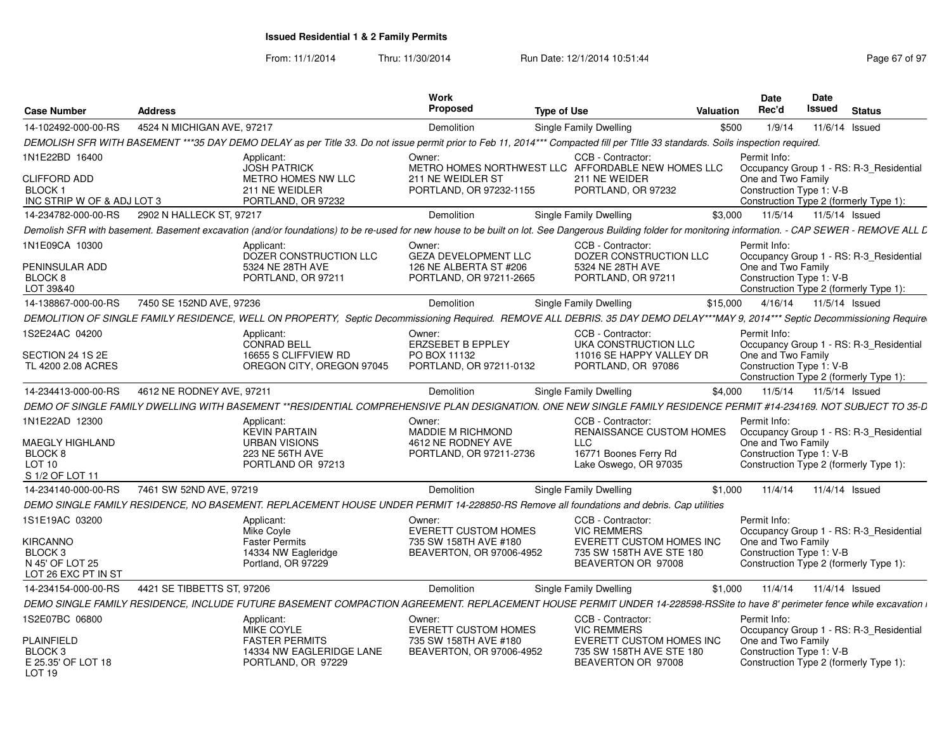| <b>Case Number</b>                                                                              | <b>Address</b>             |                                                                                                                                                                                                           | Work<br>Proposed                                                                           | <b>Type of Use</b>                                                                                                   | Valuation | <b>Date</b><br>Rec'd                                           | <b>Date</b><br>Issued | <b>Status</b>                                                                     |
|-------------------------------------------------------------------------------------------------|----------------------------|-----------------------------------------------------------------------------------------------------------------------------------------------------------------------------------------------------------|--------------------------------------------------------------------------------------------|----------------------------------------------------------------------------------------------------------------------|-----------|----------------------------------------------------------------|-----------------------|-----------------------------------------------------------------------------------|
| 14-102492-000-00-RS                                                                             | 4524 N MICHIGAN AVE, 97217 |                                                                                                                                                                                                           | Demolition                                                                                 | Single Family Dwelling                                                                                               | \$500     | 1/9/14                                                         |                       | 11/6/14 Issued                                                                    |
|                                                                                                 |                            | DEMOLISH SFR WITH BASEMENT ***35 DAY DEMO DELAY as per Title 33. Do not issue permit prior to Feb 11, 2014*** Compacted fill per Title 33 standards. Soils inspection required.                           |                                                                                            |                                                                                                                      |           |                                                                |                       |                                                                                   |
| 1N1E22BD 16400                                                                                  |                            | Applicant:                                                                                                                                                                                                | Owner:                                                                                     | CCB - Contractor:                                                                                                    |           | Permit Info:                                                   |                       |                                                                                   |
| <b>CLIFFORD ADD</b><br>BLOCK 1<br>INC STRIP W OF & ADJ LOT 3                                    |                            | <b>JOSH PATRICK</b><br>METRO HOMES NW LLC<br>211 NE WEIDLER<br>PORTLAND, OR 97232                                                                                                                         | 211 NE WEIDLER ST<br>PORTLAND, OR 97232-1155                                               | METRO HOMES NORTHWEST LLC AFFORDABLE NEW HOMES LLC<br>211 NE WEIDER<br>PORTLAND, OR 97232                            |           | One and Two Family<br>Construction Type 1: V-B                 |                       | Occupancy Group 1 - RS: R-3_Residential<br>Construction Type 2 (formerly Type 1): |
| 14-234782-000-00-RS                                                                             | 2902 N HALLECK ST, 97217   |                                                                                                                                                                                                           | <b>Demolition</b>                                                                          | Single Family Dwelling                                                                                               | \$3.000   | 11/5/14                                                        | 11/5/14 Issued        |                                                                                   |
|                                                                                                 |                            | Demolish SFR with basement. Basement excavation (and/or foundations) to be re-used for new house to be built on lot. See Dangerous Building folder for monitoring information. - CAP SEWER - REMOVE ALL L |                                                                                            |                                                                                                                      |           |                                                                |                       |                                                                                   |
| 1N1E09CA 10300<br>PENINSULAR ADD<br>BLOCK 8<br>LOT 39&40                                        |                            | Applicant:<br>DOZER CONSTRUCTION LLC<br>5324 NE 28TH AVE<br>PORTLAND, OR 97211                                                                                                                            | Owner:<br><b>GEZA DEVELOPMENT LLC</b><br>126 NE ALBERTA ST #206<br>PORTLAND, OR 97211-2665 | CCB - Contractor:<br>DOZER CONSTRUCTION LLC<br>5324 NE 28TH AVE<br>PORTLAND, OR 97211                                |           | Permit Info:<br>One and Two Family<br>Construction Type 1: V-B |                       | Occupancy Group 1 - RS: R-3 Residential<br>Construction Type 2 (formerly Type 1): |
| 14-138867-000-00-RS                                                                             | 7450 SE 152ND AVE, 97236   |                                                                                                                                                                                                           | Demolition                                                                                 | <b>Single Family Dwelling</b>                                                                                        | \$15,000  | 4/16/14                                                        | 11/5/14 Issued        |                                                                                   |
|                                                                                                 |                            | DEMOLITION OF SINGLE FAMILY RESIDENCE, WELL ON PROPERTY, Septic Decommissioning Required. REMOVE ALL DEBRIS. 35 DAY DEMO DELAY***MAY 9, 2014*** Septic Decommissioning Require                            |                                                                                            |                                                                                                                      |           |                                                                |                       |                                                                                   |
| 1S2E24AC 04200                                                                                  |                            | Applicant:<br><b>CONRAD BELL</b>                                                                                                                                                                          | Owner:<br>ERZSEBET B EPPLEY                                                                | CCB - Contractor:<br>UKA CONSTRUCTION LLC                                                                            |           | Permit Info:                                                   |                       | Occupancy Group 1 - RS: R-3_Residential                                           |
| SECTION 24 1S 2E<br>TL 4200 2.08 ACRES                                                          |                            | 16655 S CLIFFVIEW RD<br>OREGON CITY, OREGON 97045                                                                                                                                                         | PO BOX 11132<br>PORTLAND, OR 97211-0132                                                    | 11016 SE HAPPY VALLEY DR<br>PORTLAND, OR 97086                                                                       |           | One and Two Family<br>Construction Type 1: V-B                 |                       | Construction Type 2 (formerly Type 1):                                            |
| 14-234413-000-00-RS                                                                             | 4612 NE RODNEY AVE, 97211  |                                                                                                                                                                                                           | Demolition                                                                                 | <b>Single Family Dwelling</b>                                                                                        | \$4.000   | 11/5/14                                                        | 11/5/14 Issued        |                                                                                   |
|                                                                                                 |                            | DEMO OF SINGLE FAMILY DWELLING WITH BASEMENT **RESIDENTIAL COMPREHENSIVE PLAN DESIGNATION. ONE NEW SINGLE FAMILY RESIDENCE PERMIT #14-234169. NOT SUBJECT TO 35-D                                         |                                                                                            |                                                                                                                      |           |                                                                |                       |                                                                                   |
| 1N1E22AD 12300<br>MAEGLY HIGHLAND<br>BLOCK <sub>8</sub><br>LOT <sub>10</sub><br>S 1/2 OF LOT 11 |                            | Applicant:<br><b>KEVIN PARTAIN</b><br><b>URBAN VISIONS</b><br>223 NE 56TH AVE<br>PORTLAND OR 97213                                                                                                        | Owner:<br><b>MADDIE M RICHMOND</b><br>4612 NE RODNEY AVE<br>PORTLAND, OR 97211-2736        | CCB - Contractor:<br><b>RENAISSANCE CUSTOM HOMES</b><br><b>LLC</b><br>16771 Boones Ferry Rd<br>Lake Oswego, OR 97035 |           | Permit Info:<br>One and Two Family<br>Construction Type 1: V-B |                       | Occupancy Group 1 - RS: R-3_Residential<br>Construction Type 2 (formerly Type 1): |
| 14-234140-000-00-RS                                                                             | 7461 SW 52ND AVE, 97219    |                                                                                                                                                                                                           | Demolition                                                                                 | <b>Single Family Dwelling</b>                                                                                        | \$1,000   | 11/4/14                                                        |                       | 11/4/14 Issued                                                                    |
|                                                                                                 |                            | DEMO SINGLE FAMILY RESIDENCE, NO BASEMENT. REPLACEMENT HOUSE UNDER PERMIT 14-228850-RS Remove all foundations and debris. Cap utilities                                                                   |                                                                                            |                                                                                                                      |           |                                                                |                       |                                                                                   |
| 1S1E19AC 03200                                                                                  |                            | Applicant:<br>Mike Coyle                                                                                                                                                                                  | Owner:<br><b>EVERETT CUSTOM HOMES</b>                                                      | CCB - Contractor:<br><b>VIC REMMERS</b>                                                                              |           | Permit Info:                                                   |                       | Occupancy Group 1 - RS: R-3_Residential                                           |
| KIRCANNO<br>BLOCK <sub>3</sub><br>N 45' OF LOT 25<br>LOT 26 EXC PT IN ST                        |                            | <b>Faster Permits</b><br>14334 NW Eagleridge<br>Portland, OR 97229                                                                                                                                        | 735 SW 158TH AVE #180<br>BEAVERTON, OR 97006-4952                                          | EVERETT CUSTOM HOMES INC<br>735 SW 158TH AVE STE 180<br>BEAVERTON OR 97008                                           |           | One and Two Family<br>Construction Type 1: V-B                 |                       | Construction Type 2 (formerly Type 1):                                            |
| 14-234154-000-00-RS                                                                             | 4421 SE TIBBETTS ST, 97206 |                                                                                                                                                                                                           | Demolition                                                                                 | Single Family Dwelling                                                                                               | \$1.000   | 11/4/14                                                        |                       | 11/4/14 Issued                                                                    |
|                                                                                                 |                            | DEMO SINGLE FAMILY RESIDENCE, INCLUDE FUTURE BASEMENT COMPACTION AGREEMENT. REPLACEMENT HOUSE PERMIT UNDER 14-228598-RSSite to have 8' perimeter fence while excavation i                                 |                                                                                            |                                                                                                                      |           |                                                                |                       |                                                                                   |
| 1S2E07BC 06800                                                                                  |                            | Applicant:<br><b>MIKE COYLE</b>                                                                                                                                                                           | Owner:<br><b>EVERETT CUSTOM HOMES</b>                                                      | CCB - Contractor:<br><b>VIC REMMERS</b>                                                                              |           | Permit Info:                                                   |                       | Occupancy Group 1 - RS: R-3 Residential                                           |
| <b>PLAINFIELD</b><br>BLOCK 3<br>E 25.35' OF LOT 18<br>LOT 19                                    |                            | <b>FASTER PERMITS</b><br>14334 NW EAGLERIDGE LANE<br>PORTLAND, OR 97229                                                                                                                                   | 735 SW 158TH AVE #180<br>BEAVERTON, OR 97006-4952                                          | EVERETT CUSTOM HOMES INC<br>735 SW 158TH AVE STE 180<br>BEAVERTON OR 97008                                           |           | One and Two Family<br>Construction Type 1: V-B                 |                       | Construction Type 2 (formerly Type 1):                                            |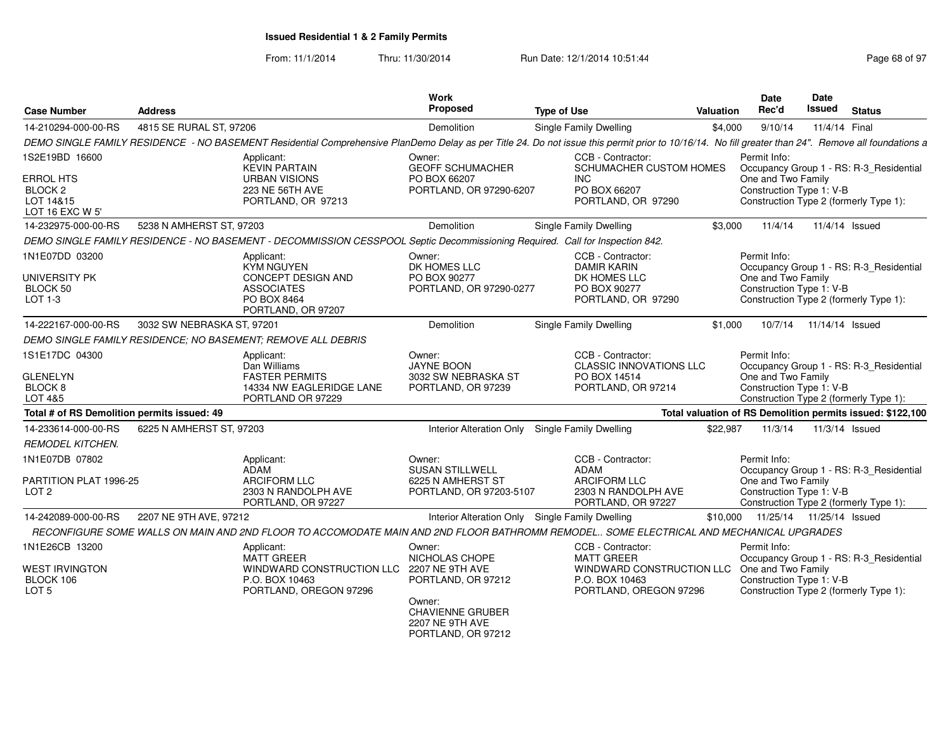| <b>Case Number</b>                                                     | <b>Address</b>             |                                                                                                                                                                                                     | Work<br>Proposed                                                           | <b>Type of Use</b>                                                    | <b>Valuation</b> | <b>Date</b><br>Rec'd                                                                     | Date<br>Issued             | <b>Status</b>  |                                                            |
|------------------------------------------------------------------------|----------------------------|-----------------------------------------------------------------------------------------------------------------------------------------------------------------------------------------------------|----------------------------------------------------------------------------|-----------------------------------------------------------------------|------------------|------------------------------------------------------------------------------------------|----------------------------|----------------|------------------------------------------------------------|
| 14-210294-000-00-RS                                                    | 4815 SE RURAL ST. 97206    |                                                                                                                                                                                                     | Demolition                                                                 | Single Family Dwelling                                                | \$4,000          | 9/10/14                                                                                  |                            | 11/4/14 Final  |                                                            |
|                                                                        |                            | DEMO SINGLE FAMILY RESIDENCE - NO BASEMENT Residential Comprehensive PlanDemo Delay as per Title 24. Do not issue this permit prior to 10/16/14. No fill greater than 24". Remove all foundations a |                                                                            |                                                                       |                  |                                                                                          |                            |                |                                                            |
| 1S2E19BD 16600                                                         |                            | Applicant:<br><b>KEVIN PARTAIN</b>                                                                                                                                                                  | Owner:<br><b>GEOFF SCHUMACHER</b>                                          | CCB - Contractor:<br>SCHUMACHER CUSTOM HOMES                          |                  | Permit Info:                                                                             |                            |                | Occupancy Group 1 - RS: R-3_Residential                    |
| <b>ERROL HTS</b><br>BLOCK <sub>2</sub><br>LOT 14&15<br>LOT 16 EXC W 5' |                            | <b>URBAN VISIONS</b><br>223 NE 56TH AVE<br>PORTLAND, OR 97213                                                                                                                                       | PO BOX 66207<br>PORTLAND, OR 97290-6207                                    | INC.<br>PO BOX 66207<br>PORTLAND, OR 97290                            |                  | One and Two Family<br>Construction Type 1: V-B<br>Construction Type 2 (formerly Type 1): |                            |                |                                                            |
| 14-232975-000-00-RS                                                    | 5238 N AMHERST ST. 97203   |                                                                                                                                                                                                     | Demolition                                                                 | Single Family Dwelling                                                | \$3,000          | 11/4/14                                                                                  |                            | 11/4/14 Issued |                                                            |
|                                                                        |                            | DEMO SINGLE FAMILY RESIDENCE - NO BASEMENT - DECOMMISSION CESSPOOL Septic Decommissioning Required. Call for Inspection 842.                                                                        |                                                                            |                                                                       |                  |                                                                                          |                            |                |                                                            |
| 1N1E07DD 03200                                                         |                            | Applicant:<br><b>KYM NGUYEN</b>                                                                                                                                                                     | Owner:<br>DK HOMES LLC                                                     | CCB - Contractor:<br><b>DAMIR KARIN</b>                               |                  | Permit Info:                                                                             |                            |                | Occupancy Group 1 - RS: R-3_Residential                    |
| UNIVERSITY PK<br>BLOCK 50                                              |                            | <b>CONCEPT DESIGN AND</b><br><b>ASSOCIATES</b>                                                                                                                                                      | PO BOX 90277<br>PORTLAND, OR 97290-0277                                    | DK HOMES LLC<br>PO BOX 90277                                          |                  | One and Two Family<br>Construction Type 1: V-B                                           |                            |                |                                                            |
| LOT 1-3                                                                |                            | PO BOX 8464<br>PORTLAND, OR 97207                                                                                                                                                                   |                                                                            | PORTLAND, OR 97290                                                    |                  | Construction Type 2 (formerly Type 1):                                                   |                            |                |                                                            |
| 14-222167-000-00-RS                                                    | 3032 SW NEBRASKA ST, 97201 |                                                                                                                                                                                                     | Demolition                                                                 | Single Family Dwelling                                                | \$1,000          |                                                                                          | 10/7/14  11/14/14  Issued  |                |                                                            |
|                                                                        |                            | DEMO SINGLE FAMILY RESIDENCE; NO BASEMENT; REMOVE ALL DEBRIS                                                                                                                                        |                                                                            |                                                                       |                  |                                                                                          |                            |                |                                                            |
| 1S1E17DC 04300                                                         |                            | Applicant:<br>Dan Williams                                                                                                                                                                          | Owner:<br><b>JAYNE BOON</b>                                                | CCB - Contractor:<br><b>CLASSIC INNOVATIONS LLC</b>                   |                  | Permit Info:                                                                             |                            |                | Occupancy Group 1 - RS: R-3 Residential                    |
| <b>GLENELYN</b><br>BLOCK <sub>8</sub><br>LOT 4&5                       |                            | <b>FASTER PERMITS</b><br>14334 NW EAGLERIDGE LANE<br>PORTLAND OR 97229                                                                                                                              | 3032 SW NEBRASKA ST<br>PORTLAND, OR 97239                                  | PO BOX 14514<br>PORTLAND, OR 97214                                    |                  | One and Two Family<br>Construction Type 1: V-B<br>Construction Type 2 (formerly Type 1): |                            |                |                                                            |
| Total # of RS Demolition permits issued: 49                            |                            |                                                                                                                                                                                                     |                                                                            |                                                                       |                  |                                                                                          |                            |                | Total valuation of RS Demolition permits issued: \$122,100 |
| 14-233614-000-00-RS                                                    | 6225 N AMHERST ST, 97203   |                                                                                                                                                                                                     |                                                                            | Interior Alteration Only Single Family Dwelling                       | \$22.987         | 11/3/14                                                                                  |                            | 11/3/14 Issued |                                                            |
| <b>REMODEL KITCHEN.</b>                                                |                            |                                                                                                                                                                                                     |                                                                            |                                                                       |                  |                                                                                          |                            |                |                                                            |
| 1N1E07DB 07802                                                         |                            | Applicant:<br>ADAM                                                                                                                                                                                  | Owner:<br><b>SUSAN STILLWELL</b>                                           | CCB - Contractor:<br>ADAM                                             |                  | Permit Info:                                                                             |                            |                | Occupancy Group 1 - RS: R-3 Residential                    |
| PARTITION PLAT 1996-25<br>LOT <sub>2</sub>                             |                            | <b>ARCIFORM LLC</b><br>2303 N RANDOLPH AVE<br>PORTLAND, OR 97227                                                                                                                                    | 6225 N AMHERST ST<br>PORTLAND, OR 97203-5107                               | <b>ARCIFORM LLC</b><br>2303 N RANDOLPH AVE<br>PORTLAND, OR 97227      |                  | One and Two Family<br>Construction Type 1: V-B<br>Construction Type 2 (formerly Type 1): |                            |                |                                                            |
| 14-242089-000-00-RS                                                    | 2207 NE 9TH AVE, 97212     |                                                                                                                                                                                                     |                                                                            | Interior Alteration Only Single Family Dwelling                       | \$10,000         |                                                                                          | 11/25/14  11/25/14  Issued |                |                                                            |
|                                                                        |                            | RECONFIGURE SOME WALLS ON MAIN AND 2ND FLOOR TO ACCOMODATE MAIN AND 2ND FLOOR BATHROMM REMODEL SOME ELECTRICAL AND MECHANICAL UPGRADES                                                              |                                                                            |                                                                       |                  |                                                                                          |                            |                |                                                            |
| 1N1E26CB 13200                                                         |                            | Applicant:<br><b>MATT GREER</b>                                                                                                                                                                     | Owner:<br>NICHOLAS CHOPE                                                   | CCB - Contractor:<br><b>MATT GREER</b>                                |                  | Permit Info:                                                                             |                            |                | Occupancy Group 1 - RS: R-3 Residential                    |
| <b>WEST IRVINGTON</b><br>BLOCK 106<br>LOT <sub>5</sub>                 |                            | WINDWARD CONSTRUCTION LLC<br>P.O. BOX 10463<br>PORTLAND, OREGON 97296                                                                                                                               | 2207 NE 9TH AVE<br>PORTLAND, OR 97212                                      | WINDWARD CONSTRUCTION LLC<br>P.O. BOX 10463<br>PORTLAND, OREGON 97296 |                  | One and Two Family<br>Construction Type 1: V-B<br>Construction Type 2 (formerly Type 1): |                            |                |                                                            |
|                                                                        |                            |                                                                                                                                                                                                     | Owner:<br><b>CHAVIENNE GRUBER</b><br>2207 NE 9TH AVE<br>PORTLAND, OR 97212 |                                                                       |                  |                                                                                          |                            |                |                                                            |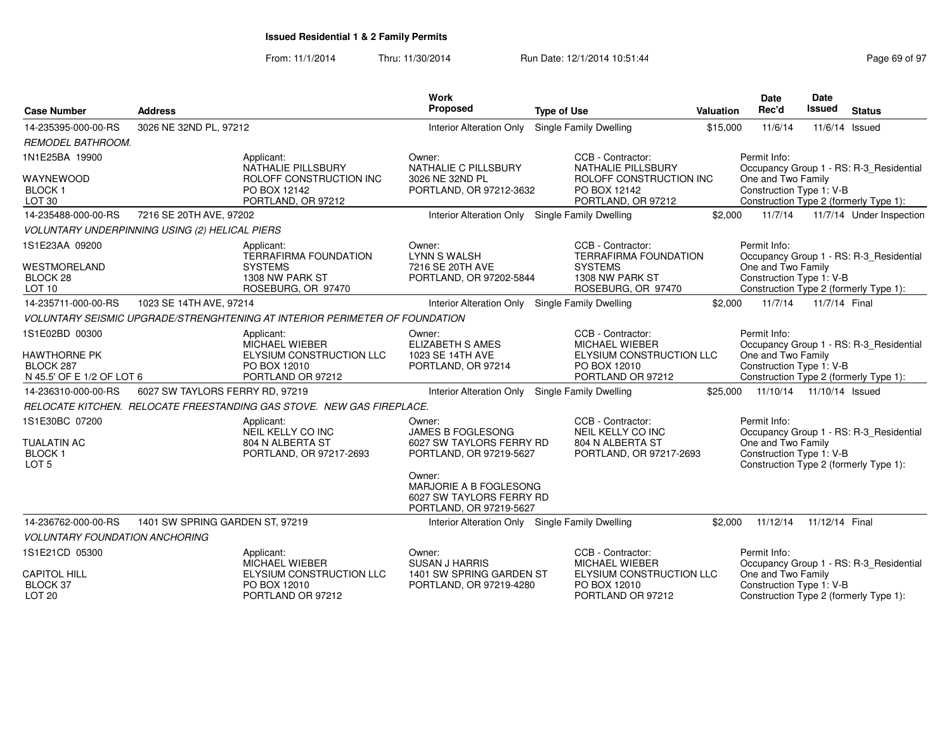From: 11/1/2014Thru: 11/30/2014 **Run Date: 12/1/2014 10:51:44 Page 69 of 97 of 97 of 97 of 97 of 97 of 97 of 97 of 97 of 97 of 97 of 97 of 97 of 97 of 97 of 97 of 97 of 97 of 97 of 97 of 97 of 97 of 97 of 97 of 97 of 97 of 97 of 97 of** 

| <b>Case Number</b>                                                              | <b>Address</b>                                        |                                                                                                       | <b>Work</b><br>Proposed                                                                   | <b>Type of Use</b>                                                                                           | <b>Valuation</b> | <b>Date</b><br>Rec'd                                           | <b>Date</b><br>Issued | <b>Status</b>                                                                     |
|---------------------------------------------------------------------------------|-------------------------------------------------------|-------------------------------------------------------------------------------------------------------|-------------------------------------------------------------------------------------------|--------------------------------------------------------------------------------------------------------------|------------------|----------------------------------------------------------------|-----------------------|-----------------------------------------------------------------------------------|
| 14-235395-000-00-RS                                                             | 3026 NE 32ND PL, 97212                                |                                                                                                       | <b>Interior Alteration Only</b>                                                           | Single Family Dwelling                                                                                       | \$15,000         | 11/6/14                                                        | 11/6/14 Issued        |                                                                                   |
| REMODEL BATHROOM.                                                               |                                                       |                                                                                                       |                                                                                           |                                                                                                              |                  |                                                                |                       |                                                                                   |
| 1N1E25BA 19900                                                                  |                                                       | Applicant:<br>NATHALIE PILLSBURY                                                                      | Owner:<br>NATHALIE C PILLSBURY                                                            | CCB - Contractor:<br><b>NATHALIE PILLSBURY</b>                                                               |                  | Permit Info:                                                   |                       | Occupancy Group 1 - RS: R-3_Residential                                           |
| WAYNEWOOD<br>BLOCK 1<br>LOT 30                                                  |                                                       | ROLOFF CONSTRUCTION INC<br>PO BOX 12142<br>PORTLAND, OR 97212                                         | 3026 NE 32ND PL<br>PORTLAND, OR 97212-3632                                                | ROLOFF CONSTRUCTION INC<br>PO BOX 12142<br>PORTLAND, OR 97212                                                |                  | One and Two Family<br>Construction Type 1: V-B                 |                       | Construction Type 2 (formerly Type 1):                                            |
| 14-235488-000-00-RS                                                             | 7216 SE 20TH AVE, 97202                               |                                                                                                       | Interior Alteration Only Single Family Dwelling                                           |                                                                                                              | \$2,000          | 11/7/14                                                        |                       | 11/7/14 Under Inspection                                                          |
|                                                                                 | <b>VOLUNTARY UNDERPINNING USING (2) HELICAL PIERS</b> |                                                                                                       |                                                                                           |                                                                                                              |                  |                                                                |                       |                                                                                   |
| 1S1E23AA 09200<br><b>WESTMORELAND</b><br>BLOCK 28<br>LOT <sub>10</sub>          |                                                       | Applicant:<br><b>TERRAFIRMA FOUNDATION</b><br><b>SYSTEMS</b><br>1308 NW PARK ST<br>ROSEBURG, OR 97470 | Owner:<br><b>LYNN S WALSH</b><br>7216 SE 20TH AVE<br>PORTLAND, OR 97202-5844              | CCB - Contractor:<br><b>TERRAFIRMA FOUNDATION</b><br><b>SYSTEMS</b><br>1308 NW PARK ST<br>ROSEBURG, OR 97470 |                  | Permit Info:<br>One and Two Family<br>Construction Type 1: V-B |                       | Occupancy Group 1 - RS: R-3_Residential<br>Construction Type 2 (formerly Type 1): |
| 14-235711-000-00-RS                                                             | 1023 SE 14TH AVE, 97214                               |                                                                                                       | Interior Alteration Only Single Family Dwelling                                           |                                                                                                              | \$2,000          | 11/7/14                                                        | 11/7/14 Final         |                                                                                   |
|                                                                                 |                                                       | VOLUNTARY SEISMIC UPGRADE/STRENGHTENING AT INTERIOR PERIMETER OF FOUNDATION                           |                                                                                           |                                                                                                              |                  |                                                                |                       |                                                                                   |
| 1S1E02BD 00300<br><b>HAWTHORNE PK</b><br>BLOCK 287<br>N 45.5' OF E 1/2 OF LOT 6 |                                                       | Applicant:<br><b>MICHAEL WIEBER</b><br>ELYSIUM CONSTRUCTION LLC<br>PO BOX 12010<br>PORTLAND OR 97212  | Owner:<br><b>ELIZABETH S AMES</b><br>1023 SE 14TH AVE<br>PORTLAND, OR 97214               | CCB - Contractor:<br>MICHAEL WIEBER<br>ELYSIUM CONSTRUCTION LLC<br>PO BOX 12010<br>PORTLAND OR 97212         |                  | Permit Info:<br>One and Two Family<br>Construction Type 1: V-B |                       | Occupancy Group 1 - RS: R-3_Residential<br>Construction Type 2 (formerly Type 1): |
| 14-236310-000-00-RS                                                             | 6027 SW TAYLORS FERRY RD, 97219                       |                                                                                                       | Interior Alteration Only Single Family Dwelling                                           |                                                                                                              | \$25.000         | 11/10/14  11/10/14  Issued                                     |                       |                                                                                   |
|                                                                                 |                                                       | RELOCATE KITCHEN. RELOCATE FREESTANDING GAS STOVE. NEW GAS FIREPLACE.                                 |                                                                                           |                                                                                                              |                  |                                                                |                       |                                                                                   |
| 1S1E30BC 07200<br><b>TUALATIN AC</b><br><b>BLOCK1</b><br>LOT <sub>5</sub>       |                                                       | Applicant:<br>NEIL KELLY CO INC<br>804 N ALBERTA ST<br>PORTLAND, OR 97217-2693                        | Owner:<br><b>JAMES B FOGLESONG</b><br>6027 SW TAYLORS FERRY RD<br>PORTLAND, OR 97219-5627 | CCB - Contractor:<br>NEIL KELLY CO INC<br>804 N ALBERTA ST<br>PORTLAND, OR 97217-2693                        |                  | Permit Info:<br>One and Two Family<br>Construction Type 1: V-B |                       | Occupancy Group 1 - RS: R-3_Residential<br>Construction Type 2 (formerly Type 1): |
|                                                                                 |                                                       |                                                                                                       | Owner:<br>MARJORIE A B FOGLESONG<br>6027 SW TAYLORS FERRY RD<br>PORTLAND, OR 97219-5627   |                                                                                                              |                  |                                                                |                       |                                                                                   |
| 14-236762-000-00-RS                                                             | 1401 SW SPRING GARDEN ST, 97219                       |                                                                                                       | Interior Alteration Only Single Family Dwelling                                           |                                                                                                              | \$2,000          | 11/12/14                                                       | 11/12/14 Final        |                                                                                   |
| <b>VOLUNTARY FOUNDATION ANCHORING</b>                                           |                                                       |                                                                                                       |                                                                                           |                                                                                                              |                  |                                                                |                       |                                                                                   |
| 1S1E21CD 05300                                                                  |                                                       | Applicant:<br><b>MICHAEL WIEBER</b>                                                                   | Owner:<br><b>SUSAN J HARRIS</b>                                                           | CCB - Contractor:<br>MICHAEL WIEBER                                                                          |                  | Permit Info:                                                   |                       | Occupancy Group 1 - RS: R-3_Residential                                           |
| <b>CAPITOL HILL</b><br><b>BLOCK 37</b><br>LOT <sub>20</sub>                     |                                                       | ELYSIUM CONSTRUCTION LLC<br>PO BOX 12010<br>PORTLAND OR 97212                                         | 1401 SW SPRING GARDEN ST<br>PORTLAND, OR 97219-4280                                       | ELYSIUM CONSTRUCTION LLC<br>PO BOX 12010<br>PORTLAND OR 97212                                                |                  | One and Two Family<br>Construction Type 1: V-B                 |                       | Construction Type 2 (formerly Type 1):                                            |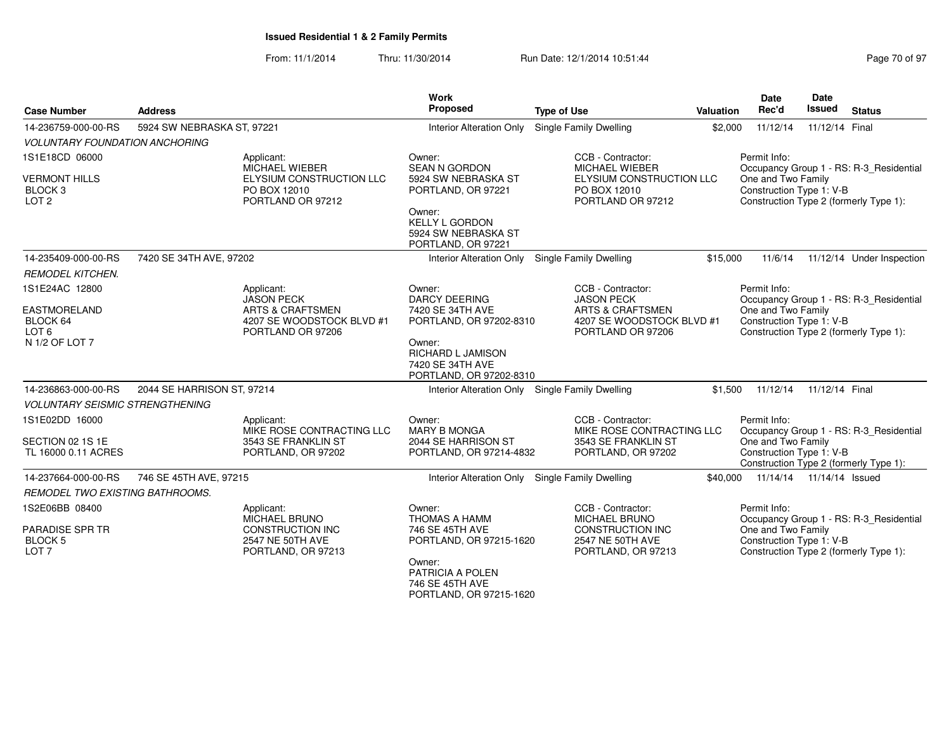From: 11/1/2014Thru: 11/30/2014 Run Date: 12/1/2014 10:51:44

| <b>Case Number</b>                                             | <b>Address</b><br>5924 SW NEBRASKA ST, 97221 |                                                                   | Work<br><b>Proposed</b>                                                           | <b>Type of Use</b>                                            | Valuation                                                                                | <b>Date</b><br>Rec'd                           | Date<br>Issued | <b>Status</b>                           |  |
|----------------------------------------------------------------|----------------------------------------------|-------------------------------------------------------------------|-----------------------------------------------------------------------------------|---------------------------------------------------------------|------------------------------------------------------------------------------------------|------------------------------------------------|----------------|-----------------------------------------|--|
| 14-236759-000-00-RS                                            |                                              |                                                                   | <b>Interior Alteration Only</b>                                                   | Single Family Dwelling                                        | \$2,000                                                                                  | 11/12/14                                       | 11/12/14 Final |                                         |  |
| <b>VOLUNTARY FOUNDATION ANCHORING</b>                          |                                              |                                                                   |                                                                                   |                                                               |                                                                                          |                                                |                |                                         |  |
| 1S1E18CD 06000                                                 |                                              | Applicant:<br><b>MICHAEL WIEBER</b>                               | Owner:<br><b>SEAN N GORDON</b>                                                    | CCB - Contractor:<br><b>MICHAEL WIEBER</b>                    |                                                                                          | Permit Info:                                   |                | Occupancy Group 1 - RS: R-3_Residential |  |
| <b>VERMONT HILLS</b><br>BLOCK <sub>3</sub><br>LOT <sub>2</sub> |                                              | ELYSIUM CONSTRUCTION LLC<br>PO BOX 12010<br>PORTLAND OR 97212     | 5924 SW NEBRASKA ST<br>PORTLAND, OR 97221                                         | ELYSIUM CONSTRUCTION LLC<br>PO BOX 12010<br>PORTLAND OR 97212 |                                                                                          | One and Two Family<br>Construction Type 1: V-B |                | Construction Type 2 (formerly Type 1):  |  |
|                                                                |                                              |                                                                   | Owner:<br><b>KELLY L GORDON</b><br>5924 SW NEBRASKA ST<br>PORTLAND, OR 97221      |                                                               |                                                                                          |                                                |                |                                         |  |
| 14-235409-000-00-RS                                            | 7420 SE 34TH AVE, 97202                      |                                                                   | Interior Alteration Only                                                          | Single Family Dwelling                                        | \$15,000                                                                                 | 11/6/14                                        |                | 11/12/14 Under Inspection               |  |
| <b>REMODEL KITCHEN.</b>                                        |                                              |                                                                   |                                                                                   |                                                               |                                                                                          |                                                |                |                                         |  |
| 1S1E24AC 12800                                                 |                                              | Applicant:<br><b>JASON PECK</b>                                   | Owner:<br><b>DARCY DEERING</b>                                                    | CCB - Contractor:<br><b>JASON PECK</b>                        |                                                                                          | Permit Info:                                   |                | Occupancy Group 1 - RS: R-3 Residential |  |
| EASTMORELAND<br>BLOCK 64                                       |                                              | <b>ARTS &amp; CRAFTSMEN</b><br>4207 SE WOODSTOCK BLVD #1          | 7420 SE 34TH AVE<br>PORTLAND, OR 97202-8310                                       | <b>ARTS &amp; CRAFTSMEN</b><br>4207 SE WOODSTOCK BLVD #1      |                                                                                          | One and Two Family<br>Construction Type 1: V-B |                |                                         |  |
| LOT <sub>6</sub><br>N 1/2 OF LOT 7                             |                                              | PORTLAND OR 97206                                                 | Owner:<br><b>RICHARD L JAMISON</b><br>7420 SE 34TH AVE<br>PORTLAND, OR 97202-8310 | PORTLAND OR 97206                                             |                                                                                          | Construction Type 2 (formerly Type 1):         |                |                                         |  |
| 14-236863-000-00-RS                                            | 2044 SE HARRISON ST, 97214                   |                                                                   |                                                                                   | Interior Alteration Only Single Family Dwelling               |                                                                                          | \$1,500 11/12/14                               | 11/12/14 Final |                                         |  |
| <b>VOLUNTARY SEISMIC STRENGTHENING</b>                         |                                              |                                                                   |                                                                                   |                                                               |                                                                                          |                                                |                |                                         |  |
| 1S1E02DD 16000                                                 |                                              | Applicant:<br>MIKE ROSE CONTRACTING LLC                           | Owner:<br><b>MARY B MONGA</b>                                                     | CCB - Contractor:<br>MIKE ROSE CONTRACTING LLC                |                                                                                          | Permit Info:                                   |                | Occupancy Group 1 - RS: R-3_Residential |  |
| SECTION 02 1S 1E<br>TL 16000 0.11 ACRES                        |                                              | 3543 SE FRANKLIN ST<br>PORTLAND, OR 97202                         | 2044 SE HARRISON ST<br>PORTLAND, OR 97214-4832                                    | 3543 SE FRANKLIN ST<br>PORTLAND, OR 97202                     | One and Two Family<br>Construction Type 1: V-B<br>Construction Type 2 (formerly Type 1): |                                                |                |                                         |  |
| 14-237664-000-00-RS                                            | 746 SE 45TH AVE, 97215                       |                                                                   |                                                                                   | Interior Alteration Only Single Family Dwelling               |                                                                                          | \$40,000 11/14/14 11/14/14 Issued              |                |                                         |  |
| <b>REMODEL TWO EXISTING BATHROOMS.</b>                         |                                              |                                                                   |                                                                                   |                                                               |                                                                                          |                                                |                |                                         |  |
| 1S2E06BB 08400                                                 |                                              | Applicant:<br>MICHAEL BRUNO                                       | Owner:<br><b>THOMAS A HAMM</b>                                                    | CCB - Contractor:<br><b>MICHAEL BRUNO</b>                     |                                                                                          | Permit Info:                                   |                | Occupancy Group 1 - RS: R-3_Residential |  |
| <b>PARADISE SPR TR</b><br><b>BLOCK 5</b><br>LOT <sub>7</sub>   |                                              | <b>CONSTRUCTION INC</b><br>2547 NE 50TH AVE<br>PORTLAND, OR 97213 | 746 SE 45TH AVE<br>PORTLAND, OR 97215-1620                                        | CONSTRUCTION INC<br>2547 NE 50TH AVE<br>PORTLAND, OR 97213    |                                                                                          | One and Two Family<br>Construction Type 1: V-B |                | Construction Type 2 (formerly Type 1):  |  |
|                                                                |                                              |                                                                   | Owner:<br>PATRICIA A POLEN<br>746 SE 45TH AVE<br>PORTLAND, OR 97215-1620          |                                                               |                                                                                          |                                                |                |                                         |  |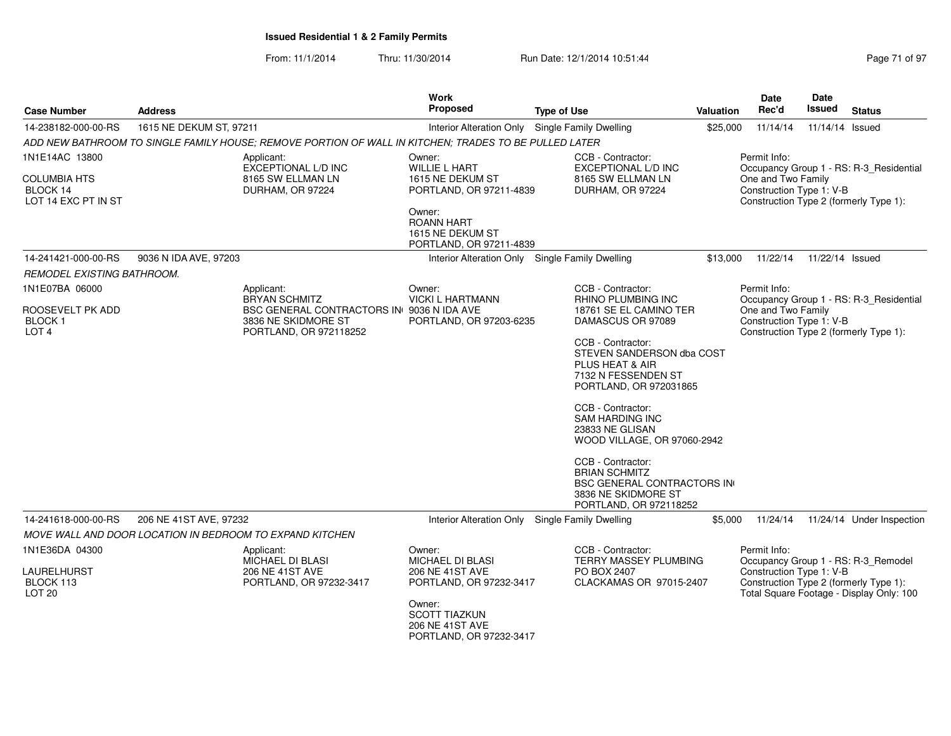| <b>Case Number</b>                                              | <b>Address</b>                                                               |                                                                                                       | Work<br><b>Proposed</b>                                                                                                                           | <b>Type of Use</b>                                                                                                              | Valuation | Date<br>Rec'd                                                                                                                                                         | <b>Date</b><br>Issued | <b>Status</b>                                                                     |
|-----------------------------------------------------------------|------------------------------------------------------------------------------|-------------------------------------------------------------------------------------------------------|---------------------------------------------------------------------------------------------------------------------------------------------------|---------------------------------------------------------------------------------------------------------------------------------|-----------|-----------------------------------------------------------------------------------------------------------------------------------------------------------------------|-----------------------|-----------------------------------------------------------------------------------|
| 14-238182-000-00-RS                                             | 1615 NE DEKUM ST, 97211                                                      |                                                                                                       | Interior Alteration Only Single Family Dwelling                                                                                                   |                                                                                                                                 | \$25,000  | 11/14/14                                                                                                                                                              | 11/14/14 Issued       |                                                                                   |
|                                                                 |                                                                              | ADD NEW BATHROOM TO SINGLE FAMILY HOUSE: REMOVE PORTION OF WALL IN KITCHEN: TRADES TO BE PULLED LATER |                                                                                                                                                   |                                                                                                                                 |           |                                                                                                                                                                       |                       |                                                                                   |
| 1N1E14AC 13800                                                  |                                                                              | Applicant:                                                                                            | Owner:                                                                                                                                            | CCB - Contractor:                                                                                                               |           | Permit Info:                                                                                                                                                          |                       |                                                                                   |
| <b>COLUMBIA HTS</b><br>BLOCK 14<br>LOT 14 EXC PT IN ST          |                                                                              | EXCEPTIONAL L/D INC<br>8165 SW ELLMAN LN<br>DURHAM, OR 97224                                          | <b>WILLIE L HART</b><br>1615 NE DEKUM ST<br>PORTLAND, OR 97211-4839<br>Owner:<br><b>ROANN HART</b><br>1615 NE DEKUM ST<br>PORTLAND, OR 97211-4839 | EXCEPTIONAL L/D INC<br>8165 SW ELLMAN LN<br>DURHAM, OR 97224                                                                    |           | One and Two Family<br>Construction Type 1: V-B                                                                                                                        |                       | Occupancy Group 1 - RS: R-3_Residential<br>Construction Type 2 (formerly Type 1): |
| 14-241421-000-00-RS                                             | 9036 N IDA AVE, 97203                                                        |                                                                                                       | Interior Alteration Only Single Family Dwelling                                                                                                   |                                                                                                                                 | \$13,000  | 11/22/14                                                                                                                                                              | 11/22/14 Issued       |                                                                                   |
| REMODEL EXISTING BATHROOM.                                      |                                                                              |                                                                                                       |                                                                                                                                                   |                                                                                                                                 |           |                                                                                                                                                                       |                       |                                                                                   |
| 1N1E07BA 06000                                                  |                                                                              | Applicant:<br><b>BRYAN SCHMITZ</b>                                                                    | Owner:<br><b>VICKI L HARTMANN</b>                                                                                                                 | CCB - Contractor:<br><b>RHINO PLUMBING INC</b>                                                                                  |           | Permit Info:                                                                                                                                                          |                       | Occupancy Group 1 - RS: R-3 Residential                                           |
| ROOSEVELT PK ADD<br><b>BLOCK1</b>                               |                                                                              | BSC GENERAL CONTRACTORS IN 9036 N IDA AVE<br>3836 NE SKIDMORE ST                                      | PORTLAND, OR 97203-6235                                                                                                                           | 18761 SE EL CAMINO TER<br>DAMASCUS OR 97089                                                                                     |           | One and Two Family<br>Construction Type 1: V-B                                                                                                                        |                       |                                                                                   |
| LOT <sub>4</sub>                                                |                                                                              | PORTLAND, OR 972118252                                                                                |                                                                                                                                                   | CCB - Contractor:<br>STEVEN SANDERSON dba COST<br>PLUS HEAT & AIR<br>7132 N FESSENDEN ST<br>PORTLAND, OR 972031865              |           |                                                                                                                                                                       |                       | Construction Type 2 (formerly Type 1):                                            |
|                                                                 |                                                                              |                                                                                                       |                                                                                                                                                   | CCB - Contractor:<br><b>SAM HARDING INC</b><br>23833 NE GLISAN<br>WOOD VILLAGE, OR 97060-2942                                   |           |                                                                                                                                                                       |                       |                                                                                   |
|                                                                 |                                                                              |                                                                                                       |                                                                                                                                                   | CCB - Contractor:<br><b>BRIAN SCHMITZ</b><br><b>BSC GENERAL CONTRACTORS IN</b><br>3836 NE SKIDMORE ST<br>PORTLAND, OR 972118252 |           |                                                                                                                                                                       |                       |                                                                                   |
| 14-241618-000-00-RS                                             | 206 NE 41ST AVE, 97232                                                       |                                                                                                       | Interior Alteration Only Single Family Dwelling                                                                                                   |                                                                                                                                 | \$5,000   |                                                                                                                                                                       |                       | 11/24/14  11/24/14  Under Inspection                                              |
|                                                                 |                                                                              | MOVE WALL AND DOOR LOCATION IN BEDROOM TO EXPAND KITCHEN                                              |                                                                                                                                                   |                                                                                                                                 |           |                                                                                                                                                                       |                       |                                                                                   |
| 1N1E36DA 04300<br>LAURELHURST<br>BLOCK 113<br>LOT <sub>20</sub> | Applicant:<br>MICHAEL DI BLASI<br>206 NE 41ST AVE<br>PORTLAND, OR 97232-3417 |                                                                                                       | Owner:<br>MICHAEL DI BLASI<br>206 NE 41ST AVE<br>PORTLAND, OR 97232-3417<br>Owner:<br><b>SCOTT TIAZKUN</b>                                        | CCB - Contractor:<br><b>TERRY MASSEY PLUMBING</b><br>PO BOX 2407<br>CLACKAMAS OR 97015-2407                                     |           | Permit Info:<br>Occupancy Group 1 - RS: R-3_Remodel<br>Construction Type 1: V-B<br>Construction Type 2 (formerly Type 1):<br>Total Square Footage - Display Only: 100 |                       |                                                                                   |
|                                                                 |                                                                              |                                                                                                       | <b>206 NE 41ST AVE</b><br>PORTLAND, OR 97232-3417                                                                                                 |                                                                                                                                 |           |                                                                                                                                                                       |                       |                                                                                   |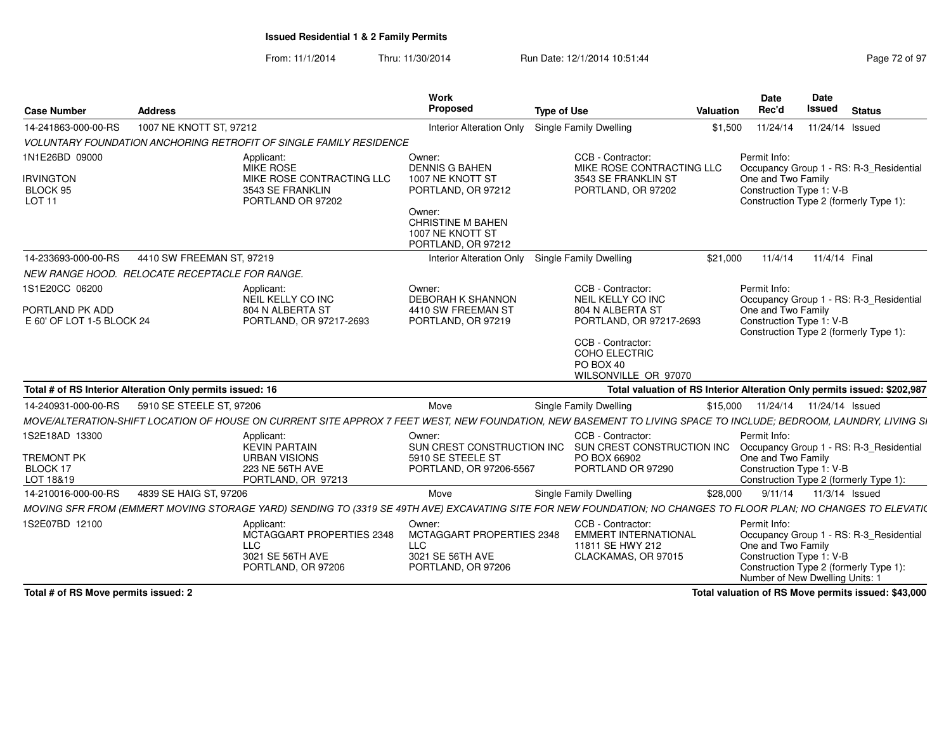From: 11/1/2014Thru: 11/30/2014 Run Date: 12/1/2014 10:51:44

| Page 72 of 97 |  |  |
|---------------|--|--|
|---------------|--|--|

| <b>Case Number</b>                                              | <b>Address</b>                                                                                                                                                   | Work<br>Proposed                                                                                                                                          | <b>Type of Use</b>                                                                                                                                                      | Valuation | Date<br>Rec'd                                                                                     | Date<br>Issued             | <b>Status</b>                                                                     |
|-----------------------------------------------------------------|------------------------------------------------------------------------------------------------------------------------------------------------------------------|-----------------------------------------------------------------------------------------------------------------------------------------------------------|-------------------------------------------------------------------------------------------------------------------------------------------------------------------------|-----------|---------------------------------------------------------------------------------------------------|----------------------------|-----------------------------------------------------------------------------------|
| 14-241863-000-00-RS                                             | 1007 NE KNOTT ST, 97212                                                                                                                                          | <b>Interior Alteration Only</b>                                                                                                                           | <b>Single Family Dwelling</b>                                                                                                                                           | \$1,500   | 11/24/14                                                                                          | 11/24/14 Issued            |                                                                                   |
|                                                                 | <b>VOLUNTARY FOUNDATION ANCHORING RETROFIT OF SINGLE FAMILY RESIDENCE</b>                                                                                        |                                                                                                                                                           |                                                                                                                                                                         |           |                                                                                                   |                            |                                                                                   |
| 1N1E26BD 09000<br><b>IRVINGTON</b><br>BLOCK 95<br><b>LOT 11</b> | Applicant:<br><b>MIKE ROSE</b><br>MIKE ROSE CONTRACTING LLC<br>3543 SE FRANKLIN<br>PORTLAND OR 97202                                                             | Owner:<br><b>DENNIS G BAHEN</b><br>1007 NE KNOTT ST<br>PORTLAND, OR 97212<br>Owner:<br><b>CHRISTINE M BAHEN</b><br>1007 NE KNOTT ST<br>PORTLAND, OR 97212 | CCB - Contractor:<br>MIKE ROSE CONTRACTING LLC<br>3543 SE FRANKLIN ST<br>PORTLAND, OR 97202                                                                             |           | Permit Info:<br>One and Two Family<br>Construction Type 1: V-B                                    |                            | Occupancy Group 1 - RS: R-3 Residential<br>Construction Type 2 (formerly Type 1): |
| 14-233693-000-00-RS                                             | 4410 SW FREEMAN ST, 97219                                                                                                                                        | <b>Interior Alteration Only</b>                                                                                                                           | <b>Single Family Dwelling</b>                                                                                                                                           | \$21,000  | 11/4/14                                                                                           | 11/4/14 Final              |                                                                                   |
|                                                                 | NEW RANGE HOOD. RELOCATE RECEPTACLE FOR RANGE.                                                                                                                   |                                                                                                                                                           |                                                                                                                                                                         |           |                                                                                                   |                            |                                                                                   |
| 1S1E20CC 06200<br>PORTLAND PK ADD<br>E 60' OF LOT 1-5 BLOCK 24  | Applicant:<br>NEIL KELLY CO INC<br>804 N ALBERTA ST<br>PORTLAND, OR 97217-2693                                                                                   | Owner:<br><b>DEBORAH K SHANNON</b><br>4410 SW FREEMAN ST<br>PORTLAND, OR 97219                                                                            | CCB - Contractor:<br>NEIL KELLY CO INC<br>804 N ALBERTA ST<br>PORTLAND, OR 97217-2693<br>CCB - Contractor:<br><b>COHO ELECTRIC</b><br>PO BOX 40<br>WILSONVILLE OR 97070 |           | Permit Info:<br>One and Two Family<br>Construction Type 1: V-B                                    |                            | Occupancy Group 1 - RS: R-3 Residential<br>Construction Type 2 (formerly Type 1): |
|                                                                 | Total # of RS Interior Alteration Only permits issued: 16                                                                                                        |                                                                                                                                                           | Total valuation of RS Interior Alteration Only permits issued: \$202,987                                                                                                |           |                                                                                                   |                            |                                                                                   |
| 14-240931-000-00-RS                                             | 5910 SE STEELE ST. 97206                                                                                                                                         | Move                                                                                                                                                      | <b>Single Family Dwelling</b>                                                                                                                                           | \$15,000  |                                                                                                   | 11/24/14  11/24/14  Issued |                                                                                   |
|                                                                 | MOVE/ALTERATION-SHIFT LOCATION OF HOUSE ON CURRENT SITE APPROX 7 FEET WEST. NEW FOUNDATION. NEW BASEMENT TO LIVING SPACE TO INCLUDE: BEDROOM, LAUNDRY, LIVING SI |                                                                                                                                                           |                                                                                                                                                                         |           |                                                                                                   |                            |                                                                                   |
| 1S2E18AD 13300<br><b>TREMONT PK</b><br>BLOCK 17<br>LOT 18&19    | Applicant:<br><b>KEVIN PARTAIN</b><br><b>URBAN VISIONS</b><br>223 NE 56TH AVE<br>PORTLAND, OR 97213                                                              | Owner:<br>SUN CREST CONSTRUCTION INC<br>5910 SE STEELE ST<br>PORTLAND, OR 97206-5567                                                                      | CCB - Contractor:<br>SUN CREST CONSTRUCTION INC<br>PO BOX 66902<br>PORTLAND OR 97290                                                                                    |           | Permit Info:<br>One and Two Family<br>Construction Type 1: V-B                                    |                            | Occupancy Group 1 - RS: R-3_Residential<br>Construction Type 2 (formerly Type 1): |
| 14-210016-000-00-RS                                             | 4839 SE HAIG ST, 97206                                                                                                                                           | Move                                                                                                                                                      | Single Family Dwelling                                                                                                                                                  | \$28,000  | 9/11/14                                                                                           | 11/3/14 Issued             |                                                                                   |
|                                                                 | MOVING SFR FROM (EMMERT MOVING STORAGE YARD) SENDING TO (3319 SE 49TH AVE) EXCAVATING SITE FOR NEW FOUNDATION; NO CHANGES TO FLOOR PLAN; NO CHANGES TO ELEVATI(  |                                                                                                                                                           |                                                                                                                                                                         |           |                                                                                                   |                            |                                                                                   |
| 1S2E07BD 12100                                                  | Applicant:<br>MCTAGGART PROPERTIES 2348<br><b>LLC</b><br>3021 SE 56TH AVE<br>PORTLAND, OR 97206                                                                  | Owner:<br>MCTAGGART PROPERTIES 2348<br><b>LLC</b><br>3021 SE 56TH AVE<br>PORTLAND, OR 97206                                                               | CCB - Contractor:<br><b>EMMERT INTERNATIONAL</b><br>11811 SE HWY 212<br>CLACKAMAS, OR 97015                                                                             |           | Permit Info:<br>One and Two Family<br>Construction Type 1: V-B<br>Number of New Dwelling Units: 1 |                            | Occupancy Group 1 - RS: R-3_Residential<br>Construction Type 2 (formerly Type 1): |

**Total # of RS Move permits issued: 2**

**Total valuation of RS Move permits issued: \$43,000**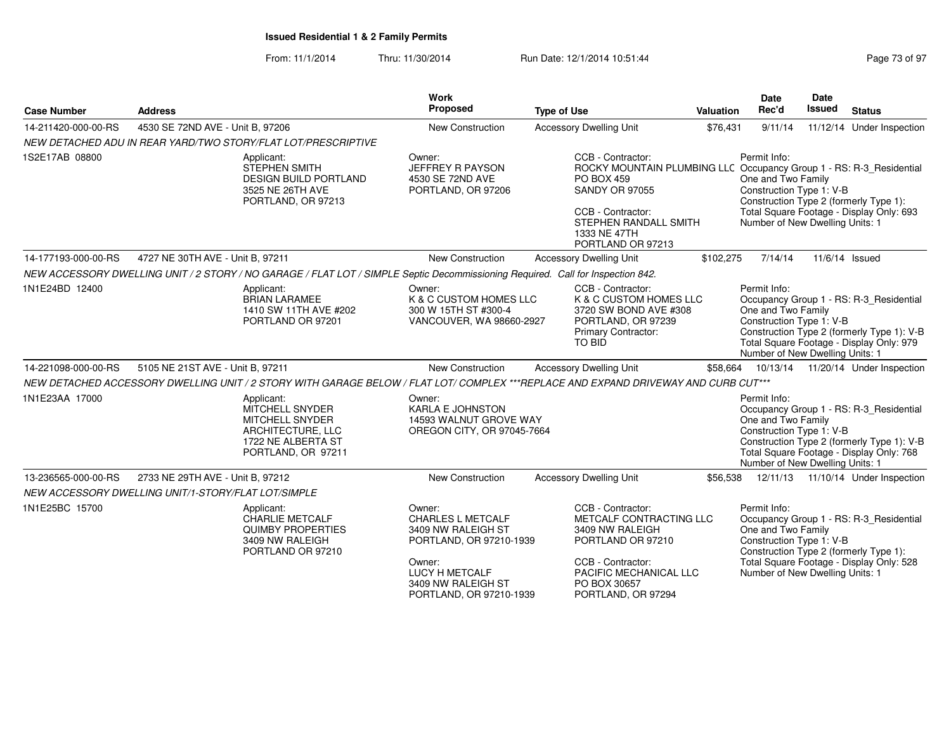| <b>Case Number</b>  | <b>Address</b>                                                                                                                      | Work<br>Proposed                                                                                                                                                 | <b>Type of Use</b>                                                                                                                                                                                                 | Valuation | <b>Date</b><br>Rec'd                                                                              | <b>Date</b><br>Issued | <b>Status</b>                                                                                                                     |
|---------------------|-------------------------------------------------------------------------------------------------------------------------------------|------------------------------------------------------------------------------------------------------------------------------------------------------------------|--------------------------------------------------------------------------------------------------------------------------------------------------------------------------------------------------------------------|-----------|---------------------------------------------------------------------------------------------------|-----------------------|-----------------------------------------------------------------------------------------------------------------------------------|
| 14-211420-000-00-RS | 4530 SE 72ND AVE - Unit B, 97206                                                                                                    | New Construction                                                                                                                                                 | <b>Accessory Dwelling Unit</b>                                                                                                                                                                                     | \$76,431  | 9/11/14                                                                                           |                       | 11/12/14 Under Inspection                                                                                                         |
|                     | NEW DETACHED ADU IN REAR YARD/TWO STORY/FLAT LOT/PRESCRIPTIVE                                                                       |                                                                                                                                                                  |                                                                                                                                                                                                                    |           |                                                                                                   |                       |                                                                                                                                   |
| 1S2E17AB 08800      | Applicant:<br><b>STEPHEN SMITH</b><br><b>DESIGN BUILD PORTLAND</b><br>3525 NE 26TH AVE<br>PORTLAND, OR 97213                        | Owner:<br>JEFFREY R PAYSON<br>4530 SE 72ND AVE<br>PORTLAND, OR 97206                                                                                             | CCB - Contractor:<br>ROCKY MOUNTAIN PLUMBING LLC Occupancy Group 1 - RS: R-3_Residential<br>PO BOX 459<br><b>SANDY OR 97055</b><br>CCB - Contractor:<br>STEPHEN RANDALL SMITH<br>1333 NE 47TH<br>PORTLAND OR 97213 |           | Permit Info:<br>One and Two Family<br>Construction Type 1: V-B<br>Number of New Dwelling Units: 1 |                       | Construction Type 2 (formerly Type 1):<br>Total Square Footage - Display Only: 693                                                |
| 14-177193-000-00-RS | 4727 NE 30TH AVE - Unit B, 97211                                                                                                    | <b>New Construction</b>                                                                                                                                          | <b>Accessory Dwelling Unit</b>                                                                                                                                                                                     | \$102,275 | 7/14/14                                                                                           |                       | 11/6/14 Issued                                                                                                                    |
|                     | NEW ACCESSORY DWELLING UNIT / 2 STORY / NO GARAGE / FLAT LOT / SIMPLE Septic Decommissioning Required. Call for Inspection 842.     |                                                                                                                                                                  |                                                                                                                                                                                                                    |           |                                                                                                   |                       |                                                                                                                                   |
| 1N1E24BD 12400      | Applicant:<br><b>BRIAN LARAMEE</b><br>1410 SW 11TH AVE #202<br>PORTLAND OR 97201                                                    | Owner:<br>K & C CUSTOM HOMES LLC<br>300 W 15TH ST #300-4<br>VANCOUVER, WA 98660-2927                                                                             | CCB - Contractor:<br>K & C CUSTOM HOMES LLC<br>3720 SW BOND AVE #308<br>PORTLAND, OR 97239<br><b>Primary Contractor:</b><br>TO BID                                                                                 |           | Permit Info:<br>One and Two Family<br>Construction Type 1: V-B<br>Number of New Dwelling Units: 1 |                       | Occupancy Group 1 - RS: R-3_Residential<br>Construction Type 2 (formerly Type 1): V-B<br>Total Square Footage - Display Only: 979 |
| 14-221098-000-00-RS | 5105 NE 21ST AVE - Unit B, 97211                                                                                                    | New Construction                                                                                                                                                 | <b>Accessory Dwelling Unit</b>                                                                                                                                                                                     | \$58,664  |                                                                                                   |                       | 10/13/14  11/20/14  Under Inspection                                                                                              |
|                     | NEW DETACHED ACCESSORY DWELLING UNIT / 2 STORY WITH GARAGE BELOW / FLAT LOT/ COMPLEX ***REPLACE AND EXPAND DRIVEWAY AND CURB CUT*** |                                                                                                                                                                  |                                                                                                                                                                                                                    |           |                                                                                                   |                       |                                                                                                                                   |
| 1N1E23AA 17000      | Applicant:<br>MITCHELL SNYDER<br><b>MITCHELL SNYDER</b><br>ARCHITECTURE, LLC<br>1722 NE ALBERTA ST<br>PORTLAND, OR 97211            | Owner:<br>KARLA E JOHNSTON<br>14593 WALNUT GROVE WAY<br>OREGON CITY, OR 97045-7664                                                                               |                                                                                                                                                                                                                    |           | Permit Info:<br>One and Two Family<br>Construction Type 1: V-B<br>Number of New Dwelling Units: 1 |                       | Occupancy Group 1 - RS: R-3_Residential<br>Construction Type 2 (formerly Type 1): V-B<br>Total Square Footage - Display Only: 768 |
| 13-236565-000-00-RS | 2733 NE 29TH AVE - Unit B, 97212                                                                                                    | New Construction                                                                                                                                                 | <b>Accessory Dwelling Unit</b>                                                                                                                                                                                     | \$56,538  |                                                                                                   |                       | 12/11/13  11/10/14  Under Inspection                                                                                              |
|                     | NEW ACCESSORY DWELLING UNIT/1-STORY/FLAT LOT/SIMPLE                                                                                 |                                                                                                                                                                  |                                                                                                                                                                                                                    |           |                                                                                                   |                       |                                                                                                                                   |
| 1N1E25BC 15700      | Applicant:<br>CHARLIE METCALF<br><b>QUIMBY PROPERTIES</b><br>3409 NW RALEIGH<br>PORTLAND OR 97210                                   | Owner:<br><b>CHARLES L METCALF</b><br>3409 NW RALEIGH ST<br>PORTLAND, OR 97210-1939<br>Owner:<br>LUCY H METCALF<br>3409 NW RALEIGH ST<br>PORTLAND, OR 97210-1939 | CCB - Contractor:<br>METCALF CONTRACTING LLC<br>3409 NW RALEIGH<br>PORTLAND OR 97210<br>CCB - Contractor:<br>PACIFIC MECHANICAL LLC<br>PO BOX 30657<br>PORTLAND, OR 97294                                          |           | Permit Info:<br>One and Two Family<br>Construction Type 1: V-B<br>Number of New Dwelling Units: 1 |                       | Occupancy Group 1 - RS: R-3_Residential<br>Construction Type 2 (formerly Type 1):<br>Total Square Footage - Display Only: 528     |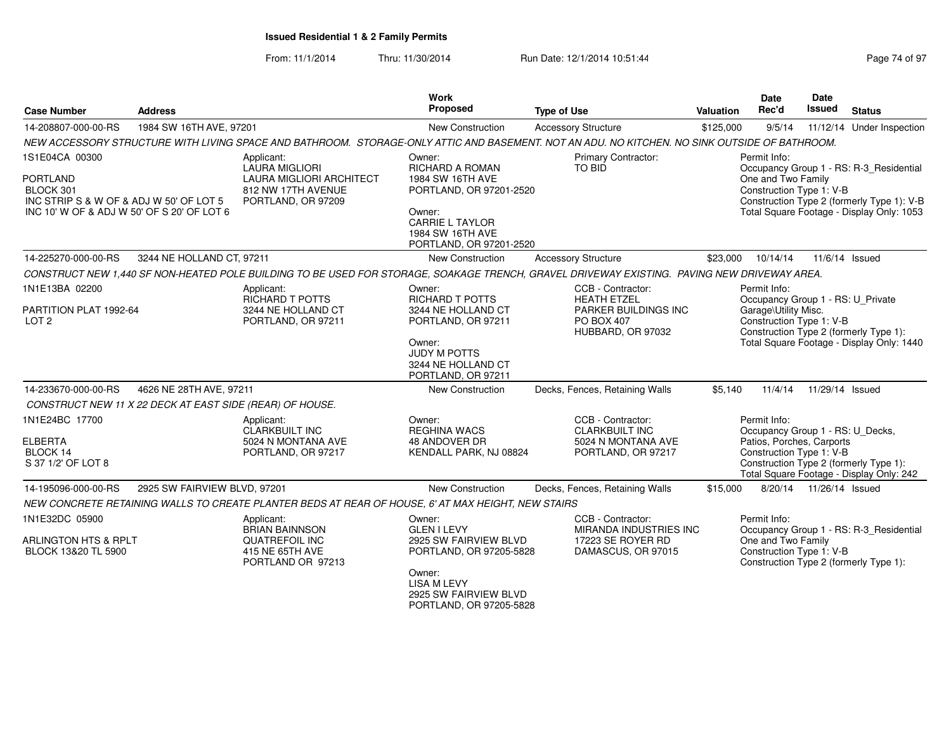| <b>Case Number</b>                                                                                                               | <b>Address</b>                                           |                                                                                                             | Work<br>Proposed                                                                                                                                                                             | <b>Type of Use</b>                                                                                                                            | <b>Valuation</b>                                                                                                                                                                                     | Date<br>Rec'd                                                                                             | <b>Date</b><br><b>Issued</b> | <b>Status</b>                                                                       |
|----------------------------------------------------------------------------------------------------------------------------------|----------------------------------------------------------|-------------------------------------------------------------------------------------------------------------|----------------------------------------------------------------------------------------------------------------------------------------------------------------------------------------------|-----------------------------------------------------------------------------------------------------------------------------------------------|------------------------------------------------------------------------------------------------------------------------------------------------------------------------------------------------------|-----------------------------------------------------------------------------------------------------------|------------------------------|-------------------------------------------------------------------------------------|
| 14-208807-000-00-RS                                                                                                              | 1984 SW 16TH AVE, 97201                                  |                                                                                                             | New Construction                                                                                                                                                                             | <b>Accessory Structure</b>                                                                                                                    | \$125,000                                                                                                                                                                                            | 9/5/14                                                                                                    |                              | 11/12/14 Under Inspection                                                           |
|                                                                                                                                  |                                                          |                                                                                                             |                                                                                                                                                                                              | NEW ACCESSORY STRUCTURE WITH LIVING SPACE AND BATHROOM. STORAGE-ONLY ATTIC AND BASEMENT. NOT AN ADU. NO KITCHEN. NO SINK OUTSIDE OF BATHROOM. |                                                                                                                                                                                                      |                                                                                                           |                              |                                                                                     |
| 1S1E04CA 00300<br>PORTLAND<br>BLOCK 301<br>INC STRIP S & W OF & ADJ W 50' OF LOT 5<br>INC 10' W OF & ADJ W 50' OF S 20' OF LOT 6 |                                                          | Applicant:<br>LAURA MIGLIORI<br><b>LAURA MIGLIORI ARCHITECT</b><br>812 NW 17TH AVENUE<br>PORTLAND, OR 97209 | Primary Contractor:<br>Owner:<br>RICHARD A ROMAN<br>TO BID<br>1984 SW 16TH AVE<br>PORTLAND, OR 97201-2520<br>Owner:<br><b>CARRIE L TAYLOR</b><br>1984 SW 16TH AVE<br>PORTLAND, OR 97201-2520 |                                                                                                                                               | Permit Info:<br>Occupancy Group 1 - RS: R-3_Residential<br>One and Two Family<br>Construction Type 1: V-B<br>Construction Type 2 (formerly Type 1): V-B<br>Total Square Footage - Display Only: 1053 |                                                                                                           |                              |                                                                                     |
| 14-225270-000-00-RS                                                                                                              | 3244 NE HOLLAND CT, 97211                                |                                                                                                             | New Construction                                                                                                                                                                             | <b>Accessory Structure</b>                                                                                                                    | \$23,000                                                                                                                                                                                             | 10/14/14                                                                                                  | 11/6/14 Issued               |                                                                                     |
|                                                                                                                                  |                                                          |                                                                                                             |                                                                                                                                                                                              | CONSTRUCT NEW 1,440 SF NON-HEATED POLE BUILDING TO BE USED FOR STORAGE, SOAKAGE TRENCH, GRAVEL DRIVEWAY EXISTING. PAVING NEW DRIVEWAY AREA.   |                                                                                                                                                                                                      |                                                                                                           |                              |                                                                                     |
| 1N1E13BA 02200<br>PARTITION PLAT 1992-64<br>LOT <sub>2</sub>                                                                     |                                                          | Applicant:<br>RICHARD T POTTS<br>3244 NE HOLLAND CT<br>PORTLAND, OR 97211                                   | Owner:<br><b>RICHARD T POTTS</b><br>3244 NE HOLLAND CT<br>PORTLAND, OR 97211<br>Owner:<br><b>JUDY M POTTS</b><br>3244 NE HOLLAND CT<br>PORTLAND, OR 97211                                    | CCB - Contractor:<br><b>HEATH ETZEL</b><br>PARKER BUILDINGS INC<br>PO BOX 407<br>HUBBARD, OR 97032                                            |                                                                                                                                                                                                      | Permit Info:<br>Occupancy Group 1 - RS: U_Private<br>Garage\Utility Misc.<br>Construction Type 1: V-B     |                              | Construction Type 2 (formerly Type 1):<br>Total Square Footage - Display Only: 1440 |
| 14-233670-000-00-RS                                                                                                              | 4626 NE 28TH AVE, 97211                                  |                                                                                                             | New Construction                                                                                                                                                                             | Decks, Fences, Retaining Walls                                                                                                                | \$5.140                                                                                                                                                                                              | 11/4/14                                                                                                   | 11/29/14 Issued              |                                                                                     |
|                                                                                                                                  | CONSTRUCT NEW 11 X 22 DECK AT EAST SIDE (REAR) OF HOUSE. |                                                                                                             |                                                                                                                                                                                              |                                                                                                                                               |                                                                                                                                                                                                      |                                                                                                           |                              |                                                                                     |
| 1N1E24BC 17700<br><b>ELBERTA</b><br>BLOCK 14<br>S 37 1/2' OF LOT 8                                                               |                                                          | Applicant:<br><b>CLARKBUILT INC</b><br>5024 N MONTANA AVE<br>PORTLAND, OR 97217                             | Owner:<br><b>REGHINA WACS</b><br>48 ANDOVER DR<br>KENDALL PARK, NJ 08824                                                                                                                     | CCB - Contractor:<br><b>CLARKBUILT INC</b><br>5024 N MONTANA AVE<br>PORTLAND, OR 97217                                                        |                                                                                                                                                                                                      | Permit Info:<br>Occupancy Group 1 - RS: U_Decks,<br>Patios, Porches, Carports<br>Construction Type 1: V-B |                              | Construction Type 2 (formerly Type 1):<br>Total Square Footage - Display Only: 242  |
| 14-195096-000-00-RS                                                                                                              | 2925 SW FAIRVIEW BLVD, 97201                             |                                                                                                             | <b>New Construction</b>                                                                                                                                                                      | Decks, Fences, Retaining Walls                                                                                                                | \$15,000                                                                                                                                                                                             | 8/20/14                                                                                                   | 11/26/14 Issued              |                                                                                     |
|                                                                                                                                  |                                                          | NEW CONCRETE RETAINING WALLS TO CREATE PLANTER BEDS AT REAR OF HOUSE, 6' AT MAX HEIGHT, NEW STAIRS          |                                                                                                                                                                                              |                                                                                                                                               |                                                                                                                                                                                                      |                                                                                                           |                              |                                                                                     |
| 1N1E32DC 05900<br><b>ARLINGTON HTS &amp; RPLT</b><br>BLOCK 13&20 TL 5900                                                         |                                                          | Applicant:<br><b>BRIAN BAINNSON</b><br><b>QUATREFOIL INC</b><br>415 NE 65TH AVE<br>PORTLAND OR 97213        | Owner:<br><b>GLEN I LEVY</b><br>2925 SW FAIRVIEW BLVD<br>PORTLAND, OR 97205-5828<br>Owner:<br><b>LISA M LEVY</b><br>2925 SW FAIRVIEW BLVD<br>PORTLAND, OR 97205-5828                         | CCB - Contractor:<br>MIRANDA INDUSTRIES INC<br>17223 SE ROYER RD<br>DAMASCUS, OR 97015                                                        |                                                                                                                                                                                                      | Permit Info:<br>One and Two Family<br>Construction Type 1: V-B                                            |                              | Occupancy Group 1 - RS: R-3_Residential<br>Construction Type 2 (formerly Type 1):   |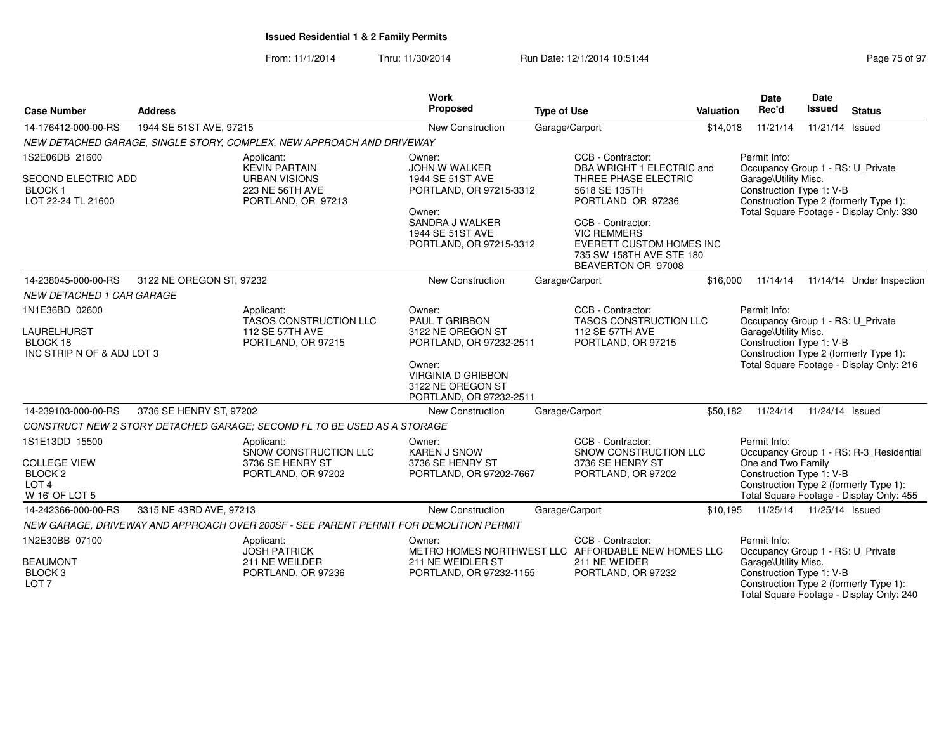| <b>Case Number</b>                                                                                | <b>Address</b>           |                                                                                                                                                           | <b>Work</b><br><b>Proposed</b>                                                                                                                                         | <b>Type of Use</b>                                                                                                                                                                                                                    | <b>Valuation</b> | <b>Date</b><br>Rec'd                                                                                                                                                                        | Date<br><b>Issued</b>      | <b>Status</b>                                                                                                                 |
|---------------------------------------------------------------------------------------------------|--------------------------|-----------------------------------------------------------------------------------------------------------------------------------------------------------|------------------------------------------------------------------------------------------------------------------------------------------------------------------------|---------------------------------------------------------------------------------------------------------------------------------------------------------------------------------------------------------------------------------------|------------------|---------------------------------------------------------------------------------------------------------------------------------------------------------------------------------------------|----------------------------|-------------------------------------------------------------------------------------------------------------------------------|
| 14-176412-000-00-RS                                                                               | 1944 SE 51ST AVE, 97215  |                                                                                                                                                           | <b>New Construction</b>                                                                                                                                                | Garage/Carport                                                                                                                                                                                                                        | \$14,018         | 11/21/14                                                                                                                                                                                    | 11/21/14 Issued            |                                                                                                                               |
|                                                                                                   |                          | NEW DETACHED GARAGE, SINGLE STORY, COMPLEX, NEW APPROACH AND DRIVEWAY                                                                                     |                                                                                                                                                                        |                                                                                                                                                                                                                                       |                  |                                                                                                                                                                                             |                            |                                                                                                                               |
| 1S2E06DB 21600<br>SECOND ELECTRIC ADD<br><b>BLOCK1</b><br>LOT 22-24 TL 21600                      |                          | Applicant:<br><b>KEVIN PARTAIN</b><br><b>URBAN VISIONS</b><br>223 NE 56TH AVE<br>PORTLAND, OR 97213                                                       | Owner:<br><b>JOHN W WALKER</b><br>1944 SE 51ST AVE<br>PORTLAND, OR 97215-3312<br>Owner:<br>SANDRA J WALKER<br>1944 SE 51ST AVE<br>PORTLAND, OR 97215-3312              | CCB - Contractor:<br>DBA WRIGHT 1 ELECTRIC and<br>THREE PHASE ELECTRIC<br>5618 SE 135TH<br>PORTLAND OR 97236<br>CCB - Contractor:<br><b>VIC REMMERS</b><br>EVERETT CUSTOM HOMES INC<br>735 SW 158TH AVE STE 180<br>BEAVERTON OR 97008 |                  | Permit Info:<br>Occupancy Group 1 - RS: U Private<br>Garage\Utility Misc.<br>Construction Type 1: V-B                                                                                       |                            | Construction Type 2 (formerly Type 1):<br>Total Square Footage - Display Only: 330                                            |
| 14-238045-000-00-RS                                                                               | 3122 NE OREGON ST, 97232 |                                                                                                                                                           | <b>New Construction</b>                                                                                                                                                | Garage/Carport                                                                                                                                                                                                                        | \$16,000         | 11/14/14                                                                                                                                                                                    |                            | 11/14/14 Under Inspection                                                                                                     |
| <b>NEW DETACHED 1 CAR GARAGE</b>                                                                  |                          |                                                                                                                                                           |                                                                                                                                                                        |                                                                                                                                                                                                                                       |                  |                                                                                                                                                                                             |                            |                                                                                                                               |
| 1N1E36BD 02600<br>LAURELHURST<br>BLOCK 18<br>INC STRIP N OF & ADJ LOT 3                           |                          | Applicant:<br>TASOS CONSTRUCTION LLC<br>112 SE 57TH AVE<br>PORTLAND, OR 97215                                                                             | Owner:<br><b>PAUL T GRIBBON</b><br>3122 NE OREGON ST<br>PORTLAND, OR 97232-2511<br>Owner:<br><b>VIRGINIA D GRIBBON</b><br>3122 NE OREGON ST<br>PORTLAND, OR 97232-2511 | CCB - Contractor:<br>TASOS CONSTRUCTION LLC<br>112 SE 57TH AVE<br>PORTLAND, OR 97215                                                                                                                                                  |                  | Permit Info:<br>Occupancy Group 1 - RS: U_Private<br>Garage\Utility Misc.<br>Construction Type 1: V-B<br>Construction Type 2 (formerly Type 1):<br>Total Square Footage - Display Only: 216 |                            |                                                                                                                               |
| 14-239103-000-00-RS                                                                               | 3736 SE HENRY ST, 97202  |                                                                                                                                                           | New Construction                                                                                                                                                       | Garage/Carport                                                                                                                                                                                                                        | \$50,182         | 11/24/14                                                                                                                                                                                    | 11/24/14 Issued            |                                                                                                                               |
| 1S1E13DD 15500<br><b>COLLEGE VIEW</b><br>BLOCK <sub>2</sub><br>LOT <sub>4</sub><br>W 16' OF LOT 5 |                          | CONSTRUCT NEW 2 STORY DETACHED GARAGE: SECOND FL TO BE USED AS A STORAGE<br>Applicant:<br>SNOW CONSTRUCTION LLC<br>3736 SE HENRY ST<br>PORTLAND, OR 97202 | Owner:<br><b>KAREN J SNOW</b><br>3736 SE HENRY ST<br>PORTLAND, OR 97202-7667                                                                                           | CCB - Contractor:<br>SNOW CONSTRUCTION LLC<br>3736 SE HENRY ST<br>PORTLAND, OR 97202                                                                                                                                                  |                  | Permit Info:<br>One and Two Family<br>Construction Type 1: V-B                                                                                                                              |                            | Occupancy Group 1 - RS: R-3_Residential<br>Construction Type 2 (formerly Type 1):<br>Total Square Footage - Display Only: 455 |
| 14-242366-000-00-RS                                                                               | 3315 NE 43RD AVE, 97213  |                                                                                                                                                           | <b>New Construction</b>                                                                                                                                                | Garage/Carport                                                                                                                                                                                                                        | \$10,195         |                                                                                                                                                                                             | 11/25/14  11/25/14  Issued |                                                                                                                               |
|                                                                                                   |                          | NEW GARAGE, DRIVEWAY AND APPROACH OVER 200SF - SEE PARENT PERMIT FOR DEMOLITION PERMIT                                                                    |                                                                                                                                                                        |                                                                                                                                                                                                                                       |                  |                                                                                                                                                                                             |                            |                                                                                                                               |
| 1N2E30BB 07100<br><b>BEAUMONT</b><br>BLOCK <sub>3</sub><br>LOT <sub>7</sub>                       |                          | Applicant:<br><b>JOSH PATRICK</b><br>211 NE WEILDER<br>PORTLAND, OR 97236                                                                                 | Owner:<br>211 NE WEIDLER ST<br>PORTLAND, OR 97232-1155                                                                                                                 | CCB - Contractor:<br>METRO HOMES NORTHWEST LLC AFFORDABLE NEW HOMES LLC<br>211 NE WEIDER<br>PORTLAND, OR 97232                                                                                                                        |                  | Permit Info:<br>Occupancy Group 1 - RS: U_Private<br>Garage\Utility Misc.<br>Construction Type 1: V-B                                                                                       |                            | Construction Type 2 (formerly Type 1):<br>Total Square Footage - Display Only: 240                                            |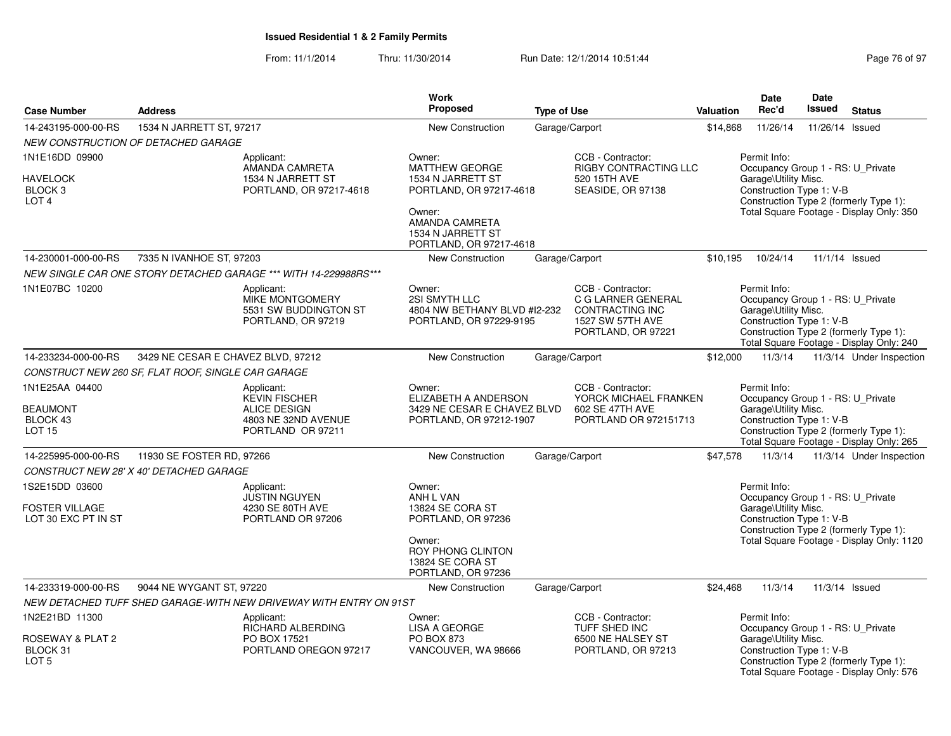| <b>Case Number</b>                                                 | <b>Address</b>                                     |                                                                                                       | <b>Work</b><br><b>Proposed</b>                                                                                                         | <b>Type of Use</b> |                                                                                                             | <b>Valuation</b> | <b>Date</b><br>Rec'd                                                                                                                   | <b>Date</b><br><b>Issued</b> | <b>Status</b>                                                                       |  |
|--------------------------------------------------------------------|----------------------------------------------------|-------------------------------------------------------------------------------------------------------|----------------------------------------------------------------------------------------------------------------------------------------|--------------------|-------------------------------------------------------------------------------------------------------------|------------------|----------------------------------------------------------------------------------------------------------------------------------------|------------------------------|-------------------------------------------------------------------------------------|--|
| 14-243195-000-00-RS                                                | 1534 N JARRETT ST, 97217                           |                                                                                                       | New Construction                                                                                                                       |                    | Garage/Carport                                                                                              | \$14,868         | 11/26/14                                                                                                                               | 11/26/14                     | Issued                                                                              |  |
|                                                                    | NEW CONSTRUCTION OF DETACHED GARAGE                |                                                                                                       |                                                                                                                                        |                    |                                                                                                             |                  |                                                                                                                                        |                              |                                                                                     |  |
| 1N1E16DD 09900                                                     |                                                    | Applicant:<br>AMANDA CAMRETA                                                                          | Owner:<br>MATTHEW GEORGE                                                                                                               |                    | CCB - Contractor:<br>RIGBY CONTRACTING LLC                                                                  |                  | Permit Info:<br>Occupancy Group 1 - RS: U_Private                                                                                      |                              |                                                                                     |  |
| <b>HAVELOCK</b><br>BLOCK <sub>3</sub><br>LOT <sub>4</sub>          |                                                    | 1534 N JARRETT ST<br>PORTLAND, OR 97217-4618                                                          | 1534 N JARRETT ST<br>PORTLAND, OR 97217-4618<br>Owner:<br>AMANDA CAMRETA<br>1534 N JARRETT ST<br>PORTLAND, OR 97217-4618               |                    | 520 15TH AVE<br>SEASIDE, OR 97138                                                                           |                  | Garage\Utility Misc.<br>Construction Type 1: V-B<br>Construction Type 2 (formerly Type 1):<br>Total Square Footage - Display Only: 350 |                              |                                                                                     |  |
| 14-230001-000-00-RS                                                | 7335 N IVANHOE ST, 97203                           |                                                                                                       | <b>New Construction</b>                                                                                                                |                    | Garage/Carport                                                                                              | \$10.195         | 10/24/14                                                                                                                               |                              | 11/1/14 Issued                                                                      |  |
|                                                                    |                                                    | NEW SINGLE CAR ONE STORY DETACHED GARAGE *** WITH 14-229988RS ***                                     |                                                                                                                                        |                    |                                                                                                             |                  |                                                                                                                                        |                              |                                                                                     |  |
| 1N1E07BC 10200                                                     |                                                    | Applicant:<br><b>MIKE MONTGOMERY</b><br>5531 SW BUDDINGTON ST<br>PORTLAND, OR 97219                   | Owner:<br>2SI SMYTH LLC<br>4804 NW BETHANY BLVD #12-232<br>PORTLAND, OR 97229-9195                                                     |                    | CCB - Contractor:<br>C G LARNER GENERAL<br>CONTRACTING INC<br><b>1527 SW 57TH AVE</b><br>PORTLAND, OR 97221 |                  | Permit Info:<br>Occupancy Group 1 - RS: U_Private<br>Garage\Utility Misc.<br>Construction Type 1: V-B                                  |                              | Construction Type 2 (formerly Type 1):<br>Total Square Footage - Display Only: 240  |  |
| 14-233234-000-00-RS                                                | 3429 NE CESAR E CHAVEZ BLVD, 97212                 |                                                                                                       | New Construction                                                                                                                       |                    | Garage/Carport                                                                                              | \$12,000         | 11/3/14                                                                                                                                |                              | 11/3/14 Under Inspection                                                            |  |
|                                                                    | CONSTRUCT NEW 260 SF, FLAT ROOF, SINGLE CAR GARAGE |                                                                                                       |                                                                                                                                        |                    |                                                                                                             |                  |                                                                                                                                        |                              |                                                                                     |  |
| 1N1E25AA 04400<br><b>BEAUMONT</b><br>BLOCK 43<br><b>LOT 15</b>     |                                                    | Applicant:<br><b>KEVIN FISCHER</b><br><b>ALICE DESIGN</b><br>4803 NE 32ND AVENUE<br>PORTLAND OR 97211 | Owner:<br>ELIZABETH A ANDERSON<br>3429 NE CESAR E CHAVEZ BLVD<br>PORTLAND, OR 97212-1907                                               |                    | CCB - Contractor:<br>YORCK MICHAEL FRANKEN<br>602 SE 47TH AVE<br>PORTLAND OR 972151713                      |                  | Permit Info:<br>Occupancy Group 1 - RS: U_Private<br>Garage\Utility Misc.<br>Construction Type 1: V-B                                  |                              | Construction Type 2 (formerly Type 1):<br>Total Square Footage - Display Only: 265  |  |
| 14-225995-000-00-RS                                                | 11930 SE FOSTER RD, 97266                          |                                                                                                       | New Construction                                                                                                                       |                    | Garage/Carport                                                                                              | \$47,578         | 11/3/14                                                                                                                                |                              | 11/3/14 Under Inspection                                                            |  |
|                                                                    | CONSTRUCT NEW 28' X 40' DETACHED GARAGE            |                                                                                                       |                                                                                                                                        |                    |                                                                                                             |                  |                                                                                                                                        |                              |                                                                                     |  |
| 1S2E15DD 03600<br><b>FOSTER VILLAGE</b><br>LOT 30 EXC PT IN ST     |                                                    | Applicant:<br><b>JUSTIN NGUYEN</b><br>4230 SE 80TH AVE<br>PORTLAND OR 97206                           | Owner:<br>ANH L VAN<br>13824 SE CORA ST<br>PORTLAND, OR 97236<br>Owner:<br>ROY PHONG CLINTON<br>13824 SE CORA ST<br>PORTLAND, OR 97236 |                    |                                                                                                             |                  | Permit Info:<br>Occupancy Group 1 - RS: U_Private<br>Garage\Utility Misc.<br>Construction Type 1: V-B                                  |                              | Construction Type 2 (formerly Type 1):<br>Total Square Footage - Display Only: 1120 |  |
| 14-233319-000-00-RS                                                | 9044 NE WYGANT ST, 97220                           |                                                                                                       | New Construction                                                                                                                       |                    | Garage/Carport                                                                                              | \$24,468         | 11/3/14                                                                                                                                |                              | 11/3/14 Issued                                                                      |  |
|                                                                    |                                                    | NEW DETACHED TUFF SHED GARAGE-WITH NEW DRIVEWAY WITH ENTRY ON 91ST                                    |                                                                                                                                        |                    |                                                                                                             |                  |                                                                                                                                        |                              |                                                                                     |  |
| 1N2E21BD 11300<br>ROSEWAY & PLAT 2<br>BLOCK 31<br>LOT <sub>5</sub> |                                                    | Applicant:<br>RICHARD ALBERDING<br>PO BOX 17521<br>PORTLAND OREGON 97217                              | Owner:<br><b>LISA A GEORGE</b><br>PO BOX 873<br>VANCOUVER, WA 98666                                                                    |                    | CCB - Contractor:<br>TUFF SHED INC<br>6500 NE HALSEY ST<br>PORTLAND, OR 97213                               |                  | Permit Info:<br>Occupancy Group 1 - RS: U_Private<br>Garage\Utility Misc.<br>Construction Type 1: V-B                                  |                              | Construction Type 2 (formerly Type 1):<br>Total Square Footage - Display Only: 576  |  |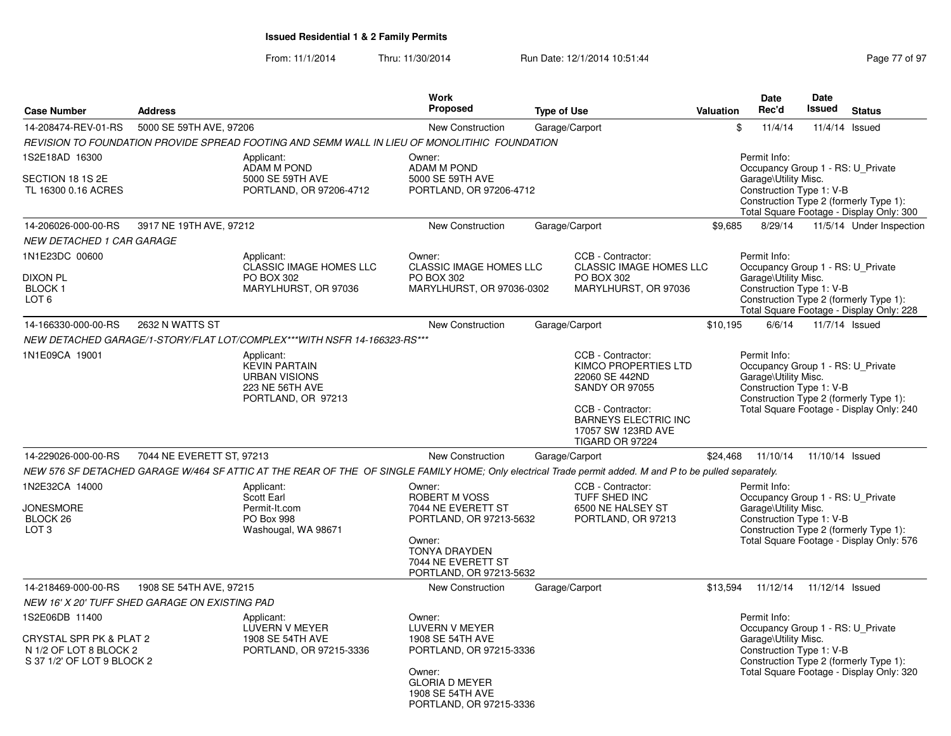| <b>Case Number</b>                                                                                | <b>Address</b>                                 |                                                                                                                                                          | Work<br><b>Proposed</b>                                                                                                                                            | <b>Type of Use</b> |                                                                                                                                                                                   | <b>Valuation</b> | <b>Date</b><br>Rec'd                                                                                                                                                                        | <b>Date</b><br>Issued | <b>Status</b>                                                                      |
|---------------------------------------------------------------------------------------------------|------------------------------------------------|----------------------------------------------------------------------------------------------------------------------------------------------------------|--------------------------------------------------------------------------------------------------------------------------------------------------------------------|--------------------|-----------------------------------------------------------------------------------------------------------------------------------------------------------------------------------|------------------|---------------------------------------------------------------------------------------------------------------------------------------------------------------------------------------------|-----------------------|------------------------------------------------------------------------------------|
| 14-208474-REV-01-RS                                                                               | 5000 SE 59TH AVE, 97206                        |                                                                                                                                                          | New Construction                                                                                                                                                   |                    | Garage/Carport                                                                                                                                                                    |                  | \$<br>11/4/14                                                                                                                                                                               |                       | 11/4/14 Issued                                                                     |
|                                                                                                   |                                                | REVISION TO FOUNDATION PROVIDE SPREAD FOOTING AND SEMM WALL IN LIEU OF MONOLITIHIC FOUNDATION                                                            |                                                                                                                                                                    |                    |                                                                                                                                                                                   |                  |                                                                                                                                                                                             |                       |                                                                                    |
| 1S2E18AD 16300<br>SECTION 18 1S 2E<br>TL 16300 0.16 ACRES                                         |                                                | Applicant:<br><b>ADAM M POND</b><br>5000 SE 59TH AVE<br>PORTLAND, OR 97206-4712                                                                          | Owner:<br><b>ADAM M POND</b><br>5000 SE 59TH AVE<br>PORTLAND, OR 97206-4712                                                                                        |                    |                                                                                                                                                                                   |                  | Permit Info:<br>Occupancy Group 1 - RS: U_Private<br>Garage\Utility Misc.<br>Construction Type 1: V-B                                                                                       |                       | Construction Type 2 (formerly Type 1):<br>Total Square Footage - Display Only: 300 |
| 14-206026-000-00-RS                                                                               | 3917 NE 19TH AVE, 97212                        |                                                                                                                                                          | <b>New Construction</b>                                                                                                                                            |                    | Garage/Carport                                                                                                                                                                    | \$9,685          | 8/29/14                                                                                                                                                                                     |                       | 11/5/14 Under Inspection                                                           |
| <b>NEW DETACHED 1 CAR GARAGE</b>                                                                  |                                                |                                                                                                                                                          |                                                                                                                                                                    |                    |                                                                                                                                                                                   |                  |                                                                                                                                                                                             |                       |                                                                                    |
| 1N1E23DC 00600                                                                                    |                                                | Applicant:<br>CLASSIC IMAGE HOMES LLC                                                                                                                    | Owner:<br><b>CLASSIC IMAGE HOMES LLC</b>                                                                                                                           |                    | CCB - Contractor:<br><b>CLASSIC IMAGE HOMES LLC</b>                                                                                                                               |                  | Permit Info:<br>Occupancy Group 1 - RS: U Private                                                                                                                                           |                       |                                                                                    |
| <b>DIXON PL</b><br><b>BLOCK1</b><br>LOT <sub>6</sub>                                              |                                                | PO BOX 302<br>MARYLHURST, OR 97036                                                                                                                       | PO BOX 302<br>MARYLHURST, OR 97036-0302                                                                                                                            |                    | PO BOX 302<br>MARYLHURST, OR 97036                                                                                                                                                |                  | Garage\Utility Misc.<br>Construction Type 1: V-B                                                                                                                                            |                       | Construction Type 2 (formerly Type 1):<br>Total Square Footage - Display Only: 228 |
| 14-166330-000-00-RS                                                                               | 2632 N WATTS ST                                |                                                                                                                                                          | <b>New Construction</b>                                                                                                                                            |                    | Garage/Carport                                                                                                                                                                    | \$10,195         | 6/6/14                                                                                                                                                                                      |                       | 11/7/14 Issued                                                                     |
|                                                                                                   |                                                | NEW DETACHED GARAGE/1-STORY/FLAT LOT/COMPLEX***WITH NSFR 14-166323-RS***                                                                                 |                                                                                                                                                                    |                    |                                                                                                                                                                                   |                  |                                                                                                                                                                                             |                       |                                                                                    |
| 1N1E09CA 19001                                                                                    |                                                | Applicant:<br><b>KEVIN PARTAIN</b><br><b>URBAN VISIONS</b><br><b>223 NE 56TH AVE</b><br>PORTLAND, OR 97213                                               |                                                                                                                                                                    |                    | CCB - Contractor:<br>KIMCO PROPERTIES LTD<br>22060 SE 442ND<br><b>SANDY OR 97055</b><br>CCB - Contractor:<br><b>BARNEYS ELECTRIC INC</b><br>17057 SW 123RD AVE<br>TIGARD OR 97224 |                  | Permit Info:<br>Occupancy Group 1 - RS: U Private<br>Garage\Utility Misc.<br>Construction Type 1: V-B<br>Construction Type 2 (formerly Type 1):<br>Total Square Footage - Display Only: 240 |                       |                                                                                    |
| 14-229026-000-00-RS                                                                               | 7044 NE EVERETT ST, 97213                      |                                                                                                                                                          | <b>New Construction</b>                                                                                                                                            |                    | Garage/Carport                                                                                                                                                                    | \$24.468         | 11/10/14                                                                                                                                                                                    | 11/10/14 Issued       |                                                                                    |
|                                                                                                   |                                                | NEW 576 SF DETACHED GARAGE W/464 SF ATTIC AT THE REAR OF THE OF SINGLE FAMILY HOME; Only electrical Trade permit added. M and P to be pulled separately. |                                                                                                                                                                    |                    |                                                                                                                                                                                   |                  |                                                                                                                                                                                             |                       |                                                                                    |
| 1N2E32CA 14000<br><b>JONESMORE</b><br>BLOCK <sub>26</sub><br>LOT <sub>3</sub>                     |                                                | Applicant:<br>Scott Earl<br>Permit-It.com<br>PO Box 998<br>Washougal, WA 98671                                                                           | Owner:<br><b>ROBERT M VOSS</b><br>7044 NE EVERETT ST<br>PORTLAND, OR 97213-5632<br>Owner:<br><b>TONYA DRAYDEN</b><br>7044 NE EVERETT ST<br>PORTLAND, OR 97213-5632 |                    | CCB - Contractor:<br>TUFF SHED INC<br>6500 NE HALSEY ST<br>PORTLAND, OR 97213                                                                                                     |                  | Permit Info:<br>Occupancy Group 1 - RS: U_Private<br>Garage\Utility Misc.<br>Construction Type 1: V-B                                                                                       |                       | Construction Type 2 (formerly Type 1):<br>Total Square Footage - Display Only: 576 |
| 14-218469-000-00-RS                                                                               | 1908 SE 54TH AVE, 97215                        |                                                                                                                                                          | <b>New Construction</b>                                                                                                                                            |                    | Garage/Carport                                                                                                                                                                    | \$13,594         | 11/12/14                                                                                                                                                                                    | 11/12/14 Issued       |                                                                                    |
|                                                                                                   | NEW 16' X 20' TUFF SHED GARAGE ON EXISTING PAD |                                                                                                                                                          |                                                                                                                                                                    |                    |                                                                                                                                                                                   |                  |                                                                                                                                                                                             |                       |                                                                                    |
| 1S2E06DB 11400<br>CRYSTAL SPR PK & PLAT 2<br>N 1/2 OF LOT 8 BLOCK 2<br>S 37 1/2' OF LOT 9 BLOCK 2 |                                                | Applicant:<br>LUVERN V MEYER<br>1908 SE 54TH AVE<br>PORTLAND, OR 97215-3336                                                                              | Owner:<br>LUVERN V MEYER<br>1908 SE 54TH AVE<br>PORTLAND, OR 97215-3336<br>Owner:<br><b>GLORIA D MEYER</b><br>1908 SE 54TH AVE<br>PORTLAND, OR 97215-3336          |                    |                                                                                                                                                                                   |                  | Permit Info:<br>Occupancy Group 1 - RS: U Private<br>Garage\Utility Misc.<br>Construction Type 1: V-B                                                                                       |                       | Construction Type 2 (formerly Type 1):<br>Total Square Footage - Display Only: 320 |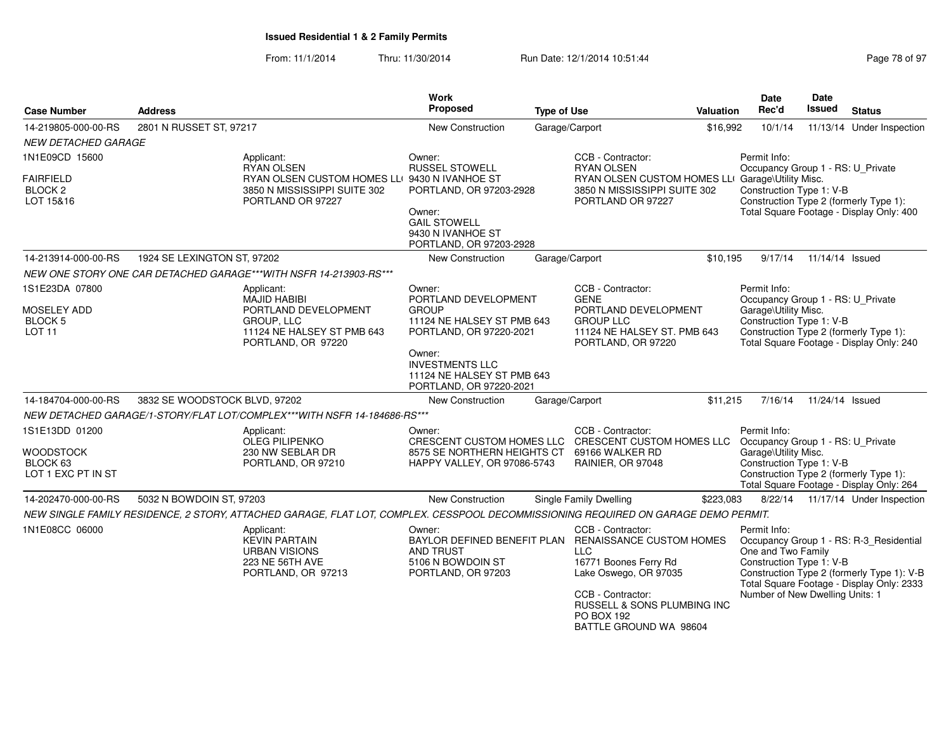| <b>Case Number</b>                                     | <b>Address</b>                |                                                                                                                                    | <b>Work</b><br>Proposed                                                                                                                                                | <b>Type of Use</b> |                                                                                                                                                                                                 | <b>Valuation</b>                                                                                                                                                            | Date<br>Rec'd                                                                                                  | Date<br>Issued  | <b>Status</b>                                                                                                                      |
|--------------------------------------------------------|-------------------------------|------------------------------------------------------------------------------------------------------------------------------------|------------------------------------------------------------------------------------------------------------------------------------------------------------------------|--------------------|-------------------------------------------------------------------------------------------------------------------------------------------------------------------------------------------------|-----------------------------------------------------------------------------------------------------------------------------------------------------------------------------|----------------------------------------------------------------------------------------------------------------|-----------------|------------------------------------------------------------------------------------------------------------------------------------|
| 14-219805-000-00-RS                                    | 2801 N RUSSET ST, 97217       |                                                                                                                                    | New Construction                                                                                                                                                       |                    | Garage/Carport                                                                                                                                                                                  | \$16,992                                                                                                                                                                    | 10/1/14                                                                                                        |                 | 11/13/14 Under Inspection                                                                                                          |
| <b>NEW DETACHED GARAGE</b>                             |                               |                                                                                                                                    |                                                                                                                                                                        |                    |                                                                                                                                                                                                 |                                                                                                                                                                             |                                                                                                                |                 |                                                                                                                                    |
| 1N1E09CD 15600                                         |                               | Applicant:<br><b>RYAN OLSEN</b>                                                                                                    | Owner:<br><b>RUSSEL STOWELL</b>                                                                                                                                        |                    | CCB - Contractor:<br><b>RYAN OLSEN</b>                                                                                                                                                          |                                                                                                                                                                             | Permit Info:<br>Occupancy Group 1 - RS: U_Private                                                              |                 |                                                                                                                                    |
| FAIRFIELD<br>BLOCK <sub>2</sub><br>LOT 15&16           |                               | RYAN OLSEN CUSTOM HOMES LLI 9430 N IVANHOE ST<br>3850 N MISSISSIPPI SUITE 302<br>PORTLAND OR 97227                                 | PORTLAND, OR 97203-2928<br>Owner:<br><b>GAIL STOWELL</b><br>9430 N IVANHOE ST<br>PORTLAND, OR 97203-2928                                                               |                    | RYAN OLSEN CUSTOM HOMES LLI Garage\Utility Misc.<br>3850 N MISSISSIPPI SUITE 302<br>PORTLAND OR 97227                                                                                           |                                                                                                                                                                             | Construction Type 1: V-B<br>Construction Type 2 (formerly Type 1):<br>Total Square Footage - Display Only: 400 |                 |                                                                                                                                    |
| 14-213914-000-00-RS                                    | 1924 SE LEXINGTON ST, 97202   |                                                                                                                                    | New Construction                                                                                                                                                       |                    | Garage/Carport                                                                                                                                                                                  | \$10,195                                                                                                                                                                    | 9/17/14                                                                                                        | 11/14/14 Issued |                                                                                                                                    |
|                                                        |                               | NEW ONE STORY ONE CAR DETACHED GARAGE***WITH NSFR 14-213903-RS***                                                                  |                                                                                                                                                                        |                    |                                                                                                                                                                                                 |                                                                                                                                                                             |                                                                                                                |                 |                                                                                                                                    |
| 1S1E23DA 07800                                         |                               | Applicant:<br><b>MAJID HABIBI</b>                                                                                                  | Owner:<br>PORTLAND DEVELOPMENT                                                                                                                                         |                    | CCB - Contractor:<br><b>GENE</b>                                                                                                                                                                |                                                                                                                                                                             | Permit Info:                                                                                                   |                 |                                                                                                                                    |
| MOSELEY ADD<br><b>BLOCK 5</b><br><b>LOT 11</b>         |                               | PORTLAND DEVELOPMENT<br>GROUP, LLC<br>11124 NE HALSEY ST PMB 643<br>PORTLAND, OR 97220                                             | PORTLAND DEVELOPMENT<br><b>GROUP</b><br>11124 NE HALSEY ST PMB 643<br><b>GROUP LLC</b><br>11124 NE HALSEY ST. PMB 643<br>PORTLAND, OR 97220-2021<br>PORTLAND, OR 97220 |                    |                                                                                                                                                                                                 | Occupancy Group 1 - RS: U Private<br>Garage\Utility Misc.<br>Construction Type 1: V-B<br>Construction Type 2 (formerly Type 1):<br>Total Square Footage - Display Only: 240 |                                                                                                                |                 |                                                                                                                                    |
|                                                        |                               |                                                                                                                                    | Owner:<br><b>INVESTMENTS LLC</b><br>11124 NE HALSEY ST PMB 643<br>PORTLAND, OR 97220-2021                                                                              |                    |                                                                                                                                                                                                 |                                                                                                                                                                             |                                                                                                                |                 |                                                                                                                                    |
| 14-184704-000-00-RS                                    | 3832 SE WOODSTOCK BLVD, 97202 |                                                                                                                                    | New Construction                                                                                                                                                       |                    | Garage/Carport                                                                                                                                                                                  | \$11,215                                                                                                                                                                    | 7/16/14                                                                                                        | 11/24/14 Issued |                                                                                                                                    |
|                                                        |                               | NEW DETACHED GARAGE/1-STORY/FLAT LOT/COMPLEX***WITH NSFR 14-184686-RS***                                                           |                                                                                                                                                                        |                    |                                                                                                                                                                                                 |                                                                                                                                                                             |                                                                                                                |                 |                                                                                                                                    |
| 1S1E13DD 01200                                         |                               | Applicant:<br><b>OLEG PILIPENKO</b>                                                                                                | Owner:<br>CRESCENT CUSTOM HOMES LLC CRESCENT CUSTOM HOMES LLC                                                                                                          |                    | CCB - Contractor:                                                                                                                                                                               |                                                                                                                                                                             | Permit Info:<br>Occupancy Group 1 - RS: U_Private                                                              |                 |                                                                                                                                    |
| WOODSTOCK<br>BLOCK <sub>63</sub><br>LOT 1 EXC PT IN ST |                               | 230 NW SEBLAR DR<br>PORTLAND, OR 97210                                                                                             | 8575 SE NORTHERN HEIGHTS CT<br>HAPPY VALLEY, OR 97086-5743                                                                                                             |                    | 69166 WALKER RD<br>RAINIER, OR 97048                                                                                                                                                            |                                                                                                                                                                             | Garage\Utility Misc.<br>Construction Type 1: V-B<br>Construction Type 2 (formerly Type 1):                     |                 | Total Square Footage - Display Only: 264                                                                                           |
| 14-202470-000-00-RS                                    | 5032 N BOWDOIN ST, 97203      |                                                                                                                                    | New Construction                                                                                                                                                       |                    | Single Family Dwelling                                                                                                                                                                          | \$223,083                                                                                                                                                                   |                                                                                                                |                 | 8/22/14  11/17/14  Under Inspection                                                                                                |
|                                                        |                               | NEW SINGLE FAMILY RESIDENCE, 2 STORY, ATTACHED GARAGE, FLAT LOT, COMPLEX. CESSPOOL DECOMMISSIONING REQUIRED ON GARAGE DEMO PERMIT. |                                                                                                                                                                        |                    |                                                                                                                                                                                                 |                                                                                                                                                                             |                                                                                                                |                 |                                                                                                                                    |
| 1N1E08CC 06000                                         |                               | Applicant:<br><b>KEVIN PARTAIN</b><br><b>URBAN VISIONS</b><br>223 NE 56TH AVE<br>PORTLAND, OR 97213                                | Owner:<br>BAYLOR DEFINED BENEFIT PLAN RENAISSANCE CUSTOM HOMES<br>AND TRUST<br>5106 N BOWDOIN ST<br>PORTLAND, OR 97203                                                 |                    | CCB - Contractor:<br><b>LLC</b><br>16771 Boones Ferry Rd<br>Lake Oswego, OR 97035<br>CCB - Contractor:<br><b>RUSSELL &amp; SONS PLUMBING INC</b><br><b>PO BOX 192</b><br>BATTLE GROUND WA 98604 |                                                                                                                                                                             | Permit Info:<br>One and Two Family<br>Construction Type 1: V-B<br>Number of New Dwelling Units: 1              |                 | Occupancy Group 1 - RS: R-3_Residential<br>Construction Type 2 (formerly Type 1): V-B<br>Total Square Footage - Display Only: 2333 |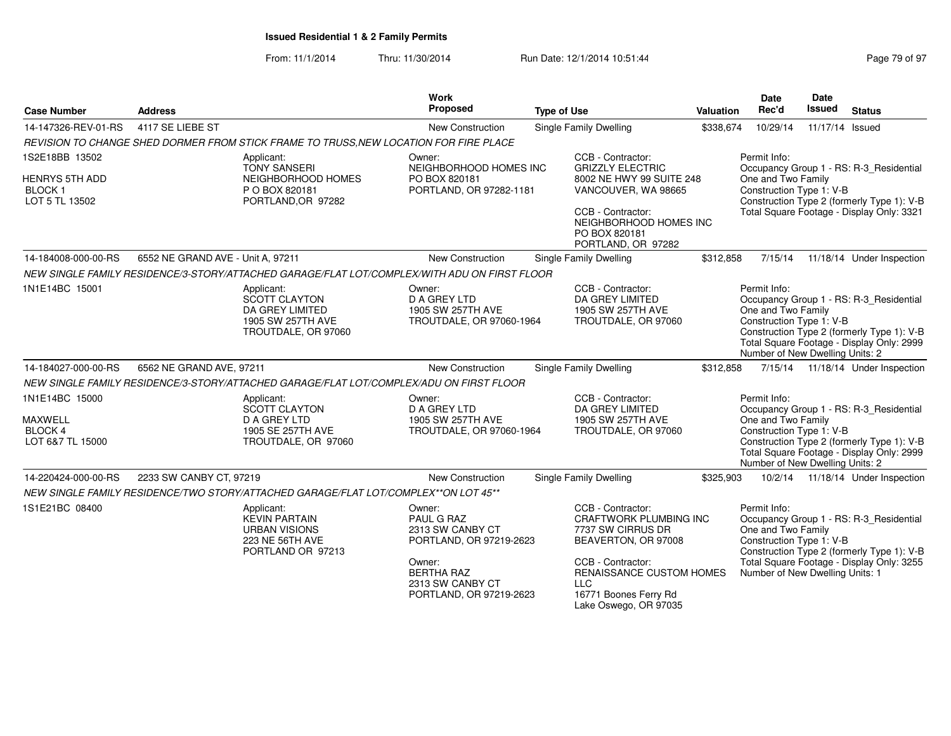| <b>Case Number</b>                                                         | <b>Address</b>                    |                                                                                                    | Work<br>Proposed                                                                                                                                  | <b>Type of Use</b>                                                                                                                                                                                       | <b>Valuation</b> | Date<br>Rec'd                                                                                     | Date<br><b>Issued</b> | <b>Status</b>                                                                                                                      |
|----------------------------------------------------------------------------|-----------------------------------|----------------------------------------------------------------------------------------------------|---------------------------------------------------------------------------------------------------------------------------------------------------|----------------------------------------------------------------------------------------------------------------------------------------------------------------------------------------------------------|------------------|---------------------------------------------------------------------------------------------------|-----------------------|------------------------------------------------------------------------------------------------------------------------------------|
| 14-147326-REV-01-RS                                                        | 4117 SE LIEBE ST                  |                                                                                                    | New Construction                                                                                                                                  | <b>Single Family Dwelling</b>                                                                                                                                                                            | \$338,674        | 10/29/14                                                                                          | 11/17/14 Issued       |                                                                                                                                    |
|                                                                            |                                   | REVISION TO CHANGE SHED DORMER FROM STICK FRAME TO TRUSS, NEW LOCATION FOR FIRE PLACE              |                                                                                                                                                   |                                                                                                                                                                                                          |                  |                                                                                                   |                       |                                                                                                                                    |
| 1S2E18BB 13502<br><b>HENRYS 5TH ADD</b><br><b>BLOCK1</b><br>LOT 5 TL 13502 |                                   | Applicant:<br><b>TONY SANSERI</b><br>NEIGHBORHOOD HOMES<br>P O BOX 820181<br>PORTLAND, OR 97282    | Owner:<br>NEIGHBORHOOD HOMES INC<br>PO BOX 820181<br>PORTLAND, OR 97282-1181                                                                      | CCB - Contractor:<br><b>GRIZZLY ELECTRIC</b><br>8002 NE HWY 99 SUITE 248<br>VANCOUVER, WA 98665<br>CCB - Contractor:<br>NEIGHBORHOOD HOMES INC<br>PO BOX 820181<br>PORTLAND, OR 97282                    |                  | Permit Info:<br>One and Two Family<br>Construction Type 1: V-B                                    |                       | Occupancy Group 1 - RS: R-3_Residential<br>Construction Type 2 (formerly Type 1): V-B<br>Total Square Footage - Display Only: 3321 |
| 14-184008-000-00-RS                                                        | 6552 NE GRAND AVE - Unit A, 97211 |                                                                                                    | New Construction                                                                                                                                  | Single Family Dwelling                                                                                                                                                                                   | \$312,858        | 7/15/14                                                                                           |                       | 11/18/14 Under Inspection                                                                                                          |
|                                                                            |                                   | NEW SINGLE FAMILY RESIDENCE/3-STORY/ATTACHED GARAGE/FLAT LOT/COMPLEX/WITH ADU ON FIRST FLOOR       |                                                                                                                                                   |                                                                                                                                                                                                          |                  |                                                                                                   |                       |                                                                                                                                    |
| 1N1E14BC 15001                                                             |                                   | Applicant:<br>SCOTT CLAYTON<br>DA GREY LIMITED<br>1905 SW 257TH AVE<br>TROUTDALE, OR 97060         | Owner:<br>D A GREY LTD<br>1905 SW 257TH AVE<br>TROUTDALE, OR 97060-1964                                                                           | CCB - Contractor:<br>DA GREY LIMITED<br>1905 SW 257TH AVE<br>TROUTDALE, OR 97060                                                                                                                         |                  | Permit Info:<br>One and Two Family<br>Construction Type 1: V-B<br>Number of New Dwelling Units: 2 |                       | Occupancy Group 1 - RS: R-3_Residential<br>Construction Type 2 (formerly Type 1): V-B<br>Total Square Footage - Display Only: 2999 |
| 14-184027-000-00-RS                                                        | 6562 NE GRAND AVE, 97211          |                                                                                                    | New Construction                                                                                                                                  | Single Family Dwelling                                                                                                                                                                                   | \$312,858        |                                                                                                   |                       | 7/15/14  11/18/14  Under Inspection                                                                                                |
|                                                                            |                                   | NEW SINGLE FAMILY RESIDENCE/3-STORY/ATTACHED GARAGE/FLAT LOT/COMPLEX/ADU ON FIRST FLOOR            |                                                                                                                                                   |                                                                                                                                                                                                          |                  |                                                                                                   |                       |                                                                                                                                    |
| 1N1E14BC 15000<br><b>MAXWELL</b><br>BLOCK 4<br>LOT 6&7 TL 15000            |                                   | Applicant:<br><b>SCOTT CLAYTON</b><br>D A GREY LTD<br>1905 SE 257TH AVE<br>TROUTDALE, OR 97060     | Owner:<br>D A GREY LTD<br>1905 SW 257TH AVE<br>TROUTDALE, OR 97060-1964                                                                           | CCB - Contractor:<br>DA GREY LIMITED<br>1905 SW 257TH AVE<br>TROUTDALE, OR 97060                                                                                                                         |                  | Permit Info:<br>One and Two Family<br>Construction Type 1: V-B<br>Number of New Dwelling Units: 2 |                       | Occupancy Group 1 - RS: R-3_Residential<br>Construction Type 2 (formerly Type 1): V-B<br>Total Square Footage - Display Only: 2999 |
| 14-220424-000-00-RS                                                        | 2233 SW CANBY CT, 97219           |                                                                                                    | New Construction                                                                                                                                  | Single Family Dwelling                                                                                                                                                                                   | \$325,903        |                                                                                                   |                       | 10/2/14  11/18/14  Under Inspection                                                                                                |
|                                                                            |                                   | NEW SINGLE FAMILY RESIDENCE/TWO STORY/ATTACHED GARAGE/FLAT LOT/COMPLEX**ON LOT 45**                |                                                                                                                                                   |                                                                                                                                                                                                          |                  |                                                                                                   |                       |                                                                                                                                    |
| 1S1E21BC 08400                                                             |                                   | Applicant:<br><b>KEVIN PARTAIN</b><br><b>URBAN VISIONS</b><br>223 NE 56TH AVE<br>PORTLAND OR 97213 | Owner:<br>PAUL G RAZ<br>2313 SW CANBY CT<br>PORTLAND, OR 97219-2623<br>Owner:<br><b>BERTHA RAZ</b><br>2313 SW CANBY CT<br>PORTLAND, OR 97219-2623 | CCB - Contractor:<br>CRAFTWORK PLUMBING INC<br>7737 SW CIRRUS DR<br>BEAVERTON, OR 97008<br>CCB - Contractor:<br>RENAISSANCE CUSTOM HOMES<br><b>LLC</b><br>16771 Boones Ferry Rd<br>Lake Oswego, OR 97035 |                  | Permit Info:<br>One and Two Family<br>Construction Type 1: V-B<br>Number of New Dwelling Units: 1 |                       | Occupancy Group 1 - RS: R-3_Residential<br>Construction Type 2 (formerly Type 1): V-B<br>Total Square Footage - Display Only: 3255 |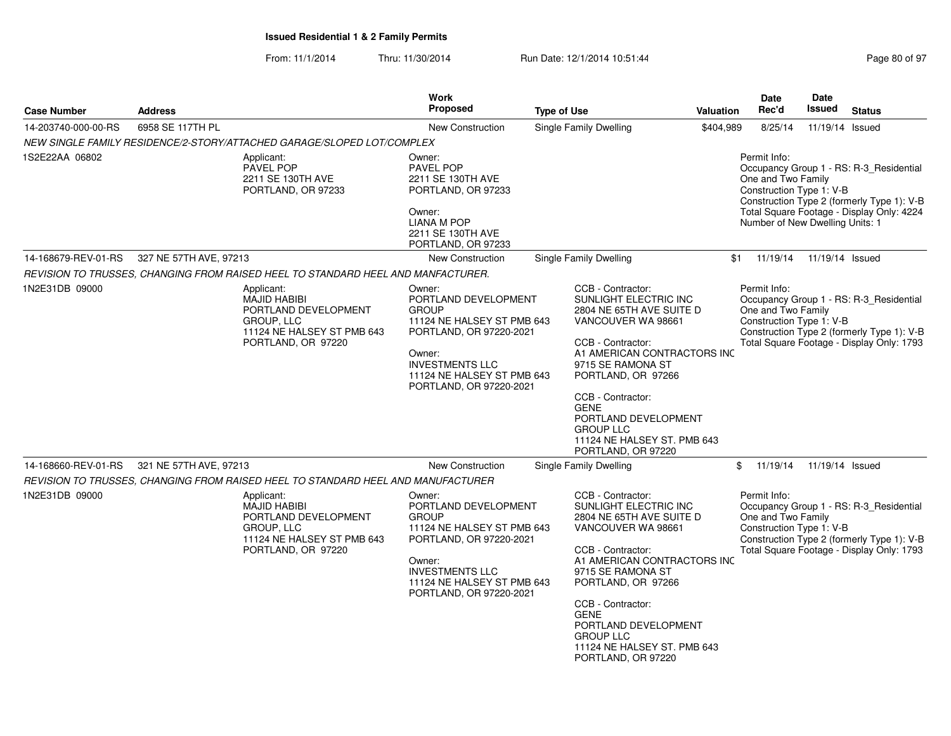|                     |                        |                                                                                                                             | Work                                                                                                                                                                                                 |                                                                                                                                                                                                                                                                                                                                  |           | Date                                                                                              | Date                       |                                                                                                                                    |
|---------------------|------------------------|-----------------------------------------------------------------------------------------------------------------------------|------------------------------------------------------------------------------------------------------------------------------------------------------------------------------------------------------|----------------------------------------------------------------------------------------------------------------------------------------------------------------------------------------------------------------------------------------------------------------------------------------------------------------------------------|-----------|---------------------------------------------------------------------------------------------------|----------------------------|------------------------------------------------------------------------------------------------------------------------------------|
| <b>Case Number</b>  | <b>Address</b>         |                                                                                                                             | Proposed                                                                                                                                                                                             | <b>Type of Use</b>                                                                                                                                                                                                                                                                                                               | Valuation | Rec'd                                                                                             | Issued                     | <b>Status</b>                                                                                                                      |
| 14-203740-000-00-RS | 6958 SE 117TH PL       |                                                                                                                             | <b>New Construction</b>                                                                                                                                                                              | Single Family Dwelling                                                                                                                                                                                                                                                                                                           | \$404,989 | 8/25/14                                                                                           | 11/19/14                   | Issued                                                                                                                             |
|                     |                        | NEW SINGLE FAMILY RESIDENCE/2-STORY/ATTACHED GARAGE/SLOPED LOT/COMPLEX                                                      |                                                                                                                                                                                                      |                                                                                                                                                                                                                                                                                                                                  |           |                                                                                                   |                            |                                                                                                                                    |
| 1S2E22AA 06802      |                        | Applicant:<br>PAVEL POP<br>2211 SE 130TH AVE<br>PORTLAND, OR 97233                                                          | Owner:<br>PAVEL POP<br>2211 SE 130TH AVE<br>PORTLAND, OR 97233<br>Owner:<br><b>LIANA M POP</b><br>2211 SE 130TH AVE<br>PORTLAND, OR 97233                                                            |                                                                                                                                                                                                                                                                                                                                  |           | Permit Info:<br>One and Two Family<br>Construction Type 1: V-B<br>Number of New Dwelling Units: 1 |                            | Occupancy Group 1 - RS: R-3_Residential<br>Construction Type 2 (formerly Type 1): V-B<br>Total Square Footage - Display Only: 4224 |
| 14-168679-REV-01-RS | 327 NE 57TH AVE, 97213 |                                                                                                                             | <b>New Construction</b>                                                                                                                                                                              | Single Family Dwelling                                                                                                                                                                                                                                                                                                           | \$1       |                                                                                                   | 11/19/14  11/19/14  Issued |                                                                                                                                    |
|                     |                        | REVISION TO TRUSSES, CHANGING FROM RAISED HEEL TO STANDARD HEEL AND MANFACTURER.                                            |                                                                                                                                                                                                      |                                                                                                                                                                                                                                                                                                                                  |           |                                                                                                   |                            |                                                                                                                                    |
| 1N2E31DB 09000      |                        | Applicant:<br><b>MAJID HABIBI</b><br>PORTLAND DEVELOPMENT<br>GROUP, LLC<br>11124 NE HALSEY ST PMB 643<br>PORTLAND, OR 97220 | Owner:<br>PORTLAND DEVELOPMENT<br><b>GROUP</b><br>11124 NE HALSEY ST PMB 643<br>PORTLAND, OR 97220-2021<br>Owner:<br><b>INVESTMENTS LLC</b><br>11124 NE HALSEY ST PMB 643<br>PORTLAND, OR 97220-2021 | CCB - Contractor:<br>SUNLIGHT ELECTRIC INC<br>2804 NE 65TH AVE SUITE D<br>VANCOUVER WA 98661<br>CCB - Contractor:<br>A1 AMERICAN CONTRACTORS INC<br>9715 SE RAMONA ST<br>PORTLAND, OR 97266<br>CCB - Contractor:<br><b>GENE</b><br>PORTLAND DEVELOPMENT<br><b>GROUP LLC</b><br>11124 NE HALSEY ST. PMB 643<br>PORTLAND, OR 97220 |           | Permit Info:<br>One and Two Family<br>Construction Type 1: V-B                                    |                            | Occupancy Group 1 - RS: R-3_Residential<br>Construction Type 2 (formerly Type 1): V-B<br>Total Square Footage - Display Only: 1793 |
| 14-168660-REV-01-RS | 321 NE 57TH AVE, 97213 |                                                                                                                             | <b>New Construction</b>                                                                                                                                                                              | Single Family Dwelling                                                                                                                                                                                                                                                                                                           |           | \$                                                                                                | 11/19/14  11/19/14  Issued |                                                                                                                                    |
|                     |                        | REVISION TO TRUSSES, CHANGING FROM RAISED HEEL TO STANDARD HEEL AND MANUFACTURER                                            |                                                                                                                                                                                                      |                                                                                                                                                                                                                                                                                                                                  |           |                                                                                                   |                            |                                                                                                                                    |
| 1N2E31DB 09000      |                        | Applicant:<br><b>MAJID HABIBI</b><br>PORTLAND DEVELOPMENT<br>GROUP, LLC<br>11124 NE HALSEY ST PMB 643<br>PORTLAND, OR 97220 | Owner:<br>PORTLAND DEVELOPMENT<br><b>GROUP</b><br>11124 NE HALSEY ST PMB 643<br>PORTLAND, OR 97220-2021<br>Owner:<br><b>INVESTMENTS LLC</b><br>11124 NE HALSEY ST PMB 643<br>PORTLAND, OR 97220-2021 | CCB - Contractor:<br>SUNLIGHT ELECTRIC INC<br>2804 NE 65TH AVE SUITE D<br>VANCOUVER WA 98661<br>CCB - Contractor:<br>A1 AMERICAN CONTRACTORS INC<br>9715 SE RAMONA ST<br>PORTLAND, OR 97266<br>CCB - Contractor:<br><b>GENE</b><br>PORTLAND DEVELOPMENT<br><b>GROUP LLC</b><br>11124 NE HALSEY ST. PMB 643<br>PORTLAND, OR 97220 |           | Permit Info:<br>One and Two Family<br>Construction Type 1: V-B                                    |                            | Occupancy Group 1 - RS: R-3_Residential<br>Construction Type 2 (formerly Type 1): V-B<br>Total Square Footage - Display Only: 1793 |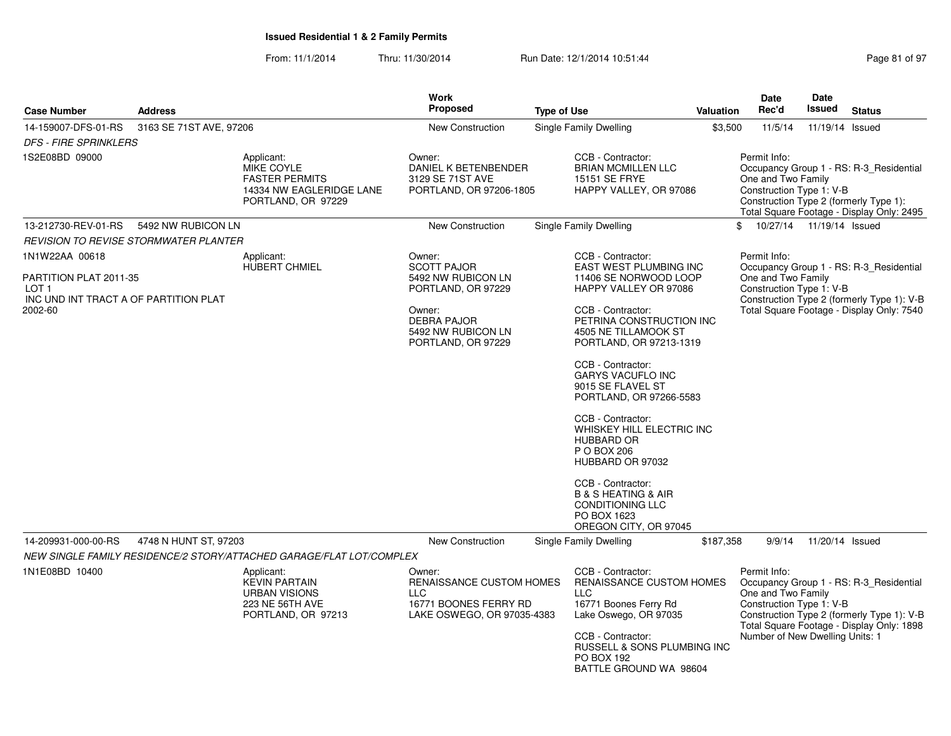| <b>Case Number</b>                                                                                               | <b>Address</b>          |                                                                                                     | Work<br><b>Proposed</b>                                                                                                                              | <b>Type of Use</b> |                                                                                                                                                                                                                                                                                                                                                                                                                                                                         | Valuation | Date<br>Rec'd                                                                                                                                                                                                                           | Date<br><b>Issued</b>      | <b>Status</b>                                                                                                                      |
|------------------------------------------------------------------------------------------------------------------|-------------------------|-----------------------------------------------------------------------------------------------------|------------------------------------------------------------------------------------------------------------------------------------------------------|--------------------|-------------------------------------------------------------------------------------------------------------------------------------------------------------------------------------------------------------------------------------------------------------------------------------------------------------------------------------------------------------------------------------------------------------------------------------------------------------------------|-----------|-----------------------------------------------------------------------------------------------------------------------------------------------------------------------------------------------------------------------------------------|----------------------------|------------------------------------------------------------------------------------------------------------------------------------|
| 14-159007-DFS-01-RS<br><b>DFS - FIRE SPRINKLERS</b>                                                              | 3163 SE 71ST AVE, 97206 |                                                                                                     | <b>New Construction</b>                                                                                                                              |                    | <b>Single Family Dwelling</b>                                                                                                                                                                                                                                                                                                                                                                                                                                           | \$3,500   | 11/5/14                                                                                                                                                                                                                                 | 11/19/14 Issued            |                                                                                                                                    |
| 1S2E08BD 09000                                                                                                   |                         | Applicant:<br>MIKE COYLE<br><b>FASTER PERMITS</b><br>14334 NW EAGLERIDGE LANE<br>PORTLAND, OR 97229 | Owner:<br>DANIEL K BETENBENDER<br>3129 SE 71ST AVE<br>PORTLAND, OR 97206-1805                                                                        |                    | CCB - Contractor:<br><b>BRIAN MCMILLEN LLC</b><br>15151 SE FRYE<br>HAPPY VALLEY, OR 97086                                                                                                                                                                                                                                                                                                                                                                               |           | Permit Info:<br>One and Two Family<br>Construction Type 1: V-B                                                                                                                                                                          |                            | Occupancy Group 1 - RS: R-3_Residential<br>Construction Type 2 (formerly Type 1):<br>Total Square Footage - Display Only: 2495     |
| 13-212730-REV-01-RS                                                                                              | 5492 NW RUBICON LN      |                                                                                                     | New Construction                                                                                                                                     |                    | Single Family Dwelling                                                                                                                                                                                                                                                                                                                                                                                                                                                  |           | \$                                                                                                                                                                                                                                      | 10/27/14  11/19/14  Issued |                                                                                                                                    |
| <b>REVISION TO REVISE STORMWATER PLANTER</b>                                                                     |                         |                                                                                                     |                                                                                                                                                      |                    |                                                                                                                                                                                                                                                                                                                                                                                                                                                                         |           |                                                                                                                                                                                                                                         |                            |                                                                                                                                    |
| 1N1W22AA 00618<br>PARTITION PLAT 2011-35<br>LOT <sub>1</sub><br>INC UND INT TRACT A OF PARTITION PLAT<br>2002-60 |                         | Applicant:<br><b>HUBERT CHMIEL</b>                                                                  | Owner:<br><b>SCOTT PAJOR</b><br>5492 NW RUBICON LN<br>PORTLAND, OR 97229<br>Owner:<br><b>DEBRA PAJOR</b><br>5492 NW RUBICON LN<br>PORTLAND, OR 97229 |                    | CCB - Contractor:<br>EAST WEST PLUMBING INC<br>11406 SE NORWOOD LOOP<br>HAPPY VALLEY OR 97086<br>CCB - Contractor:<br>PETRINA CONSTRUCTION INC<br>4505 NE TILLAMOOK ST<br>PORTLAND, OR 97213-1319<br>CCB - Contractor:<br><b>GARYS VACUFLO INC</b><br>9015 SE FLAVEL ST<br>PORTLAND, OR 97266-5583<br>CCB - Contractor:<br>WHISKEY HILL ELECTRIC INC<br><b>HUBBARD OR</b><br>P O BOX 206<br>HUBBARD OR 97032<br>CCB - Contractor:<br><b>B &amp; S HEATING &amp; AIR</b> |           | Permit Info:<br>One and Two Family<br>Construction Type 1: V-B                                                                                                                                                                          |                            | Occupancy Group 1 - RS: R-3 Residential<br>Construction Type 2 (formerly Type 1): V-B<br>Total Square Footage - Display Only: 7540 |
|                                                                                                                  |                         |                                                                                                     |                                                                                                                                                      |                    | <b>CONDITIONING LLC</b><br>PO BOX 1623<br>OREGON CITY, OR 97045                                                                                                                                                                                                                                                                                                                                                                                                         |           |                                                                                                                                                                                                                                         |                            |                                                                                                                                    |
| 14-209931-000-00-RS                                                                                              | 4748 N HUNT ST, 97203   | NEW SINGLE FAMILY RESIDENCE/2 STORY/ATTACHED GARAGE/FLAT LOT/COMPLEX                                | New Construction                                                                                                                                     |                    | Single Family Dwelling                                                                                                                                                                                                                                                                                                                                                                                                                                                  | \$187,358 | 9/9/14                                                                                                                                                                                                                                  | 11/20/14 Issued            |                                                                                                                                    |
|                                                                                                                  |                         |                                                                                                     |                                                                                                                                                      |                    |                                                                                                                                                                                                                                                                                                                                                                                                                                                                         |           |                                                                                                                                                                                                                                         |                            |                                                                                                                                    |
| 1N1E08BD 10400                                                                                                   |                         | Applicant:<br><b>KEVIN PARTAIN</b><br><b>URBAN VISIONS</b><br>223 NE 56TH AVE<br>PORTLAND, OR 97213 | Owner:<br>RENAISSANCE CUSTOM HOMES<br>LLC.<br>16771 BOONES FERRY RD<br>LAKE OSWEGO, OR 97035-4383                                                    |                    | CCB - Contractor:<br>RENAISSANCE CUSTOM HOMES<br><b>LLC</b><br>16771 Boones Ferry Rd<br>Lake Oswego, OR 97035<br>CCB - Contractor:<br>RUSSELL & SONS PLUMBING INC<br><b>PO BOX 192</b><br>BATTLE GROUND WA 98604                                                                                                                                                                                                                                                        |           | Permit Info:<br>Occupancy Group 1 - RS: R-3_Residential<br>One and Two Family<br>Construction Type 1: V-B<br>Construction Type 2 (formerly Type 1): V-B<br>Total Square Footage - Display Only: 1898<br>Number of New Dwelling Units: 1 |                            |                                                                                                                                    |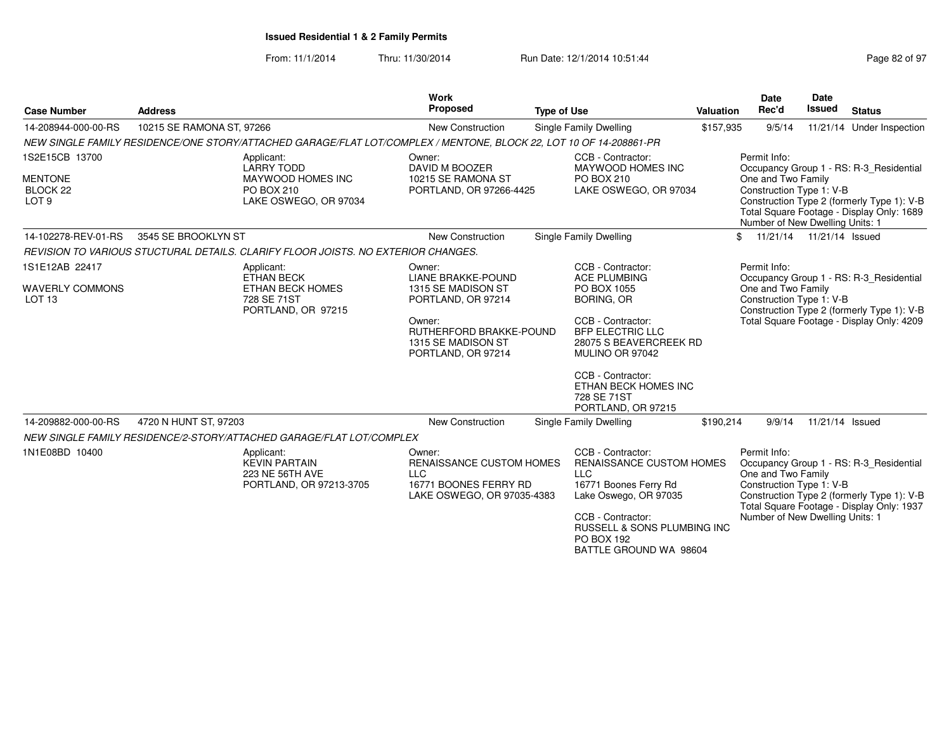From: 11/1/2014Thru: 11/30/2014 Run Date: 12/1/2014 10:51:44 Run Date: 12/1/2014 10:51:44

BATTLE GROUND WA 98604

| <b>Case Number</b>                                        | <b>Address</b>                                                                                                     | Work<br><b>Proposed</b>                                                                                 | <b>Type of Use</b>                                                                                                                                                              | Valuation                                                                                    | <b>Date</b><br>Rec'd                                                                              | <b>Date</b><br><b>Issued</b> | <b>Status</b>                                                                                                                      |
|-----------------------------------------------------------|--------------------------------------------------------------------------------------------------------------------|---------------------------------------------------------------------------------------------------------|---------------------------------------------------------------------------------------------------------------------------------------------------------------------------------|----------------------------------------------------------------------------------------------|---------------------------------------------------------------------------------------------------|------------------------------|------------------------------------------------------------------------------------------------------------------------------------|
| 14-208944-000-00-RS                                       | 10215 SE RAMONA ST, 97266                                                                                          | New Construction                                                                                        | <b>Single Family Dwelling</b>                                                                                                                                                   | \$157,935                                                                                    | 9/5/14                                                                                            |                              | 11/21/14 Under Inspection                                                                                                          |
|                                                           | NEW SINGLE FAMILY RESIDENCE/ONE STORY/ATTACHED GARAGE/FLAT LOT/COMPLEX / MENTONE, BLOCK 22, LOT 10 OF 14-208861-PR |                                                                                                         |                                                                                                                                                                                 |                                                                                              |                                                                                                   |                              |                                                                                                                                    |
| 1S2E15CB 13700                                            | Applicant:<br><b>LARRY TODD</b>                                                                                    | Owner:<br>DAVID M BOOZER                                                                                | CCB - Contractor:<br>MAYWOOD HOMES INC                                                                                                                                          |                                                                                              | Permit Info:                                                                                      |                              | Occupancy Group 1 - RS: R-3_Residential                                                                                            |
| <b>MENTONE</b><br>BLOCK <sub>22</sub><br>LOT <sub>9</sub> | MAYWOOD HOMES INC<br>PO BOX 210<br>LAKE OSWEGO, OR 97034                                                           | 10215 SE RAMONA ST<br>PORTLAND, OR 97266-4425                                                           | PO BOX 210<br>LAKE OSWEGO, OR 97034                                                                                                                                             |                                                                                              | One and Two Family<br>Construction Type 1: V-B<br>Number of New Dwelling Units: 1                 |                              | Construction Type 2 (formerly Type 1): V-B<br>Total Square Footage - Display Only: 1689                                            |
| 14-102278-REV-01-RS                                       | 3545 SE BROOKLYN ST                                                                                                | <b>New Construction</b>                                                                                 | <b>Single Family Dwelling</b>                                                                                                                                                   | $\mathbf{f}$                                                                                 | 11/21/14  11/21/14  Issued                                                                        |                              |                                                                                                                                    |
|                                                           | REVISION TO VARIOUS STUCTURAL DETAILS. CLARIFY FLOOR JOISTS. NO EXTERIOR CHANGES.                                  |                                                                                                         |                                                                                                                                                                                 |                                                                                              |                                                                                                   |                              |                                                                                                                                    |
| 1S1E12AB 22417                                            | Applicant:<br><b>ETHAN BECK</b>                                                                                    | Owner:<br><b>LIANE BRAKKE-POUND</b>                                                                     | CCB - Contractor:<br><b>ACE PLUMBING</b>                                                                                                                                        |                                                                                              | Permit Info:                                                                                      |                              | Occupancy Group 1 - RS: R-3_Residential                                                                                            |
| <b>WAVERLY COMMONS</b><br>LOT <sub>13</sub>               | <b>ETHAN BECK HOMES</b><br>728 SE 71ST<br>PORTLAND, OR 97215                                                       | 1315 SE MADISON ST<br>PORTLAND, OR 97214                                                                | PO BOX 1055<br><b>BORING, OR</b>                                                                                                                                                | One and Two Family<br>Construction Type 1: V-B<br>Construction Type 2 (formerly Type 1): V-B |                                                                                                   |                              |                                                                                                                                    |
|                                                           |                                                                                                                    | Owner:<br>RUTHERFORD BRAKKE-POUND<br>1315 SE MADISON ST<br>PORTLAND, OR 97214                           | CCB - Contractor:<br><b>BFP ELECTRIC LLC</b><br>28075 S BEAVERCREEK RD<br>MULINO OR 97042                                                                                       |                                                                                              |                                                                                                   |                              | Total Square Footage - Display Only: 4209                                                                                          |
|                                                           |                                                                                                                    |                                                                                                         | CCB - Contractor:<br>ETHAN BECK HOMES INC<br>728 SE 71ST<br>PORTLAND, OR 97215                                                                                                  |                                                                                              |                                                                                                   |                              |                                                                                                                                    |
| 14-209882-000-00-RS                                       | 4720 N HUNT ST, 97203                                                                                              | <b>New Construction</b>                                                                                 | Single Family Dwelling                                                                                                                                                          | \$190,214                                                                                    | 9/9/14                                                                                            | 11/21/14 Issued              |                                                                                                                                    |
|                                                           | NEW SINGLE FAMILY RESIDENCE/2-STORY/ATTACHED GARAGE/FLAT LOT/COMPLEX                                               |                                                                                                         |                                                                                                                                                                                 |                                                                                              |                                                                                                   |                              |                                                                                                                                    |
| 1N1E08BD 10400                                            | Applicant:<br><b>KEVIN PARTAIN</b><br>223 NE 56TH AVE<br>PORTLAND, OR 97213-3705                                   | Owner:<br>RENAISSANCE CUSTOM HOMES<br><b>LLC</b><br>16771 BOONES FERRY RD<br>LAKE OSWEGO, OR 97035-4383 | CCB - Contractor:<br>RENAISSANCE CUSTOM HOMES<br><b>LLC</b><br>16771 Boones Ferry Rd<br>Lake Oswego, OR 97035<br>CCB - Contractor:<br>RUSSELL & SONS PLUMBING INC<br>PO BOX 192 |                                                                                              | Permit Info:<br>One and Two Family<br>Construction Type 1: V-B<br>Number of New Dwelling Units: 1 |                              | Occupancy Group 1 - RS: R-3 Residential<br>Construction Type 2 (formerly Type 1): V-B<br>Total Square Footage - Display Only: 1937 |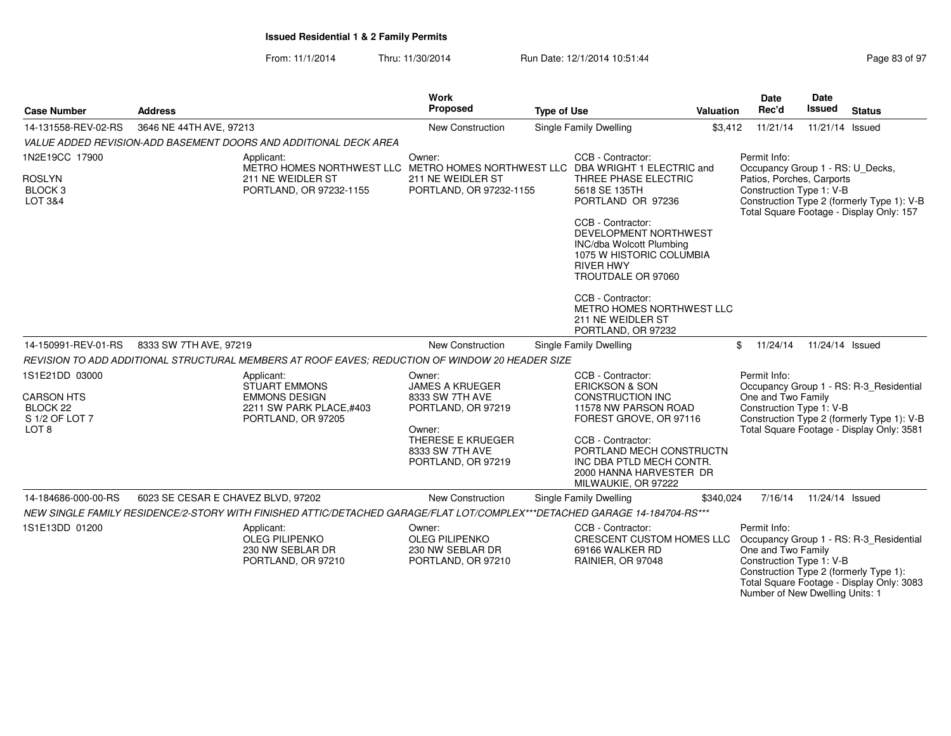| <b>Case Number</b>                                                                               | <b>Address</b>                                                                                                             |                                                                                               | <b>Work</b><br>Proposed                                                                                                                           | <b>Type of Use</b> |                                                                                                                                                                                                                                                            | Valuation | <b>Date</b><br>Rec'd                                                                              | <b>Date</b><br><b>Issued</b> | <b>Status</b>                                                                                                                      |
|--------------------------------------------------------------------------------------------------|----------------------------------------------------------------------------------------------------------------------------|-----------------------------------------------------------------------------------------------|---------------------------------------------------------------------------------------------------------------------------------------------------|--------------------|------------------------------------------------------------------------------------------------------------------------------------------------------------------------------------------------------------------------------------------------------------|-----------|---------------------------------------------------------------------------------------------------|------------------------------|------------------------------------------------------------------------------------------------------------------------------------|
| 14-131558-REV-02-RS                                                                              | 3646 NE 44TH AVE, 97213                                                                                                    |                                                                                               | New Construction                                                                                                                                  |                    | Single Family Dwelling                                                                                                                                                                                                                                     | \$3,412   | 11/21/14                                                                                          | 11/21/14 Issued              |                                                                                                                                    |
|                                                                                                  | VALUE ADDED REVISION-ADD BASEMENT DOORS AND ADDITIONAL DECK AREA                                                           |                                                                                               |                                                                                                                                                   |                    |                                                                                                                                                                                                                                                            |           |                                                                                                   |                              |                                                                                                                                    |
| 1N2E19CC 17900                                                                                   | Applicant:                                                                                                                 |                                                                                               | Owner:                                                                                                                                            |                    | CCB - Contractor:                                                                                                                                                                                                                                          |           | Permit Info:                                                                                      |                              |                                                                                                                                    |
| <b>ROSLYN</b><br><b>BLOCK3</b><br>LOT 3&4                                                        |                                                                                                                            | 211 NE WEIDLER ST<br>PORTLAND, OR 97232-1155                                                  |                                                                                                                                                   |                    | METRO HOMES NORTHWEST LLC METRO HOMES NORTHWEST LLC DBA WRIGHT 1 ELECTRIC and<br>THREE PHASE ELECTRIC<br>5618 SE 135TH<br>PORTLAND OR 97236                                                                                                                |           | Occupancy Group 1 - RS: U_Decks,<br>Patios, Porches, Carports<br>Construction Type 1: V-B         |                              | Construction Type 2 (formerly Type 1): V-B<br>Total Square Footage - Display Only: 157                                             |
|                                                                                                  |                                                                                                                            |                                                                                               |                                                                                                                                                   |                    | CCB - Contractor:<br>DEVELOPMENT NORTHWEST<br><b>INC/dba Wolcott Plumbing</b><br>1075 W HISTORIC COLUMBIA<br><b>RIVER HWY</b><br>TROUTDALE OR 97060                                                                                                        |           |                                                                                                   |                              |                                                                                                                                    |
|                                                                                                  |                                                                                                                            |                                                                                               |                                                                                                                                                   |                    | CCB - Contractor:<br>METRO HOMES NORTHWEST LLC<br>211 NE WEIDLER ST<br>PORTLAND, OR 97232                                                                                                                                                                  |           |                                                                                                   |                              |                                                                                                                                    |
| 14-150991-REV-01-RS                                                                              | 8333 SW 7TH AVE, 97219                                                                                                     |                                                                                               | New Construction                                                                                                                                  |                    | Single Family Dwelling                                                                                                                                                                                                                                     |           | \$<br>11/24/14                                                                                    | 11/24/14 Issued              |                                                                                                                                    |
|                                                                                                  | REVISION TO ADD ADDITIONAL STRUCTURAL MEMBERS AT ROOF EAVES; REDUCTION OF WINDOW 20 HEADER SIZE                            |                                                                                               |                                                                                                                                                   |                    |                                                                                                                                                                                                                                                            |           |                                                                                                   |                              |                                                                                                                                    |
| 1S1E21DD 03000<br><b>CARSON HTS</b><br>BLOCK <sub>22</sub><br>S 1/2 OF LOT 7<br>LOT <sub>8</sub> | Applicant:                                                                                                                 | <b>STUART EMMONS</b><br><b>EMMONS DESIGN</b><br>2211 SW PARK PLACE,#403<br>PORTLAND, OR 97205 | Owner:<br><b>JAMES A KRUEGER</b><br>8333 SW 7TH AVE<br>PORTLAND, OR 97219<br>Owner:<br>THERESE E KRUEGER<br>8333 SW 7TH AVE<br>PORTLAND, OR 97219 |                    | CCB - Contractor:<br><b>ERICKSON &amp; SON</b><br><b>CONSTRUCTION INC</b><br>11578 NW PARSON ROAD<br>FOREST GROVE, OR 97116<br>CCB - Contractor:<br>PORTLAND MECH CONSTRUCTN<br>INC DBA PTLD MECH CONTR.<br>2000 HANNA HARVESTER DR<br>MILWAUKIE, OR 97222 |           | Permit Info:<br>One and Two Family<br>Construction Type 1: V-B                                    |                              | Occupancy Group 1 - RS: R-3 Residential<br>Construction Type 2 (formerly Type 1): V-B<br>Total Square Footage - Display Only: 3581 |
| 14-184686-000-00-RS                                                                              | 6023 SE CESAR E CHAVEZ BLVD, 97202                                                                                         |                                                                                               | <b>New Construction</b>                                                                                                                           |                    | Single Family Dwelling                                                                                                                                                                                                                                     | \$340.024 | 7/16/14                                                                                           | 11/24/14 Issued              |                                                                                                                                    |
|                                                                                                  | NEW SINGLE FAMILY RESIDENCE/2-STORY WITH FINISHED ATTIC/DETACHED GARAGE/FLAT LOT/COMPLEX***DETACHED GARAGE 14-184704-RS*** |                                                                                               |                                                                                                                                                   |                    |                                                                                                                                                                                                                                                            |           |                                                                                                   |                              |                                                                                                                                    |
| 1S1E13DD 01200                                                                                   | Applicant:                                                                                                                 | OLEG PILIPENKO<br>230 NW SEBLAR DR<br>PORTLAND, OR 97210                                      | Owner:<br><b>OLEG PILIPENKO</b><br>230 NW SEBLAR DR<br>PORTLAND, OR 97210                                                                         |                    | CCB - Contractor:<br>CRESCENT CUSTOM HOMES LLC<br>69166 WALKER RD<br>RAINIER, OR 97048                                                                                                                                                                     |           | Permit Info:<br>One and Two Family<br>Construction Type 1: V-B<br>Number of New Dwelling Units: 1 |                              | Occupancy Group 1 - RS: R-3_Residential<br>Construction Type 2 (formerly Type 1):<br>Total Square Footage - Display Only: 3083     |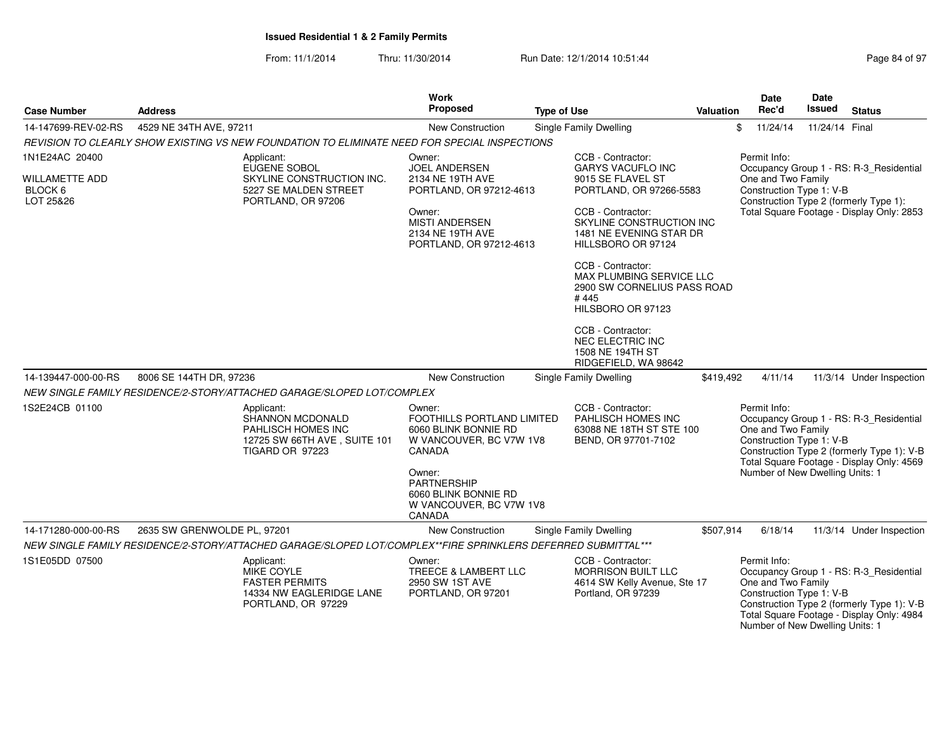| <b>Case Number</b>                                 | <b>Address</b>                                                                                                | <b>Work</b><br>Proposed                                                                           | <b>Type of Use</b>                                                                                                                                                                     | <b>Valuation</b> | Date<br>Rec'd                                                                                             | <b>Date</b><br>Issued | <b>Status</b>                                                                                                                      |
|----------------------------------------------------|---------------------------------------------------------------------------------------------------------------|---------------------------------------------------------------------------------------------------|----------------------------------------------------------------------------------------------------------------------------------------------------------------------------------------|------------------|-----------------------------------------------------------------------------------------------------------|-----------------------|------------------------------------------------------------------------------------------------------------------------------------|
| 14-147699-REV-02-RS                                | 4529 NE 34TH AVE, 97211                                                                                       | New Construction                                                                                  | Single Family Dwelling                                                                                                                                                                 |                  | 11/24/14<br>\$                                                                                            | 11/24/14 Final        |                                                                                                                                    |
|                                                    | REVISION TO CLEARLY SHOW EXISTING VS NEW FOUNDATION TO ELIMINATE NEED FOR SPECIAL INSPECTIONS                 |                                                                                                   |                                                                                                                                                                                        |                  |                                                                                                           |                       |                                                                                                                                    |
| 1N1E24AC 20400<br><b>WILLAMETTE ADD</b><br>BLOCK 6 | Applicant:<br>EUGENE SOBOL<br>SKYLINE CONSTRUCTION INC.<br>5227 SE MALDEN STREET                              | Owner:<br><b>JOEL ANDERSEN</b><br>2134 NE 19TH AVE                                                | CCB - Contractor:<br><b>GARYS VACUFLO INC</b><br>9015 SE FLAVEL ST<br>PORTLAND, OR 97212-4613<br>PORTLAND, OR 97266-5583                                                               |                  | Permit Info:<br>Occupancy Group 1 - RS: R-3 Residential<br>One and Two Family<br>Construction Type 1: V-B |                       |                                                                                                                                    |
| LOT 25&26                                          | PORTLAND, OR 97206                                                                                            | Owner:<br><b>MISTI ANDERSEN</b><br>2134 NE 19TH AVE<br>PORTLAND, OR 97212-4613                    | CCB - Contractor:<br>SKYLINE CONSTRUCTION INC<br>1481 NE EVENING STAR DR<br>HILLSBORO OR 97124<br>CCB - Contractor:<br>MAX PLUMBING SERVICE LLC<br>2900 SW CORNELIUS PASS ROAD<br>#445 |                  | Construction Type 2 (formerly Type 1):<br>Total Square Footage - Display Only: 2853                       |                       |                                                                                                                                    |
|                                                    |                                                                                                               |                                                                                                   | HILSBORO OR 97123<br>CCB - Contractor:<br><b>NEC ELECTRIC INC</b><br>1508 NE 194TH ST<br>RIDGEFIELD, WA 98642                                                                          |                  |                                                                                                           |                       |                                                                                                                                    |
| 14-139447-000-00-RS                                | 8006 SE 144TH DR, 97236                                                                                       | New Construction                                                                                  | Single Family Dwelling                                                                                                                                                                 | \$419,492        | 4/11/14                                                                                                   |                       | 11/3/14 Under Inspection                                                                                                           |
|                                                    | NEW SINGLE FAMILY RESIDENCE/2-STORY/ATTACHED GARAGE/SLOPED LOT/COMPLEX                                        |                                                                                                   |                                                                                                                                                                                        |                  |                                                                                                           |                       |                                                                                                                                    |
| 1S2E24CB 01100                                     | Applicant:<br>SHANNON MCDONALD<br>PAHLISCH HOMES INC<br>12725 SW 66TH AVE, SUITE 101<br>TIGARD OR 97223       | Owner:<br>FOOTHILLS PORTLAND LIMITED<br>6060 BLINK BONNIE RD<br>W VANCOUVER, BC V7W 1V8<br>CANADA | CCB - Contractor:<br>PAHLISCH HOMES INC<br>63088 NE 18TH ST STE 100<br>BEND, OR 97701-7102                                                                                             |                  | Permit Info:<br>One and Two Family<br>Construction Type 1: V-B                                            |                       | Occupancy Group 1 - RS: R-3_Residential<br>Construction Type 2 (formerly Type 1): V-B<br>Total Square Footage - Display Only: 4569 |
|                                                    |                                                                                                               | Owner:<br>PARTNERSHIP<br>6060 BLINK BONNIE RD<br>W VANCOUVER, BC V7W 1V8<br>CANADA                |                                                                                                                                                                                        |                  | Number of New Dwelling Units: 1                                                                           |                       |                                                                                                                                    |
| 14-171280-000-00-RS                                | 2635 SW GRENWOLDE PL, 97201                                                                                   | New Construction                                                                                  | Single Family Dwelling                                                                                                                                                                 | \$507,914        | 6/18/14                                                                                                   |                       | 11/3/14 Under Inspection                                                                                                           |
|                                                    | NEW SINGLE FAMILY RESIDENCE/2-STORY/ATTACHED GARAGE/SLOPED LOT/COMPLEX**FIRE SPRINKLERS DEFERRED SUBMITTAL*** |                                                                                                   |                                                                                                                                                                                        |                  |                                                                                                           |                       |                                                                                                                                    |
| 1S1E05DD 07500                                     | Applicant:<br>MIKE COYLE<br><b>FASTER PERMITS</b><br>14334 NW EAGLERIDGE LANE<br>PORTLAND, OR 97229           | Owner:<br>TREECE & LAMBERT LLC<br>2950 SW 1ST AVE<br>PORTLAND, OR 97201                           | CCB - Contractor:<br><b>MORRISON BUILT LLC</b><br>4614 SW Kelly Avenue, Ste 17<br>Portland, OR 97239                                                                                   |                  | Permit Info:<br>One and Two Family<br>Construction Type 1: V-B<br>Number of New Dwelling Units: 1         |                       | Occupancy Group 1 - RS: R-3_Residential<br>Construction Type 2 (formerly Type 1): V-B<br>Total Square Footage - Display Only: 4984 |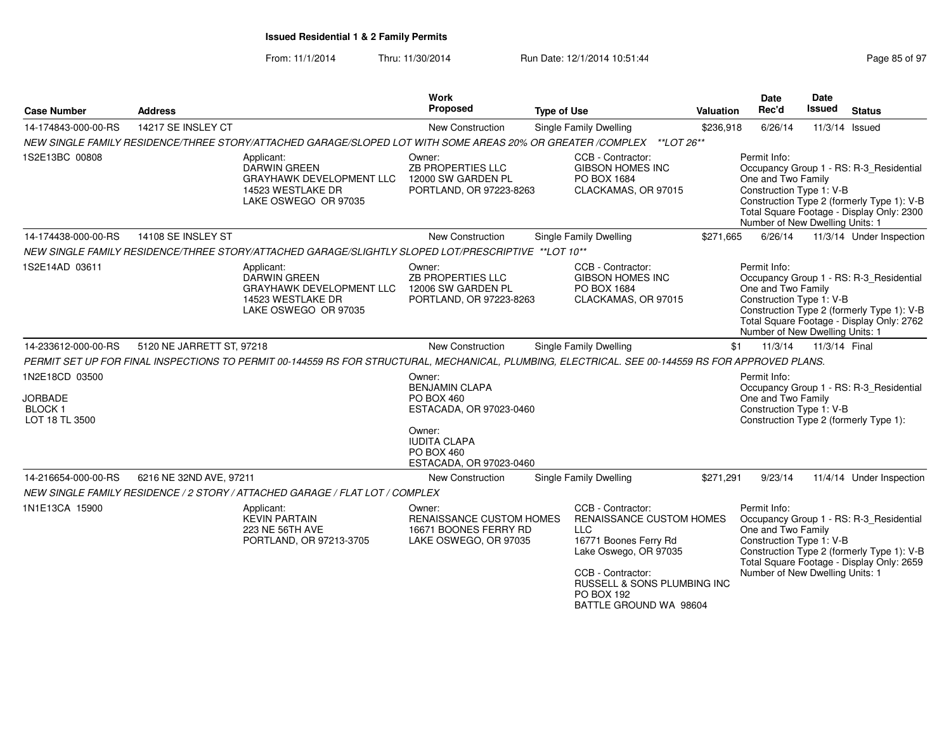| <b>Case Number</b>                                                  | <b>Address</b>            |                                                                                                                                                   | Work<br><b>Proposed</b>                                                                     | <b>Type of Use</b> |                                                                                                                                                                                                           | Valuation | <b>Date</b><br>Rec'd                                                                              | Date<br><b>Issued</b> | <b>Status</b>                                                                                                                      |
|---------------------------------------------------------------------|---------------------------|---------------------------------------------------------------------------------------------------------------------------------------------------|---------------------------------------------------------------------------------------------|--------------------|-----------------------------------------------------------------------------------------------------------------------------------------------------------------------------------------------------------|-----------|---------------------------------------------------------------------------------------------------|-----------------------|------------------------------------------------------------------------------------------------------------------------------------|
| 14-174843-000-00-RS                                                 | 14217 SE INSLEY CT        |                                                                                                                                                   | New Construction                                                                            |                    | Single Family Dwelling                                                                                                                                                                                    | \$236,918 | 6/26/14                                                                                           |                       | 11/3/14 Issued                                                                                                                     |
|                                                                     |                           | NEW SINGLE FAMILY RESIDENCE/THREE STORY/ATTACHED GARAGE/SLOPED LOT WITH SOME AREAS 20% OR GREATER /COMPLEX **LOT 26**                             |                                                                                             |                    |                                                                                                                                                                                                           |           |                                                                                                   |                       |                                                                                                                                    |
| 1S2E13BC 00808                                                      |                           | Applicant:<br><b>DARWIN GREEN</b><br>GRAYHAWK DEVELOPMENT LLC<br>14523 WESTLAKE DR<br>LAKE OSWEGO OR 97035                                        | Owner:<br><b>ZB PROPERTIES LLC</b><br>12000 SW GARDEN PL<br>PORTLAND, OR 97223-8263         |                    | CCB - Contractor:<br><b>GIBSON HOMES INC</b><br>PO BOX 1684<br>CLACKAMAS, OR 97015                                                                                                                        |           | Permit Info:<br>One and Two Family<br>Construction Type 1: V-B<br>Number of New Dwelling Units: 1 |                       | Occupancy Group 1 - RS: R-3_Residential<br>Construction Type 2 (formerly Type 1): V-B<br>Total Square Footage - Display Only: 2300 |
| 14-174438-000-00-RS                                                 | 14108 SE INSLEY ST        |                                                                                                                                                   | New Construction                                                                            |                    | Single Family Dwelling                                                                                                                                                                                    | \$271,665 | 6/26/14                                                                                           |                       | 11/3/14 Under Inspection                                                                                                           |
|                                                                     |                           | NEW SINGLE FAMILY RESIDENCE/THREE STORY/ATTACHED GARAGE/SLIGHTLY SLOPED LOT/PRESCRIPTIVE ** LOT 10**                                              |                                                                                             |                    |                                                                                                                                                                                                           |           |                                                                                                   |                       |                                                                                                                                    |
| 1S2E14AD 03611                                                      |                           | Applicant:<br><b>DARWIN GREEN</b><br><b>GRAYHAWK DEVELOPMENT LLC</b><br>14523 WESTLAKE DR<br>LAKE OSWEGO OR 97035                                 | Owner:<br><b>ZB PROPERTIES LLC</b><br>12006 SW GARDEN PL<br>PORTLAND, OR 97223-8263         |                    | CCB - Contractor:<br><b>GIBSON HOMES INC</b><br>PO BOX 1684<br>CLACKAMAS, OR 97015                                                                                                                        |           | Permit Info:<br>One and Two Family<br>Construction Type 1: V-B<br>Number of New Dwelling Units: 1 |                       | Occupancy Group 1 - RS: R-3_Residential<br>Construction Type 2 (formerly Type 1): V-B<br>Total Square Footage - Display Only: 2762 |
| 14-233612-000-00-RS                                                 | 5120 NE JARRETT ST, 97218 |                                                                                                                                                   | New Construction                                                                            |                    | Single Family Dwelling                                                                                                                                                                                    | \$1       | 11/3/14                                                                                           | 11/3/14 Final         |                                                                                                                                    |
|                                                                     |                           | PERMIT SET UP FOR FINAL INSPECTIONS TO PERMIT 00-144559 RS FOR STRUCTURAL, MECHANICAL, PLUMBING, ELECTRICAL. SEE 00-144559 RS FOR APPROVED PLANS. |                                                                                             |                    |                                                                                                                                                                                                           |           |                                                                                                   |                       |                                                                                                                                    |
| 1N2E18CD 03500<br><b>JORBADE</b><br><b>BLOCK1</b><br>LOT 18 TL 3500 |                           |                                                                                                                                                   | Owner:<br><b>BENJAMIN CLAPA</b><br>PO BOX 460<br>ESTACADA, OR 97023-0460                    |                    |                                                                                                                                                                                                           |           | Permit Info:<br>One and Two Family<br>Construction Type 1: V-B                                    |                       | Occupancy Group 1 - RS: R-3_Residential<br>Construction Type 2 (formerly Type 1):                                                  |
|                                                                     |                           |                                                                                                                                                   | Owner:<br><b>IUDITA CLAPA</b><br>PO BOX 460<br>ESTACADA, OR 97023-0460                      |                    |                                                                                                                                                                                                           |           |                                                                                                   |                       |                                                                                                                                    |
| 14-216654-000-00-RS                                                 | 6216 NE 32ND AVE, 97211   |                                                                                                                                                   | New Construction                                                                            |                    | Single Family Dwelling                                                                                                                                                                                    | \$271,291 | 9/23/14                                                                                           |                       | 11/4/14 Under Inspection                                                                                                           |
|                                                                     |                           | NEW SINGLE FAMILY RESIDENCE / 2 STORY / ATTACHED GARAGE / FLAT LOT / COMPLEX                                                                      |                                                                                             |                    |                                                                                                                                                                                                           |           |                                                                                                   |                       |                                                                                                                                    |
| 1N1E13CA 15900                                                      |                           | Applicant:<br><b>KEVIN PARTAIN</b><br>223 NE 56TH AVE<br>PORTLAND, OR 97213-3705                                                                  | Owner:<br><b>RENAISSANCE CUSTOM HOMES</b><br>16671 BOONES FERRY RD<br>LAKE OSWEGO, OR 97035 |                    | CCB - Contractor:<br>RENAISSANCE CUSTOM HOMES<br><b>LLC</b><br>16771 Boones Ferry Rd<br>Lake Oswego, OR 97035<br>CCB - Contractor:<br>RUSSELL & SONS PLUMBING INC<br>PO BOX 192<br>BATTLE GROUND WA 98604 |           | Permit Info:<br>One and Two Family<br>Construction Type 1: V-B<br>Number of New Dwelling Units: 1 |                       | Occupancy Group 1 - RS: R-3_Residential<br>Construction Type 2 (formerly Type 1): V-B<br>Total Square Footage - Display Only: 2659 |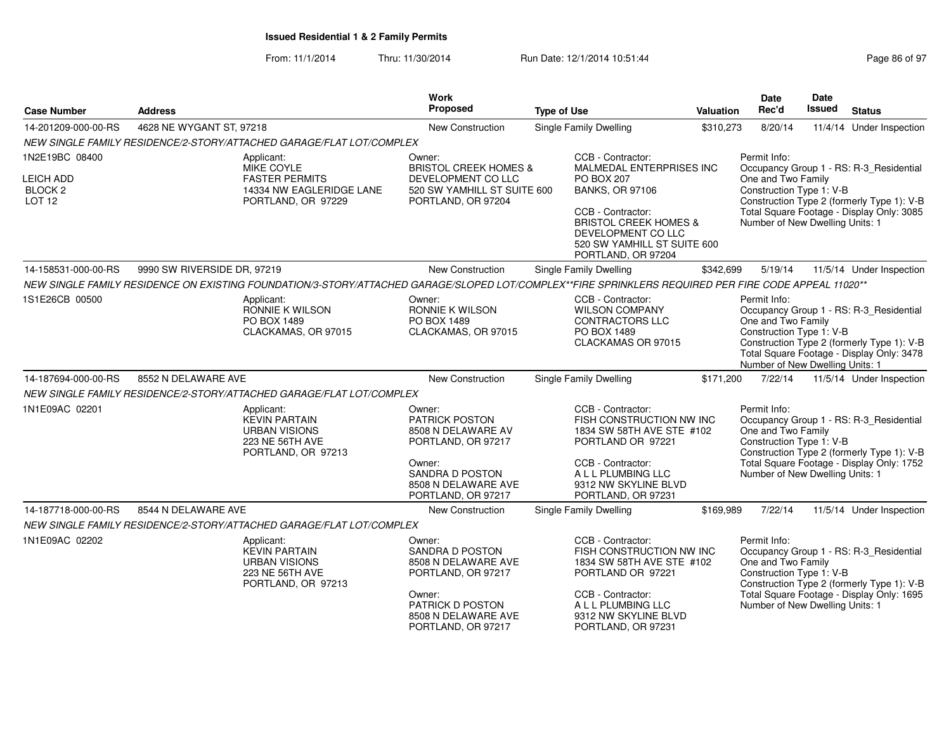From: 11/1/2014Thru: 11/30/2014 Run Date: 12/1/2014 10:51:44 Rage 86 of Page

| Page 86 of 97 |  |  |  |  |
|---------------|--|--|--|--|
|---------------|--|--|--|--|

| <b>Case Number</b>                                          | <b>Address</b>                                                                                                                                       | <b>Work</b><br>Proposed                                                                                                         | <b>Type of Use</b>                                                                                                                                                 | Valuation | <b>Date</b><br>Rec'd                                                                              | Date<br>Issued | <b>Status</b>                                                                                                                      |
|-------------------------------------------------------------|------------------------------------------------------------------------------------------------------------------------------------------------------|---------------------------------------------------------------------------------------------------------------------------------|--------------------------------------------------------------------------------------------------------------------------------------------------------------------|-----------|---------------------------------------------------------------------------------------------------|----------------|------------------------------------------------------------------------------------------------------------------------------------|
| 14-201209-000-00-RS                                         | 4628 NE WYGANT ST, 97218                                                                                                                             | New Construction                                                                                                                | Single Family Dwelling                                                                                                                                             | \$310,273 | 8/20/14                                                                                           |                | 11/4/14 Under Inspection                                                                                                           |
|                                                             | NEW SINGLE FAMILY RESIDENCE/2-STORY/ATTACHED GARAGE/FLAT LOT/COMPLEX                                                                                 |                                                                                                                                 |                                                                                                                                                                    |           |                                                                                                   |                |                                                                                                                                    |
| 1N2E19BC 08400                                              | Applicant:<br>MIKE COYLE                                                                                                                             | Owner:<br><b>BRISTOL CREEK HOMES &amp;</b>                                                                                      | CCB - Contractor:<br>MALMEDAL ENTERPRISES INC                                                                                                                      |           | Permit Info:                                                                                      |                | Occupancy Group 1 - RS: R-3_Residential                                                                                            |
| <b>LEICH ADD</b><br>BLOCK <sub>2</sub><br>LOT <sub>12</sub> | <b>FASTER PERMITS</b><br>14334 NW EAGLERIDGE LANE<br>PORTLAND, OR 97229                                                                              | DEVELOPMENT CO LLC<br>520 SW YAMHILL ST SUITE 600<br>PORTLAND, OR 97204                                                         | <b>PO BOX 207</b><br><b>BANKS, OR 97106</b>                                                                                                                        |           | One and Two Family<br>Construction Type 1: V-B                                                    |                | Construction Type 2 (formerly Type 1): V-B                                                                                         |
|                                                             |                                                                                                                                                      |                                                                                                                                 | CCB - Contractor:<br><b>BRISTOL CREEK HOMES &amp;</b><br>DEVELOPMENT CO LLC<br>520 SW YAMHILL ST SUITE 600<br>PORTLAND, OR 97204                                   |           | Number of New Dwelling Units: 1                                                                   |                | Total Square Footage - Display Only: 3085                                                                                          |
| 14-158531-000-00-RS                                         | 9990 SW RIVERSIDE DR, 97219                                                                                                                          | New Construction                                                                                                                | Single Family Dwelling                                                                                                                                             | \$342,699 | 5/19/14                                                                                           |                | 11/5/14 Under Inspection                                                                                                           |
|                                                             | NEW SINGLE FAMILY RESIDENCE ON EXISTING FOUNDATION/3-STORY/ATTACHED GARAGE/SLOPED LOT/COMPLEX**FIRE SPRINKLERS REQUIRED PER FIRE CODE APPEAL 11020** |                                                                                                                                 |                                                                                                                                                                    |           |                                                                                                   |                |                                                                                                                                    |
| 1S1E26CB 00500                                              | Applicant:<br>RONNIE K WILSON<br>PO BOX 1489<br>CLACKAMAS, OR 97015                                                                                  | Owner:<br>RONNIE K WILSON<br>PO BOX 1489<br>CLACKAMAS, OR 97015                                                                 | CCB - Contractor:<br><b>WILSON COMPANY</b><br>CONTRACTORS LLC<br>PO BOX 1489<br>CLACKAMAS OR 97015                                                                 |           | Permit Info:<br>One and Two Family<br>Construction Type 1: V-B<br>Number of New Dwelling Units: 1 |                | Occupancy Group 1 - RS: R-3_Residential<br>Construction Type 2 (formerly Type 1): V-B<br>Total Square Footage - Display Only: 3478 |
| 14-187694-000-00-RS                                         | 8552 N DELAWARE AVE                                                                                                                                  | New Construction                                                                                                                | <b>Single Family Dwelling</b>                                                                                                                                      | \$171,200 | 7/22/14                                                                                           |                | 11/5/14 Under Inspection                                                                                                           |
|                                                             | NEW SINGLE FAMILY RESIDENCE/2-STORY/ATTACHED GARAGE/FLAT LOT/COMPLEX                                                                                 |                                                                                                                                 |                                                                                                                                                                    |           |                                                                                                   |                |                                                                                                                                    |
| 1N1E09AC 02201                                              | Applicant:<br><b>KEVIN PARTAIN</b><br><b>URBAN VISIONS</b><br>223 NE 56TH AVE<br>PORTLAND, OR 97213                                                  | Owner:<br>PATRICK POSTON<br>8508 N DELAWARE AV<br>PORTLAND, OR 97217<br>Owner:<br><b>SANDRA D POSTON</b><br>8508 N DELAWARE AVE | CCB - Contractor:<br>FISH CONSTRUCTION NW INC<br>1834 SW 58TH AVE STE #102<br>PORTLAND OR 97221<br>CCB - Contractor:<br>A L L PLUMBING LLC<br>9312 NW SKYLINE BLVD |           | Permit Info:<br>One and Two Family<br>Construction Type 1: V-B<br>Number of New Dwelling Units: 1 |                | Occupancy Group 1 - RS: R-3_Residential<br>Construction Type 2 (formerly Type 1): V-B<br>Total Square Footage - Display Only: 1752 |
|                                                             |                                                                                                                                                      | PORTLAND, OR 97217                                                                                                              | PORTLAND, OR 97231                                                                                                                                                 |           |                                                                                                   |                |                                                                                                                                    |
| 14-187718-000-00-RS                                         | 8544 N DELAWARE AVE                                                                                                                                  | New Construction                                                                                                                | Single Family Dwelling                                                                                                                                             | \$169,989 | 7/22/14                                                                                           |                | 11/5/14 Under Inspection                                                                                                           |
|                                                             | NEW SINGLE FAMILY RESIDENCE/2-STORY/ATTACHED GARAGE/FLAT LOT/COMPLEX                                                                                 |                                                                                                                                 |                                                                                                                                                                    |           |                                                                                                   |                |                                                                                                                                    |
| 1N1E09AC 02202                                              | Applicant:<br><b>KEVIN PARTAIN</b><br><b>URBAN VISIONS</b><br>223 NE 56TH AVE<br>PORTLAND, OR 97213                                                  | Owner:<br>SANDRA D POSTON<br>8508 N DELAWARE AVE<br>PORTLAND, OR 97217                                                          | CCB - Contractor:<br>FISH CONSTRUCTION NW INC<br>1834 SW 58TH AVE STE #102<br>PORTLAND OR 97221                                                                    |           | Permit Info:<br>One and Two Family<br>Construction Type 1: V-B                                    |                | Occupancy Group 1 - RS: R-3_Residential<br>Construction Type 2 (formerly Type 1): V-B                                              |
|                                                             |                                                                                                                                                      | Owner:<br>PATRICK D POSTON<br>8508 N DELAWARE AVE<br>PORTLAND, OR 97217                                                         | CCB - Contractor:<br>A L L PLUMBING LLC<br>9312 NW SKYLINE BLVD<br>PORTLAND, OR 97231                                                                              |           | Number of New Dwelling Units: 1                                                                   |                | Total Square Footage - Display Only: 1695                                                                                          |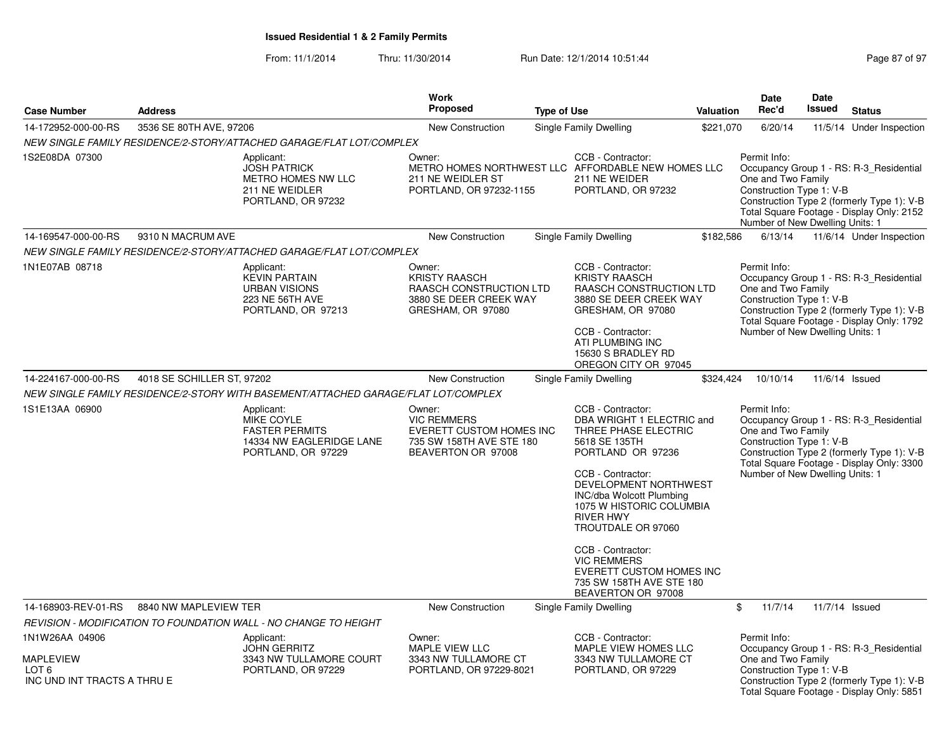| <b>Case Number</b>                                                                    | <b>Address</b>             |                                                                                                     | <b>Work</b><br>Proposed                                                                                           |                    |                                                                                                                                                                                                                                                                                                                                                                                       | Valuation | <b>Date</b><br>Rec'd                                                                              | <b>Date</b><br><b>Issued</b> | <b>Status</b>                                                                                                                      |
|---------------------------------------------------------------------------------------|----------------------------|-----------------------------------------------------------------------------------------------------|-------------------------------------------------------------------------------------------------------------------|--------------------|---------------------------------------------------------------------------------------------------------------------------------------------------------------------------------------------------------------------------------------------------------------------------------------------------------------------------------------------------------------------------------------|-----------|---------------------------------------------------------------------------------------------------|------------------------------|------------------------------------------------------------------------------------------------------------------------------------|
|                                                                                       |                            |                                                                                                     |                                                                                                                   | <b>Type of Use</b> |                                                                                                                                                                                                                                                                                                                                                                                       |           |                                                                                                   |                              |                                                                                                                                    |
| 14-172952-000-00-RS                                                                   | 3536 SE 80TH AVE, 97206    |                                                                                                     | <b>New Construction</b>                                                                                           |                    | Single Family Dwelling                                                                                                                                                                                                                                                                                                                                                                | \$221,070 | 6/20/14                                                                                           |                              | 11/5/14 Under Inspection                                                                                                           |
|                                                                                       |                            | NEW SINGLE FAMILY RESIDENCE/2-STORY/ATTACHED GARAGE/FLAT LOT/COMPLEX                                |                                                                                                                   |                    |                                                                                                                                                                                                                                                                                                                                                                                       |           |                                                                                                   |                              |                                                                                                                                    |
| 1S2E08DA 07300                                                                        |                            | Applicant:<br><b>JOSH PATRICK</b><br>METRO HOMES NW LLC<br>211 NE WEIDLER<br>PORTLAND, OR 97232     | Owner:<br>METRO HOMES NORTHWEST LLC AFFORDABLE NEW HOMES LLC<br>211 NE WEIDLER ST<br>PORTLAND, OR 97232-1155      |                    | CCB - Contractor:<br>211 NE WEIDER<br>PORTLAND, OR 97232                                                                                                                                                                                                                                                                                                                              |           | Permit Info:<br>One and Two Family<br>Construction Type 1: V-B<br>Number of New Dwelling Units: 1 |                              | Occupancy Group 1 - RS: R-3 Residential<br>Construction Type 2 (formerly Type 1): V-B<br>Total Square Footage - Display Only: 2152 |
| 14-169547-000-00-RS                                                                   | 9310 N MACRUM AVE          |                                                                                                     | <b>New Construction</b>                                                                                           |                    | Single Family Dwelling                                                                                                                                                                                                                                                                                                                                                                | \$182,586 | 6/13/14                                                                                           |                              | 11/6/14 Under Inspection                                                                                                           |
|                                                                                       |                            | NEW SINGLE FAMILY RESIDENCE/2-STORY/ATTACHED GARAGE/FLAT LOT/COMPLEX                                |                                                                                                                   |                    |                                                                                                                                                                                                                                                                                                                                                                                       |           |                                                                                                   |                              |                                                                                                                                    |
| 1N1E07AB 08718                                                                        |                            | Applicant:<br><b>KEVIN PARTAIN</b><br><b>URBAN VISIONS</b><br>223 NE 56TH AVE<br>PORTLAND, OR 97213 | Owner:<br><b>KRISTY RAASCH</b><br>RAASCH CONSTRUCTION LTD<br>3880 SE DEER CREEK WAY<br>GRESHAM, OR 97080          |                    | CCB - Contractor:<br><b>KRISTY RAASCH</b><br>RAASCH CONSTRUCTION LTD<br>3880 SE DEER CREEK WAY<br>GRESHAM, OR 97080<br>CCB - Contractor:<br>ATI PLUMBING INC<br>15630 S BRADLEY RD<br>OREGON CITY OR 97045                                                                                                                                                                            |           | Permit Info:<br>One and Two Family<br>Construction Type 1: V-B<br>Number of New Dwelling Units: 1 |                              | Occupancy Group 1 - RS: R-3 Residential<br>Construction Type 2 (formerly Type 1): V-B<br>Total Square Footage - Display Only: 1792 |
| 14-224167-000-00-RS                                                                   | 4018 SE SCHILLER ST, 97202 |                                                                                                     | <b>New Construction</b>                                                                                           |                    | Single Family Dwelling                                                                                                                                                                                                                                                                                                                                                                | \$324,424 | 10/10/14                                                                                          |                              | 11/6/14 Issued                                                                                                                     |
|                                                                                       |                            | NEW SINGLE FAMILY RESIDENCE/2-STORY WITH BASEMENT/ATTACHED GARAGE/FLAT LOT/COMPLEX                  |                                                                                                                   |                    |                                                                                                                                                                                                                                                                                                                                                                                       |           |                                                                                                   |                              |                                                                                                                                    |
| 1S1E13AA 06900                                                                        |                            | Applicant:<br>MIKE COYLE<br><b>FASTER PERMITS</b><br>14334 NW EAGLERIDGE LANE<br>PORTLAND, OR 97229 | Owner:<br><b>VIC REMMERS</b><br><b>EVERETT CUSTOM HOMES INC</b><br>735 SW 158TH AVE STE 180<br>BEAVERTON OR 97008 |                    | CCB - Contractor:<br>DBA WRIGHT 1 ELECTRIC and<br>THREE PHASE ELECTRIC<br>5618 SE 135TH<br>PORTLAND OR 97236<br>CCB - Contractor:<br>DEVELOPMENT NORTHWEST<br>INC/dba Wolcott Plumbing<br>1075 W HISTORIC COLUMBIA<br><b>RIVER HWY</b><br>TROUTDALE OR 97060<br>CCB - Contractor:<br><b>VIC REMMERS</b><br>EVERETT CUSTOM HOMES INC<br>735 SW 158TH AVE STE 180<br>BEAVERTON OR 97008 |           | Permit Info:<br>One and Two Family<br>Construction Type 1: V-B<br>Number of New Dwelling Units: 1 |                              | Occupancy Group 1 - RS: R-3 Residential<br>Construction Type 2 (formerly Type 1): V-B<br>Total Square Footage - Display Only: 3300 |
| 14-168903-REV-01-RS                                                                   | 8840 NW MAPLEVIEW TER      |                                                                                                     | New Construction                                                                                                  |                    | Single Family Dwelling                                                                                                                                                                                                                                                                                                                                                                |           | \$<br>11/7/14                                                                                     |                              | 11/7/14 Issued                                                                                                                     |
|                                                                                       |                            | REVISION - MODIFICATION TO FOUNDATION WALL - NO CHANGE TO HEIGHT                                    |                                                                                                                   |                    |                                                                                                                                                                                                                                                                                                                                                                                       |           |                                                                                                   |                              |                                                                                                                                    |
| 1N1W26AA 04906<br><b>MAPLEVIEW</b><br>LOT <sub>6</sub><br>INC UND INT TRACTS A THRU E |                            | Applicant:<br><b>JOHN GERRITZ</b><br>3343 NW TULLAMORE COURT<br>PORTLAND, OR 97229                  | Owner:<br>MAPLE VIEW LLC<br>3343 NW TULLAMORE CT<br>PORTLAND, OR 97229-8021                                       |                    | CCB - Contractor:<br>MAPLE VIEW HOMES LLC<br>3343 NW TULLAMORE CT<br>PORTLAND, OR 97229                                                                                                                                                                                                                                                                                               |           | Permit Info:<br>One and Two Family<br>Construction Type 1: V-B                                    |                              | Occupancy Group 1 - RS: R-3_Residential<br>Construction Type 2 (formerly Type 1): V-B<br>Total Square Footage - Display Only: 5851 |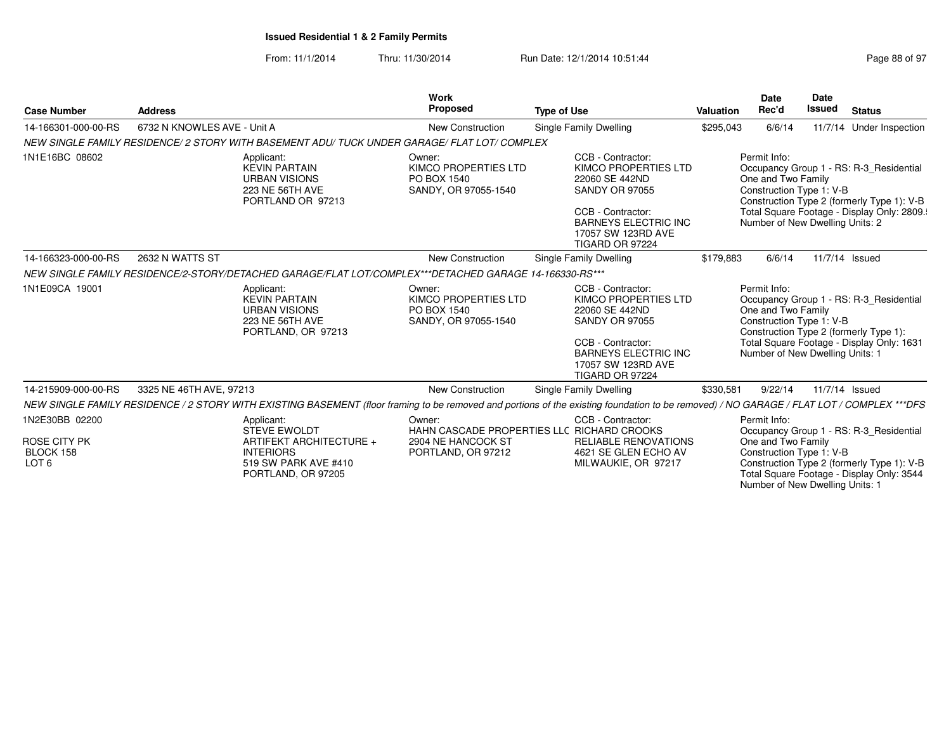From: 11/1/2014Thru: 11/30/2014 Run Date: 12/1/2014 10:51:44 Run Date: 12/1/2014 10:51:44

Number of New Dwelling Units: 1

| <b>Case Number</b>                                                     | <b>Address</b>              |                                                                                                                                | <b>Work</b><br><b>Proposed</b>                                        | <b>Type of Use</b>                                                                                                                                                                              | <b>Valuation</b> | <b>Date</b><br>Rec'd                                                                              | <b>Date</b><br><b>Issued</b> | <b>Status</b>                                                                                                                       |
|------------------------------------------------------------------------|-----------------------------|--------------------------------------------------------------------------------------------------------------------------------|-----------------------------------------------------------------------|-------------------------------------------------------------------------------------------------------------------------------------------------------------------------------------------------|------------------|---------------------------------------------------------------------------------------------------|------------------------------|-------------------------------------------------------------------------------------------------------------------------------------|
| 14-166301-000-00-RS                                                    | 6732 N KNOWLES AVE - Unit A |                                                                                                                                | <b>New Construction</b>                                               | Single Family Dwelling                                                                                                                                                                          | \$295,043        | 6/6/14                                                                                            |                              | 11/7/14 Under Inspection                                                                                                            |
|                                                                        |                             | NEW SINGLE FAMILY RESIDENCE/ 2 STORY WITH BASEMENT ADU/ TUCK UNDER GARAGE/ FLAT LOT/ COMPLEX                                   |                                                                       |                                                                                                                                                                                                 |                  |                                                                                                   |                              |                                                                                                                                     |
| 1N1E16BC 08602                                                         |                             | Applicant:<br><b>KEVIN PARTAIN</b><br><b>URBAN VISIONS</b><br>223 NE 56TH AVE<br>PORTLAND OR 97213                             | Owner:<br>KIMCO PROPERTIES LTD<br>PO BOX 1540<br>SANDY, OR 97055-1540 | CCB - Contractor:<br><b>KIMCO PROPERTIES LTD</b><br>22060 SE 442ND<br><b>SANDY OR 97055</b><br>CCB - Contractor:<br><b>BARNEYS ELECTRIC INC</b><br>17057 SW 123RD AVE<br><b>TIGARD OR 97224</b> |                  | Permit Info:<br>One and Two Family<br>Construction Type 1: V-B<br>Number of New Dwelling Units: 2 |                              | Occupancy Group 1 - RS: R-3_Residential<br>Construction Type 2 (formerly Type 1): V-B<br>Total Square Footage - Display Only: 2809. |
| 14-166323-000-00-RS                                                    | 2632 N WATTS ST             |                                                                                                                                | <b>New Construction</b>                                               | Single Family Dwelling                                                                                                                                                                          | \$179.883        | 6/6/14                                                                                            |                              | 11/7/14 Issued                                                                                                                      |
|                                                                        |                             | NEW SINGLE FAMILY RESIDENCE/2-STORY/DETACHED GARAGE/FLAT LOT/COMPLEX***DETACHED GARAGE 14-166330-RS***                         |                                                                       |                                                                                                                                                                                                 |                  |                                                                                                   |                              |                                                                                                                                     |
| 1N1E09CA 19001                                                         |                             | Applicant:<br><b>KEVIN PARTAIN</b><br><b>URBAN VISIONS</b><br>223 NE 56TH AVE<br>PORTLAND, OR 97213                            | Owner:<br>KIMCO PROPERTIES LTD<br>PO BOX 1540<br>SANDY, OR 97055-1540 | CCB - Contractor:<br>KIMCO PROPERTIES LTD<br>22060 SE 442ND<br><b>SANDY OR 97055</b><br>CCB - Contractor:<br><b>BARNEYS ELECTRIC INC</b><br>17057 SW 123RD AVE<br>TIGARD OR 97224               |                  | Permit Info:<br>One and Two Family<br>Construction Type 1: V-B<br>Number of New Dwelling Units: 1 |                              | Occupancy Group 1 - RS: R-3 Residential<br>Construction Type 2 (formerly Type 1):<br>Total Square Footage - Display Only: 1631      |
| 14-215909-000-00-RS                                                    | 3325 NE 46TH AVE, 97213     |                                                                                                                                | New Construction                                                      | Single Family Dwelling                                                                                                                                                                          | \$330,581        | 9/22/14                                                                                           | 11/7/14 Issued               |                                                                                                                                     |
|                                                                        |                             |                                                                                                                                |                                                                       | NEW SINGLE FAMILY RESIDENCE / 2 STORY WITH EXISTING BASEMENT (floor framing to be removed and portions of the existing foundation to be removed) / NO GARAGE / FLAT LOT / COMPLEX ***DFS        |                  |                                                                                                   |                              |                                                                                                                                     |
| 1N2E30BB 02200<br><b>ROSE CITY PK</b><br>BLOCK 158<br>LOT <sub>6</sub> |                             | Applicant:<br><b>STEVE EWOLDT</b><br>ARTIFEKT ARCHITECTURE +<br><b>INTERIORS</b><br>519 SW PARK AVE #410<br>PORTLAND, OR 97205 | Owner:<br>2904 NE HANCOCK ST<br>PORTLAND, OR 97212                    | CCB - Contractor:<br>HAHN CASCADE PROPERTIES LLC RICHARD CROOKS<br><b>RELIABLE RENOVATIONS</b><br>4621 SE GLEN ECHO AV<br>MILWAUKIE, OR 97217                                                   |                  | Permit Info:<br>One and Two Family<br>Construction Type 1: V-B                                    |                              | Occupancy Group 1 - RS: R-3 Residential<br>Construction Type 2 (formerly Type 1): V-B<br>Total Square Footage - Display Only: 3544  |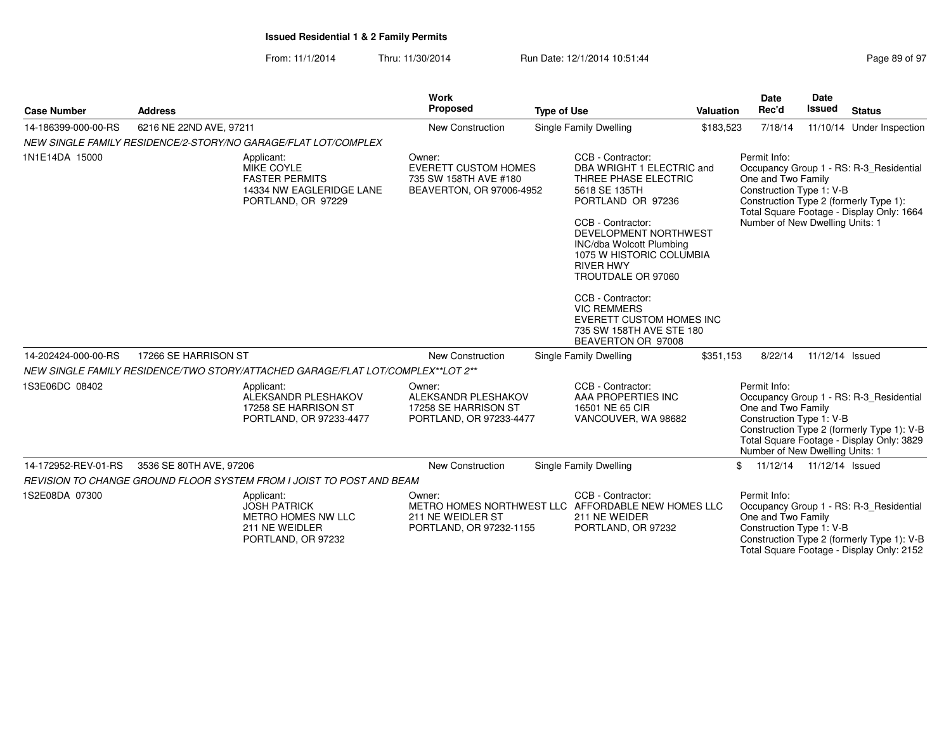| <b>Case Number</b>  | <b>Address</b>                                                                                             | Work<br>Proposed                                                                           | <b>Type of Use</b>                                                                                                                                                                                                                                                                                                                                                                    | Valuation | Date<br>Rec'd                                                                                     | <b>Date</b><br><b>Issued</b> | <b>Status</b>                                                                                                                      |
|---------------------|------------------------------------------------------------------------------------------------------------|--------------------------------------------------------------------------------------------|---------------------------------------------------------------------------------------------------------------------------------------------------------------------------------------------------------------------------------------------------------------------------------------------------------------------------------------------------------------------------------------|-----------|---------------------------------------------------------------------------------------------------|------------------------------|------------------------------------------------------------------------------------------------------------------------------------|
| 14-186399-000-00-RS | 6216 NE 22ND AVE, 97211                                                                                    | <b>New Construction</b>                                                                    | Single Family Dwelling                                                                                                                                                                                                                                                                                                                                                                | \$183,523 | 7/18/14                                                                                           |                              | 11/10/14 Under Inspection                                                                                                          |
|                     | NEW SINGLE FAMILY RESIDENCE/2-STORY/NO GARAGE/FLAT LOT/COMPLEX                                             |                                                                                            |                                                                                                                                                                                                                                                                                                                                                                                       |           |                                                                                                   |                              |                                                                                                                                    |
| 1N1E14DA 15000      | Applicant:<br><b>MIKE COYLE</b><br><b>FASTER PERMITS</b><br>14334 NW EAGLERIDGE LANE<br>PORTLAND, OR 97229 | Owner:<br><b>EVERETT CUSTOM HOMES</b><br>735 SW 158TH AVE #180<br>BEAVERTON, OR 97006-4952 | CCB - Contractor:<br>DBA WRIGHT 1 ELECTRIC and<br>THREE PHASE ELECTRIC<br>5618 SE 135TH<br>PORTLAND OR 97236<br>CCB - Contractor:<br>DEVELOPMENT NORTHWEST<br>INC/dba Wolcott Plumbing<br>1075 W HISTORIC COLUMBIA<br><b>RIVER HWY</b><br>TROUTDALE OR 97060<br>CCB - Contractor:<br><b>VIC REMMERS</b><br>EVERETT CUSTOM HOMES INC<br>735 SW 158TH AVE STE 180<br>BEAVERTON OR 97008 |           | Permit Info:<br>One and Two Family<br>Construction Type 1: V-B<br>Number of New Dwelling Units: 1 |                              | Occupancy Group 1 - RS: R-3_Residential<br>Construction Type 2 (formerly Type 1):<br>Total Square Footage - Display Only: 1664     |
| 14-202424-000-00-RS | 17266 SE HARRISON ST                                                                                       | <b>New Construction</b>                                                                    | <b>Single Family Dwelling</b>                                                                                                                                                                                                                                                                                                                                                         | \$351,153 | 8/22/14                                                                                           | 11/12/14 Issued              |                                                                                                                                    |
|                     | NEW SINGLE FAMILY RESIDENCE/TWO STORY/ATTACHED GARAGE/FLAT LOT/COMPLEX**LOT 2**                            |                                                                                            |                                                                                                                                                                                                                                                                                                                                                                                       |           |                                                                                                   |                              |                                                                                                                                    |
| 1S3E06DC 08402      | Applicant:<br>ALEKSANDR PLESHAKOV<br>17258 SE HARRISON ST<br>PORTLAND, OR 97233-4477                       | Owner:<br>ALEKSANDR PLESHAKOV<br>17258 SE HARRISON ST<br>PORTLAND, OR 97233-4477           | CCB - Contractor:<br>AAA PROPERTIES INC<br>16501 NE 65 CIR<br>VANCOUVER, WA 98682                                                                                                                                                                                                                                                                                                     |           | Permit Info:<br>One and Two Family<br>Construction Type 1: V-B<br>Number of New Dwelling Units: 1 |                              | Occupancy Group 1 - RS: R-3_Residential<br>Construction Type 2 (formerly Type 1): V-B<br>Total Square Footage - Display Only: 3829 |
| 14-172952-REV-01-RS | 3536 SE 80TH AVE, 97206                                                                                    | <b>New Construction</b>                                                                    | <b>Single Family Dwelling</b>                                                                                                                                                                                                                                                                                                                                                         | \$        | 11/12/14  11/12/14  Issued                                                                        |                              |                                                                                                                                    |
|                     | REVISION TO CHANGE GROUND FLOOR SYSTEM FROM I JOIST TO POST AND BEAM                                       |                                                                                            |                                                                                                                                                                                                                                                                                                                                                                                       |           |                                                                                                   |                              |                                                                                                                                    |
| 1S2E08DA 07300      | Applicant:<br><b>JOSH PATRICK</b><br>METRO HOMES NW LLC<br>211 NE WEIDLER<br>PORTLAND, OR 97232            | Owner:<br>211 NE WEIDLER ST<br>PORTLAND, OR 97232-1155                                     | CCB - Contractor:<br>METRO HOMES NORTHWEST LLC AFFORDABLE NEW HOMES LLC<br>211 NE WEIDER<br>PORTLAND, OR 97232                                                                                                                                                                                                                                                                        |           | Permit Info:<br>One and Two Family<br>Construction Type 1: V-B                                    |                              | Occupancy Group 1 - RS: R-3_Residential<br>Construction Type 2 (formerly Type 1): V-B<br>Total Square Footage - Display Only: 2152 |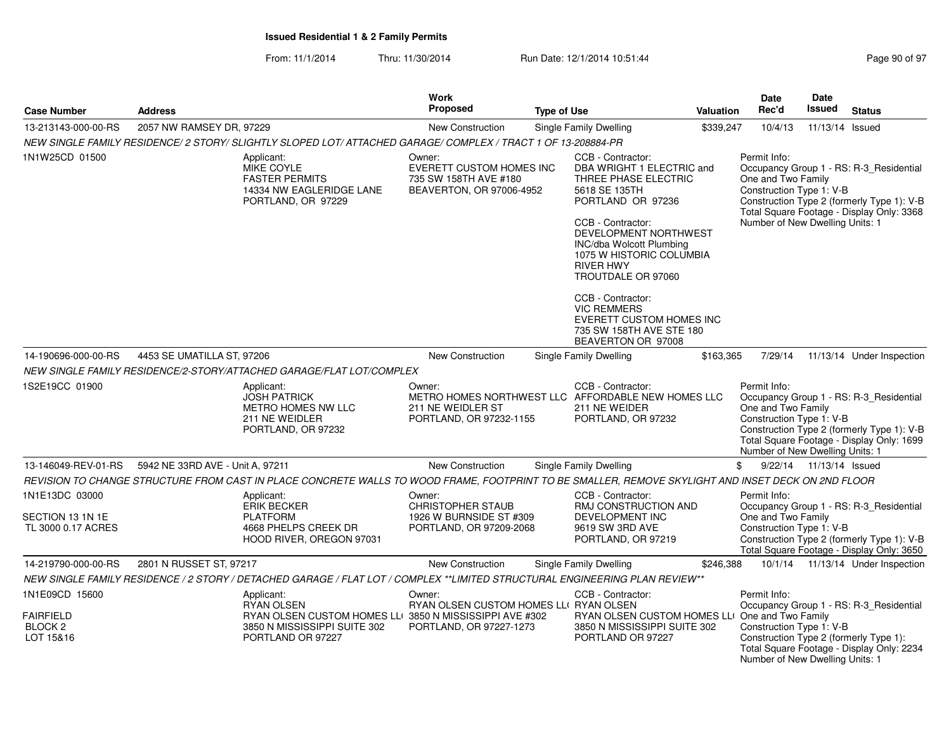From: 11/1/2014Thru: 11/30/2014 Run Date: 12/1/2014 10:51:44

| <b>Case Number</b>                                                    | <b>Address</b>                                                                                                                                     |                                                                   | <b>Work</b><br>Proposed                                                        | <b>Type of Use</b> |                                                                                                                                                                                                                                                                                                                                                                                              | <b>Valuation</b> | <b>Date</b><br>Rec'd                                                                                                  | Date<br>Issued            | <b>Status</b>                                                                                                                      |
|-----------------------------------------------------------------------|----------------------------------------------------------------------------------------------------------------------------------------------------|-------------------------------------------------------------------|--------------------------------------------------------------------------------|--------------------|----------------------------------------------------------------------------------------------------------------------------------------------------------------------------------------------------------------------------------------------------------------------------------------------------------------------------------------------------------------------------------------------|------------------|-----------------------------------------------------------------------------------------------------------------------|---------------------------|------------------------------------------------------------------------------------------------------------------------------------|
| 13-213143-000-00-RS                                                   | 2057 NW RAMSEY DR, 97229                                                                                                                           |                                                                   | New Construction                                                               |                    | Single Family Dwelling                                                                                                                                                                                                                                                                                                                                                                       | \$339,247        | 10/4/13                                                                                                               | 11/13/14 Issued           |                                                                                                                                    |
|                                                                       | NEW SINGLE FAMILY RESIDENCE/2 STORY/ SLIGHTLY SLOPED LOT/ ATTACHED GARAGE/ COMPLEX / TRACT 1 OF 13-208884-PR                                       |                                                                   |                                                                                |                    |                                                                                                                                                                                                                                                                                                                                                                                              |                  |                                                                                                                       |                           |                                                                                                                                    |
| 1N1W25CD 01500                                                        | Applicant:<br><b>MIKE COYLE</b><br><b>FASTER PERMITS</b><br>14334 NW EAGLERIDGE LANE<br>PORTLAND, OR 97229                                         | Owner:                                                            | EVERETT CUSTOM HOMES INC<br>735 SW 158TH AVE #180<br>BEAVERTON, OR 97006-4952  |                    | CCB - Contractor:<br>DBA WRIGHT 1 ELECTRIC and<br>THREE PHASE ELECTRIC<br>5618 SE 135TH<br>PORTLAND OR 97236<br>CCB - Contractor:<br>DEVELOPMENT NORTHWEST<br><b>INC/dba Wolcott Plumbing</b><br>1075 W HISTORIC COLUMBIA<br><b>RIVER HWY</b><br>TROUTDALE OR 97060<br>CCB - Contractor:<br><b>VIC REMMERS</b><br>EVERETT CUSTOM HOMES INC<br>735 SW 158TH AVE STE 180<br>BEAVERTON OR 97008 |                  | Permit Info:<br>One and Two Family<br>Construction Type 1: V-B<br>Number of New Dwelling Units: 1                     |                           | Occupancy Group 1 - RS: R-3_Residential<br>Construction Type 2 (formerly Type 1): V-B<br>Total Square Footage - Display Only: 3368 |
| 14-190696-000-00-RS                                                   | 4453 SE UMATILLA ST, 97206                                                                                                                         |                                                                   | <b>New Construction</b>                                                        |                    | Single Family Dwelling                                                                                                                                                                                                                                                                                                                                                                       | \$163,365        | 7/29/14                                                                                                               |                           | 11/13/14 Under Inspection                                                                                                          |
|                                                                       | NEW SINGLE FAMILY RESIDENCE/2-STORY/ATTACHED GARAGE/FLAT LOT/COMPLEX                                                                               |                                                                   |                                                                                |                    |                                                                                                                                                                                                                                                                                                                                                                                              |                  |                                                                                                                       |                           |                                                                                                                                    |
| 1S2E19CC 01900                                                        | Applicant:<br><b>JOSH PATRICK</b><br>METRO HOMES NW LLC<br>211 NE WEIDLER<br>PORTLAND, OR 97232                                                    | Owner:                                                            | 211 NE WEIDLER ST<br>PORTLAND, OR 97232-1155                                   |                    | CCB - Contractor:<br>METRO HOMES NORTHWEST LLC AFFORDABLE NEW HOMES LLC<br>211 NE WEIDER<br>PORTLAND, OR 97232                                                                                                                                                                                                                                                                               |                  | Permit Info:<br>One and Two Family<br>Construction Type 1: V-B<br>Number of New Dwelling Units: 1                     |                           | Occupancy Group 1 - RS: R-3 Residential<br>Construction Type 2 (formerly Type 1): V-B<br>Total Square Footage - Display Only: 1699 |
| 13-146049-REV-01-RS                                                   | 5942 NE 33RD AVE - Unit A, 97211                                                                                                                   |                                                                   | <b>New Construction</b>                                                        |                    | <b>Single Family Dwelling</b>                                                                                                                                                                                                                                                                                                                                                                |                  | \$                                                                                                                    | 9/22/14  11/13/14  Issued |                                                                                                                                    |
|                                                                       | REVISION TO CHANGE STRUCTURE FROM CAST IN PLACE CONCRETE WALLS TO WOOD FRAME, FOOTPRINT TO BE SMALLER, REMOVE SKYLIGHT AND INSET DECK ON 2ND FLOOR |                                                                   |                                                                                |                    |                                                                                                                                                                                                                                                                                                                                                                                              |                  |                                                                                                                       |                           |                                                                                                                                    |
| 1N1E13DC 03000<br>SECTION 13 1N 1E<br>TL 3000 0.17 ACRES              | Applicant:<br><b>ERIK BECKER</b><br><b>PLATFORM</b><br>4668 PHELPS CREEK DR<br>HOOD RIVER, OREGON 97031                                            | Owner:                                                            | <b>CHRISTOPHER STAUB</b><br>1926 W BURNSIDE ST #309<br>PORTLAND, OR 97209-2068 |                    | CCB - Contractor:<br>RMJ CONSTRUCTION AND<br>DEVELOPMENT INC<br>9619 SW 3RD AVE<br>PORTLAND, OR 97219                                                                                                                                                                                                                                                                                        |                  | Permit Info:<br>One and Two Family<br>Construction Type 1: V-B                                                        |                           | Occupancy Group 1 - RS: R-3_Residential<br>Construction Type 2 (formerly Type 1): V-B<br>Total Square Footage - Display Only: 3650 |
| 14-219790-000-00-RS                                                   | 2801 N RUSSET ST, 97217                                                                                                                            |                                                                   | <b>New Construction</b>                                                        |                    | Single Family Dwelling                                                                                                                                                                                                                                                                                                                                                                       | \$246,388        |                                                                                                                       |                           | 10/1/14  11/13/14  Under Inspection                                                                                                |
|                                                                       | NEW SINGLE FAMILY RESIDENCE / 2 STORY / DETACHED GARAGE / FLAT LOT / COMPLEX **LIMITED STRUCTURAL ENGINEERING PLAN REVIEW**                        |                                                                   |                                                                                |                    |                                                                                                                                                                                                                                                                                                                                                                                              |                  |                                                                                                                       |                           |                                                                                                                                    |
| 1N1E09CD 15600<br><b>FAIRFIELD</b><br>BLOCK <sub>2</sub><br>LOT 15&16 | Applicant:<br><b>RYAN OLSEN</b><br>3850 N MISSISSIPPI SUITE 302<br>PORTLAND OR 97227                                                               | Owner:<br>RYAN OLSEN CUSTOM HOMES LLI 3850 N MISSISSIPPI AVE #302 | RYAN OLSEN CUSTOM HOMES LLI RYAN OLSEN<br>PORTLAND, OR 97227-1273              |                    | CCB - Contractor:<br>RYAN OLSEN CUSTOM HOMES LLI One and Two Family<br>3850 N MISSISSIPPI SUITE 302<br>PORTLAND OR 97227                                                                                                                                                                                                                                                                     |                  | Permit Info:<br>Construction Type 1: V-B<br>Construction Type 2 (formerly Type 1):<br>Number of New Dwelling Units: 1 |                           | Occupancy Group 1 - RS: R-3 Residential<br>Total Square Footage - Display Only: 2234                                               |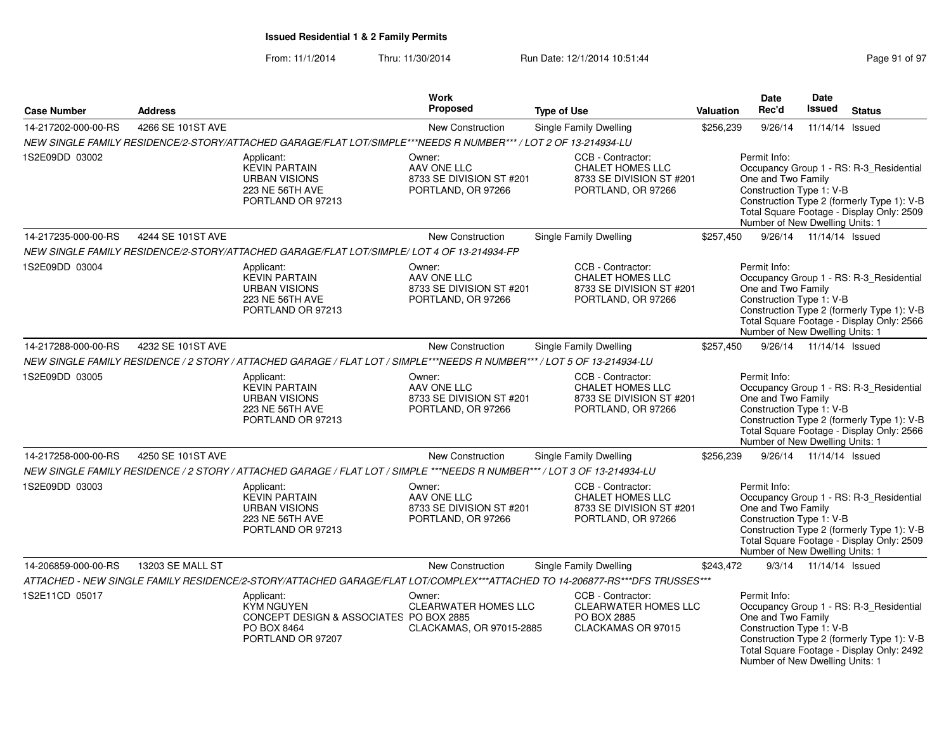| <b>Case Number</b>  | <b>Address</b>    |                                                                                                                             | Work<br><b>Proposed</b>                                                 | <b>Type of Use</b>                                                                             | Valuation | <b>Date</b><br>Rec'd                                                                              | Date<br><b>Issued</b>     | <b>Status</b>                                                                                                                      |
|---------------------|-------------------|-----------------------------------------------------------------------------------------------------------------------------|-------------------------------------------------------------------------|------------------------------------------------------------------------------------------------|-----------|---------------------------------------------------------------------------------------------------|---------------------------|------------------------------------------------------------------------------------------------------------------------------------|
| 14-217202-000-00-RS | 4266 SE 101ST AVE |                                                                                                                             | New Construction                                                        | Single Family Dwelling                                                                         | \$256,239 | 9/26/14                                                                                           | 11/14/14                  | Issued                                                                                                                             |
|                     |                   | NEW SINGLE FAMILY RESIDENCE/2-STORY/ATTACHED GARAGE/FLAT LOT/SIMPLE***NEEDS R NUMBER*** / LOT 2 OF 13-214934-LU             |                                                                         |                                                                                                |           |                                                                                                   |                           |                                                                                                                                    |
| 1S2E09DD 03002      |                   | Applicant:<br><b>KEVIN PARTAIN</b><br><b>URBAN VISIONS</b><br>223 NE 56TH AVE<br>PORTLAND OR 97213                          | Owner:<br>AAV ONE LLC<br>8733 SE DIVISION ST #201<br>PORTLAND, OR 97266 | CCB - Contractor:<br>CHALET HOMES LLC<br>8733 SE DIVISION ST #201<br>PORTLAND, OR 97266        |           | Permit Info:<br>One and Two Family<br>Construction Type 1: V-B<br>Number of New Dwelling Units: 1 |                           | Occupancy Group 1 - RS: R-3_Residential<br>Construction Type 2 (formerly Type 1): V-B<br>Total Square Footage - Display Only: 2509 |
| 14-217235-000-00-RS | 4244 SE 101ST AVE |                                                                                                                             | <b>New Construction</b>                                                 | Single Family Dwelling                                                                         | \$257,450 |                                                                                                   | 9/26/14  11/14/14  Issued |                                                                                                                                    |
|                     |                   | NEW SINGLE FAMILY RESIDENCE/2-STORY/ATTACHED GARAGE/FLAT LOT/SIMPLE/ LOT 4 OF 13-214934-FP                                  |                                                                         |                                                                                                |           |                                                                                                   |                           |                                                                                                                                    |
| 1S2E09DD 03004      |                   | Applicant:<br><b>KEVIN PARTAIN</b><br><b>URBAN VISIONS</b><br>223 NE 56TH AVE<br>PORTLAND OR 97213                          | Owner:<br>AAV ONE LLC<br>8733 SE DIVISION ST #201<br>PORTLAND, OR 97266 | CCB - Contractor:<br><b>CHALET HOMES LLC</b><br>8733 SE DIVISION ST #201<br>PORTLAND, OR 97266 |           | Permit Info:<br>One and Two Family<br>Construction Type 1: V-B<br>Number of New Dwelling Units: 1 |                           | Occupancy Group 1 - RS: R-3_Residential<br>Construction Type 2 (formerly Type 1): V-B<br>Total Square Footage - Display Only: 2566 |
| 14-217288-000-00-RS | 4232 SE 101ST AVE |                                                                                                                             | New Construction                                                        | Single Family Dwelling                                                                         | \$257,450 |                                                                                                   | 9/26/14  11/14/14  Issued |                                                                                                                                    |
|                     |                   | NEW SINGLE FAMILY RESIDENCE / 2 STORY / ATTACHED GARAGE / FLAT LOT / SIMPLE***NEEDS R NUMBER*** / LOT 5 OF 13-214934-LU     |                                                                         |                                                                                                |           |                                                                                                   |                           |                                                                                                                                    |
| 1S2E09DD 03005      |                   | Applicant:<br><b>KEVIN PARTAIN</b><br><b>URBAN VISIONS</b><br>223 NE 56TH AVE<br>PORTLAND OR 97213                          | Owner:<br>AAV ONE LLC<br>8733 SE DIVISION ST #201<br>PORTLAND, OR 97266 | CCB - Contractor:<br><b>CHALET HOMES LLC</b><br>8733 SE DIVISION ST #201<br>PORTLAND, OR 97266 |           | Permit Info:<br>One and Two Family<br>Construction Type 1: V-B<br>Number of New Dwelling Units: 1 |                           | Occupancy Group 1 - RS: R-3 Residential<br>Construction Type 2 (formerly Type 1): V-B<br>Total Square Footage - Display Only: 2566 |
| 14-217258-000-00-RS | 4250 SE 101ST AVE |                                                                                                                             | New Construction                                                        | Single Family Dwelling                                                                         | \$256,239 |                                                                                                   | 9/26/14  11/14/14  Issued |                                                                                                                                    |
|                     |                   | NEW SINGLE FAMILY RESIDENCE / 2 STORY / ATTACHED GARAGE / FLAT LOT / SIMPLE ***NEEDS R NUMBER*** / LOT 3 OF 13-214934-LU    |                                                                         |                                                                                                |           |                                                                                                   |                           |                                                                                                                                    |
| 1S2E09DD 03003      |                   | Applicant:<br><b>KEVIN PARTAIN</b><br><b>URBAN VISIONS</b><br>223 NE 56TH AVE<br>PORTLAND OR 97213                          | Owner:<br>AAV ONE LLC<br>8733 SE DIVISION ST #201<br>PORTLAND, OR 97266 | CCB - Contractor:<br><b>CHALET HOMES LLC</b><br>8733 SE DIVISION ST #201<br>PORTLAND, OR 97266 |           | Permit Info:<br>One and Two Family<br>Construction Type 1: V-B<br>Number of New Dwelling Units: 1 |                           | Occupancy Group 1 - RS: R-3_Residential<br>Construction Type 2 (formerly Type 1): V-B<br>Total Square Footage - Display Only: 2509 |
| 14-206859-000-00-RS | 13203 SE MALL ST  |                                                                                                                             | New Construction                                                        | Single Family Dwelling                                                                         | \$243,472 |                                                                                                   | 9/3/14 11/14/14 Issued    |                                                                                                                                    |
|                     |                   | ATTACHED - NEW SINGLE FAMILY RESIDENCE/2-STORY/ATTACHED GARAGE/FLAT LOT/COMPLEX***ATTACHED TO 14-206877-RS***DFS TRUSSES*** |                                                                         |                                                                                                |           |                                                                                                   |                           |                                                                                                                                    |
| 1S2E11CD 05017      |                   | Applicant:<br><b>KYM NGUYEN</b><br>CONCEPT DESIGN & ASSOCIATES PO BOX 2885<br>PO BOX 8464<br>PORTLAND OR 97207              | Owner:<br>CLEARWATER HOMES LLC<br>CLACKAMAS, OR 97015-2885              | CCB - Contractor:<br><b>CLEARWATER HOMES LLC</b><br>PO BOX 2885<br>CLACKAMAS OR 97015          |           | Permit Info:<br>One and Two Family<br>Construction Type 1: V-B<br>Number of New Dwelling Units: 1 |                           | Occupancy Group 1 - RS: R-3_Residential<br>Construction Type 2 (formerly Type 1): V-B<br>Total Square Footage - Display Only: 2492 |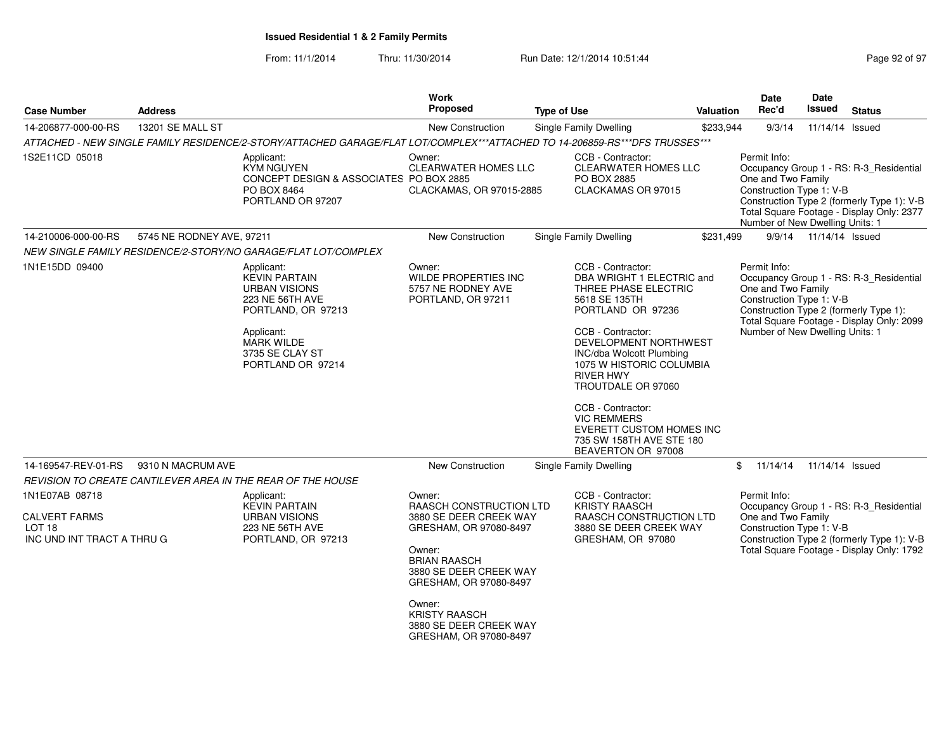| <b>Case Number</b>                                                                        | <b>Address</b>            |                                                                                                                                                                                | <b>Work</b><br>Proposed                                                                                                                                                                                                                                                 | <b>Type of Use</b> |                                                                                                                                                                                                                                                                                                                                                                                                     | Valuation | <b>Date</b><br>Rec'd                                                                              | <b>Date</b><br><b>Issued</b> | <b>Status</b>                                                                                                                      |
|-------------------------------------------------------------------------------------------|---------------------------|--------------------------------------------------------------------------------------------------------------------------------------------------------------------------------|-------------------------------------------------------------------------------------------------------------------------------------------------------------------------------------------------------------------------------------------------------------------------|--------------------|-----------------------------------------------------------------------------------------------------------------------------------------------------------------------------------------------------------------------------------------------------------------------------------------------------------------------------------------------------------------------------------------------------|-----------|---------------------------------------------------------------------------------------------------|------------------------------|------------------------------------------------------------------------------------------------------------------------------------|
| 14-206877-000-00-RS                                                                       | 13201 SE MALL ST          |                                                                                                                                                                                | <b>New Construction</b>                                                                                                                                                                                                                                                 |                    | Single Family Dwelling                                                                                                                                                                                                                                                                                                                                                                              | \$233,944 | 9/3/14                                                                                            | 11/14/14 Issued              |                                                                                                                                    |
|                                                                                           |                           | ATTACHED - NEW SINGLE FAMILY RESIDENCE/2-STORY/ATTACHED GARAGE/FLAT LOT/COMPLEX***ATTACHED TO 14-206859-RS***DFS TRUSSES***                                                    |                                                                                                                                                                                                                                                                         |                    |                                                                                                                                                                                                                                                                                                                                                                                                     |           |                                                                                                   |                              |                                                                                                                                    |
| 1S2E11CD 05018                                                                            |                           | Applicant:<br><b>KYM NGUYEN</b><br>CONCEPT DESIGN & ASSOCIATES PO BOX 2885<br>PO BOX 8464<br>PORTLAND OR 97207                                                                 | Owner:<br>CLEARWATER HOMES LLC<br>CLACKAMAS, OR 97015-2885                                                                                                                                                                                                              |                    | CCB - Contractor:<br>CLEARWATER HOMES LLC<br>PO BOX 2885<br>CLACKAMAS OR 97015                                                                                                                                                                                                                                                                                                                      |           | Permit Info:<br>One and Two Family<br>Construction Type 1: V-B<br>Number of New Dwelling Units: 1 |                              | Occupancy Group 1 - RS: R-3_Residential<br>Construction Type 2 (formerly Type 1): V-B<br>Total Square Footage - Display Only: 2377 |
| 14-210006-000-00-RS                                                                       | 5745 NE RODNEY AVE, 97211 |                                                                                                                                                                                | New Construction                                                                                                                                                                                                                                                        |                    | Single Family Dwelling                                                                                                                                                                                                                                                                                                                                                                              | \$231,499 |                                                                                                   | 9/9/14  11/14/14  Issued     |                                                                                                                                    |
|                                                                                           |                           | NEW SINGLE FAMILY RESIDENCE/2-STORY/NO GARAGE/FLAT LOT/COMPLEX                                                                                                                 |                                                                                                                                                                                                                                                                         |                    |                                                                                                                                                                                                                                                                                                                                                                                                     |           |                                                                                                   |                              |                                                                                                                                    |
| 1N1E15DD 09400                                                                            |                           | Applicant:<br><b>KEVIN PARTAIN</b><br><b>URBAN VISIONS</b><br>223 NE 56TH AVE<br>PORTLAND, OR 97213<br>Applicant:<br><b>MARK WILDE</b><br>3735 SE CLAY ST<br>PORTLAND OR 97214 | Owner:<br>WILDE PROPERTIES INC<br>5757 NE RODNEY AVE<br>PORTLAND, OR 97211                                                                                                                                                                                              |                    | CCB - Contractor:<br>DBA WRIGHT 1 ELECTRIC and<br>THREE PHASE ELECTRIC<br>5618 SE 135TH<br>PORTLAND OR 97236<br>CCB - Contractor:<br>DEVELOPMENT NORTHWEST<br><b>INC/dba Wolcott Plumbing</b><br>1075 W HISTORIC COLUMBIA<br><b>RIVER HWY</b><br>TROUTDALE OR 97060<br>CCB - Contractor:<br><b>VIC REMMERS</b><br><b>EVERETT CUSTOM HOMES INC</b><br>735 SW 158TH AVE STE 180<br>BEAVERTON OR 97008 |           | Permit Info:<br>One and Two Family<br>Construction Type 1: V-B<br>Number of New Dwelling Units: 1 |                              | Occupancy Group 1 - RS: R-3_Residential<br>Construction Type 2 (formerly Type 1):<br>Total Square Footage - Display Only: 2099     |
| 14-169547-REV-01-RS                                                                       | 9310 N MACRUM AVE         |                                                                                                                                                                                | New Construction                                                                                                                                                                                                                                                        |                    | Single Family Dwelling                                                                                                                                                                                                                                                                                                                                                                              |           | \$11/14/14                                                                                        | 11/14/14 Issued              |                                                                                                                                    |
|                                                                                           |                           | REVISION TO CREATE CANTILEVER AREA IN THE REAR OF THE HOUSE                                                                                                                    |                                                                                                                                                                                                                                                                         |                    |                                                                                                                                                                                                                                                                                                                                                                                                     |           |                                                                                                   |                              |                                                                                                                                    |
| 1N1E07AB 08718<br><b>CALVERT FARMS</b><br>LOT <sub>18</sub><br>INC UND INT TRACT A THRU G |                           | Applicant:<br><b>KEVIN PARTAIN</b><br><b>URBAN VISIONS</b><br>223 NE 56TH AVE<br>PORTLAND, OR 97213                                                                            | Owner:<br><b>RAASCH CONSTRUCTION LTD</b><br>3880 SE DEER CREEK WAY<br>GRESHAM, OR 97080-8497<br>Owner:<br><b>BRIAN RAASCH</b><br>3880 SE DEER CREEK WAY<br>GRESHAM, OR 97080-8497<br>Owner:<br><b>KRISTY RAASCH</b><br>3880 SE DEER CREEK WAY<br>GRESHAM, OR 97080-8497 |                    | CCB - Contractor:<br><b>KRISTY RAASCH</b><br>RAASCH CONSTRUCTION LTD<br>3880 SE DEER CREEK WAY<br>GRESHAM, OR 97080                                                                                                                                                                                                                                                                                 |           | Permit Info:<br>One and Two Family<br>Construction Type 1: V-B                                    |                              | Occupancy Group 1 - RS: R-3 Residential<br>Construction Type 2 (formerly Type 1): V-B<br>Total Square Footage - Display Only: 1792 |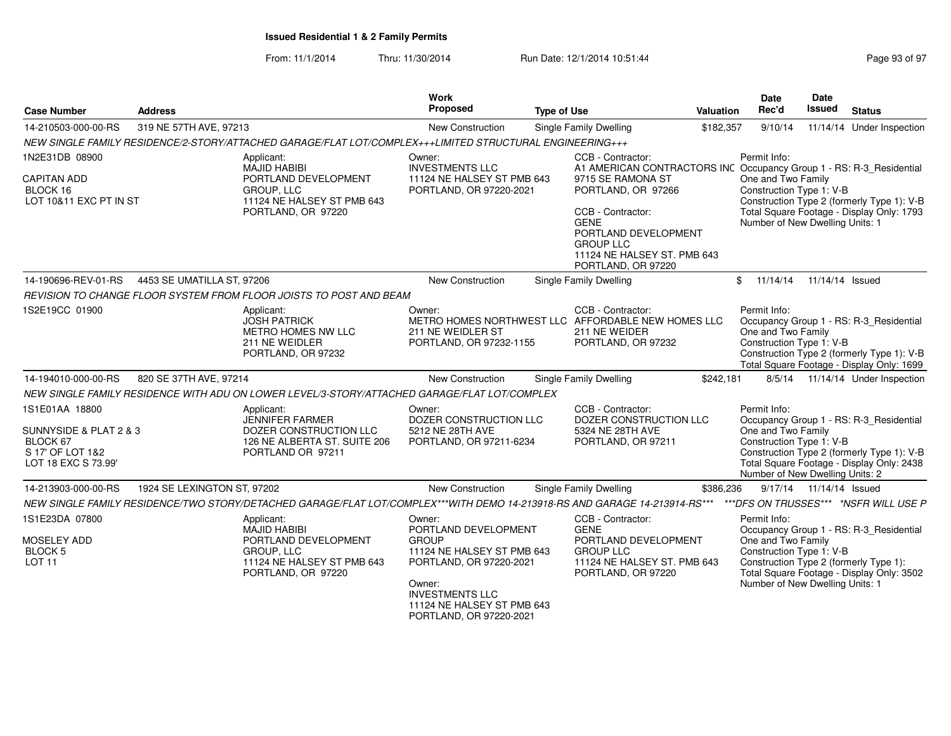| <b>Case Number</b>                                                                              | <b>Address</b>              |                                                                                                                             | <b>Work</b><br>Proposed                                                                                                                                                                              | <b>Type of Use</b>                                                                                                                                                                                                                                                       | Valuation | Date<br>Rec'd                                                                                     | Date<br>Issued          | <b>Status</b>                                                                                                                      |
|-------------------------------------------------------------------------------------------------|-----------------------------|-----------------------------------------------------------------------------------------------------------------------------|------------------------------------------------------------------------------------------------------------------------------------------------------------------------------------------------------|--------------------------------------------------------------------------------------------------------------------------------------------------------------------------------------------------------------------------------------------------------------------------|-----------|---------------------------------------------------------------------------------------------------|-------------------------|------------------------------------------------------------------------------------------------------------------------------------|
| 14-210503-000-00-RS                                                                             | 319 NE 57TH AVE, 97213      |                                                                                                                             | <b>New Construction</b>                                                                                                                                                                              | Single Family Dwelling                                                                                                                                                                                                                                                   | \$182,357 | 9/10/14                                                                                           |                         | 11/14/14 Under Inspection                                                                                                          |
|                                                                                                 |                             | NEW SINGLE FAMILY RESIDENCE/2-STORY/ATTACHED GARAGE/FLAT LOT/COMPLEX+++LIMITED STRUCTURAL ENGINEERING+++                    |                                                                                                                                                                                                      |                                                                                                                                                                                                                                                                          |           |                                                                                                   |                         |                                                                                                                                    |
| 1N2E31DB 08900<br><b>CAPITAN ADD</b><br>BLOCK 16<br>LOT 10&11 EXC PT IN ST                      |                             | Applicant:<br>MAJID HABIBI<br>PORTLAND DEVELOPMENT<br>GROUP, LLC<br>11124 NE HALSEY ST PMB 643<br>PORTLAND, OR 97220        | Owner:<br><b>INVESTMENTS LLC</b><br>11124 NE HALSEY ST PMB 643<br>PORTLAND, OR 97220-2021                                                                                                            | CCB - Contractor:<br>A1 AMERICAN CONTRACTORS INC Occupancy Group 1 - RS: R-3_Residential<br>9715 SE RAMONA ST<br>PORTLAND, OR 97266<br>CCB - Contractor:<br><b>GENE</b><br>PORTLAND DEVELOPMENT<br><b>GROUP LLC</b><br>11124 NE HALSEY ST. PMB 643<br>PORTLAND, OR 97220 |           | Permit Info:<br>One and Two Family<br>Construction Type 1: V-B<br>Number of New Dwelling Units: 1 |                         | Construction Type 2 (formerly Type 1): V-B<br>Total Square Footage - Display Only: 1793                                            |
| 14-190696-REV-01-RS                                                                             | 4453 SE UMATILLA ST. 97206  |                                                                                                                             | <b>New Construction</b>                                                                                                                                                                              | Single Family Dwelling                                                                                                                                                                                                                                                   |           | \$11/14/14                                                                                        | 11/14/14 Issued         |                                                                                                                                    |
|                                                                                                 |                             | REVISION TO CHANGE FLOOR SYSTEM FROM FLOOR JOISTS TO POST AND BEAM                                                          |                                                                                                                                                                                                      |                                                                                                                                                                                                                                                                          |           |                                                                                                   |                         |                                                                                                                                    |
| 1S2E19CC 01900                                                                                  |                             | Applicant:<br><b>JOSH PATRICK</b><br>METRO HOMES NW LLC<br>211 NE WEIDLER<br>PORTLAND, OR 97232                             | Owner:<br>211 NE WEIDLER ST<br>PORTLAND, OR 97232-1155                                                                                                                                               | CCB - Contractor:<br>METRO HOMES NORTHWEST LLC AFFORDABLE NEW HOMES LLC<br>211 NE WEIDER<br>PORTLAND, OR 97232                                                                                                                                                           |           | Permit Info:<br>One and Two Family<br>Construction Type 1: V-B                                    |                         | Occupancy Group 1 - RS: R-3 Residential<br>Construction Type 2 (formerly Type 1): V-B<br>Total Square Footage - Display Only: 1699 |
| 14-194010-000-00-RS                                                                             | 820 SE 37TH AVE, 97214      |                                                                                                                             | New Construction                                                                                                                                                                                     | Single Family Dwelling                                                                                                                                                                                                                                                   | \$242,181 |                                                                                                   |                         | 8/5/14  11/14/14  Under Inspection                                                                                                 |
|                                                                                                 |                             | NEW SINGLE FAMILY RESIDENCE WITH ADU ON LOWER LEVEL/3-STORY/ATTACHED GARAGE/FLAT LOT/COMPLEX                                |                                                                                                                                                                                                      |                                                                                                                                                                                                                                                                          |           |                                                                                                   |                         |                                                                                                                                    |
| 1S1E01AA 18800<br>SUNNYSIDE & PLAT 2 & 3<br>BLOCK 67<br>S 17' OF LOT 1&2<br>LOT 18 EXC S 73.99' |                             | Applicant:<br><b>JENNIFER FARMER</b><br>DOZER CONSTRUCTION LLC<br>126 NE ALBERTA ST. SUITE 206<br>PORTLAND OR 97211         | Owner:<br>DOZER CONSTRUCTION LLC<br>5212 NE 28TH AVE<br>PORTLAND, OR 97211-6234                                                                                                                      | CCB - Contractor:<br>DOZER CONSTRUCTION LLC<br>5324 NE 28TH AVE<br>PORTLAND, OR 97211                                                                                                                                                                                    |           | Permit Info:<br>One and Two Family<br>Construction Type 1: V-B<br>Number of New Dwelling Units: 2 |                         | Occupancy Group 1 - RS: R-3_Residential<br>Construction Type 2 (formerly Type 1): V-B<br>Total Square Footage - Display Only: 2438 |
| 14-213903-000-00-RS                                                                             | 1924 SE LEXINGTON ST, 97202 |                                                                                                                             | New Construction                                                                                                                                                                                     | Single Family Dwelling                                                                                                                                                                                                                                                   | \$386,236 |                                                                                                   | 9/17/14 11/14/14 Issued |                                                                                                                                    |
|                                                                                                 |                             | NEW SINGLE FAMILY RESIDENCE/TWO STORY/DETACHED GARAGE/FLAT LOT/COMPLEX***WITH DEMO 14-213918-RS AND GARAGE 14-213914-RS***  |                                                                                                                                                                                                      |                                                                                                                                                                                                                                                                          |           |                                                                                                   |                         | *** DFS ON TRUSSES*** *NSFR WILL USE P                                                                                             |
| 1S1E23DA 07800<br>MOSELEY ADD<br>BLOCK 5<br><b>LOT 11</b>                                       |                             | Applicant:<br><b>MAJID HABIBI</b><br>PORTLAND DEVELOPMENT<br>GROUP, LLC<br>11124 NE HALSEY ST PMB 643<br>PORTLAND, OR 97220 | Owner:<br>PORTLAND DEVELOPMENT<br><b>GROUP</b><br>11124 NE HALSEY ST PMB 643<br>PORTLAND, OR 97220-2021<br>Owner:<br><b>INVESTMENTS LLC</b><br>11124 NE HALSEY ST PMB 643<br>PORTLAND, OR 97220-2021 | CCB - Contractor:<br><b>GENE</b><br>PORTLAND DEVELOPMENT<br><b>GROUP LLC</b><br>11124 NE HALSEY ST. PMB 643<br>PORTLAND, OR 97220                                                                                                                                        |           | Permit Info:<br>One and Two Family<br>Construction Type 1: V-B<br>Number of New Dwelling Units: 1 |                         | Occupancy Group 1 - RS: R-3_Residential<br>Construction Type 2 (formerly Type 1):<br>Total Square Footage - Display Only: 3502     |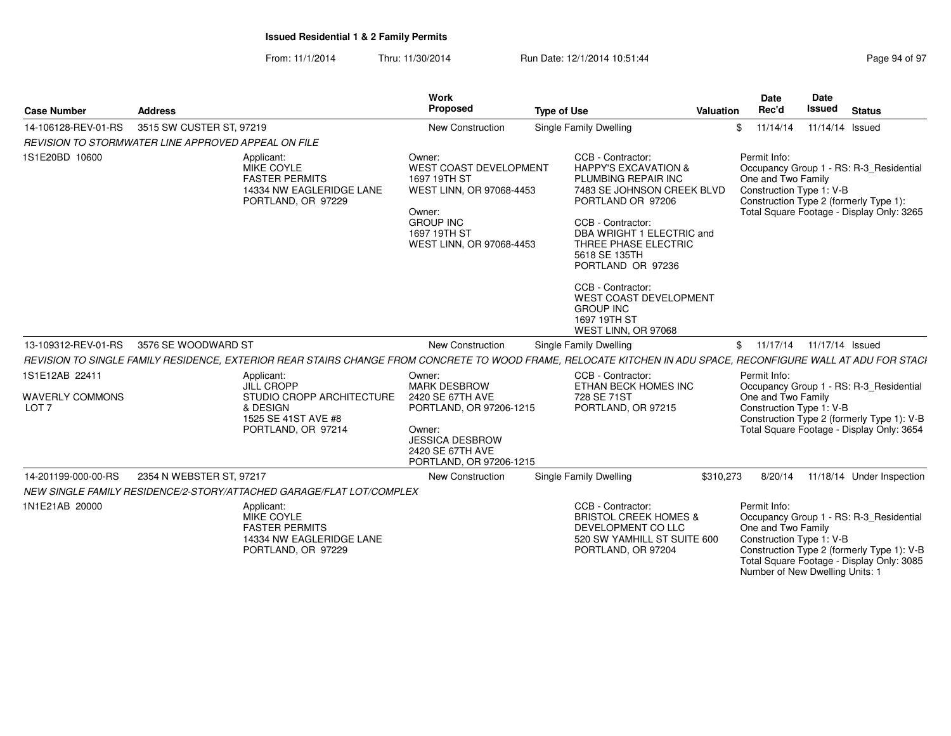| <b>Case Number</b>                                           | <b>Address</b>                                                                                                                                                 | Work<br>Proposed                                                                                                                                                | <b>Type of Use</b>                                                                                                                                                                                                                                                                                                                                              | Valuation | Date<br>Rec'd                      | Date<br><b>Issued</b>                                              | <b>Status</b>                                                                                                                      |
|--------------------------------------------------------------|----------------------------------------------------------------------------------------------------------------------------------------------------------------|-----------------------------------------------------------------------------------------------------------------------------------------------------------------|-----------------------------------------------------------------------------------------------------------------------------------------------------------------------------------------------------------------------------------------------------------------------------------------------------------------------------------------------------------------|-----------|------------------------------------|--------------------------------------------------------------------|------------------------------------------------------------------------------------------------------------------------------------|
| 14-106128-REV-01-RS                                          | 3515 SW CUSTER ST, 97219                                                                                                                                       | <b>New Construction</b>                                                                                                                                         | <b>Single Family Dwelling</b>                                                                                                                                                                                                                                                                                                                                   |           | \$11/14/14                         | 11/14/14 Issued                                                    |                                                                                                                                    |
|                                                              | REVISION TO STORMWATER LINE APPROVED APPEAL ON FILE                                                                                                            |                                                                                                                                                                 |                                                                                                                                                                                                                                                                                                                                                                 |           |                                    |                                                                    |                                                                                                                                    |
| 1S1E20BD 10600                                               | Applicant:<br>MIKE COYLE<br><b>FASTER PERMITS</b><br>14334 NW EAGLERIDGE LANE<br>PORTLAND, OR 97229                                                            | Owner:<br><b>WEST COAST DEVELOPMENT</b><br>1697 19TH ST<br>WEST LINN, OR 97068-4453<br>Owner:<br><b>GROUP INC</b><br>1697 19TH ST<br>WEST LINN, OR 97068-4453   | CCB - Contractor:<br><b>HAPPY'S EXCAVATION &amp;</b><br>PLUMBING REPAIR INC<br>7483 SE JOHNSON CREEK BLVD<br>PORTLAND OR 97206<br>CCB - Contractor:<br>DBA WRIGHT 1 ELECTRIC and<br>THREE PHASE ELECTRIC<br>5618 SE 135TH<br>PORTLAND OR 97236<br>CCB - Contractor:<br><b>WEST COAST DEVELOPMENT</b><br><b>GROUP INC</b><br>1697 19TH ST<br>WEST LINN, OR 97068 |           | Permit Info:<br>One and Two Family | Construction Type 1: V-B<br>Construction Type 2 (formerly Type 1): | Occupancy Group 1 - RS: R-3 Residential<br>Total Square Footage - Display Only: 3265                                               |
| 13-109312-REV-01-RS                                          | 3576 SE WOODWARD ST                                                                                                                                            | <b>New Construction</b>                                                                                                                                         | Single Family Dwelling                                                                                                                                                                                                                                                                                                                                          |           |                                    | \$ 11/17/14 11/17/14 Issued                                        |                                                                                                                                    |
|                                                              | REVISION TO SINGLE FAMILY RESIDENCE, EXTERIOR REAR STAIRS CHANGE FROM CONCRETE TO WOOD FRAME, RELOCATE KITCHEN IN ADU SPACE, RECONFIGURE WALL AT ADU FOR STACH |                                                                                                                                                                 |                                                                                                                                                                                                                                                                                                                                                                 |           |                                    |                                                                    |                                                                                                                                    |
| 1S1E12AB 22411<br><b>WAVERLY COMMONS</b><br>LOT <sub>7</sub> | Applicant:<br>JILL CROPP<br>STUDIO CROPP ARCHITECTURE<br>& DESIGN<br>1525 SE 41ST AVE #8<br>PORTLAND, OR 97214                                                 | Owner:<br><b>MARK DESBROW</b><br>2420 SE 67TH AVE<br>PORTLAND, OR 97206-1215<br>Owner:<br><b>JESSICA DESBROW</b><br>2420 SE 67TH AVE<br>PORTLAND, OR 97206-1215 | CCB - Contractor:<br>ETHAN BECK HOMES INC<br>728 SE 71ST<br>PORTLAND, OR 97215                                                                                                                                                                                                                                                                                  |           | Permit Info:<br>One and Two Family | Construction Type 1: V-B                                           | Occupancy Group 1 - RS: R-3 Residential<br>Construction Type 2 (formerly Type 1): V-B<br>Total Square Footage - Display Only: 3654 |
| 14-201199-000-00-RS                                          | 2354 N WEBSTER ST, 97217                                                                                                                                       | New Construction                                                                                                                                                | Single Family Dwelling                                                                                                                                                                                                                                                                                                                                          | \$310,273 | 8/20/14                            |                                                                    | 11/18/14 Under Inspection                                                                                                          |
|                                                              | NEW SINGLE FAMILY RESIDENCE/2-STORY/ATTACHED GARAGE/FLAT LOT/COMPLEX                                                                                           |                                                                                                                                                                 |                                                                                                                                                                                                                                                                                                                                                                 |           |                                    |                                                                    |                                                                                                                                    |
| 1N1E21AB 20000                                               | Applicant:<br>MIKE COYLE<br><b>FASTER PERMITS</b><br>14334 NW EAGLERIDGE LANE<br>PORTLAND, OR 97229                                                            |                                                                                                                                                                 | CCB - Contractor:<br><b>BRISTOL CREEK HOMES &amp;</b><br>DEVELOPMENT CO LLC<br>520 SW YAMHILL ST SUITE 600<br>PORTLAND, OR 97204                                                                                                                                                                                                                                |           | Permit Info:<br>One and Two Family | Construction Type 1: V-B<br>Number of New Dwelling Units: 1        | Occupancy Group 1 - RS: R-3 Residential<br>Construction Type 2 (formerly Type 1): V-B<br>Total Square Footage - Display Only: 3085 |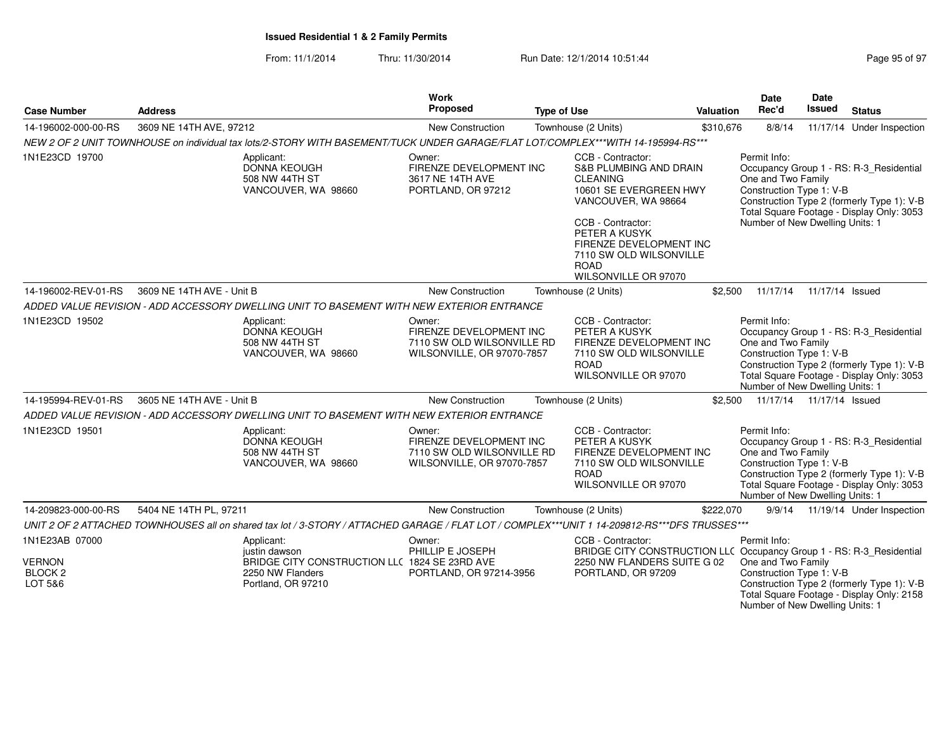### From: 11/1/2014Thru: 11/30/2014 Run Date: 12/1/2014 10:51:44

Number of New Dwelling Units: 1

| <b>Case Number</b>                                               | <b>Address</b>                                                                                                                                | Work<br>Proposed                                                                              | <b>Type of Use</b>                                                                                                                                                                                                                                            | Valuation | Date<br>Rec'd                                                                                     | <b>Date</b><br>Issued      | <b>Status</b>                                                                                                                      |
|------------------------------------------------------------------|-----------------------------------------------------------------------------------------------------------------------------------------------|-----------------------------------------------------------------------------------------------|---------------------------------------------------------------------------------------------------------------------------------------------------------------------------------------------------------------------------------------------------------------|-----------|---------------------------------------------------------------------------------------------------|----------------------------|------------------------------------------------------------------------------------------------------------------------------------|
| 14-196002-000-00-RS                                              | 3609 NE 14TH AVE, 97212                                                                                                                       | New Construction                                                                              | Townhouse (2 Units)                                                                                                                                                                                                                                           | \$310,676 | 8/8/14                                                                                            |                            | 11/17/14 Under Inspection                                                                                                          |
|                                                                  | NEW 2 OF 2 UNIT TOWNHOUSE on individual tax lots/2-STORY WITH BASEMENT/TUCK UNDER GARAGE/FLAT LOT/COMPLEX***WITH 14-195994-RS***              |                                                                                               |                                                                                                                                                                                                                                                               |           |                                                                                                   |                            |                                                                                                                                    |
| 1N1E23CD 19700                                                   | Applicant:<br>DONNA KEOUGH<br>508 NW 44TH ST<br>VANCOUVER, WA 98660                                                                           | Owner:<br>FIRENZE DEVELOPMENT INC<br>3617 NE 14TH AVE<br>PORTLAND, OR 97212                   | CCB - Contractor:<br><b>S&amp;B PLUMBING AND DRAIN</b><br><b>CLEANING</b><br>10601 SE EVERGREEN HWY<br>VANCOUVER, WA 98664<br>CCB - Contractor:<br>PETER A KUSYK<br>FIRENZE DEVELOPMENT INC<br>7110 SW OLD WILSONVILLE<br><b>ROAD</b><br>WILSONVILLE OR 97070 |           | Permit Info:<br>One and Two Family<br>Construction Type 1: V-B<br>Number of New Dwelling Units: 1 |                            | Occupancy Group 1 - RS: R-3 Residential<br>Construction Type 2 (formerly Type 1): V-B<br>Total Square Footage - Display Only: 3053 |
| 14-196002-REV-01-RS                                              | 3609 NE 14TH AVE - Unit B                                                                                                                     | New Construction                                                                              | Townhouse (2 Units)                                                                                                                                                                                                                                           | \$2,500   | 11/17/14                                                                                          | 11/17/14 Issued            |                                                                                                                                    |
|                                                                  | ADDED VALUE REVISION - ADD ACCESSORY DWELLING UNIT TO BASEMENT WITH NEW EXTERIOR ENTRANCE                                                     |                                                                                               |                                                                                                                                                                                                                                                               |           |                                                                                                   |                            |                                                                                                                                    |
| 1N1E23CD 19502                                                   | Applicant:<br><b>DONNA KEOUGH</b><br>508 NW 44TH ST<br>VANCOUVER, WA 98660                                                                    | Owner:<br>FIRENZE DEVELOPMENT INC<br>7110 SW OLD WILSONVILLE RD<br>WILSONVILLE, OR 97070-7857 | CCB - Contractor:<br>PETER A KUSYK<br>FIRENZE DEVELOPMENT INC<br>7110 SW OLD WILSONVILLE<br><b>ROAD</b><br>WILSONVILLE OR 97070                                                                                                                               |           | Permit Info:<br>One and Two Family<br>Construction Type 1: V-B<br>Number of New Dwelling Units: 1 |                            | Occupancy Group 1 - RS: R-3 Residential<br>Construction Type 2 (formerly Type 1): V-B<br>Total Square Footage - Display Only: 3053 |
| 14-195994-REV-01-RS                                              | 3605 NE 14TH AVE - Unit B                                                                                                                     | New Construction                                                                              | Townhouse (2 Units)                                                                                                                                                                                                                                           | \$2.500   |                                                                                                   | 11/17/14  11/17/14  Issued |                                                                                                                                    |
|                                                                  | ADDED VALUE REVISION - ADD ACCESSORY DWELLING UNIT TO BASEMENT WITH NEW EXTERIOR ENTRANCE                                                     |                                                                                               |                                                                                                                                                                                                                                                               |           |                                                                                                   |                            |                                                                                                                                    |
| 1N1E23CD 19501                                                   | Applicant:<br>DONNA KEOUGH<br>508 NW 44TH ST<br>VANCOUVER, WA 98660                                                                           | Owner:<br>FIRENZE DEVELOPMENT INC<br>7110 SW OLD WILSONVILLE RD<br>WILSONVILLE, OR 97070-7857 | CCB - Contractor:<br>PETER A KUSYK<br>FIRENZE DEVELOPMENT INC<br>7110 SW OLD WILSONVILLE<br><b>ROAD</b><br>WILSONVILLE OR 97070                                                                                                                               |           | Permit Info:<br>One and Two Family<br>Construction Type 1: V-B<br>Number of New Dwelling Units: 1 |                            | Occupancy Group 1 - RS: R-3_Residential<br>Construction Type 2 (formerly Type 1): V-B<br>Total Square Footage - Display Only: 3053 |
| 14-209823-000-00-RS                                              | 5404 NE 14TH PL, 97211                                                                                                                        | New Construction                                                                              | Townhouse (2 Units)                                                                                                                                                                                                                                           | \$222,070 |                                                                                                   |                            | 9/9/14 11/19/14 Under Inspection                                                                                                   |
|                                                                  | UNIT 2 OF 2 ATTACHED TOWNHOUSES all on shared tax lot / 3-STORY / ATTACHED GARAGE / FLAT LOT / COMPLEX***UNIT 1 14-209812-RS***DFS TRUSSES*** |                                                                                               |                                                                                                                                                                                                                                                               |           |                                                                                                   |                            |                                                                                                                                    |
| 1N1E23AB 07000<br><b>VERNON</b><br>BLOCK <sub>2</sub><br>LOT 5&6 | Applicant:<br>justin dawson<br>BRIDGE CITY CONSTRUCTION LLC 1824 SE 23RD AVE<br>2250 NW Flanders<br>Portland, OR 97210                        | Owner:<br>PHILLIP E JOSEPH<br>PORTLAND, OR 97214-3956                                         | CCB - Contractor:<br>BRIDGE CITY CONSTRUCTION LLC Occupancy Group 1 - RS: R-3_Residential<br>2250 NW FLANDERS SUITE G 02<br>PORTLAND, OR 97209                                                                                                                |           | Permit Info:<br>One and Two Family<br>Construction Type 1: V-B                                    |                            | Construction Type 2 (formerly Type 1): V-B<br>Total Square Footage - Display Only: 2158                                            |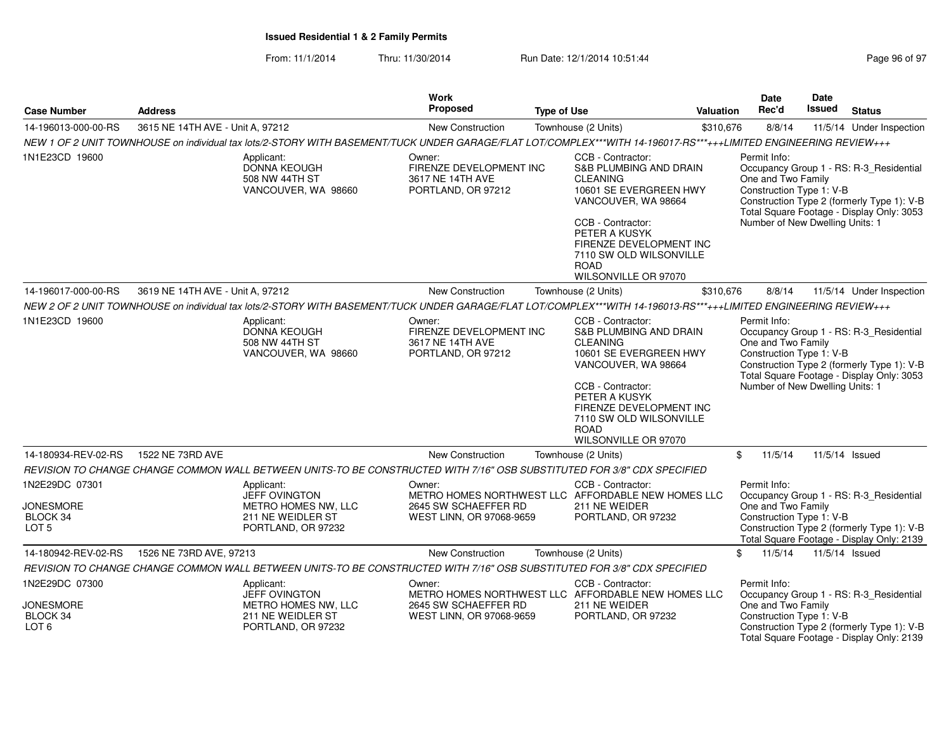| <b>Case Number</b>                                                                           | <b>Address</b>                                                                                                                                                   | Work<br>Proposed                                                            | <b>Type of Use</b>                                                                                                                                                                                                                                                            | <b>Valuation</b> | <b>Date</b><br>Rec'd                                                                                                                                                                                                                    | Date<br><b>Issued</b> | <b>Status</b>                                                                                                                      |  |
|----------------------------------------------------------------------------------------------|------------------------------------------------------------------------------------------------------------------------------------------------------------------|-----------------------------------------------------------------------------|-------------------------------------------------------------------------------------------------------------------------------------------------------------------------------------------------------------------------------------------------------------------------------|------------------|-----------------------------------------------------------------------------------------------------------------------------------------------------------------------------------------------------------------------------------------|-----------------------|------------------------------------------------------------------------------------------------------------------------------------|--|
| 14-196013-000-00-RS                                                                          | 3615 NE 14TH AVE - Unit A, 97212                                                                                                                                 | New Construction                                                            | Townhouse (2 Units)                                                                                                                                                                                                                                                           | \$310,676        | 8/8/14                                                                                                                                                                                                                                  |                       | 11/5/14 Under Inspection                                                                                                           |  |
|                                                                                              | NEW 1 OF 2 UNIT TOWNHOUSE on individual tax lots/2-STORY WITH BASEMENT/TUCK UNDER GARAGE/FLAT LOT/COMPLEX***WITH 14-196017-RS***+++LIMITED ENGINEERING REVIEW+++ |                                                                             |                                                                                                                                                                                                                                                                               |                  |                                                                                                                                                                                                                                         |                       |                                                                                                                                    |  |
| 1N1E23CD 19600<br>Applicant:<br><b>DONNA KEOUGH</b><br>508 NW 44TH ST<br>VANCOUVER, WA 98660 |                                                                                                                                                                  | Owner:<br>3617 NE 14TH AVE<br>PORTLAND, OR 97212                            | CCB - Contractor:<br>FIRENZE DEVELOPMENT INC<br>S&B PLUMBING AND DRAIN<br><b>CLEANING</b><br>10601 SE EVERGREEN HWY<br>VANCOUVER, WA 98664<br>CCB - Contractor:<br>PETER A KUSYK<br>FIRENZE DEVELOPMENT INC<br>7110 SW OLD WILSONVILLE<br><b>ROAD</b><br>WILSONVILLE OR 97070 |                  | Permit Info:<br>Occupancy Group 1 - RS: R-3_Residential<br>One and Two Family<br>Construction Type 1: V-B<br>Construction Type 2 (formerly Type 1): V-B<br>Total Square Footage - Display Only: 3053<br>Number of New Dwelling Units: 1 |                       |                                                                                                                                    |  |
| 14-196017-000-00-RS                                                                          | 3619 NE 14TH AVE - Unit A, 97212                                                                                                                                 | New Construction                                                            | Townhouse (2 Units)                                                                                                                                                                                                                                                           | \$310,676        | 8/8/14                                                                                                                                                                                                                                  |                       | 11/5/14 Under Inspection                                                                                                           |  |
|                                                                                              | NEW 2 OF 2 UNIT TOWNHOUSE on individual tax lots/2-STORY WITH BASEMENT/TUCK UNDER GARAGE/FLAT LOT/COMPLEX***WITH 14-196013-RS***+++LIMITED ENGINEERING REVIEW+++ |                                                                             |                                                                                                                                                                                                                                                                               |                  |                                                                                                                                                                                                                                         |                       |                                                                                                                                    |  |
| 1N1E23CD 19600                                                                               | Applicant:<br><b>DONNA KEOUGH</b><br>508 NW 44TH ST<br>VANCOUVER, WA 98660                                                                                       | Owner:<br>FIRENZE DEVELOPMENT INC<br>3617 NE 14TH AVE<br>PORTLAND, OR 97212 | CCB - Contractor:<br>S&B PLUMBING AND DRAIN<br><b>CLEANING</b><br>10601 SE EVERGREEN HWY<br>VANCOUVER, WA 98664<br>CCB - Contractor:<br>PETER A KUSYK<br>FIRENZE DEVELOPMENT INC<br>7110 SW OLD WILSONVILLE<br><b>ROAD</b><br>WILSONVILLE OR 97070                            |                  | Permit Info:<br>One and Two Family<br>Construction Type 1: V-B<br>Number of New Dwelling Units: 1                                                                                                                                       |                       | Occupancy Group 1 - RS: R-3_Residential<br>Construction Type 2 (formerly Type 1): V-B<br>Total Square Footage - Display Only: 3053 |  |
| 14-180934-REV-02-RS                                                                          | 1522 NE 73RD AVE                                                                                                                                                 | <b>New Construction</b>                                                     | Townhouse (2 Units)                                                                                                                                                                                                                                                           | \$               | 11/5/14                                                                                                                                                                                                                                 |                       | 11/5/14 Issued                                                                                                                     |  |
|                                                                                              | REVISION TO CHANGE CHANGE COMMON WALL BETWEEN UNITS-TO BE CONSTRUCTED WITH 7/16" OSB SUBSTITUTED FOR 3/8" CDX SPECIFIED                                          |                                                                             |                                                                                                                                                                                                                                                                               |                  |                                                                                                                                                                                                                                         |                       |                                                                                                                                    |  |
| 1N2E29DC 07301<br><b>JONESMORE</b><br>BLOCK 34<br>LOT <sub>5</sub>                           | Applicant:<br><b>JEFF OVINGTON</b><br>METRO HOMES NW, LLC<br>211 NE WEIDLER ST<br>PORTLAND, OR 97232                                                             | Owner:<br>2645 SW SCHAEFFER RD<br>WEST LINN, OR 97068-9659                  | CCB - Contractor:<br>METRO HOMES NORTHWEST LLC AFFORDABLE NEW HOMES LLC<br>211 NE WEIDER<br>PORTLAND, OR 97232                                                                                                                                                                |                  | Permit Info:<br>One and Two Family<br>Construction Type 1: V-B                                                                                                                                                                          |                       | Occupancy Group 1 - RS: R-3_Residential<br>Construction Type 2 (formerly Type 1): V-B<br>Total Square Footage - Display Only: 2139 |  |
| 14-180942-REV-02-RS                                                                          | 1526 NE 73RD AVE, 97213                                                                                                                                          | New Construction                                                            | Townhouse (2 Units)                                                                                                                                                                                                                                                           | \$               | 11/5/14                                                                                                                                                                                                                                 |                       | 11/5/14 Issued                                                                                                                     |  |
|                                                                                              | REVISION TO CHANGE CHANGE COMMON WALL BETWEEN UNITS-TO BE CONSTRUCTED WITH 7/16" OSB SUBSTITUTED FOR 3/8" CDX SPECIFIED                                          |                                                                             |                                                                                                                                                                                                                                                                               |                  |                                                                                                                                                                                                                                         |                       |                                                                                                                                    |  |
| 1N2E29DC 07300<br><b>JONESMORE</b><br>BLOCK 34<br>LOT <sub>6</sub>                           | Applicant:<br><b>JEFF OVINGTON</b><br>METRO HOMES NW, LLC<br>211 NE WEIDLER ST<br>PORTLAND, OR 97232                                                             | Owner:<br>2645 SW SCHAEFFER RD<br>WEST LINN, OR 97068-9659                  | CCB - Contractor:<br>METRO HOMES NORTHWEST LLC AFFORDABLE NEW HOMES LLC<br>211 NE WEIDER<br>PORTLAND, OR 97232                                                                                                                                                                |                  | Permit Info:<br>One and Two Family<br>Construction Type 1: V-B                                                                                                                                                                          |                       | Occupancy Group 1 - RS: R-3 Residential<br>Construction Type 2 (formerly Type 1): V-B<br>Total Square Footage - Display Only: 2139 |  |